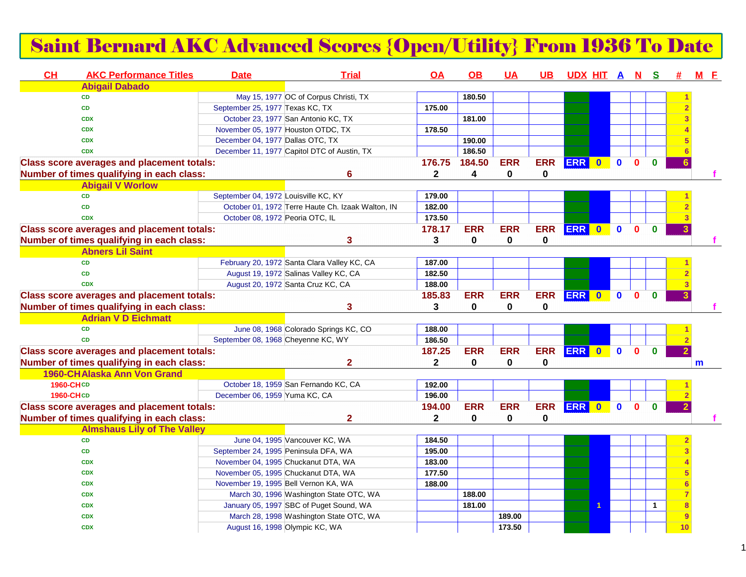## Saint Bernard AKC Advanced Scores {Open/Utility} From 1936 To Date

| <b>CH</b>        | <b>AKC Performance Titles</b>                     | <b>Date</b>                          | <b>Trial</b>                                                               | OA           | <b>OB</b>   | <b>UA</b>   | $\overline{\mathsf{UB}}$ | UDX HIT A N S |           |              |              |              | #               | $M$ $E$ |  |
|------------------|---------------------------------------------------|--------------------------------------|----------------------------------------------------------------------------|--------------|-------------|-------------|--------------------------|---------------|-----------|--------------|--------------|--------------|-----------------|---------|--|
|                  | <b>Abigail Dabado</b>                             |                                      |                                                                            |              |             |             |                          |               |           |              |              |              |                 |         |  |
|                  | <b>CD</b>                                         |                                      | May 15, 1977 OC of Corpus Christi, TX                                      |              | 180.50      |             |                          |               |           |              |              |              |                 |         |  |
|                  | <b>CD</b>                                         | September 25, 1977 Texas KC, TX      |                                                                            | 175.00       |             |             |                          |               |           |              |              |              |                 |         |  |
|                  | <b>CDX</b>                                        |                                      | October 23, 1977 San Antonio KC, TX                                        |              | 181.00      |             |                          |               |           |              |              |              |                 |         |  |
|                  | <b>CDX</b>                                        | November 05, 1977 Houston OTDC, TX   |                                                                            | 178.50       |             |             |                          |               |           |              |              |              |                 |         |  |
|                  | <b>CDX</b>                                        | December 04, 1977 Dallas OTC, TX     |                                                                            |              | 190.00      |             |                          |               |           |              |              |              |                 |         |  |
|                  | <b>CDX</b>                                        |                                      | December 11, 1977 Capitol DTC of Austin, TX                                |              | 186.50      |             |                          |               |           |              |              |              |                 |         |  |
|                  | <b>Class score averages and placement totals:</b> |                                      |                                                                            | 176.75       | 184.50      | <b>ERR</b>  | <b>ERR</b>               | <b>ERR</b>    | $\bullet$ | $\mathbf 0$  | $\mathbf{0}$ | $\bf{0}$     |                 |         |  |
|                  | Number of times qualifying in each class:         |                                      | 6                                                                          | $\mathbf{2}$ | 4           | 0           | 0                        |               |           |              |              |              |                 |         |  |
|                  | <b>Abigail V Worlow</b>                           |                                      |                                                                            |              |             |             |                          |               |           |              |              |              |                 |         |  |
|                  | <b>CD</b>                                         | September 04, 1972 Louisville KC, KY |                                                                            | 179.00       |             |             |                          |               |           |              |              |              |                 |         |  |
|                  | CD                                                |                                      | October 01, 1972 Terre Haute Ch. Izaak Walton, IN                          | 182.00       |             |             |                          |               |           |              |              |              |                 |         |  |
|                  | <b>CDX</b>                                        | October 08, 1972 Peoria OTC, IL      |                                                                            | 173.50       |             |             |                          |               |           |              |              |              |                 |         |  |
|                  | <b>Class score averages and placement totals:</b> |                                      |                                                                            | 178.17       | <b>ERR</b>  | <b>ERR</b>  | <b>ERR</b>               | <b>ERR</b>    | $\bullet$ | $\bullet$    | $\mathbf{0}$ | $\bf{0}$     |                 |         |  |
|                  | Number of times qualifying in each class:         |                                      | 3                                                                          | 3            | $\mathbf 0$ | $\mathbf 0$ | $\mathbf 0$              |               |           |              |              |              |                 |         |  |
|                  | <b>Abners Lil Saint</b>                           |                                      |                                                                            |              |             |             |                          |               |           |              |              |              |                 |         |  |
|                  | <b>CD</b>                                         |                                      | February 20, 1972 Santa Clara Valley KC, CA                                | 187.00       |             |             |                          |               |           |              |              |              |                 |         |  |
|                  | <b>CD</b>                                         |                                      | August 19, 1972 Salinas Valley KC, CA                                      | 182.50       |             |             |                          |               |           |              |              |              |                 |         |  |
|                  | <b>CDX</b>                                        |                                      | August 20, 1972 Santa Cruz KC, CA                                          | 188.00       |             |             |                          |               |           |              |              |              |                 |         |  |
|                  | <b>Class score averages and placement totals:</b> |                                      |                                                                            | 185.83       | <b>ERR</b>  | <b>ERR</b>  | <b>ERR</b>               | <b>ERR</b>    | $\bullet$ | $\mathbf 0$  | $\mathbf{0}$ | $\mathbf{0}$ |                 |         |  |
|                  | Number of times qualifying in each class:         |                                      | 3                                                                          | 3            | $\mathbf 0$ | $\mathbf 0$ | 0                        |               |           |              |              |              |                 |         |  |
|                  | <b>Adrian V D Eichmatt</b>                        |                                      |                                                                            |              |             |             |                          |               |           |              |              |              |                 |         |  |
|                  | <b>CD</b>                                         |                                      | June 08, 1968 Colorado Springs KC, CO                                      | 188.00       |             |             |                          |               |           |              |              |              |                 |         |  |
|                  | <b>CD</b>                                         | September 08, 1968 Cheyenne KC, WY   |                                                                            | 186.50       |             |             |                          |               |           |              |              |              |                 |         |  |
|                  | <b>Class score averages and placement totals:</b> |                                      |                                                                            | 187.25       | <b>ERR</b>  | <b>ERR</b>  | <b>ERR</b>               | <b>ERR</b>    | $\bullet$ | $\mathbf{0}$ | $\Omega$     | $\mathbf{0}$ |                 |         |  |
|                  | Number of times qualifying in each class:         |                                      | $\mathbf{2}$                                                               | $\mathbf{2}$ | 0           | $\mathbf 0$ | 0                        |               |           |              |              |              |                 | m       |  |
|                  | 1960-CHAlaska Ann Von Grand                       |                                      |                                                                            |              |             |             |                          |               |           |              |              |              |                 |         |  |
| 1960-CHCD        |                                                   |                                      | October 18, 1959 San Fernando KC, CA                                       | 192.00       |             |             |                          |               |           |              |              |              |                 |         |  |
| <b>1960-CHCD</b> |                                                   | December 06, 1959 Yuma KC, CA        |                                                                            | 196.00       |             |             |                          |               |           |              |              |              |                 |         |  |
|                  | <b>Class score averages and placement totals:</b> |                                      |                                                                            | 194.00       | <b>ERR</b>  | <b>ERR</b>  | <b>ERR</b>               | <b>ERR</b>    | $\bullet$ | $\mathbf{0}$ | $\mathbf{0}$ | $\mathbf{0}$ |                 |         |  |
|                  | Number of times qualifying in each class:         |                                      | $\overline{2}$                                                             | $\mathbf 2$  | 0           | 0           | 0                        |               |           |              |              |              |                 |         |  |
|                  | <b>Almshaus Lily of The Valley</b>                |                                      |                                                                            |              |             |             |                          |               |           |              |              |              |                 |         |  |
|                  | CD                                                |                                      | June 04, 1995 Vancouver KC, WA                                             | 184.50       |             |             |                          |               |           |              |              |              |                 |         |  |
|                  | CD                                                | September 24, 1995 Peninsula DFA, WA |                                                                            | 195.00       |             |             |                          |               |           |              |              |              |                 |         |  |
|                  |                                                   |                                      |                                                                            |              |             |             |                          |               |           |              |              |              |                 |         |  |
|                  | <b>CDX</b>                                        |                                      | November 04, 1995 Chuckanut DTA, WA<br>November 05, 1995 Chuckanut DTA, WA | 183.00       |             |             |                          |               |           |              |              |              |                 |         |  |
|                  | <b>CDX</b>                                        |                                      |                                                                            | 177.50       |             |             |                          |               |           |              |              |              |                 |         |  |
|                  | <b>CDX</b>                                        | November 19, 1995 Bell Vernon KA, WA |                                                                            | 188.00       |             |             |                          |               |           |              |              |              |                 |         |  |
|                  | <b>CDX</b>                                        |                                      | March 30, 1996 Washington State OTC, WA                                    |              | 188.00      |             |                          |               |           |              |              |              |                 |         |  |
|                  | <b>CDX</b>                                        |                                      | January 05, 1997 SBC of Puget Sound, WA                                    |              | 181.00      |             |                          |               | 1         |              |              | $\mathbf{1}$ |                 |         |  |
|                  | <b>CDX</b>                                        |                                      | March 28, 1998 Washington State OTC, WA                                    |              |             | 189.00      |                          |               |           |              |              |              | 9               |         |  |
|                  | <b>CDX</b>                                        |                                      | August 16, 1998 Olympic KC, WA                                             |              |             | 173.50      |                          |               |           |              |              |              | 10 <sub>1</sub> |         |  |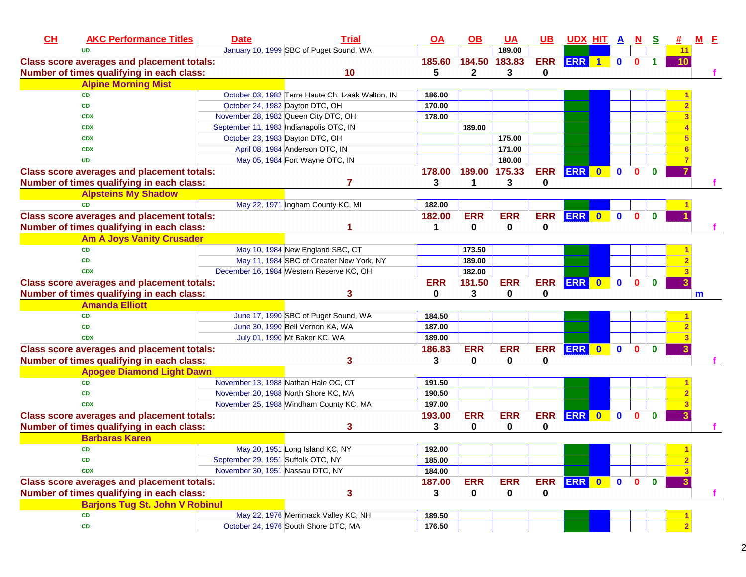| CH | <b>AKC Performance Titles</b>                     | <b>Date</b>                             | <b>Trial</b>                                      | $Q$ $A$     | $\underline{\mathsf{OB}}$ | <b>UA</b>     | $UB$        | <u>UDX HIT A N</u> |              |              | <u>୍ର</u>    |                         | М | E  |
|----|---------------------------------------------------|-----------------------------------------|---------------------------------------------------|-------------|---------------------------|---------------|-------------|--------------------|--------------|--------------|--------------|-------------------------|---|----|
|    | <b>UD</b>                                         |                                         | January 10, 1999 SBC of Puget Sound, WA           |             |                           | 189.00        |             |                    |              |              |              | 11                      |   |    |
|    | <b>Class score averages and placement totals:</b> |                                         |                                                   | 185.60      |                           | 184.50 183.83 | <b>ERR</b>  | ERR 1              | $\bullet$    | $\mathbf{0}$ | 1            | 10                      |   |    |
|    | Number of times qualifying in each class:         |                                         | 10                                                | 5           | $\mathbf{2}$              | 3             | $\bf{0}$    |                    |              |              |              |                         |   |    |
|    | <b>Alpine Morning Mist</b>                        |                                         |                                                   |             |                           |               |             |                    |              |              |              |                         |   |    |
|    | <b>CD</b>                                         |                                         | October 03, 1982 Terre Haute Ch. Izaak Walton, IN | 186.00      |                           |               |             |                    |              |              |              |                         |   |    |
|    | <b>CD</b>                                         | October 24, 1982 Dayton DTC, OH         |                                                   | 170.00      |                           |               |             |                    |              |              |              |                         |   |    |
|    | <b>CDX</b>                                        |                                         | November 28, 1982 Queen City DTC, OH              | 178.00      |                           |               |             |                    |              |              |              |                         |   |    |
|    | <b>CDX</b>                                        | September 11, 1983 Indianapolis OTC, IN |                                                   |             | 189.00                    |               |             |                    |              |              |              |                         |   |    |
|    | <b>CDX</b>                                        | October 23, 1983 Dayton DTC, OH         |                                                   |             |                           | 175.00        |             |                    |              |              |              |                         |   |    |
|    | <b>CDX</b>                                        |                                         | April 08, 1984 Anderson OTC, IN                   |             |                           | 171.00        |             |                    |              |              |              |                         |   |    |
|    | <b>UD</b>                                         |                                         | May 05, 1984 Fort Wayne OTC, IN                   |             |                           | 180.00        |             |                    |              |              |              |                         |   |    |
|    | <b>Class score averages and placement totals:</b> |                                         |                                                   | 178.00      |                           | 189.00 175.33 | <b>ERR</b>  | ERR 0              | $\mathbf 0$  | $\bf{0}$     | $\bf{0}$     |                         |   |    |
|    | Number of times qualifying in each class:         |                                         | 7                                                 | 3           | $\mathbf{1}$              | 3             | 0           |                    |              |              |              |                         |   |    |
|    | <b>Alpsteins My Shadow</b>                        |                                         |                                                   |             |                           |               |             |                    |              |              |              |                         |   |    |
|    | <b>CD</b>                                         |                                         | May 22, 1971 Ingham County KC, MI                 | 182.00      |                           |               |             |                    |              |              |              |                         |   |    |
|    | <b>Class score averages and placement totals:</b> |                                         |                                                   | 182.00      | <b>ERR</b>                | <b>ERR</b>    | <b>ERR</b>  | ERR 0              | $\mathbf{0}$ | $\mathbf 0$  | $\bf{0}$     |                         |   |    |
|    | Number of times qualifying in each class:         |                                         |                                                   | $\mathbf 1$ | 0                         | 0             | 0           |                    |              |              |              |                         |   |    |
|    | <b>Am A Joys Vanity Crusader</b>                  |                                         |                                                   |             |                           |               |             |                    |              |              |              |                         |   |    |
|    | <b>CD</b>                                         |                                         | May 10, 1984 New England SBC, CT                  |             | 173.50                    |               |             |                    |              |              |              |                         |   |    |
|    | <b>CD</b>                                         |                                         | May 11, 1984 SBC of Greater New York, NY          |             | 189.00                    |               |             |                    |              |              |              |                         |   |    |
|    | <b>CDX</b>                                        |                                         | December 16, 1984 Western Reserve KC, OH          |             | 182.00                    |               |             |                    |              |              |              |                         |   |    |
|    | <b>Class score averages and placement totals:</b> |                                         |                                                   | <b>ERR</b>  | 181.50                    | <b>ERR</b>    | <b>ERR</b>  | ERR 0 0            |              | $\mathbf 0$  | $\mathbf{0}$ |                         |   |    |
|    | Number of times qualifying in each class:         |                                         | 3                                                 | 0           | 3                         | 0             | 0           |                    |              |              |              |                         | m |    |
|    | <b>Amanda Elliott</b>                             |                                         |                                                   |             |                           |               |             |                    |              |              |              |                         |   |    |
|    | <b>CD</b>                                         |                                         | June 17, 1990 SBC of Puget Sound, WA              | 184.50      |                           |               |             |                    |              |              |              |                         |   |    |
|    | <b>CD</b>                                         |                                         | June 30, 1990 Bell Vernon KA, WA                  | 187.00      |                           |               |             |                    |              |              |              |                         |   |    |
|    | <b>CDX</b>                                        |                                         | July 01, 1990 Mt Baker KC, WA                     | 189.00      |                           |               |             |                    |              |              |              |                         |   |    |
|    | <b>Class score averages and placement totals:</b> |                                         |                                                   | 186.83      | <b>ERR</b>                | <b>ERR</b>    | <b>ERR</b>  | ERR 0              | $\bullet$    | $\mathbf{0}$ | $\bf{0}$     |                         |   |    |
|    | Number of times qualifying in each class:         |                                         | 3                                                 | 3           | 0                         | 0             | 0           |                    |              |              |              |                         |   |    |
|    | <b>Apogee Diamond Light Dawn</b>                  |                                         |                                                   |             |                           |               |             |                    |              |              |              |                         |   |    |
|    | <b>CD</b>                                         |                                         | November 13, 1988 Nathan Hale OC, CT              | 191.50      |                           |               |             |                    |              |              |              |                         |   |    |
|    | <b>CD</b>                                         |                                         | November 20, 1988 North Shore KC, MA              | 190.50      |                           |               |             |                    |              |              |              |                         |   |    |
|    | <b>CDX</b>                                        |                                         | November 25, 1988 Windham County KC, MA           | 197.00      |                           |               |             |                    |              |              |              |                         |   |    |
|    | <b>Class score averages and placement totals:</b> |                                         |                                                   | 193.00      | <b>ERR</b>                | <b>ERR</b>    | <b>ERR</b>  | ERR 0              | $\bullet$    | $\mathbf 0$  | $\mathbf{0}$ |                         |   |    |
|    | Number of times qualifying in each class:         |                                         | 3                                                 | 3           | 0                         | 0             | 0           |                    |              |              |              |                         |   |    |
|    | <b>Barbaras Karen</b>                             |                                         |                                                   |             |                           |               |             |                    |              |              |              |                         |   |    |
|    | CD                                                |                                         | May 20, 1951 Long Island KC, NY                   | 192.00      |                           |               |             |                    |              |              |              | $\blacktriangleleft$    |   |    |
|    | CD                                                | September 29, 1951 Suffolk OTC, NY      |                                                   | 185.00      |                           |               |             |                    |              |              |              | $\frac{2}{\sqrt{2}}$    |   |    |
|    | <b>CDX</b>                                        | November 30, 1951 Nassau DTC, NY        |                                                   | 184.00      |                           |               |             |                    |              |              |              | $\overline{\mathbf{3}}$ |   |    |
|    | <b>Class score averages and placement totals:</b> |                                         |                                                   | 187.00      | <b>ERR</b>                | <b>ERR</b>    |             | ERR ERR 0          | $\mathbf 0$  | $\mathbf{0}$ | $\bf{0}$     | 3 <sup>2</sup>          |   |    |
|    | Number of times qualifying in each class:         |                                         | 3                                                 | 3           | 0                         | 0             | $\mathbf 0$ |                    |              |              |              |                         |   | т. |
|    | <b>Barjons Tug St. John V Robinul</b>             |                                         |                                                   |             |                           |               |             |                    |              |              |              |                         |   |    |
|    | <b>CD</b>                                         |                                         | May 22, 1976 Merrimack Valley KC, NH              | 189.50      |                           |               |             |                    |              |              |              |                         |   |    |
|    | CD                                                |                                         | October 24, 1976 South Shore DTC, MA              | 176.50      |                           |               |             |                    |              |              |              |                         |   |    |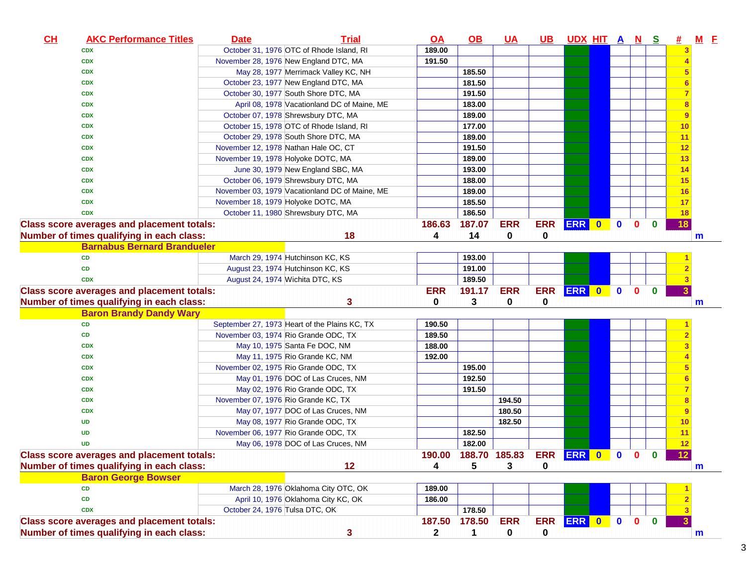| October 31, 1976 OTC of Rhode Island, RI<br>189.00<br><b>CDX</b><br>3<br>191.50<br>November 28, 1976 New England DTC, MA<br><b>CDX</b><br>185.50<br>May 28, 1977 Merrimack Valley KC, NH<br><b>CDX</b><br>October 23, 1977 New England DTC, MA<br>181.50<br><b>CDX</b><br>October 30, 1977 South Shore DTC, MA<br>191.50<br><b>CDX</b><br>April 08, 1978 Vacationland DC of Maine, ME<br>183.00<br>8<br><b>CDX</b><br>October 07, 1978 Shrewsbury DTC, MA<br>189.00<br><b>CDX</b><br>$\overline{9}$<br>October 15, 1978 OTC of Rhode Island, RI<br>177.00<br>10<br><b>CDX</b><br>October 29, 1978 South Shore DTC, MA<br>189.00<br><b>CDX</b><br>11<br>November 12, 1978 Nathan Hale OC, CT<br>191.50<br>12<br><b>CDX</b><br>13<br>189.00<br>November 19, 1978 Holyoke DOTC, MA<br><b>CDX</b><br>14<br>June 30, 1979 New England SBC, MA<br>193.00<br><b>CDX</b><br>October 06, 1979 Shrewsbury DTC, MA<br>188.00<br>15<br><b>CDX</b><br>November 03, 1979 Vacationland DC of Maine, ME<br>189.00<br>16<br><b>CDX</b><br>185.50<br><b>CDX</b><br>November 18, 1979 Holyoke DOTC, MA<br>17<br>186.50<br>October 11, 1980 Shrewsbury DTC, MA<br>18<br><b>CDX</b><br>ERR 0<br><b>ERR</b><br><b>ERR</b><br>$\bullet$<br><b>Class score averages and placement totals:</b><br>186.63<br>187.07<br>$\mathbf{0}$<br>$\bf{0}$<br>18<br>Number of times qualifying in each class:<br>18<br>4<br>14<br>0<br>0<br>m<br><b>Barnabus Bernard Brandueler</b><br>March 29, 1974 Hutchinson KC, KS<br>CD<br>193.00<br>August 23, 1974 Hutchinson KC, KS<br>191.00<br>CD<br>189.50<br>August 24, 1974 Wichita DTC, KS<br><b>CDX</b><br>ERR 0<br><b>ERR</b><br><b>ERR</b><br><b>Class score averages and placement totals:</b><br><b>ERR</b><br>191.17<br>$\mathbf 0$<br>$\mathbf{0}$<br>$\mathbf{0}$<br>0<br>3<br>Number of times qualifying in each class:<br>3<br>0<br>0<br>$\mathsf{m}$<br><b>Baron Brandy Dandy Wary</b><br>September 27, 1973 Heart of the Plains KC, TX<br>CD<br>190.50<br>189.50<br>November 03, 1974 Rio Grande ODC, TX<br>CD<br>188.00<br>May 10, 1975 Santa Fe DOC, NM<br><b>CDX</b><br>192.00<br><b>CDX</b><br>May 11, 1975 Rio Grande KC, NM<br>November 02, 1975 Rio Grande ODC, TX<br>195.00<br><b>CDX</b><br>192.50<br>May 01, 1976 DOC of Las Cruces, NM<br><b>CDX</b><br>May 02, 1976 Rio Grande ODC, TX<br>191.50<br><b>CDX</b><br>November 07, 1976 Rio Grande KC, TX<br>194.50<br><b>CDX</b><br>May 07, 1977 DOC of Las Cruces, NM<br>180.50<br><b>CDX</b><br>9<br>182.50<br>May 08, 1977 Rio Grande ODC, TX<br>10<br>UD<br>November 06, 1977 Rio Grande ODC, TX<br>182.50<br>11<br><b>UD</b><br>May 06, 1978 DOC of Las Cruces, NM<br>182.00<br>12<br><b>UD</b><br>ERR ERR 0 0 0<br>190.00 188.70 185.83<br>12 <sub>2</sub><br><b>Class score averages and placement totals:</b><br>$\Omega$<br>12<br>5<br>Number of times qualifying in each class:<br>4<br>3<br>0<br>m<br><b>Baron George Bowser</b><br>March 28, 1976 Oklahoma City OTC, OK<br>189.00<br><b>CD</b><br>April 10, 1976 Oklahoma City KC, OK<br>186.00<br>CD<br>178.50<br>October 24, 1976 Tulsa DTC, OK<br><b>CDX</b><br><b>ERR</b><br>ERR ERR 0<br>$\mathbf{0}$<br><b>Class score averages and placement totals:</b><br>178.50<br>$\mathbf{0}$<br>$\mathbf{0}$<br>187.50<br>Number of times qualifying in each class:<br>$\mathbf{2}$<br>1<br>m | CL | <b>AKC Performance Titles</b> | <b>Date</b> | <b>Trial</b> | <u>OA</u> | <u>OB</u> | <u>UA</u> | <u>UB</u> | <u>UDX HIT A N</u> |  | <u>s</u> | # | $M$ E |
|---------------------------------------------------------------------------------------------------------------------------------------------------------------------------------------------------------------------------------------------------------------------------------------------------------------------------------------------------------------------------------------------------------------------------------------------------------------------------------------------------------------------------------------------------------------------------------------------------------------------------------------------------------------------------------------------------------------------------------------------------------------------------------------------------------------------------------------------------------------------------------------------------------------------------------------------------------------------------------------------------------------------------------------------------------------------------------------------------------------------------------------------------------------------------------------------------------------------------------------------------------------------------------------------------------------------------------------------------------------------------------------------------------------------------------------------------------------------------------------------------------------------------------------------------------------------------------------------------------------------------------------------------------------------------------------------------------------------------------------------------------------------------------------------------------------------------------------------------------------------------------------------------------------------------------------------------------------------------------------------------------------------------------------------------------------------------------------------------------------------------------------------------------------------------------------------------------------------------------------------------------------------------------------------------------------------------------------------------------------------------------------------------------------------------------------------------------------------------------------------------------------------------------------------------------------------------------------------------------------------------------------------------------------------------------------------------------------------------------------------------------------------------------------------------------------------------------------------------------------------------------------------------------------------------------------------------------------------------------------------------------------------------------------------------------------------------------------------------------------------------------------------------------------------------------------------------------------------------------------------------------------------------------------------------------------------------------------|----|-------------------------------|-------------|--------------|-----------|-----------|-----------|-----------|--------------------|--|----------|---|-------|
|                                                                                                                                                                                                                                                                                                                                                                                                                                                                                                                                                                                                                                                                                                                                                                                                                                                                                                                                                                                                                                                                                                                                                                                                                                                                                                                                                                                                                                                                                                                                                                                                                                                                                                                                                                                                                                                                                                                                                                                                                                                                                                                                                                                                                                                                                                                                                                                                                                                                                                                                                                                                                                                                                                                                                                                                                                                                                                                                                                                                                                                                                                                                                                                                                                                                                                                                       |    |                               |             |              |           |           |           |           |                    |  |          |   |       |
|                                                                                                                                                                                                                                                                                                                                                                                                                                                                                                                                                                                                                                                                                                                                                                                                                                                                                                                                                                                                                                                                                                                                                                                                                                                                                                                                                                                                                                                                                                                                                                                                                                                                                                                                                                                                                                                                                                                                                                                                                                                                                                                                                                                                                                                                                                                                                                                                                                                                                                                                                                                                                                                                                                                                                                                                                                                                                                                                                                                                                                                                                                                                                                                                                                                                                                                                       |    |                               |             |              |           |           |           |           |                    |  |          |   |       |
|                                                                                                                                                                                                                                                                                                                                                                                                                                                                                                                                                                                                                                                                                                                                                                                                                                                                                                                                                                                                                                                                                                                                                                                                                                                                                                                                                                                                                                                                                                                                                                                                                                                                                                                                                                                                                                                                                                                                                                                                                                                                                                                                                                                                                                                                                                                                                                                                                                                                                                                                                                                                                                                                                                                                                                                                                                                                                                                                                                                                                                                                                                                                                                                                                                                                                                                                       |    |                               |             |              |           |           |           |           |                    |  |          |   |       |
|                                                                                                                                                                                                                                                                                                                                                                                                                                                                                                                                                                                                                                                                                                                                                                                                                                                                                                                                                                                                                                                                                                                                                                                                                                                                                                                                                                                                                                                                                                                                                                                                                                                                                                                                                                                                                                                                                                                                                                                                                                                                                                                                                                                                                                                                                                                                                                                                                                                                                                                                                                                                                                                                                                                                                                                                                                                                                                                                                                                                                                                                                                                                                                                                                                                                                                                                       |    |                               |             |              |           |           |           |           |                    |  |          |   |       |
|                                                                                                                                                                                                                                                                                                                                                                                                                                                                                                                                                                                                                                                                                                                                                                                                                                                                                                                                                                                                                                                                                                                                                                                                                                                                                                                                                                                                                                                                                                                                                                                                                                                                                                                                                                                                                                                                                                                                                                                                                                                                                                                                                                                                                                                                                                                                                                                                                                                                                                                                                                                                                                                                                                                                                                                                                                                                                                                                                                                                                                                                                                                                                                                                                                                                                                                                       |    |                               |             |              |           |           |           |           |                    |  |          |   |       |
|                                                                                                                                                                                                                                                                                                                                                                                                                                                                                                                                                                                                                                                                                                                                                                                                                                                                                                                                                                                                                                                                                                                                                                                                                                                                                                                                                                                                                                                                                                                                                                                                                                                                                                                                                                                                                                                                                                                                                                                                                                                                                                                                                                                                                                                                                                                                                                                                                                                                                                                                                                                                                                                                                                                                                                                                                                                                                                                                                                                                                                                                                                                                                                                                                                                                                                                                       |    |                               |             |              |           |           |           |           |                    |  |          |   |       |
|                                                                                                                                                                                                                                                                                                                                                                                                                                                                                                                                                                                                                                                                                                                                                                                                                                                                                                                                                                                                                                                                                                                                                                                                                                                                                                                                                                                                                                                                                                                                                                                                                                                                                                                                                                                                                                                                                                                                                                                                                                                                                                                                                                                                                                                                                                                                                                                                                                                                                                                                                                                                                                                                                                                                                                                                                                                                                                                                                                                                                                                                                                                                                                                                                                                                                                                                       |    |                               |             |              |           |           |           |           |                    |  |          |   |       |
|                                                                                                                                                                                                                                                                                                                                                                                                                                                                                                                                                                                                                                                                                                                                                                                                                                                                                                                                                                                                                                                                                                                                                                                                                                                                                                                                                                                                                                                                                                                                                                                                                                                                                                                                                                                                                                                                                                                                                                                                                                                                                                                                                                                                                                                                                                                                                                                                                                                                                                                                                                                                                                                                                                                                                                                                                                                                                                                                                                                                                                                                                                                                                                                                                                                                                                                                       |    |                               |             |              |           |           |           |           |                    |  |          |   |       |
|                                                                                                                                                                                                                                                                                                                                                                                                                                                                                                                                                                                                                                                                                                                                                                                                                                                                                                                                                                                                                                                                                                                                                                                                                                                                                                                                                                                                                                                                                                                                                                                                                                                                                                                                                                                                                                                                                                                                                                                                                                                                                                                                                                                                                                                                                                                                                                                                                                                                                                                                                                                                                                                                                                                                                                                                                                                                                                                                                                                                                                                                                                                                                                                                                                                                                                                                       |    |                               |             |              |           |           |           |           |                    |  |          |   |       |
|                                                                                                                                                                                                                                                                                                                                                                                                                                                                                                                                                                                                                                                                                                                                                                                                                                                                                                                                                                                                                                                                                                                                                                                                                                                                                                                                                                                                                                                                                                                                                                                                                                                                                                                                                                                                                                                                                                                                                                                                                                                                                                                                                                                                                                                                                                                                                                                                                                                                                                                                                                                                                                                                                                                                                                                                                                                                                                                                                                                                                                                                                                                                                                                                                                                                                                                                       |    |                               |             |              |           |           |           |           |                    |  |          |   |       |
|                                                                                                                                                                                                                                                                                                                                                                                                                                                                                                                                                                                                                                                                                                                                                                                                                                                                                                                                                                                                                                                                                                                                                                                                                                                                                                                                                                                                                                                                                                                                                                                                                                                                                                                                                                                                                                                                                                                                                                                                                                                                                                                                                                                                                                                                                                                                                                                                                                                                                                                                                                                                                                                                                                                                                                                                                                                                                                                                                                                                                                                                                                                                                                                                                                                                                                                                       |    |                               |             |              |           |           |           |           |                    |  |          |   |       |
|                                                                                                                                                                                                                                                                                                                                                                                                                                                                                                                                                                                                                                                                                                                                                                                                                                                                                                                                                                                                                                                                                                                                                                                                                                                                                                                                                                                                                                                                                                                                                                                                                                                                                                                                                                                                                                                                                                                                                                                                                                                                                                                                                                                                                                                                                                                                                                                                                                                                                                                                                                                                                                                                                                                                                                                                                                                                                                                                                                                                                                                                                                                                                                                                                                                                                                                                       |    |                               |             |              |           |           |           |           |                    |  |          |   |       |
|                                                                                                                                                                                                                                                                                                                                                                                                                                                                                                                                                                                                                                                                                                                                                                                                                                                                                                                                                                                                                                                                                                                                                                                                                                                                                                                                                                                                                                                                                                                                                                                                                                                                                                                                                                                                                                                                                                                                                                                                                                                                                                                                                                                                                                                                                                                                                                                                                                                                                                                                                                                                                                                                                                                                                                                                                                                                                                                                                                                                                                                                                                                                                                                                                                                                                                                                       |    |                               |             |              |           |           |           |           |                    |  |          |   |       |
|                                                                                                                                                                                                                                                                                                                                                                                                                                                                                                                                                                                                                                                                                                                                                                                                                                                                                                                                                                                                                                                                                                                                                                                                                                                                                                                                                                                                                                                                                                                                                                                                                                                                                                                                                                                                                                                                                                                                                                                                                                                                                                                                                                                                                                                                                                                                                                                                                                                                                                                                                                                                                                                                                                                                                                                                                                                                                                                                                                                                                                                                                                                                                                                                                                                                                                                                       |    |                               |             |              |           |           |           |           |                    |  |          |   |       |
|                                                                                                                                                                                                                                                                                                                                                                                                                                                                                                                                                                                                                                                                                                                                                                                                                                                                                                                                                                                                                                                                                                                                                                                                                                                                                                                                                                                                                                                                                                                                                                                                                                                                                                                                                                                                                                                                                                                                                                                                                                                                                                                                                                                                                                                                                                                                                                                                                                                                                                                                                                                                                                                                                                                                                                                                                                                                                                                                                                                                                                                                                                                                                                                                                                                                                                                                       |    |                               |             |              |           |           |           |           |                    |  |          |   |       |
|                                                                                                                                                                                                                                                                                                                                                                                                                                                                                                                                                                                                                                                                                                                                                                                                                                                                                                                                                                                                                                                                                                                                                                                                                                                                                                                                                                                                                                                                                                                                                                                                                                                                                                                                                                                                                                                                                                                                                                                                                                                                                                                                                                                                                                                                                                                                                                                                                                                                                                                                                                                                                                                                                                                                                                                                                                                                                                                                                                                                                                                                                                                                                                                                                                                                                                                                       |    |                               |             |              |           |           |           |           |                    |  |          |   |       |
|                                                                                                                                                                                                                                                                                                                                                                                                                                                                                                                                                                                                                                                                                                                                                                                                                                                                                                                                                                                                                                                                                                                                                                                                                                                                                                                                                                                                                                                                                                                                                                                                                                                                                                                                                                                                                                                                                                                                                                                                                                                                                                                                                                                                                                                                                                                                                                                                                                                                                                                                                                                                                                                                                                                                                                                                                                                                                                                                                                                                                                                                                                                                                                                                                                                                                                                                       |    |                               |             |              |           |           |           |           |                    |  |          |   |       |
|                                                                                                                                                                                                                                                                                                                                                                                                                                                                                                                                                                                                                                                                                                                                                                                                                                                                                                                                                                                                                                                                                                                                                                                                                                                                                                                                                                                                                                                                                                                                                                                                                                                                                                                                                                                                                                                                                                                                                                                                                                                                                                                                                                                                                                                                                                                                                                                                                                                                                                                                                                                                                                                                                                                                                                                                                                                                                                                                                                                                                                                                                                                                                                                                                                                                                                                                       |    |                               |             |              |           |           |           |           |                    |  |          |   |       |
|                                                                                                                                                                                                                                                                                                                                                                                                                                                                                                                                                                                                                                                                                                                                                                                                                                                                                                                                                                                                                                                                                                                                                                                                                                                                                                                                                                                                                                                                                                                                                                                                                                                                                                                                                                                                                                                                                                                                                                                                                                                                                                                                                                                                                                                                                                                                                                                                                                                                                                                                                                                                                                                                                                                                                                                                                                                                                                                                                                                                                                                                                                                                                                                                                                                                                                                                       |    |                               |             |              |           |           |           |           |                    |  |          |   |       |
|                                                                                                                                                                                                                                                                                                                                                                                                                                                                                                                                                                                                                                                                                                                                                                                                                                                                                                                                                                                                                                                                                                                                                                                                                                                                                                                                                                                                                                                                                                                                                                                                                                                                                                                                                                                                                                                                                                                                                                                                                                                                                                                                                                                                                                                                                                                                                                                                                                                                                                                                                                                                                                                                                                                                                                                                                                                                                                                                                                                                                                                                                                                                                                                                                                                                                                                                       |    |                               |             |              |           |           |           |           |                    |  |          |   |       |
|                                                                                                                                                                                                                                                                                                                                                                                                                                                                                                                                                                                                                                                                                                                                                                                                                                                                                                                                                                                                                                                                                                                                                                                                                                                                                                                                                                                                                                                                                                                                                                                                                                                                                                                                                                                                                                                                                                                                                                                                                                                                                                                                                                                                                                                                                                                                                                                                                                                                                                                                                                                                                                                                                                                                                                                                                                                                                                                                                                                                                                                                                                                                                                                                                                                                                                                                       |    |                               |             |              |           |           |           |           |                    |  |          |   |       |
|                                                                                                                                                                                                                                                                                                                                                                                                                                                                                                                                                                                                                                                                                                                                                                                                                                                                                                                                                                                                                                                                                                                                                                                                                                                                                                                                                                                                                                                                                                                                                                                                                                                                                                                                                                                                                                                                                                                                                                                                                                                                                                                                                                                                                                                                                                                                                                                                                                                                                                                                                                                                                                                                                                                                                                                                                                                                                                                                                                                                                                                                                                                                                                                                                                                                                                                                       |    |                               |             |              |           |           |           |           |                    |  |          |   |       |
|                                                                                                                                                                                                                                                                                                                                                                                                                                                                                                                                                                                                                                                                                                                                                                                                                                                                                                                                                                                                                                                                                                                                                                                                                                                                                                                                                                                                                                                                                                                                                                                                                                                                                                                                                                                                                                                                                                                                                                                                                                                                                                                                                                                                                                                                                                                                                                                                                                                                                                                                                                                                                                                                                                                                                                                                                                                                                                                                                                                                                                                                                                                                                                                                                                                                                                                                       |    |                               |             |              |           |           |           |           |                    |  |          |   |       |
|                                                                                                                                                                                                                                                                                                                                                                                                                                                                                                                                                                                                                                                                                                                                                                                                                                                                                                                                                                                                                                                                                                                                                                                                                                                                                                                                                                                                                                                                                                                                                                                                                                                                                                                                                                                                                                                                                                                                                                                                                                                                                                                                                                                                                                                                                                                                                                                                                                                                                                                                                                                                                                                                                                                                                                                                                                                                                                                                                                                                                                                                                                                                                                                                                                                                                                                                       |    |                               |             |              |           |           |           |           |                    |  |          |   |       |
|                                                                                                                                                                                                                                                                                                                                                                                                                                                                                                                                                                                                                                                                                                                                                                                                                                                                                                                                                                                                                                                                                                                                                                                                                                                                                                                                                                                                                                                                                                                                                                                                                                                                                                                                                                                                                                                                                                                                                                                                                                                                                                                                                                                                                                                                                                                                                                                                                                                                                                                                                                                                                                                                                                                                                                                                                                                                                                                                                                                                                                                                                                                                                                                                                                                                                                                                       |    |                               |             |              |           |           |           |           |                    |  |          |   |       |
|                                                                                                                                                                                                                                                                                                                                                                                                                                                                                                                                                                                                                                                                                                                                                                                                                                                                                                                                                                                                                                                                                                                                                                                                                                                                                                                                                                                                                                                                                                                                                                                                                                                                                                                                                                                                                                                                                                                                                                                                                                                                                                                                                                                                                                                                                                                                                                                                                                                                                                                                                                                                                                                                                                                                                                                                                                                                                                                                                                                                                                                                                                                                                                                                                                                                                                                                       |    |                               |             |              |           |           |           |           |                    |  |          |   |       |
|                                                                                                                                                                                                                                                                                                                                                                                                                                                                                                                                                                                                                                                                                                                                                                                                                                                                                                                                                                                                                                                                                                                                                                                                                                                                                                                                                                                                                                                                                                                                                                                                                                                                                                                                                                                                                                                                                                                                                                                                                                                                                                                                                                                                                                                                                                                                                                                                                                                                                                                                                                                                                                                                                                                                                                                                                                                                                                                                                                                                                                                                                                                                                                                                                                                                                                                                       |    |                               |             |              |           |           |           |           |                    |  |          |   |       |
|                                                                                                                                                                                                                                                                                                                                                                                                                                                                                                                                                                                                                                                                                                                                                                                                                                                                                                                                                                                                                                                                                                                                                                                                                                                                                                                                                                                                                                                                                                                                                                                                                                                                                                                                                                                                                                                                                                                                                                                                                                                                                                                                                                                                                                                                                                                                                                                                                                                                                                                                                                                                                                                                                                                                                                                                                                                                                                                                                                                                                                                                                                                                                                                                                                                                                                                                       |    |                               |             |              |           |           |           |           |                    |  |          |   |       |
|                                                                                                                                                                                                                                                                                                                                                                                                                                                                                                                                                                                                                                                                                                                                                                                                                                                                                                                                                                                                                                                                                                                                                                                                                                                                                                                                                                                                                                                                                                                                                                                                                                                                                                                                                                                                                                                                                                                                                                                                                                                                                                                                                                                                                                                                                                                                                                                                                                                                                                                                                                                                                                                                                                                                                                                                                                                                                                                                                                                                                                                                                                                                                                                                                                                                                                                                       |    |                               |             |              |           |           |           |           |                    |  |          |   |       |
|                                                                                                                                                                                                                                                                                                                                                                                                                                                                                                                                                                                                                                                                                                                                                                                                                                                                                                                                                                                                                                                                                                                                                                                                                                                                                                                                                                                                                                                                                                                                                                                                                                                                                                                                                                                                                                                                                                                                                                                                                                                                                                                                                                                                                                                                                                                                                                                                                                                                                                                                                                                                                                                                                                                                                                                                                                                                                                                                                                                                                                                                                                                                                                                                                                                                                                                                       |    |                               |             |              |           |           |           |           |                    |  |          |   |       |
|                                                                                                                                                                                                                                                                                                                                                                                                                                                                                                                                                                                                                                                                                                                                                                                                                                                                                                                                                                                                                                                                                                                                                                                                                                                                                                                                                                                                                                                                                                                                                                                                                                                                                                                                                                                                                                                                                                                                                                                                                                                                                                                                                                                                                                                                                                                                                                                                                                                                                                                                                                                                                                                                                                                                                                                                                                                                                                                                                                                                                                                                                                                                                                                                                                                                                                                                       |    |                               |             |              |           |           |           |           |                    |  |          |   |       |
|                                                                                                                                                                                                                                                                                                                                                                                                                                                                                                                                                                                                                                                                                                                                                                                                                                                                                                                                                                                                                                                                                                                                                                                                                                                                                                                                                                                                                                                                                                                                                                                                                                                                                                                                                                                                                                                                                                                                                                                                                                                                                                                                                                                                                                                                                                                                                                                                                                                                                                                                                                                                                                                                                                                                                                                                                                                                                                                                                                                                                                                                                                                                                                                                                                                                                                                                       |    |                               |             |              |           |           |           |           |                    |  |          |   |       |
|                                                                                                                                                                                                                                                                                                                                                                                                                                                                                                                                                                                                                                                                                                                                                                                                                                                                                                                                                                                                                                                                                                                                                                                                                                                                                                                                                                                                                                                                                                                                                                                                                                                                                                                                                                                                                                                                                                                                                                                                                                                                                                                                                                                                                                                                                                                                                                                                                                                                                                                                                                                                                                                                                                                                                                                                                                                                                                                                                                                                                                                                                                                                                                                                                                                                                                                                       |    |                               |             |              |           |           |           |           |                    |  |          |   |       |
|                                                                                                                                                                                                                                                                                                                                                                                                                                                                                                                                                                                                                                                                                                                                                                                                                                                                                                                                                                                                                                                                                                                                                                                                                                                                                                                                                                                                                                                                                                                                                                                                                                                                                                                                                                                                                                                                                                                                                                                                                                                                                                                                                                                                                                                                                                                                                                                                                                                                                                                                                                                                                                                                                                                                                                                                                                                                                                                                                                                                                                                                                                                                                                                                                                                                                                                                       |    |                               |             |              |           |           |           |           |                    |  |          |   |       |
|                                                                                                                                                                                                                                                                                                                                                                                                                                                                                                                                                                                                                                                                                                                                                                                                                                                                                                                                                                                                                                                                                                                                                                                                                                                                                                                                                                                                                                                                                                                                                                                                                                                                                                                                                                                                                                                                                                                                                                                                                                                                                                                                                                                                                                                                                                                                                                                                                                                                                                                                                                                                                                                                                                                                                                                                                                                                                                                                                                                                                                                                                                                                                                                                                                                                                                                                       |    |                               |             |              |           |           |           |           |                    |  |          |   |       |
|                                                                                                                                                                                                                                                                                                                                                                                                                                                                                                                                                                                                                                                                                                                                                                                                                                                                                                                                                                                                                                                                                                                                                                                                                                                                                                                                                                                                                                                                                                                                                                                                                                                                                                                                                                                                                                                                                                                                                                                                                                                                                                                                                                                                                                                                                                                                                                                                                                                                                                                                                                                                                                                                                                                                                                                                                                                                                                                                                                                                                                                                                                                                                                                                                                                                                                                                       |    |                               |             |              |           |           |           |           |                    |  |          |   |       |
|                                                                                                                                                                                                                                                                                                                                                                                                                                                                                                                                                                                                                                                                                                                                                                                                                                                                                                                                                                                                                                                                                                                                                                                                                                                                                                                                                                                                                                                                                                                                                                                                                                                                                                                                                                                                                                                                                                                                                                                                                                                                                                                                                                                                                                                                                                                                                                                                                                                                                                                                                                                                                                                                                                                                                                                                                                                                                                                                                                                                                                                                                                                                                                                                                                                                                                                                       |    |                               |             |              |           |           |           |           |                    |  |          |   |       |
|                                                                                                                                                                                                                                                                                                                                                                                                                                                                                                                                                                                                                                                                                                                                                                                                                                                                                                                                                                                                                                                                                                                                                                                                                                                                                                                                                                                                                                                                                                                                                                                                                                                                                                                                                                                                                                                                                                                                                                                                                                                                                                                                                                                                                                                                                                                                                                                                                                                                                                                                                                                                                                                                                                                                                                                                                                                                                                                                                                                                                                                                                                                                                                                                                                                                                                                                       |    |                               |             |              |           |           |           |           |                    |  |          |   |       |
|                                                                                                                                                                                                                                                                                                                                                                                                                                                                                                                                                                                                                                                                                                                                                                                                                                                                                                                                                                                                                                                                                                                                                                                                                                                                                                                                                                                                                                                                                                                                                                                                                                                                                                                                                                                                                                                                                                                                                                                                                                                                                                                                                                                                                                                                                                                                                                                                                                                                                                                                                                                                                                                                                                                                                                                                                                                                                                                                                                                                                                                                                                                                                                                                                                                                                                                                       |    |                               |             |              |           |           |           |           |                    |  |          |   |       |
|                                                                                                                                                                                                                                                                                                                                                                                                                                                                                                                                                                                                                                                                                                                                                                                                                                                                                                                                                                                                                                                                                                                                                                                                                                                                                                                                                                                                                                                                                                                                                                                                                                                                                                                                                                                                                                                                                                                                                                                                                                                                                                                                                                                                                                                                                                                                                                                                                                                                                                                                                                                                                                                                                                                                                                                                                                                                                                                                                                                                                                                                                                                                                                                                                                                                                                                                       |    |                               |             |              |           |           |           |           |                    |  |          |   |       |
|                                                                                                                                                                                                                                                                                                                                                                                                                                                                                                                                                                                                                                                                                                                                                                                                                                                                                                                                                                                                                                                                                                                                                                                                                                                                                                                                                                                                                                                                                                                                                                                                                                                                                                                                                                                                                                                                                                                                                                                                                                                                                                                                                                                                                                                                                                                                                                                                                                                                                                                                                                                                                                                                                                                                                                                                                                                                                                                                                                                                                                                                                                                                                                                                                                                                                                                                       |    |                               |             |              |           |           |           |           |                    |  |          |   |       |
|                                                                                                                                                                                                                                                                                                                                                                                                                                                                                                                                                                                                                                                                                                                                                                                                                                                                                                                                                                                                                                                                                                                                                                                                                                                                                                                                                                                                                                                                                                                                                                                                                                                                                                                                                                                                                                                                                                                                                                                                                                                                                                                                                                                                                                                                                                                                                                                                                                                                                                                                                                                                                                                                                                                                                                                                                                                                                                                                                                                                                                                                                                                                                                                                                                                                                                                                       |    |                               |             |              |           |           |           |           |                    |  |          |   |       |
|                                                                                                                                                                                                                                                                                                                                                                                                                                                                                                                                                                                                                                                                                                                                                                                                                                                                                                                                                                                                                                                                                                                                                                                                                                                                                                                                                                                                                                                                                                                                                                                                                                                                                                                                                                                                                                                                                                                                                                                                                                                                                                                                                                                                                                                                                                                                                                                                                                                                                                                                                                                                                                                                                                                                                                                                                                                                                                                                                                                                                                                                                                                                                                                                                                                                                                                                       |    |                               |             |              |           |           |           |           |                    |  |          |   |       |
|                                                                                                                                                                                                                                                                                                                                                                                                                                                                                                                                                                                                                                                                                                                                                                                                                                                                                                                                                                                                                                                                                                                                                                                                                                                                                                                                                                                                                                                                                                                                                                                                                                                                                                                                                                                                                                                                                                                                                                                                                                                                                                                                                                                                                                                                                                                                                                                                                                                                                                                                                                                                                                                                                                                                                                                                                                                                                                                                                                                                                                                                                                                                                                                                                                                                                                                                       |    |                               |             |              |           |           |           |           |                    |  |          |   |       |
|                                                                                                                                                                                                                                                                                                                                                                                                                                                                                                                                                                                                                                                                                                                                                                                                                                                                                                                                                                                                                                                                                                                                                                                                                                                                                                                                                                                                                                                                                                                                                                                                                                                                                                                                                                                                                                                                                                                                                                                                                                                                                                                                                                                                                                                                                                                                                                                                                                                                                                                                                                                                                                                                                                                                                                                                                                                                                                                                                                                                                                                                                                                                                                                                                                                                                                                                       |    |                               |             | 3            |           |           | 0         | 0         |                    |  |          |   |       |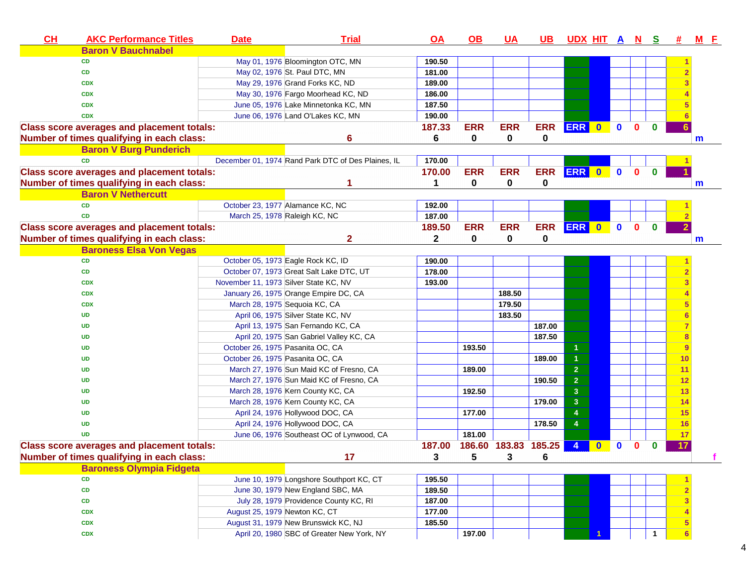| CH | <b>AKC Performance Titles</b>                     | <b>Date</b> | <b>Trial</b>                                       | <u>OA</u>    | <u>OB</u>  | <u>UA</u>            | <u>UB</u>  | <u>UDX HITANS</u> |          |              |              |              | <b>#</b> | <u>MF</u> |
|----|---------------------------------------------------|-------------|----------------------------------------------------|--------------|------------|----------------------|------------|-------------------|----------|--------------|--------------|--------------|----------|-----------|
|    | <b>Baron V Bauchnabel</b>                         |             |                                                    |              |            |                      |            |                   |          |              |              |              |          |           |
|    | <b>CD</b>                                         |             | May 01, 1976 Bloomington OTC, MN                   | 190.50       |            |                      |            |                   |          |              |              |              |          |           |
|    | <b>CD</b>                                         |             | May 02, 1976 St. Paul DTC, MN                      | 181.00       |            |                      |            |                   |          |              |              |              |          |           |
|    | <b>CDX</b>                                        |             | May 29, 1976 Grand Forks KC, ND                    | 189.00       |            |                      |            |                   |          |              |              |              |          |           |
|    | <b>CDX</b>                                        |             | May 30, 1976 Fargo Moorhead KC, ND                 | 186.00       |            |                      |            |                   |          |              |              |              |          |           |
|    | <b>CDX</b>                                        |             | June 05, 1976 Lake Minnetonka KC, MN               | 187.50       |            |                      |            |                   |          |              |              |              |          |           |
|    | <b>CDX</b>                                        |             | June 06, 1976 Land O'Lakes KC, MN                  | 190.00       |            |                      |            |                   |          |              |              |              |          |           |
|    | <b>Class score averages and placement totals:</b> |             |                                                    | 187.33       | <b>ERR</b> | <b>ERR</b>           | <b>ERR</b> | ERR 0             |          | $\mathbf 0$  | $\mathbf{0}$ | $\bf{0}$     |          |           |
|    | Number of times qualifying in each class:         |             | 6                                                  | 6            | 0          | 0                    | 0          |                   |          |              |              |              |          | m         |
|    | <b>Baron V Burg Punderich</b>                     |             |                                                    |              |            |                      |            |                   |          |              |              |              |          |           |
|    | <b>CD</b>                                         |             | December 01, 1974 Rand Park DTC of Des Plaines, IL | 170.00       |            |                      |            |                   |          |              |              |              |          |           |
|    | <b>Class score averages and placement totals:</b> |             |                                                    | 170.00       | <b>ERR</b> | <b>ERR</b>           | <b>ERR</b> | ERR 0             |          | $\bullet$    | $\mathbf{0}$ | $\mathbf{0}$ |          |           |
|    | Number of times qualifying in each class:         |             |                                                    | 1            | 0          | $\mathbf 0$          | 0          |                   |          |              |              |              |          | m         |
|    | <b>Baron V Nethercutt</b>                         |             |                                                    |              |            |                      |            |                   |          |              |              |              |          |           |
|    | <b>CD</b>                                         |             | October 23, 1977 Alamance KC, NC                   | 192.00       |            |                      |            |                   |          |              |              |              |          |           |
|    | <b>CD</b>                                         |             | March 25, 1978 Raleigh KC, NC                      | 187.00       |            |                      |            |                   |          |              |              |              |          |           |
|    | <b>Class score averages and placement totals:</b> |             |                                                    | 189.50       | <b>ERR</b> | <b>ERR</b>           | <b>ERR</b> | ERR 0             |          | $\mathbf{0}$ | $\mathbf{0}$ | $\mathbf{0}$ |          |           |
|    | Number of times qualifying in each class:         |             | $\mathbf{2}$                                       | $\mathbf{2}$ | $\bf{0}$   | $\mathbf 0$          | 0          |                   |          |              |              |              |          | m         |
|    | <b>Baroness Elsa Von Vegas</b>                    |             |                                                    |              |            |                      |            |                   |          |              |              |              |          |           |
|    | CD                                                |             | October 05, 1973 Eagle Rock KC, ID                 | 190.00       |            |                      |            |                   |          |              |              |              |          |           |
|    | <b>CD</b>                                         |             | October 07, 1973 Great Salt Lake DTC, UT           | 178.00       |            |                      |            |                   |          |              |              |              |          |           |
|    | <b>CDX</b>                                        |             | November 11, 1973 Silver State KC, NV              | 193.00       |            |                      |            |                   |          |              |              |              |          |           |
|    | <b>CDX</b>                                        |             | January 26, 1975 Orange Empire DC, CA              |              |            | 188.50               |            |                   |          |              |              |              |          |           |
|    | <b>CDX</b>                                        |             | March 28, 1975 Sequoia KC, CA                      |              |            | 179.50               |            |                   |          |              |              |              | 5        |           |
|    | UD                                                |             | April 06, 1975 Silver State KC, NV                 |              |            | 183.50               |            |                   |          |              |              |              | 6        |           |
|    | UD                                                |             | April 13, 1975 San Fernando KC, CA                 |              |            |                      | 187.00     |                   |          |              |              |              | 7        |           |
|    | UD                                                |             | April 20, 1975 San Gabriel Valley KC, CA           |              |            |                      | 187.50     |                   |          |              |              |              | 8        |           |
|    | <b>UD</b>                                         |             | October 26, 1975 Pasanita OC, CA                   |              | 193.50     |                      |            |                   |          |              |              |              | 9        |           |
|    | <b>UD</b>                                         |             | October 26, 1975 Pasanita OC, CA                   |              |            |                      | 189.00     | $\overline{1}$    |          |              |              |              | 10       |           |
|    | <b>UD</b>                                         |             | March 27, 1976 Sun Maid KC of Fresno, CA           |              | 189.00     |                      |            | $\overline{2}$    |          |              |              |              | 11       |           |
|    | <b>UD</b>                                         |             | March 27, 1976 Sun Maid KC of Fresno, CA           |              |            |                      | 190.50     | $\mathbf 2$       |          |              |              |              | 12       |           |
|    | <b>UD</b>                                         |             | March 28, 1976 Kern County KC, CA                  |              | 192.50     |                      |            | $\mathbf{3}$      |          |              |              |              | 13       |           |
|    | <b>UD</b>                                         |             | March 28, 1976 Kern County KC, CA                  |              |            |                      | 179.00     | $\mathbf{3}$      |          |              |              |              | 14       |           |
|    | <b>UD</b>                                         |             | April 24, 1976 Hollywood DOC, CA                   |              | 177.00     |                      |            | $\overline{4}$    |          |              |              |              | 15       |           |
|    | <b>UD</b>                                         |             | April 24, 1976 Hollywood DOC, CA                   |              |            |                      | 178.50     | $\overline{4}$    |          |              |              |              | 16       |           |
|    | <b>UD</b>                                         |             | June 06, 1976 Southeast OC of Lynwood, CA          |              | 181.00     |                      |            |                   |          |              |              |              | 17       |           |
|    | <b>Class score averages and placement totals:</b> |             |                                                    | 187.00       |            | 186.60 183.83 185.25 |            | $\overline{4}$    | $\bf{0}$ | $\mathbf{0}$ | $\mathbf{0}$ | 0            | 17       |           |
|    | Number of times qualifying in each class:         |             | 17                                                 | 3            | 5          | 3                    | 6          |                   |          |              |              |              |          |           |
|    | <b>Baroness Olympia Fidgeta</b>                   |             |                                                    |              |            |                      |            |                   |          |              |              |              |          |           |
|    | <b>CD</b>                                         |             | June 10, 1979 Longshore Southport KC, CT           | 195.50       |            |                      |            |                   |          |              |              |              |          |           |
|    | CD                                                |             | June 30, 1979 New England SBC, MA                  | 189.50       |            |                      |            |                   |          |              |              |              |          |           |
|    | CD                                                |             | July 28, 1979 Providence County KC, RI             | 187.00       |            |                      |            |                   |          |              |              |              | 3        |           |
|    | <b>CDX</b>                                        |             | August 25, 1979 Newton KC, CT                      | 177.00       |            |                      |            |                   |          |              |              |              |          |           |
|    | <b>CDX</b>                                        |             | August 31, 1979 New Brunswick KC, NJ               | 185.50       |            |                      |            |                   |          |              |              |              | 5        |           |
|    | <b>CDX</b>                                        |             | April 20, 1980 SBC of Greater New York, NY         |              | 197.00     |                      |            |                   |          |              |              |              | 6        |           |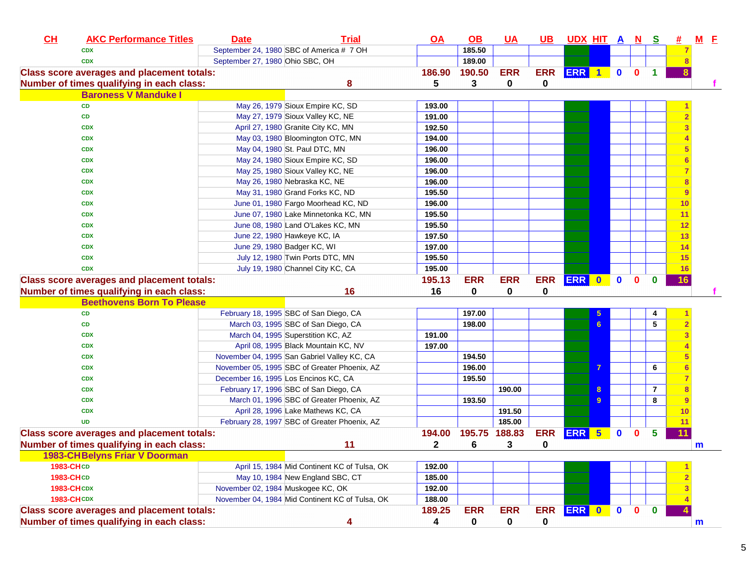| CL               | <b>AKC Performance Titles</b>                     | <b>Date</b>                       | <b>Trial</b>                                    | <u>OA</u>    | $\underline{\mathsf{OB}}$ | <u>UA</u>  | <u>UB</u>  | <u>UDX HIT A N S</u> |                |              |              |                |    | $M$ $E$      |  |
|------------------|---------------------------------------------------|-----------------------------------|-------------------------------------------------|--------------|---------------------------|------------|------------|----------------------|----------------|--------------|--------------|----------------|----|--------------|--|
|                  | <b>CDX</b>                                        |                                   | September 24, 1980 SBC of America # 7 OH        |              | 185.50                    |            |            |                      |                |              |              |                |    |              |  |
|                  | <b>CDX</b>                                        | September 27, 1980 Ohio SBC, OH   |                                                 |              | 189.00                    |            |            |                      |                |              |              |                |    |              |  |
|                  | <b>Class score averages and placement totals:</b> |                                   |                                                 | 186.90       | 190.50                    | <b>ERR</b> | <b>ERR</b> | <b>ERR</b> 1         |                | $\mathbf 0$  | $\mathbf 0$  |                |    |              |  |
|                  | Number of times qualifying in each class:         |                                   | 8                                               | 5            | 3                         | 0          | 0          |                      |                |              |              |                |    |              |  |
|                  | <b>Baroness V Manduke I</b>                       |                                   |                                                 |              |                           |            |            |                      |                |              |              |                |    |              |  |
|                  | <b>CD</b>                                         |                                   | May 26, 1979 Sioux Empire KC, SD                | 193.00       |                           |            |            |                      |                |              |              |                |    |              |  |
|                  | CD                                                |                                   | May 27, 1979 Sioux Valley KC, NE                | 191.00       |                           |            |            |                      |                |              |              |                |    |              |  |
|                  | <b>CDX</b>                                        |                                   | April 27, 1980 Granite City KC, MN              | 192.50       |                           |            |            |                      |                |              |              |                |    |              |  |
|                  | <b>CDX</b>                                        |                                   | May 03, 1980 Bloomington OTC, MN                | 194.00       |                           |            |            |                      |                |              |              |                |    |              |  |
|                  | <b>CDX</b>                                        |                                   | May 04, 1980 St. Paul DTC, MN                   | 196.00       |                           |            |            |                      |                |              |              |                |    |              |  |
|                  | <b>CDX</b>                                        |                                   | May 24, 1980 Sioux Empire KC, SD                | 196.00       |                           |            |            |                      |                |              |              |                |    |              |  |
|                  | <b>CDX</b>                                        |                                   | May 25, 1980 Sioux Valley KC, NE                | 196.00       |                           |            |            |                      |                |              |              |                |    |              |  |
|                  | <b>CDX</b>                                        |                                   | May 26, 1980 Nebraska KC, NE                    | 196.00       |                           |            |            |                      |                |              |              |                |    |              |  |
|                  | <b>CDX</b>                                        |                                   | May 31, 1980 Grand Forks KC, ND                 | 195.50       |                           |            |            |                      |                |              |              |                |    |              |  |
|                  | <b>CDX</b>                                        |                                   | June 01, 1980 Fargo Moorhead KC, ND             | 196.00       |                           |            |            |                      |                |              |              |                | 10 |              |  |
|                  | <b>CDX</b>                                        |                                   | June 07, 1980 Lake Minnetonka KC, MN            | 195.50       |                           |            |            |                      |                |              |              |                | 11 |              |  |
|                  | <b>CDX</b>                                        |                                   | June 08, 1980 Land O'Lakes KC, MN               | 195.50       |                           |            |            |                      |                |              |              |                | 12 |              |  |
|                  | <b>CDX</b>                                        |                                   | June 22, 1980 Hawkeye KC, IA                    | 197.50       |                           |            |            |                      |                |              |              |                | 13 |              |  |
|                  | <b>CDX</b>                                        |                                   | June 29, 1980 Badger KC, WI                     | 197.00       |                           |            |            |                      |                |              |              |                | 14 |              |  |
|                  | <b>CDX</b>                                        |                                   | July 12, 1980 Twin Ports DTC, MN                | 195.50       |                           |            |            |                      |                |              |              |                | 15 |              |  |
|                  | <b>CDX</b>                                        |                                   | July 19, 1980 Channel City KC, CA               | 195.00       |                           |            |            |                      |                |              |              |                | 16 |              |  |
|                  | <b>Class score averages and placement totals:</b> |                                   |                                                 | 195.13       | <b>ERR</b>                | <b>ERR</b> |            | ERR ERR 0            |                | $\mathbf{0}$ | $\mathbf{0}$ | $\mathbf{0}$   | 16 |              |  |
|                  | Number of times qualifying in each class:         |                                   | 16                                              | 16           | 0                         | 0          | 0          |                      |                |              |              |                |    |              |  |
|                  | <b>Beethovens Born To Please</b>                  |                                   |                                                 |              |                           |            |            |                      |                |              |              |                |    |              |  |
|                  | CD                                                |                                   | February 18, 1995 SBC of San Diego, CA          |              | 197.00                    |            |            |                      | 5 <sup>5</sup> |              |              | 4              |    |              |  |
|                  | CD                                                |                                   | March 03, 1995 SBC of San Diego, CA             |              | 198.00                    |            |            |                      | 6              |              |              | 5              |    |              |  |
|                  | <b>CDX</b>                                        |                                   | March 04, 1995 Superstition KC, AZ              | 191.00       |                           |            |            |                      |                |              |              |                |    |              |  |
|                  | <b>CDX</b>                                        |                                   | April 08, 1995 Black Mountain KC, NV            | 197.00       |                           |            |            |                      |                |              |              |                |    |              |  |
|                  | <b>CDX</b>                                        |                                   | November 04, 1995 San Gabriel Valley KC, CA     |              | 194.50                    |            |            |                      |                |              |              |                |    |              |  |
|                  | <b>CDX</b>                                        |                                   | November 05, 1995 SBC of Greater Phoenix, AZ    |              | 196.00                    |            |            |                      | $\overline{7}$ |              |              | 6              |    |              |  |
|                  | <b>CDX</b>                                        |                                   | December 16, 1995 Los Encinos KC, CA            |              | 195.50                    |            |            |                      |                |              |              |                |    |              |  |
|                  | <b>CDX</b>                                        |                                   | February 17, 1996 SBC of San Diego, CA          |              |                           | 190.00     |            |                      | 8              |              |              | $\overline{7}$ |    |              |  |
|                  | <b>CDX</b>                                        |                                   | March 01, 1996 SBC of Greater Phoenix, AZ       |              | 193.50                    |            |            |                      | 9              |              |              | 8              |    |              |  |
|                  | <b>CDX</b>                                        |                                   | April 28, 1996 Lake Mathews KC, CA              |              |                           | 191.50     |            |                      |                |              |              |                | 10 |              |  |
|                  | <b>UD</b>                                         |                                   | February 28, 1997 SBC of Greater Phoenix, AZ    |              |                           | 185.00     |            |                      |                |              |              |                | 11 |              |  |
|                  | <b>Class score averages and placement totals:</b> |                                   |                                                 | 194.00       | 195.75 188.83             |            | <b>ERR</b> | ERR 5                |                | $\mathbf 0$  | $\bf{0}$     | 5              | 11 |              |  |
|                  | Number of times qualifying in each class:         |                                   | 11                                              | $\mathbf{2}$ | 6                         | 3          | 0          |                      |                |              |              |                |    | $\mathsf{m}$ |  |
|                  | <b>1983-CHBelyns Friar V Doorman</b>              |                                   |                                                 |              |                           |            |            |                      |                |              |              |                |    |              |  |
| <b>1983-CHCD</b> |                                                   |                                   | April 15, 1984 Mid Continent KC of Tulsa, OK    | 192.00       |                           |            |            |                      |                |              |              |                |    |              |  |
| 1983-CHCD        |                                                   |                                   | May 10, 1984 New England SBC, CT                | 185.00       |                           |            |            |                      |                |              |              |                |    |              |  |
|                  | <b>1983-CHCDX</b>                                 | November 02, 1984 Muskogee KC, OK |                                                 | 192.00       |                           |            |            |                      |                |              |              |                |    |              |  |
|                  | <b>1983-CHCDX</b>                                 |                                   | November 04, 1984 Mid Continent KC of Tulsa, OK | 188.00       |                           |            |            |                      |                |              |              |                |    |              |  |
|                  | <b>Class score averages and placement totals:</b> |                                   |                                                 | 189.25       | <b>ERR</b>                | <b>ERR</b> |            | ERR ERR 0            |                | $\bullet$    | $\mathbf{0}$ | $\mathbf{0}$   |    |              |  |
|                  | Number of times qualifying in each class:         |                                   | 4                                               | 4            | $\mathbf 0$               | 0          | 0          |                      |                |              |              |                |    | $\mathsf{m}$ |  |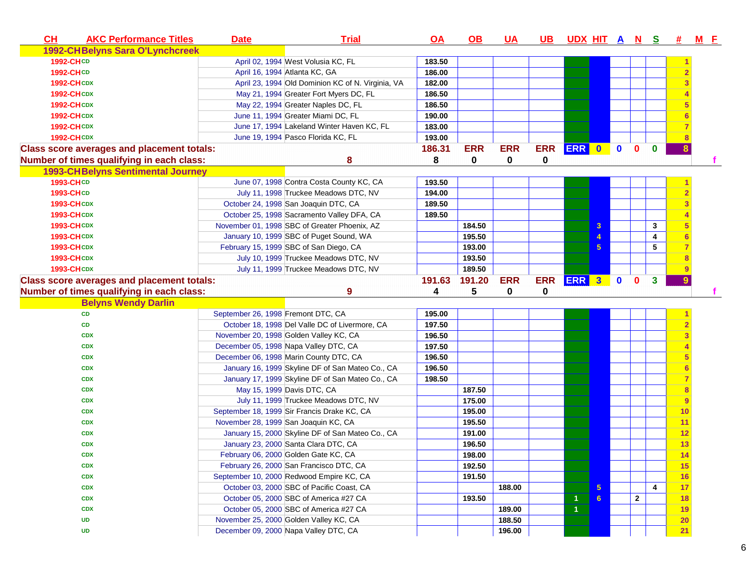| CH<br><b>AKC Performance Titles</b><br><b>Trial</b><br><b>Date</b><br><u>OA</u><br><u>OB</u>                  | <u>UA</u>  | UB.        |                      |                 |             |                |                         | UDX HIT A N S # | <u>M F</u> |
|---------------------------------------------------------------------------------------------------------------|------------|------------|----------------------|-----------------|-------------|----------------|-------------------------|-----------------|------------|
| 1992-CHBelyns Sara O'Lynchcreek                                                                               |            |            |                      |                 |             |                |                         |                 |            |
| 1992-CHCD<br>April 02, 1994 West Volusia KC, FL<br>183.50                                                     |            |            |                      |                 |             |                |                         |                 |            |
| 1992-CHCD<br>April 16, 1994 Atlanta KC, GA<br>186.00                                                          |            |            |                      |                 |             |                |                         |                 |            |
| April 23, 1994 Old Dominion KC of N. Virginia, VA<br>182.00<br><b>1992-CHCDX</b>                              |            |            |                      |                 |             |                |                         |                 |            |
| May 21, 1994 Greater Fort Myers DC, FL<br>186.50<br><b>1992-CHCDX</b>                                         |            |            |                      |                 |             |                |                         |                 |            |
| 186.50<br>May 22, 1994 Greater Naples DC, FL<br><b>1992-CHCDX</b>                                             |            |            |                      |                 |             |                |                         |                 |            |
| June 11, 1994 Greater Miami DC, FL<br>190.00<br><b>1992-CHCDX</b>                                             |            |            |                      |                 |             |                |                         |                 |            |
| June 17, 1994 Lakeland Winter Haven KC, FL<br>183.00<br><b>1992-CHCDX</b>                                     |            |            |                      |                 |             |                |                         |                 |            |
| <b>1992-CHCDX</b><br>June 19, 1994 Pasco Florida KC, FL<br>193.00                                             |            |            |                      |                 |             |                |                         |                 |            |
| 186.31<br><b>ERR</b><br><b>Class score averages and placement totals:</b>                                     | <b>ERR</b> | <b>ERR</b> | <b>ERR</b> 0         |                 | $\mathbf 0$ | $\bf{0}$       | $\bf{0}$                | 8               |            |
| 8<br>0<br>Number of times qualifying in each class:<br>8                                                      | 0          | 0          |                      |                 |             |                |                         |                 |            |
| <b>1993-CHBelyns Sentimental Journey</b>                                                                      |            |            |                      |                 |             |                |                         |                 |            |
| 1993-CHCD<br>June 07, 1998 Contra Costa County KC, CA<br>193.50                                               |            |            |                      |                 |             |                |                         |                 |            |
| July 11, 1998 Truckee Meadows DTC, NV<br>1993-CHCD<br>194.00                                                  |            |            |                      |                 |             |                |                         |                 |            |
| <b>1993-CHCDX</b><br>October 24, 1998 San Joaquin DTC, CA<br>189.50                                           |            |            |                      |                 |             |                |                         |                 |            |
| 189.50<br><b>1993-CHCDX</b><br>October 25, 1998 Sacramento Valley DFA, CA                                     |            |            |                      |                 |             |                |                         |                 |            |
| November 01, 1998 SBC of Greater Phoenix, AZ<br>184.50<br><b>1993-CHCDX</b>                                   |            |            |                      | 3               |             |                | 3                       |                 |            |
| 195.50<br><b>1993-CHCDX</b><br>January 10, 1999 SBC of Puget Sound, WA                                        |            |            |                      | 4               |             |                | 4                       |                 |            |
| February 15, 1999 SBC of San Diego, CA<br>193.00<br><b>1993-CHCDX</b>                                         |            |            |                      | $5\phantom{.0}$ |             |                | 5                       |                 |            |
| <b>1993-CHCDX</b><br>July 10, 1999 Truckee Meadows DTC, NV<br>193.50                                          |            |            |                      |                 |             |                |                         |                 |            |
|                                                                                                               |            |            |                      |                 |             |                |                         |                 |            |
| July 11, 1999 Truckee Meadows DTC, NV<br>189.50<br><b>1993-CHCDX</b>                                          |            |            |                      |                 |             |                |                         |                 |            |
| 191.63<br>191.20                                                                                              | <b>ERR</b> | <b>ERR</b> |                      |                 |             | $\mathbf{0}$   | $\mathbf{3}$            | 9               |            |
| <b>Class score averages and placement totals:</b><br>Number of times qualifying in each class:<br>9<br>4<br>5 | 0          | 0          | <b>ERR</b> 3 0       |                 |             |                |                         |                 |            |
|                                                                                                               |            |            |                      |                 |             |                |                         |                 |            |
| <b>Belyns Wendy Darlin</b><br>CD<br>September 26, 1998 Fremont DTC, CA<br>195.00                              |            |            |                      |                 |             |                |                         |                 |            |
| October 18, 1998 Del Valle DC of Livermore, CA<br>197.50<br><b>CD</b>                                         |            |            |                      |                 |             |                |                         |                 |            |
| November 20, 1998 Golden Valley KC, CA<br>196.50<br><b>CDX</b>                                                |            |            |                      |                 |             |                |                         |                 |            |
| 197.50<br>December 05, 1998 Napa Valley DTC, CA<br><b>CDX</b>                                                 |            |            |                      |                 |             |                |                         |                 |            |
| December 06, 1998 Marin County DTC, CA<br>196.50<br><b>CDX</b>                                                |            |            |                      |                 |             |                |                         | 5               |            |
| 196.50<br>January 16, 1999 Skyline DF of San Mateo Co., CA<br><b>CDX</b>                                      |            |            |                      |                 |             |                |                         | 6               |            |
| January 17, 1999 Skyline DF of San Mateo Co., CA<br>198.50<br><b>CDX</b>                                      |            |            |                      |                 |             |                |                         |                 |            |
| May 15, 1999 Davis DTC, CA<br>187.50<br><b>CDX</b>                                                            |            |            |                      |                 |             |                |                         | 8               |            |
| July 11, 1999 Truckee Meadows DTC, NV<br>175.00<br><b>CDX</b>                                                 |            |            |                      |                 |             |                |                         | 9               |            |
| September 18, 1999 Sir Francis Drake KC, CA<br>195.00<br><b>CDX</b>                                           |            |            |                      |                 |             |                |                         | 10              |            |
| November 28, 1999 San Joaquin KC, CA<br>195.50<br><b>CDX</b>                                                  |            |            |                      |                 |             |                |                         | 11              |            |
| January 15, 2000 Skyline DF of San Mateo Co., CA<br>191.00<br><b>CDX</b>                                      |            |            |                      |                 |             |                |                         | 12              |            |
| January 23, 2000 Santa Clara DTC, CA<br>196.50<br><b>CDX</b>                                                  |            |            |                      |                 |             |                |                         | 13              |            |
| 198.00<br>February 06, 2000 Golden Gate KC, CA<br><b>CDX</b>                                                  |            |            |                      |                 |             |                |                         |                 |            |
| 192.50<br>February 26, 2000 San Francisco DTC, CA<br><b>CDX</b>                                               |            |            |                      |                 |             |                |                         | 14<br>15        |            |
| September 10, 2000 Redwood Empire KC, CA<br>191.50<br><b>CDX</b>                                              |            |            |                      |                 |             |                |                         | 16              |            |
| October 03, 2000 SBC of Pacific Coast, CA<br><b>CDX</b>                                                       | 188.00     |            |                      | $\sqrt{5}$      |             |                | $\overline{\mathbf{4}}$ | 17              |            |
| October 05, 2000 SBC of America #27 CA<br>193.50<br><b>CDX</b>                                                |            |            | $\overline{1}$       | 6               |             | $\overline{2}$ |                         | 18              |            |
| October 05, 2000 SBC of America #27 CA<br><b>CDX</b>                                                          | 189.00     |            | $\blacktriangleleft$ |                 |             |                |                         | <b>19</b>       |            |
| November 25, 2000 Golden Valley KC, CA<br><b>UD</b>                                                           | 188.50     |            |                      |                 |             |                |                         | 20              |            |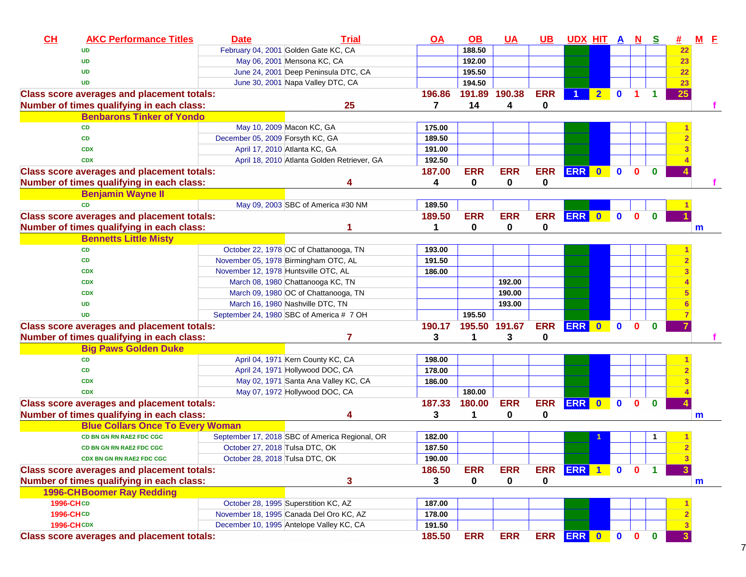| CL | <b>AKC Performance Titles</b>                     | <b>Date</b>                          | <b>Trial</b>                                   | <u>OA</u>   | $\underline{\mathsf{OB}}$ | $UA$          | <u>UB</u>   | <u>UDX HIT A N</u> |                |              |              | <u>s</u>     | <u>#</u>     | $M$ $E$ |  |
|----|---------------------------------------------------|--------------------------------------|------------------------------------------------|-------------|---------------------------|---------------|-------------|--------------------|----------------|--------------|--------------|--------------|--------------|---------|--|
|    | <b>UD</b>                                         |                                      | February 04, 2001 Golden Gate KC, CA           |             | 188.50                    |               |             |                    |                |              |              |              | 22           |         |  |
|    | <b>UD</b>                                         |                                      | May 06, 2001 Mensona KC, CA                    |             | 192.00                    |               |             |                    |                |              |              |              | 23           |         |  |
|    | <b>UD</b>                                         |                                      | June 24, 2001 Deep Peninsula DTC, CA           |             | 195.50                    |               |             |                    |                |              |              |              | 22           |         |  |
|    | <b>UD</b>                                         |                                      | June 30, 2001 Napa Valley DTC, CA              |             | 194.50                    |               |             |                    |                |              |              |              | 23           |         |  |
|    | <b>Class score averages and placement totals:</b> |                                      |                                                | 196.86      |                           | 191.89 190.38 | <b>ERR</b>  |                    | 2 <sub>1</sub> | $\mathbf{0}$ | 1            | 1            | 25           |         |  |
|    | Number of times qualifying in each class:         |                                      | 25                                             | 7           | 14                        | 4             | 0           |                    |                |              |              |              |              |         |  |
|    | <b>Benbarons Tinker of Yondo</b>                  |                                      |                                                |             |                           |               |             |                    |                |              |              |              |              |         |  |
|    | <b>CD</b>                                         |                                      | May 10, 2009 Macon KC, GA                      | 175.00      |                           |               |             |                    |                |              |              |              |              |         |  |
|    | <b>CD</b>                                         | December 05, 2009 Forsyth KC, GA     |                                                | 189.50      |                           |               |             |                    |                |              |              |              |              |         |  |
|    | <b>CDX</b>                                        |                                      | April 17, 2010 Atlanta KC, GA                  | 191.00      |                           |               |             |                    |                |              |              |              |              |         |  |
|    | <b>CDX</b>                                        |                                      | April 18, 2010 Atlanta Golden Retriever, GA    | 192.50      |                           |               |             |                    |                |              |              |              |              |         |  |
|    | <b>Class score averages and placement totals:</b> |                                      |                                                | 187.00      | <b>ERR</b>                | <b>ERR</b>    | <b>ERR</b>  | <b>ERR</b>         | $\bullet$      | $\mathbf{0}$ | $\mathbf{0}$ | $\mathbf{0}$ |              |         |  |
|    | Number of times qualifying in each class:         |                                      |                                                | 4           | 0                         | 0             | $\mathbf 0$ |                    |                |              |              |              |              |         |  |
|    | <b>Benjamin Wayne II</b>                          |                                      |                                                |             |                           |               |             |                    |                |              |              |              |              |         |  |
|    | <b>CD</b>                                         |                                      | May 09, 2003 SBC of America #30 NM             | 189.50      |                           |               |             |                    |                |              |              |              |              |         |  |
|    | <b>Class score averages and placement totals:</b> |                                      |                                                | 189.50      | <b>ERR</b>                | <b>ERR</b>    | <b>ERR</b>  | <b>ERR</b>         | $\bullet$      | $\mathbf{0}$ | $\mathbf{0}$ | $\mathbf{0}$ |              |         |  |
|    | Number of times qualifying in each class:         |                                      |                                                | $\mathbf 1$ | $\mathbf 0$               | 0             | 0           |                    |                |              |              |              |              | m       |  |
|    | <b>Bennetts Little Misty</b>                      |                                      |                                                |             |                           |               |             |                    |                |              |              |              |              |         |  |
|    | CD                                                |                                      | October 22, 1978 OC of Chattanooga, TN         | 193.00      |                           |               |             |                    |                |              |              |              |              |         |  |
|    | <b>CD</b>                                         |                                      | November 05, 1978 Birmingham OTC, AL           | 191.50      |                           |               |             |                    |                |              |              |              |              |         |  |
|    | <b>CDX</b>                                        | November 12, 1978 Huntsville OTC, AL |                                                | 186.00      |                           |               |             |                    |                |              |              |              |              |         |  |
|    | <b>CDX</b>                                        |                                      | March 08, 1980 Chattanooga KC, TN              |             |                           | 192.00        |             |                    |                |              |              |              |              |         |  |
|    | <b>CDX</b>                                        |                                      | March 09, 1980 OC of Chattanooga, TN           |             |                           | 190.00        |             |                    |                |              |              |              |              |         |  |
|    | <b>UD</b>                                         |                                      | March 16, 1980 Nashville DTC, TN               |             |                           | 193.00        |             |                    |                |              |              |              |              |         |  |
|    | <b>UD</b>                                         |                                      | September 24, 1980 SBC of America # 7 OH       |             | 195.50                    |               |             |                    |                |              |              |              |              |         |  |
|    | <b>Class score averages and placement totals:</b> |                                      |                                                | 190.17      |                           | 195.50 191.67 | <b>ERR</b>  | ERR 0              |                | $\bullet$    | $\mathbf{0}$ | $\mathbf{0}$ |              |         |  |
|    | Number of times qualifying in each class:         |                                      | 7                                              | 3           |                           | 3             | $\mathbf 0$ |                    |                |              |              |              |              |         |  |
|    | <b>Big Paws Golden Duke</b>                       |                                      |                                                |             |                           |               |             |                    |                |              |              |              |              |         |  |
|    | <b>CD</b>                                         |                                      | April 04, 1971 Kern County KC, CA              | 198.00      |                           |               |             |                    |                |              |              |              |              |         |  |
|    | <b>CD</b>                                         |                                      | April 24, 1971 Hollywood DOC, CA               | 178.00      |                           |               |             |                    |                |              |              |              |              |         |  |
|    | <b>CDX</b>                                        |                                      | May 02, 1971 Santa Ana Valley KC, CA           | 186.00      |                           |               |             |                    |                |              |              |              |              |         |  |
|    | <b>CDX</b>                                        |                                      | May 07, 1972 Hollywood DOC, CA                 |             | 180.00                    |               |             |                    |                |              |              |              |              |         |  |
|    | <b>Class score averages and placement totals:</b> |                                      |                                                | 187.33      | 180.00                    | <b>ERR</b>    | <b>ERR</b>  | <b>ERR</b>         | $\bullet$      | $\mathbf{0}$ | $\mathbf{0}$ | $\mathbf{0}$ |              |         |  |
|    | Number of times qualifying in each class:         |                                      | 4                                              | 3           | 1                         | 0             | $\mathbf 0$ |                    |                |              |              |              |              |         |  |
|    | <b>Blue Collars Once To Every Woman</b>           |                                      |                                                |             |                           |               |             |                    |                |              |              |              |              | m       |  |
|    | CD BN GN RN RAE2 FDC CGC                          |                                      | September 17, 2018 SBC of America Regional, OR | 182.00      |                           |               |             |                    |                |              |              |              |              |         |  |
|    | CD BN GN RN RAE2 FDC CGC                          | October 27, 2018 Tulsa DTC, OK       |                                                | 187.50      |                           |               |             |                    |                |              |              |              |              |         |  |
|    | CDX BN GN RN RAE2 FDC CGC                         | October 28, 2018 Tulsa DTC, OK       |                                                | 190.00      |                           |               |             |                    |                |              |              |              |              |         |  |
|    |                                                   |                                      |                                                | 186.50      | <b>ERR</b>                | <b>ERR</b>    |             | ERR ERR 1          |                | $\mathbf{0}$ | $\mathbf{0}$ | $\mathbf{1}$ | $\mathbf{3}$ |         |  |
|    | <b>Class score averages and placement totals:</b> |                                      |                                                |             |                           |               |             |                    |                |              |              |              |              |         |  |
|    | Number of times qualifying in each class:         |                                      | 3                                              | 3           | 0                         | 0             | 0           |                    |                |              |              |              |              | m       |  |
|    | <b>1996-CHBoomer Ray Redding</b>                  |                                      |                                                |             |                           |               |             |                    |                |              |              |              |              |         |  |
|    | 1996-CHCD                                         |                                      | October 28, 1995 Superstition KC, AZ           | 187.00      |                           |               |             |                    |                |              |              |              |              |         |  |
|    | <b>1996-CHCD</b>                                  |                                      | November 18, 1995 Canada Del Oro KC, AZ        | 178.00      |                           |               |             |                    |                |              |              |              |              |         |  |
|    | <b>1996-CHCDX</b>                                 |                                      | December 10, 1995 Antelope Valley KC, CA       | 191.50      |                           |               |             |                    |                |              |              |              |              |         |  |
|    | <b>Class score averages and placement totals:</b> |                                      |                                                | 185.50      | <b>ERR</b>                | <b>ERR</b>    |             | ERR ERR 0 0        |                |              | $\mathbf{0}$ | $\mathbf 0$  | $\mathbf{3}$ |         |  |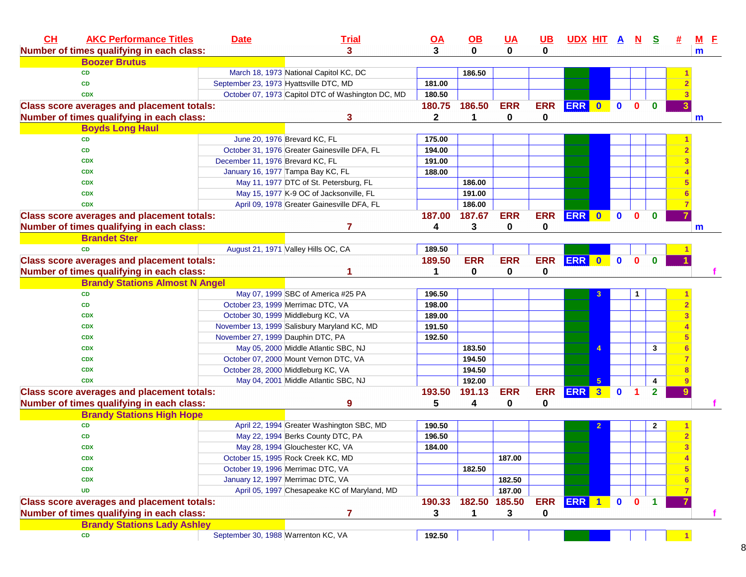| CH<br><b>AKC Performance Titles</b>               | <b>Date</b>                      | <b>Trial</b>                                      | $\overline{OA}$ | $\underline{\mathsf{OB}}$ | $UA$         | <u>UB</u>   | <u>UDX HIT A N</u> |            |              |              | <u>s</u>             | $M$ E |
|---------------------------------------------------|----------------------------------|---------------------------------------------------|-----------------|---------------------------|--------------|-------------|--------------------|------------|--------------|--------------|----------------------|-------|
| Number of times qualifying in each class:         |                                  | 3                                                 | 3               | $\bf{0}$                  | $\mathbf{0}$ | 0           |                    |            |              |              |                      | m     |
| <b>Boozer Brutus</b>                              |                                  |                                                   |                 |                           |              |             |                    |            |              |              |                      |       |
| <b>CD</b>                                         |                                  | March 18, 1973 National Capitol KC, DC            |                 | 186.50                    |              |             |                    |            |              |              |                      |       |
| <b>CD</b>                                         |                                  | September 23, 1973 Hyattsville DTC, MD            | 181.00          |                           |              |             |                    |            |              |              |                      |       |
| <b>CDX</b>                                        |                                  | October 07, 1973 Capitol DTC of Washington DC, MD | 180.50          |                           |              |             |                    |            |              |              |                      |       |
| <b>Class score averages and placement totals:</b> |                                  |                                                   | 180.75          | 186.50                    | <b>ERR</b>   | <b>ERR</b>  | ERR 0              |            | $\mathbf{0}$ | $\mathbf{0}$ | $\mathbf{0}$         |       |
| Number of times qualifying in each class:         |                                  | 3                                                 | $\mathbf{2}$    | 1                         | $\mathbf 0$  | 0           |                    |            |              |              |                      | m     |
| <b>Boyds Long Haul</b>                            |                                  |                                                   |                 |                           |              |             |                    |            |              |              |                      |       |
| <b>CD</b>                                         |                                  | June 20, 1976 Brevard KC, FL                      | 175.00          |                           |              |             |                    |            |              |              |                      |       |
| <b>CD</b>                                         |                                  | October 31, 1976 Greater Gainesville DFA, FL      | 194.00          |                           |              |             |                    |            |              |              |                      |       |
| <b>CDX</b>                                        | December 11, 1976 Brevard KC, FL |                                                   | 191.00          |                           |              |             |                    |            |              |              |                      |       |
| <b>CDX</b>                                        |                                  | January 16, 1977 Tampa Bay KC, FL                 | 188.00          |                           |              |             |                    |            |              |              |                      |       |
| <b>CDX</b>                                        |                                  | May 11, 1977 DTC of St. Petersburg, FL            |                 | 186.00                    |              |             |                    |            |              |              |                      |       |
| <b>CDX</b>                                        |                                  | May 15, 1977 K-9 OC of Jacksonville, FL           |                 | 191.00                    |              |             |                    |            |              |              |                      |       |
| <b>CDX</b>                                        |                                  | April 09, 1978 Greater Gainesville DFA, FL        |                 | 186.00                    |              |             |                    |            |              |              |                      |       |
| <b>Class score averages and placement totals:</b> |                                  |                                                   | 187.00          | 187.67                    | <b>ERR</b>   | <b>ERR</b>  | ERR 0              |            | $\mathbf{0}$ | $\mathbf{0}$ | $\mathbf{0}$         |       |
| Number of times qualifying in each class:         |                                  | 7                                                 | 4               | 3                         | 0            | 0           |                    |            |              |              |                      | m     |
| <b>Brandet Ster</b>                               |                                  |                                                   |                 |                           |              |             |                    |            |              |              |                      |       |
| <b>CD</b>                                         |                                  | August 21, 1971 Valley Hills OC, CA               | 189.50          |                           |              |             |                    |            |              |              |                      |       |
| <b>Class score averages and placement totals:</b> |                                  |                                                   | 189.50          | <b>ERR</b>                | <b>ERR</b>   | <b>ERR</b>  | ERR 0              |            | $\bullet$    | $\mathbf{0}$ | $\bf{0}$             |       |
| Number of times qualifying in each class:         |                                  |                                                   |                 | $\bf{0}$                  | 0            | $\mathbf 0$ |                    |            |              |              |                      |       |
| <b>Brandy Stations Almost N Angel</b>             |                                  |                                                   |                 |                           |              |             |                    |            |              |              |                      |       |
| <b>CD</b>                                         |                                  | May 07, 1999 SBC of America #25 PA                | 196.50          |                           |              |             |                    |            |              | 1            |                      |       |
| CD                                                |                                  | October 23, 1999 Merrimac DTC, VA                 | 198.00          |                           |              |             |                    |            |              |              |                      |       |
| <b>CDX</b>                                        |                                  | October 30, 1999 Middleburg KC, VA                | 189.00          |                           |              |             |                    |            |              |              |                      |       |
| <b>CDX</b>                                        |                                  | November 13, 1999 Salisbury Maryland KC, MD       | 191.50          |                           |              |             |                    |            |              |              |                      |       |
| <b>CDX</b>                                        |                                  | November 27, 1999 Dauphin DTC, PA                 | 192.50          |                           |              |             |                    |            |              |              |                      |       |
| <b>CDX</b>                                        |                                  | May 05, 2000 Middle Atlantic SBC, NJ              |                 | 183.50                    |              |             |                    |            |              |              | 3                    |       |
| <b>CDX</b>                                        |                                  | October 07, 2000 Mount Vernon DTC, VA             |                 | 194.50                    |              |             |                    |            |              |              |                      |       |
| <b>CDX</b>                                        |                                  | October 28, 2000 Middleburg KC, VA                |                 | 194.50                    |              |             |                    |            |              |              |                      |       |
| <b>CDX</b>                                        |                                  | May 04, 2001 Middle Atlantic SBC, NJ              |                 | 192.00                    |              |             |                    | $\sqrt{5}$ |              |              | 4                    |       |
| <b>Class score averages and placement totals:</b> |                                  |                                                   | 193.50          | 191.13                    | <b>ERR</b>   | <b>ERR</b>  | ERR 3              |            | $\mathbf{0}$ | 1.           | $\overline{2}$       |       |
| Number of times qualifying in each class:         |                                  | 9                                                 | 5               | 4                         | 0            | 0           |                    |            |              |              |                      |       |
| <b>Brandy Stations High Hope</b>                  |                                  |                                                   |                 |                           |              |             |                    |            |              |              |                      |       |
| <b>CD</b>                                         |                                  | April 22, 1994 Greater Washington SBC, MD         | 190.50          |                           |              |             |                    |            |              |              | $\mathbf{2}$         |       |
| CD                                                |                                  | May 22, 1994 Berks County DTC, PA                 | 196.50          |                           |              |             |                    |            |              |              |                      |       |
| <b>CDX</b>                                        |                                  | May 28, 1994 Glouchester KC, VA                   | 184.00          |                           |              |             |                    |            |              |              |                      |       |
| <b>CDX</b>                                        |                                  | October 15, 1995 Rock Creek KC, MD                |                 |                           | 187.00       |             |                    |            |              |              |                      |       |
| <b>CDX</b>                                        |                                  | October 19, 1996 Merrimac DTC, VA                 |                 | 182.50                    |              |             |                    |            |              |              |                      |       |
| <b>CDX</b>                                        |                                  | January 12, 1997 Merrimac DTC, VA                 |                 |                           | 182.50       |             |                    |            |              |              |                      |       |
| <b>UD</b>                                         |                                  | April 05, 1997 Chesapeake KC of Maryland, MD      |                 |                           | 187.00       |             |                    |            |              |              |                      |       |
|                                                   |                                  |                                                   |                 |                           |              |             |                    |            |              |              |                      |       |
| <b>Class score averages and placement totals:</b> |                                  |                                                   | 190.33          | 182.50                    | 185.50       | <b>ERR</b>  | ERR 1              |            | $\mathbf 0$  | $\mathbf{0}$ | $\blacktriangleleft$ |       |
| Number of times qualifying in each class:         |                                  | 7                                                 | 3               | 1                         | 3            | 0           |                    |            |              |              |                      | f.    |
| <b>Brandy Stations Lady Ashley</b>                |                                  |                                                   |                 |                           |              |             |                    |            |              |              |                      |       |
| <b>CD</b>                                         |                                  | September 30, 1988 Warrenton KC, VA               | 192.50          |                           |              |             |                    |            |              |              |                      |       |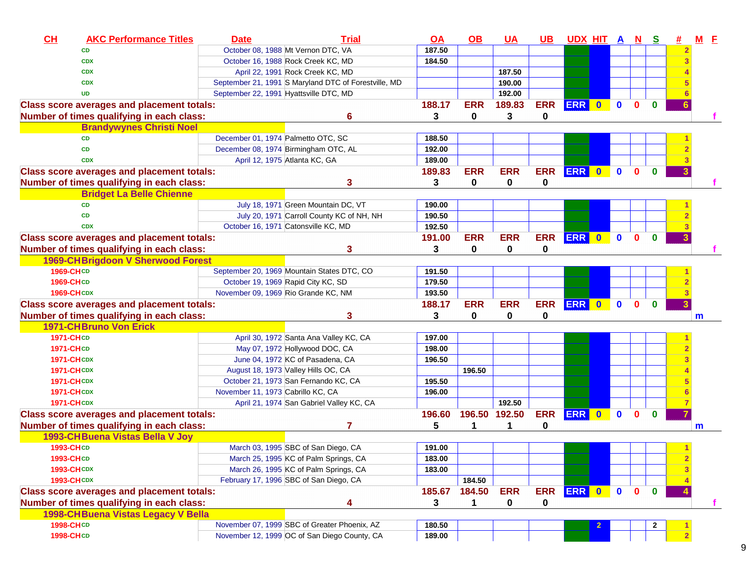| CH<br><b>AKC Performance Titles</b>               | <b>Date</b>                        | <b>Trial</b>                                         | <u>OA</u> | <u>OB</u>  | <u>UA</u>     | UB I       | UDX HIT A N S |              |              |              | #            |   | $M$ $E$ |
|---------------------------------------------------|------------------------------------|------------------------------------------------------|-----------|------------|---------------|------------|---------------|--------------|--------------|--------------|--------------|---|---------|
| <b>CD</b>                                         |                                    | October 08, 1988 Mt Vernon DTC, VA                   | 187.50    |            |               |            |               |              |              |              |              |   |         |
| <b>CDX</b>                                        |                                    | October 16, 1988 Rock Creek KC, MD                   | 184.50    |            |               |            |               |              |              |              |              |   |         |
| <b>CDX</b>                                        |                                    | April 22, 1991 Rock Creek KC, MD                     |           |            | 187.50        |            |               |              |              |              |              |   |         |
| <b>CDX</b>                                        |                                    | September 21, 1991 S Maryland DTC of Forestville, MD |           |            | 190.00        |            |               |              |              |              |              |   |         |
| <b>UD</b>                                         |                                    | September 22, 1991 Hyattsville DTC, MD               |           |            | 192.00        |            |               |              |              |              |              |   |         |
| <b>Class score averages and placement totals:</b> |                                    |                                                      | 188.17    | <b>ERR</b> | 189.83        | <b>ERR</b> | ERR 0         | $\mathbf{0}$ | $\mathbf{0}$ | $\mathbf{0}$ |              |   |         |
| Number of times qualifying in each class:         |                                    | 6                                                    | 3         | $\bf{0}$   | 3             | 0          |               |              |              |              |              |   |         |
| <b>Brandywynes Christi Noel</b>                   |                                    |                                                      |           |            |               |            |               |              |              |              |              |   |         |
| <b>CD</b>                                         | December 01, 1974 Palmetto OTC, SC |                                                      | 188.50    |            |               |            |               |              |              |              |              |   |         |
| <b>CD</b>                                         |                                    | December 08, 1974 Birmingham OTC, AL                 | 192.00    |            |               |            |               |              |              |              |              |   |         |
| <b>CDX</b>                                        |                                    | April 12, 1975 Atlanta KC, GA                        | 189.00    |            |               |            |               |              |              |              |              |   |         |
| <b>Class score averages and placement totals:</b> |                                    |                                                      | 189.83    | <b>ERR</b> | <b>ERR</b>    | <b>ERR</b> | ERR 0         | $\mathbf{0}$ | $\bf{0}$     | $\mathbf{0}$ |              |   |         |
| Number of times qualifying in each class:         |                                    | 3                                                    | 3         | 0          | 0             | 0          |               |              |              |              |              |   |         |
| <b>Bridget La Belle Chienne</b>                   |                                    |                                                      |           |            |               |            |               |              |              |              |              |   |         |
| <b>CD</b>                                         |                                    | July 18, 1971 Green Mountain DC, VT                  | 190.00    |            |               |            |               |              |              |              |              |   |         |
| <b>CD</b>                                         |                                    | July 20, 1971 Carroll County KC of NH, NH            | 190.50    |            |               |            |               |              |              |              |              |   |         |
| <b>CDX</b>                                        |                                    | October 16, 1971 Catonsville KC, MD                  | 192.50    |            |               |            |               |              |              |              |              |   |         |
| <b>Class score averages and placement totals:</b> |                                    |                                                      | 191.00    | <b>ERR</b> | <b>ERR</b>    | <b>ERR</b> | ERR 0         | $\mathbf{0}$ | $\bf{0}$     | $\mathbf{0}$ |              |   |         |
| Number of times qualifying in each class:         |                                    | 3                                                    | 3         | 0          | 0             | 0          |               |              |              |              |              |   |         |
| 1969-CHBrigdoon V Sherwood Forest                 |                                    |                                                      |           |            |               |            |               |              |              |              |              |   |         |
| 1969-CHCD                                         |                                    | September 20, 1969 Mountain States DTC, CO           | 191.50    |            |               |            |               |              |              |              |              |   |         |
| 1969-CHCD                                         |                                    | October 19, 1969 Rapid City KC, SD                   | 179.50    |            |               |            |               |              |              |              |              |   |         |
| <b>1969-CHCDX</b>                                 |                                    | November 09, 1969 Rio Grande KC, NM                  | 193.50    |            |               |            |               |              |              |              |              |   |         |
| <b>Class score averages and placement totals:</b> |                                    |                                                      | 188.17    | <b>ERR</b> | <b>ERR</b>    | <b>ERR</b> | ERR 0         | $\bullet$    | $\mathbf{0}$ | $\mathbf{0}$ |              |   |         |
| Number of times qualifying in each class:         |                                    | 3                                                    | 3         | 0          | 0             | 0          |               |              |              |              |              | m |         |
| <b>1971-CHBruno Von Erick</b>                     |                                    |                                                      |           |            |               |            |               |              |              |              |              |   |         |
| 1971-CHCD                                         |                                    | April 30, 1972 Santa Ana Valley KC, CA               | 197.00    |            |               |            |               |              |              |              |              |   |         |
| 1971-CHCD                                         |                                    | May 07, 1972 Hollywood DOC, CA                       | 198.00    |            |               |            |               |              |              |              |              |   |         |
| <b>1971-CHCDX</b>                                 |                                    | June 04, 1972 KC of Pasadena, CA                     | 196.50    |            |               |            |               |              |              |              |              |   |         |
| <b>1971-CHCDX</b>                                 |                                    | August 18, 1973 Valley Hills OC, CA                  |           | 196.50     |               |            |               |              |              |              |              |   |         |
| <b>1971-CHCDX</b>                                 |                                    | October 21, 1973 San Fernando KC, CA                 | 195.50    |            |               |            |               |              |              |              |              |   |         |
| <b>1971-CHCDX</b>                                 | November 11, 1973 Cabrillo KC, CA  |                                                      | 196.00    |            |               |            |               |              |              |              |              |   |         |
| <b>1971-CH CDX</b>                                |                                    | April 21, 1974 San Gabriel Valley KC, CA             |           |            | 192.50        |            |               |              |              |              |              |   |         |
| <b>Class score averages and placement totals:</b> |                                    |                                                      | 196.60    |            | 196.50 192.50 | <b>ERR</b> | ERR 0         | $\mathbf{0}$ | $\bf{0}$     | 0            |              |   |         |
| Number of times qualifying in each class:         |                                    |                                                      | 5         | 1          | 1             | 0          |               |              |              |              |              | m |         |
| 1993-CHBuena Vistas Bella V Joy                   |                                    |                                                      |           |            |               |            |               |              |              |              |              |   |         |
| 1993-CHCD                                         |                                    | March 03, 1995 SBC of San Diego, CA                  | 191.00    |            |               |            |               |              |              |              |              |   |         |
| 1993-CHCD                                         |                                    | March 25, 1995 KC of Palm Springs, CA                | 183.00    |            |               |            |               |              |              |              | $\mathbf{2}$ |   |         |
| <b>1993-CHCDX</b>                                 |                                    | March 26, 1995 KC of Palm Springs, CA                | 183.00    |            |               |            |               |              |              |              |              |   |         |
| <b>1993-CHCDX</b>                                 |                                    | February 17, 1996 SBC of San Diego, CA               |           | 184.50     |               |            |               |              |              |              |              |   |         |
| <b>Class score averages and placement totals:</b> |                                    |                                                      | 185.67    | 184.50     | <b>ERR</b>    |            | ERR ERR 0     | $\bullet$    | $\mathbf{0}$ | $\mathbf{0}$ |              |   |         |
| Number of times qualifying in each class:         |                                    | 4                                                    | 3         | 1          | $\mathbf{0}$  | 0          |               |              |              |              |              |   |         |
| 1998-CH Buena Vistas Legacy V Bella               |                                    |                                                      |           |            |               |            |               |              |              |              |              |   |         |
| 1998-CHCD                                         |                                    | November 07, 1999 SBC of Greater Phoenix, AZ         | 180.50    |            |               |            |               |              |              | 2            |              |   |         |
| 1998-CHCD                                         |                                    | November 12, 1999 OC of San Diego County, CA         | 189.00    |            |               |            |               |              |              |              |              |   |         |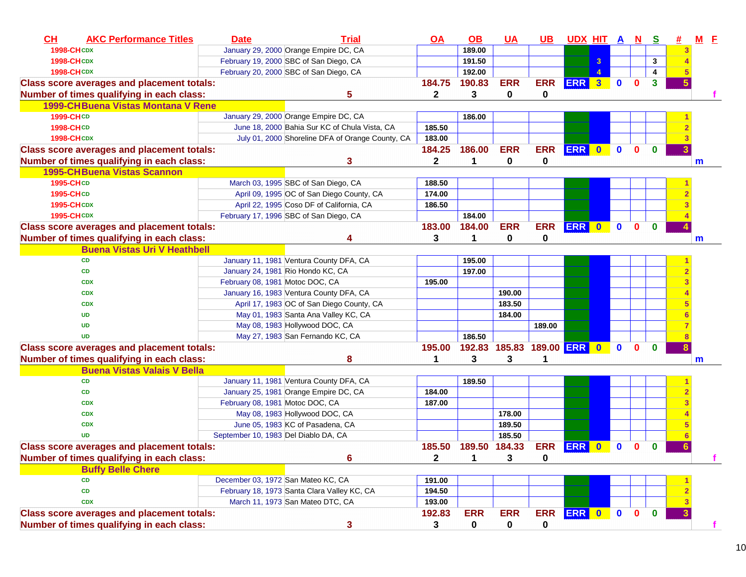| CH<br><b>AKC Performance Titles</b>               | <b>Date</b>                          | <b>Trial</b>                                     | <u>OA</u>    | $\overline{OB}$ | <u>UA</u>                  | <u>UB</u>  | UDX HIT A N S |                         |              |              |              | # | $M$ $E$ |  |
|---------------------------------------------------|--------------------------------------|--------------------------------------------------|--------------|-----------------|----------------------------|------------|---------------|-------------------------|--------------|--------------|--------------|---|---------|--|
| <b>1998-CHCDX</b>                                 |                                      | January 29, 2000 Orange Empire DC, CA            |              | 189.00          |                            |            |               |                         |              |              |              |   |         |  |
| <b>1998-CHCDX</b>                                 |                                      | February 19, 2000 SBC of San Diego, CA           |              | 191.50          |                            |            |               | 3                       |              |              | 3            |   |         |  |
| <b>1998-CHCDX</b>                                 |                                      | February 20, 2000 SBC of San Diego, CA           |              | 192.00          |                            |            |               | 4                       |              |              | 4            |   |         |  |
| <b>Class score averages and placement totals:</b> |                                      |                                                  | 184.75       | 190.83          | <b>ERR</b>                 | <b>ERR</b> | <b>ERR</b>    | $\overline{\mathbf{3}}$ | $\mathbf 0$  | $\mathbf{0}$ | 3            |   |         |  |
| Number of times qualifying in each class:         |                                      | 5                                                | 2            | 3               | 0                          | 0          |               |                         |              |              |              |   |         |  |
| <b>1999-CHBuena Vistas Montana V Rene</b>         |                                      |                                                  |              |                 |                            |            |               |                         |              |              |              |   |         |  |
| <b>1999-CHCD</b>                                  |                                      | January 29, 2000 Orange Empire DC, CA            |              | 186.00          |                            |            |               |                         |              |              |              |   |         |  |
| <b>1998-CHCD</b>                                  |                                      | June 18, 2000 Bahia Sur KC of Chula Vista, CA    | 185.50       |                 |                            |            |               |                         |              |              |              |   |         |  |
| <b>1998-CHCDX</b>                                 |                                      | July 01, 2000 Shoreline DFA of Orange County, CA | 183.00       |                 |                            |            |               |                         |              |              |              |   |         |  |
| <b>Class score averages and placement totals:</b> |                                      |                                                  | 184.25       | 186.00          | <b>ERR</b>                 | <b>ERR</b> | ERR 0         |                         | $\mathbf{0}$ | $\mathbf{0}$ | $\bf{0}$     |   |         |  |
| Number of times qualifying in each class:         |                                      | 3                                                | $\mathbf{2}$ | 1               | 0                          | 0          |               |                         |              |              |              |   | m       |  |
| <b>1995-CHBuena Vistas Scannon</b>                |                                      |                                                  |              |                 |                            |            |               |                         |              |              |              |   |         |  |
| 1995-CHCD                                         |                                      | March 03, 1995 SBC of San Diego, CA              | 188.50       |                 |                            |            |               |                         |              |              |              |   |         |  |
| 1995-CHCD                                         |                                      | April 09, 1995 OC of San Diego County, CA        | 174.00       |                 |                            |            |               |                         |              |              |              |   |         |  |
| <b>1995-CHCDX</b>                                 |                                      | April 22, 1995 Coso DF of California, CA         | 186.50       |                 |                            |            |               |                         |              |              |              |   |         |  |
| <b>1995-CHCDX</b>                                 |                                      | February 17, 1996 SBC of San Diego, CA           |              | 184.00          |                            |            |               |                         |              |              |              |   |         |  |
| <b>Class score averages and placement totals:</b> |                                      |                                                  | 183.00       | 184.00          | <b>ERR</b>                 | <b>ERR</b> | <b>ERR</b>    | $\mathbf{0}$            | $\mathbf{0}$ | $\mathbf{0}$ | $\mathbf{0}$ |   |         |  |
| Number of times qualifying in each class:         |                                      | 4                                                | 3            | 1               | 0                          | 0          |               |                         |              |              |              |   | m       |  |
| <b>Buena Vistas Uri V Heathbell</b>               |                                      |                                                  |              |                 |                            |            |               |                         |              |              |              |   |         |  |
| <b>CD</b>                                         |                                      | January 11, 1981 Ventura County DFA, CA          |              | 195.00          |                            |            |               |                         |              |              |              |   |         |  |
| <b>CD</b>                                         |                                      | January 24, 1981 Rio Hondo KC, CA                |              | 197.00          |                            |            |               |                         |              |              |              |   |         |  |
| <b>CDX</b>                                        | February 08, 1981 Motoc DOC, CA      |                                                  | 195.00       |                 |                            |            |               |                         |              |              |              |   |         |  |
| <b>CDX</b>                                        |                                      | January 16, 1983 Ventura County DFA, CA          |              |                 | 190.00                     |            |               |                         |              |              |              |   |         |  |
| <b>CDX</b>                                        |                                      | April 17, 1983 OC of San Diego County, CA        |              |                 | 183.50                     |            |               |                         |              |              |              |   |         |  |
| <b>UD</b>                                         |                                      | May 01, 1983 Santa Ana Valley KC, CA             |              |                 | 184.00                     |            |               |                         |              |              |              |   |         |  |
| <b>UD</b>                                         |                                      | May 08, 1983 Hollywood DOC, CA                   |              |                 |                            | 189.00     |               |                         |              |              |              |   |         |  |
| <b>UD</b>                                         |                                      | May 27, 1983 San Fernando KC, CA                 |              | 186.50          |                            |            |               |                         |              |              |              |   |         |  |
| <b>Class score averages and placement totals:</b> |                                      |                                                  | 195.00       |                 | 192.83 185.83 189.00 ERR 0 |            |               |                         | $\mathbf{0}$ | $\mathbf{0}$ | $\bf{0}$     |   |         |  |
| Number of times qualifying in each class:         |                                      | 8                                                | 1            | 3               | 3                          | 1          |               |                         |              |              |              |   | m       |  |
| <b>Buena Vistas Valais V Bella</b>                |                                      |                                                  |              |                 |                            |            |               |                         |              |              |              |   |         |  |
| CD                                                |                                      | January 11, 1981 Ventura County DFA, CA          |              | 189.50          |                            |            |               |                         |              |              |              |   |         |  |
| CD                                                |                                      | January 25, 1981 Orange Empire DC, CA            | 184.00       |                 |                            |            |               |                         |              |              |              |   |         |  |
| <b>CDX</b>                                        | February 08, 1981 Motoc DOC, CA      |                                                  | 187.00       |                 |                            |            |               |                         |              |              |              |   |         |  |
| <b>CDX</b>                                        |                                      | May 08, 1983 Hollywood DOC, CA                   |              |                 | 178.00                     |            |               |                         |              |              |              |   |         |  |
| <b>CDX</b>                                        |                                      | June 05, 1983 KC of Pasadena, CA                 |              |                 | 189.50                     |            |               |                         |              |              |              |   |         |  |
| <b>UD</b>                                         | September 10, 1983 Del Diablo DA, CA |                                                  |              |                 | 185.50                     |            |               |                         |              |              |              |   |         |  |
| <b>Class score averages and placement totals:</b> |                                      |                                                  | 185.50       | 189.50 184.33   |                            | <b>ERR</b> | <b>ERR</b>    | $\bf{0}$                | $\mathbf 0$  | $\bf{0}$     | $\bf{0}$     | 6 |         |  |
| Number of times qualifying in each class:         |                                      | 6                                                | 2            | 1               | 3                          | 0          |               |                         |              |              |              |   |         |  |
| <b>Buffy Belle Chere</b>                          |                                      |                                                  |              |                 |                            |            |               |                         |              |              |              |   |         |  |
| <b>CD</b>                                         | December 03, 1972 San Mateo KC, CA   |                                                  | 191.00       |                 |                            |            |               |                         |              |              |              |   |         |  |
| CD                                                |                                      | February 18, 1973 Santa Clara Valley KC, CA      | 194.50       |                 |                            |            |               |                         |              |              |              |   |         |  |
| <b>CDX</b>                                        |                                      | March 11, 1973 San Mateo DTC, CA                 | 193.00       |                 |                            |            |               |                         |              |              |              |   |         |  |
| <b>Class score averages and placement totals:</b> |                                      |                                                  | 192.83       | <b>ERR</b>      | <b>ERR</b>                 | <b>ERR</b> | ERR 0         |                         | $\bullet$    | $\mathbf{0}$ | $\mathbf{0}$ |   |         |  |
| Number of times qualifying in each class:         |                                      | 3                                                | 3            | $\mathbf 0$     | 0                          | 0          |               |                         |              |              |              |   |         |  |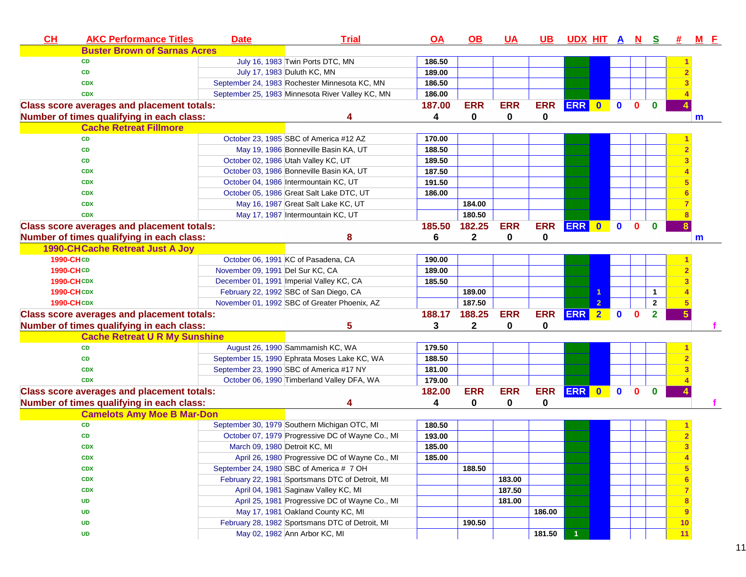| CL                | <b>AKC Performance Titles</b>                     | <b>Date</b>                      | <b>Trial</b>                                     | <b>OA</b> | OB           | <u>UA</u>  | <u>UB</u>  | <u>UDX HIT A N</u> |                |             |              | <u>s</u>     | #  | <u>M F</u> |
|-------------------|---------------------------------------------------|----------------------------------|--------------------------------------------------|-----------|--------------|------------|------------|--------------------|----------------|-------------|--------------|--------------|----|------------|
|                   | <b>Buster Brown of Sarnas Acres</b>               |                                  |                                                  |           |              |            |            |                    |                |             |              |              |    |            |
|                   | <b>CD</b>                                         |                                  | July 16, 1983 Twin Ports DTC, MN                 | 186.50    |              |            |            |                    |                |             |              |              |    |            |
|                   | <b>CD</b>                                         |                                  | July 17, 1983 Duluth KC, MN                      | 189.00    |              |            |            |                    |                |             |              |              |    |            |
|                   | <b>CDX</b>                                        |                                  | September 24, 1983 Rochester Minnesota KC, MN    | 186.50    |              |            |            |                    |                |             |              |              |    |            |
|                   | <b>CDX</b>                                        |                                  | September 25, 1983 Minnesota River Valley KC, MN | 186.00    |              |            |            |                    |                |             |              |              |    |            |
|                   | <b>Class score averages and placement totals:</b> |                                  |                                                  | 187.00    | <b>ERR</b>   | <b>ERR</b> | <b>ERR</b> | ERR 0              |                | $\mathbf 0$ | $\Omega$     | $\mathbf{0}$ |    |            |
|                   | Number of times qualifying in each class:         |                                  |                                                  | 4         | $\bf{0}$     | 0          | 0          |                    |                |             |              |              |    | m          |
|                   | <b>Cache Retreat Fillmore</b>                     |                                  |                                                  |           |              |            |            |                    |                |             |              |              |    |            |
|                   | <b>CD</b>                                         |                                  | October 23, 1985 SBC of America #12 AZ           | 170.00    |              |            |            |                    |                |             |              |              |    |            |
|                   | <b>CD</b>                                         |                                  | May 19, 1986 Bonneville Basin KA, UT             | 188.50    |              |            |            |                    |                |             |              |              |    |            |
|                   | <b>CD</b>                                         |                                  | October 02, 1986 Utah Valley KC, UT              | 189.50    |              |            |            |                    |                |             |              |              |    |            |
|                   | <b>CDX</b>                                        |                                  | October 03, 1986 Bonneville Basin KA, UT         | 187.50    |              |            |            |                    |                |             |              |              |    |            |
|                   | <b>CDX</b>                                        |                                  | October 04, 1986 Intermountain KC, UT            | 191.50    |              |            |            |                    |                |             |              |              |    |            |
|                   | <b>CDX</b>                                        |                                  | October 05, 1986 Great Salt Lake DTC, UT         | 186.00    |              |            |            |                    |                |             |              |              |    |            |
|                   | <b>CDX</b>                                        |                                  | May 16, 1987 Great Salt Lake KC, UT              |           | 184.00       |            |            |                    |                |             |              |              |    |            |
|                   | <b>CDX</b>                                        |                                  | May 17, 1987 Intermountain KC, UT                |           | 180.50       |            |            |                    |                |             |              |              |    |            |
|                   | <b>Class score averages and placement totals:</b> |                                  |                                                  | 185.50    | 182.25       | <b>ERR</b> | <b>ERR</b> | <b>ERR</b>         | $\bullet$      | $\mathbf 0$ | $\mathbf{0}$ | $\bf{0}$     |    |            |
|                   | Number of times qualifying in each class:         |                                  | 8                                                | 6         | 2            | 0          | 0          |                    |                |             |              |              |    | m          |
|                   | <b>1990-CHCache Retreat Just A Joy</b>            |                                  |                                                  |           |              |            |            |                    |                |             |              |              |    |            |
| 1990-CHCD         |                                                   |                                  | October 06, 1991 KC of Pasadena, CA              | 190.00    |              |            |            |                    |                |             |              |              |    |            |
| 1990-CHCD         |                                                   | November 09, 1991 Del Sur KC, CA |                                                  | 189.00    |              |            |            |                    |                |             |              |              |    |            |
| <b>1990-CHCDX</b> |                                                   |                                  | December 01, 1991 Imperial Valley KC, CA         | 185.50    |              |            |            |                    |                |             |              |              |    |            |
| <b>1990-CHCDX</b> |                                                   |                                  | February 22, 1992 SBC of San Diego, CA           |           | 189.00       |            |            |                    |                |             |              | 1            |    |            |
| <b>1990-CHCDX</b> |                                                   |                                  | November 01, 1992 SBC of Greater Phoenix, AZ     |           | 187.50       |            |            |                    | $\overline{2}$ |             |              | $\mathbf{2}$ |    |            |
|                   | <b>Class score averages and placement totals:</b> |                                  |                                                  | 188.17    | 188.25       | <b>ERR</b> | <b>ERR</b> | <b>ERR</b>         | $\bullet$      | $\bf{0}$    | $\Omega$     | $\mathbf{2}$ |    |            |
|                   | Number of times qualifying in each class:         |                                  | 5                                                | 3         | $\mathbf{2}$ | 0          | 0          |                    |                |             |              |              |    |            |
|                   | <b>Cache Retreat U R My Sunshine</b>              |                                  |                                                  |           |              |            |            |                    |                |             |              |              |    |            |
|                   | <b>CD</b>                                         |                                  | August 26, 1990 Sammamish KC, WA                 | 179.50    |              |            |            |                    |                |             |              |              |    |            |
|                   | <b>CD</b>                                         |                                  | September 15, 1990 Ephrata Moses Lake KC, WA     | 188.50    |              |            |            |                    |                |             |              |              |    |            |
|                   | <b>CDX</b>                                        |                                  | September 23, 1990 SBC of America #17 NY         | 181.00    |              |            |            |                    |                |             |              |              |    |            |
|                   | <b>CDX</b>                                        |                                  | October 06, 1990 Timberland Valley DFA, WA       | 179.00    |              |            |            |                    |                |             |              |              |    |            |
|                   | <b>Class score averages and placement totals:</b> |                                  |                                                  | 182.00    | <b>ERR</b>   | <b>ERR</b> | <b>ERR</b> | <b>ERR</b>         | $\mathbf{0}$   | $\bf{0}$    | $\Omega$     | $\bf{0}$     |    |            |
|                   | Number of times qualifying in each class:         |                                  | 4                                                | 4         | 0            | 0          | 0          |                    |                |             |              |              |    |            |
|                   | <b>Camelots Amy Moe B Mar-Don</b>                 |                                  |                                                  |           |              |            |            |                    |                |             |              |              |    |            |
|                   | <b>CD</b>                                         |                                  | September 30, 1979 Southern Michigan OTC, MI     | 180.50    |              |            |            |                    |                |             |              |              |    |            |
|                   | <b>CD</b>                                         |                                  | October 07, 1979 Progressive DC of Wayne Co., MI | 193.00    |              |            |            |                    |                |             |              |              |    |            |
|                   | <b>CDX</b>                                        | March 09, 1980 Detroit KC, MI    |                                                  | 185.00    |              |            |            |                    |                |             |              |              |    |            |
|                   | <b>CDX</b>                                        |                                  | April 26, 1980 Progressive DC of Wayne Co., MI   | 185.00    |              |            |            |                    |                |             |              |              |    |            |
|                   | <b>CDX</b>                                        |                                  | September 24, 1980 SBC of America # 7 OH         |           | 188.50       |            |            |                    |                |             |              |              |    |            |
|                   | <b>CDX</b>                                        |                                  | February 22, 1981 Sportsmans DTC of Detroit, MI  |           |              | 183.00     |            |                    |                |             |              |              |    |            |
|                   | <b>CDX</b>                                        |                                  | April 04, 1981 Saginaw Valley KC, MI             |           |              | 187.50     |            |                    |                |             |              |              |    |            |
|                   | <b>UD</b>                                         |                                  | April 25, 1981 Progressive DC of Wayne Co., MI   |           |              | 181.00     |            |                    |                |             |              |              |    |            |
|                   | <b>UD</b>                                         |                                  | May 17, 1981 Oakland County KC, MI               |           |              |            | 186.00     |                    |                |             |              |              | 9  |            |
|                   | <b>UD</b>                                         |                                  | February 28, 1982 Sportsmans DTC of Detroit, MI  |           | 190.50       |            |            |                    |                |             |              |              | 10 |            |
|                   | <b>UD</b>                                         |                                  | May 02, 1982 Ann Arbor KC, MI                    |           |              |            | 181.50     |                    |                |             |              |              | 11 |            |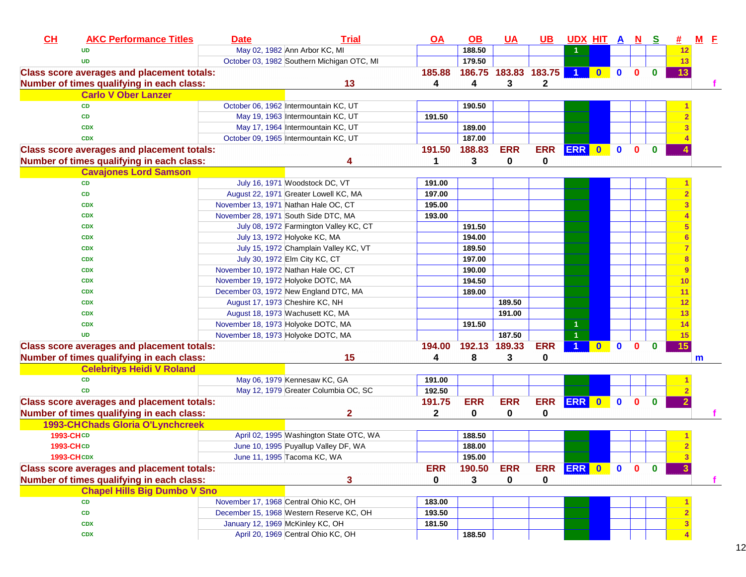| CL | <b>AKC Performance Titles</b>                     | <b>Date</b>                        | <b>Trial</b>                               | <u>OA</u>  | $\overline{OB}$ | <u>UA</u>            | <u>UB</u>    | <u>UDX HIT A N S</u> |           |              |              |              | #∴                      | $M$ E |  |
|----|---------------------------------------------------|------------------------------------|--------------------------------------------|------------|-----------------|----------------------|--------------|----------------------|-----------|--------------|--------------|--------------|-------------------------|-------|--|
|    | <b>UD</b>                                         |                                    | May 02, 1982 Ann Arbor KC, MI              |            | 188.50          |                      |              |                      |           |              |              |              | 12                      |       |  |
|    | <b>UD</b>                                         |                                    | October 03, 1982 Southern Michigan OTC, MI |            | 179.50          |                      |              |                      |           |              |              |              | 13                      |       |  |
|    | <b>Class score averages and placement totals:</b> |                                    |                                            | 185.88     |                 | 186.75 183.83 183.75 |              | $\overline{1}$       | $\bullet$ | $\mathbf 0$  | $\mathbf{0}$ | $\bf{0}$     | 13                      |       |  |
|    | Number of times qualifying in each class:         |                                    | 13                                         | 4          | 4               | 3                    | $\mathbf{2}$ |                      |           |              |              |              |                         |       |  |
|    | <b>Carlo V Ober Lanzer</b>                        |                                    |                                            |            |                 |                      |              |                      |           |              |              |              |                         |       |  |
|    | CD                                                |                                    | October 06, 1962 Intermountain KC, UT      |            | 190.50          |                      |              |                      |           |              |              |              |                         |       |  |
|    | CD                                                |                                    | May 19, 1963 Intermountain KC, UT          | 191.50     |                 |                      |              |                      |           |              |              |              | $\overline{2}$          |       |  |
|    | <b>CDX</b>                                        |                                    | May 17, 1964 Intermountain KC, UT          |            | 189.00          |                      |              |                      |           |              |              |              | 3                       |       |  |
|    | <b>CDX</b>                                        |                                    | October 09, 1965 Intermountain KC, UT      |            | 187.00          |                      |              |                      |           |              |              |              |                         |       |  |
|    | <b>Class score averages and placement totals:</b> |                                    |                                            | 191.50     | 188.83          | <b>ERR</b>           | <b>ERR</b>   | ERR 0                |           | $\mathbf 0$  | $\mathbf{0}$ | $\bf{0}$     |                         |       |  |
|    | Number of times qualifying in each class:         |                                    | 4                                          | 1          | 3               | 0                    | 0            |                      |           |              |              |              |                         |       |  |
|    | <b>Cavajones Lord Samson</b>                      |                                    |                                            |            |                 |                      |              |                      |           |              |              |              |                         |       |  |
|    | <b>CD</b>                                         |                                    | July 16, 1971 Woodstock DC, VT             | 191.00     |                 |                      |              |                      |           |              |              |              |                         |       |  |
|    | CD                                                |                                    | August 22, 1971 Greater Lowell KC, MA      | 197.00     |                 |                      |              |                      |           |              |              |              | $\overline{2}$          |       |  |
|    | <b>CDX</b>                                        |                                    | November 13, 1971 Nathan Hale OC, CT       | 195.00     |                 |                      |              |                      |           |              |              |              | $\overline{\mathbf{3}}$ |       |  |
|    | <b>CDX</b>                                        |                                    | November 28, 1971 South Side DTC, MA       | 193.00     |                 |                      |              |                      |           |              |              |              | $\overline{4}$          |       |  |
|    | <b>CDX</b>                                        |                                    | July 08, 1972 Farmington Valley KC, CT     |            | 191.50          |                      |              |                      |           |              |              |              | $5\phantom{.0}$         |       |  |
|    | <b>CDX</b>                                        |                                    | July 13, 1972 Holyoke KC, MA               |            | 194.00          |                      |              |                      |           |              |              |              | 6                       |       |  |
|    | <b>CDX</b>                                        |                                    | July 15, 1972 Champlain Valley KC, VT      |            | 189.50          |                      |              |                      |           |              |              |              | $\overline{7}$          |       |  |
|    | <b>CDX</b>                                        |                                    | July 30, 1972 Elm City KC, CT              |            | 197.00          |                      |              |                      |           |              |              |              | 8                       |       |  |
|    | <b>CDX</b>                                        |                                    | November 10, 1972 Nathan Hale OC, CT       |            | 190.00          |                      |              |                      |           |              |              |              | 9                       |       |  |
|    | <b>CDX</b>                                        | November 19, 1972 Holyoke DOTC, MA |                                            |            | 194.50          |                      |              |                      |           |              |              |              | 10                      |       |  |
|    | <b>CDX</b>                                        |                                    | December 03, 1972 New England DTC, MA      |            | 189.00          |                      |              |                      |           |              |              |              | 11                      |       |  |
|    | <b>CDX</b>                                        |                                    | August 17, 1973 Cheshire KC, NH            |            |                 | 189.50               |              |                      |           |              |              |              | 12                      |       |  |
|    | <b>CDX</b>                                        |                                    | August 18, 1973 Wachusett KC, MA           |            |                 | 191.00               |              |                      |           |              |              |              | 13                      |       |  |
|    | <b>CDX</b>                                        | November 18, 1973 Holyoke DOTC, MA |                                            |            | 191.50          |                      |              |                      |           |              |              |              | 14                      |       |  |
|    | <b>UD</b>                                         | November 18, 1973 Holyoke DOTC, MA |                                            |            |                 | 187.50               |              |                      |           |              |              |              | 15                      |       |  |
|    | <b>Class score averages and placement totals:</b> |                                    |                                            | 194.00     | 192.13 189.33   |                      | <b>ERR</b>   |                      | $\bullet$ | $\mathbf{0}$ | $\mathbf{0}$ | $\bf{0}$     | 15                      |       |  |
|    | Number of times qualifying in each class:         |                                    | 15                                         | 4          | 8               | 3                    | 0            |                      |           |              |              |              |                         | m     |  |
|    | <b>Celebritys Heidi V Roland</b>                  |                                    |                                            |            |                 |                      |              |                      |           |              |              |              |                         |       |  |
|    | CD                                                |                                    | May 06, 1979 Kennesaw KC, GA               | 191.00     |                 |                      |              |                      |           |              |              |              |                         |       |  |
|    | <b>CD</b>                                         |                                    | May 12, 1979 Greater Columbia OC, SC       | 192.50     |                 |                      |              |                      |           |              |              |              | $\overline{2}$          |       |  |
|    | <b>Class score averages and placement totals:</b> |                                    |                                            | 191.75     | <b>ERR</b>      | <b>ERR</b>           | ERR ERR 0    |                      |           | $\mathbf 0$  | $\mathbf{0}$ | $\bf{0}$     | $\overline{2}$          |       |  |
|    | Number of times qualifying in each class:         |                                    | 2                                          | 2          | 0               | 0                    | 0            |                      |           |              |              |              |                         |       |  |
|    | <b>1993-CHChads Gloria O'Lynchcreek</b>           |                                    |                                            |            |                 |                      |              |                      |           |              |              |              |                         |       |  |
|    | 1993-CHCD                                         |                                    | April 02, 1995 Washington State OTC, WA    |            | 188.50          |                      |              |                      |           |              |              |              |                         |       |  |
|    | <b>1993-CHCD</b>                                  |                                    | June 10, 1995 Puyallup Valley DF, WA       |            | 188.00          |                      |              |                      |           |              |              |              | $\overline{2}$          |       |  |
|    | <b>1993-CHCDX</b>                                 |                                    | June 11, 1995 Tacoma KC, WA                |            | 195.00          |                      |              |                      |           |              |              |              |                         |       |  |
|    | <b>Class score averages and placement totals:</b> |                                    |                                            | <b>ERR</b> | 190.50          | <b>ERR</b>           | ERR ERR 0 0  |                      |           |              | $\mathbf{0}$ | $\mathbf{0}$ | $\overline{3}$          |       |  |
|    | Number of times qualifying in each class:         |                                    | 3                                          | 0          | 3               | 0                    | 0            |                      |           |              |              |              |                         |       |  |
|    | <b>Chapel Hills Big Dumbo V Sno</b>               |                                    |                                            |            |                 |                      |              |                      |           |              |              |              |                         |       |  |
|    | <b>CD</b>                                         |                                    | November 17, 1968 Central Ohio KC, OH      | 183.00     |                 |                      |              |                      |           |              |              |              |                         |       |  |
|    | CD                                                |                                    | December 15, 1968 Western Reserve KC, OH   | 193.50     |                 |                      |              |                      |           |              |              |              | $\overline{2}$          |       |  |
|    | <b>CDX</b>                                        | January 12, 1969 McKinley KC, OH   |                                            | 181.50     |                 |                      |              |                      |           |              |              |              | $\mathbf{3}$            |       |  |
|    | <b>CDX</b>                                        |                                    | April 20, 1969 Central Ohio KC, OH         |            | 188.50          |                      |              |                      |           |              |              |              | $\boldsymbol{A}$        |       |  |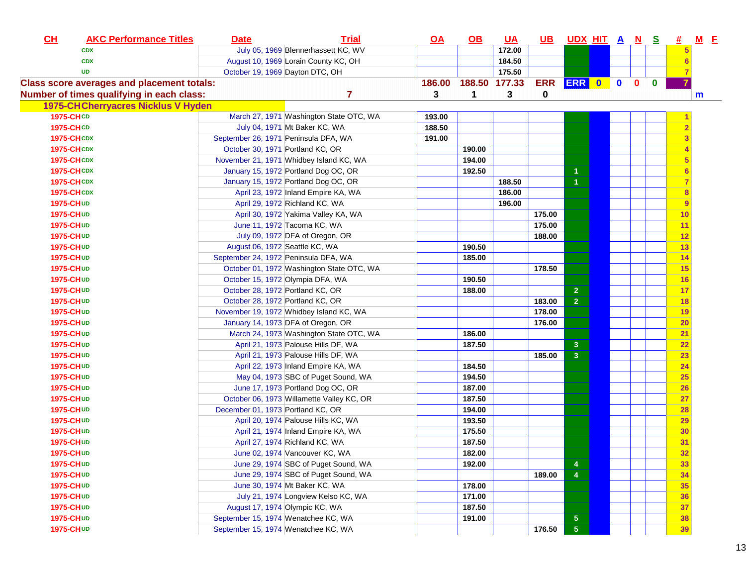| CL                 | <b>AKC Performance Titles</b>                     | <b>Date</b>                          | <b>Trial</b>                              | <u>OA</u> | <u>OB</u>            | <u>UA</u> |            | <u>UBUDXHITANS</u>      |  |              |              | <u>#</u>  | $M$ $E$ |  |
|--------------------|---------------------------------------------------|--------------------------------------|-------------------------------------------|-----------|----------------------|-----------|------------|-------------------------|--|--------------|--------------|-----------|---------|--|
|                    | <b>CDX</b>                                        |                                      | July 05, 1969 Blennerhassett KC, WV       |           |                      | 172.00    |            |                         |  |              |              | 5         |         |  |
|                    | <b>CDX</b>                                        |                                      | August 10, 1969 Lorain County KC, OH      |           |                      | 184.50    |            |                         |  |              |              | 6         |         |  |
|                    | <b>UD</b>                                         | October 19, 1969 Dayton DTC, OH      |                                           |           |                      | 175.50    |            |                         |  |              |              |           |         |  |
|                    | <b>Class score averages and placement totals:</b> |                                      |                                           | 186.00    | 188.50 177.33        |           | <b>ERR</b> | ERR 0 0                 |  | $\mathbf{0}$ | $\mathbf{0}$ |           |         |  |
|                    | Number of times qualifying in each class:         |                                      | $\overline{7}$                            | 3         | $\blacktriangleleft$ | 3         | 0          |                         |  |              |              |           | m       |  |
|                    | <b>1975-CHCherryacres Nicklus V Hyden</b>         |                                      |                                           |           |                      |           |            |                         |  |              |              |           |         |  |
| 1975-CHCD          |                                                   |                                      | March 27, 1971 Washington State OTC, WA   | 193.00    |                      |           |            |                         |  |              |              |           |         |  |
| <b>1975-CHCD</b>   |                                                   |                                      | July 04, 1971 Mt Baker KC, WA             | 188.50    |                      |           |            |                         |  |              |              |           |         |  |
| <b>1975-CHCDX</b>  |                                                   | September 26, 1971 Peninsula DFA, WA |                                           | 191.00    |                      |           |            |                         |  |              |              | 3         |         |  |
| <b>1975-CHCDX</b>  |                                                   | October 30, 1971 Portland KC, OR     |                                           |           | 190.00               |           |            |                         |  |              |              |           |         |  |
| <b>1975-CHCDX</b>  |                                                   |                                      | November 21, 1971 Whidbey Island KC, WA   |           | 194.00               |           |            |                         |  |              |              | 5         |         |  |
| <b>1975-CHCDX</b>  |                                                   |                                      | January 15, 1972 Portland Dog OC, OR      |           | 192.50               |           |            | 1                       |  |              |              |           |         |  |
| <b>1975-CH CDX</b> |                                                   |                                      | January 15, 1972 Portland Dog OC, OR      |           |                      | 188.50    |            | $\overline{1}$          |  |              |              |           |         |  |
| <b>1975-CH CDX</b> |                                                   |                                      | April 23, 1972 Inland Empire KA, WA       |           |                      | 186.00    |            |                         |  |              |              | 8         |         |  |
| <b>1975-CHUD</b>   |                                                   |                                      | April 29, 1972 Richland KC, WA            |           |                      | 196.00    |            |                         |  |              |              | 9         |         |  |
| <b>1975-CHUD</b>   |                                                   |                                      | April 30, 1972 Yakima Valley KA, WA       |           |                      |           | 175.00     |                         |  |              |              | 10        |         |  |
| <b>1975-CH UD</b>  |                                                   |                                      | June 11, 1972 Tacoma KC, WA               |           |                      |           | 175.00     |                         |  |              |              | 11        |         |  |
| <b>1975-CHUD</b>   |                                                   |                                      | July 09, 1972 DFA of Oregon, OR           |           |                      |           | 188.00     |                         |  |              |              | 12        |         |  |
| <b>1975-CHUD</b>   |                                                   | August 06, 1972 Seattle KC, WA       |                                           |           | 190.50               |           |            |                         |  |              |              | 13        |         |  |
| 1975-CHUD          |                                                   | September 24, 1972 Peninsula DFA, WA |                                           |           | 185.00               |           |            |                         |  |              |              | 14        |         |  |
| <b>1975-CHUD</b>   |                                                   |                                      | October 01, 1972 Washington State OTC, WA |           |                      |           | 178.50     |                         |  |              |              | 15        |         |  |
| <b>1975-CHUD</b>   |                                                   |                                      | October 15, 1972 Olympia DFA, WA          |           | 190.50               |           |            |                         |  |              |              | 16        |         |  |
| 1975-CHUD          |                                                   | October 28, 1972 Portland KC, OR     |                                           |           | 188.00               |           |            | $\overline{2}$          |  |              |              | 17        |         |  |
| 1975-CH UD         |                                                   | October 28, 1972 Portland KC, OR     |                                           |           |                      |           | 183.00     | $\overline{2}$          |  |              |              | 18        |         |  |
| 1975-CHUD          |                                                   |                                      | November 19, 1972 Whidbey Island KC, WA   |           |                      |           | 178.00     |                         |  |              |              | 19        |         |  |
| 1975-CHUD          |                                                   |                                      | January 14, 1973 DFA of Oregon, OR        |           |                      |           | 176.00     |                         |  |              |              | 20        |         |  |
| <b>1975-CHUD</b>   |                                                   |                                      | March 24, 1973 Washington State OTC, WA   |           | 186.00               |           |            |                         |  |              |              | 21        |         |  |
| <b>1975-CHUD</b>   |                                                   |                                      | April 21, 1973 Palouse Hills DF, WA       |           | 187.50               |           |            | $\mathbf{3}$            |  |              |              | 22        |         |  |
| <b>1975-CHUD</b>   |                                                   |                                      | April 21, 1973 Palouse Hills DF, WA       |           |                      |           | 185.00     | $\overline{3}$          |  |              |              | 23        |         |  |
| <b>1975-CHUD</b>   |                                                   |                                      | April 22, 1973 Inland Empire KA, WA       |           | 184.50               |           |            |                         |  |              |              | 24        |         |  |
| <b>1975-CHUD</b>   |                                                   |                                      | May 04, 1973 SBC of Puget Sound, WA       |           | 194.50               |           |            |                         |  |              |              | 25        |         |  |
| <b>1975-CHUD</b>   |                                                   |                                      | June 17, 1973 Portland Dog OC, OR         |           | 187.00               |           |            |                         |  |              |              | 26        |         |  |
| <b>1975-CHUD</b>   |                                                   |                                      | October 06, 1973 Willamette Valley KC, OR |           | 187.50               |           |            |                         |  |              |              | 27        |         |  |
| 1975-CHUD          |                                                   | December 01, 1973 Portland KC, OR    |                                           |           | 194.00               |           |            |                         |  |              |              | 28        |         |  |
| <b>1975-CHUD</b>   |                                                   |                                      | April 20, 1974 Palouse Hills KC, WA       |           | 193.50               |           |            |                         |  |              |              | <b>29</b> |         |  |
| 1975-CHUD          |                                                   |                                      | April 21, 1974 Inland Empire KA, WA       |           | 175.50               |           |            |                         |  |              |              | 30        |         |  |
| 1975-CHUD          |                                                   |                                      | April 27, 1974 Richland KC, WA            |           | 187.50               |           |            |                         |  |              |              | 31        |         |  |
| 1975-CHUD          |                                                   |                                      | June 02, 1974 Vancouver KC, WA            |           | 182.00               |           |            |                         |  |              |              | 32        |         |  |
| <b>1975-CHUD</b>   |                                                   |                                      | June 29, 1974 SBC of Puget Sound, WA      |           | 192.00               |           |            | 4                       |  |              |              | 33        |         |  |
| <b>1975-CHUD</b>   |                                                   |                                      | June 29, 1974 SBC of Puget Sound, WA      |           |                      |           | 189.00     | 4                       |  |              |              | 34        |         |  |
| 1975-CHUD          |                                                   |                                      | June 30, 1974 Mt Baker KC, WA             |           | 178.00               |           |            |                         |  |              |              | 35        |         |  |
| 1975-CH UD         |                                                   |                                      | July 21, 1974 Longview Kelso KC, WA       |           | 171.00               |           |            |                         |  |              |              | 36        |         |  |
| 1975-CHUD          |                                                   | August 17, 1974 Olympic KC, WA       |                                           |           | 187.50               |           |            |                         |  |              |              | 37        |         |  |
| 1975-CHUD          |                                                   | September 15, 1974 Wenatchee KC, WA  |                                           |           | 191.00               |           |            | $\overline{\mathbf{5}}$ |  |              |              | 38        |         |  |
| 1975-CHUD          |                                                   | September 15, 1974 Wenatchee KC, WA  |                                           |           |                      |           | 176.50     | 5 <sub>5</sub>          |  |              |              | 39        |         |  |
|                    |                                                   |                                      |                                           |           |                      |           |            |                         |  |              |              |           |         |  |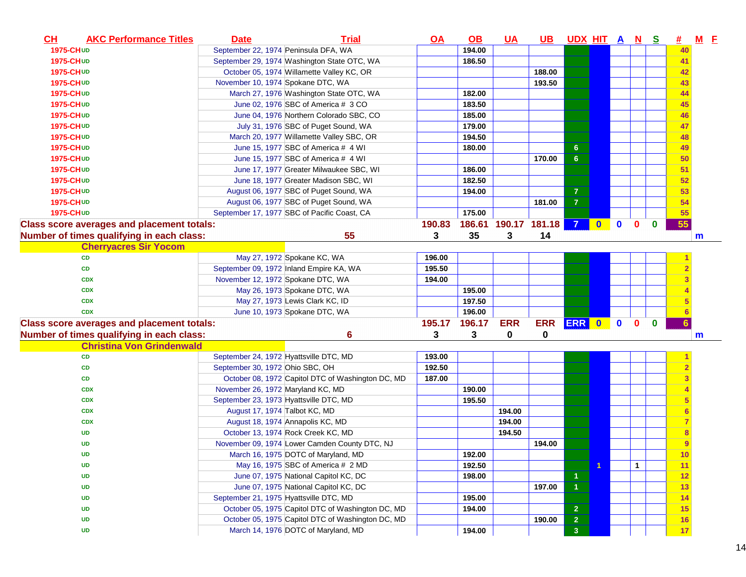| $CH$              | <b>AKC Performance Titles</b>                     | <b>Date</b>                       | <b>Trial</b>                                      | <u>OA</u> | <u>OB</u> | <u>UA</u>            | UB.         | <u>UDXHITANS</u>     |                      |              |              | 坓               | $M$ E        |  |
|-------------------|---------------------------------------------------|-----------------------------------|---------------------------------------------------|-----------|-----------|----------------------|-------------|----------------------|----------------------|--------------|--------------|-----------------|--------------|--|
| 1975-CHUD         |                                                   |                                   | September 22, 1974 Peninsula DFA, WA              |           | 194.00    |                      |             |                      |                      |              |              | 40              |              |  |
| 1975-CHUD         |                                                   |                                   | September 29, 1974 Washington State OTC, WA       |           | 186.50    |                      |             |                      |                      |              |              | 41              |              |  |
| 1975-CHUD         |                                                   |                                   | October 05, 1974 Willamette Valley KC, OR         |           |           |                      | 188.00      |                      |                      |              |              | 42              |              |  |
| 1975-CHUD         |                                                   | November 10, 1974 Spokane DTC, WA |                                                   |           |           |                      | 193.50      |                      |                      |              |              | 43              |              |  |
| 1975-CHUD         |                                                   |                                   | March 27, 1976 Washington State OTC, WA           |           | 182.00    |                      |             |                      |                      |              |              | 44              |              |  |
| 1975-CHUD         |                                                   |                                   | June 02, 1976 SBC of America # 3 CO               |           | 183.50    |                      |             |                      |                      |              |              | 45              |              |  |
| <b>1975-CHUD</b>  |                                                   |                                   | June 04, 1976 Northern Colorado SBC, CO           |           | 185.00    |                      |             |                      |                      |              |              | 46              |              |  |
| 1975-CHUD         |                                                   |                                   | July 31, 1976 SBC of Puget Sound, WA              |           | 179.00    |                      |             |                      |                      |              |              | 47              |              |  |
| 1975-CHUD         |                                                   |                                   | March 20, 1977 Willamette Valley SBC, OR          |           | 194.50    |                      |             |                      |                      |              |              | 48              |              |  |
| 1975-CHUD         |                                                   |                                   | June 15, 1977 SBC of America # 4 WI               |           | 180.00    |                      |             | 6 <sup>°</sup>       |                      |              |              | 49              |              |  |
| 1975-CHUD         |                                                   |                                   | June 15, 1977 SBC of America # 4 WI               |           |           |                      | 170.00      | 6 <sup>1</sup>       |                      |              |              | 50              |              |  |
| 1975-CHUD         |                                                   |                                   | June 17, 1977 Greater Milwaukee SBC, WI           |           | 186.00    |                      |             |                      |                      |              |              | 51              |              |  |
| 1975-CHUD         |                                                   |                                   | June 18, 1977 Greater Madison SBC, WI             |           | 182.50    |                      |             |                      |                      |              |              | 52              |              |  |
| <b>1975-CH UD</b> |                                                   |                                   | August 06, 1977 SBC of Puget Sound, WA            |           | 194.00    |                      |             | $\overline{7}$       |                      |              |              | 53              |              |  |
| 1975-CHUD         |                                                   |                                   | August 06, 1977 SBC of Puget Sound, WA            |           |           |                      | 181.00      | $\overline{7}$       |                      |              |              | 54              |              |  |
| 1975-CHUD         |                                                   |                                   | September 17, 1977 SBC of Pacific Coast, CA       |           | 175.00    |                      |             |                      |                      |              |              | 55              |              |  |
|                   | <b>Class score averages and placement totals:</b> |                                   |                                                   | 190.83    |           | 186.61 190.17 181.18 |             | $\overline{7}$       | $\bullet$ $\bullet$  | $\mathbf{0}$ | $\bf{0}$     | 55              |              |  |
|                   | Number of times qualifying in each class:         |                                   | 55                                                | 3         | 35        | 3                    | 14          |                      |                      |              |              |                 | m            |  |
|                   | <b>Cherryacres Sir Yocom</b>                      |                                   |                                                   |           |           |                      |             |                      |                      |              |              |                 |              |  |
|                   | CD                                                |                                   | May 27, 1972 Spokane KC, WA                       | 196.00    |           |                      |             |                      |                      |              |              |                 |              |  |
|                   | CD                                                |                                   | September 09, 1972 Inland Empire KA, WA           | 195.50    |           |                      |             |                      |                      |              |              |                 |              |  |
|                   | <b>CDX</b>                                        | November 12, 1972 Spokane DTC, WA |                                                   | 194.00    |           |                      |             |                      |                      |              |              |                 |              |  |
|                   | <b>CDX</b>                                        |                                   | May 26, 1973 Spokane DTC, WA                      |           | 195.00    |                      |             |                      |                      |              |              |                 |              |  |
|                   | <b>CDX</b>                                        |                                   | May 27, 1973 Lewis Clark KC, ID                   |           | 197.50    |                      |             |                      |                      |              |              |                 |              |  |
|                   | <b>CDX</b>                                        |                                   | June 10, 1973 Spokane DTC, WA                     |           | 196.00    |                      |             |                      |                      |              |              |                 |              |  |
|                   | <b>Class score averages and placement totals:</b> |                                   |                                                   | 195.17    | 196.17    | <b>ERR</b>           | ERR ERR 0 0 |                      |                      | $\mathbf{0}$ | $\mathbf{0}$ | $6\phantom{1}6$ |              |  |
|                   | Number of times qualifying in each class:         |                                   | 6                                                 | 3         | 3         | 0                    | 0           |                      |                      |              |              |                 | $\mathsf{m}$ |  |
|                   | <b>Christina Von Grindenwald</b>                  |                                   |                                                   |           |           |                      |             |                      |                      |              |              |                 |              |  |
|                   | <b>CD</b>                                         |                                   | September 24, 1972 Hyattsville DTC, MD            | 193.00    |           |                      |             |                      |                      |              |              |                 |              |  |
|                   | <b>CD</b>                                         | September 30, 1972 Ohio SBC, OH   |                                                   | 192.50    |           |                      |             |                      |                      |              |              |                 |              |  |
|                   | <b>CD</b>                                         |                                   | October 08, 1972 Capitol DTC of Washington DC, MD | 187.00    |           |                      |             |                      |                      |              |              |                 |              |  |
|                   | <b>CDX</b>                                        | November 26, 1972 Maryland KC, MD |                                                   |           | 190.00    |                      |             |                      |                      |              |              |                 |              |  |
|                   | <b>CDX</b>                                        |                                   | September 23, 1973 Hyattsville DTC, MD            |           | 195.50    |                      |             |                      |                      |              |              | 5               |              |  |
|                   | <b>CDX</b>                                        | August 17, 1974 Talbot KC, MD     |                                                   |           |           | 194.00               |             |                      |                      |              |              | $6 \,$          |              |  |
|                   | <b>CDX</b>                                        |                                   | August 18, 1974 Annapolis KC, MD                  |           |           | 194.00               |             |                      |                      |              |              |                 |              |  |
|                   | <b>UD</b>                                         |                                   | October 13, 1974 Rock Creek KC, MD                |           |           | 194.50               |             |                      |                      |              |              | 8               |              |  |
|                   | <b>UD</b>                                         |                                   | November 09, 1974 Lower Camden County DTC, NJ     |           |           |                      | 194.00      |                      |                      |              |              | 9               |              |  |
|                   | <b>UD</b>                                         |                                   | March 16, 1975 DOTC of Maryland, MD               |           | 192.00    |                      |             |                      |                      |              |              | $\frac{10}{10}$ |              |  |
|                   | <b>UD</b>                                         |                                   | May 16, 1975 SBC of America # 2 MD                |           | 192.50    |                      |             |                      | $\blacktriangleleft$ | $\mathbf{1}$ |              | 11              |              |  |
|                   | <b>UD</b>                                         |                                   | June 07, 1975 National Capitol KC, DC             |           | 198.00    |                      |             | $\blacktriangleleft$ |                      |              |              | 12              |              |  |
|                   | <b>UD</b>                                         |                                   | June 07, 1975 National Capitol KC, DC             |           |           |                      | 197.00      | $\blacktriangleleft$ |                      |              |              | 13              |              |  |
|                   | <b>UD</b>                                         |                                   | September 21, 1975 Hyattsville DTC, MD            |           | 195.00    |                      |             |                      |                      |              |              | 14              |              |  |
|                   | <b>UD</b>                                         |                                   | October 05, 1975 Capitol DTC of Washington DC, MD |           | 194.00    |                      |             | $\mathbf{2}$         |                      |              |              | <b>15</b>       |              |  |
|                   | <b>UD</b>                                         |                                   | October 05, 1975 Capitol DTC of Washington DC, MD |           |           |                      | 190.00      | $\overline{2}$       |                      |              |              | 16              |              |  |
|                   | <b>UD</b>                                         |                                   | March 14, 1976 DOTC of Maryland, MD               |           | 194.00    |                      |             | 3 <sup>2</sup>       |                      |              |              | 17              |              |  |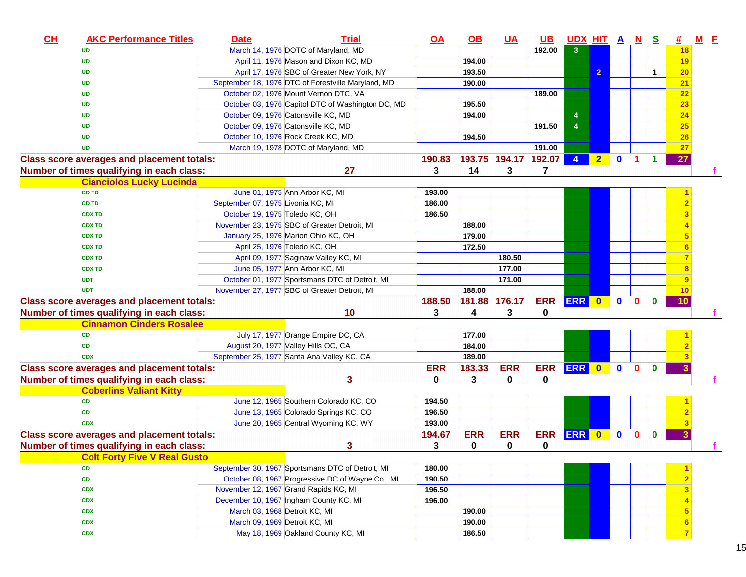| CH | <b>AKC Performance Titles</b>                     | <b>Date</b>                       | <b>Trial</b>                                       | <u>OA</u>  | $\Omega$         | <u>UA</u>     | <u>UB</u>  | <u>UDX HIT A N</u> |                         |              |              | <u>s</u>     | 坓         | $M$ $E$ |  |
|----|---------------------------------------------------|-----------------------------------|----------------------------------------------------|------------|------------------|---------------|------------|--------------------|-------------------------|--------------|--------------|--------------|-----------|---------|--|
|    | <b>UD</b>                                         |                                   | March 14, 1976 DOTC of Maryland, MD                |            |                  |               | 192.00     | 3 <sup>2</sup>     |                         |              |              |              | 18        |         |  |
|    | <b>UD</b>                                         |                                   | April 11, 1976 Mason and Dixon KC, MD              |            | 194.00           |               |            |                    |                         |              |              |              | 19        |         |  |
|    | <b>UD</b>                                         |                                   | April 17, 1976 SBC of Greater New York, NY         |            | 193.50           |               |            |                    | $\overline{2}$          |              |              | $\mathbf 1$  | 20        |         |  |
|    | <b>UD</b>                                         |                                   | September 18, 1976 DTC of Forestville Maryland, MD |            | 190.00           |               |            |                    |                         |              |              |              | 21        |         |  |
|    | <b>UD</b>                                         |                                   | October 02, 1976 Mount Vernon DTC, VA              |            |                  |               | 189.00     |                    |                         |              |              |              | 22        |         |  |
|    | <b>UD</b>                                         |                                   | October 03, 1976 Capitol DTC of Washington DC, MD  |            | 195.50           |               |            |                    |                         |              |              |              | 23        |         |  |
|    | <b>UD</b>                                         |                                   | October 09, 1976 Catonsville KC, MD                |            | 194.00           |               |            | 4                  |                         |              |              |              | 24        |         |  |
|    | <b>UD</b>                                         |                                   | October 09, 1976 Catonsville KC, MD                |            |                  |               | 191.50     | $\overline{4}$     |                         |              |              |              | 25        |         |  |
|    | <b>UD</b>                                         |                                   | October 10, 1976 Rock Creek KC, MD                 |            | 194.50           |               |            |                    |                         |              |              |              | <b>26</b> |         |  |
|    | <b>UD</b>                                         |                                   | March 19, 1978 DOTC of Maryland, MD                |            |                  |               | 191.00     |                    |                         |              |              |              | 27        |         |  |
|    | <b>Class score averages and placement totals:</b> |                                   |                                                    | 190.83     | 193.75           | 194.17 192.07 |            | 4                  | $\overline{\mathbf{2}}$ | $\mathbf{0}$ |              | 1            | 27        |         |  |
|    | Number of times qualifying in each class:         |                                   | 27                                                 | 3          | 14               | 3             | 7          |                    |                         |              |              |              |           |         |  |
|    | <b>Cianciolos Lucky Lucinda</b>                   |                                   |                                                    |            |                  |               |            |                    |                         |              |              |              |           |         |  |
|    | <b>CD TD</b>                                      |                                   | June 01, 1975 Ann Arbor KC, MI                     | 193.00     |                  |               |            |                    |                         |              |              |              |           |         |  |
|    | <b>CD TD</b>                                      | September 07, 1975 Livonia KC, MI |                                                    | 186.00     |                  |               |            |                    |                         |              |              |              |           |         |  |
|    | <b>CDX TD</b>                                     | October 19, 1975 Toledo KC, OH    |                                                    | 186.50     |                  |               |            |                    |                         |              |              |              |           |         |  |
|    | <b>CDX TD</b>                                     |                                   | November 23, 1975 SBC of Greater Detroit, MI       |            | 188.00           |               |            |                    |                         |              |              |              |           |         |  |
|    | <b>CDX TD</b>                                     |                                   | January 25, 1976 Marion Ohio KC, OH                |            | 179.00           |               |            |                    |                         |              |              |              |           |         |  |
|    | <b>CDX TD</b>                                     |                                   | April 25, 1976 Toledo KC, OH                       |            | 172.50           |               |            |                    |                         |              |              |              |           |         |  |
|    | <b>CDX TD</b>                                     |                                   | April 09, 1977 Saginaw Valley KC, MI               |            |                  | 180.50        |            |                    |                         |              |              |              |           |         |  |
|    | <b>CDX TD</b>                                     |                                   | June 05, 1977 Ann Arbor KC, MI                     |            |                  | 177.00        |            |                    |                         |              |              |              |           |         |  |
|    | <b>UDT</b>                                        |                                   | October 01, 1977 Sportsmans DTC of Detroit, MI     |            |                  | 171.00        |            |                    |                         |              |              |              |           |         |  |
|    | <b>UDT</b>                                        |                                   | November 27, 1977 SBC of Greater Detroit, MI       |            | 188.00           |               |            |                    |                         |              |              |              | 10        |         |  |
|    | <b>Class score averages and placement totals:</b> |                                   |                                                    | 188.50     | 181.88 176.17    |               | <b>ERR</b> | ERR 0              |                         | $\mathbf{0}$ | $\mathbf{0}$ | $\bf{0}$     | 10        |         |  |
|    | Number of times qualifying in each class:         |                                   | 10                                                 | 3          | 4                | 3             | 0          |                    |                         |              |              |              |           |         |  |
|    | <b>Cinnamon Cinders Rosalee</b>                   |                                   |                                                    |            |                  |               |            |                    |                         |              |              |              |           |         |  |
|    | CD<br><b>CD</b>                                   |                                   | July 17, 1977 Orange Empire DC, CA                 |            | 177.00<br>184.00 |               |            |                    |                         |              |              |              |           |         |  |
|    | <b>CDX</b>                                        |                                   | August 20, 1977 Valley Hills OC, CA                |            | 189.00           |               |            |                    |                         |              |              |              |           |         |  |
|    | <b>Class score averages and placement totals:</b> |                                   | September 25, 1977 Santa Ana Valley KC, CA         | <b>ERR</b> | 183.33           | <b>ERR</b>    | <b>ERR</b> | ERR 0              |                         | $\bullet$    | $\mathbf{0}$ | $\mathbf{0}$ | 3         |         |  |
|    | Number of times qualifying in each class:         |                                   | 3                                                  | 0          | 3                | 0             | 0          |                    |                         |              |              |              |           |         |  |
|    | <b>Coberlins Valiant Kitty</b>                    |                                   |                                                    |            |                  |               |            |                    |                         |              |              |              |           |         |  |
|    | <b>CD</b>                                         |                                   | June 12, 1965 Southern Colorado KC, CO             | 194.50     |                  |               |            |                    |                         |              |              |              |           |         |  |
|    | <b>CD</b>                                         |                                   | June 13, 1965 Colorado Springs KC, CO              | 196.50     |                  |               |            |                    |                         |              |              |              |           |         |  |
|    | <b>CDX</b>                                        |                                   | June 20, 1965 Central Wyoming KC, WY               | 193.00     |                  |               |            |                    |                         |              |              |              |           |         |  |
|    | <b>Class score averages and placement totals:</b> |                                   |                                                    | 194.67     | <b>ERR</b>       | <b>ERR</b>    | <b>ERR</b> | ERR 0              |                         | $\mathbf 0$  | $\mathbf{0}$ | $\bf{0}$     | 3         |         |  |
|    | Number of times qualifying in each class:         |                                   | 3                                                  | 3          | 0                | 0             | 0          |                    |                         |              |              |              |           |         |  |
|    | <b>Colt Forty Five V Real Gusto</b>               |                                   |                                                    |            |                  |               |            |                    |                         |              |              |              |           |         |  |
|    | <b>CD</b>                                         |                                   | September 30, 1967 Sportsmans DTC of Detroit, MI   | 180.00     |                  |               |            |                    |                         |              |              |              |           |         |  |
|    | <b>CD</b>                                         |                                   | October 08, 1967 Progressive DC of Wayne Co., MI   | 190.50     |                  |               |            |                    |                         |              |              |              |           |         |  |
|    | <b>CDX</b>                                        |                                   | November 12, 1967 Grand Rapids KC, MI              | 196.50     |                  |               |            |                    |                         |              |              |              |           |         |  |
|    | <b>CDX</b>                                        |                                   | December 10, 1967 Ingham County KC, MI             | 196.00     |                  |               |            |                    |                         |              |              |              |           |         |  |
|    | <b>CDX</b>                                        | March 03, 1968 Detroit KC, MI     |                                                    |            | 190.00           |               |            |                    |                         |              |              |              |           |         |  |
|    | <b>CDX</b>                                        | March 09, 1969 Detroit KC, MI     |                                                    |            | 190.00           |               |            |                    |                         |              |              |              |           |         |  |
|    | <b>CDX</b>                                        |                                   | May 18, 1969 Oakland County KC, MI                 |            | 186.50           |               |            |                    |                         |              |              |              |           |         |  |
|    |                                                   |                                   |                                                    |            |                  |               |            |                    |                         |              |              |              |           |         |  |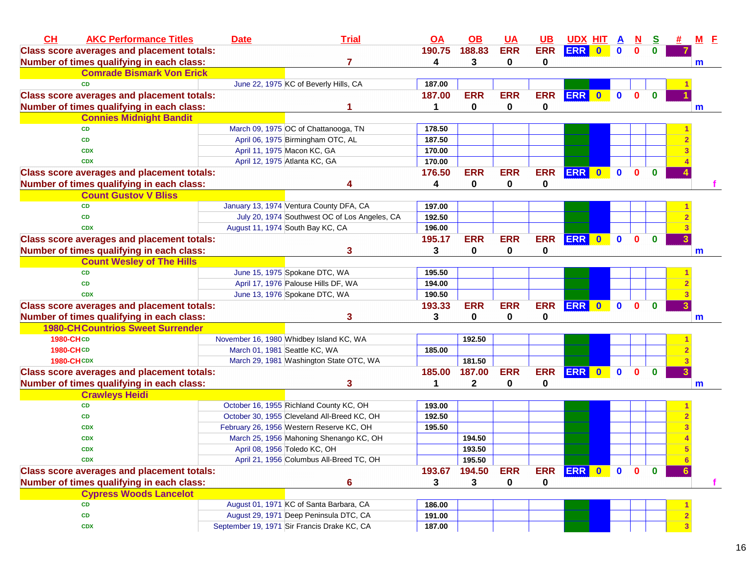| CH<br><b>AKC Performance Titles</b>               | <b>Date</b> | <b>Trial</b>                                  | <u>OA</u> | $\overline{OB}$ | <b>UA</b>   | <b>UB</b>  | <b>UDX HIT A</b> |              | <u>N</u>     | S            |                | M E |    |
|---------------------------------------------------|-------------|-----------------------------------------------|-----------|-----------------|-------------|------------|------------------|--------------|--------------|--------------|----------------|-----|----|
| <b>Class score averages and placement totals:</b> |             |                                               | 190.75    | 188.83          | <b>ERR</b>  | <b>ERR</b> | <b>ERR</b> 0     | $\mathbf 0$  | $\mathbf{0}$ | $\mathbf{0}$ |                |     |    |
| Number of times qualifying in each class:         |             | 7                                             | 4         | 3               | $\mathbf 0$ | 0          |                  |              |              |              |                | m   |    |
| <b>Comrade Bismark Von Erick</b>                  |             |                                               |           |                 |             |            |                  |              |              |              |                |     |    |
| <b>CD</b>                                         |             | June 22, 1975 KC of Beverly Hills, CA         | 187.00    |                 |             |            |                  |              |              |              |                |     |    |
| <b>Class score averages and placement totals:</b> |             |                                               | 187.00    | <b>ERR</b>      | <b>ERR</b>  | <b>ERR</b> | ERR 0            | $\mathbf{0}$ | $\mathbf{0}$ | $\mathbf{0}$ |                |     |    |
| Number of times qualifying in each class:         |             |                                               | 1         | 0               | 0           | 0          |                  |              |              |              |                | m   |    |
| <b>Connies Midnight Bandit</b>                    |             |                                               |           |                 |             |            |                  |              |              |              |                |     |    |
| <b>CD</b>                                         |             | March 09, 1975 OC of Chattanooga, TN          | 178.50    |                 |             |            |                  |              |              |              |                |     |    |
| <b>CD</b>                                         |             | April 06, 1975 Birmingham OTC, AL             | 187.50    |                 |             |            |                  |              |              |              |                |     |    |
| <b>CDX</b>                                        |             | April 11, 1975 Macon KC, GA                   | 170.00    |                 |             |            |                  |              |              |              |                |     |    |
| <b>CDX</b>                                        |             | April 12, 1975 Atlanta KC, GA                 | 170.00    |                 |             |            |                  |              |              |              |                |     |    |
| <b>Class score averages and placement totals:</b> |             |                                               | 176.50    | <b>ERR</b>      | <b>ERR</b>  | <b>ERR</b> | ERR 0            | $\mathbf{0}$ | $\mathbf{0}$ | $\mathbf{0}$ |                |     |    |
| Number of times qualifying in each class:         |             |                                               | 4         | 0               | $\mathbf 0$ | 0          |                  |              |              |              |                |     |    |
| <b>Count Gustov V Bliss</b>                       |             |                                               |           |                 |             |            |                  |              |              |              |                |     |    |
| <b>CD</b>                                         |             | January 13, 1974 Ventura County DFA, CA       | 197.00    |                 |             |            |                  |              |              |              |                |     |    |
| <b>CD</b>                                         |             | July 20, 1974 Southwest OC of Los Angeles, CA | 192.50    |                 |             |            |                  |              |              |              |                |     |    |
| <b>CDX</b>                                        |             | August 11, 1974 South Bay KC, CA              | 196.00    |                 |             |            |                  |              |              |              |                |     |    |
| <b>Class score averages and placement totals:</b> |             |                                               | 195.17    | <b>ERR</b>      | <b>ERR</b>  | <b>ERR</b> | <b>ERR</b> 0     | $\mathbf{0}$ | $\mathbf{0}$ | $\mathbf{0}$ |                |     |    |
| Number of times qualifying in each class:         |             | 3                                             | 3         | 0               | 0           | 0          |                  |              |              |              |                | m   |    |
| <b>Count Wesley of The Hills</b>                  |             |                                               |           |                 |             |            |                  |              |              |              |                |     |    |
| <b>CD</b>                                         |             | June 15, 1975 Spokane DTC, WA                 | 195.50    |                 |             |            |                  |              |              |              |                |     |    |
| CD                                                |             | April 17, 1976 Palouse Hills DF, WA           | 194.00    |                 |             |            |                  |              |              |              |                |     |    |
| <b>CDX</b>                                        |             | June 13, 1976 Spokane DTC, WA                 | 190.50    |                 |             |            |                  |              |              |              |                |     |    |
| <b>Class score averages and placement totals:</b> |             |                                               | 193.33    | <b>ERR</b>      | <b>ERR</b>  | <b>ERR</b> | ERR 0            | $\bullet$    | $\mathbf{0}$ | $\mathbf{0}$ |                |     |    |
| Number of times qualifying in each class:         |             | 3                                             | 3         | 0               | 0           | 0          |                  |              |              |              |                | m   |    |
| <b>1980-CH Countrios Sweet Surrender</b>          |             |                                               |           |                 |             |            |                  |              |              |              |                |     |    |
| 1980-CHCD                                         |             | November 16, 1980 Whidbey Island KC, WA       |           | 192.50          |             |            |                  |              |              |              |                |     |    |
| 1980-CHCD                                         |             | March 01, 1981 Seattle KC, WA                 | 185.00    |                 |             |            |                  |              |              |              |                |     |    |
| <b>1980-CH CDX</b>                                |             | March 29, 1981 Washington State OTC, WA       |           | 181.50          |             |            |                  |              |              |              |                |     |    |
| <b>Class score averages and placement totals:</b> |             |                                               | 185.00    | 187.00          | <b>ERR</b>  | <b>ERR</b> | ERR 0            | $\bullet$    | $\mathbf{0}$ | $\mathbf{0}$ |                |     |    |
| Number of times qualifying in each class:         |             | 3                                             |           | 2               | 0           | 0          |                  |              |              |              |                | m   |    |
| <b>Crawleys Heidi</b>                             |             |                                               |           |                 |             |            |                  |              |              |              |                |     |    |
| CD                                                |             | October 16, 1955 Richland County KC, OH       | 193.00    |                 |             |            |                  |              |              |              |                |     |    |
| CD                                                |             | October 30, 1955 Cleveland All-Breed KC, OH   | 192.50    |                 |             |            |                  |              |              |              |                |     |    |
| <b>CDX</b>                                        |             | February 26, 1956 Western Reserve KC, OH      | 195.50    |                 |             |            |                  |              |              |              |                |     |    |
| <b>CDX</b>                                        |             | March 25, 1956 Mahoning Shenango KC, OH       |           | 194.50          |             |            |                  |              |              |              |                |     |    |
| <b>CDX</b>                                        |             | April 08, 1956 Toledo KC, OH                  |           | 193.50          |             |            |                  |              |              |              | 5              |     |    |
| <b>CDX</b>                                        |             | April 21, 1956 Columbus All-Breed TC, OH      |           | 195.50          |             |            |                  |              |              |              | 6              |     |    |
| <b>Class score averages and placement totals:</b> |             |                                               | 193.67    | 194.50          | <b>ERR</b>  |            | ERR ERR 0        | $\mathbf 0$  | $\mathbf{0}$ | $\mathbf{0}$ |                |     |    |
| Number of times qualifying in each class:         |             | $6\phantom{1}$                                | 3         | 3               | 0           | 0          |                  |              |              |              |                |     | f. |
| <b>Cypress Woods Lancelot</b>                     |             |                                               |           |                 |             |            |                  |              |              |              |                |     |    |
| <b>CD</b>                                         |             | August 01, 1971 KC of Santa Barbara, CA       | 186.00    |                 |             |            |                  |              |              |              |                |     |    |
| CD                                                |             | August 29, 1971 Deep Peninsula DTC, CA        | 191.00    |                 |             |            |                  |              |              |              |                |     |    |
| <b>CDX</b>                                        |             | September 19, 1971 Sir Francis Drake KC, CA   | 187.00    |                 |             |            |                  |              |              |              | 3 <sup>1</sup> |     |    |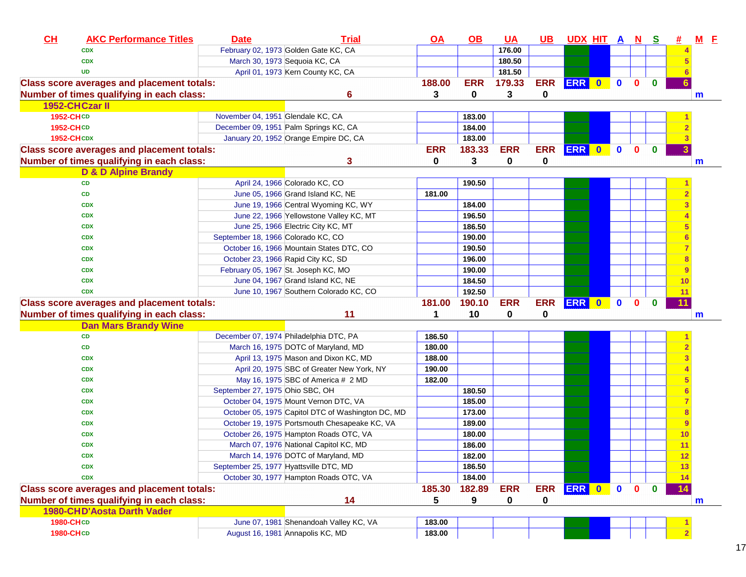| CH                     | <b>AKC Performance Titles</b>                     | <b>Date</b>                            | <b>Trial</b>                                                               | $\overline{OA}$  | <u>OB</u>  | <u>UA</u>  | UB.         | <u>UDX HIT A N S</u> |           |             |              |              |                 | $M$ E |
|------------------------|---------------------------------------------------|----------------------------------------|----------------------------------------------------------------------------|------------------|------------|------------|-------------|----------------------|-----------|-------------|--------------|--------------|-----------------|-------|
|                        | <b>CDX</b>                                        |                                        | February 02, 1973 Golden Gate KC, CA                                       |                  |            | 176.00     |             |                      |           |             |              |              |                 |       |
|                        | <b>CDX</b>                                        | March 30, 1973 Sequoia KC, CA          |                                                                            |                  |            | 180.50     |             |                      |           |             |              |              |                 |       |
|                        | <b>UD</b>                                         |                                        | April 01, 1973 Kern County KC, CA                                          |                  |            | 181.50     |             |                      |           |             |              |              |                 |       |
|                        | <b>Class score averages and placement totals:</b> |                                        |                                                                            | 188.00           | <b>ERR</b> | 179.33     | <b>ERR</b>  | ERR 0                |           | $\bullet$   | $\mathbf{0}$ | $\mathbf{0}$ |                 |       |
|                        | Number of times qualifying in each class:         |                                        | 6                                                                          | 3                | 0          | 3          | 0           |                      |           |             |              |              |                 | m     |
|                        | 1952-CHCzar II                                    |                                        |                                                                            |                  |            |            |             |                      |           |             |              |              |                 |       |
| 1952-CHCD              |                                                   | November 04, 1951 Glendale KC, CA      |                                                                            |                  | 183.00     |            |             |                      |           |             |              |              |                 |       |
| 1952-CHCD              |                                                   |                                        | December 09, 1951 Palm Springs KC, CA                                      |                  | 184.00     |            |             |                      |           |             |              |              |                 |       |
| <b>1952-CHCDX</b>      |                                                   |                                        | January 20, 1952 Orange Empire DC, CA                                      |                  | 183.00     |            |             |                      |           |             |              |              |                 |       |
|                        | <b>Class score averages and placement totals:</b> |                                        |                                                                            | <b>ERR</b>       | 183.33     | <b>ERR</b> | <b>ERR</b>  | <b>ERR</b>           | $\bullet$ | $\mathbf 0$ | $\mathbf{0}$ | $\mathbf{0}$ |                 |       |
|                        | Number of times qualifying in each class:         |                                        | 3                                                                          | 0                | 3          | 0          | $\mathbf 0$ |                      |           |             |              |              |                 | m     |
|                        | <b>D &amp; D Alpine Brandy</b>                    |                                        |                                                                            |                  |            |            |             |                      |           |             |              |              |                 |       |
|                        | CD                                                |                                        | April 24, 1966 Colorado KC, CO                                             |                  | 190.50     |            |             |                      |           |             |              |              |                 |       |
|                        | CD                                                |                                        | June 05, 1966 Grand Island KC, NE                                          | 181.00           |            |            |             |                      |           |             |              |              |                 |       |
|                        | <b>CDX</b>                                        |                                        | June 19, 1966 Central Wyoming KC, WY                                       |                  | 184.00     |            |             |                      |           |             |              |              |                 |       |
|                        | <b>CDX</b>                                        |                                        | June 22, 1966 Yellowstone Valley KC, MT                                    |                  | 196.50     |            |             |                      |           |             |              |              |                 |       |
|                        | <b>CDX</b>                                        |                                        | June 25, 1966 Electric City KC, MT                                         |                  | 186.50     |            |             |                      |           |             |              |              |                 |       |
|                        | <b>CDX</b>                                        | September 18, 1966 Colorado KC, CO     |                                                                            |                  | 190.00     |            |             |                      |           |             |              |              |                 |       |
|                        | <b>CDX</b>                                        |                                        | October 16, 1966 Mountain States DTC, CO                                   |                  | 190.50     |            |             |                      |           |             |              |              |                 |       |
|                        | <b>CDX</b>                                        |                                        | October 23, 1966 Rapid City KC, SD                                         |                  | 196.00     |            |             |                      |           |             |              |              |                 |       |
|                        | <b>CDX</b>                                        |                                        | February 05, 1967 St. Joseph KC, MO                                        |                  | 190.00     |            |             |                      |           |             |              |              |                 |       |
|                        | <b>CDX</b>                                        |                                        | June 04, 1967 Grand Island KC, NE                                          |                  | 184.50     |            |             |                      |           |             |              |              | 10              |       |
|                        | <b>CDX</b>                                        |                                        | June 10, 1967 Southern Colorado KC, CO                                     |                  | 192.50     |            |             |                      |           |             |              |              | 11              |       |
|                        | <b>Class score averages and placement totals:</b> |                                        |                                                                            | 181.00           | 190.10     | <b>ERR</b> | <b>ERR</b>  | ERR 0 0              |           |             | $\mathbf{0}$ | $\bf{0}$     | $\overline{11}$ |       |
|                        | Number of times qualifying in each class:         |                                        | 11                                                                         | 1                | 10         | 0          | 0           |                      |           |             |              |              |                 | m     |
|                        |                                                   |                                        |                                                                            |                  |            |            |             |                      |           |             |              |              |                 |       |
|                        | <b>Dan Mars Brandy Wine</b>                       |                                        |                                                                            |                  |            |            |             |                      |           |             |              |              |                 |       |
|                        | CD                                                |                                        | December 07, 1974 Philadelphia DTC, PA                                     | 186.50           |            |            |             |                      |           |             |              |              |                 |       |
|                        | CD                                                |                                        | March 16, 1975 DOTC of Maryland, MD                                        | 180.00           |            |            |             |                      |           |             |              |              |                 |       |
|                        | <b>CDX</b>                                        |                                        | April 13, 1975 Mason and Dixon KC, MD                                      | 188.00           |            |            |             |                      |           |             |              |              |                 |       |
|                        | <b>CDX</b>                                        |                                        | April 20, 1975 SBC of Greater New York, NY                                 | 190.00           |            |            |             |                      |           |             |              |              |                 |       |
|                        | <b>CDX</b>                                        |                                        | May 16, 1975 SBC of America # 2 MD                                         | 182.00           |            |            |             |                      |           |             |              |              |                 |       |
|                        | <b>CDX</b>                                        | September 27, 1975 Ohio SBC, OH        |                                                                            |                  | 180.50     |            |             |                      |           |             |              |              |                 |       |
|                        | <b>CDX</b>                                        |                                        | October 04, 1975 Mount Vernon DTC, VA                                      |                  | 185.00     |            |             |                      |           |             |              |              |                 |       |
|                        | <b>CDX</b>                                        |                                        | October 05, 1975 Capitol DTC of Washington DC, MD                          |                  | 173.00     |            |             |                      |           |             |              |              |                 |       |
|                        | <b>CDX</b>                                        |                                        | October 19, 1975 Portsmouth Chesapeake KC, VA                              |                  | 189.00     |            |             |                      |           |             |              |              |                 |       |
|                        | <b>CDX</b>                                        |                                        | October 26, 1975 Hampton Roads OTC, VA                                     |                  | 180.00     |            |             |                      |           |             |              |              | 10              |       |
|                        | <b>CDX</b>                                        |                                        | March 07, 1976 National Capitol KC, MD                                     |                  | 186.00     |            |             |                      |           |             |              |              | 11              |       |
|                        | <b>CDX</b>                                        |                                        | March 14, 1976 DOTC of Maryland, MD                                        |                  | 182.00     |            |             |                      |           |             |              |              |                 |       |
|                        | <b>CDX</b>                                        | September 25, 1977 Hyattsville DTC, MD |                                                                            |                  | 186.50     |            |             |                      |           |             |              |              | 13              |       |
|                        | <b>CDX</b>                                        |                                        | October 30, 1977 Hampton Roads OTC, VA                                     |                  | 184.00     |            |             |                      |           |             |              |              |                 |       |
|                        | <b>Class score averages and placement totals:</b> |                                        |                                                                            | 185.30           | 182.89     | <b>ERR</b> | <b>ERR</b>  | ERR 0                |           | $\bullet$   | $\mathbf{0}$ | $\mathbf{0}$ | -14             |       |
|                        | Number of times qualifying in each class:         |                                        | 14                                                                         | 5                | 9          | 0          | 0           |                      |           |             |              |              |                 | m     |
|                        | <b>1980-CHD'Aosta Darth Vader</b>                 |                                        |                                                                            |                  |            |            |             |                      |           |             |              |              |                 |       |
| 1980-CHCD<br>1980-CHCD |                                                   |                                        | June 07, 1981 Shenandoah Valley KC, VA<br>August 16, 1981 Annapolis KC, MD | 183.00<br>183.00 |            |            |             |                      |           |             |              |              |                 |       |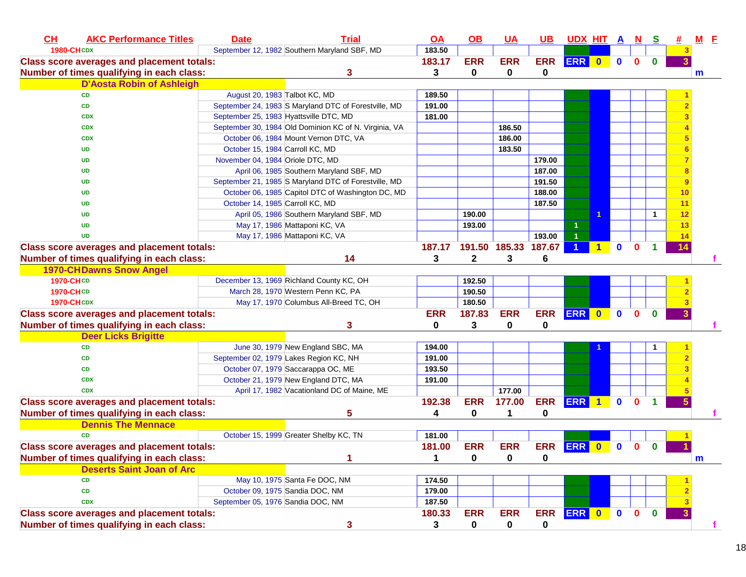| CL                | <b>AKC Performance Titles</b>                     | <b>Date</b>                            | <b>Trial</b>                                          | <u>OA</u>  | $\underline{\mathsf{OB}}$ | <b>UA</b>     | $UB$        | <b>UDX HIT A</b> |   |              | $\overline{\mathbf{N}}$ | $\mathbf{s}$         | 坓  | $M$ $E$ |    |
|-------------------|---------------------------------------------------|----------------------------------------|-------------------------------------------------------|------------|---------------------------|---------------|-------------|------------------|---|--------------|-------------------------|----------------------|----|---------|----|
| <b>1980-CHCDX</b> |                                                   |                                        | September 12, 1982 Southern Maryland SBF, MD          | 183.50     |                           |               |             |                  |   |              |                         |                      |    |         |    |
|                   | <b>Class score averages and placement totals:</b> |                                        |                                                       | 183.17     | <b>ERR</b>                | <b>ERR</b>    | <b>ERR</b>  | ERR 0            |   | $\bullet$    | $\mathbf{0}$            | $\mathbf{0}$         |    |         |    |
|                   | Number of times qualifying in each class:         |                                        | 3                                                     | 3          | 0                         | 0             | 0           |                  |   |              |                         |                      |    | m       |    |
|                   | <b>D'Aosta Robin of Ashleigh</b>                  |                                        |                                                       |            |                           |               |             |                  |   |              |                         |                      |    |         |    |
|                   | <b>CD</b>                                         | August 20, 1983 Talbot KC, MD          |                                                       | 189.50     |                           |               |             |                  |   |              |                         |                      |    |         |    |
|                   | CD                                                |                                        | September 24, 1983 S Maryland DTC of Forestville, MD  | 191.00     |                           |               |             |                  |   |              |                         |                      |    |         |    |
|                   | <b>CDX</b>                                        | September 25, 1983 Hyattsville DTC, MD |                                                       | 181.00     |                           |               |             |                  |   |              |                         |                      |    |         |    |
|                   | <b>CDX</b>                                        |                                        | September 30, 1984 Old Dominion KC of N. Virginia, VA |            |                           | 186.50        |             |                  |   |              |                         |                      |    |         |    |
|                   | <b>CDX</b>                                        |                                        | October 06, 1984 Mount Vernon DTC, VA                 |            |                           | 186.00        |             |                  |   |              |                         |                      | 5  |         |    |
|                   | <b>UD</b>                                         | October 15, 1984 Carroll KC, MD        |                                                       |            |                           | 183.50        |             |                  |   |              |                         |                      | 6  |         |    |
|                   | <b>UD</b>                                         | November 04, 1984 Oriole DTC, MD       |                                                       |            |                           |               | 179.00      |                  |   |              |                         |                      |    |         |    |
|                   | <b>UD</b>                                         |                                        | April 06, 1985 Southern Maryland SBF, MD              |            |                           |               | 187.00      |                  |   |              |                         |                      | 8  |         |    |
|                   | <b>UD</b>                                         |                                        | September 21, 1985 S Maryland DTC of Forestville, MD  |            |                           |               | 191.50      |                  |   |              |                         |                      | 9  |         |    |
|                   | <b>UD</b>                                         |                                        | October 06, 1985 Capitol DTC of Washington DC, MD     |            |                           |               | 188.00      |                  |   |              |                         |                      | 10 |         |    |
|                   | <b>UD</b>                                         | October 14, 1985 Carroll KC, MD        |                                                       |            |                           |               | 187.50      |                  |   |              |                         |                      | 11 |         |    |
|                   | <b>UD</b>                                         |                                        | April 05, 1986 Southern Maryland SBF, MD              |            | 190.00                    |               |             |                  |   |              |                         | -1                   | 12 |         |    |
|                   | <b>UD</b>                                         |                                        | May 17, 1986 Mattaponi KC, VA                         |            | 193.00                    |               |             |                  |   |              |                         |                      | 13 |         |    |
|                   | <b>UD</b>                                         |                                        | May 17, 1986 Mattaponi KC, VA                         |            |                           |               | 193.00      | $\overline{1}$   |   |              |                         |                      | 14 |         |    |
|                   | <b>Class score averages and placement totals:</b> |                                        |                                                       | 187.17     |                           | 191.50 185.33 | 187.67      |                  | 1 | $\mathbf{0}$ | $\bf{0}$                | 1                    | 14 |         |    |
|                   | Number of times qualifying in each class:         |                                        | 14                                                    | 3          | $\mathbf{2}$              | 3             | 6           |                  |   |              |                         |                      |    |         |    |
|                   | <b>1970-CHDawns Snow Angel</b>                    |                                        |                                                       |            |                           |               |             |                  |   |              |                         |                      |    |         |    |
| 1970-CHCD         |                                                   |                                        | December 13, 1969 Richland County KC, OH              |            | 192.50                    |               |             |                  |   |              |                         |                      |    |         |    |
| <b>1970-CHCD</b>  |                                                   |                                        | March 28, 1970 Western Penn KC, PA                    |            | 190.50                    |               |             |                  |   |              |                         |                      |    |         |    |
| <b>1970-CHCDX</b> |                                                   |                                        | May 17, 1970 Columbus All-Breed TC, OH                |            | 180.50                    |               |             |                  |   |              |                         |                      |    |         |    |
|                   | <b>Class score averages and placement totals:</b> |                                        |                                                       | <b>ERR</b> | 187.83                    | <b>ERR</b>    | <b>ERR</b>  | ERR 0            |   | $\mathbf{0}$ | $\mathbf{0}$            | $\bf{0}$             |    |         |    |
|                   | Number of times qualifying in each class:         |                                        | 3                                                     | 0          | 3                         | 0             | 0           |                  |   |              |                         |                      |    |         |    |
|                   | <b>Deer Licks Brigitte</b>                        |                                        |                                                       |            |                           |               |             |                  |   |              |                         |                      |    |         |    |
|                   | <b>CD</b>                                         |                                        | June 30, 1979 New England SBC, MA                     | 194.00     |                           |               |             |                  |   |              |                         |                      |    |         |    |
|                   | CD                                                |                                        | September 02, 1979 Lakes Region KC, NH                | 191.00     |                           |               |             |                  |   |              |                         |                      |    |         |    |
|                   | <b>CD</b>                                         |                                        | October 07, 1979 Saccarappa OC, ME                    | 193.50     |                           |               |             |                  |   |              |                         |                      |    |         |    |
|                   | <b>CDX</b>                                        |                                        | October 21, 1979 New England DTC, MA                  | 191.00     |                           |               |             |                  |   |              |                         |                      |    |         |    |
|                   | <b>CDX</b>                                        |                                        | April 17, 1982 Vacationland DC of Maine, ME           |            |                           | 177.00        |             |                  |   |              |                         |                      |    |         |    |
|                   | <b>Class score averages and placement totals:</b> |                                        |                                                       | 192.38     | <b>ERR</b>                | 177.00        | <b>ERR</b>  | ERR 1            |   | $\mathbf{0}$ | $\mathbf{0}$            | $\blacktriangleleft$ | 5. |         |    |
|                   | Number of times qualifying in each class:         |                                        | 5                                                     | 4          | 0                         | 1             | 0           |                  |   |              |                         |                      |    |         |    |
|                   | <b>Dennis The Mennace</b>                         |                                        |                                                       |            |                           |               |             |                  |   |              |                         |                      |    |         |    |
|                   | <b>CD</b>                                         |                                        | October 15, 1999 Greater Shelby KC, TN                | 181.00     |                           |               |             |                  |   |              |                         |                      |    |         |    |
|                   | <b>Class score averages and placement totals:</b> |                                        |                                                       | 181.00     | <b>ERR</b>                | <b>ERR</b>    |             | ERR ERR 0        |   | $\mathbf{0}$ | $\mathbf 0$             | $\bf{0}$             |    |         |    |
|                   | Number of times qualifying in each class:         |                                        |                                                       | 1          | $\mathbf{0}$              | 0             | $\bf{0}$    |                  |   |              |                         |                      |    | m       |    |
|                   | <b>Deserts Saint Joan of Arc</b>                  |                                        |                                                       |            |                           |               |             |                  |   |              |                         |                      |    |         |    |
|                   | <b>CD</b>                                         |                                        | May 10, 1975 Santa Fe DOC, NM                         | 174.50     |                           |               |             |                  |   |              |                         |                      |    |         |    |
|                   | CD                                                |                                        | October 09, 1975 Sandia DOC, NM                       | 179.00     |                           |               |             |                  |   |              |                         |                      |    |         |    |
|                   | <b>CDX</b>                                        | September 05, 1976 Sandia DOC, NM      |                                                       | 187.50     |                           |               |             |                  |   |              |                         |                      |    |         |    |
|                   | <b>Class score averages and placement totals:</b> |                                        |                                                       | 180.33     | <b>ERR</b>                | <b>ERR</b>    |             | ERR ERR 0 0 0    |   |              |                         | $\bullet$            |    |         |    |
|                   | Number of times qualifying in each class:         |                                        | 3                                                     | 3          | 0                         | $\mathbf 0$   | $\mathbf 0$ |                  |   |              |                         |                      |    |         | f. |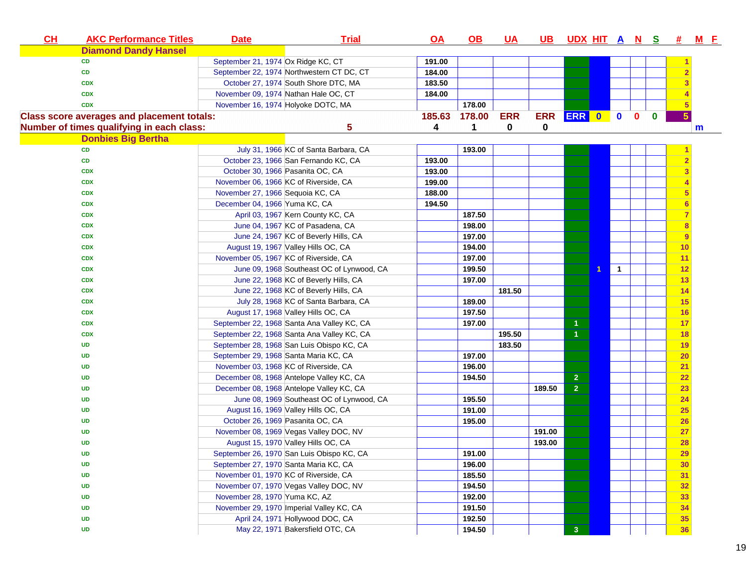| CL | <b>AKC Performance Titles</b>                     | <b>Date</b>                           | <b>Trial</b>                               | <u>OA</u> | <u>OB</u> | <u>UA</u>  | <u>UB</u>  | <u>UDX HITANS</u>       |                         |              |              | 坓              | $M$ $E$ |
|----|---------------------------------------------------|---------------------------------------|--------------------------------------------|-----------|-----------|------------|------------|-------------------------|-------------------------|--------------|--------------|----------------|---------|
|    | <b>Diamond Dandy Hansel</b>                       |                                       |                                            |           |           |            |            |                         |                         |              |              |                |         |
|    | <b>CD</b>                                         | September 21, 1974 Ox Ridge KC, CT    |                                            | 191.00    |           |            |            |                         |                         |              |              |                |         |
|    | <b>CD</b>                                         |                                       | September 22, 1974 Northwestern CT DC, CT  | 184.00    |           |            |            |                         |                         |              |              |                |         |
|    | <b>CDX</b>                                        |                                       | October 27, 1974 South Shore DTC, MA       | 183.50    |           |            |            |                         |                         |              |              |                |         |
|    | <b>CDX</b>                                        |                                       | November 09, 1974 Nathan Hale OC, CT       | 184.00    |           |            |            |                         |                         |              |              |                |         |
|    | <b>CDX</b>                                        | November 16, 1974 Holyoke DOTC, MA    |                                            |           | 178.00    |            |            |                         |                         |              |              |                |         |
|    | <b>Class score averages and placement totals:</b> |                                       |                                            | 185.63    | 178.00    | <b>ERR</b> | <b>ERR</b> | ERR 0                   | $\bullet$               | $\mathbf{0}$ | $\mathbf{0}$ | 5 <sup>5</sup> |         |
|    | Number of times qualifying in each class:         |                                       | 5                                          | 4         | 1         | 0          | 0          |                         |                         |              |              |                | m       |
|    | <b>Donbies Big Bertha</b>                         |                                       |                                            |           |           |            |            |                         |                         |              |              |                |         |
|    | <b>CD</b>                                         |                                       | July 31, 1966 KC of Santa Barbara, CA      |           | 193.00    |            |            |                         |                         |              |              |                |         |
|    | CD                                                |                                       | October 23, 1966 San Fernando KC, CA       | 193.00    |           |            |            |                         |                         |              |              | $\overline{2}$ |         |
|    | <b>CDX</b>                                        | October 30, 1966 Pasanita OC, CA      |                                            | 193.00    |           |            |            |                         |                         |              |              | 3              |         |
|    | <b>CDX</b>                                        |                                       | November 06, 1966 KC of Riverside, CA      | 199.00    |           |            |            |                         |                         |              |              |                |         |
|    | <b>CDX</b>                                        | November 27, 1966 Sequoia KC, CA      |                                            | 188.00    |           |            |            |                         |                         |              |              | 5              |         |
|    | <b>CDX</b>                                        | December 04, 1966 Yuma KC, CA         |                                            | 194.50    |           |            |            |                         |                         |              |              |                |         |
|    | <b>CDX</b>                                        |                                       | April 03, 1967 Kern County KC, CA          |           | 187.50    |            |            |                         |                         |              |              | 7              |         |
|    | <b>CDX</b>                                        |                                       | June 04, 1967 KC of Pasadena, CA           |           | 198.00    |            |            |                         |                         |              |              | 8              |         |
|    | <b>CDX</b>                                        |                                       | June 24, 1967 KC of Beverly Hills, CA      |           | 197.00    |            |            |                         |                         |              |              | 9              |         |
|    | <b>CDX</b>                                        |                                       | August 19, 1967 Valley Hills OC, CA        |           | 194.00    |            |            |                         |                         |              |              | 10             |         |
|    | <b>CDX</b>                                        | November 05, 1967 KC of Riverside, CA |                                            |           | 197.00    |            |            |                         |                         |              |              | 11             |         |
|    | <b>CDX</b>                                        |                                       | June 09, 1968 Southeast OC of Lynwood, CA  |           | 199.50    |            |            |                         | $\overline{\mathbf{1}}$ |              |              | 12             |         |
|    | <b>CDX</b>                                        |                                       | June 22, 1968 KC of Beverly Hills, CA      |           | 197.00    |            |            |                         |                         |              |              | 13             |         |
|    | <b>CDX</b>                                        |                                       | June 22, 1968 KC of Beverly Hills, CA      |           |           | 181.50     |            |                         |                         |              |              | 14             |         |
|    | <b>CDX</b>                                        |                                       | July 28, 1968 KC of Santa Barbara, CA      |           | 189.00    |            |            |                         |                         |              |              | 15             |         |
|    | <b>CDX</b>                                        |                                       | August 17, 1968 Valley Hills OC, CA        |           | 197.50    |            |            |                         |                         |              |              | 16             |         |
|    | <b>CDX</b>                                        |                                       | September 22, 1968 Santa Ana Valley KC, CA |           | 197.00    |            |            | $\blacktriangleleft$    |                         |              |              | 17             |         |
|    | <b>CDX</b>                                        |                                       | September 22, 1968 Santa Ana Valley KC, CA |           |           | 195.50     |            | $\blacktriangleleft$    |                         |              |              | <b>18</b>      |         |
|    | <b>UD</b>                                         |                                       | September 28, 1968 San Luis Obispo KC, CA  |           |           | 183.50     |            |                         |                         |              |              | 19             |         |
|    | <b>UD</b>                                         | September 29, 1968 Santa Maria KC, CA |                                            |           | 197.00    |            |            |                         |                         |              |              | 20             |         |
|    | <b>UD</b>                                         |                                       | November 03, 1968 KC of Riverside, CA      |           | 196.00    |            |            |                         |                         |              |              | 21             |         |
|    | <b>UD</b>                                         |                                       | December 08, 1968 Antelope Valley KC, CA   |           | 194.50    |            |            | $\overline{\mathbf{2}}$ |                         |              |              | 22             |         |
|    | <b>UD</b>                                         |                                       | December 08, 1968 Antelope Valley KC, CA   |           |           |            | 189.50     | $\overline{2}$          |                         |              |              | 23             |         |
|    | <b>UD</b>                                         |                                       | June 08, 1969 Southeast OC of Lynwood, CA  |           | 195.50    |            |            |                         |                         |              |              | 24             |         |
|    | <b>UD</b>                                         |                                       | August 16, 1969 Valley Hills OC, CA        |           | 191.00    |            |            |                         |                         |              |              | 25             |         |
|    | <b>UD</b>                                         | October 26, 1969 Pasanita OC, CA      |                                            |           | 195.00    |            |            |                         |                         |              |              | 26             |         |
|    | UD                                                |                                       | November 08, 1969 Vegas Valley DOC, NV     |           |           |            | 191.00     |                         |                         |              |              | 27             |         |
|    | UD                                                |                                       | August 15, 1970 Valley Hills OC, CA        |           |           |            | 193.00     |                         |                         |              |              | 28             |         |
|    | <b>UD</b>                                         |                                       | September 26, 1970 San Luis Obispo KC, CA  |           | 191.00    |            |            |                         |                         |              |              | 29             |         |
|    | <b>UD</b>                                         | September 27, 1970 Santa Maria KC, CA |                                            |           | 196.00    |            |            |                         |                         |              |              | 30             |         |
|    | <b>UD</b>                                         | November 01, 1970 KC of Riverside, CA |                                            |           | 185.50    |            |            |                         |                         |              |              | 31             |         |
|    | UD                                                |                                       | November 07, 1970 Vegas Valley DOC, NV     |           | 194.50    |            |            |                         |                         |              |              | 32             |         |
|    | <b>UD</b>                                         | November 28, 1970 Yuma KC, AZ         |                                            |           | 192.00    |            |            |                         |                         |              |              | 33             |         |
|    | <b>UD</b>                                         |                                       | November 29, 1970 Imperial Valley KC, CA   |           | 191.50    |            |            |                         |                         |              |              | 34             |         |
|    | <b>UD</b>                                         |                                       | April 24, 1971 Hollywood DOC, CA           |           | 192.50    |            |            |                         |                         |              |              | 35             |         |
|    | <b>UD</b>                                         |                                       | May 22, 1971 Bakersfield OTC, CA           |           | 194.50    |            |            | $\mathbf{3}$            |                         |              |              | 36             |         |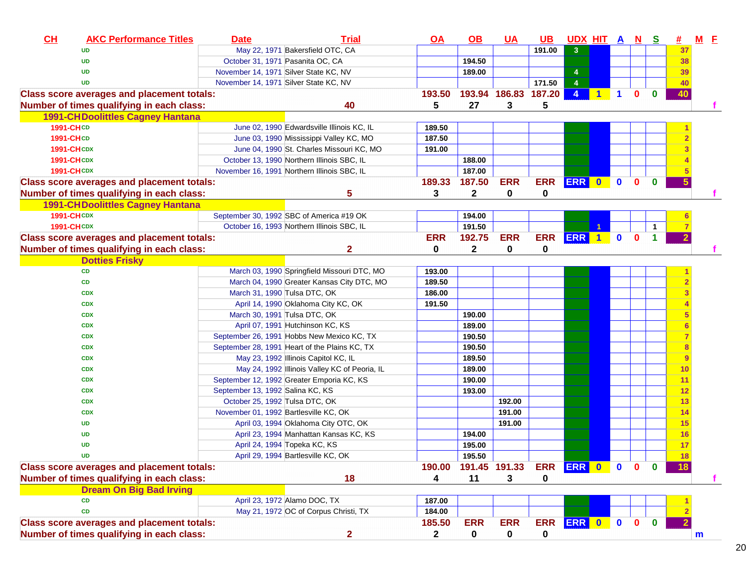| CL                | <b>AKC Performance Titles</b>                                                        | <b>Date</b>                           | <b>Trial</b>                                  | $\overline{\mathsf{OA}}$ | $\underline{\mathsf{OB}}$ | <b>UA</b>                 | $\overline{\mathsf{UB}}$ | <u>UDX HIT A N</u>                     |              |              | <u>s</u>    | #  | $M$ E       |  |
|-------------------|--------------------------------------------------------------------------------------|---------------------------------------|-----------------------------------------------|--------------------------|---------------------------|---------------------------|--------------------------|----------------------------------------|--------------|--------------|-------------|----|-------------|--|
|                   | <b>UD</b>                                                                            |                                       | May 22, 1971 Bakersfield OTC, CA              |                          |                           |                           | 191.00                   | $\mathbf{3}$                           |              |              |             | 37 |             |  |
|                   | <b>UD</b>                                                                            |                                       | October 31, 1971 Pasanita OC, CA              |                          | 194.50                    |                           |                          |                                        |              |              |             | 38 |             |  |
|                   | <b>UD</b>                                                                            |                                       | November 14, 1971 Silver State KC, NV         |                          | 189.00                    |                           |                          | 4                                      |              |              |             | 39 |             |  |
|                   | <b>UD</b>                                                                            |                                       | November 14, 1971 Silver State KC, NV         |                          |                           |                           | 171.50                   | $\overline{4}$                         |              |              |             | 40 |             |  |
|                   | <b>Class score averages and placement totals:</b>                                    |                                       | 40                                            | 193.50<br>5              | 27                        | 193.94 186.83 187.20<br>3 | 5                        | $\overline{4}$<br>$\blacktriangleleft$ | $\mathbf{1}$ | $\mathbf{0}$ | $\bf{0}$    | 40 |             |  |
|                   | Number of times qualifying in each class:<br><b>1991-CHDoolittles Cagney Hantana</b> |                                       |                                               |                          |                           |                           |                          |                                        |              |              |             |    |             |  |
| <b>1991-CHCD</b>  |                                                                                      |                                       | June 02, 1990 Edwardsville Illinois KC, IL    | 189.50                   |                           |                           |                          |                                        |              |              |             |    |             |  |
| <b>1991-CHCD</b>  |                                                                                      |                                       | June 03, 1990 Mississippi Valley KC, MO       | 187.50                   |                           |                           |                          |                                        |              |              |             |    |             |  |
| <b>1991-CHCDX</b> |                                                                                      |                                       | June 04, 1990 St. Charles Missouri KC, MO     | 191.00                   |                           |                           |                          |                                        |              |              |             |    |             |  |
| <b>1991-CHCDX</b> |                                                                                      |                                       | October 13, 1990 Northern Illinois SBC, IL    |                          | 188.00                    |                           |                          |                                        |              |              |             |    |             |  |
| <b>1991-CHCDX</b> |                                                                                      |                                       | November 16, 1991 Northern Illinois SBC, IL   |                          | 187.00                    |                           |                          |                                        |              |              |             |    |             |  |
|                   | <b>Class score averages and placement totals:</b>                                    |                                       |                                               | 189.33                   | 187.50                    | <b>ERR</b>                | <b>ERR</b>               | ERR 0                                  | $\mathbf 0$  | $\mathbf{0}$ | $\mathbf 0$ | 5  |             |  |
|                   | Number of times qualifying in each class:                                            |                                       | 5                                             | 3                        | $\mathbf{2}$              | 0                         | 0                        |                                        |              |              |             |    |             |  |
|                   | <b>1991-CHDoolittles Cagney Hantana</b>                                              |                                       |                                               |                          |                           |                           |                          |                                        |              |              |             |    |             |  |
| <b>1991-CHCDX</b> |                                                                                      |                                       | September 30, 1992 SBC of America #19 OK      |                          | 194.00                    |                           |                          |                                        |              |              |             |    |             |  |
| <b>1991-CHCDX</b> |                                                                                      |                                       | October 16, 1993 Northern Illinois SBC, IL    |                          | 191.50                    |                           |                          |                                        |              |              | 1           |    |             |  |
|                   | <b>Class score averages and placement totals:</b>                                    |                                       |                                               | <b>ERR</b>               | 192.75                    | <b>ERR</b>                | <b>ERR</b>               | ERR <sub>1</sub>                       | $\mathbf 0$  | $\mathbf{0}$ | 1           |    |             |  |
|                   | Number of times qualifying in each class:                                            |                                       | $\overline{2}$                                | 0                        | 2                         | 0                         | 0                        |                                        |              |              |             |    |             |  |
|                   | <b>Dotties Frisky</b>                                                                |                                       |                                               |                          |                           |                           |                          |                                        |              |              |             |    |             |  |
|                   | CD                                                                                   |                                       | March 03, 1990 Springfield Missouri DTC, MO   | 193.00                   |                           |                           |                          |                                        |              |              |             |    |             |  |
|                   | CD                                                                                   |                                       | March 04, 1990 Greater Kansas City DTC, MO    | 189.50                   |                           |                           |                          |                                        |              |              |             |    |             |  |
|                   | <b>CDX</b>                                                                           |                                       | March 31, 1990 Tulsa DTC, OK                  | 186.00                   |                           |                           |                          |                                        |              |              |             |    |             |  |
|                   | <b>CDX</b>                                                                           |                                       | April 14, 1990 Oklahoma City KC, OK           | 191.50                   |                           |                           |                          |                                        |              |              |             |    |             |  |
|                   | <b>CDX</b>                                                                           |                                       | March 30, 1991 Tulsa DTC, OK                  |                          | 190.00                    |                           |                          |                                        |              |              |             |    |             |  |
|                   | <b>CDX</b>                                                                           |                                       | April 07, 1991 Hutchinson KC, KS              |                          | 189.00                    |                           |                          |                                        |              |              |             |    |             |  |
|                   | <b>CDX</b>                                                                           |                                       | September 26, 1991 Hobbs New Mexico KC, TX    |                          | 190.50                    |                           |                          |                                        |              |              |             | 7  |             |  |
|                   | <b>CDX</b>                                                                           |                                       | September 28, 1991 Heart of the Plains KC, TX |                          | 190.50                    |                           |                          |                                        |              |              |             | 8  |             |  |
|                   | <b>CDX</b>                                                                           |                                       | May 23, 1992 Illinois Capitol KC, IL          |                          | 189.50                    |                           |                          |                                        |              |              |             | 9  |             |  |
|                   | <b>CDX</b>                                                                           |                                       | May 24, 1992 Illinois Valley KC of Peoria, IL |                          | 189.00                    |                           |                          |                                        |              |              |             | 10 |             |  |
|                   | <b>CDX</b>                                                                           |                                       | September 12, 1992 Greater Emporia KC, KS     |                          | 190.00                    |                           |                          |                                        |              |              |             | 11 |             |  |
|                   | <b>CDX</b>                                                                           | September 13, 1992 Salina KC, KS      |                                               |                          | 193.00                    |                           |                          |                                        |              |              |             | 12 |             |  |
|                   | <b>CDX</b>                                                                           | October 25, 1992 Tulsa DTC, OK        |                                               |                          |                           | 192.00                    |                          |                                        |              |              |             | 13 |             |  |
|                   | <b>CDX</b>                                                                           | November 01, 1992 Bartlesville KC, OK |                                               |                          |                           | 191.00                    |                          |                                        |              |              |             | 14 |             |  |
|                   | <b>UD</b>                                                                            |                                       | April 03, 1994 Oklahoma City OTC, OK          |                          |                           | 191.00                    |                          |                                        |              |              |             | 15 |             |  |
|                   | <b>UD</b>                                                                            |                                       | April 23, 1994 Manhattan Kansas KC, KS        |                          | 194.00                    |                           |                          |                                        |              |              |             | 16 |             |  |
|                   | <b>UD</b>                                                                            |                                       | April 24, 1994 Topeka KC, KS                  |                          | 195.00                    |                           |                          |                                        |              |              |             | 17 |             |  |
|                   | $\mathbf{m}$                                                                         |                                       | April 29, 1994 Bartlesville KC, OK            |                          | 195.50                    |                           |                          |                                        |              |              |             | 18 |             |  |
|                   | <b>Class score averages and placement totals:</b>                                    |                                       |                                               | 190.00                   |                           | 191.45 191.33             | <b>ERR</b>               | <b>ERR</b> 0                           | $\mathbf{0}$ |              |             |    |             |  |
|                   | Number of times qualifying in each class:                                            |                                       | 18                                            | 4                        | 11                        | 3                         | 0                        |                                        |              |              |             |    |             |  |
|                   | <b>Dream On Big Bad Irving</b>                                                       |                                       |                                               |                          |                           |                           |                          |                                        |              |              |             |    |             |  |
|                   | <b>CD</b>                                                                            |                                       | April 23, 1972 Alamo DOC, TX                  | 187.00                   |                           |                           |                          |                                        |              |              |             |    |             |  |
|                   | <b>CD</b>                                                                            |                                       | May 21, 1972 OC of Corpus Christi, TX         | 184.00                   |                           |                           |                          |                                        |              |              |             |    |             |  |
|                   | <b>Class score averages and placement totals:</b>                                    |                                       |                                               | 185.50                   | <b>ERR</b>                | <b>ERR</b>                | <b>ERR</b>               | ERR 0                                  | $\mathbf{0}$ | $\bf{0}$     | $\bf{0}$    |    |             |  |
|                   | Number of times qualifying in each class:                                            |                                       | $\overline{2}$                                | $\mathbf{2}$             | $\mathbf 0$               | $\mathbf 0$               | 0                        |                                        |              |              |             |    | $\mathbf m$ |  |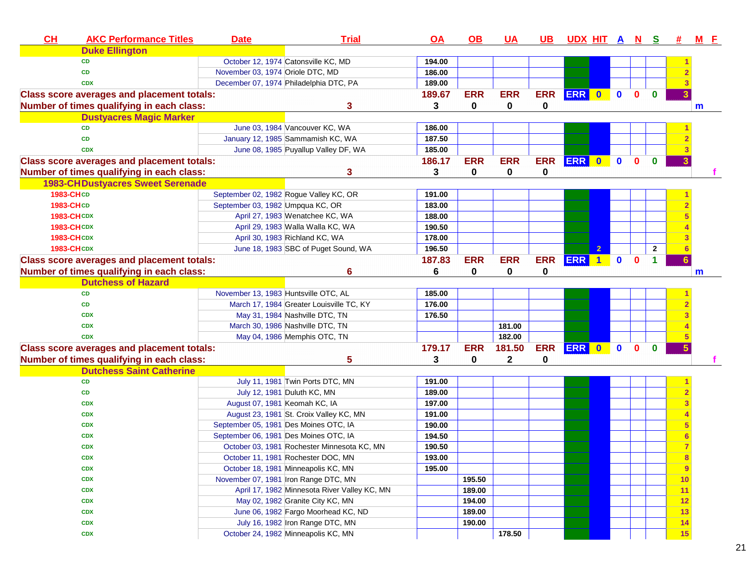| CH        | <b>AKC Performance Titles</b>                     | <b>Date</b> | <b>Trial</b>                                 | <b>OA</b> | $\overline{OB}$ | <u>UA</u>   | <u>UB</u>   | <u>UDX HIT A N S</u> |                |             |              |              | 亜  | <b>M</b> E |
|-----------|---------------------------------------------------|-------------|----------------------------------------------|-----------|-----------------|-------------|-------------|----------------------|----------------|-------------|--------------|--------------|----|------------|
|           | <b>Duke Ellington</b>                             |             |                                              |           |                 |             |             |                      |                |             |              |              |    |            |
|           | <b>CD</b>                                         |             | October 12, 1974 Catonsville KC, MD          | 194.00    |                 |             |             |                      |                |             |              |              |    |            |
|           | <b>CD</b>                                         |             | November 03, 1974 Oriole DTC, MD             | 186.00    |                 |             |             |                      |                |             |              |              |    |            |
|           | <b>CDX</b>                                        |             | December 07, 1974 Philadelphia DTC, PA       | 189.00    |                 |             |             |                      |                |             |              |              |    |            |
|           | <b>Class score averages and placement totals:</b> |             |                                              | 189.67    | <b>ERR</b>      | <b>ERR</b>  | <b>ERR</b>  | ERR 0                |                | $\mathbf 0$ | $\mathbf{0}$ | $\mathbf{0}$ |    |            |
|           | Number of times qualifying in each class:         |             | 3                                            | 3         | 0               | 0           | 0           |                      |                |             |              |              |    | m          |
|           | <b>Dustyacres Magic Marker</b>                    |             |                                              |           |                 |             |             |                      |                |             |              |              |    |            |
|           | <b>CD</b>                                         |             | June 03, 1984 Vancouver KC, WA               | 186.00    |                 |             |             |                      |                |             |              |              |    |            |
|           | <b>CD</b>                                         |             | January 12, 1985 Sammamish KC, WA            | 187.50    |                 |             |             |                      |                |             |              |              |    |            |
|           | <b>CDX</b>                                        |             | June 08, 1985 Puyallup Valley DF, WA         | 185.00    |                 |             |             |                      |                |             |              |              |    |            |
|           | <b>Class score averages and placement totals:</b> |             |                                              | 186.17    | <b>ERR</b>      | <b>ERR</b>  | <b>ERR</b>  | <b>ERR</b>           | $\bullet$      | $\mathbf 0$ | $\bf{0}$     | $\mathbf{0}$ |    |            |
|           | Number of times qualifying in each class:         |             | 3                                            | 3         | $\bf{0}$        | $\mathbf 0$ | $\mathbf 0$ |                      |                |             |              |              |    |            |
|           | <b>1983-CHDustyacres Sweet Serenade</b>           |             |                                              |           |                 |             |             |                      |                |             |              |              |    |            |
| 1983-CHCD |                                                   |             | September 02, 1982 Rogue Valley KC, OR       | 191.00    |                 |             |             |                      |                |             |              |              |    |            |
| 1983-CHCD |                                                   |             | September 03, 1982 Umpqua KC, OR             | 183.00    |                 |             |             |                      |                |             |              |              |    |            |
|           | <b>1983-CHCDX</b>                                 |             | April 27, 1983 Wenatchee KC, WA              | 188.00    |                 |             |             |                      |                |             |              |              |    |            |
|           | <b>1983-CHCDX</b>                                 |             | April 29, 1983 Walla Walla KC, WA            | 190.50    |                 |             |             |                      |                |             |              |              |    |            |
|           | <b>1983-CHCDX</b>                                 |             | April 30, 1983 Richland KC, WA               | 178.00    |                 |             |             |                      |                |             |              |              |    |            |
|           | <b>1983-CHCDX</b>                                 |             | June 18, 1983 SBC of Puget Sound, WA         | 196.50    |                 |             |             |                      | $\overline{2}$ |             |              | $\mathbf{2}$ |    |            |
|           | <b>Class score averages and placement totals:</b> |             |                                              | 187.83    | <b>ERR</b>      | <b>ERR</b>  | <b>ERR</b>  | ERR 1                |                | $\mathbf 0$ | $\mathbf{0}$ | 1.           |    |            |
|           | Number of times qualifying in each class:         |             | 6                                            | 6         | 0               | 0           | 0           |                      |                |             |              |              |    | m          |
|           | <b>Dutchess of Hazard</b>                         |             |                                              |           |                 |             |             |                      |                |             |              |              |    |            |
|           | <b>CD</b>                                         |             | November 13, 1983 Huntsville OTC, AL         | 185.00    |                 |             |             |                      |                |             |              |              |    |            |
|           | CD                                                |             | March 17, 1984 Greater Louisville TC, KY     | 176.00    |                 |             |             |                      |                |             |              |              |    |            |
|           | <b>CDX</b>                                        |             | May 31, 1984 Nashville DTC, TN               | 176.50    |                 |             |             |                      |                |             |              |              |    |            |
|           | <b>CDX</b>                                        |             | March 30, 1986 Nashville DTC, TN             |           |                 | 181.00      |             |                      |                |             |              |              |    |            |
|           | <b>CDX</b>                                        |             | May 04, 1986 Memphis OTC, TN                 |           |                 | 182.00      |             |                      |                |             |              |              |    |            |
|           | <b>Class score averages and placement totals:</b> |             |                                              | 179.17    | <b>ERR</b>      | 181.50      | <b>ERR</b>  | ERR 0 0              |                |             | $\mathbf{0}$ | $\bf{0}$     |    |            |
|           | Number of times qualifying in each class:         |             | 5                                            | 3         | 0               | 2           | 0           |                      |                |             |              |              |    |            |
|           | <b>Dutchess Saint Catherine</b>                   |             |                                              |           |                 |             |             |                      |                |             |              |              |    |            |
|           | CD                                                |             | July 11, 1981 Twin Ports DTC, MN             | 191.00    |                 |             |             |                      |                |             |              |              |    |            |
|           | CD                                                |             | July 12, 1981 Duluth KC, MN                  | 189.00    |                 |             |             |                      |                |             |              |              |    |            |
|           | <b>CDX</b>                                        |             | August 07, 1981 Keomah KC, IA                | 197.00    |                 |             |             |                      |                |             |              |              |    |            |
|           | <b>CDX</b>                                        |             | August 23, 1981 St. Croix Valley KC, MN      | 191.00    |                 |             |             |                      |                |             |              |              |    |            |
|           | <b>CDX</b>                                        |             | September 05, 1981 Des Moines OTC, IA        | 190.00    |                 |             |             |                      |                |             |              |              |    |            |
|           | <b>CDX</b>                                        |             | September 06, 1981 Des Moines OTC, IA        | 194.50    |                 |             |             |                      |                |             |              |              |    |            |
|           | <b>CDX</b>                                        |             | October 03, 1981 Rochester Minnesota KC, MN  | 190.50    |                 |             |             |                      |                |             |              |              |    |            |
|           | <b>CDX</b>                                        |             | October 11, 1981 Rochester DOC, MN           | 193.00    |                 |             |             |                      |                |             |              |              | 8  |            |
|           | <b>CDX</b>                                        |             | October 18, 1981 Minneapolis KC, MN          | 195.00    |                 |             |             |                      |                |             |              |              | 9  |            |
|           | <b>CDX</b>                                        |             | November 07, 1981 Iron Range DTC, MN         |           | 195.50          |             |             |                      |                |             |              |              | 10 |            |
|           | <b>CDX</b>                                        |             | April 17, 1982 Minnesota River Valley KC, MN |           | 189.00          |             |             |                      |                |             |              |              | 11 |            |
|           | <b>CDX</b>                                        |             | May 02, 1982 Granite City KC, MN             |           | 194.00          |             |             |                      |                |             |              |              | 12 |            |
|           | <b>CDX</b>                                        |             | June 06, 1982 Fargo Moorhead KC, ND          |           | 189.00          |             |             |                      |                |             |              |              | 13 |            |
|           | <b>CDX</b>                                        |             | July 16, 1982 Iron Range DTC, MN             |           | 190.00          |             |             |                      |                |             |              |              | 14 |            |
|           | <b>CDX</b>                                        |             | October 24, 1982 Minneapolis KC, MN          |           |                 | 178.50      |             |                      |                |             |              |              | 15 |            |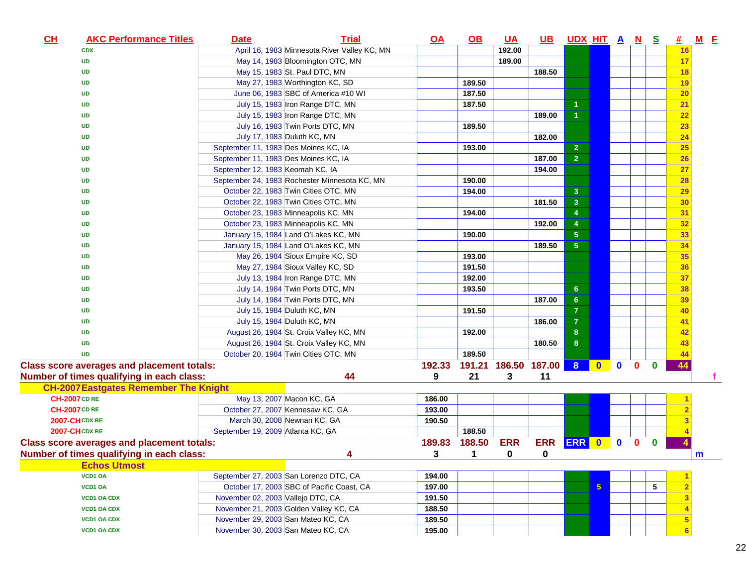| CL<br><b>AKC Performance Titles</b>               | Date                                 | <b>Trial</b>                                  | $\overline{OA}$ | $\Omega$       | <u>UA</u>            | <u>UB</u>    | UDX HIT A N S           |                          |              |              |          | <u>#</u>       | <b>M</b> E   |  |
|---------------------------------------------------|--------------------------------------|-----------------------------------------------|-----------------|----------------|----------------------|--------------|-------------------------|--------------------------|--------------|--------------|----------|----------------|--------------|--|
| <b>CDX</b>                                        |                                      | April 16, 1983 Minnesota River Valley KC, MN  |                 |                | 192.00               |              |                         |                          |              |              |          | 16             |              |  |
| <b>UD</b>                                         |                                      | May 14, 1983 Bloomington OTC, MN              |                 |                | 189.00               |              |                         |                          |              |              |          | 17             |              |  |
| UD                                                |                                      | May 15, 1983 St. Paul DTC, MN                 |                 |                |                      | 188.50       |                         |                          |              |              |          | 18             |              |  |
| UD                                                |                                      | May 27, 1983 Worthington KC, SD               |                 | 189.50         |                      |              |                         |                          |              |              |          | 19             |              |  |
| UD                                                |                                      | June 06, 1983 SBC of America #10 WI           |                 | 187.50         |                      |              |                         |                          |              |              |          | <b>20</b>      |              |  |
| UD                                                |                                      | July 15, 1983 Iron Range DTC, MN              |                 | 187.50         |                      |              | 1                       |                          |              |              |          | 21             |              |  |
| <b>UD</b>                                         |                                      | July 15, 1983 Iron Range DTC, MN              |                 |                |                      | 189.00       | $\overline{1}$          |                          |              |              |          | 22             |              |  |
| <b>UD</b>                                         |                                      | July 16, 1983 Twin Ports DTC, MN              |                 | 189.50         |                      |              |                         |                          |              |              |          | 23             |              |  |
| <b>UD</b>                                         |                                      | July 17, 1983 Duluth KC, MN                   |                 |                |                      | 182.00       |                         |                          |              |              |          | 24             |              |  |
| <b>UD</b>                                         | September 11, 1983 Des Moines KC, IA |                                               |                 | 193.00         |                      |              | $\mathbf{2}$            |                          |              |              |          | 25             |              |  |
| <b>UD</b>                                         | September 11, 1983 Des Moines KC, IA |                                               |                 |                |                      | 187.00       | $\overline{2}$          |                          |              |              |          | <b>26</b>      |              |  |
| <b>UD</b>                                         | September 12, 1983 Keomah KC, IA     |                                               |                 |                |                      | 194.00       |                         |                          |              |              |          | 27             |              |  |
| <b>UD</b>                                         |                                      | September 24, 1983 Rochester Minnesota KC, MN |                 | 190.00         |                      |              |                         |                          |              |              |          | 28             |              |  |
| <b>UD</b>                                         |                                      | October 22, 1983 Twin Cities OTC, MN          |                 | 194.00         |                      |              | $\mathbf{3}$            |                          |              |              |          | 29             |              |  |
| <b>UD</b>                                         |                                      | October 22, 1983 Twin Cities OTC, MN          |                 |                |                      | 181.50       | $\overline{\mathbf{3}}$ |                          |              |              |          | 30             |              |  |
| <b>UD</b>                                         |                                      | October 23, 1983 Minneapolis KC, MN           |                 | 194.00         |                      |              | $\overline{4}$          |                          |              |              |          | 31             |              |  |
| UD                                                |                                      | October 23, 1983 Minneapolis KC, MN           |                 |                |                      | 192.00       | $\overline{4}$          |                          |              |              |          | 32             |              |  |
| UD                                                |                                      | January 15, 1984 Land O'Lakes KC, MN          |                 | 190.00         |                      |              | $\sqrt{5}$              |                          |              |              |          | 33             |              |  |
| <b>UD</b>                                         |                                      | January 15, 1984 Land O'Lakes KC, MN          |                 |                |                      | 189.50       | 5 <sub>5</sub>          |                          |              |              |          | 34             |              |  |
| <b>UD</b>                                         |                                      | May 26, 1984 Sioux Empire KC, SD              |                 | 193.00         |                      |              |                         |                          |              |              |          | 35             |              |  |
| <b>UD</b>                                         |                                      | May 27, 1984 Sioux Valley KC, SD              |                 | 191.50         |                      |              |                         |                          |              |              |          | 36             |              |  |
| <b>UD</b>                                         |                                      | July 13, 1984 Iron Range DTC, MN              |                 | 192.00         |                      |              |                         |                          |              |              |          | 37             |              |  |
| <b>UD</b>                                         |                                      | July 14, 1984 Twin Ports DTC, MN              |                 | 193.50         |                      |              | 6 <sup>°</sup>          |                          |              |              |          | 38             |              |  |
| <b>UD</b>                                         |                                      | July 14, 1984 Twin Ports DTC, MN              |                 |                |                      | 187.00       | 6 <sup>°</sup>          |                          |              |              |          | 39             |              |  |
| <b>UD</b>                                         |                                      | July 15, 1984 Duluth KC, MN                   |                 | 191.50         |                      |              | $\overline{7}$          |                          |              |              |          | 40             |              |  |
| <b>UD</b>                                         |                                      | July 15, 1984 Duluth KC, MN                   |                 |                |                      | 186.00       | $\overline{7}$          |                          |              |              |          | 41             |              |  |
| <b>UD</b>                                         |                                      | August 26, 1984 St. Croix Valley KC, MN       |                 | 192.00         |                      |              | 8                       |                          |              |              |          | 42             |              |  |
| <b>UD</b>                                         |                                      | August 26, 1984 St. Croix Valley KC, MN       |                 |                |                      | 180.50       | 8                       |                          |              |              |          | 43             |              |  |
| <b>UD</b>                                         |                                      | October 20, 1984 Twin Cities OTC, MN          |                 | 189.50         |                      |              |                         |                          |              |              |          | 44             |              |  |
| <b>Class score averages and placement totals:</b> |                                      |                                               | 192.33          |                | 191.21 186.50 187.00 |              | 8 <sup>1</sup>          | $\overline{\phantom{a}}$ | $\mathbf{0}$ | $\mathbf{0}$ | $\bf{0}$ | 44             |              |  |
| Number of times qualifying in each class:         |                                      | 44                                            | 9               | 21             | 3                    | 11           |                         |                          |              |              |          |                |              |  |
| <b>CH-2007 Eastgates Remember The Knight</b>      |                                      |                                               |                 |                |                      |              |                         |                          |              |              |          |                |              |  |
| <b>CH-2007 CD RE</b>                              |                                      | May 13, 2007 Macon KC, GA                     | 186.00          |                |                      |              |                         |                          |              |              |          |                |              |  |
| <b>CH-2007 CD RE</b>                              |                                      | October 27, 2007 Kennesaw KC, GA              | 193.00          |                |                      |              |                         |                          |              |              |          |                |              |  |
| <b>2007-CH CDX RE</b>                             | March 30, 2008 Newnan KC, GA         |                                               | 190.50          |                |                      |              |                         |                          |              |              |          |                |              |  |
| 2007-CHCDX RE                                     | September 19, 2009 Atlanta KC, GA    |                                               |                 | 188.50         |                      |              |                         |                          |              |              |          |                |              |  |
| <b>Class score averages and placement totals:</b> |                                      |                                               | 189.83          | 188.50         | <b>ERR</b>           | <b>ERR</b>   | <b>ERR</b> 0            |                          | $\bf{0}$     | $\bf{0}$     | $\bf{0}$ |                |              |  |
| Number of times qualifying in each class:         |                                      |                                               | $3^{\circ}$     | $\blacksquare$ | $\mathbf{0}$         | $\mathbf{0}$ |                         |                          |              |              |          |                | $\mathbf{m}$ |  |
| <b>Echos Utmost</b>                               |                                      |                                               |                 |                |                      |              |                         |                          |              |              |          |                |              |  |
| VCD1 OA                                           |                                      | September 27, 2003 San Lorenzo DTC, CA        | 194.00          |                |                      |              |                         |                          |              |              |          |                |              |  |
| <b>VCD1 OA</b>                                    |                                      | October 17, 2003 SBC of Pacific Coast, CA     | 197.00          |                |                      |              |                         | $5\phantom{.0}$          |              |              | 5        | $\overline{2}$ |              |  |
| <b>VCD1 OA CDX</b>                                | November 02, 2003 Vallejo DTC, CA    |                                               | 191.50          |                |                      |              |                         |                          |              |              |          |                |              |  |
| <b>VCD1 OA CDX</b>                                |                                      | November 21, 2003 Golden Valley KC, CA        | 188.50          |                |                      |              |                         |                          |              |              |          |                |              |  |
| <b>VCD1 OA CDX</b>                                | November 29, 2003 San Mateo KC, CA   |                                               | 189.50          |                |                      |              |                         |                          |              |              |          |                |              |  |
| <b>VCD1 OA CDX</b>                                | November 30, 2003 San Mateo KC, CA   |                                               | 195.00          |                |                      |              |                         |                          |              |              |          |                |              |  |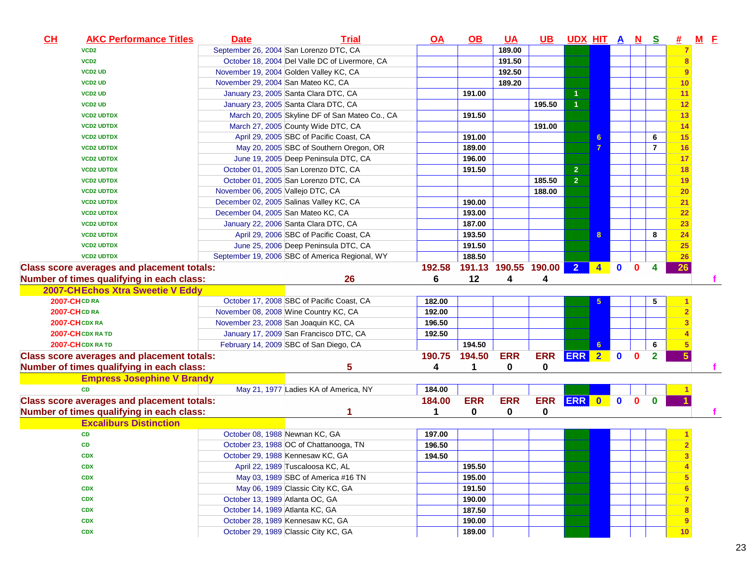| CL | <b>AKC Performance Titles</b>                     | <b>Date</b>                        | <b>Trial</b>                                   | QA     | $\Omega$   | <b>UA</b>            | $\overline{\mathsf{UB}}$ | UDX HIT A N S  |                      |             |              |              | <u>#</u> | $M$ E |
|----|---------------------------------------------------|------------------------------------|------------------------------------------------|--------|------------|----------------------|--------------------------|----------------|----------------------|-------------|--------------|--------------|----------|-------|
|    | VCD <sub>2</sub>                                  |                                    | September 26, 2004 San Lorenzo DTC, CA         |        |            | 189.00               |                          |                |                      |             |              |              |          |       |
|    | VCD <sub>2</sub>                                  |                                    | October 18, 2004 Del Valle DC of Livermore, CA |        |            | 191.50               |                          |                |                      |             |              |              | 8        |       |
|    | <b>VCD2 UD</b>                                    |                                    | November 19, 2004 Golden Valley KC, CA         |        |            | 192.50               |                          |                |                      |             |              |              | 9        |       |
|    | <b>VCD2 UD</b>                                    | November 29, 2004 San Mateo KC, CA |                                                |        |            | 189.20               |                          |                |                      |             |              |              | 10       |       |
|    | <b>VCD2 UD</b>                                    |                                    | January 23, 2005 Santa Clara DTC, CA           |        | 191.00     |                      |                          |                |                      |             |              |              | 11       |       |
|    | <b>VCD2 UD</b>                                    |                                    | January 23, 2005 Santa Clara DTC, CA           |        |            |                      | 195.50                   | $\overline{1}$ |                      |             |              |              | 12       |       |
|    | <b>VCD2 UDTDX</b>                                 |                                    | March 20, 2005 Skyline DF of San Mateo Co., CA |        | 191.50     |                      |                          |                |                      |             |              |              | 13       |       |
|    | <b>VCD2 UDTDX</b>                                 |                                    | March 27, 2005 County Wide DTC, CA             |        |            |                      | 191.00                   |                |                      |             |              |              | 14       |       |
|    | <b>VCD2 UDTDX</b>                                 |                                    | April 29, 2005 SBC of Pacific Coast, CA        |        | 191.00     |                      |                          |                | 6                    |             |              | 6            | 15       |       |
|    | <b>VCD2 UDTDX</b>                                 |                                    | May 20, 2005 SBC of Southern Oregon, OR        |        | 189.00     |                      |                          |                | 7                    |             |              | 7            | 16       |       |
|    | <b>VCD2 UDTDX</b>                                 |                                    | June 19, 2005 Deep Peninsula DTC, CA           |        | 196.00     |                      |                          |                |                      |             |              |              | 17       |       |
|    | <b>VCD2 UDTDX</b>                                 |                                    | October 01, 2005 San Lorenzo DTC, CA           |        | 191.50     |                      |                          | $\overline{2}$ |                      |             |              |              | 18       |       |
|    | <b>VCD2 UDTDX</b>                                 |                                    | October 01, 2005 San Lorenzo DTC, CA           |        |            |                      | 185.50                   | $\overline{2}$ |                      |             |              |              | 19       |       |
|    | <b>VCD2 UDTDX</b>                                 | November 06, 2005 Vallejo DTC, CA  |                                                |        |            |                      | 188.00                   |                |                      |             |              |              | 20       |       |
|    | <b>VCD2 UDTDX</b>                                 |                                    | December 02, 2005 Salinas Valley KC, CA        |        | 190.00     |                      |                          |                |                      |             |              |              | 21       |       |
|    | <b>VCD2 UDTDX</b>                                 | December 04, 2005 San Mateo KC, CA |                                                |        | 193.00     |                      |                          |                |                      |             |              |              | 22       |       |
|    | <b>VCD2 UDTDX</b>                                 |                                    | January 22, 2006 Santa Clara DTC, CA           |        | 187.00     |                      |                          |                |                      |             |              |              | 23       |       |
|    | <b>VCD2 UDTDX</b>                                 |                                    | April 29, 2006 SBC of Pacific Coast, CA        |        | 193.50     |                      |                          |                | 8                    |             |              | 8            | 24       |       |
|    | <b>VCD2 UDTDX</b>                                 |                                    | June 25, 2006 Deep Peninsula DTC, CA           |        | 191.50     |                      |                          |                |                      |             |              |              | 25       |       |
|    | <b>VCD2 UDTDX</b>                                 |                                    | September 19, 2006 SBC of America Regional, WY |        | 188.50     |                      |                          |                |                      |             |              |              | 26       |       |
|    | <b>Class score averages and placement totals:</b> |                                    |                                                | 192.58 |            | 191.13 190.55 190.00 |                          | 2 <sup>1</sup> | $\blacktriangleleft$ | $\bf{0}$    | $\Omega$     | 4            | 26       |       |
|    | Number of times qualifying in each class:         |                                    | 26                                             | 6      | 12         | 4                    | 4                        |                |                      |             |              |              |          |       |
|    | 2007-CHEchos Xtra Sweetie V Eddy                  |                                    |                                                |        |            |                      |                          |                |                      |             |              |              |          |       |
|    | 2007-CHCDRA                                       |                                    | October 17, 2008 SBC of Pacific Coast, CA      | 182.00 |            |                      |                          |                |                      |             |              | 5            |          |       |
|    | <b>2007-CHCD RA</b>                               |                                    | November 08, 2008 Wine Country KC, CA          | 192.00 |            |                      |                          |                |                      |             |              |              |          |       |
|    | 2007-CHCDXRA                                      |                                    | November 23, 2008 San Joaquin KC, CA           | 196.50 |            |                      |                          |                |                      |             |              |              |          |       |
|    | 2007-CHCDX RA TD                                  |                                    | January 17, 2009 San Francisco DTC, CA         | 192.50 |            |                      |                          |                |                      |             |              |              |          |       |
|    | 2007-CH CDX RA TD                                 |                                    | February 14, 2009 SBC of San Diego, CA         |        | 194.50     |                      |                          |                | 6                    |             |              | 6            |          |       |
|    | <b>Class score averages and placement totals:</b> |                                    |                                                | 190.75 | 194.50     | <b>ERR</b>           | <b>ERR</b>               | ERR 2          |                      | $\mathbf 0$ | $\bf{0}$     | $\mathbf{2}$ |          |       |
|    | Number of times qualifying in each class:         |                                    | 5                                              | 4      | 1          | 0                    | 0                        |                |                      |             |              |              |          |       |
|    | <b>Empress Josephine V Brandy</b>                 |                                    |                                                |        |            |                      |                          |                |                      |             |              |              |          |       |
|    | <b>CD</b>                                         |                                    | May 21, 1977 Ladies KA of America, NY          | 184.00 |            |                      |                          |                |                      |             |              |              |          |       |
|    | <b>Class score averages and placement totals:</b> |                                    |                                                | 184.00 | <b>ERR</b> | <b>ERR</b>           | <b>ERR</b>               | ERR 0          |                      | $\bullet$   | $\mathbf{0}$ | $\mathbf{0}$ |          |       |
|    | Number of times qualifying in each class:         |                                    |                                                |        | 0          | 0                    | 0                        |                |                      |             |              |              |          |       |
|    | <b>Excaliburs Distinction</b>                     |                                    |                                                |        |            |                      |                          |                |                      |             |              |              |          |       |
|    | <b>CD</b>                                         | October 08, 1988 Newnan KC, GA     |                                                | 197.00 |            |                      |                          |                |                      |             |              |              |          |       |
|    | CD                                                |                                    | October 23, 1988 OC of Chattanooga, TN         | 196.50 |            |                      |                          |                |                      |             |              |              |          |       |
|    | <b>CDX</b>                                        |                                    | October 29, 1988 Kennesaw KC, GA               | 194.50 |            |                      |                          |                |                      |             |              |              |          |       |
|    | <b>CDX</b>                                        |                                    | April 22, 1989 Tuscaloosa KC, AL               |        | 195.50     |                      |                          |                |                      |             |              |              |          |       |
|    | <b>CDX</b>                                        |                                    | May 03, 1989 SBC of America #16 TN             |        | 195.00     |                      |                          |                |                      |             |              |              |          |       |
|    | <b>CDX</b>                                        |                                    | May 06, 1989 Classic City KC, GA               |        | 191.50     |                      |                          |                |                      |             |              |              |          |       |
|    | <b>CDX</b>                                        | October 13, 1989 Atlanta OC, GA    |                                                |        | 190.00     |                      |                          |                |                      |             |              |              |          |       |
|    | <b>CDX</b>                                        | October 14, 1989 Atlanta KC, GA    |                                                |        | 187.50     |                      |                          |                |                      |             |              |              | 8        |       |
|    | <b>CDX</b>                                        |                                    | October 28, 1989 Kennesaw KC, GA               |        | 190.00     |                      |                          |                |                      |             |              |              | 9        |       |
|    | <b>CDX</b>                                        |                                    | October 29, 1989 Classic City KC, GA           |        | 189.00     |                      |                          |                |                      |             |              |              | 10       |       |
|    |                                                   |                                    |                                                |        |            |                      |                          |                |                      |             |              |              |          |       |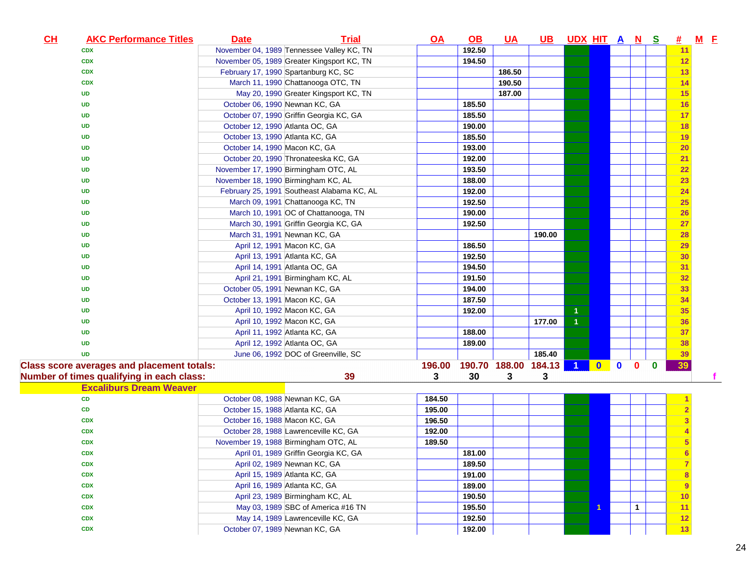| CL | <b>AKC Performance Titles</b>                     | <b>Date</b>                         | <b>Trial</b>                               | $Q$ $A$ | $\Omega$ | <u>UA</u>            | <u>UB</u> | UDX HIT A N S        |                          |           |              |          | 坓              | $M$ $E$ |  |
|----|---------------------------------------------------|-------------------------------------|--------------------------------------------|---------|----------|----------------------|-----------|----------------------|--------------------------|-----------|--------------|----------|----------------|---------|--|
|    | <b>CDX</b>                                        |                                     | November 04, 1989 Tennessee Valley KC, TN  |         | 192.50   |                      |           |                      |                          |           |              |          | 11             |         |  |
|    | <b>CDX</b>                                        |                                     | November 05, 1989 Greater Kingsport KC, TN |         | 194.50   |                      |           |                      |                          |           |              |          | 12             |         |  |
|    | <b>CDX</b>                                        |                                     | February 17, 1990 Spartanburg KC, SC       |         |          | 186.50               |           |                      |                          |           |              |          | 13             |         |  |
|    | <b>CDX</b>                                        |                                     | March 11, 1990 Chattanooga OTC, TN         |         |          | 190.50               |           |                      |                          |           |              |          | 14             |         |  |
|    | <b>UD</b>                                         |                                     | May 20, 1990 Greater Kingsport KC, TN      |         |          | 187.00               |           |                      |                          |           |              |          | 15             |         |  |
|    | <b>UD</b>                                         | October 06, 1990 Newnan KC, GA      |                                            |         | 185.50   |                      |           |                      |                          |           |              |          | 16             |         |  |
|    | <b>UD</b>                                         |                                     | October 07, 1990 Griffin Georgia KC, GA    |         | 185.50   |                      |           |                      |                          |           |              |          | 17             |         |  |
|    | <b>UD</b>                                         | October 12, 1990 Atlanta OC, GA     |                                            |         | 190.00   |                      |           |                      |                          |           |              |          | 18             |         |  |
|    | <b>UD</b>                                         | October 13, 1990 Atlanta KC, GA     |                                            |         | 185.50   |                      |           |                      |                          |           |              |          | 19             |         |  |
|    | <b>UD</b>                                         | October 14, 1990 Macon KC, GA       |                                            |         | 193.00   |                      |           |                      |                          |           |              |          | 20             |         |  |
|    | <b>UD</b>                                         |                                     | October 20, 1990 Thronateeska KC, GA       |         | 192.00   |                      |           |                      |                          |           |              |          | 21             |         |  |
|    | <b>UD</b>                                         |                                     | November 17, 1990 Birmingham OTC, AL       |         | 193.50   |                      |           |                      |                          |           |              |          | 22             |         |  |
|    | <b>UD</b>                                         | November 18, 1990 Birmingham KC, AL |                                            |         | 188.00   |                      |           |                      |                          |           |              |          | 23             |         |  |
|    | UD                                                |                                     | February 25, 1991 Southeast Alabama KC, AL |         | 192.00   |                      |           |                      |                          |           |              |          | 24             |         |  |
|    | <b>UD</b>                                         |                                     | March 09, 1991 Chattanooga KC, TN          |         | 192.50   |                      |           |                      |                          |           |              |          | 25             |         |  |
|    | UD                                                |                                     | March 10, 1991 OC of Chattanooga, TN       |         | 190.00   |                      |           |                      |                          |           |              |          | 26             |         |  |
|    | UD                                                |                                     | March 30, 1991 Griffin Georgia KC, GA      |         | 192.50   |                      |           |                      |                          |           |              |          | 27             |         |  |
|    | <b>UD</b>                                         |                                     | March 31, 1991 Newnan KC, GA               |         |          |                      | 190.00    |                      |                          |           |              |          | 28             |         |  |
|    | <b>UD</b>                                         |                                     | April 12, 1991 Macon KC, GA                |         | 186.50   |                      |           |                      |                          |           |              |          | 29             |         |  |
|    | <b>UD</b>                                         |                                     | April 13, 1991 Atlanta KC, GA              |         | 192.50   |                      |           |                      |                          |           |              |          | 30             |         |  |
|    | <b>UD</b>                                         |                                     | April 14, 1991 Atlanta OC, GA              |         | 194.50   |                      |           |                      |                          |           |              |          | 31             |         |  |
|    | <b>UD</b>                                         |                                     | April 21, 1991 Birmingham KC, AL           |         | 191.50   |                      |           |                      |                          |           |              |          | 32             |         |  |
|    | <b>UD</b>                                         | October 05, 1991 Newnan KC, GA      |                                            |         | 194.00   |                      |           |                      |                          |           |              |          | 33             |         |  |
|    | <b>UD</b>                                         | October 13, 1991 Macon KC, GA       |                                            |         | 187.50   |                      |           |                      |                          |           |              |          | 34             |         |  |
|    | <b>UD</b>                                         |                                     | April 10, 1992 Macon KC, GA                |         | 192.00   |                      |           | 1                    |                          |           |              |          | 35             |         |  |
|    | <b>UD</b>                                         |                                     | April 10, 1992 Macon KC, GA                |         |          |                      | 177.00    | $\overline{1}$       |                          |           |              |          | 36             |         |  |
|    | <b>UD</b>                                         |                                     | April 11, 1992 Atlanta KC, GA              |         | 188.00   |                      |           |                      |                          |           |              |          | 37             |         |  |
|    | <b>UD</b>                                         |                                     | April 12, 1992 Atlanta OC, GA              |         | 189.00   |                      |           |                      |                          |           |              |          | 38             |         |  |
|    | <b>UD</b>                                         |                                     | June 06, 1992 DOC of Greenville, SC        |         |          |                      | 185.40    |                      |                          |           |              |          | 39             |         |  |
|    | <b>Class score averages and placement totals:</b> |                                     |                                            | 196.00  |          | 190.70 188.00 184.13 |           | $\blacktriangleleft$ | $\overline{\phantom{a}}$ | $\bullet$ | $\mathbf{0}$ | $\bf{0}$ | 39             |         |  |
|    | Number of times qualifying in each class:         |                                     | 39                                         | 3       | 30       | 3                    | 3         |                      |                          |           |              |          |                |         |  |
|    | <b>Excaliburs Dream Weaver</b>                    |                                     |                                            |         |          |                      |           |                      |                          |           |              |          |                |         |  |
|    | CD                                                | October 08, 1988 Newnan KC, GA      |                                            | 184.50  |          |                      |           |                      |                          |           |              |          |                |         |  |
|    | CD                                                | October 15, 1988 Atlanta KC, GA     |                                            | 195.00  |          |                      |           |                      |                          |           |              |          |                |         |  |
|    | <b>CDX</b>                                        | October 16, 1988 Macon KC, GA       |                                            | 196.50  |          |                      |           |                      |                          |           |              |          | 3              |         |  |
|    | <b>CDX</b>                                        |                                     | October 28, 1988 Lawrenceville KC, GA      | 192.00  |          |                      |           |                      |                          |           |              |          |                |         |  |
|    | <b>CDX</b>                                        |                                     | November 19, 1988 Birmingham OTC, AL       | 189.50  |          |                      |           |                      |                          |           |              |          | 5              |         |  |
|    | <b>CDX</b>                                        |                                     | April 01, 1989 Griffin Georgia KC, GA      |         | 181.00   |                      |           |                      |                          |           |              |          |                |         |  |
|    | <b>CDX</b>                                        |                                     | April 02, 1989 Newnan KC, GA               |         | 189.50   |                      |           |                      |                          |           |              |          | $\overline{7}$ |         |  |
|    | <b>CDX</b>                                        |                                     | April 15, 1989 Atlanta KC, GA              |         | 191.00   |                      |           |                      |                          |           |              |          | 8              |         |  |
|    | <b>CDX</b>                                        |                                     | April 16, 1989 Atlanta KC, GA              |         | 189.00   |                      |           |                      |                          |           |              |          | 9              |         |  |
|    | <b>CDX</b>                                        |                                     | April 23, 1989 Birmingham KC, AL           |         | 190.50   |                      |           |                      |                          |           |              |          | 10             |         |  |
|    | <b>CDX</b>                                        |                                     | May 03, 1989 SBC of America #16 TN         |         | 195.50   |                      |           |                      | 1                        |           | $\mathbf{1}$ |          | 11             |         |  |
|    | <b>CDX</b>                                        |                                     | May 14, 1989 Lawrenceville KC, GA          |         | 192.50   |                      |           |                      |                          |           |              |          | 12             |         |  |
|    | <b>CDX</b>                                        | October 07, 1989 Newnan KC, GA      |                                            |         | 192.00   |                      |           |                      |                          |           |              |          | 13             |         |  |
|    |                                                   |                                     |                                            |         |          |                      |           |                      |                          |           |              |          |                |         |  |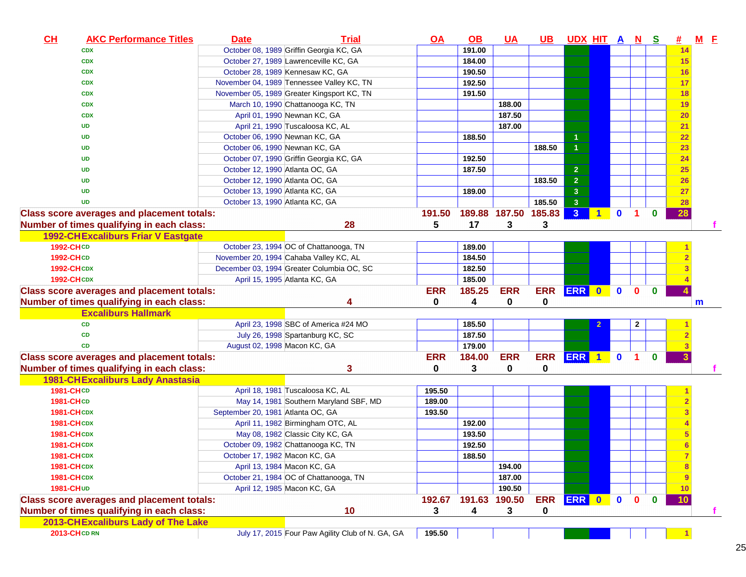| CL        | <b>AKC Performance Titles</b>                     | <b>Date</b>                       | <b>Trial</b>                                     | <u>OA</u>  | $\Omega$ | <u>UA</u>            | <u>UB</u>  | UDX HIT A N S  |                      |              |                |              | <u>#</u> | $M$ E |  |
|-----------|---------------------------------------------------|-----------------------------------|--------------------------------------------------|------------|----------|----------------------|------------|----------------|----------------------|--------------|----------------|--------------|----------|-------|--|
|           | <b>CDX</b>                                        |                                   | October 08, 1989 Griffin Georgia KC, GA          |            | 191.00   |                      |            |                |                      |              |                |              | 14       |       |  |
|           | <b>CDX</b>                                        |                                   | October 27, 1989 Lawrenceville KC, GA            |            | 184.00   |                      |            |                |                      |              |                |              | 15       |       |  |
|           | <b>CDX</b>                                        |                                   | October 28, 1989 Kennesaw KC, GA                 |            | 190.50   |                      |            |                |                      |              |                |              | 16       |       |  |
|           | <b>CDX</b>                                        |                                   | November 04, 1989 Tennessee Valley KC, TN        |            | 192.50   |                      |            |                |                      |              |                |              | 17       |       |  |
|           | <b>CDX</b>                                        |                                   | November 05, 1989 Greater Kingsport KC, TN       |            | 191.50   |                      |            |                |                      |              |                |              | 18       |       |  |
|           | <b>CDX</b>                                        |                                   | March 10, 1990 Chattanooga KC, TN                |            |          | 188.00               |            |                |                      |              |                |              | 19       |       |  |
|           | <b>CDX</b>                                        |                                   | April 01, 1990 Newnan KC, GA                     |            |          | 187.50               |            |                |                      |              |                |              | 20       |       |  |
|           | <b>UD</b>                                         |                                   | April 21, 1990 Tuscaloosa KC, AL                 |            |          | 187.00               |            |                |                      |              |                |              | 21       |       |  |
|           | <b>UD</b>                                         | October 06, 1990 Newnan KC, GA    |                                                  |            | 188.50   |                      |            | $\mathbf{1}$   |                      |              |                |              | 22       |       |  |
|           | <b>UD</b>                                         | October 06, 1990 Newnan KC, GA    |                                                  |            |          |                      | 188.50     | $\mathbf{1}$   |                      |              |                |              | 23       |       |  |
|           | <b>UD</b>                                         |                                   | October 07, 1990 Griffin Georgia KC, GA          |            | 192.50   |                      |            |                |                      |              |                |              | 24       |       |  |
|           | UD                                                | October 12, 1990 Atlanta OC, GA   |                                                  |            | 187.50   |                      |            | $\overline{2}$ |                      |              |                |              | 25       |       |  |
|           | UD                                                | October 12, 1990 Atlanta OC, GA   |                                                  |            |          |                      | 183.50     | $\overline{2}$ |                      |              |                |              | 26       |       |  |
|           | <b>UD</b>                                         | October 13, 1990 Atlanta KC, GA   |                                                  |            | 189.00   |                      |            | $\mathbf{3}$   |                      |              |                |              | 27       |       |  |
|           | <b>UD</b>                                         | October 13, 1990 Atlanta KC, GA   |                                                  |            |          |                      | 185.50     | $\overline{3}$ |                      |              |                |              | 28       |       |  |
|           | <b>Class score averages and placement totals:</b> |                                   |                                                  | 191.50     |          | 189.88 187.50 185.83 |            | 3 <sup>2</sup> | $\blacktriangleleft$ | $\mathbf{0}$ | 1.             | $\bf{0}$     | 28       |       |  |
|           | Number of times qualifying in each class:         |                                   | 28                                               | 5          | 17       | 3                    | 3          |                |                      |              |                |              |          |       |  |
|           | <b>1992-CHExcaliburs Friar V Eastgate</b>         |                                   |                                                  |            |          |                      |            |                |                      |              |                |              |          |       |  |
| 1992-CHCD |                                                   |                                   | October 23, 1994 OC of Chattanooga, TN           |            | 189.00   |                      |            |                |                      |              |                |              |          |       |  |
| 1992-CHCD |                                                   |                                   | November 20, 1994 Cahaba Valley KC, AL           |            | 184.50   |                      |            |                |                      |              |                |              |          |       |  |
|           | <b>1992-CHCDX</b>                                 |                                   | December 03, 1994 Greater Columbia OC, SC        |            | 182.50   |                      |            |                |                      |              |                |              |          |       |  |
|           | <b>1992-CHCDX</b>                                 |                                   | April 15, 1995 Atlanta KC, GA                    |            | 185.00   |                      |            |                |                      |              |                |              |          |       |  |
|           | <b>Class score averages and placement totals:</b> |                                   |                                                  | <b>ERR</b> | 185.25   | <b>ERR</b>           | <b>ERR</b> | ERR 0          |                      | $\mathbf{0}$ | $\mathbf{0}$   | $\bf{0}$     |          |       |  |
|           | Number of times qualifying in each class:         |                                   | 4                                                | 0          | 4        | 0                    | 0          |                |                      |              |                |              |          | m     |  |
|           | <b>Excaliburs Hallmark</b>                        |                                   |                                                  |            |          |                      |            |                |                      |              |                |              |          |       |  |
|           | <b>CD</b>                                         |                                   | April 23, 1998 SBC of America #24 MO             |            | 185.50   |                      |            |                |                      |              | $\mathbf{2}$   |              |          |       |  |
|           | <b>CD</b>                                         |                                   | July 26, 1998 Spartanburg KC, SC                 |            | 187.50   |                      |            |                |                      |              |                |              |          |       |  |
|           | <b>CD</b>                                         | August 02, 1998 Macon KC, GA      |                                                  |            | 179.00   |                      |            |                |                      |              |                |              |          |       |  |
|           | <b>Class score averages and placement totals:</b> |                                   |                                                  | <b>ERR</b> | 184.00   | <b>ERR</b>           | ERR ERR 1  |                |                      | $\bullet$    | $\blacksquare$ | $\mathbf{0}$ |          |       |  |
|           | Number of times qualifying in each class:         |                                   | 3                                                | 0          | 3        | 0                    | 0          |                |                      |              |                |              |          |       |  |
|           | <b>1981-CHExcaliburs Lady Anastasia</b>           |                                   |                                                  |            |          |                      |            |                |                      |              |                |              |          |       |  |
| 1981-CHCD |                                                   |                                   | April 18, 1981 Tuscaloosa KC, AL                 | 195.50     |          |                      |            |                |                      |              |                |              |          |       |  |
| 1981-CHCD |                                                   |                                   | May 14, 1981 Southern Maryland SBF, MD           | 189.00     |          |                      |            |                |                      |              |                |              |          |       |  |
|           | <b>1981-CHCDX</b>                                 | September 20, 1981 Atlanta OC, GA |                                                  | 193.50     |          |                      |            |                |                      |              |                |              |          |       |  |
|           | <b>1981-CHCDX</b>                                 |                                   | April 11, 1982 Birmingham OTC, AL                |            | 192.00   |                      |            |                |                      |              |                |              |          |       |  |
|           | <b>1981-CHCDX</b>                                 |                                   | May 08, 1982 Classic City KC, GA                 |            | 193.50   |                      |            |                |                      |              |                |              |          |       |  |
|           | <b>1981-CHCDX</b>                                 |                                   | October 09, 1982 Chattanooga KC, TN              |            | 192.50   |                      |            |                |                      |              |                |              |          |       |  |
|           | <b>1981-CHCDX</b>                                 | October 17, 1982 Macon KC, GA     |                                                  |            | 188.50   |                      |            |                |                      |              |                |              |          |       |  |
|           | <b>1981-CHCDX</b>                                 |                                   | April 13, 1984 Macon KC, GA                      |            |          | 194.00               |            |                |                      |              |                |              |          |       |  |
|           | <b>1981-CHCDX</b>                                 |                                   | October 21, 1984 OC of Chattanooga, TN           |            |          | 187.00               |            |                |                      |              |                |              |          |       |  |
| 1981-CHUD |                                                   |                                   | April 12, 1985 Macon KC, GA                      |            |          | 190.50               |            |                |                      |              |                |              | 10       |       |  |
|           | <b>Class score averages and placement totals:</b> |                                   |                                                  | 192.67     |          | 191.63 190.50        | <b>ERR</b> | ERR 0          |                      | $\bullet$    | $\mathbf{0}$   | $\bf{0}$     | 10       |       |  |
|           | Number of times qualifying in each class:         |                                   | 10                                               | 3          | 4        | 3                    | 0          |                |                      |              |                |              |          |       |  |
|           | 2013-CHExcaliburs Lady of The Lake                |                                   |                                                  |            |          |                      |            |                |                      |              |                |              |          |       |  |
|           | <b>2013-CHCD RN</b>                               |                                   | July 17, 2015 Four Paw Agility Club of N. GA, GA | 195.50     |          |                      |            |                |                      |              |                |              |          |       |  |
|           |                                                   |                                   |                                                  |            |          |                      |            |                |                      |              |                |              |          |       |  |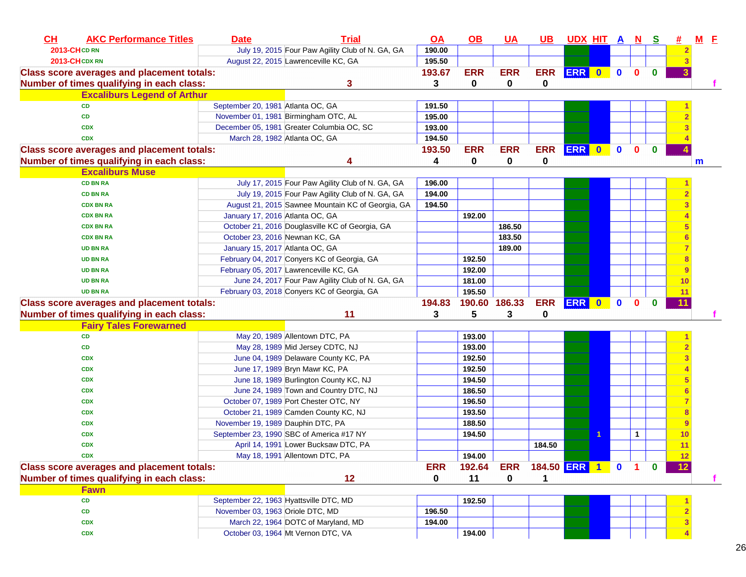| CH<br><b>AKC Performance Titles</b>               | <b>Date</b>                       | <b>Trial</b>                                      | $\overline{\mathsf{OA}}$ | $\underline{\mathsf{OB}}$ | <b>UA</b>  | <u>UB</u>      | UDX HIT A N S |              |              |              | #              | $M$ $E$ |  |
|---------------------------------------------------|-----------------------------------|---------------------------------------------------|--------------------------|---------------------------|------------|----------------|---------------|--------------|--------------|--------------|----------------|---------|--|
| <b>2013-CHCD RN</b>                               |                                   | July 19, 2015 Four Paw Agility Club of N. GA, GA  | 190.00                   |                           |            |                |               |              |              |              | $\overline{2}$ |         |  |
| 2013-CHCDXRN                                      |                                   | August 22, 2015 Lawrenceville KC, GA              | 195.50                   |                           |            |                |               |              |              |              | з              |         |  |
| <b>Class score averages and placement totals:</b> |                                   |                                                   | 193.67                   | <b>ERR</b>                | <b>ERR</b> | <b>ERR</b>     | <b>ERR</b> 0  | $\bullet$    | $\bf{0}$     | $\mathbf{0}$ |                |         |  |
| Number of times qualifying in each class:         |                                   | 3                                                 | 3                        | $\mathbf 0$               | 0          | 0              |               |              |              |              |                |         |  |
| <b>Excaliburs Legend of Arthur</b>                |                                   |                                                   |                          |                           |            |                |               |              |              |              |                |         |  |
| <b>CD</b>                                         | September 20, 1981 Atlanta OC, GA |                                                   | 191.50                   |                           |            |                |               |              |              |              |                |         |  |
| CD                                                |                                   | November 01, 1981 Birmingham OTC, AL              | 195.00                   |                           |            |                |               |              |              |              |                |         |  |
| <b>CDX</b>                                        |                                   | December 05, 1981 Greater Columbia OC, SC         | 193.00                   |                           |            |                |               |              |              |              |                |         |  |
| <b>CDX</b>                                        |                                   | March 28, 1982 Atlanta OC, GA                     | 194.50                   |                           |            |                |               |              |              |              |                |         |  |
| <b>Class score averages and placement totals:</b> |                                   |                                                   | 193.50                   | <b>ERR</b>                | <b>ERR</b> | <b>ERR</b>     | ERR 0         | $\mathbf{0}$ | $\mathbf{0}$ | $\bf{0}$     |                |         |  |
| Number of times qualifying in each class:         |                                   | 4                                                 | 4                        | 0                         | 0          | 0              |               |              |              |              |                | m       |  |
| <b>Excaliburs Muse</b>                            |                                   |                                                   |                          |                           |            |                |               |              |              |              |                |         |  |
| <b>CD BN RA</b>                                   |                                   | July 17, 2015 Four Paw Agility Club of N. GA, GA  | 196.00                   |                           |            |                |               |              |              |              |                |         |  |
| <b>CD BN RA</b>                                   |                                   | July 19, 2015 Four Paw Agility Club of N. GA, GA  | 194.00                   |                           |            |                |               |              |              |              |                |         |  |
| <b>CDX BN RA</b>                                  |                                   | August 21, 2015 Sawnee Mountain KC of Georgia, GA | 194.50                   |                           |            |                |               |              |              |              |                |         |  |
| <b>CDX BN RA</b>                                  | January 17, 2016 Atlanta OC, GA   |                                                   |                          | 192.00                    |            |                |               |              |              |              |                |         |  |
| <b>CDX BN RA</b>                                  |                                   | October 21, 2016 Douglasville KC of Georgia, GA   |                          |                           | 186.50     |                |               |              |              |              | 5              |         |  |
| <b>CDX BN RA</b>                                  |                                   | October 23, 2016 Newnan KC, GA                    |                          |                           | 183.50     |                |               |              |              |              | 6              |         |  |
| <b>UD BN RA</b>                                   | January 15, 2017 Atlanta OC, GA   |                                                   |                          |                           | 189.00     |                |               |              |              |              |                |         |  |
| <b>UD BN RA</b>                                   |                                   | February 04, 2017 Conyers KC of Georgia, GA       |                          | 192.50                    |            |                |               |              |              |              |                |         |  |
| <b>UD BN RA</b>                                   |                                   | February 05, 2017 Lawrenceville KC, GA            |                          | 192.00                    |            |                |               |              |              |              |                |         |  |
| <b>UD BN RA</b>                                   |                                   | June 24, 2017 Four Paw Agility Club of N. GA, GA  |                          | 181.00                    |            |                |               |              |              |              | 10             |         |  |
| <b>UD BN RA</b>                                   |                                   | February 03, 2018 Conyers KC of Georgia, GA       |                          | 195.50                    |            |                |               |              |              |              | 11             |         |  |
| <b>Class score averages and placement totals:</b> |                                   |                                                   | 194.83                   | 190.60 186.33             |            | <b>ERR</b>     | ERR 0         | $\bullet$    | $\mathbf{0}$ | $\bf{0}$     | 11             |         |  |
| Number of times qualifying in each class:         |                                   | 11                                                | 3                        | 5                         | 3          | 0              |               |              |              |              |                |         |  |
| <b>Fairy Tales Forewarned</b>                     |                                   |                                                   |                          |                           |            |                |               |              |              |              |                |         |  |
| <b>CD</b>                                         |                                   | May 20, 1989 Allentown DTC, PA                    |                          | 193.00                    |            |                |               |              |              |              |                |         |  |
| CD                                                |                                   | May 28, 1989 Mid Jersey CDTC, NJ                  |                          | 193.00                    |            |                |               |              |              |              |                |         |  |
| <b>CDX</b>                                        |                                   | June 04, 1989 Delaware County KC, PA              |                          | 192.50                    |            |                |               |              |              |              |                |         |  |
| <b>CDX</b>                                        |                                   | June 17, 1989 Bryn Mawr KC, PA                    |                          | 192.50                    |            |                |               |              |              |              |                |         |  |
| <b>CDX</b>                                        |                                   | June 18, 1989 Burlington County KC, NJ            |                          | 194.50                    |            |                |               |              |              |              |                |         |  |
| <b>CDX</b>                                        |                                   | June 24, 1989 Town and Country DTC, NJ            |                          | 186.50                    |            |                |               |              |              |              |                |         |  |
| <b>CDX</b>                                        |                                   | October 07, 1989 Port Chester OTC, NY             |                          | 196.50                    |            |                |               |              |              |              |                |         |  |
| <b>CDX</b>                                        |                                   | October 21, 1989 Camden County KC, NJ             |                          | 193.50                    |            |                |               |              |              |              | 8              |         |  |
| <b>CDX</b>                                        | November 19, 1989 Dauphin DTC, PA |                                                   |                          | 188.50                    |            |                |               |              |              |              | 9              |         |  |
| <b>CDX</b>                                        |                                   | September 23, 1990 SBC of America #17 NY          |                          | 194.50                    |            |                |               |              | 1            |              | 10             |         |  |
| <b>CDX</b>                                        |                                   | April 14, 1991 Lower Bucksaw DTC, PA              |                          |                           |            | 184.50         |               |              |              |              | 11             |         |  |
| CDX                                               |                                   | May 18, 1991 Allentown DTC, PA                    |                          | 194.00                    |            |                |               |              |              |              | 12             |         |  |
| <b>Class score averages and placement totals:</b> |                                   |                                                   | <b>ERR</b>               | 192.64                    | <b>ERR</b> | 184.50 ERR 1 0 |               |              |              |              |                |         |  |
| Number of times qualifying in each class:         |                                   | 12                                                | 0                        | 11                        | 0          |                |               |              |              |              |                |         |  |
| <b>Fawn</b>                                       |                                   |                                                   |                          |                           |            |                |               |              |              |              |                |         |  |
| CD                                                |                                   | September 22, 1963 Hyattsville DTC, MD            |                          | 192.50                    |            |                |               |              |              |              |                |         |  |
| CD                                                | November 03, 1963 Oriole DTC, MD  |                                                   | 196.50                   |                           |            |                |               |              |              |              |                |         |  |
| <b>CDX</b>                                        |                                   | March 22, 1964 DOTC of Maryland, MD               | 194.00                   |                           |            |                |               |              |              |              |                |         |  |
| <b>CDX</b>                                        |                                   | October 03, 1964 Mt Vernon DTC, VA                |                          | 194.00                    |            |                |               |              |              |              |                |         |  |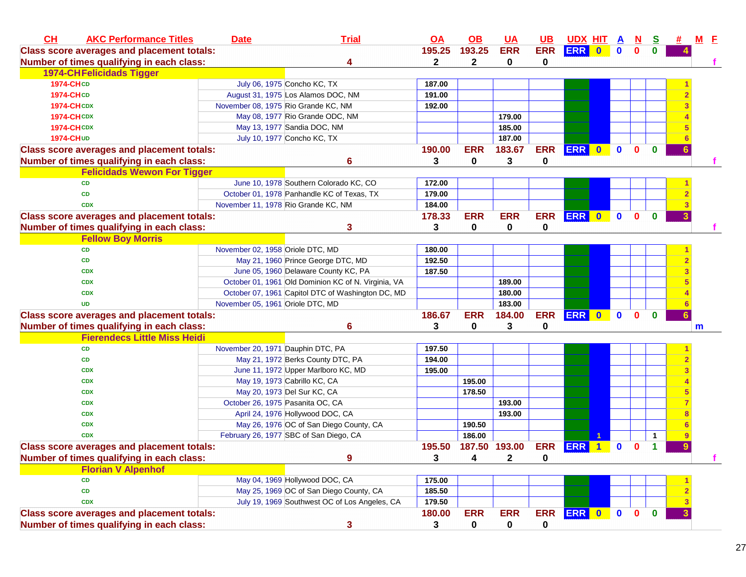| CH<br><b>AKC Performance Titles</b>               | <b>Date</b>                       | <b>Trial</b>                                        | <u>OA</u>    | $\overline{OB}$ | <b>UA</b>     | <u>UB</u>  | <b>UDX HIT A</b> |                      |              | <b>N</b>     | <u>s</u>     |   | <u>M E</u> |
|---------------------------------------------------|-----------------------------------|-----------------------------------------------------|--------------|-----------------|---------------|------------|------------------|----------------------|--------------|--------------|--------------|---|------------|
| <b>Class score averages and placement totals:</b> |                                   |                                                     | 195.25       | 193.25          | <b>ERR</b>    | <b>ERR</b> | ERR 0            |                      | $\mathbf 0$  | $\mathbf{0}$ | $\bf{0}$     |   |            |
| Number of times qualifying in each class:         |                                   |                                                     | $\mathbf{2}$ | $\mathbf{2}$    | 0             | 0          |                  |                      |              |              |              |   |            |
| <b>1974-CHFelicidads Tigger</b>                   |                                   |                                                     |              |                 |               |            |                  |                      |              |              |              |   |            |
| <b>1974-CHCD</b>                                  |                                   | July 06, 1975 Concho KC, TX                         | 187.00       |                 |               |            |                  |                      |              |              |              |   |            |
| <b>1974-CHCD</b>                                  |                                   | August 31, 1975 Los Alamos DOC, NM                  | 191.00       |                 |               |            |                  |                      |              |              |              |   |            |
| <b>1974-CHCDX</b>                                 |                                   | November 08, 1975 Rio Grande KC, NM                 | 192.00       |                 |               |            |                  |                      |              |              |              |   |            |
| <b>1974-CHCDX</b>                                 |                                   | May 08, 1977 Rio Grande ODC, NM                     |              |                 | 179.00        |            |                  |                      |              |              |              |   |            |
| <b>1974-CHCDX</b>                                 |                                   | May 13, 1977 Sandia DOC, NM                         |              |                 | 185.00        |            |                  |                      |              |              |              |   |            |
| 1974-CH UD                                        |                                   | July 10, 1977 Concho KC, TX                         |              |                 | 187.00        |            |                  |                      |              |              |              |   |            |
| <b>Class score averages and placement totals:</b> |                                   |                                                     | 190.00       | <b>ERR</b>      | 183.67        | <b>ERR</b> | ERR 0            |                      | $\mathbf{0}$ | $\mathbf{0}$ | $\bf{0}$     |   |            |
| Number of times qualifying in each class:         |                                   | 6                                                   | 3            | $\mathbf 0$     | 3             | 0          |                  |                      |              |              |              |   |            |
| <b>Felicidads Wewon For Tigger</b>                |                                   |                                                     |              |                 |               |            |                  |                      |              |              |              |   |            |
| <b>CD</b>                                         |                                   | June 10, 1978 Southern Colorado KC, CO              | 172.00       |                 |               |            |                  |                      |              |              |              |   |            |
| <b>CD</b>                                         |                                   | October 01, 1978 Panhandle KC of Texas, TX          | 179.00       |                 |               |            |                  |                      |              |              |              |   |            |
| <b>CDX</b>                                        |                                   | November 11, 1978 Rio Grande KC, NM                 | 184.00       |                 |               |            |                  |                      |              |              |              |   |            |
| <b>Class score averages and placement totals:</b> |                                   |                                                     | 178.33       | <b>ERR</b>      | <b>ERR</b>    | <b>ERR</b> | ERR 0            |                      | $\mathbf{0}$ | $\mathbf{0}$ | $\mathbf{0}$ |   |            |
| Number of times qualifying in each class:         |                                   | 3                                                   | 3            | 0               | 0             | 0          |                  |                      |              |              |              |   |            |
| <b>Fellow Boy Morris</b>                          |                                   |                                                     |              |                 |               |            |                  |                      |              |              |              |   |            |
| <b>CD</b>                                         | November 02, 1958 Oriole DTC, MD  |                                                     | 180.00       |                 |               |            |                  |                      |              |              |              |   |            |
| <b>CD</b>                                         |                                   | May 21, 1960 Prince George DTC, MD                  | 192.50       |                 |               |            |                  |                      |              |              |              |   |            |
| <b>CDX</b>                                        |                                   | June 05, 1960 Delaware County KC, PA                | 187.50       |                 |               |            |                  |                      |              |              |              |   |            |
| <b>CDX</b>                                        |                                   | October 01, 1961 Old Dominion KC of N. Virginia, VA |              |                 | 189.00        |            |                  |                      |              |              |              |   |            |
| <b>CDX</b>                                        |                                   | October 07, 1961 Capitol DTC of Washington DC, MD   |              |                 | 180.00        |            |                  |                      |              |              |              |   |            |
| <b>UD</b>                                         | November 05, 1961 Oriole DTC, MD  |                                                     |              |                 | 183.00        |            |                  |                      |              |              |              |   |            |
| <b>Class score averages and placement totals:</b> |                                   |                                                     | 186.67       | <b>ERR</b>      | 184.00        | <b>ERR</b> | ERR 0 0          |                      |              | $\mathbf{0}$ | $\mathbf 0$  |   |            |
| Number of times qualifying in each class:         |                                   | 6                                                   | 3            | 0               | 3             | 0          |                  |                      |              |              |              |   | m          |
| <b>Fierendecs Little Miss Heidi</b>               |                                   |                                                     |              |                 |               |            |                  |                      |              |              |              |   |            |
| <b>CD</b>                                         | November 20, 1971 Dauphin DTC, PA |                                                     | 197.50       |                 |               |            |                  |                      |              |              |              |   |            |
| CD                                                |                                   | May 21, 1972 Berks County DTC, PA                   | 194.00       |                 |               |            |                  |                      |              |              |              |   |            |
| <b>CDX</b>                                        |                                   | June 11, 1972 Upper Marlboro KC, MD                 | 195.00       |                 |               |            |                  |                      |              |              |              |   |            |
| <b>CDX</b>                                        |                                   | May 19, 1973 Cabrillo KC, CA                        |              | 195.00          |               |            |                  |                      |              |              |              |   |            |
| <b>CDX</b>                                        |                                   | May 20, 1973 Del Sur KC, CA                         |              | 178.50          |               |            |                  |                      |              |              |              |   |            |
| <b>CDX</b>                                        | October 26, 1975 Pasanita OC, CA  |                                                     |              |                 | 193.00        |            |                  |                      |              |              |              |   |            |
| <b>CDX</b>                                        |                                   | April 24, 1976 Hollywood DOC, CA                    |              |                 | 193.00        |            |                  |                      |              |              |              |   |            |
| <b>CDX</b>                                        |                                   | May 26, 1976 OC of San Diego County, CA             |              | 190.50          |               |            |                  |                      |              |              |              |   |            |
| <b>CDX</b>                                        |                                   | February 26, 1977 SBC of San Diego, CA              |              | 186.00          |               |            |                  |                      |              |              | $\mathbf{1}$ |   |            |
| <b>Class score averages and placement totals:</b> |                                   |                                                     | 195.50       |                 | 187.50 193.00 | <b>ERR</b> | <b>ERR</b>       | $\blacktriangleleft$ | $\mathbf 0$  | $\mathbf 0$  | 1            | 9 |            |
| Number of times qualifying in each class:         |                                   | 9                                                   | 3            | 4               | $\mathbf{2}$  | 0          |                  |                      |              |              |              |   |            |
| <b>Florian V Alpenhof</b>                         |                                   |                                                     |              |                 |               |            |                  |                      |              |              |              |   |            |
| CD                                                |                                   | May 04, 1969 Hollywood DOC, CA                      | 175.00       |                 |               |            |                  |                      |              |              |              |   |            |
| CD                                                |                                   | May 25, 1969 OC of San Diego County, CA             | 185.50       |                 |               |            |                  |                      |              |              |              |   |            |
| <b>CDX</b>                                        |                                   | July 19, 1969 Southwest OC of Los Angeles, CA       | 179.50       |                 |               |            |                  |                      |              |              |              |   |            |
| <b>Class score averages and placement totals:</b> |                                   |                                                     | 180.00       | <b>ERR</b>      | <b>ERR</b>    | <b>ERR</b> | ERR 0 0          |                      |              | $\mathbf{0}$ | $\mathbf{0}$ |   |            |
| Number of times qualifying in each class:         |                                   | 3                                                   | 3            | 0               | 0             | 0          |                  |                      |              |              |              |   |            |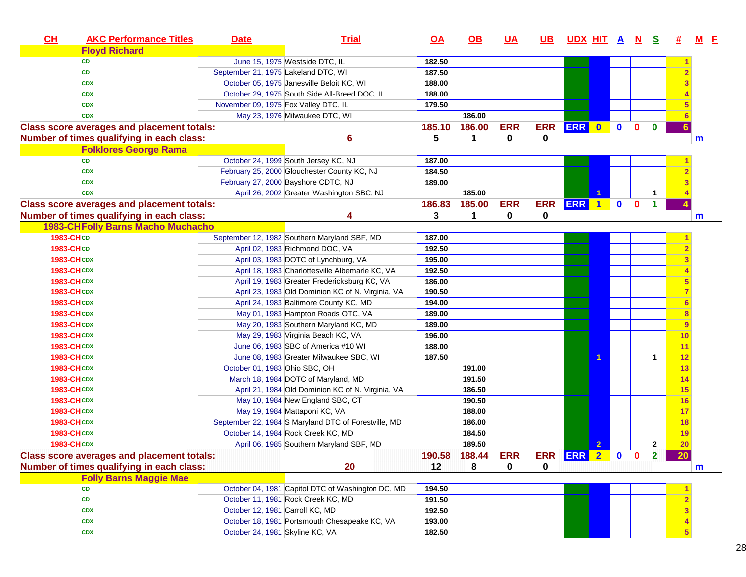| CL                | <b>AKC Performance Titles</b>                     | <b>Date</b>                          | <b>Trial</b>                                         | $\overline{OA}$ | <u>OB</u>            | <u>UA</u>  | <u>UB</u>  | <u>UDX HIT A N S</u> |                  |             |          |              | 坓  | <u>M E</u> |
|-------------------|---------------------------------------------------|--------------------------------------|------------------------------------------------------|-----------------|----------------------|------------|------------|----------------------|------------------|-------------|----------|--------------|----|------------|
|                   | <b>Floyd Richard</b>                              |                                      |                                                      |                 |                      |            |            |                      |                  |             |          |              |    |            |
|                   | <b>CD</b>                                         |                                      | June 15, 1975 Westside DTC, IL                       | 182.50          |                      |            |            |                      |                  |             |          |              |    |            |
|                   | <b>CD</b>                                         | September 21, 1975 Lakeland DTC, WI  |                                                      | 187.50          |                      |            |            |                      |                  |             |          |              |    |            |
|                   | <b>CDX</b>                                        |                                      | October 05, 1975 Janesville Beloit KC, WI            | 188.00          |                      |            |            |                      |                  |             |          |              |    |            |
|                   | <b>CDX</b>                                        |                                      | October 29, 1975 South Side All-Breed DOC, IL        | 188.00          |                      |            |            |                      |                  |             |          |              |    |            |
|                   | <b>CDX</b>                                        | November 09, 1975 Fox Valley DTC, IL |                                                      | 179.50          |                      |            |            |                      |                  |             |          |              |    |            |
|                   | <b>CDX</b>                                        |                                      | May 23, 1976 Milwaukee DTC, WI                       |                 | 186.00               |            |            |                      |                  |             |          |              |    |            |
|                   | <b>Class score averages and placement totals:</b> |                                      |                                                      | 185.10          | 186.00               | <b>ERR</b> | <b>ERR</b> | <b>ERR</b>           | $\bullet$        | $\mathbf 0$ | $\bf{0}$ | $\bf{0}$     |    |            |
|                   | Number of times qualifying in each class:         |                                      | 6                                                    | 5               | $\blacktriangleleft$ | 0          | 0          |                      |                  |             |          |              |    | m          |
|                   | <b>Folklores George Rama</b>                      |                                      |                                                      |                 |                      |            |            |                      |                  |             |          |              |    |            |
|                   | CD                                                |                                      | October 24, 1999 South Jersey KC, NJ                 | 187.00          |                      |            |            |                      |                  |             |          |              |    |            |
|                   | <b>CDX</b>                                        |                                      | February 25, 2000 Glouchester County KC, NJ          | 184.50          |                      |            |            |                      |                  |             |          |              |    |            |
|                   | <b>CDX</b>                                        |                                      | February 27, 2000 Bayshore CDTC, NJ                  | 189.00          |                      |            |            |                      |                  |             |          |              |    |            |
|                   | <b>CDX</b>                                        |                                      | April 26, 2002 Greater Washington SBC, NJ            |                 | 185.00               |            |            |                      | 1                |             |          | 1            |    |            |
|                   | <b>Class score averages and placement totals:</b> |                                      |                                                      | 186.83          | 185.00               | <b>ERR</b> | <b>ERR</b> | <b>ERR</b>           | $\blacksquare$ 1 | $\mathbf 0$ | 0        | 1            |    |            |
|                   | Number of times qualifying in each class:         |                                      | 4                                                    | 3               | 1                    | 0          | 0          |                      |                  |             |          |              |    | m          |
|                   | <b>1983-CHFolly Barns Macho Muchacho</b>          |                                      |                                                      |                 |                      |            |            |                      |                  |             |          |              |    |            |
| 1983-CHCD         |                                                   |                                      | September 12, 1982 Southern Maryland SBF, MD         | 187.00          |                      |            |            |                      |                  |             |          |              |    |            |
| 1983-CHCD         |                                                   |                                      | April 02, 1983 Richmond DOC, VA                      | 192.50          |                      |            |            |                      |                  |             |          |              |    |            |
| <b>1983-CHCDX</b> |                                                   |                                      | April 03, 1983 DOTC of Lynchburg, VA                 | 195.00          |                      |            |            |                      |                  |             |          |              |    |            |
| <b>1983-CHCDX</b> |                                                   |                                      | April 18, 1983 Charlottesville Albemarle KC, VA      | 192.50          |                      |            |            |                      |                  |             |          |              |    |            |
| <b>1983-CHCDX</b> |                                                   |                                      | April 19, 1983 Greater Fredericksburg KC, VA         | 186.00          |                      |            |            |                      |                  |             |          |              |    |            |
| <b>1983-CHCDX</b> |                                                   |                                      | April 23, 1983 Old Dominion KC of N. Virginia, VA    | 190.50          |                      |            |            |                      |                  |             |          |              |    |            |
| <b>1983-CHCDX</b> |                                                   |                                      | April 24, 1983 Baltimore County KC, MD               | 194.00          |                      |            |            |                      |                  |             |          |              |    |            |
| <b>1983-CHCDX</b> |                                                   |                                      | May 01, 1983 Hampton Roads OTC, VA                   | 189.00          |                      |            |            |                      |                  |             |          |              |    |            |
| <b>1983-CHCDX</b> |                                                   |                                      | May 20, 1983 Southern Maryland KC, MD                | 189.00          |                      |            |            |                      |                  |             |          |              |    |            |
| <b>1983-CHCDX</b> |                                                   |                                      | May 29, 1983 Virginia Beach KC, VA                   | 196.00          |                      |            |            |                      |                  |             |          |              | 10 |            |
| <b>1983-CHCDX</b> |                                                   |                                      | June 06, 1983 SBC of America #10 WI                  | 188.00          |                      |            |            |                      |                  |             |          |              | 11 |            |
| <b>1983-CHCDX</b> |                                                   |                                      | June 08, 1983 Greater Milwaukee SBC, WI              | 187.50          |                      |            |            |                      |                  |             |          | 1            | 12 |            |
| <b>1983-CHCDX</b> |                                                   | October 01, 1983 Ohio SBC, OH        |                                                      |                 | 191.00               |            |            |                      |                  |             |          |              | 13 |            |
| <b>1983-CHCDX</b> |                                                   |                                      | March 18, 1984 DOTC of Maryland, MD                  |                 | 191.50               |            |            |                      |                  |             |          |              | 14 |            |
| <b>1983-CHCDX</b> |                                                   |                                      | April 21, 1984 Old Dominion KC of N. Virginia, VA    |                 | 186.50               |            |            |                      |                  |             |          |              | 15 |            |
| <b>1983-CHCDX</b> |                                                   |                                      | May 10, 1984 New England SBC, CT                     |                 | 190.50               |            |            |                      |                  |             |          |              | 16 |            |
| <b>1983-CHCDX</b> |                                                   |                                      | May 19, 1984 Mattaponi KC, VA                        |                 | 188.00               |            |            |                      |                  |             |          |              | 17 |            |
| <b>1983-CHCDX</b> |                                                   |                                      | September 22, 1984 S Maryland DTC of Forestville, MD |                 | 186.00               |            |            |                      |                  |             |          |              | 18 |            |
| <b>1983-CHCDX</b> |                                                   |                                      | October 14, 1984 Rock Creek KC, MD                   |                 | 184.50               |            |            |                      |                  |             |          |              | 19 |            |
| <b>1983-CHCDX</b> |                                                   |                                      | April 06, 1985 Southern Maryland SBF, MD             |                 | 189.50               |            |            |                      | $\overline{2}$   |             |          | $\mathbf{2}$ | 20 |            |
|                   | <b>Class score averages and placement totals:</b> |                                      |                                                      | 190.58          | 188.44 ERR           |            |            | ERR ERR 2 0 0        |                  |             |          | $\mathbf{r}$ | 20 |            |
|                   | Number of times qualifying in each class:         |                                      | 20                                                   | 12              | 8                    | 0          | 0          |                      |                  |             |          |              |    | m          |
|                   | <b>Folly Barns Maggie Mae</b>                     |                                      |                                                      |                 |                      |            |            |                      |                  |             |          |              |    |            |
|                   | <b>CD</b>                                         |                                      | October 04, 1981 Capitol DTC of Washington DC, MD    | 194.50          |                      |            |            |                      |                  |             |          |              |    |            |
|                   | CD                                                |                                      | October 11, 1981 Rock Creek KC, MD                   | 191.50          |                      |            |            |                      |                  |             |          |              |    |            |
|                   | <b>CDX</b>                                        | October 12, 1981 Carroll KC, MD      |                                                      | 192.50          |                      |            |            |                      |                  |             |          |              |    |            |
|                   | <b>CDX</b>                                        |                                      | October 18, 1981 Portsmouth Chesapeake KC, VA        | 193.00          |                      |            |            |                      |                  |             |          |              |    |            |
|                   | <b>CDX</b>                                        | October 24, 1981 Skyline KC, VA      |                                                      | 182.50          |                      |            |            |                      |                  |             |          |              |    |            |
|                   |                                                   |                                      |                                                      |                 |                      |            |            |                      |                  |             |          |              |    |            |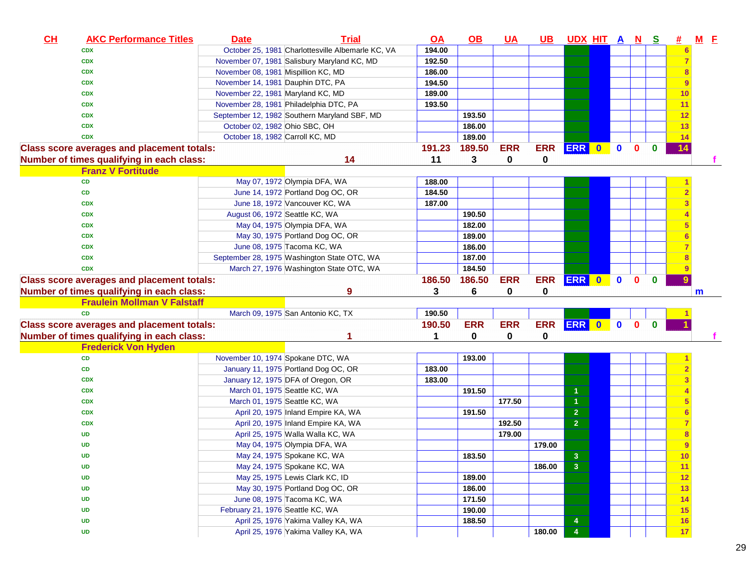| CL | <b>AKC Performance Titles</b>                     | <b>Date</b>                         | <b>Trial</b>                                                               | <u>OA</u> | <u>OB</u>  | <u>UA</u>  | <u>UB</u>  | UDX HIT A N S                    |           |             |              |              | <b>#</b>       | <u>M E</u> |
|----|---------------------------------------------------|-------------------------------------|----------------------------------------------------------------------------|-----------|------------|------------|------------|----------------------------------|-----------|-------------|--------------|--------------|----------------|------------|
|    | <b>CDX</b>                                        |                                     | October 25, 1981 Charlottesville Albemarle KC, VA                          | 194.00    |            |            |            |                                  |           |             |              |              |                |            |
|    | <b>CDX</b>                                        |                                     | November 07, 1981 Salisbury Maryland KC, MD                                | 192.50    |            |            |            |                                  |           |             |              |              |                |            |
|    | <b>CDX</b>                                        | November 08, 1981 Mispillion KC, MD |                                                                            | 186.00    |            |            |            |                                  |           |             |              |              |                |            |
|    | <b>CDX</b>                                        | November 14, 1981 Dauphin DTC, PA   |                                                                            | 194.50    |            |            |            |                                  |           |             |              |              |                |            |
|    | <b>CDX</b>                                        | November 22, 1981 Maryland KC, MD   |                                                                            | 189.00    |            |            |            |                                  |           |             |              |              | 10             |            |
|    | <b>CDX</b>                                        |                                     | November 28, 1981 Philadelphia DTC, PA                                     | 193.50    |            |            |            |                                  |           |             |              |              | 11             |            |
|    | <b>CDX</b>                                        |                                     | September 12, 1982 Southern Maryland SBF, MD                               |           | 193.50     |            |            |                                  |           |             |              |              | 12             |            |
|    | <b>CDX</b>                                        | October 02, 1982 Ohio SBC, OH       |                                                                            |           | 186.00     |            |            |                                  |           |             |              |              | 13             |            |
|    | <b>CDX</b>                                        | October 18, 1982 Carroll KC, MD     |                                                                            |           | 189.00     |            |            |                                  |           |             |              |              | 14             |            |
|    | <b>Class score averages and placement totals:</b> |                                     |                                                                            | 191.23    | 189.50     | <b>ERR</b> | <b>ERR</b> | <b>ERR</b>                       | $\bullet$ | $\mathbf 0$ | $\mathbf{0}$ | $\bf{0}$     | 14             |            |
|    | Number of times qualifying in each class:         |                                     | 14                                                                         | 11        | 3          | 0          | 0          |                                  |           |             |              |              |                |            |
|    | <b>Franz V Fortitude</b>                          |                                     |                                                                            |           |            |            |            |                                  |           |             |              |              |                |            |
|    | CD                                                |                                     | May 07, 1972 Olympia DFA, WA                                               | 188.00    |            |            |            |                                  |           |             |              |              |                |            |
|    | CD                                                |                                     | June 14, 1972 Portland Dog OC, OR                                          | 184.50    |            |            |            |                                  |           |             |              |              |                |            |
|    | <b>CDX</b>                                        |                                     | June 18, 1972 Vancouver KC, WA                                             | 187.00    |            |            |            |                                  |           |             |              |              |                |            |
|    | <b>CDX</b>                                        | August 06, 1972 Seattle KC, WA      |                                                                            |           | 190.50     |            |            |                                  |           |             |              |              |                |            |
|    | <b>CDX</b>                                        |                                     | May 04, 1975 Olympia DFA, WA                                               |           | 182.00     |            |            |                                  |           |             |              |              |                |            |
|    | <b>CDX</b>                                        |                                     | May 30, 1975 Portland Dog OC, OR                                           |           | 189.00     |            |            |                                  |           |             |              |              |                |            |
|    | <b>CDX</b>                                        |                                     | June 08, 1975 Tacoma KC, WA                                                |           | 186.00     |            |            |                                  |           |             |              |              |                |            |
|    | <b>CDX</b>                                        |                                     | September 28, 1975 Washington State OTC, WA                                |           | 187.00     |            |            |                                  |           |             |              |              |                |            |
|    | <b>CDX</b>                                        |                                     | March 27, 1976 Washington State OTC, WA                                    |           | 184.50     |            |            |                                  |           |             |              |              |                |            |
|    | <b>Class score averages and placement totals:</b> |                                     |                                                                            | 186.50    | 186.50     | <b>ERR</b> | <b>ERR</b> | ERR 0                            |           | $\bullet$   | $\mathbf{0}$ | $\mathbf{0}$ |                |            |
|    |                                                   |                                     |                                                                            |           |            |            |            |                                  |           |             |              |              |                |            |
|    | Number of times qualifying in each class:         |                                     | 9                                                                          | 3         | 6          | 0          | 0          |                                  |           |             |              |              |                | m          |
|    | <b>Fraulein Mollman V Falstaff</b>                |                                     |                                                                            |           |            |            |            |                                  |           |             |              |              |                |            |
|    | <b>CD</b>                                         |                                     | March 09, 1975 San Antonio KC, TX                                          | 190.50    |            |            |            |                                  |           |             |              |              |                |            |
|    | <b>Class score averages and placement totals:</b> |                                     |                                                                            | 190.50    | <b>ERR</b> | <b>ERR</b> | <b>ERR</b> | ERR 0 0                          |           |             | $\mathbf{0}$ | $\mathbf{0}$ |                |            |
|    | Number of times qualifying in each class:         |                                     |                                                                            | 1         | 0          | 0          | 0          |                                  |           |             |              |              |                |            |
|    | <b>Frederick Von Hyden</b>                        |                                     |                                                                            |           |            |            |            |                                  |           |             |              |              |                |            |
|    | CD                                                | November 10, 1974 Spokane DTC, WA   |                                                                            |           | 193.00     |            |            |                                  |           |             |              |              |                |            |
|    | CD                                                |                                     | January 11, 1975 Portland Dog OC, OR                                       | 183.00    |            |            |            |                                  |           |             |              |              |                |            |
|    | <b>CDX</b>                                        |                                     | January 12, 1975 DFA of Oregon, OR                                         | 183.00    |            |            |            |                                  |           |             |              |              |                |            |
|    | <b>CDX</b>                                        | March 01, 1975 Seattle KC, WA       |                                                                            |           | 191.50     |            |            |                                  |           |             |              |              |                |            |
|    | <b>CDX</b>                                        | March 01, 1975 Seattle KC, WA       |                                                                            |           |            | 177.50     |            |                                  |           |             |              |              |                |            |
|    | <b>CDX</b>                                        |                                     | April 20, 1975 Inland Empire KA, WA                                        |           | 191.50     |            |            | $\overline{2}$                   |           |             |              |              |                |            |
|    | <b>CDX</b>                                        |                                     | April 20, 1975 Inland Empire KA, WA                                        |           |            | 192.50     |            | $\overline{2}$                   |           |             |              |              |                |            |
|    | UD                                                |                                     | April 25, 1975 Walla Walla KC, WA                                          |           |            | 179.00     |            |                                  |           |             |              |              |                |            |
|    | UD                                                |                                     | May 04, 1975 Olympia DFA, WA                                               |           |            |            | 179.00     |                                  |           |             |              |              | $\overline{9}$ |            |
|    | UD                                                |                                     | May 24, 1975 Spokane KC, WA                                                |           | 183.50     |            |            | $\mathbf{3}$                     |           |             |              |              | <u> 10</u>     |            |
|    | UD                                                |                                     | May 24, 1975 Spokane KC, WA                                                |           |            |            | 186.00     | $\overline{\mathbf{3}}$          |           |             |              |              | 11             |            |
|    | UD                                                |                                     | May 25, 1975 Lewis Clark KC, ID                                            |           | 189.00     |            |            |                                  |           |             |              |              | 12             |            |
|    | UD                                                |                                     | May 30, 1975 Portland Dog OC, OR                                           |           | 186.00     |            |            |                                  |           |             |              |              | 13             |            |
|    | UD                                                |                                     | June 08, 1975 Tacoma KC, WA                                                |           | 171.50     |            |            |                                  |           |             |              |              | 14             |            |
|    | UD                                                | February 21, 1976 Seattle KC, WA    |                                                                            |           | 190.00     |            |            |                                  |           |             |              |              | 15             |            |
|    | <b>UD</b>                                         |                                     | April 25, 1976 Yakima Valley KA, WA<br>April 25, 1976 Yakima Valley KA, WA |           | 188.50     |            | 180.00     | $\overline{4}$<br>$\overline{4}$ |           |             |              |              | 16<br>17       |            |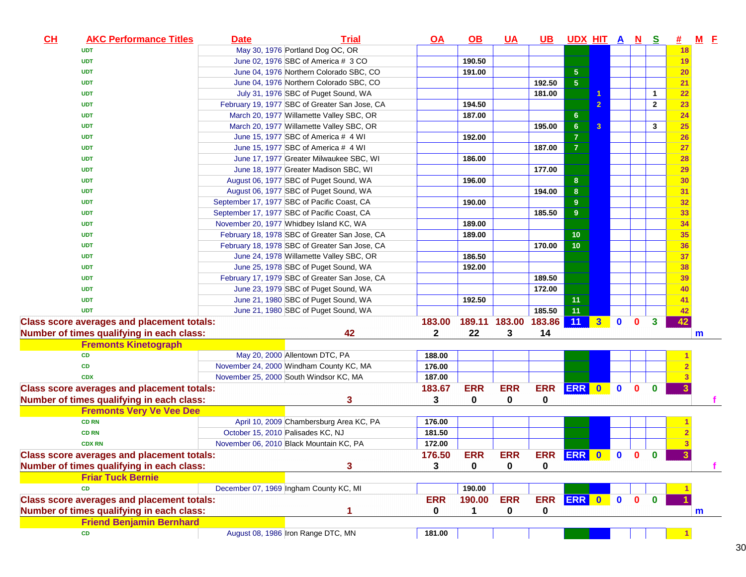| CL | <b>AKC Performance Titles</b>                     | <b>Date</b> | <b>Trial</b>                                  | <u>OA</u>    | $\Omega$   | <u>UA</u>     | <u>UB</u>       | UDX HIT A N S    |                |              |              |                | 坓         | $M$ E |  |
|----|---------------------------------------------------|-------------|-----------------------------------------------|--------------|------------|---------------|-----------------|------------------|----------------|--------------|--------------|----------------|-----------|-------|--|
|    | <b>UDT</b>                                        |             | May 30, 1976 Portland Dog OC, OR              |              |            |               |                 |                  |                |              |              |                | 18        |       |  |
|    | <b>UDT</b>                                        |             | June 02, 1976 SBC of America # 3 CO           |              | 190.50     |               |                 |                  |                |              |              |                | 19        |       |  |
|    | <b>UDT</b>                                        |             | June 04, 1976 Northern Colorado SBC, CO       |              | 191.00     |               |                 | ${\bf 5}$        |                |              |              |                | 20        |       |  |
|    | <b>UDT</b>                                        |             | June 04, 1976 Northern Colorado SBC, CO       |              |            |               | 192.50          | $\overline{5}$   |                |              |              |                | 21        |       |  |
|    | <b>UDT</b>                                        |             | July 31, 1976 SBC of Puget Sound, WA          |              |            |               | 181.00          |                  |                |              |              | 1              | 22        |       |  |
|    | <b>UDT</b>                                        |             | February 19, 1977 SBC of Greater San Jose, CA |              | 194.50     |               |                 |                  | $\overline{2}$ |              |              | $\overline{2}$ | 23        |       |  |
|    | <b>UDT</b>                                        |             | March 20, 1977 Willamette Valley SBC, OR      |              | 187.00     |               |                 | $6\phantom{.}6$  |                |              |              |                | 24        |       |  |
|    | <b>UDT</b>                                        |             | March 20, 1977 Willamette Valley SBC, OR      |              |            |               | 195.00          | $\bf 6$          | $\overline{3}$ |              |              | 3              | <b>25</b> |       |  |
|    | <b>UDT</b>                                        |             | June 15, 1977 SBC of America # 4 WI           |              | 192.00     |               |                 | $\overline{7}$   |                |              |              |                | 26        |       |  |
|    | <b>UDT</b>                                        |             | June 15, 1977 SBC of America # 4 WI           |              |            |               | 187.00          | $\overline{7}$   |                |              |              |                | 27        |       |  |
|    | <b>UDT</b>                                        |             | June 17, 1977 Greater Milwaukee SBC, WI       |              | 186.00     |               |                 |                  |                |              |              |                | <b>28</b> |       |  |
|    | <b>UDT</b>                                        |             | June 18, 1977 Greater Madison SBC, WI         |              |            |               | 177.00          |                  |                |              |              |                | 29        |       |  |
|    | <b>UDT</b>                                        |             | August 06, 1977 SBC of Puget Sound, WA        |              | 196.00     |               |                 | $\boldsymbol{8}$ |                |              |              |                | 30        |       |  |
|    | <b>UDT</b>                                        |             | August 06, 1977 SBC of Puget Sound, WA        |              |            |               | 194.00          | $\bf 8$          |                |              |              |                | 31        |       |  |
|    | <b>UDT</b>                                        |             | September 17, 1977 SBC of Pacific Coast, CA   |              | 190.00     |               |                 | $\overline{9}$   |                |              |              |                | 32        |       |  |
|    | <b>UDT</b>                                        |             | September 17, 1977 SBC of Pacific Coast, CA   |              |            |               | 185.50          | 9                |                |              |              |                | 33        |       |  |
|    | <b>UDT</b>                                        |             | November 20, 1977 Whidbey Island KC, WA       |              | 189.00     |               |                 |                  |                |              |              |                | 34        |       |  |
|    | <b>UDT</b>                                        |             | February 18, 1978 SBC of Greater San Jose, CA |              | 189.00     |               |                 | 10               |                |              |              |                | 35        |       |  |
|    | <b>UDT</b>                                        |             | February 18, 1978 SBC of Greater San Jose, CA |              |            |               | 170.00          | 10               |                |              |              |                | 36        |       |  |
|    | <b>UDT</b>                                        |             | June 24, 1978 Willamette Valley SBC, OR       |              | 186.50     |               |                 |                  |                |              |              |                | 37        |       |  |
|    | <b>UDT</b>                                        |             | June 25, 1978 SBC of Puget Sound, WA          |              | 192.00     |               |                 |                  |                |              |              |                | 38        |       |  |
|    | <b>UDT</b>                                        |             | February 17, 1979 SBC of Greater San Jose, CA |              |            |               | 189.50          |                  |                |              |              |                | 39        |       |  |
|    | <b>UDT</b>                                        |             | June 23, 1979 SBC of Puget Sound, WA          |              |            |               | 172.00          |                  |                |              |              |                | 40        |       |  |
|    | <b>UDT</b>                                        |             | June 21, 1980 SBC of Puget Sound, WA          |              | 192.50     |               |                 | 11               |                |              |              |                | 41        |       |  |
|    | <b>UDT</b>                                        |             | June 21, 1980 SBC of Puget Sound, WA          |              |            |               | 185.50          | 11               |                |              |              |                | 42        |       |  |
|    | <b>Class score averages and placement totals:</b> |             |                                               | 183.00       |            | 189.11 183.00 | 183.86          | 11               | $3-1$          | $\mathbf{0}$ | $\mathbf{0}$ | $\mathbf{3}$   | 42        |       |  |
|    | Number of times qualifying in each class:         |             | 42                                            | $\mathbf{2}$ | 22         | 3             | 14              |                  |                |              |              |                |           | m     |  |
|    | <b>Fremonts Kinetograph</b>                       |             |                                               |              |            |               |                 |                  |                |              |              |                |           |       |  |
|    | <b>CD</b>                                         |             | May 20, 2000 Allentown DTC, PA                | 188.00       |            |               |                 |                  |                |              |              |                |           |       |  |
|    | CD                                                |             | November 24, 2000 Windham County KC, MA       | 176.00       |            |               |                 |                  |                |              |              |                |           |       |  |
|    | <b>CDX</b>                                        |             | November 25, 2000 South Windsor KC, MA        | 187.00       |            |               |                 |                  |                |              |              |                |           |       |  |
|    | <b>Class score averages and placement totals:</b> |             |                                               | 183.67       | <b>ERR</b> | <b>ERR</b>    | <b>ERR</b>      | ERR 0 0          |                |              | $\mathbf{0}$ | $\mathbf{0}$   | 3         |       |  |
|    | Number of times qualifying in each class:         |             | 3                                             | 3            | 0          | 0             | 0               |                  |                |              |              |                |           |       |  |
|    | <b>Fremonts Very Ve Vee Dee</b>                   |             |                                               |              |            |               |                 |                  |                |              |              |                |           |       |  |
|    | <b>CD RN</b>                                      |             | April 10, 2009 Chambersburg Area KC, PA       | 176.00       |            |               |                 |                  |                |              |              |                |           |       |  |
|    | <b>CD RN</b>                                      |             | October 15, 2010 Palisades KC, NJ             | 181.50       |            |               |                 |                  |                |              |              |                |           |       |  |
|    | <b>CDX RN</b>                                     |             | November 06, 2010 Black Mountain KC, PA       | 172.00       |            |               |                 |                  |                |              |              |                |           |       |  |
|    | <b>Class score averages and placement totals:</b> |             |                                               | 176.50       | <b>ERR</b> | <b>ERR</b>    | ERR ERR 0 0 0 0 |                  |                |              |              |                |           |       |  |
|    | Number of times qualifying in each class:         |             | 3                                             | 3            | 0          | 0             | 0               |                  |                |              |              |                |           |       |  |
|    | <b>Friar Tuck Bernie</b>                          |             |                                               |              |            |               |                 |                  |                |              |              |                |           |       |  |
|    | <b>CD</b>                                         |             | December 07, 1969 Ingham County KC, MI        |              | 190.00     |               |                 |                  |                |              |              |                |           |       |  |
|    | <b>Class score averages and placement totals:</b> |             |                                               | <b>ERR</b>   | 190.00     | <b>ERR</b>    | ERR ERR 0 0     |                  |                |              | $\mathbf{0}$ | $\mathbf{0}$   |           |       |  |
|    | Number of times qualifying in each class:         |             |                                               | 0            | 1          | 0             |                 |                  |                |              |              |                |           |       |  |
|    | <b>Friend Benjamin Bernhard</b>                   |             |                                               |              |            |               | 0               |                  |                |              |              |                |           | m     |  |
|    | <b>CD</b>                                         |             | August 08, 1986 Iron Range DTC, MN            | 181.00       |            |               |                 |                  |                |              |              |                |           |       |  |
|    |                                                   |             |                                               |              |            |               |                 |                  |                |              |              |                |           |       |  |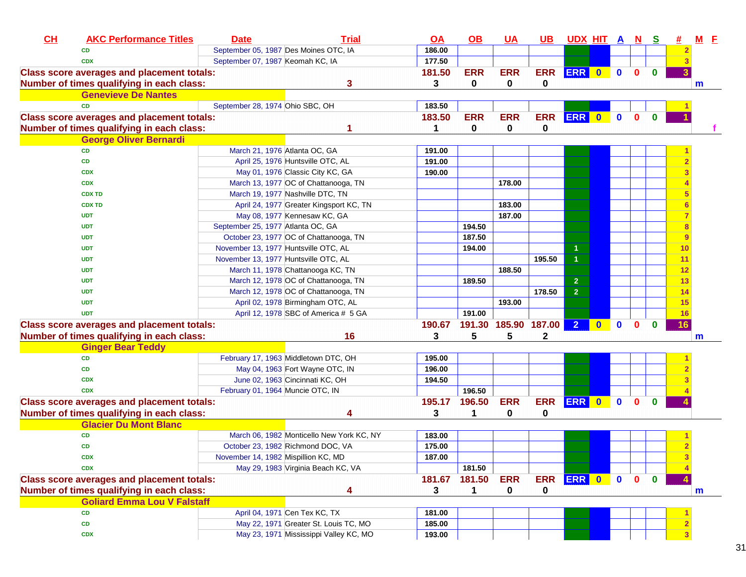| September 05, 1987 Des Moines OTC, IA<br>186.00<br><b>CD</b><br>September 07, 1987 Keomah KC, IA<br>177.50<br><b>CDX</b><br><b>ERR</b><br><b>ERR</b><br>ERR 0<br>181.50<br><b>ERR</b><br>$\mathbf 0$<br>$\mathbf{0}$<br>$\mathbf{0}$<br><b>Class score averages and placement totals:</b><br>3<br>0<br>Number of times qualifying in each class:<br>3<br>0<br>0<br>m<br><b>Genevieve De Nantes</b><br>September 28, 1974 Ohio SBC, OH<br><b>CD</b><br>183.50<br><b>ERR</b><br><b>ERR</b><br><b>ERR</b><br><b>ERR</b><br>183.50<br>$\bullet$<br>$\mathbf{0}$<br>$\mathbf{0}$<br><b>Class score averages and placement totals:</b><br>Number of times qualifying in each class:<br>$\mathbf 0$<br>0<br>0<br>1<br><b>George Oliver Bernardi</b><br>March 21, 1976 Atlanta OC, GA<br><b>CD</b><br>191.00<br><b>CD</b><br>April 25, 1976 Huntsville OTC, AL<br>191.00<br>May 01, 1976 Classic City KC, GA<br>190.00<br><b>CDX</b><br>March 13, 1977 OC of Chattanooga, TN<br>178.00<br><b>CDX</b><br>March 19, 1977 Nashville DTC, TN<br><b>CDX TD</b><br>183.00<br>April 24, 1977 Greater Kingsport KC, TN<br><b>CDX TD</b><br>May 08, 1977 Kennesaw KC, GA<br>187.00<br><b>UDT</b><br>September 25, 1977 Atlanta OC, GA<br>194.50<br><b>UDT</b><br>187.50<br>October 23, 1977 OC of Chattanooga, TN<br><b>UDT</b><br>9<br>November 13, 1977 Huntsville OTC, AL<br>194.00<br><b>UDT</b><br>$\blacktriangleleft$<br>10<br>$\overline{1}$<br>195.50<br>11<br>November 13, 1977 Huntsville OTC, AL<br><b>UDT</b><br>188.50<br>March 11, 1978 Chattanooga KC, TN<br>12<br><b>UDT</b><br>March 12, 1978 OC of Chattanooga, TN<br>189.50<br>$\overline{2}$<br><b>UDT</b><br>13<br>$\overline{2}$<br>March 12, 1978 OC of Chattanooga, TN<br>178.50<br>14<br><b>UDT</b><br>193.00<br>April 02, 1978 Birmingham OTC, AL<br><b>UDT</b><br>15<br>191.00<br><b>UDT</b><br>April 12, 1978 SBC of America # 5 GA<br>16<br>191.30 185.90 187.00<br>$\overline{2}$<br><b>Class score averages and placement totals:</b><br>190.67<br>$\mathbf{0}$<br>$\mathbf{0}$<br>$\mathbf{0}$<br>16<br>5<br>$\mathbf 2$<br>16<br>3<br>5<br>Number of times qualifying in each class:<br>m<br><b>Ginger Bear Teddy</b><br>February 17, 1963 Middletown DTC, OH<br><b>CD</b><br>195.00<br>May 04, 1963 Fort Wayne OTC, IN<br>196.00<br><b>CD</b><br>June 02, 1963 Cincinnati KC, OH<br>194.50<br><b>CDX</b><br>196.50<br>February 01, 1964 Muncie OTC, IN<br><b>CDX</b><br><b>ERR</b><br><b>Class score averages and placement totals:</b><br>196.50<br><b>ERR</b><br><b>ERR</b><br>195.17<br>$\bullet$<br>$\mathbf{0}$<br>$\mathbf{0}$<br>$\bf{0}$<br>Number of times qualifying in each class:<br>3<br>$\mathbf{1}$<br>0<br>0<br>4<br><b>Glacier Du Mont Blanc</b><br>March 06, 1982 Monticello New York KC, NY<br>CD<br>183.00<br>October 23, 1982 Richmond DOC, VA<br>175.00<br><b>CD</b><br><b>CDX</b><br>November 14, 1982 Mispillion KC, MD<br>187.00<br>May 29, 1983 Virginia Beach KC, VA<br>181.50<br><b>CDX</b><br><b>ERR</b><br>181.67<br><b>ERR</b><br>ERR 0 0<br>181.50<br>$\mathbf{0}$<br>$\mathbf{0}$<br><b>Class score averages and placement totals:</b><br>Number of times qualifying in each class:<br>0<br>3<br>0<br>4<br>1<br>m<br><b>Goliard Emma Lou V Falstaff</b><br>April 04, 1971 Cen Tex KC, TX<br>181.00<br>CD<br>May 22, 1971 Greater St. Louis TC, MO<br>185.00<br>CD<br>May 23, 1971 Mississippi Valley KC, MO<br>193.00<br><b>CDX</b> | CL | <b>AKC Performance Titles</b> | <b>Date</b> | <b>Trial</b> | <u>OA</u> | $\Omega$ | <u>UA</u> | $\overline{\mathsf{UB}}$ | <u>UDX HIT A N S</u> |  |  | 坓 | $M$ E |
|----------------------------------------------------------------------------------------------------------------------------------------------------------------------------------------------------------------------------------------------------------------------------------------------------------------------------------------------------------------------------------------------------------------------------------------------------------------------------------------------------------------------------------------------------------------------------------------------------------------------------------------------------------------------------------------------------------------------------------------------------------------------------------------------------------------------------------------------------------------------------------------------------------------------------------------------------------------------------------------------------------------------------------------------------------------------------------------------------------------------------------------------------------------------------------------------------------------------------------------------------------------------------------------------------------------------------------------------------------------------------------------------------------------------------------------------------------------------------------------------------------------------------------------------------------------------------------------------------------------------------------------------------------------------------------------------------------------------------------------------------------------------------------------------------------------------------------------------------------------------------------------------------------------------------------------------------------------------------------------------------------------------------------------------------------------------------------------------------------------------------------------------------------------------------------------------------------------------------------------------------------------------------------------------------------------------------------------------------------------------------------------------------------------------------------------------------------------------------------------------------------------------------------------------------------------------------------------------------------------------------------------------------------------------------------------------------------------------------------------------------------------------------------------------------------------------------------------------------------------------------------------------------------------------------------------------------------------------------------------------------------------------------------------------------------------------------------------------------------------------------------------------------------------------------------------------------------------------------------------------------------------------------------------------------------------------------------------------------------------------------------------------------------------------------------------|----|-------------------------------|-------------|--------------|-----------|----------|-----------|--------------------------|----------------------|--|--|---|-------|
|                                                                                                                                                                                                                                                                                                                                                                                                                                                                                                                                                                                                                                                                                                                                                                                                                                                                                                                                                                                                                                                                                                                                                                                                                                                                                                                                                                                                                                                                                                                                                                                                                                                                                                                                                                                                                                                                                                                                                                                                                                                                                                                                                                                                                                                                                                                                                                                                                                                                                                                                                                                                                                                                                                                                                                                                                                                                                                                                                                                                                                                                                                                                                                                                                                                                                                                                                                                                                                        |    |                               |             |              |           |          |           |                          |                      |  |  |   |       |
|                                                                                                                                                                                                                                                                                                                                                                                                                                                                                                                                                                                                                                                                                                                                                                                                                                                                                                                                                                                                                                                                                                                                                                                                                                                                                                                                                                                                                                                                                                                                                                                                                                                                                                                                                                                                                                                                                                                                                                                                                                                                                                                                                                                                                                                                                                                                                                                                                                                                                                                                                                                                                                                                                                                                                                                                                                                                                                                                                                                                                                                                                                                                                                                                                                                                                                                                                                                                                                        |    |                               |             |              |           |          |           |                          |                      |  |  |   |       |
|                                                                                                                                                                                                                                                                                                                                                                                                                                                                                                                                                                                                                                                                                                                                                                                                                                                                                                                                                                                                                                                                                                                                                                                                                                                                                                                                                                                                                                                                                                                                                                                                                                                                                                                                                                                                                                                                                                                                                                                                                                                                                                                                                                                                                                                                                                                                                                                                                                                                                                                                                                                                                                                                                                                                                                                                                                                                                                                                                                                                                                                                                                                                                                                                                                                                                                                                                                                                                                        |    |                               |             |              |           |          |           |                          |                      |  |  |   |       |
|                                                                                                                                                                                                                                                                                                                                                                                                                                                                                                                                                                                                                                                                                                                                                                                                                                                                                                                                                                                                                                                                                                                                                                                                                                                                                                                                                                                                                                                                                                                                                                                                                                                                                                                                                                                                                                                                                                                                                                                                                                                                                                                                                                                                                                                                                                                                                                                                                                                                                                                                                                                                                                                                                                                                                                                                                                                                                                                                                                                                                                                                                                                                                                                                                                                                                                                                                                                                                                        |    |                               |             |              |           |          |           |                          |                      |  |  |   |       |
|                                                                                                                                                                                                                                                                                                                                                                                                                                                                                                                                                                                                                                                                                                                                                                                                                                                                                                                                                                                                                                                                                                                                                                                                                                                                                                                                                                                                                                                                                                                                                                                                                                                                                                                                                                                                                                                                                                                                                                                                                                                                                                                                                                                                                                                                                                                                                                                                                                                                                                                                                                                                                                                                                                                                                                                                                                                                                                                                                                                                                                                                                                                                                                                                                                                                                                                                                                                                                                        |    |                               |             |              |           |          |           |                          |                      |  |  |   |       |
|                                                                                                                                                                                                                                                                                                                                                                                                                                                                                                                                                                                                                                                                                                                                                                                                                                                                                                                                                                                                                                                                                                                                                                                                                                                                                                                                                                                                                                                                                                                                                                                                                                                                                                                                                                                                                                                                                                                                                                                                                                                                                                                                                                                                                                                                                                                                                                                                                                                                                                                                                                                                                                                                                                                                                                                                                                                                                                                                                                                                                                                                                                                                                                                                                                                                                                                                                                                                                                        |    |                               |             |              |           |          |           |                          |                      |  |  |   |       |
|                                                                                                                                                                                                                                                                                                                                                                                                                                                                                                                                                                                                                                                                                                                                                                                                                                                                                                                                                                                                                                                                                                                                                                                                                                                                                                                                                                                                                                                                                                                                                                                                                                                                                                                                                                                                                                                                                                                                                                                                                                                                                                                                                                                                                                                                                                                                                                                                                                                                                                                                                                                                                                                                                                                                                                                                                                                                                                                                                                                                                                                                                                                                                                                                                                                                                                                                                                                                                                        |    |                               |             |              |           |          |           |                          |                      |  |  |   |       |
|                                                                                                                                                                                                                                                                                                                                                                                                                                                                                                                                                                                                                                                                                                                                                                                                                                                                                                                                                                                                                                                                                                                                                                                                                                                                                                                                                                                                                                                                                                                                                                                                                                                                                                                                                                                                                                                                                                                                                                                                                                                                                                                                                                                                                                                                                                                                                                                                                                                                                                                                                                                                                                                                                                                                                                                                                                                                                                                                                                                                                                                                                                                                                                                                                                                                                                                                                                                                                                        |    |                               |             |              |           |          |           |                          |                      |  |  |   |       |
|                                                                                                                                                                                                                                                                                                                                                                                                                                                                                                                                                                                                                                                                                                                                                                                                                                                                                                                                                                                                                                                                                                                                                                                                                                                                                                                                                                                                                                                                                                                                                                                                                                                                                                                                                                                                                                                                                                                                                                                                                                                                                                                                                                                                                                                                                                                                                                                                                                                                                                                                                                                                                                                                                                                                                                                                                                                                                                                                                                                                                                                                                                                                                                                                                                                                                                                                                                                                                                        |    |                               |             |              |           |          |           |                          |                      |  |  |   |       |
|                                                                                                                                                                                                                                                                                                                                                                                                                                                                                                                                                                                                                                                                                                                                                                                                                                                                                                                                                                                                                                                                                                                                                                                                                                                                                                                                                                                                                                                                                                                                                                                                                                                                                                                                                                                                                                                                                                                                                                                                                                                                                                                                                                                                                                                                                                                                                                                                                                                                                                                                                                                                                                                                                                                                                                                                                                                                                                                                                                                                                                                                                                                                                                                                                                                                                                                                                                                                                                        |    |                               |             |              |           |          |           |                          |                      |  |  |   |       |
|                                                                                                                                                                                                                                                                                                                                                                                                                                                                                                                                                                                                                                                                                                                                                                                                                                                                                                                                                                                                                                                                                                                                                                                                                                                                                                                                                                                                                                                                                                                                                                                                                                                                                                                                                                                                                                                                                                                                                                                                                                                                                                                                                                                                                                                                                                                                                                                                                                                                                                                                                                                                                                                                                                                                                                                                                                                                                                                                                                                                                                                                                                                                                                                                                                                                                                                                                                                                                                        |    |                               |             |              |           |          |           |                          |                      |  |  |   |       |
|                                                                                                                                                                                                                                                                                                                                                                                                                                                                                                                                                                                                                                                                                                                                                                                                                                                                                                                                                                                                                                                                                                                                                                                                                                                                                                                                                                                                                                                                                                                                                                                                                                                                                                                                                                                                                                                                                                                                                                                                                                                                                                                                                                                                                                                                                                                                                                                                                                                                                                                                                                                                                                                                                                                                                                                                                                                                                                                                                                                                                                                                                                                                                                                                                                                                                                                                                                                                                                        |    |                               |             |              |           |          |           |                          |                      |  |  |   |       |
|                                                                                                                                                                                                                                                                                                                                                                                                                                                                                                                                                                                                                                                                                                                                                                                                                                                                                                                                                                                                                                                                                                                                                                                                                                                                                                                                                                                                                                                                                                                                                                                                                                                                                                                                                                                                                                                                                                                                                                                                                                                                                                                                                                                                                                                                                                                                                                                                                                                                                                                                                                                                                                                                                                                                                                                                                                                                                                                                                                                                                                                                                                                                                                                                                                                                                                                                                                                                                                        |    |                               |             |              |           |          |           |                          |                      |  |  |   |       |
|                                                                                                                                                                                                                                                                                                                                                                                                                                                                                                                                                                                                                                                                                                                                                                                                                                                                                                                                                                                                                                                                                                                                                                                                                                                                                                                                                                                                                                                                                                                                                                                                                                                                                                                                                                                                                                                                                                                                                                                                                                                                                                                                                                                                                                                                                                                                                                                                                                                                                                                                                                                                                                                                                                                                                                                                                                                                                                                                                                                                                                                                                                                                                                                                                                                                                                                                                                                                                                        |    |                               |             |              |           |          |           |                          |                      |  |  |   |       |
|                                                                                                                                                                                                                                                                                                                                                                                                                                                                                                                                                                                                                                                                                                                                                                                                                                                                                                                                                                                                                                                                                                                                                                                                                                                                                                                                                                                                                                                                                                                                                                                                                                                                                                                                                                                                                                                                                                                                                                                                                                                                                                                                                                                                                                                                                                                                                                                                                                                                                                                                                                                                                                                                                                                                                                                                                                                                                                                                                                                                                                                                                                                                                                                                                                                                                                                                                                                                                                        |    |                               |             |              |           |          |           |                          |                      |  |  |   |       |
|                                                                                                                                                                                                                                                                                                                                                                                                                                                                                                                                                                                                                                                                                                                                                                                                                                                                                                                                                                                                                                                                                                                                                                                                                                                                                                                                                                                                                                                                                                                                                                                                                                                                                                                                                                                                                                                                                                                                                                                                                                                                                                                                                                                                                                                                                                                                                                                                                                                                                                                                                                                                                                                                                                                                                                                                                                                                                                                                                                                                                                                                                                                                                                                                                                                                                                                                                                                                                                        |    |                               |             |              |           |          |           |                          |                      |  |  |   |       |
|                                                                                                                                                                                                                                                                                                                                                                                                                                                                                                                                                                                                                                                                                                                                                                                                                                                                                                                                                                                                                                                                                                                                                                                                                                                                                                                                                                                                                                                                                                                                                                                                                                                                                                                                                                                                                                                                                                                                                                                                                                                                                                                                                                                                                                                                                                                                                                                                                                                                                                                                                                                                                                                                                                                                                                                                                                                                                                                                                                                                                                                                                                                                                                                                                                                                                                                                                                                                                                        |    |                               |             |              |           |          |           |                          |                      |  |  |   |       |
|                                                                                                                                                                                                                                                                                                                                                                                                                                                                                                                                                                                                                                                                                                                                                                                                                                                                                                                                                                                                                                                                                                                                                                                                                                                                                                                                                                                                                                                                                                                                                                                                                                                                                                                                                                                                                                                                                                                                                                                                                                                                                                                                                                                                                                                                                                                                                                                                                                                                                                                                                                                                                                                                                                                                                                                                                                                                                                                                                                                                                                                                                                                                                                                                                                                                                                                                                                                                                                        |    |                               |             |              |           |          |           |                          |                      |  |  |   |       |
|                                                                                                                                                                                                                                                                                                                                                                                                                                                                                                                                                                                                                                                                                                                                                                                                                                                                                                                                                                                                                                                                                                                                                                                                                                                                                                                                                                                                                                                                                                                                                                                                                                                                                                                                                                                                                                                                                                                                                                                                                                                                                                                                                                                                                                                                                                                                                                                                                                                                                                                                                                                                                                                                                                                                                                                                                                                                                                                                                                                                                                                                                                                                                                                                                                                                                                                                                                                                                                        |    |                               |             |              |           |          |           |                          |                      |  |  |   |       |
|                                                                                                                                                                                                                                                                                                                                                                                                                                                                                                                                                                                                                                                                                                                                                                                                                                                                                                                                                                                                                                                                                                                                                                                                                                                                                                                                                                                                                                                                                                                                                                                                                                                                                                                                                                                                                                                                                                                                                                                                                                                                                                                                                                                                                                                                                                                                                                                                                                                                                                                                                                                                                                                                                                                                                                                                                                                                                                                                                                                                                                                                                                                                                                                                                                                                                                                                                                                                                                        |    |                               |             |              |           |          |           |                          |                      |  |  |   |       |
|                                                                                                                                                                                                                                                                                                                                                                                                                                                                                                                                                                                                                                                                                                                                                                                                                                                                                                                                                                                                                                                                                                                                                                                                                                                                                                                                                                                                                                                                                                                                                                                                                                                                                                                                                                                                                                                                                                                                                                                                                                                                                                                                                                                                                                                                                                                                                                                                                                                                                                                                                                                                                                                                                                                                                                                                                                                                                                                                                                                                                                                                                                                                                                                                                                                                                                                                                                                                                                        |    |                               |             |              |           |          |           |                          |                      |  |  |   |       |
|                                                                                                                                                                                                                                                                                                                                                                                                                                                                                                                                                                                                                                                                                                                                                                                                                                                                                                                                                                                                                                                                                                                                                                                                                                                                                                                                                                                                                                                                                                                                                                                                                                                                                                                                                                                                                                                                                                                                                                                                                                                                                                                                                                                                                                                                                                                                                                                                                                                                                                                                                                                                                                                                                                                                                                                                                                                                                                                                                                                                                                                                                                                                                                                                                                                                                                                                                                                                                                        |    |                               |             |              |           |          |           |                          |                      |  |  |   |       |
|                                                                                                                                                                                                                                                                                                                                                                                                                                                                                                                                                                                                                                                                                                                                                                                                                                                                                                                                                                                                                                                                                                                                                                                                                                                                                                                                                                                                                                                                                                                                                                                                                                                                                                                                                                                                                                                                                                                                                                                                                                                                                                                                                                                                                                                                                                                                                                                                                                                                                                                                                                                                                                                                                                                                                                                                                                                                                                                                                                                                                                                                                                                                                                                                                                                                                                                                                                                                                                        |    |                               |             |              |           |          |           |                          |                      |  |  |   |       |
|                                                                                                                                                                                                                                                                                                                                                                                                                                                                                                                                                                                                                                                                                                                                                                                                                                                                                                                                                                                                                                                                                                                                                                                                                                                                                                                                                                                                                                                                                                                                                                                                                                                                                                                                                                                                                                                                                                                                                                                                                                                                                                                                                                                                                                                                                                                                                                                                                                                                                                                                                                                                                                                                                                                                                                                                                                                                                                                                                                                                                                                                                                                                                                                                                                                                                                                                                                                                                                        |    |                               |             |              |           |          |           |                          |                      |  |  |   |       |
|                                                                                                                                                                                                                                                                                                                                                                                                                                                                                                                                                                                                                                                                                                                                                                                                                                                                                                                                                                                                                                                                                                                                                                                                                                                                                                                                                                                                                                                                                                                                                                                                                                                                                                                                                                                                                                                                                                                                                                                                                                                                                                                                                                                                                                                                                                                                                                                                                                                                                                                                                                                                                                                                                                                                                                                                                                                                                                                                                                                                                                                                                                                                                                                                                                                                                                                                                                                                                                        |    |                               |             |              |           |          |           |                          |                      |  |  |   |       |
|                                                                                                                                                                                                                                                                                                                                                                                                                                                                                                                                                                                                                                                                                                                                                                                                                                                                                                                                                                                                                                                                                                                                                                                                                                                                                                                                                                                                                                                                                                                                                                                                                                                                                                                                                                                                                                                                                                                                                                                                                                                                                                                                                                                                                                                                                                                                                                                                                                                                                                                                                                                                                                                                                                                                                                                                                                                                                                                                                                                                                                                                                                                                                                                                                                                                                                                                                                                                                                        |    |                               |             |              |           |          |           |                          |                      |  |  |   |       |
|                                                                                                                                                                                                                                                                                                                                                                                                                                                                                                                                                                                                                                                                                                                                                                                                                                                                                                                                                                                                                                                                                                                                                                                                                                                                                                                                                                                                                                                                                                                                                                                                                                                                                                                                                                                                                                                                                                                                                                                                                                                                                                                                                                                                                                                                                                                                                                                                                                                                                                                                                                                                                                                                                                                                                                                                                                                                                                                                                                                                                                                                                                                                                                                                                                                                                                                                                                                                                                        |    |                               |             |              |           |          |           |                          |                      |  |  |   |       |
|                                                                                                                                                                                                                                                                                                                                                                                                                                                                                                                                                                                                                                                                                                                                                                                                                                                                                                                                                                                                                                                                                                                                                                                                                                                                                                                                                                                                                                                                                                                                                                                                                                                                                                                                                                                                                                                                                                                                                                                                                                                                                                                                                                                                                                                                                                                                                                                                                                                                                                                                                                                                                                                                                                                                                                                                                                                                                                                                                                                                                                                                                                                                                                                                                                                                                                                                                                                                                                        |    |                               |             |              |           |          |           |                          |                      |  |  |   |       |
|                                                                                                                                                                                                                                                                                                                                                                                                                                                                                                                                                                                                                                                                                                                                                                                                                                                                                                                                                                                                                                                                                                                                                                                                                                                                                                                                                                                                                                                                                                                                                                                                                                                                                                                                                                                                                                                                                                                                                                                                                                                                                                                                                                                                                                                                                                                                                                                                                                                                                                                                                                                                                                                                                                                                                                                                                                                                                                                                                                                                                                                                                                                                                                                                                                                                                                                                                                                                                                        |    |                               |             |              |           |          |           |                          |                      |  |  |   |       |
|                                                                                                                                                                                                                                                                                                                                                                                                                                                                                                                                                                                                                                                                                                                                                                                                                                                                                                                                                                                                                                                                                                                                                                                                                                                                                                                                                                                                                                                                                                                                                                                                                                                                                                                                                                                                                                                                                                                                                                                                                                                                                                                                                                                                                                                                                                                                                                                                                                                                                                                                                                                                                                                                                                                                                                                                                                                                                                                                                                                                                                                                                                                                                                                                                                                                                                                                                                                                                                        |    |                               |             |              |           |          |           |                          |                      |  |  |   |       |
|                                                                                                                                                                                                                                                                                                                                                                                                                                                                                                                                                                                                                                                                                                                                                                                                                                                                                                                                                                                                                                                                                                                                                                                                                                                                                                                                                                                                                                                                                                                                                                                                                                                                                                                                                                                                                                                                                                                                                                                                                                                                                                                                                                                                                                                                                                                                                                                                                                                                                                                                                                                                                                                                                                                                                                                                                                                                                                                                                                                                                                                                                                                                                                                                                                                                                                                                                                                                                                        |    |                               |             |              |           |          |           |                          |                      |  |  |   |       |
|                                                                                                                                                                                                                                                                                                                                                                                                                                                                                                                                                                                                                                                                                                                                                                                                                                                                                                                                                                                                                                                                                                                                                                                                                                                                                                                                                                                                                                                                                                                                                                                                                                                                                                                                                                                                                                                                                                                                                                                                                                                                                                                                                                                                                                                                                                                                                                                                                                                                                                                                                                                                                                                                                                                                                                                                                                                                                                                                                                                                                                                                                                                                                                                                                                                                                                                                                                                                                                        |    |                               |             |              |           |          |           |                          |                      |  |  |   |       |
|                                                                                                                                                                                                                                                                                                                                                                                                                                                                                                                                                                                                                                                                                                                                                                                                                                                                                                                                                                                                                                                                                                                                                                                                                                                                                                                                                                                                                                                                                                                                                                                                                                                                                                                                                                                                                                                                                                                                                                                                                                                                                                                                                                                                                                                                                                                                                                                                                                                                                                                                                                                                                                                                                                                                                                                                                                                                                                                                                                                                                                                                                                                                                                                                                                                                                                                                                                                                                                        |    |                               |             |              |           |          |           |                          |                      |  |  |   |       |
|                                                                                                                                                                                                                                                                                                                                                                                                                                                                                                                                                                                                                                                                                                                                                                                                                                                                                                                                                                                                                                                                                                                                                                                                                                                                                                                                                                                                                                                                                                                                                                                                                                                                                                                                                                                                                                                                                                                                                                                                                                                                                                                                                                                                                                                                                                                                                                                                                                                                                                                                                                                                                                                                                                                                                                                                                                                                                                                                                                                                                                                                                                                                                                                                                                                                                                                                                                                                                                        |    |                               |             |              |           |          |           |                          |                      |  |  |   |       |
|                                                                                                                                                                                                                                                                                                                                                                                                                                                                                                                                                                                                                                                                                                                                                                                                                                                                                                                                                                                                                                                                                                                                                                                                                                                                                                                                                                                                                                                                                                                                                                                                                                                                                                                                                                                                                                                                                                                                                                                                                                                                                                                                                                                                                                                                                                                                                                                                                                                                                                                                                                                                                                                                                                                                                                                                                                                                                                                                                                                                                                                                                                                                                                                                                                                                                                                                                                                                                                        |    |                               |             |              |           |          |           |                          |                      |  |  |   |       |
|                                                                                                                                                                                                                                                                                                                                                                                                                                                                                                                                                                                                                                                                                                                                                                                                                                                                                                                                                                                                                                                                                                                                                                                                                                                                                                                                                                                                                                                                                                                                                                                                                                                                                                                                                                                                                                                                                                                                                                                                                                                                                                                                                                                                                                                                                                                                                                                                                                                                                                                                                                                                                                                                                                                                                                                                                                                                                                                                                                                                                                                                                                                                                                                                                                                                                                                                                                                                                                        |    |                               |             |              |           |          |           |                          |                      |  |  |   |       |
|                                                                                                                                                                                                                                                                                                                                                                                                                                                                                                                                                                                                                                                                                                                                                                                                                                                                                                                                                                                                                                                                                                                                                                                                                                                                                                                                                                                                                                                                                                                                                                                                                                                                                                                                                                                                                                                                                                                                                                                                                                                                                                                                                                                                                                                                                                                                                                                                                                                                                                                                                                                                                                                                                                                                                                                                                                                                                                                                                                                                                                                                                                                                                                                                                                                                                                                                                                                                                                        |    |                               |             |              |           |          |           |                          |                      |  |  |   |       |
|                                                                                                                                                                                                                                                                                                                                                                                                                                                                                                                                                                                                                                                                                                                                                                                                                                                                                                                                                                                                                                                                                                                                                                                                                                                                                                                                                                                                                                                                                                                                                                                                                                                                                                                                                                                                                                                                                                                                                                                                                                                                                                                                                                                                                                                                                                                                                                                                                                                                                                                                                                                                                                                                                                                                                                                                                                                                                                                                                                                                                                                                                                                                                                                                                                                                                                                                                                                                                                        |    |                               |             |              |           |          |           |                          |                      |  |  |   |       |
|                                                                                                                                                                                                                                                                                                                                                                                                                                                                                                                                                                                                                                                                                                                                                                                                                                                                                                                                                                                                                                                                                                                                                                                                                                                                                                                                                                                                                                                                                                                                                                                                                                                                                                                                                                                                                                                                                                                                                                                                                                                                                                                                                                                                                                                                                                                                                                                                                                                                                                                                                                                                                                                                                                                                                                                                                                                                                                                                                                                                                                                                                                                                                                                                                                                                                                                                                                                                                                        |    |                               |             |              |           |          |           |                          |                      |  |  |   |       |
|                                                                                                                                                                                                                                                                                                                                                                                                                                                                                                                                                                                                                                                                                                                                                                                                                                                                                                                                                                                                                                                                                                                                                                                                                                                                                                                                                                                                                                                                                                                                                                                                                                                                                                                                                                                                                                                                                                                                                                                                                                                                                                                                                                                                                                                                                                                                                                                                                                                                                                                                                                                                                                                                                                                                                                                                                                                                                                                                                                                                                                                                                                                                                                                                                                                                                                                                                                                                                                        |    |                               |             |              |           |          |           |                          |                      |  |  |   |       |
|                                                                                                                                                                                                                                                                                                                                                                                                                                                                                                                                                                                                                                                                                                                                                                                                                                                                                                                                                                                                                                                                                                                                                                                                                                                                                                                                                                                                                                                                                                                                                                                                                                                                                                                                                                                                                                                                                                                                                                                                                                                                                                                                                                                                                                                                                                                                                                                                                                                                                                                                                                                                                                                                                                                                                                                                                                                                                                                                                                                                                                                                                                                                                                                                                                                                                                                                                                                                                                        |    |                               |             |              |           |          |           |                          |                      |  |  |   |       |
|                                                                                                                                                                                                                                                                                                                                                                                                                                                                                                                                                                                                                                                                                                                                                                                                                                                                                                                                                                                                                                                                                                                                                                                                                                                                                                                                                                                                                                                                                                                                                                                                                                                                                                                                                                                                                                                                                                                                                                                                                                                                                                                                                                                                                                                                                                                                                                                                                                                                                                                                                                                                                                                                                                                                                                                                                                                                                                                                                                                                                                                                                                                                                                                                                                                                                                                                                                                                                                        |    |                               |             |              |           |          |           |                          |                      |  |  |   |       |
|                                                                                                                                                                                                                                                                                                                                                                                                                                                                                                                                                                                                                                                                                                                                                                                                                                                                                                                                                                                                                                                                                                                                                                                                                                                                                                                                                                                                                                                                                                                                                                                                                                                                                                                                                                                                                                                                                                                                                                                                                                                                                                                                                                                                                                                                                                                                                                                                                                                                                                                                                                                                                                                                                                                                                                                                                                                                                                                                                                                                                                                                                                                                                                                                                                                                                                                                                                                                                                        |    |                               |             |              |           |          |           |                          |                      |  |  |   |       |
|                                                                                                                                                                                                                                                                                                                                                                                                                                                                                                                                                                                                                                                                                                                                                                                                                                                                                                                                                                                                                                                                                                                                                                                                                                                                                                                                                                                                                                                                                                                                                                                                                                                                                                                                                                                                                                                                                                                                                                                                                                                                                                                                                                                                                                                                                                                                                                                                                                                                                                                                                                                                                                                                                                                                                                                                                                                                                                                                                                                                                                                                                                                                                                                                                                                                                                                                                                                                                                        |    |                               |             |              |           |          |           |                          |                      |  |  |   |       |
|                                                                                                                                                                                                                                                                                                                                                                                                                                                                                                                                                                                                                                                                                                                                                                                                                                                                                                                                                                                                                                                                                                                                                                                                                                                                                                                                                                                                                                                                                                                                                                                                                                                                                                                                                                                                                                                                                                                                                                                                                                                                                                                                                                                                                                                                                                                                                                                                                                                                                                                                                                                                                                                                                                                                                                                                                                                                                                                                                                                                                                                                                                                                                                                                                                                                                                                                                                                                                                        |    |                               |             |              |           |          |           |                          |                      |  |  |   |       |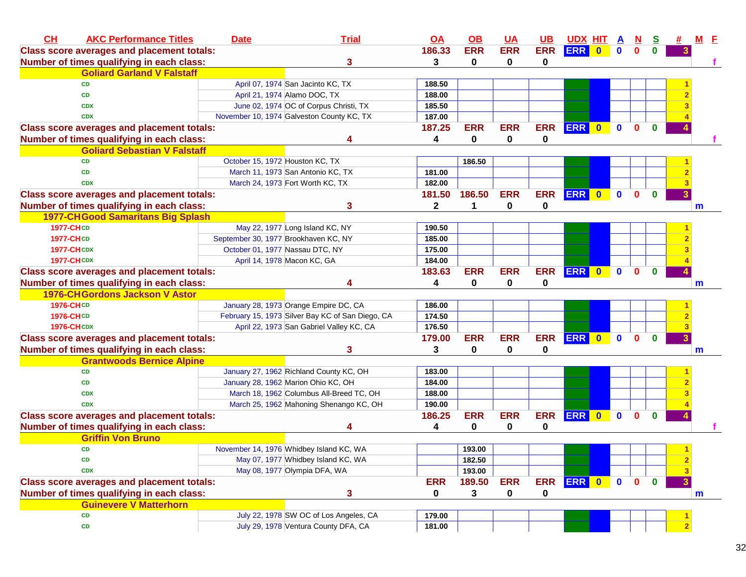| CH<br><b>AKC Performance Titles</b>               | <b>Date</b>                          | <b>Trial</b>                                     | <u>OA</u>    | $\underline{\mathsf{OB}}$ | <b>UA</b>  | <b>UB</b>  | <b>UDX HIT A</b> |           |             | N            | $\mathbf{s}$ |                | $M$ $E$ |  |
|---------------------------------------------------|--------------------------------------|--------------------------------------------------|--------------|---------------------------|------------|------------|------------------|-----------|-------------|--------------|--------------|----------------|---------|--|
| <b>Class score averages and placement totals:</b> |                                      |                                                  | 186.33       | <b>ERR</b>                | <b>ERR</b> | <b>ERR</b> | <b>ERR</b> 0     |           | $\mathbf 0$ | 0            |              |                |         |  |
| Number of times qualifying in each class:         |                                      | 3                                                | 3            | $\mathbf 0$               | 0          | 0          |                  |           |             |              |              |                |         |  |
| <b>Goliard Garland V Falstaff</b>                 |                                      |                                                  |              |                           |            |            |                  |           |             |              |              |                |         |  |
| <b>CD</b>                                         |                                      | April 07, 1974 San Jacinto KC, TX                | 188.50       |                           |            |            |                  |           |             |              |              |                |         |  |
| <b>CD</b>                                         |                                      | April 21, 1974 Alamo DOC, TX                     | 188.00       |                           |            |            |                  |           |             |              |              |                |         |  |
| <b>CDX</b>                                        |                                      | June 02, 1974 OC of Corpus Christi, TX           | 185.50       |                           |            |            |                  |           |             |              |              |                |         |  |
| <b>CDX</b>                                        |                                      | November 10, 1974 Galveston County KC, TX        | 187.00       |                           |            |            |                  |           |             |              |              |                |         |  |
| <b>Class score averages and placement totals:</b> |                                      |                                                  | 187.25       | <b>ERR</b>                | <b>ERR</b> | <b>ERR</b> | ERR 0            |           | $\mathbf 0$ | $\mathbf{0}$ | $\mathbf{0}$ |                |         |  |
| Number of times qualifying in each class:         |                                      |                                                  | 4            | 0                         | 0          | 0          |                  |           |             |              |              |                |         |  |
| <b>Goliard Sebastian V Falstaff</b>               |                                      |                                                  |              |                           |            |            |                  |           |             |              |              |                |         |  |
| <b>CD</b>                                         | October 15, 1972 Houston KC, TX      |                                                  |              | 186.50                    |            |            |                  |           |             |              |              |                |         |  |
| <b>CD</b>                                         |                                      | March 11, 1973 San Antonio KC, TX                | 181.00       |                           |            |            |                  |           |             |              |              |                |         |  |
| <b>CDX</b>                                        |                                      | March 24, 1973 Fort Worth KC, TX                 | 182.00       |                           |            |            |                  |           |             |              |              |                |         |  |
| <b>Class score averages and placement totals:</b> |                                      |                                                  | 181.50       | 186.50                    | <b>ERR</b> | <b>ERR</b> | <b>ERR</b>       | $\bullet$ | $\mathbf 0$ | 0            | $\bf{0}$     | $\mathbf{3}$   |         |  |
| Number of times qualifying in each class:         |                                      | 3                                                | $\mathbf{2}$ | 1                         | 0          | 0          |                  |           |             |              |              |                | m       |  |
| <b>1977-CHGood Samaritans Big Splash</b>          |                                      |                                                  |              |                           |            |            |                  |           |             |              |              |                |         |  |
| <b>1977-CHCD</b>                                  |                                      | May 22, 1977 Long Island KC, NY                  | 190.50       |                           |            |            |                  |           |             |              |              |                |         |  |
| <b>1977-CHCD</b>                                  | September 30, 1977 Brookhaven KC, NY |                                                  | 185.00       |                           |            |            |                  |           |             |              |              |                |         |  |
| <b>1977-CHCDX</b>                                 | October 01, 1977 Nassau DTC, NY      |                                                  | 175.00       |                           |            |            |                  |           |             |              |              |                |         |  |
| <b>1977-CHCDX</b>                                 |                                      | April 14, 1978 Macon KC, GA                      | 184.00       |                           |            |            |                  |           |             |              |              |                |         |  |
| <b>Class score averages and placement totals:</b> |                                      |                                                  | 183.63       | <b>ERR</b>                | <b>ERR</b> | <b>ERR</b> | ERR 0            |           | $\mathbf 0$ | $\mathbf{0}$ | $\mathbf{0}$ |                |         |  |
| Number of times qualifying in each class:         |                                      | 4                                                | 4            | $\bf{0}$                  | 0          | 0          |                  |           |             |              |              |                | m       |  |
| 1976-CH Gordons Jackson V Astor                   |                                      |                                                  |              |                           |            |            |                  |           |             |              |              |                |         |  |
| <b>1976-CHCD</b>                                  |                                      | January 28, 1973 Orange Empire DC, CA            | 186.00       |                           |            |            |                  |           |             |              |              |                |         |  |
| <b>1976-CHCD</b>                                  |                                      | February 15, 1973 Silver Bay KC of San Diego, CA | 174.50       |                           |            |            |                  |           |             |              |              |                |         |  |
| <b>1976-CH CDX</b>                                |                                      | April 22, 1973 San Gabriel Valley KC, CA         | 176.50       |                           |            |            |                  |           |             |              |              |                |         |  |
| <b>Class score averages and placement totals:</b> |                                      |                                                  | 179.00       | <b>ERR</b>                | <b>ERR</b> | <b>ERR</b> | ERR 0 0          |           |             | $\mathbf{0}$ | $\bf{0}$     | $\overline{3}$ |         |  |
| Number of times qualifying in each class:         |                                      | 3                                                | 3            | 0                         | 0          | 0          |                  |           |             |              |              |                | m       |  |
| <b>Grantwoods Bernice Alpine</b>                  |                                      |                                                  |              |                           |            |            |                  |           |             |              |              |                |         |  |
| <b>CD</b>                                         |                                      | January 27, 1962 Richland County KC, OH          | 183.00       |                           |            |            |                  |           |             |              |              |                |         |  |
| CD                                                |                                      | January 28, 1962 Marion Ohio KC, OH              | 184.00       |                           |            |            |                  |           |             |              |              |                |         |  |
| <b>CDX</b>                                        |                                      | March 18, 1962 Columbus All-Breed TC, OH         | 188.00       |                           |            |            |                  |           |             |              |              |                |         |  |
| <b>CDX</b>                                        |                                      | March 25, 1962 Mahoning Shenango KC, OH          | 190.00       |                           |            |            |                  |           |             |              |              |                |         |  |
| <b>Class score averages and placement totals:</b> |                                      |                                                  | 186.25       | <b>ERR</b>                | <b>ERR</b> |            | ERR ERR 0        |           | $\mathbf 0$ | $\bf{0}$     | $\bf{0}$     |                |         |  |
| Number of times qualifying in each class:         |                                      |                                                  | 4            | $\mathbf 0$               | 0          | 0          |                  |           |             |              |              |                |         |  |
| <b>Griffin Von Bruno</b>                          |                                      |                                                  |              |                           |            |            |                  |           |             |              |              |                |         |  |
| CD                                                |                                      | November 14, 1976 Whidbey Island KC, WA          |              | 193.00                    |            |            |                  |           |             |              |              |                |         |  |
| CD                                                |                                      | May 07, 1977 Whidbey Island KC, WA               |              | 182.50                    |            |            |                  |           |             |              |              | $\overline{2}$ |         |  |
| <b>CDX</b>                                        |                                      | May 08, 1977 Olympia DFA, WA                     |              | 193.00                    |            |            |                  |           |             |              |              | 3              |         |  |
| <b>Class score averages and placement totals:</b> |                                      |                                                  | <b>ERR</b>   | 189.50                    | <b>ERR</b> |            | ERR ERR 0        |           | $\mathbf 0$ | $\mathbf{0}$ | $\mathbf{0}$ | $\mathbf{3}$   |         |  |
| Number of times qualifying in each class:         |                                      | 3                                                | 0            | 3                         | 0          | 0          |                  |           |             |              |              |                | m       |  |
| <b>Guinevere V Matterhorn</b>                     |                                      |                                                  |              |                           |            |            |                  |           |             |              |              |                |         |  |
| CD                                                |                                      | July 22, 1978 SW OC of Los Angeles, CA           | 179.00       |                           |            |            |                  |           |             |              |              |                |         |  |
| CD                                                |                                      | July 29, 1978 Ventura County DFA, CA             | 181.00       |                           |            |            |                  |           |             |              |              |                |         |  |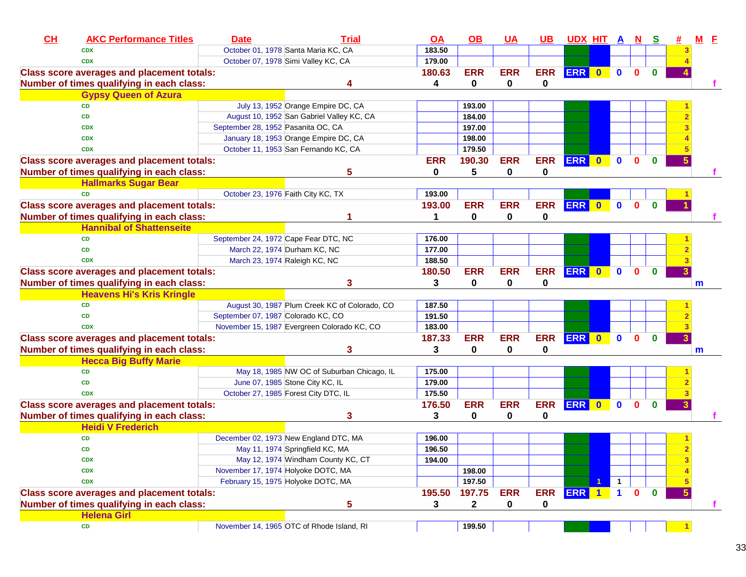| CL | <b>AKC Performance Titles</b>                     | <b>Date</b> | <b>Trial</b>                                  | <b>OA</b>   | $\Omega$     | $UA$        | $UB$       | <u>UDX HIT A</u> |           |              | $\overline{\mathbf{M}}$ | <u>s</u>     |   |   | E |
|----|---------------------------------------------------|-------------|-----------------------------------------------|-------------|--------------|-------------|------------|------------------|-----------|--------------|-------------------------|--------------|---|---|---|
|    | <b>CDX</b>                                        |             | October 01, 1978 Santa Maria KC, CA           | 183.50      |              |             |            |                  |           |              |                         |              |   |   |   |
|    | <b>CDX</b>                                        |             | October 07, 1978 Simi Valley KC, CA           | 179.00      |              |             |            |                  |           |              |                         |              |   |   |   |
|    | <b>Class score averages and placement totals:</b> |             |                                               | 180.63      | <b>ERR</b>   | <b>ERR</b>  | <b>ERR</b> | ERR 0            |           | $\mathbf{0}$ | $\mathbf{0}$            | $\Omega$     |   |   |   |
|    | Number of times qualifying in each class:         |             |                                               | 4           | 0            | 0           | 0          |                  |           |              |                         |              |   |   |   |
|    | <b>Gypsy Queen of Azura</b>                       |             |                                               |             |              |             |            |                  |           |              |                         |              |   |   |   |
|    | <b>CD</b>                                         |             | July 13, 1952 Orange Empire DC, CA            |             | 193.00       |             |            |                  |           |              |                         |              |   |   |   |
|    | <b>CD</b>                                         |             | August 10, 1952 San Gabriel Valley KC, CA     |             | 184.00       |             |            |                  |           |              |                         |              |   |   |   |
|    | <b>CDX</b>                                        |             | September 28, 1952 Pasanita OC, CA            |             | 197.00       |             |            |                  |           |              |                         |              |   |   |   |
|    | <b>CDX</b>                                        |             | January 18, 1953 Orange Empire DC, CA         |             | 198.00       |             |            |                  |           |              |                         |              |   |   |   |
|    | <b>CDX</b>                                        |             | October 11, 1953 San Fernando KC, CA          |             | 179.50       |             |            |                  |           |              |                         |              |   |   |   |
|    | <b>Class score averages and placement totals:</b> |             |                                               | <b>ERR</b>  | 190.30       | <b>ERR</b>  | <b>ERR</b> | <b>ERR</b>       | $\bullet$ | $\mathbf{0}$ | 0                       | $\mathbf{0}$ |   |   |   |
|    | Number of times qualifying in each class:         |             | 5                                             | $\mathbf 0$ | 5            | $\mathbf 0$ | 0          |                  |           |              |                         |              |   |   |   |
|    | <b>Hallmarks Sugar Bear</b>                       |             |                                               |             |              |             |            |                  |           |              |                         |              |   |   |   |
|    | <b>CD</b>                                         |             | October 23, 1976 Faith City KC, TX            | 193.00      |              |             |            |                  |           |              |                         |              |   |   |   |
|    | <b>Class score averages and placement totals:</b> |             |                                               | 193.00      | <b>ERR</b>   | <b>ERR</b>  | <b>ERR</b> | <b>ERR</b>       | $\bullet$ | $\mathbf{0}$ | $\mathbf{0}$            | $\bf{0}$     |   |   |   |
|    | Number of times qualifying in each class:         |             |                                               | 1           | 0            | 0           | 0          |                  |           |              |                         |              |   |   |   |
|    | <b>Hannibal of Shattenseite</b>                   |             |                                               |             |              |             |            |                  |           |              |                         |              |   |   |   |
|    | <b>CD</b>                                         |             | September 24, 1972 Cape Fear DTC, NC          | 176.00      |              |             |            |                  |           |              |                         |              |   |   |   |
|    | <b>CD</b>                                         |             | March 22, 1974 Durham KC, NC                  | 177.00      |              |             |            |                  |           |              |                         |              |   |   |   |
|    | <b>CDX</b>                                        |             | March 23, 1974 Raleigh KC, NC                 | 188.50      |              |             |            |                  |           |              |                         |              |   |   |   |
|    | <b>Class score averages and placement totals:</b> |             |                                               | 180.50      | <b>ERR</b>   | <b>ERR</b>  | <b>ERR</b> | <b>ERR</b>       | $\bullet$ | $\mathbf{0}$ | $\mathbf{0}$            | $\bf{0}$     |   |   |   |
|    | Number of times qualifying in each class:         |             | 3                                             | 3           | 0            | 0           | 0          |                  |           |              |                         |              |   | m |   |
|    | <b>Heavens Hi's Kris Kringle</b>                  |             |                                               |             |              |             |            |                  |           |              |                         |              |   |   |   |
|    | <b>CD</b>                                         |             | August 30, 1987 Plum Creek KC of Colorado, CO | 187.50      |              |             |            |                  |           |              |                         |              |   |   |   |
|    | <b>CD</b>                                         |             | September 07, 1987 Colorado KC, CO            | 191.50      |              |             |            |                  |           |              |                         |              |   |   |   |
|    | <b>CDX</b>                                        |             | November 15, 1987 Evergreen Colorado KC, CO   | 183.00      |              |             |            |                  |           |              |                         |              |   |   |   |
|    | <b>Class score averages and placement totals:</b> |             |                                               | 187.33      | <b>ERR</b>   | <b>ERR</b>  | <b>ERR</b> | <b>ERR</b>       | $\bullet$ | $\mathbf{0}$ | $\mathbf{0}$            | $\bf{0}$     |   |   |   |
|    | Number of times qualifying in each class:         |             | 3                                             | 3           | 0            | 0           | 0          |                  |           |              |                         |              |   | m |   |
|    | <b>Hecca Big Buffy Marie</b>                      |             |                                               |             |              |             |            |                  |           |              |                         |              |   |   |   |
|    | <b>CD</b>                                         |             | May 18, 1985 NW OC of Suburban Chicago, IL    | 175.00      |              |             |            |                  |           |              |                         |              |   |   |   |
|    | <b>CD</b>                                         |             | June 07, 1985 Stone City KC, IL               | 179.00      |              |             |            |                  |           |              |                         |              |   |   |   |
|    | <b>CDX</b>                                        |             | October 27, 1985 Forest City DTC, IL          | 175.50      |              |             |            |                  |           |              |                         |              |   |   |   |
|    | <b>Class score averages and placement totals:</b> |             |                                               | 176.50      | <b>ERR</b>   | <b>ERR</b>  | <b>ERR</b> | ERR 0            |           | $\mathbf{0}$ | $\Omega$                | $\Omega$     |   |   |   |
|    | Number of times qualifying in each class:         |             | 3                                             | 3           | 0            | 0           | 0          |                  |           |              |                         |              |   |   |   |
|    | <b>Heidi V Frederich</b>                          |             |                                               |             |              |             |            |                  |           |              |                         |              |   |   |   |
|    | <b>CD</b>                                         |             | December 02, 1973 New England DTC, MA         | 196.00      |              |             |            |                  |           |              |                         |              |   |   |   |
|    | CD                                                |             | May 11, 1974 Springfield KC, MA               | 196.50      |              |             |            |                  |           |              |                         |              |   |   |   |
|    | <b>CDX</b>                                        |             | May 12, 1974 Windham County KC, CT            | 194.00      |              |             |            |                  |           |              |                         |              | з |   |   |
|    | <b>CDX</b>                                        |             | November 17, 1974 Holyoke DOTC, MA            |             | 198.00       |             |            |                  |           |              |                         |              |   |   |   |
|    | <b>CDX</b>                                        |             | February 15, 1975 Holyoke DOTC, MA            |             | 197.50       |             |            |                  | 1         | $\mathbf{1}$ |                         |              |   |   |   |
|    | <b>Class score averages and placement totals:</b> |             |                                               | 195.50      | 197.75       | <b>ERR</b>  | <b>ERR</b> | ERR 1            |           | $\mathbf{1}$ | $\mathbf{0}$            | $\mathbf 0$  |   |   |   |
|    | Number of times qualifying in each class:         |             | 5                                             | 3           | $\mathbf{2}$ | 0           | 0          |                  |           |              |                         |              |   |   | f |
|    | <b>Helena Girl</b>                                |             |                                               |             |              |             |            |                  |           |              |                         |              |   |   |   |
|    | CD                                                |             | November 14, 1965 OTC of Rhode Island, RI     |             | 199.50       |             |            |                  |           |              |                         |              |   |   |   |
|    |                                                   |             |                                               |             |              |             |            |                  |           |              |                         |              |   |   |   |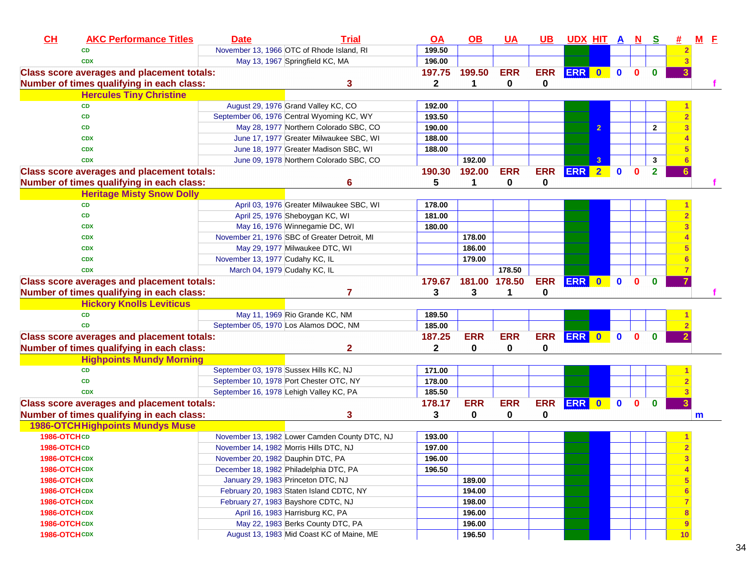| CH<br><b>AKC Performance Titles</b>               | <b>Date</b>                     | <b>Trial</b>                                  | QA           | $\underline{\mathsf{OB}}$ | <b>UA</b>     | <u>UB</u>   | UDX HIT A N |                         |              |          | <u>s</u>       | #  |   | <u>M F</u> |
|---------------------------------------------------|---------------------------------|-----------------------------------------------|--------------|---------------------------|---------------|-------------|-------------|-------------------------|--------------|----------|----------------|----|---|------------|
| <b>CD</b>                                         |                                 | November 13, 1966 OTC of Rhode Island, RI     | 199.50       |                           |               |             |             |                         |              |          |                |    |   |            |
| <b>CDX</b>                                        |                                 | May 13, 1967 Springfield KC, MA               | 196.00       |                           |               |             |             |                         |              |          |                |    |   |            |
| <b>Class score averages and placement totals:</b> |                                 |                                               | 197.75       | 199.50                    | <b>ERR</b>    | <b>ERR</b>  | ERR 0       |                         | $\mathbf 0$  | $\bf{0}$ | $\mathbf{0}$   |    |   |            |
| Number of times qualifying in each class:         |                                 | 3                                             | $\mathbf{2}$ | 1                         | 0             | 0           |             |                         |              |          |                |    |   |            |
| <b>Hercules Tiny Christine</b>                    |                                 |                                               |              |                           |               |             |             |                         |              |          |                |    |   |            |
| <b>CD</b>                                         |                                 | August 29, 1976 Grand Valley KC, CO           | 192.00       |                           |               |             |             |                         |              |          |                |    |   |            |
| <b>CD</b>                                         |                                 | September 06, 1976 Central Wyoming KC, WY     | 193.50       |                           |               |             |             |                         |              |          |                |    |   |            |
| <b>CD</b>                                         |                                 | May 28, 1977 Northern Colorado SBC, CO        | 190.00       |                           |               |             |             | $\overline{2}$          |              |          | $\overline{2}$ |    |   |            |
| <b>CDX</b>                                        |                                 | June 17, 1977 Greater Milwaukee SBC, WI       | 188.00       |                           |               |             |             |                         |              |          |                |    |   |            |
| <b>CDX</b>                                        |                                 | June 18, 1977 Greater Madison SBC, WI         | 188.00       |                           |               |             |             |                         |              |          |                |    |   |            |
| <b>CDX</b>                                        |                                 | June 09, 1978 Northern Colorado SBC, CO       |              | 192.00                    |               |             |             | 3                       |              |          | $\mathbf{3}$   |    |   |            |
| <b>Class score averages and placement totals:</b> |                                 |                                               | 190.30       | 192.00                    | <b>ERR</b>    | <b>ERR</b>  | <b>ERR</b>  | $\overline{2}$          | $\mathbf 0$  | $\bf{0}$ | $\overline{2}$ |    |   |            |
| Number of times qualifying in each class:         |                                 | 6                                             | 5            | 1                         | 0             | 0           |             |                         |              |          |                |    |   |            |
| <b>Heritage Misty Snow Dolly</b>                  |                                 |                                               |              |                           |               |             |             |                         |              |          |                |    |   |            |
| <b>CD</b>                                         |                                 | April 03, 1976 Greater Milwaukee SBC, WI      | 178.00       |                           |               |             |             |                         |              |          |                |    |   |            |
| <b>CD</b>                                         |                                 | April 25, 1976 Sheboygan KC, WI               | 181.00       |                           |               |             |             |                         |              |          |                |    |   |            |
| <b>CDX</b>                                        |                                 | May 16, 1976 Winnegamie DC, WI                | 180.00       |                           |               |             |             |                         |              |          |                |    |   |            |
| <b>CDX</b>                                        |                                 | November 21, 1976 SBC of Greater Detroit, MI  |              | 178.00                    |               |             |             |                         |              |          |                |    |   |            |
| <b>CDX</b>                                        |                                 | May 29, 1977 Milwaukee DTC, WI                |              | 186.00                    |               |             |             |                         |              |          |                |    |   |            |
| <b>CDX</b>                                        | November 13, 1977 Cudahy KC, IL |                                               |              | 179.00                    |               |             |             |                         |              |          |                |    |   |            |
| <b>CDX</b>                                        |                                 | March 04, 1979 Cudahy KC, IL                  |              |                           | 178.50        |             |             |                         |              |          |                |    |   |            |
| <b>Class score averages and placement totals:</b> |                                 |                                               | 179.67       |                           | 181.00 178.50 | <b>ERR</b>  | <b>ERR</b>  | $\overline{\mathbf{0}}$ | $\mathbf 0$  | $\bf{0}$ | $\bf{0}$       |    |   |            |
| Number of times qualifying in each class:         |                                 | 7                                             | 3            | 3                         | 1             | 0           |             |                         |              |          |                |    |   |            |
| <b>Hickory Knolls Leviticus</b>                   |                                 |                                               |              |                           |               |             |             |                         |              |          |                |    |   |            |
| <b>CD</b>                                         |                                 | May 11, 1969 Rio Grande KC, NM                | 189.50       |                           |               |             |             |                         |              |          |                |    |   |            |
| <b>CD</b>                                         |                                 | September 05, 1970 Los Alamos DOC, NM         | 185.00       |                           |               |             |             |                         |              |          |                |    |   |            |
| <b>Class score averages and placement totals:</b> |                                 |                                               | 187.25       | <b>ERR</b>                | <b>ERR</b>    | <b>ERR</b>  | ERR 0       |                         | $\mathbf{0}$ | $\bf{0}$ | $\bf{0}$       |    |   |            |
| Number of times qualifying in each class:         |                                 | 2                                             | $\mathbf 2$  | 0                         | $\mathbf 0$   | $\mathbf 0$ |             |                         |              |          |                |    |   |            |
| <b>Highpoints Mundy Morning</b>                   |                                 |                                               |              |                           |               |             |             |                         |              |          |                |    |   |            |
| <b>CD</b>                                         |                                 | September 03, 1978 Sussex Hills KC, NJ        | 171.00       |                           |               |             |             |                         |              |          |                |    |   |            |
| <b>CD</b>                                         |                                 | September 10, 1978 Port Chester OTC, NY       | 178.00       |                           |               |             |             |                         |              |          |                |    |   |            |
| <b>CDX</b>                                        |                                 | September 16, 1978 Lehigh Valley KC, PA       | 185.50       |                           |               |             |             |                         |              |          |                |    |   |            |
| <b>Class score averages and placement totals:</b> |                                 |                                               | 178.17       | <b>ERR</b>                | <b>ERR</b>    | <b>ERR</b>  | <b>ERR</b>  | $\bullet$               | $\bf{0}$     | 0        | $\bf{0}$       | 3  |   |            |
| Number of times qualifying in each class:         |                                 | 3                                             | 3            | 0                         | 0             | 0           |             |                         |              |          |                |    | m |            |
| <b>1986-OTCH Highpoints Mundys Muse</b>           |                                 |                                               |              |                           |               |             |             |                         |              |          |                |    |   |            |
| 1986-OTCHCD                                       |                                 | November 13, 1982 Lower Camden County DTC, NJ | 193.00       |                           |               |             |             |                         |              |          |                |    |   |            |
| 1986-OTCHCD                                       |                                 | November 14, 1982 Morris Hills DTC, NJ        | 197.00       |                           |               |             |             |                         |              |          |                |    |   |            |
| 1986-OTCHCDX                                      |                                 | November 20, 1982 Dauphin DTC, PA             | 196.00       |                           |               |             |             |                         |              |          |                |    |   |            |
| 1986-OTCHCDX                                      |                                 | December 18, 1982 Philadelphia DTC, PA        | 196.50       |                           |               |             |             |                         |              |          |                |    |   |            |
| 1986-OTCHCDX                                      |                                 | January 29, 1983 Princeton DTC, NJ            |              | 189.00                    |               |             |             |                         |              |          |                |    |   |            |
| 1986-OTCHCDX                                      |                                 | February 20, 1983 Staten Island CDTC, NY      |              | 194.00                    |               |             |             |                         |              |          |                |    |   |            |
| 1986-OTCHCDX                                      |                                 | February 27, 1983 Bayshore CDTC, NJ           |              | 198.00                    |               |             |             |                         |              |          |                |    |   |            |
| 1986-OTCHCDX                                      |                                 | April 16, 1983 Harrisburg KC, PA              |              | 196.00                    |               |             |             |                         |              |          |                | 8  |   |            |
| 1986-OTCHCDX                                      |                                 | May 22, 1983 Berks County DTC, PA             |              | 196.00                    |               |             |             |                         |              |          |                | 9  |   |            |
| 1986-OTCHCDX                                      |                                 | August 13, 1983 Mid Coast KC of Maine, ME     |              | 196.50                    |               |             |             |                         |              |          |                | 10 |   |            |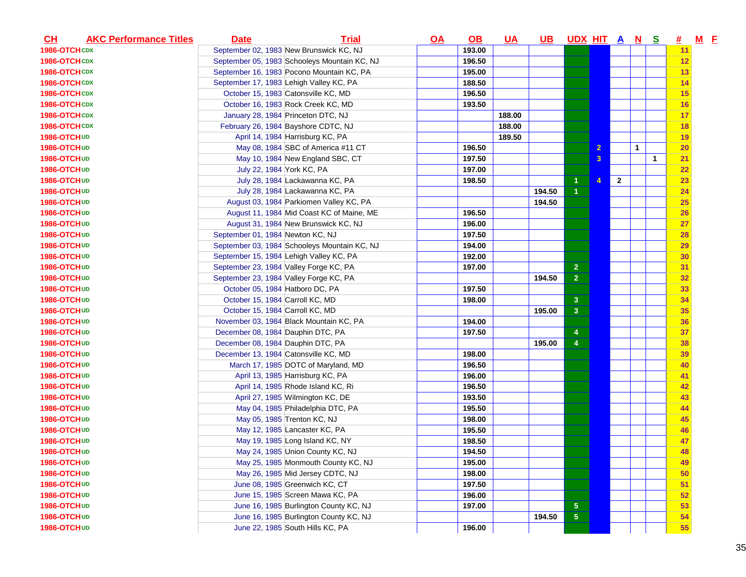| CH                  | <b>AKC Performance Titles</b> | <b>Date</b>                            | <b>Trial</b>                                 | $\overline{OA}$ | <u>OB</u> | <u>UA</u> | UB.    | <u>UDX HIT A N</u>      |                |              |             | <u>s</u>     | #         | $M$ E |  |
|---------------------|-------------------------------|----------------------------------------|----------------------------------------------|-----------------|-----------|-----------|--------|-------------------------|----------------|--------------|-------------|--------------|-----------|-------|--|
| 1986-OTCHCDX        |                               |                                        | September 02, 1983 New Brunswick KC, NJ      |                 | 193.00    |           |        |                         |                |              |             |              | 11        |       |  |
| 1986-OTCHCDX        |                               |                                        | September 05, 1983 Schooleys Mountain KC, NJ |                 | 196.50    |           |        |                         |                |              |             |              | 12        |       |  |
| 1986-OTCHCDX        |                               |                                        | September 16, 1983 Pocono Mountain KC, PA    |                 | 195.00    |           |        |                         |                |              |             |              | 13        |       |  |
| 1986-OTCHCDX        |                               |                                        | September 17, 1983 Lehigh Valley KC, PA      |                 | 188.50    |           |        |                         |                |              |             |              | 14        |       |  |
| 1986-OTCHCDX        |                               |                                        | October 15, 1983 Catonsville KC, MD          |                 | 196.50    |           |        |                         |                |              |             |              | 15        |       |  |
| 1986-OTCHCDX        |                               |                                        | October 16, 1983 Rock Creek KC, MD           |                 | 193.50    |           |        |                         |                |              |             |              | 16        |       |  |
| 1986-OTCHCDX        |                               |                                        | January 28, 1984 Princeton DTC, NJ           |                 |           | 188.00    |        |                         |                |              |             |              | 17        |       |  |
| 1986-OTCHCDX        |                               |                                        | February 26, 1984 Bayshore CDTC, NJ          |                 |           | 188.00    |        |                         |                |              |             |              | 18        |       |  |
| 1986-OTCHUD         |                               |                                        | April 14, 1984 Harrisburg KC, PA             |                 |           | 189.50    |        |                         |                |              |             |              | 19        |       |  |
| 1986-OTCHUD         |                               |                                        | May 08, 1984 SBC of America #11 CT           |                 | 196.50    |           |        |                         | $\overline{2}$ |              | $\mathbf 1$ |              | <b>20</b> |       |  |
| 1986-OTCHUD         |                               |                                        | May 10, 1984 New England SBC, CT             |                 | 197.50    |           |        |                         | 3              |              |             | $\mathbf{1}$ | 21        |       |  |
| 1986-OTCHUD         |                               | July 22, 1984 York KC, PA              |                                              |                 | 197.00    |           |        |                         |                |              |             |              | 22        |       |  |
| 1986-OTCHUD         |                               |                                        | July 28, 1984 Lackawanna KC, PA              |                 | 198.50    |           |        |                         | 4              | $\mathbf{2}$ |             |              | 23        |       |  |
| 1986-OTCHUD         |                               |                                        | July 28, 1984 Lackawanna KC, PA              |                 |           |           | 194.50 | 1                       |                |              |             |              | 24        |       |  |
| 1986-OTCHUD         |                               |                                        | August 03, 1984 Parkiomen Valley KC, PA      |                 |           |           | 194.50 |                         |                |              |             |              | 25        |       |  |
| 1986-OTCHUD         |                               |                                        | August 11, 1984 Mid Coast KC of Maine, ME    |                 | 196.50    |           |        |                         |                |              |             |              | 26        |       |  |
| 1986-OTCHUD         |                               |                                        | August 31, 1984 New Brunswick KC, NJ         |                 | 196.00    |           |        |                         |                |              |             |              | 27        |       |  |
| 1986-OTCHUD         |                               | September 01, 1984 Newton KC, NJ       |                                              |                 | 197.50    |           |        |                         |                |              |             |              | 28        |       |  |
| <b>1986-OTCHUD</b>  |                               |                                        | September 03, 1984 Schooleys Mountain KC, NJ |                 | 194.00    |           |        |                         |                |              |             |              | <b>29</b> |       |  |
| 1986-OTCHUD         |                               |                                        | September 15, 1984 Lehigh Valley KC, PA      |                 | 192.00    |           |        |                         |                |              |             |              | 30        |       |  |
| 1986-OTCH UD        |                               | September 23, 1984 Valley Forge KC, PA |                                              |                 | 197.00    |           |        | $\overline{2}$          |                |              |             |              | 31        |       |  |
| 1986-OTCHUD         |                               | September 23, 1984 Valley Forge KC, PA |                                              |                 |           |           | 194.50 | 2 <sup>1</sup>          |                |              |             |              | 32        |       |  |
| 1986-OTCHUD         |                               | October 05, 1984 Hatboro DC, PA        |                                              |                 | 197.50    |           |        |                         |                |              |             |              | 33        |       |  |
| 1986-OTCHUD         |                               | October 15, 1984 Carroll KC, MD        |                                              |                 | 198.00    |           |        | $\overline{\mathbf{3}}$ |                |              |             |              | 34        |       |  |
| <b>1986-OTCHUD</b>  |                               | October 15, 1984 Carroll KC, MD        |                                              |                 |           |           | 195.00 | 3 <sup>2</sup>          |                |              |             |              | 35        |       |  |
| <b>1986-OTCHUD</b>  |                               |                                        | November 03, 1984 Black Mountain KC, PA      |                 | 194.00    |           |        |                         |                |              |             |              | 36        |       |  |
| 1986-OTCHUD         |                               | December 08, 1984 Dauphin DTC, PA      |                                              |                 | 197.50    |           |        | 4                       |                |              |             |              | 37        |       |  |
| 1986-OTCHUD         |                               | December 08, 1984 Dauphin DTC, PA      |                                              |                 |           |           | 195.00 | $\overline{4}$          |                |              |             |              | 38        |       |  |
| 1986-OTCHUD         |                               | December 13, 1984 Catonsville KC, MD   |                                              |                 | 198.00    |           |        |                         |                |              |             |              | 39        |       |  |
| 1986-OTCHUD         |                               |                                        | March 17, 1985 DOTC of Maryland, MD          |                 | 196.50    |           |        |                         |                |              |             |              | 40        |       |  |
| 1986-OTCHUD         |                               |                                        | April 13, 1985 Harrisburg KC, PA             |                 | 196.00    |           |        |                         |                |              |             |              | 41        |       |  |
| <b>1986-OTCHUD</b>  |                               |                                        | April 14, 1985 Rhode Island KC, Ri           |                 | 196.50    |           |        |                         |                |              |             |              | 42        |       |  |
| <b>1986-OTCH UD</b> |                               |                                        | April 27, 1985 Wilmington KC, DE             |                 | 193.50    |           |        |                         |                |              |             |              | 43        |       |  |
| <b>1986-OTCH UD</b> |                               |                                        | May 04, 1985 Philadelphia DTC, PA            |                 | 195.50    |           |        |                         |                |              |             |              | 44        |       |  |
| 1986-OTCHUD         |                               |                                        | May 05, 1985 Trenton KC, NJ                  |                 | 198.00    |           |        |                         |                |              |             |              | 45        |       |  |
| 1986-OTCHUD         |                               |                                        | May 12, 1985 Lancaster KC, PA                |                 | 195.50    |           |        |                         |                |              |             |              | 46        |       |  |
| 1986-OTCHUD         |                               |                                        | May 19, 1985 Long Island KC, NY              |                 | 198.50    |           |        |                         |                |              |             |              | 47        |       |  |
| 1986-OTCH UD        |                               |                                        | May 24, 1985 Union County KC, NJ             |                 | 194.50    |           |        |                         |                |              |             |              | 48        |       |  |
| 1986-OTCHUD         |                               |                                        | May 25, 1985 Monmouth County KC, NJ          |                 | 195.00    |           |        |                         |                |              |             |              | 49        |       |  |
| 1986-OTCHUD         |                               |                                        | May 26, 1985 Mid Jersey CDTC, NJ             |                 | 198.00    |           |        |                         |                |              |             |              | 50        |       |  |
| 1986-OTCHUD         |                               |                                        | June 08, 1985 Greenwich KC, CT               |                 | 197.50    |           |        |                         |                |              |             |              | 51        |       |  |
| 1986-OTCHUD         |                               |                                        | June 15, 1985 Screen Mawa KC, PA             |                 | 196.00    |           |        |                         |                |              |             |              | 52        |       |  |
| 1986-OTCHUD         |                               |                                        | June 16, 1985 Burlington County KC, NJ       |                 | 197.00    |           |        | $\sqrt{5}$              |                |              |             |              | 53        |       |  |
| 1986-OTCHUD         |                               |                                        | June 16, 1985 Burlington County KC, NJ       |                 |           |           | 194.50 | $\sqrt{5}$              |                |              |             |              | 54        |       |  |
| 1986-OTCHUD         |                               |                                        | June 22, 1985 South Hills KC, PA             |                 | 196.00    |           |        |                         |                |              |             |              | 55        |       |  |
|                     |                               |                                        |                                              |                 |           |           |        |                         |                |              |             |              |           |       |  |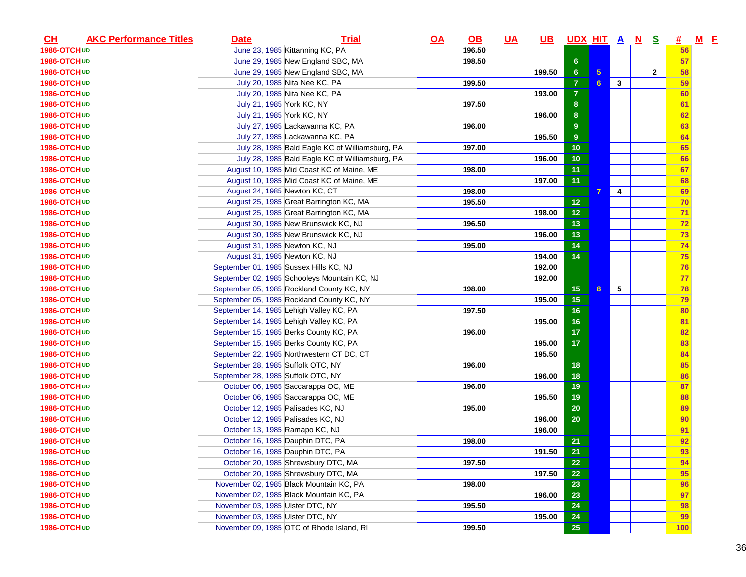| $CH$               | <b>AKC Performance Titles</b> | <b>Date</b>                            | <b>Trial</b>                                    | $\overline{OA}$ | $\Omega$ | <u>UA</u> | <u>UB</u> | <u>UDX HITANS</u> |                |              |              | #   | $M$ $E$ |  |
|--------------------|-------------------------------|----------------------------------------|-------------------------------------------------|-----------------|----------|-----------|-----------|-------------------|----------------|--------------|--------------|-----|---------|--|
| 1986-OTCHUD        |                               |                                        | June 23, 1985 Kittanning KC, PA                 |                 | 196.50   |           |           |                   |                |              |              | 56  |         |  |
| 1986-OTCHUD        |                               |                                        | June 29, 1985 New England SBC, MA               |                 | 198.50   |           |           | 6 <sup>6</sup>    |                |              |              | 57  |         |  |
| 1986-OTCHUD        |                               |                                        | June 29, 1985 New England SBC, MA               |                 |          |           | 199.50    | 6 <sup>°</sup>    | 5 <sup>5</sup> |              | $\mathbf{2}$ | 58  |         |  |
| 1986-OTCHUD        |                               |                                        | July 20, 1985 Nita Nee KC, PA                   |                 | 199.50   |           |           | $\overline{7}$    | 6 <sup>1</sup> | $\mathbf{3}$ |              | 59  |         |  |
| 1986-OTCHUD        |                               |                                        | July 20, 1985 Nita Nee KC, PA                   |                 |          |           | 193.00    | $\overline{7}$    |                |              |              | 60  |         |  |
| 1986-OTCHUD        |                               | July 21, 1985 York KC, NY              |                                                 |                 | 197.50   |           |           | 8 <sup>°</sup>    |                |              |              | 61  |         |  |
| 1986-OTCHUD        |                               | July 21, 1985 York KC, NY              |                                                 |                 |          |           | 196.00    | 8 <sup>°</sup>    |                |              |              | 62  |         |  |
| 1986-OTCHUD        |                               |                                        | July 27, 1985 Lackawanna KC, PA                 |                 | 196.00   |           |           | 9                 |                |              |              | 63  |         |  |
| 1986-OTCHUD        |                               |                                        | July 27, 1985 Lackawanna KC, PA                 |                 |          |           | 195.50    | 9 <sup>°</sup>    |                |              |              | 64  |         |  |
| 1986-OTCHUD        |                               |                                        | July 28, 1985 Bald Eagle KC of Williamsburg, PA |                 | 197.00   |           |           | 10                |                |              |              | 65  |         |  |
| 1986-OTCHUD        |                               |                                        | July 28, 1985 Bald Eagle KC of Williamsburg, PA |                 |          |           | 196.00    | 10                |                |              |              | 66  |         |  |
| 1986-OTCHUD        |                               |                                        | August 10, 1985 Mid Coast KC of Maine, ME       |                 | 198.00   |           |           | 11                |                |              |              | 67  |         |  |
| 1986-OTCH UD       |                               |                                        | August 10, 1985 Mid Coast KC of Maine, ME       |                 |          |           | 197.00    | 11                |                |              |              | 68  |         |  |
| 1986-OTCH UD       |                               | August 24, 1985 Newton KC, CT          |                                                 |                 | 198.00   |           |           |                   | $\overline{7}$ | 4            |              | 69  |         |  |
| 1986-OTCHUD        |                               |                                        | August 25, 1985 Great Barrington KC, MA         |                 | 195.50   |           |           | 12                |                |              |              | 70  |         |  |
| 1986-OTCHUD        |                               |                                        | August 25, 1985 Great Barrington KC, MA         |                 |          |           | 198.00    | 12                |                |              |              | 71  |         |  |
| 1986-OTCHUD        |                               |                                        | August 30, 1985 New Brunswick KC, NJ            |                 | 196.50   |           |           | 13                |                |              |              | 72  |         |  |
| <b>1986-OTCHUD</b> |                               |                                        | August 30, 1985 New Brunswick KC, NJ            |                 |          |           | 196.00    | 13                |                |              |              | 73  |         |  |
| 1986-OTCHUD        |                               | August 31, 1985 Newton KC, NJ          |                                                 |                 | 195.00   |           |           | 14                |                |              |              | 74  |         |  |
| 1986-OTCHUD        |                               | August 31, 1985 Newton KC, NJ          |                                                 |                 |          |           | 194.00    | 14                |                |              |              | 75  |         |  |
| 1986-OTCH UD       |                               | September 01, 1985 Sussex Hills KC, NJ |                                                 |                 |          |           | 192.00    |                   |                |              |              | 76  |         |  |
| 1986-OTCHUD        |                               |                                        | September 02, 1985 Schooleys Mountain KC, NJ    |                 |          |           | 192.00    |                   |                |              |              | 77  |         |  |
| 1986-OTCHUD        |                               |                                        | September 05, 1985 Rockland County KC, NY       |                 | 198.00   |           |           | 15                | 8              | $\sqrt{5}$   |              | 78  |         |  |
| <b>1986-OTCHUD</b> |                               |                                        | September 05, 1985 Rockland County KC, NY       |                 |          |           | 195.00    | 15                |                |              |              | 79  |         |  |
| 1986-OTCHUD        |                               |                                        | September 14, 1985 Lehigh Valley KC, PA         |                 | 197.50   |           |           | 16                |                |              |              | 80  |         |  |
| <b>1986-OTCHUD</b> |                               |                                        | September 14, 1985 Lehigh Valley KC, PA         |                 |          |           | 195.00    | 16                |                |              |              | 81  |         |  |
| 1986-OTCHUD        |                               |                                        | September 15, 1985 Berks County KC, PA          |                 | 196.00   |           |           | 17                |                |              |              | 82  |         |  |
| 1986-OTCHUD        |                               |                                        | September 15, 1985 Berks County KC, PA          |                 |          |           | 195.00    | 17                |                |              |              | 83  |         |  |
| <b>1986-OTCHUD</b> |                               |                                        | September 22, 1985 Northwestern CT DC, CT       |                 |          |           | 195.50    |                   |                |              |              | 84  |         |  |
| <b>1986-OTCHUD</b> |                               | September 28, 1985 Suffolk OTC, NY     |                                                 |                 | 196.00   |           |           | 18                |                |              |              | 85  |         |  |
| 1986-OTCHUD        |                               | September 28, 1985 Suffolk OTC, NY     |                                                 |                 |          |           | 196.00    | 18                |                |              |              | 86  |         |  |
| <b>1986-OTCHUD</b> |                               |                                        | October 06, 1985 Saccarappa OC, ME              |                 | 196.00   |           |           | 19                |                |              |              | 87  |         |  |
| 1986-OTCHUD        |                               |                                        | October 06, 1985 Saccarappa OC, ME              |                 |          |           | 195.50    | 19                |                |              |              | 88  |         |  |
| 1986-OTCHUD        |                               | October 12, 1985 Palisades KC, NJ      |                                                 |                 | 195.00   |           |           | 20                |                |              |              | 89  |         |  |
| 1986-OTCHUD        |                               | October 12, 1985 Palisades KC, NJ      |                                                 |                 |          |           | 196.00    | 20                |                |              |              | 90  |         |  |
| <b>1986-OTCHUD</b> |                               | October 13, 1985 Ramapo KC, NJ         |                                                 |                 |          |           | 196.00    |                   |                |              |              | 91  |         |  |
| 1986-OTCHUD        |                               |                                        | October 16, 1985 Dauphin DTC, PA                |                 | 198.00   |           |           | 21                |                |              |              | 92  |         |  |
| 1986-OTCHUD        |                               |                                        | October 16, 1985 Dauphin DTC, PA                |                 |          |           | 191.50    | 21                |                |              |              | 93  |         |  |
| 1986-OTCH UD       |                               |                                        | October 20, 1985 Shrewsbury DTC, MA             |                 | 197.50   |           |           | 22                |                |              |              | 94  |         |  |
| 1986-OTCHUD        |                               |                                        | October 20, 1985 Shrewsbury DTC, MA             |                 |          |           | 197.50    | 22                |                |              |              | 95  |         |  |
| 1986-OTCHUD        |                               |                                        | November 02, 1985 Black Mountain KC, PA         |                 | 198.00   |           |           | 23                |                |              |              | 96  |         |  |
| 1986-OTCHUD        |                               |                                        | November 02, 1985 Black Mountain KC, PA         |                 |          |           | 196.00    | 23                |                |              |              | 97  |         |  |
| 1986-OTCHUD        |                               | November 03, 1985 Ulster DTC, NY       |                                                 |                 | 195.50   |           |           | 24                |                |              |              | 98  |         |  |
| 1986-OTCHUD        |                               | November 03, 1985 Ulster DTC, NY       |                                                 |                 |          |           | 195.00    | 24                |                |              |              | 99  |         |  |
| 1986-OTCHUD        |                               |                                        | November 09, 1985 OTC of Rhode Island, RI       |                 | 199.50   |           |           | 25                |                |              |              | 100 |         |  |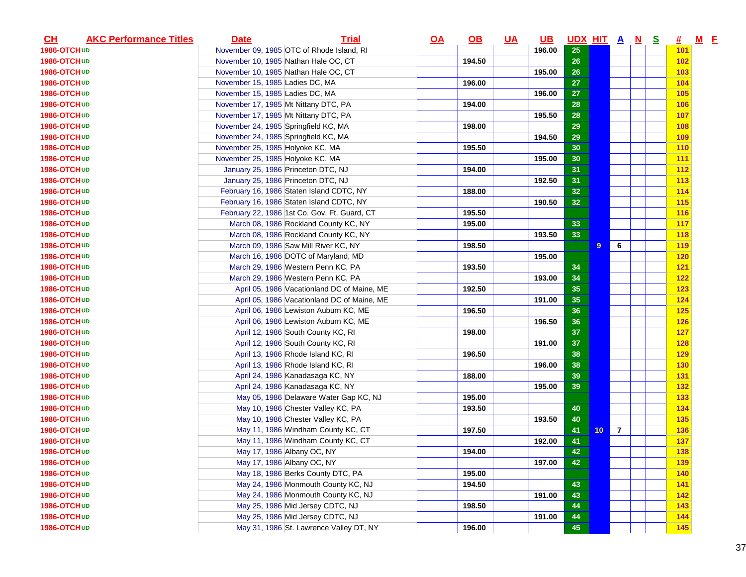| CL                 | <b>AKC Performance Titles</b> | <b>Date</b>                          | <b>Trial</b>                                 | $\overline{OA}$ | $\underline{\mathsf{OB}}$ | <u>UA</u> | <u>UB</u> | UDX HIT A N S |                 |                |  | <u>#</u>   | $M$ E |  |
|--------------------|-------------------------------|--------------------------------------|----------------------------------------------|-----------------|---------------------------|-----------|-----------|---------------|-----------------|----------------|--|------------|-------|--|
| 1986-OTCHUD        |                               |                                      | November 09, 1985 OTC of Rhode Island, RI    |                 |                           |           | 196.00    | 25            |                 |                |  | 101        |       |  |
| 1986-OTCHUD        |                               | November 10, 1985 Nathan Hale OC, CT |                                              |                 | 194.50                    |           |           | 26            |                 |                |  | 102        |       |  |
| 1986-OTCHUD        |                               | November 10, 1985 Nathan Hale OC, CT |                                              |                 |                           |           | 195.00    | 26            |                 |                |  | 103        |       |  |
| 1986-OTCHUD        |                               | November 15, 1985 Ladies DC, MA      |                                              |                 | 196.00                    |           |           | 27            |                 |                |  | 104        |       |  |
| 1986-OTCHUD        |                               | November 15, 1985 Ladies DC, MA      |                                              |                 |                           |           | 196.00    | 27            |                 |                |  | <b>105</b> |       |  |
| 1986-OTCHUD        |                               | November 17, 1985 Mt Nittany DTC, PA |                                              |                 | 194.00                    |           |           | 28            |                 |                |  | 106        |       |  |
| 1986-OTCHUD        |                               | November 17, 1985 Mt Nittany DTC, PA |                                              |                 |                           |           | 195.50    | 28            |                 |                |  | 107        |       |  |
| 1986-OTCHUD        |                               | November 24, 1985 Springfield KC, MA |                                              |                 | 198.00                    |           |           | 29            |                 |                |  | 108        |       |  |
| 1986-OTCHUD        |                               | November 24, 1985 Springfield KC, MA |                                              |                 |                           |           | 194.50    | 29            |                 |                |  | 109        |       |  |
| 1986-OTCHUD        |                               | November 25, 1985 Holyoke KC, MA     |                                              |                 | 195.50                    |           |           | 30            |                 |                |  | 110        |       |  |
| 1986-OTCHUD        |                               | November 25, 1985 Holyoke KC, MA     |                                              |                 |                           |           | 195.00    | 30            |                 |                |  | 111        |       |  |
| 1986-OTCHUD        |                               | January 25, 1986 Princeton DTC, NJ   |                                              |                 | 194.00                    |           |           | 31            |                 |                |  | 112        |       |  |
| 1986-OTCHUD        |                               | January 25, 1986 Princeton DTC, NJ   |                                              |                 |                           |           | 192.50    | 31            |                 |                |  | 113        |       |  |
| 1986-OTCH UD       |                               |                                      | February 16, 1986 Staten Island CDTC, NY     |                 | 188.00                    |           |           | 32            |                 |                |  | 114        |       |  |
| 1986-OTCHUD        |                               |                                      | February 16, 1986 Staten Island CDTC, NY     |                 |                           |           | 190.50    | 32            |                 |                |  | 115        |       |  |
| 1986-OTCHUD        |                               |                                      | February 22, 1986 1st Co. Gov. Ft. Guard, CT |                 | 195.50                    |           |           |               |                 |                |  | 116        |       |  |
| 1986-OTCHUD        |                               |                                      | March 08, 1986 Rockland County KC, NY        |                 | 195.00                    |           |           | 33            |                 |                |  | 117        |       |  |
| 1986-OTCHUD        |                               |                                      | March 08, 1986 Rockland County KC, NY        |                 |                           |           | 193.50    | 33            |                 |                |  | <b>118</b> |       |  |
| 1986-OTCHUD        |                               |                                      | March 09, 1986 Saw Mill River KC, NY         |                 | 198.50                    |           |           |               | 9               | 6              |  | 119        |       |  |
| 1986-OTCHUD        |                               |                                      | March 16, 1986 DOTC of Maryland, MD          |                 |                           |           | 195.00    |               |                 |                |  | 120        |       |  |
| 1986-OTCH UD       |                               |                                      | March 29, 1986 Western Penn KC, PA           |                 | 193.50                    |           |           | 34            |                 |                |  | 121        |       |  |
| 1986-OTCHUD        |                               |                                      | March 29, 1986 Western Penn KC, PA           |                 |                           |           | 193.00    | 34            |                 |                |  | 122        |       |  |
| 1986-OTCHUD        |                               |                                      | April 05, 1986 Vacationland DC of Maine, ME  |                 | 192.50                    |           |           | 35            |                 |                |  | 123        |       |  |
| 1986-OTCHUD        |                               |                                      | April 05, 1986 Vacationland DC of Maine, ME  |                 |                           |           | 191.00    | 35            |                 |                |  | 124        |       |  |
| 1986-OTCHUD        |                               |                                      | April 06, 1986 Lewiston Auburn KC, ME        |                 | 196.50                    |           |           | 36            |                 |                |  | 125        |       |  |
| <b>1986-OTCHUD</b> |                               |                                      | April 06, 1986 Lewiston Auburn KC, ME        |                 |                           |           | 196.50    | 36            |                 |                |  | 126        |       |  |
| <b>1986-OTCHUD</b> |                               |                                      | April 12, 1986 South County KC, RI           |                 | 198.00                    |           |           | 37            |                 |                |  | 127        |       |  |
| 1986-OTCHUD        |                               |                                      | April 12, 1986 South County KC, RI           |                 |                           |           | 191.00    | 37            |                 |                |  | 128        |       |  |
| <b>1986-OTCHUD</b> |                               |                                      | April 13, 1986 Rhode Island KC, RI           |                 | 196.50                    |           |           | 38            |                 |                |  | 129        |       |  |
| <b>1986-OTCHUD</b> |                               |                                      | April 13, 1986 Rhode Island KC, RI           |                 |                           |           | 196.00    | 38            |                 |                |  |            |       |  |
|                    |                               |                                      | April 24, 1986 Kanadasaga KC, NY             |                 | 188.00                    |           |           |               |                 |                |  | <b>130</b> |       |  |
| 1986-OTCHUD        |                               |                                      |                                              |                 |                           |           | 195.00    | 39            |                 |                |  | 131        |       |  |
| 1986-OTCHUD        |                               |                                      | April 24, 1986 Kanadasaga KC, NY             |                 |                           |           |           | 39            |                 |                |  | 132        |       |  |
| 1986-OTCHUD        |                               |                                      | May 05, 1986 Delaware Water Gap KC, NJ       |                 | 195.00                    |           |           |               |                 |                |  | <b>133</b> |       |  |
| 1986-OTCHUD        |                               |                                      | May 10, 1986 Chester Valley KC, PA           |                 | 193.50                    |           |           | 40            |                 |                |  | 134        |       |  |
| 1986-OTCHUD        |                               |                                      | May 10, 1986 Chester Valley KC, PA           |                 |                           |           | 193.50    | 40            |                 |                |  | 135        |       |  |
| 1986-OTCHUD        |                               |                                      | May 11, 1986 Windham County KC, CT           |                 | 197.50                    |           |           | 41            | 10 <sub>1</sub> | $\overline{7}$ |  | 136        |       |  |
| 1986-OTCHUD        |                               |                                      | May 11, 1986 Windham County KC, CT           |                 |                           |           | 192.00    | 41            |                 |                |  | 137        |       |  |
| 1986-OTCHUD        |                               | May 17, 1986 Albany OC, NY           |                                              |                 | 194.00                    |           |           | 42            |                 |                |  | 138        |       |  |
| 1986-OTCHUD        |                               | May 17, 1986 Albany OC, NY           |                                              |                 |                           |           | 197.00    | 42            |                 |                |  | 139        |       |  |
| 1986-OTCHUD        |                               |                                      | May 18, 1986 Berks County DTC, PA            |                 | 195.00                    |           |           |               |                 |                |  | 140        |       |  |
| 1986-OTCHUD        |                               |                                      | May 24, 1986 Monmouth County KC, NJ          |                 | 194.50                    |           |           | 43            |                 |                |  | 141        |       |  |
| 1986-OTCHUD        |                               |                                      | May 24, 1986 Monmouth County KC, NJ          |                 |                           |           | 191.00    | 43            |                 |                |  | 142        |       |  |
| 1986-OTCHUD        |                               |                                      | May 25, 1986 Mid Jersey CDTC, NJ             |                 | 198.50                    |           |           | 44            |                 |                |  | <b>143</b> |       |  |
| 1986-OTCHUD        |                               |                                      | May 25, 1986 Mid Jersey CDTC, NJ             |                 |                           |           | 191.00    | 44            |                 |                |  | <b>144</b> |       |  |
| 1986-OTCHUD        |                               |                                      | May 31, 1986 St. Lawrence Valley DT, NY      |                 | 196.00                    |           |           | 45            |                 |                |  | 145        |       |  |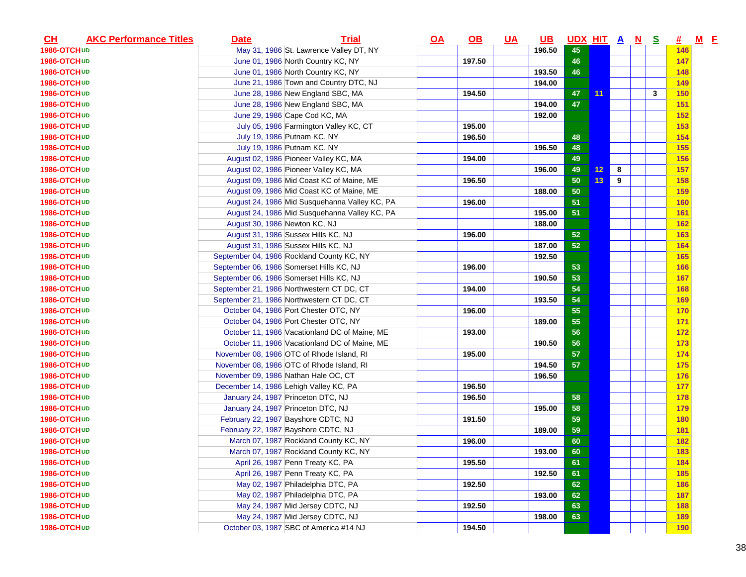| $CH$               | <b>AKC Performance Titles</b> | <b>Date</b>                   | <b>Trial</b>                                  | $\overline{OA}$ | $\underline{\mathsf{OB}}$ | <u>UA</u> | <u>UB</u> | <u>UDX HIT A N</u> |    |   | <u>s</u>     | <u>#</u>   | $M$ E |  |
|--------------------|-------------------------------|-------------------------------|-----------------------------------------------|-----------------|---------------------------|-----------|-----------|--------------------|----|---|--------------|------------|-------|--|
| 1986-OTCHUD        |                               |                               | May 31, 1986 St. Lawrence Valley DT, NY       |                 |                           |           | 196.50    | 45                 |    |   |              | 146        |       |  |
| 1986-OTCHUD        |                               |                               | June 01, 1986 North Country KC, NY            |                 | 197.50                    |           |           | 46                 |    |   |              | 147        |       |  |
| 1986-OTCHUD        |                               |                               | June 01, 1986 North Country KC, NY            |                 |                           |           | 193.50    | 46                 |    |   |              | 148        |       |  |
| 1986-OTCHUD        |                               |                               | June 21, 1986 Town and Country DTC, NJ        |                 |                           |           | 194.00    |                    |    |   |              | 149        |       |  |
| <b>1986-OTCHUD</b> |                               |                               | June 28, 1986 New England SBC, MA             |                 | 194.50                    |           |           | 47                 | 11 |   | $\mathbf{3}$ | 150        |       |  |
| 1986-OTCHUD        |                               |                               | June 28, 1986 New England SBC, MA             |                 |                           |           | 194.00    | 47                 |    |   |              | 151        |       |  |
| 1986-OTCHUD        |                               |                               | June 29, 1986 Cape Cod KC, MA                 |                 |                           |           | 192.00    |                    |    |   |              | 152        |       |  |
| 1986-OTCHUD        |                               |                               | July 05, 1986 Farmington Valley KC, CT        |                 | 195.00                    |           |           |                    |    |   |              | 153        |       |  |
| 1986-OTCHUD        |                               |                               | July 19, 1986 Putnam KC, NY                   |                 | 196.50                    |           |           | 48                 |    |   |              | 154        |       |  |
| 1986-OTCHUD        |                               |                               | July 19, 1986 Putnam KC, NY                   |                 |                           |           | 196.50    | 48                 |    |   |              | 155        |       |  |
| 1986-OTCHUD        |                               |                               | August 02, 1986 Pioneer Valley KC, MA         |                 | 194.00                    |           |           | 49                 |    |   |              | 156        |       |  |
| <b>1986-OTCHUD</b> |                               |                               | August 02, 1986 Pioneer Valley KC, MA         |                 |                           |           | 196.00    | 49                 | 12 | 8 |              | 157        |       |  |
| 1986-OTCH UD       |                               |                               | August 09, 1986 Mid Coast KC of Maine, ME     |                 | 196.50                    |           |           | 50                 | 13 | 9 |              | 158        |       |  |
| 1986-OTCH UD       |                               |                               | August 09, 1986 Mid Coast KC of Maine, ME     |                 |                           |           | 188.00    | 50                 |    |   |              | 159        |       |  |
| <b>1986-OTCHUD</b> |                               |                               | August 24, 1986 Mid Susquehanna Valley KC, PA |                 | 196.00                    |           |           | 51                 |    |   |              | 160        |       |  |
| 1986-OTCHUD        |                               |                               | August 24, 1986 Mid Susquehanna Valley KC, PA |                 |                           |           | 195.00    | 51                 |    |   |              | 161        |       |  |
| 1986-OTCHUD        |                               | August 30, 1986 Newton KC, NJ |                                               |                 |                           |           | 188.00    |                    |    |   |              | 162        |       |  |
| <b>1986-OTCHUD</b> |                               |                               | August 31, 1986 Sussex Hills KC, NJ           |                 | 196.00                    |           |           | 52                 |    |   |              | <b>163</b> |       |  |
| 1986-OTCHUD        |                               |                               | August 31, 1986 Sussex Hills KC, NJ           |                 |                           |           | 187.00    | 52                 |    |   |              | 164        |       |  |
| 1986-OTCHUD        |                               |                               | September 04, 1986 Rockland County KC, NY     |                 |                           |           | 192.50    |                    |    |   |              | 165        |       |  |
| 1986-OTCH UD       |                               |                               | September 06, 1986 Somerset Hills KC, NJ      |                 | 196.00                    |           |           | 53                 |    |   |              | 166        |       |  |
| 1986-OTCHUD        |                               |                               | September 06, 1986 Somerset Hills KC, NJ      |                 |                           |           | 190.50    | 53                 |    |   |              | 167        |       |  |
| 1986-OTCHUD        |                               |                               | September 21, 1986 Northwestern CT DC, CT     |                 | 194.00                    |           |           | 54                 |    |   |              | 168        |       |  |
| 1986-OTCHUD        |                               |                               | September 21, 1986 Northwestern CT DC, CT     |                 |                           |           | 193.50    | 54                 |    |   |              | 169        |       |  |
| 1986-OTCH UD       |                               |                               | October 04, 1986 Port Chester OTC, NY         |                 | 196.00                    |           |           | 55                 |    |   |              | 170        |       |  |
| <b>1986-OTCHUD</b> |                               |                               | October 04, 1986 Port Chester OTC, NY         |                 |                           |           | 189.00    | 55                 |    |   |              | 171        |       |  |
| <b>1986-OTCHUD</b> |                               |                               | October 11, 1986 Vacationland DC of Maine, ME |                 | 193.00                    |           |           | 56                 |    |   |              | 172        |       |  |
| 1986-OTCHUD        |                               |                               | October 11, 1986 Vacationland DC of Maine, ME |                 |                           |           | 190.50    | 56                 |    |   |              | 173        |       |  |
| <b>1986-OTCHUD</b> |                               |                               | November 08, 1986 OTC of Rhode Island, RI     |                 | 195.00                    |           |           | 57                 |    |   |              | 174        |       |  |
| <b>1986-OTCHUD</b> |                               |                               | November 08, 1986 OTC of Rhode Island, RI     |                 |                           |           | 194.50    | 57                 |    |   |              | <b>175</b> |       |  |
| 1986-OTCHUD        |                               |                               | November 09, 1986 Nathan Hale OC, CT          |                 |                           |           | 196.50    |                    |    |   |              | 176        |       |  |
| <b>1986-OTCHUD</b> |                               |                               | December 14, 1986 Lehigh Valley KC, PA        |                 | 196.50                    |           |           |                    |    |   |              | 177        |       |  |
| 1986-OTCHUD        |                               |                               | January 24, 1987 Princeton DTC, NJ            |                 | 196.50                    |           |           | 58                 |    |   |              | 178        |       |  |
| 1986-OTCHUD        |                               |                               | January 24, 1987 Princeton DTC, NJ            |                 |                           |           | 195.00    | 58                 |    |   |              | 179        |       |  |
| 1986-OTCHUD        |                               |                               | February 22, 1987 Bayshore CDTC, NJ           |                 | 191.50                    |           |           | 59                 |    |   |              | 180        |       |  |
| 1986-OTCHUD        |                               |                               | February 22, 1987 Bayshore CDTC, NJ           |                 |                           |           | 189.00    | 59                 |    |   |              | 181        |       |  |
| 1986-OTCHUD        |                               |                               | March 07, 1987 Rockland County KC, NY         |                 | 196.00                    |           |           | 60                 |    |   |              | 182        |       |  |
| 1986-OTCHUD        |                               |                               | March 07, 1987 Rockland County KC, NY         |                 |                           |           | 193.00    | 60                 |    |   |              | 183        |       |  |
| 1986-OTCH UD       |                               |                               | April 26, 1987 Penn Treaty KC, PA             |                 | 195.50                    |           |           | 61                 |    |   |              | 184        |       |  |
| 1986-OTCHUD        |                               |                               | April 26, 1987 Penn Treaty KC, PA             |                 |                           |           | 192.50    | 61                 |    |   |              | 185        |       |  |
| 1986-OTCHUD        |                               |                               | May 02, 1987 Philadelphia DTC, PA             |                 | 192.50                    |           |           | 62                 |    |   |              | 186        |       |  |
| 1986-OTCHUD        |                               |                               | May 02, 1987 Philadelphia DTC, PA             |                 |                           |           | 193.00    | 62                 |    |   |              | 187        |       |  |
| 1986-OTCHUD        |                               |                               | May 24, 1987 Mid Jersey CDTC, NJ              |                 | 192.50                    |           |           | 63                 |    |   |              | <b>188</b> |       |  |
| 1986-OTCHUD        |                               |                               | May 24, 1987 Mid Jersey CDTC, NJ              |                 |                           |           | 198.00    | 63                 |    |   |              | <b>189</b> |       |  |
| 1986-OTCHUD        |                               |                               | October 03, 1987 SBC of America #14 NJ        |                 | 194.50                    |           |           |                    |    |   |              | <b>190</b> |       |  |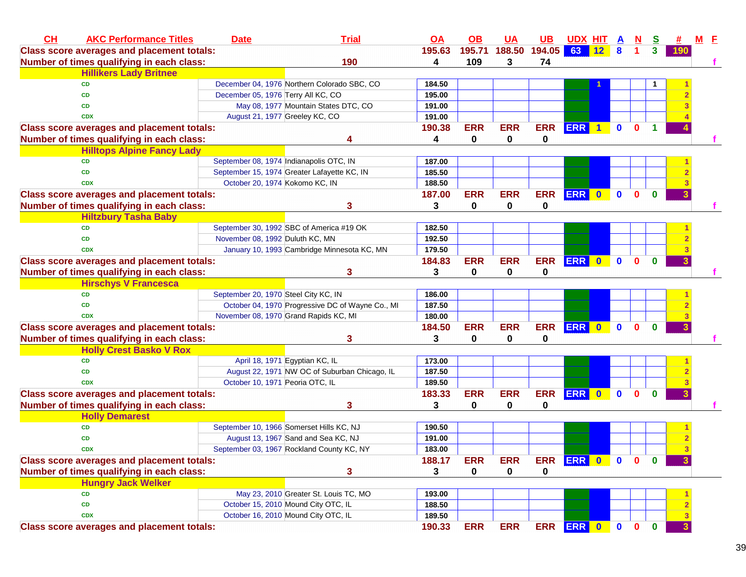| CH<br><b>AKC Performance Titles</b>               | <b>Date</b>                             | <b>Trial</b>                                     | $\overline{OA}$ | $\overline{OB}$ | <b>UA</b>   | <b>UB</b>        | <b>UDX HIT</b>  |                      | A            | N            | <u>s</u>     |     | $M$ E |  |
|---------------------------------------------------|-----------------------------------------|--------------------------------------------------|-----------------|-----------------|-------------|------------------|-----------------|----------------------|--------------|--------------|--------------|-----|-------|--|
| <b>Class score averages and placement totals:</b> |                                         |                                                  | 195.63          | 195.71          |             | 188.50 194.05 63 |                 | $\sqrt{12}$          | 8            |              | 3            | 190 |       |  |
| Number of times qualifying in each class:         |                                         | 190                                              | 4               | 109             | 3           | 74               |                 |                      |              |              |              |     |       |  |
| <b>Hillikers Lady Britnee</b>                     |                                         |                                                  |                 |                 |             |                  |                 |                      |              |              |              |     |       |  |
| <b>CD</b>                                         |                                         | December 04, 1976 Northern Colorado SBC, CO      | 184.50          |                 |             |                  |                 |                      |              |              |              |     |       |  |
| <b>CD</b>                                         | December 05, 1976 Terry All KC, CO      |                                                  | 195.00          |                 |             |                  |                 |                      |              |              |              |     |       |  |
| <b>CD</b>                                         |                                         | May 08, 1977 Mountain States DTC, CO             | 191.00          |                 |             |                  |                 |                      |              |              |              |     |       |  |
| <b>CDX</b>                                        | August 21, 1977 Greeley KC, CO          |                                                  | 191.00          |                 |             |                  |                 |                      |              |              |              |     |       |  |
| <b>Class score averages and placement totals:</b> |                                         |                                                  | 190.38          | <b>ERR</b>      | <b>ERR</b>  | <b>ERR</b>       | <b>ERR</b>      | $\blacktriangleleft$ | $\mathbf{0}$ | $\mathbf{0}$ | 1            |     |       |  |
| Number of times qualifying in each class:         |                                         | Δ                                                | 4               | 0               | $\mathbf 0$ | 0                |                 |                      |              |              |              |     |       |  |
| <b>Hilltops Alpine Fancy Lady</b>                 |                                         |                                                  |                 |                 |             |                  |                 |                      |              |              |              |     |       |  |
| <b>CD</b>                                         | September 08, 1974 Indianapolis OTC, IN |                                                  | 187.00          |                 |             |                  |                 |                      |              |              |              |     |       |  |
| <b>CD</b>                                         |                                         | September 15, 1974 Greater Lafayette KC, IN      | 185.50          |                 |             |                  |                 |                      |              |              |              |     |       |  |
| <b>CDX</b>                                        | October 20, 1974 Kokomo KC, IN          |                                                  | 188.50          |                 |             |                  |                 |                      |              |              |              |     |       |  |
| <b>Class score averages and placement totals:</b> |                                         |                                                  | 187.00          | <b>ERR</b>      | <b>ERR</b>  | <b>ERR</b>       | <b>ERR</b>      | $\bullet$            | $\mathbf{0}$ | $\Omega$     | $\mathbf{0}$ |     |       |  |
| Number of times qualifying in each class:         |                                         | 3                                                | 3               | 0               | 0           | 0                |                 |                      |              |              |              |     |       |  |
| <b>Hiltzbury Tasha Baby</b>                       |                                         |                                                  |                 |                 |             |                  |                 |                      |              |              |              |     |       |  |
| <b>CD</b>                                         |                                         | September 30, 1992 SBC of America #19 OK         | 182.50          |                 |             |                  |                 |                      |              |              |              |     |       |  |
| <b>CD</b>                                         | November 08, 1992 Duluth KC, MN         |                                                  | 192.50          |                 |             |                  |                 |                      |              |              |              |     |       |  |
| <b>CDX</b>                                        |                                         | January 10, 1993 Cambridge Minnesota KC, MN      | 179.50          |                 |             |                  |                 |                      |              |              |              |     |       |  |
| <b>Class score averages and placement totals:</b> |                                         |                                                  | 184.83          | <b>ERR</b>      | <b>ERR</b>  | <b>ERR</b>       | ERR 0           |                      | $\mathbf{0}$ | $\mathbf{0}$ | $\mathbf{0}$ |     |       |  |
| Number of times qualifying in each class:         |                                         | 3                                                | 3               | 0               | 0           | 0                |                 |                      |              |              |              |     |       |  |
| <b>Hirschys V Francesca</b>                       |                                         |                                                  |                 |                 |             |                  |                 |                      |              |              |              |     |       |  |
| <b>CD</b>                                         | September 20, 1970 Steel City KC, IN    |                                                  | 186.00          |                 |             |                  |                 |                      |              |              |              |     |       |  |
| <b>CD</b>                                         |                                         | October 04, 1970 Progressive DC of Wayne Co., MI | 187.50          |                 |             |                  |                 |                      |              |              |              |     |       |  |
| <b>CDX</b>                                        |                                         | November 08, 1970 Grand Rapids KC, MI            | 180.00          |                 |             |                  |                 |                      |              |              |              |     |       |  |
| <b>Class score averages and placement totals:</b> |                                         |                                                  | 184.50          | <b>ERR</b>      | <b>ERR</b>  | <b>ERR</b>       | ERR 0           |                      | $\mathbf{0}$ | $\mathbf{0}$ | $\bf{0}$     |     |       |  |
| Number of times qualifying in each class:         |                                         | 3                                                | 3               | 0               | 0           | 0                |                 |                      |              |              |              |     |       |  |
| <b>Holly Crest Basko V Rox</b>                    |                                         |                                                  |                 |                 |             |                  |                 |                      |              |              |              |     |       |  |
| <b>CD</b>                                         |                                         | April 18, 1971 Egyptian KC, IL                   | 173.00          |                 |             |                  |                 |                      |              |              |              |     |       |  |
| <b>CD</b>                                         |                                         | August 22, 1971 NW OC of Suburban Chicago, IL    | 187.50          |                 |             |                  |                 |                      |              |              |              |     |       |  |
| <b>CDX</b>                                        | October 10, 1971 Peoria OTC, IL         |                                                  | 189.50          |                 |             |                  |                 |                      |              |              |              |     |       |  |
| <b>Class score averages and placement totals:</b> |                                         |                                                  | 183.33          | <b>ERR</b>      | <b>ERR</b>  | <b>ERR</b>       | ERR 0           |                      | $\mathbf{0}$ | $\Omega$     | $\bf{0}$     |     |       |  |
| Number of times qualifying in each class:         |                                         | 3                                                | 3               | 0               | 0           | 0                |                 |                      |              |              |              |     |       |  |
| <b>Holly Demarest</b>                             |                                         |                                                  |                 |                 |             |                  |                 |                      |              |              |              |     |       |  |
| <b>CD</b>                                         |                                         | September 10, 1966 Somerset Hills KC, NJ         | 190.50          |                 |             |                  |                 |                      |              |              |              |     |       |  |
| <b>CD</b>                                         |                                         | August 13, 1967 Sand and Sea KC, NJ              | 191.00          |                 |             |                  |                 |                      |              |              |              |     |       |  |
| <b>CDX</b>                                        |                                         | September 03, 1967 Rockland County KC, NY        | 183.00          |                 |             |                  |                 |                      |              |              |              |     |       |  |
| <b>Class score averages and placement totals:</b> |                                         |                                                  | 188.17          | <b>ERR</b>      | <b>ERR</b>  |                  | ERR ERR 0 0 0 0 |                      |              |              |              |     |       |  |
| Number of times qualifying in each class:         |                                         | 3                                                | 3               | 0               | 0           | 0                |                 |                      |              |              |              |     |       |  |
| <b>Hungry Jack Welker</b>                         |                                         |                                                  |                 |                 |             |                  |                 |                      |              |              |              |     |       |  |
| <b>CD</b>                                         |                                         | May 23, 2010 Greater St. Louis TC, MO            | 193.00          |                 |             |                  |                 |                      |              |              |              |     |       |  |
| CD                                                |                                         | October 15, 2010 Mound City OTC, IL              | 188.50          |                 |             |                  |                 |                      |              |              |              |     |       |  |
| <b>CDX</b>                                        |                                         | October 16, 2010 Mound City OTC, IL              | 189.50          |                 |             |                  |                 |                      |              |              |              |     |       |  |
| <b>Class score averages and placement totals:</b> |                                         |                                                  | 190.33          | <b>ERR</b>      | <b>ERR</b>  | <b>ERR</b>       | ERR 0 0         |                      |              | $\mathbf{0}$ | $\mathbf 0$  | 3   |       |  |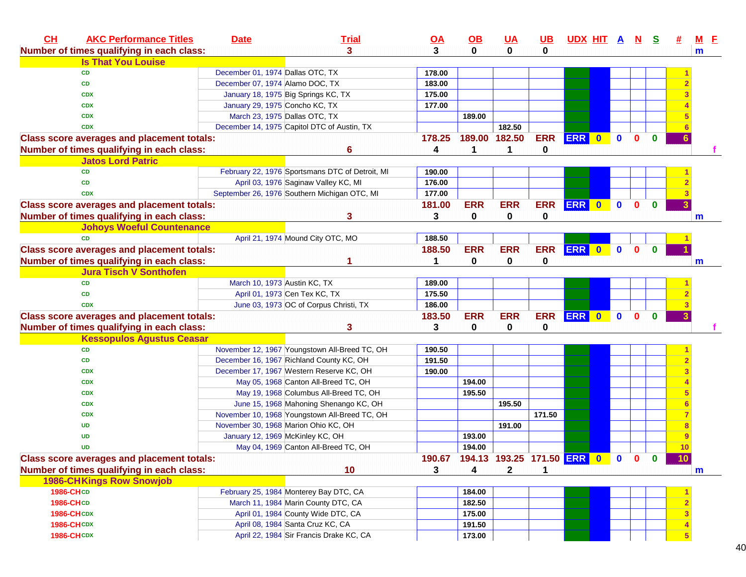| CH                | <b>AKC Performance Titles</b>                     | <b>Date</b>                      | <b>Trial</b>                                    | <u>OA</u> | $\underline{\mathsf{OB}}$               | <b>UA</b>     | <u>UB</u>  | <u>UDX HIT A N</u> |           |              |              | <u>୍ର</u>    |                 | $M$ E |
|-------------------|---------------------------------------------------|----------------------------------|-------------------------------------------------|-----------|-----------------------------------------|---------------|------------|--------------------|-----------|--------------|--------------|--------------|-----------------|-------|
|                   | Number of times qualifying in each class:         |                                  | 3                                               | 3         | $\bf{0}$                                | $\mathbf{0}$  | 0          |                    |           |              |              |              |                 | m     |
|                   | <b>Is That You Louise</b>                         |                                  |                                                 |           |                                         |               |            |                    |           |              |              |              |                 |       |
| <b>CD</b>         |                                                   | December 01, 1974 Dallas OTC, TX |                                                 | 178.00    |                                         |               |            |                    |           |              |              |              |                 |       |
| <b>CD</b>         |                                                   | December 07, 1974 Alamo DOC, TX  |                                                 | 183.00    |                                         |               |            |                    |           |              |              |              |                 |       |
| <b>CDX</b>        |                                                   |                                  | January 18, 1975 Big Springs KC, TX             | 175.00    |                                         |               |            |                    |           |              |              |              |                 |       |
| <b>CDX</b>        |                                                   |                                  | January 29, 1975 Concho KC, TX                  | 177.00    |                                         |               |            |                    |           |              |              |              |                 |       |
| <b>CDX</b>        |                                                   |                                  | March 23, 1975 Dallas OTC, TX                   |           | 189.00                                  |               |            |                    |           |              |              |              |                 |       |
| <b>CDX</b>        |                                                   |                                  | December 14, 1975 Capitol DTC of Austin, TX     |           |                                         | 182.50        |            |                    |           |              |              |              |                 |       |
|                   | <b>Class score averages and placement totals:</b> |                                  |                                                 | 178.25    |                                         | 189.00 182.50 | <b>ERR</b> | ERR 0              |           | $\mathbf 0$  | $\mathbf{0}$ | $\mathbf{0}$ |                 |       |
|                   | Number of times qualifying in each class:         |                                  | 6                                               | 4         | 1                                       | 1             | 0          |                    |           |              |              |              |                 |       |
|                   | <b>Jatos Lord Patric</b>                          |                                  |                                                 |           |                                         |               |            |                    |           |              |              |              |                 |       |
| <b>CD</b>         |                                                   |                                  | February 22, 1976 Sportsmans DTC of Detroit, MI | 190.00    |                                         |               |            |                    |           |              |              |              |                 |       |
| <b>CD</b>         |                                                   |                                  | April 03, 1976 Saginaw Valley KC, MI            | 176.00    |                                         |               |            |                    |           |              |              |              |                 |       |
| <b>CDX</b>        |                                                   |                                  | September 26, 1976 Southern Michigan OTC, MI    | 177.00    |                                         |               |            |                    |           |              |              |              |                 |       |
|                   | <b>Class score averages and placement totals:</b> |                                  |                                                 | 181.00    | <b>ERR</b>                              | <b>ERR</b>    | <b>ERR</b> | <b>ERR</b>         | $\bullet$ | $\mathbf{0}$ | $\bf{0}$     | $\bf{0}$     |                 |       |
|                   | Number of times qualifying in each class:         |                                  | 3                                               | 3         | 0                                       | 0             | 0          |                    |           |              |              |              |                 | m     |
|                   | <b>Johoys Woeful Countenance</b>                  |                                  |                                                 |           |                                         |               |            |                    |           |              |              |              |                 |       |
| <b>CD</b>         |                                                   |                                  | April 21, 1974 Mound City OTC, MO               | 188.50    |                                         |               |            |                    |           |              |              |              |                 |       |
|                   | <b>Class score averages and placement totals:</b> |                                  |                                                 | 188.50    | <b>ERR</b>                              | <b>ERR</b>    | <b>ERR</b> | <b>ERR</b>         | $\bullet$ | $\mathbf{0}$ | $\mathbf{0}$ | $\mathbf{0}$ |                 |       |
|                   | Number of times qualifying in each class:         |                                  | 1                                               | 1         | 0                                       | $\mathbf 0$   | 0          |                    |           |              |              |              |                 |       |
|                   | <b>Jura Tisch V Sonthofen</b>                     |                                  |                                                 |           |                                         |               |            |                    |           |              |              |              |                 | m     |
| <b>CD</b>         |                                                   |                                  |                                                 |           |                                         |               |            |                    |           |              |              |              |                 |       |
| <b>CD</b>         |                                                   |                                  | March 10, 1973 Austin KC, TX                    | 189.00    |                                         |               |            |                    |           |              |              |              |                 |       |
|                   |                                                   |                                  | April 01, 1973 Cen Tex KC, TX                   | 175.50    |                                         |               |            |                    |           |              |              |              |                 |       |
| <b>CDX</b>        |                                                   |                                  | June 03, 1973 OC of Corpus Christi, TX          | 186.00    |                                         |               |            |                    |           |              |              |              |                 |       |
|                   | <b>Class score averages and placement totals:</b> |                                  |                                                 | 183.50    | <b>ERR</b>                              | <b>ERR</b>    | <b>ERR</b> | <b>ERR</b>         | $\bullet$ | $\mathbf{0}$ | $\mathbf{0}$ | $\bf{0}$     |                 |       |
|                   | Number of times qualifying in each class:         |                                  | 3                                               | 3         | 0                                       | 0             | 0          |                    |           |              |              |              |                 |       |
|                   | <b>Kessopulos Agustus Ceasar</b>                  |                                  |                                                 |           |                                         |               |            |                    |           |              |              |              |                 |       |
| <b>CD</b>         |                                                   |                                  | November 12, 1967 Youngstown All-Breed TC, OH   | 190.50    |                                         |               |            |                    |           |              |              |              |                 |       |
| <b>CD</b>         |                                                   |                                  | December 16, 1967 Richland County KC, OH        | 191.50    |                                         |               |            |                    |           |              |              |              |                 |       |
| <b>CDX</b>        |                                                   |                                  | December 17, 1967 Western Reserve KC, OH        | 190.00    |                                         |               |            |                    |           |              |              |              |                 |       |
| <b>CDX</b>        |                                                   |                                  | May 05, 1968 Canton All-Breed TC, OH            |           | 194.00                                  |               |            |                    |           |              |              |              |                 |       |
| <b>CDX</b>        |                                                   |                                  | May 19, 1968 Columbus All-Breed TC, OH          |           | 195.50                                  |               |            |                    |           |              |              |              |                 |       |
| <b>CDX</b>        |                                                   |                                  | June 15, 1968 Mahoning Shenango KC, OH          |           |                                         | 195.50        |            |                    |           |              |              |              |                 |       |
| <b>CDX</b>        |                                                   |                                  | November 10, 1968 Youngstown All-Breed TC, OH   |           |                                         |               | 171.50     |                    |           |              |              |              |                 |       |
| <b>UD</b>         |                                                   |                                  | November 30, 1968 Marion Ohio KC, OH            |           |                                         | 191.00        |            |                    |           |              |              |              |                 |       |
| <b>UD</b>         |                                                   |                                  | January 12, 1969 McKinley KC, OH                |           | 193.00                                  |               |            |                    |           |              |              |              |                 |       |
| <b>UD</b>         |                                                   |                                  | May 04, 1969 Canton All-Breed TC, OH            |           | 194.00                                  |               |            |                    |           |              |              |              | 10 <sub>1</sub> |       |
|                   | <b>Class score averages and placement totals:</b> |                                  |                                                 |           | 190.67 194.13 193.25 171.50 ERR 0 0 0 0 |               |            |                    |           |              |              |              | 10              |       |
|                   | Number of times qualifying in each class:         |                                  | 10                                              | 3         | 4                                       | $\mathbf{2}$  | 1          |                    |           |              |              |              |                 | m     |
|                   | <b>1986-CHKings Row Snowjob</b>                   |                                  |                                                 |           |                                         |               |            |                    |           |              |              |              |                 |       |
| 1986-CHCD         |                                                   |                                  | February 25, 1984 Monterey Bay DTC, CA          |           | 184.00                                  |               |            |                    |           |              |              |              |                 |       |
| 1986-CHCD         |                                                   |                                  | March 11, 1984 Marin County DTC, CA             |           | 182.50                                  |               |            |                    |           |              |              |              |                 |       |
| <b>1986-CHCDX</b> |                                                   |                                  | April 01, 1984 County Wide DTC, CA              |           | 175.00                                  |               |            |                    |           |              |              |              |                 |       |
| <b>1986-CHCDX</b> |                                                   |                                  | April 08, 1984 Santa Cruz KC, CA                |           | 191.50                                  |               |            |                    |           |              |              |              |                 |       |
| <b>1986-CHCDX</b> |                                                   |                                  | April 22, 1984 Sir Francis Drake KC, CA         |           | 173.00                                  |               |            |                    |           |              |              |              |                 |       |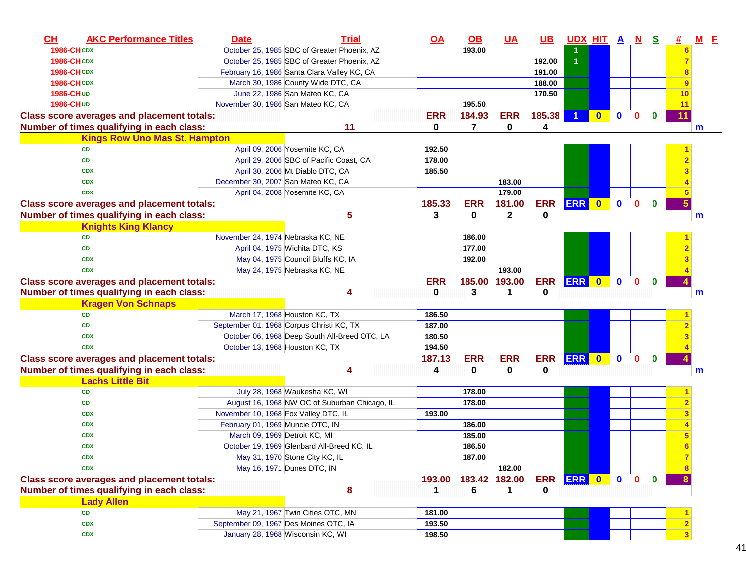| CH<br><b>AKC Performance Titles</b>               | <b>Date</b>                          | <b>Trial</b>                                  | $\overline{OA}$ | $\underline{\mathsf{OB}}$ | <b>UA</b>     | $UB$       | UDX HIT A N |              |              |              | <u>s</u>    |    | <u>M</u><br>E |
|---------------------------------------------------|--------------------------------------|-----------------------------------------------|-----------------|---------------------------|---------------|------------|-------------|--------------|--------------|--------------|-------------|----|---------------|
| <b>1986-CHCDX</b>                                 |                                      | October 25, 1985 SBC of Greater Phoenix, AZ   |                 | 193.00                    |               |            |             |              |              |              |             |    |               |
| <b>1986-CHCDX</b>                                 |                                      | October 25, 1985 SBC of Greater Phoenix, AZ   |                 |                           |               | 192.00     |             |              |              |              |             |    |               |
| <b>1986-CHCDX</b>                                 |                                      | February 16, 1986 Santa Clara Valley KC, CA   |                 |                           |               | 191.00     |             |              |              |              |             |    |               |
| <b>1986-CHCDX</b>                                 |                                      | March 30, 1986 County Wide DTC, CA            |                 |                           |               | 188.00     |             |              |              |              |             |    |               |
| 1986-CHUD                                         |                                      | June 22, 1986 San Mateo KC, CA                |                 |                           |               | 170.50     |             |              |              |              |             | 10 |               |
| <b>1986-CHUD</b>                                  | November 30, 1986 San Mateo KC, CA   |                                               |                 | 195.50                    |               |            |             |              |              |              |             | 11 |               |
| <b>Class score averages and placement totals:</b> |                                      |                                               | <b>ERR</b>      | 184.93                    | <b>ERR</b>    | 185.38     |             | $\bf{0}$     | $\mathbf{0}$ | $\bf{0}$     | $\bf{0}$    | 11 |               |
| Number of times qualifying in each class:         |                                      | 11                                            | 0               | 7                         | 0             | 4          |             |              |              |              |             |    | m             |
| <b>Kings Row Uno Mas St. Hampton</b>              |                                      |                                               |                 |                           |               |            |             |              |              |              |             |    |               |
| <b>CD</b>                                         |                                      | April 09, 2006 Yosemite KC, CA                | 192.50          |                           |               |            |             |              |              |              |             |    |               |
| <b>CD</b>                                         |                                      | April 29, 2006 SBC of Pacific Coast, CA       | 178.00          |                           |               |            |             |              |              |              |             |    |               |
| <b>CDX</b>                                        |                                      | April 30, 2006 Mt Diablo DTC, CA              | 185.50          |                           |               |            |             |              |              |              |             |    |               |
| <b>CDX</b>                                        | December 30, 2007 San Mateo KC, CA   |                                               |                 |                           | 183.00        |            |             |              |              |              |             |    |               |
| <b>CDX</b>                                        |                                      | April 04, 2008 Yosemite KC, CA                |                 |                           | 179.00        |            |             |              |              |              |             |    |               |
| <b>Class score averages and placement totals:</b> |                                      |                                               | 185.33          | <b>ERR</b>                | 181.00        | <b>ERR</b> | <b>ERR</b>  | $\bullet$    | $\mathbf 0$  | $\mathbf{0}$ | $\mathbf 0$ |    |               |
| Number of times qualifying in each class:         |                                      | 5                                             | 3               | 0                         | $\mathbf{2}$  | 0          |             |              |              |              |             |    | m             |
| <b>Knights King Klancy</b>                        |                                      |                                               |                 |                           |               |            |             |              |              |              |             |    |               |
| <b>CD</b>                                         | November 24, 1974 Nebraska KC, NE    |                                               |                 | 186.00                    |               |            |             |              |              |              |             |    |               |
| <b>CD</b>                                         |                                      | April 04, 1975 Wichita DTC, KS                |                 | 177.00                    |               |            |             |              |              |              |             |    |               |
| <b>CDX</b>                                        |                                      | May 04, 1975 Council Bluffs KC, IA            |                 | 192.00                    |               |            |             |              |              |              |             |    |               |
| <b>CDX</b>                                        |                                      | May 24, 1975 Nebraska KC, NE                  |                 |                           | 193.00        |            |             |              |              |              |             |    |               |
| <b>Class score averages and placement totals:</b> |                                      |                                               | <b>ERR</b>      |                           | 185.00 193.00 | <b>ERR</b> | ERR 0       |              | $\mathbf{0}$ | $\mathbf{0}$ | $\mathbf 0$ |    |               |
| Number of times qualifying in each class:         |                                      | 4                                             | 0               | 3                         | 1             | 0          |             |              |              |              |             |    | m             |
| <b>Kragen Von Schnaps</b>                         |                                      |                                               |                 |                           |               |            |             |              |              |              |             |    |               |
| <b>CD</b>                                         |                                      | March 17, 1968 Houston KC, TX                 | 186.50          |                           |               |            |             |              |              |              |             |    |               |
| <b>CD</b>                                         |                                      | September 01, 1968 Corpus Christi KC, TX      | 187.00          |                           |               |            |             |              |              |              |             |    |               |
| <b>CDX</b>                                        |                                      | October 06, 1968 Deep South All-Breed OTC, LA | 180.50          |                           |               |            |             |              |              |              |             |    |               |
| <b>CDX</b>                                        | October 13, 1968 Houston KC, TX      |                                               | 194.50          |                           |               |            |             |              |              |              |             |    |               |
| <b>Class score averages and placement totals:</b> |                                      |                                               | 187.13          | <b>ERR</b>                | <b>ERR</b>    | <b>ERR</b> | <b>ERR</b>  | $\mathbf{0}$ | $\bf{0}$     | $\bf{0}$     | $\bf{0}$    |    |               |
| Number of times qualifying in each class:         |                                      | 4                                             | 4               | 0                         | 0             | 0          |             |              |              |              |             |    | m             |
| <b>Lachs Little Bit</b>                           |                                      |                                               |                 |                           |               |            |             |              |              |              |             |    |               |
| <b>CD</b>                                         |                                      | July 28, 1968 Waukesha KC, WI                 |                 | 178.00                    |               |            |             |              |              |              |             |    |               |
| <b>CD</b>                                         |                                      | August 16, 1968 NW OC of Suburban Chicago, IL |                 | 178.00                    |               |            |             |              |              |              |             |    |               |
| <b>CDX</b>                                        | November 10, 1968 Fox Valley DTC, IL |                                               | 193.00          |                           |               |            |             |              |              |              |             |    |               |
| <b>CDX</b>                                        | February 01, 1969 Muncie OTC, IN     |                                               |                 | 186.00                    |               |            |             |              |              |              |             |    |               |
| <b>CDX</b>                                        | March 09, 1969 Detroit KC, MI        |                                               |                 | 185.00                    |               |            |             |              |              |              |             |    |               |
| <b>CDX</b>                                        |                                      | October 19, 1969 Glenbard All-Breed KC, IL    |                 | 186.50                    |               |            |             |              |              |              |             |    |               |
| <b>CDX</b>                                        |                                      | May 31, 1970 Stone City KC, IL                |                 | 187.00                    |               |            |             |              |              |              |             |    |               |
| <b>CDX</b>                                        |                                      | May 16, 1971 Dunes DTC, IN                    |                 |                           | 182.00        |            |             |              |              |              |             |    |               |
| <b>Class score averages and placement totals:</b> |                                      |                                               | 193.00          |                           | 183.42 182.00 | <b>ERR</b> | ERR 0 0     |              |              | $\mathbf{0}$ | $\mathbf 0$ |    |               |
| Number of times qualifying in each class:         |                                      | 8                                             | 1               | 6                         | 1             | 0          |             |              |              |              |             |    |               |
| <b>Lady Allen</b>                                 |                                      |                                               |                 |                           |               |            |             |              |              |              |             |    |               |
| CD                                                |                                      | May 21, 1967 Twin Cities OTC, MN              | 181.00          |                           |               |            |             |              |              |              |             |    |               |
| <b>CDX</b>                                        |                                      | September 09, 1967 Des Moines OTC, IA         | 193.50          |                           |               |            |             |              |              |              |             |    |               |
|                                                   |                                      |                                               |                 |                           |               |            |             |              |              |              |             |    |               |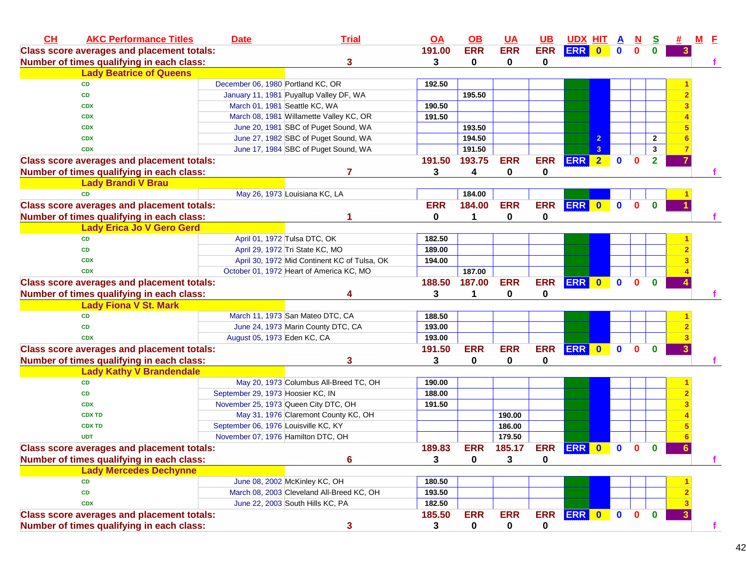| CH | <b>AKC Performance Titles</b>                     | <b>Date</b>                          | <b>Trial</b>                                 | $\overline{OA}$ | $\Omega$    | <b>UA</b>   | <b>UB</b>  | <u>UDX_HIT</u>   |                |              | N            | <u>s</u>       |   | <u>M E</u> |
|----|---------------------------------------------------|--------------------------------------|----------------------------------------------|-----------------|-------------|-------------|------------|------------------|----------------|--------------|--------------|----------------|---|------------|
|    | <b>Class score averages and placement totals:</b> |                                      |                                              | 191.00          | <b>ERR</b>  | <b>ERR</b>  | <b>ERR</b> | <b>ERR</b>       | $\mathbf{0}$   | $\mathbf 0$  | $\mathbf{0}$ | $\mathbf{0}$   |   |            |
|    | Number of times qualifying in each class:         |                                      | 3                                            | 3               | 0           | 0           | 0          |                  |                |              |              |                |   |            |
|    | <b>Lady Beatrice of Queens</b>                    |                                      |                                              |                 |             |             |            |                  |                |              |              |                |   |            |
|    | <b>CD</b>                                         | December 06, 1980 Portland KC, OR    |                                              | 192.50          |             |             |            |                  |                |              |              |                |   |            |
|    | <b>CD</b>                                         |                                      | January 11, 1981 Puyallup Valley DF, WA      |                 | 195.50      |             |            |                  |                |              |              |                |   |            |
|    | <b>CDX</b>                                        |                                      | March 01, 1981 Seattle KC, WA                | 190.50          |             |             |            |                  |                |              |              |                |   |            |
|    | <b>CDX</b>                                        |                                      | March 08, 1981 Willamette Valley KC, OR      | 191.50          |             |             |            |                  |                |              |              |                |   |            |
|    | <b>CDX</b>                                        |                                      | June 20, 1981 SBC of Puget Sound, WA         |                 | 193.50      |             |            |                  |                |              |              |                |   |            |
|    | <b>CDX</b>                                        |                                      | June 27, 1982 SBC of Puget Sound, WA         |                 | 194.50      |             |            |                  | $\mathbf{2}$   |              |              | $\mathbf{2}$   |   |            |
|    | <b>CDX</b>                                        |                                      | June 17, 1984 SBC of Puget Sound, WA         |                 | 191.50      |             |            |                  | 3 <sup>1</sup> |              |              | 3              |   |            |
|    | <b>Class score averages and placement totals:</b> |                                      |                                              | 191.50          | 193.75      | <b>ERR</b>  | <b>ERR</b> | ERR <sub>2</sub> |                | $\mathbf{0}$ | $\mathbf{0}$ | $\overline{2}$ |   |            |
|    | Number of times qualifying in each class:         |                                      | 7                                            | 3               | 4           | 0           | 0          |                  |                |              |              |                |   |            |
|    | <b>Lady Brandi V Brau</b>                         |                                      |                                              |                 |             |             |            |                  |                |              |              |                |   |            |
|    | <b>CD</b>                                         |                                      | May 26, 1973 Louisiana KC, LA                |                 | 184.00      |             |            |                  |                |              |              |                |   |            |
|    | <b>Class score averages and placement totals:</b> |                                      |                                              | <b>ERR</b>      | 184.00      | <b>ERR</b>  | <b>ERR</b> | ERR 0            |                | $\mathbf 0$  | $\mathbf{0}$ | $\bf{0}$       |   |            |
|    | Number of times qualifying in each class:         |                                      |                                              | 0               | 1           | $\mathbf 0$ | 0          |                  |                |              |              |                |   |            |
|    | <b>Lady Erica Jo V Gero Gerd</b>                  |                                      |                                              |                 |             |             |            |                  |                |              |              |                |   |            |
|    | <b>CD</b>                                         |                                      | April 01, 1972 Tulsa DTC, OK                 | 182.50          |             |             |            |                  |                |              |              |                |   |            |
|    | <b>CD</b>                                         |                                      | April 29, 1972 Tri State KC, MO              | 189.00          |             |             |            |                  |                |              |              |                |   |            |
|    | <b>CDX</b>                                        |                                      | April 30, 1972 Mid Continent KC of Tulsa, OK | 194.00          |             |             |            |                  |                |              |              |                |   |            |
|    | <b>CDX</b>                                        |                                      | October 01, 1972 Heart of America KC, MO     |                 | 187.00      |             |            |                  |                |              |              |                |   |            |
|    | <b>Class score averages and placement totals:</b> |                                      |                                              | 188.50          | 187.00      | <b>ERR</b>  | <b>ERR</b> | ERR 0            |                | $\mathbf{0}$ | 0            | $\mathbf{0}$   |   |            |
|    | Number of times qualifying in each class:         |                                      | Δ                                            | 3               | 1           | 0           | 0          |                  |                |              |              |                |   |            |
|    | <b>Lady Fiona V St. Mark</b>                      |                                      |                                              |                 |             |             |            |                  |                |              |              |                |   |            |
|    | <b>CD</b>                                         |                                      | March 11, 1973 San Mateo DTC, CA             | 188.50          |             |             |            |                  |                |              |              |                |   |            |
|    | <b>CD</b>                                         |                                      | June 24, 1973 Marin County DTC, CA           | 193.00          |             |             |            |                  |                |              |              |                |   |            |
|    | <b>CDX</b>                                        | August 05, 1973 Eden KC, CA          |                                              | 193.00          |             |             |            |                  |                |              |              |                |   |            |
|    | <b>Class score averages and placement totals:</b> |                                      |                                              | 191.50          | <b>ERR</b>  | <b>ERR</b>  | <b>ERR</b> | ERR 0            |                | $\mathbf 0$  | $\mathbf{0}$ | $\bf{0}$       |   |            |
|    | Number of times qualifying in each class:         |                                      | 3                                            | 3               | 0           | 0           | 0          |                  |                |              |              |                |   |            |
|    | <b>Lady Kathy V Brandendale</b>                   |                                      |                                              |                 |             |             |            |                  |                |              |              |                |   |            |
|    | <b>CD</b>                                         |                                      | May 20, 1973 Columbus All-Breed TC, OH       | 190.00          |             |             |            |                  |                |              |              |                |   |            |
|    | <b>CD</b>                                         | September 29, 1973 Hoosier KC, IN    |                                              | 188.00          |             |             |            |                  |                |              |              |                |   |            |
|    | <b>CDX</b>                                        |                                      | November 25, 1973 Queen City DTC, OH         | 191.50          |             |             |            |                  |                |              |              |                |   |            |
|    | <b>CDX TD</b>                                     |                                      | May 31, 1976 Claremont County KC, OH         |                 |             | 190.00      |            |                  |                |              |              |                |   |            |
|    | <b>CDX TD</b>                                     | September 06, 1976 Louisville KC, KY |                                              |                 |             | 186.00      |            |                  |                |              |              |                |   |            |
|    | <b>UDT</b>                                        | November 07, 1976 Hamilton DTC, OH   |                                              |                 |             | 179.50      |            |                  |                |              |              |                |   |            |
|    | <b>Class score averages and placement totals:</b> |                                      |                                              | 189.83          | <b>ERR</b>  | 185.17      | <b>ERR</b> | <b>ERR</b>       | $\mathbf{0}$   | $\mathbf 0$  | 0            | $\bf{0}$       | 6 |            |
|    | Number of times qualifying in each class:         |                                      | 6                                            | $\mathbf{3}$    | $\mathbf 0$ | 3           | 0          |                  |                |              |              |                |   |            |
|    | <b>Lady Mercedes Dechynne</b>                     |                                      |                                              |                 |             |             |            |                  |                |              |              |                |   |            |
|    | <b>CD</b>                                         |                                      | June 08, 2002 McKinley KC, OH                | 180.50          |             |             |            |                  |                |              |              |                |   |            |
|    | <b>CD</b>                                         |                                      | March 08, 2003 Cleveland All-Breed KC, OH    | 193.50          |             |             |            |                  |                |              |              |                |   |            |
|    | <b>CDX</b>                                        |                                      | June 22, 2003 South Hills KC, PA             | 182.50          |             |             |            |                  |                |              |              |                |   |            |
|    | <b>Class score averages and placement totals:</b> |                                      |                                              | 185.50          | <b>ERR</b>  | <b>ERR</b>  | <b>ERR</b> | ERR 0            |                | $\bullet$    | $\mathbf{0}$ | $\mathbf 0$    |   |            |
|    | Number of times qualifying in each class:         |                                      | 3                                            | 3               | $\mathbf 0$ | $\mathbf 0$ | 0          |                  |                |              |              |                |   | f          |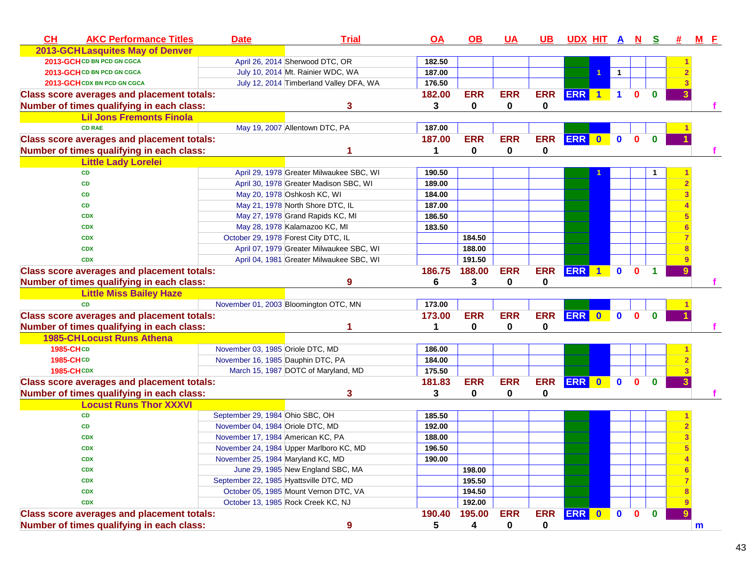| CH<br><b>AKC Performance Titles</b>               | <b>Date</b>                            | <b>Trial</b>                             | <u>OA</u> | $\Omega$    | <u>UA</u>   | <u>UB</u>  | <u>UDX HIT A N S</u> |                      |              |              |              | 坓 | <b>M</b> E  |  |
|---------------------------------------------------|----------------------------------------|------------------------------------------|-----------|-------------|-------------|------------|----------------------|----------------------|--------------|--------------|--------------|---|-------------|--|
| <b>2013-GCHLasquites May of Denver</b>            |                                        |                                          |           |             |             |            |                      |                      |              |              |              |   |             |  |
| 2013-GCH CD BN PCD GN CGCA                        |                                        | April 26, 2014 Sherwood DTC, OR          | 182.50    |             |             |            |                      |                      |              |              |              |   |             |  |
| 2013-GCH CD BN PCD GN CGCA                        |                                        | July 10, 2014 Mt. Rainier WDC, WA        | 187.00    |             |             |            |                      |                      | $\mathbf{1}$ |              |              |   |             |  |
| 2013-GCH CDX BN PCD GN CGCA                       |                                        | July 12, 2014 Timberland Valley DFA, WA  | 176.50    |             |             |            |                      |                      |              |              |              |   |             |  |
| <b>Class score averages and placement totals:</b> |                                        |                                          | 182.00    | <b>ERR</b>  | <b>ERR</b>  | <b>ERR</b> | ERR 1                |                      | $\mathbf{1}$ | $\Omega$     | $\bf{0}$     |   |             |  |
| Number of times qualifying in each class:         |                                        | 3                                        | 3         | $\mathbf 0$ | 0           | 0          |                      |                      |              |              |              |   |             |  |
| <b>Lil Jons Fremonts Finola</b>                   |                                        |                                          |           |             |             |            |                      |                      |              |              |              |   |             |  |
| <b>CD RAE</b>                                     |                                        | May 19, 2007 Allentown DTC, PA           | 187.00    |             |             |            |                      |                      |              |              |              |   |             |  |
| <b>Class score averages and placement totals:</b> |                                        |                                          | 187.00    | <b>ERR</b>  | <b>ERR</b>  | <b>ERR</b> | ERR 0                |                      | $\mathbf{0}$ | $\mathbf{0}$ | $\bf{0}$     |   |             |  |
| Number of times qualifying in each class:         |                                        |                                          |           | 0           | $\mathbf 0$ | 0          |                      |                      |              |              |              |   |             |  |
| <b>Little Lady Lorelei</b>                        |                                        |                                          |           |             |             |            |                      |                      |              |              |              |   |             |  |
| <b>CD</b>                                         |                                        | April 29, 1978 Greater Milwaukee SBC, WI | 190.50    |             |             |            |                      |                      |              |              |              |   |             |  |
| <b>CD</b>                                         |                                        | April 30, 1978 Greater Madison SBC, WI   | 189.00    |             |             |            |                      |                      |              |              |              |   |             |  |
| <b>CD</b>                                         |                                        | May 20, 1978 Oshkosh KC, WI              | 184.00    |             |             |            |                      |                      |              |              |              |   |             |  |
| <b>CD</b>                                         |                                        | May 21, 1978 North Shore DTC, IL         | 187.00    |             |             |            |                      |                      |              |              |              |   |             |  |
| <b>CDX</b>                                        |                                        | May 27, 1978 Grand Rapids KC, MI         | 186.50    |             |             |            |                      |                      |              |              |              |   |             |  |
| <b>CDX</b>                                        |                                        | May 28, 1978 Kalamazoo KC, MI            | 183.50    |             |             |            |                      |                      |              |              |              |   |             |  |
| <b>CDX</b>                                        |                                        | October 29, 1978 Forest City DTC, IL     |           | 184.50      |             |            |                      |                      |              |              |              |   |             |  |
| <b>CDX</b>                                        |                                        | April 07, 1979 Greater Milwaukee SBC, WI |           | 188.00      |             |            |                      |                      |              |              |              |   |             |  |
| <b>CDX</b>                                        |                                        | April 04, 1981 Greater Milwaukee SBC, WI |           | 191.50      |             |            |                      |                      |              |              |              |   |             |  |
| <b>Class score averages and placement totals:</b> |                                        |                                          | 186.75    | 188.00      | <b>ERR</b>  | <b>ERR</b> | <b>ERR</b>           | $\blacktriangleleft$ | $\mathbf{0}$ | $\mathbf{0}$ | $\mathbf 1$  |   |             |  |
| Number of times qualifying in each class:         |                                        | 9                                        | 6         | 3           | 0           | 0          |                      |                      |              |              |              |   |             |  |
| <b>Little Miss Bailey Haze</b>                    |                                        |                                          |           |             |             |            |                      |                      |              |              |              |   |             |  |
| <b>CD</b>                                         |                                        | November 01, 2003 Bloomington OTC, MN    | 173.00    |             |             |            |                      |                      |              |              |              |   |             |  |
| <b>Class score averages and placement totals:</b> |                                        |                                          | 173.00    | <b>ERR</b>  | <b>ERR</b>  | <b>ERR</b> | ERR 0 0              |                      |              | $\mathbf{0}$ | $\mathbf{0}$ |   |             |  |
| Number of times qualifying in each class:         |                                        |                                          | 1         | 0           | 0           | 0          |                      |                      |              |              |              |   |             |  |
| <b>1985-CHLocust Runs Athena</b>                  |                                        |                                          |           |             |             |            |                      |                      |              |              |              |   |             |  |
| 1985-CHCD                                         | November 03, 1985 Oriole DTC, MD       |                                          | 186.00    |             |             |            |                      |                      |              |              |              |   |             |  |
| 1985-CHCD                                         | November 16, 1985 Dauphin DTC, PA      |                                          | 184.00    |             |             |            |                      |                      |              |              |              |   |             |  |
| <b>1985-CHCDX</b>                                 |                                        | March 15, 1987 DOTC of Maryland, MD      | 175.50    |             |             |            |                      |                      |              |              |              |   |             |  |
| <b>Class score averages and placement totals:</b> |                                        |                                          | 181.83    | <b>ERR</b>  | <b>ERR</b>  | <b>ERR</b> | ERR 0                |                      | $\bullet$    | $\mathbf{0}$ | $\bf{0}$     |   |             |  |
| Number of times qualifying in each class:         |                                        | 3                                        | 3         | $\bf{0}$    | 0           | 0          |                      |                      |              |              |              |   |             |  |
| <b>Locust Runs Thor XXXVI</b>                     |                                        |                                          |           |             |             |            |                      |                      |              |              |              |   |             |  |
| CD                                                | September 29, 1984 Ohio SBC, OH        |                                          | 185.50    |             |             |            |                      |                      |              |              |              |   |             |  |
| CD                                                | November 04, 1984 Oriole DTC, MD       |                                          | 192.00    |             |             |            |                      |                      |              |              |              |   |             |  |
| <b>CDX</b>                                        | November 17, 1984 American KC, PA      |                                          | 188.00    |             |             |            |                      |                      |              |              |              |   |             |  |
| <b>CDX</b>                                        |                                        | November 24, 1984 Upper Marlboro KC, MD  | 196.50    |             |             |            |                      |                      |              |              |              |   |             |  |
| <b>CDX</b>                                        | November 25, 1984 Maryland KC, MD      |                                          | 190.00    |             |             |            |                      |                      |              |              |              |   |             |  |
| <b>CDX</b>                                        |                                        | June 29, 1985 New England SBC, MA        |           | 198.00      |             |            |                      |                      |              |              |              |   |             |  |
| <b>CDX</b>                                        | September 22, 1985 Hyattsville DTC, MD |                                          |           | 195.50      |             |            |                      |                      |              |              |              |   |             |  |
| <b>CDX</b>                                        |                                        | October 05, 1985 Mount Vernon DTC, VA    |           | 194.50      |             |            |                      |                      |              |              |              |   |             |  |
| <b>CDX</b>                                        |                                        | October 13, 1985 Rock Creek KC, NJ       |           | 192.00      |             |            |                      |                      |              |              |              | 9 |             |  |
| <b>Class score averages and placement totals:</b> |                                        |                                          | 190.40    | 195.00      | <b>ERR</b>  | <b>ERR</b> | ERR 0                |                      | $\bullet$    | $\mathbf 0$  | $\mathbf 0$  |   |             |  |
| Number of times qualifying in each class:         |                                        | 9                                        | 5         | 4           | $\mathbf 0$ | 0          |                      |                      |              |              |              |   | $\mathbf m$ |  |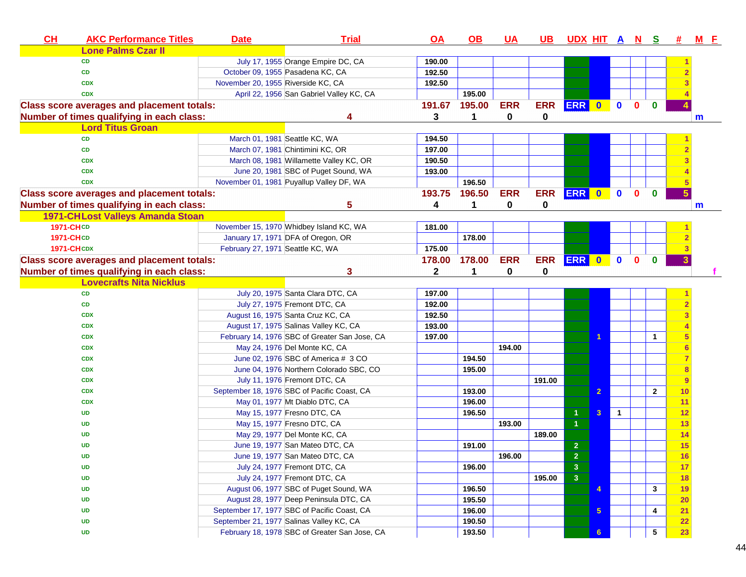| CL<br><b>AKC Performance Titles</b>               | <b>Date</b>                              | <b>Trial</b>                                  | $\overline{OA}$ | <u>OB</u>   | <u>UA</u>  | <u>UB</u>  | <u>UDX HITANS</u> |                |                |              |                | 坓                       | <b>M</b> E |  |
|---------------------------------------------------|------------------------------------------|-----------------------------------------------|-----------------|-------------|------------|------------|-------------------|----------------|----------------|--------------|----------------|-------------------------|------------|--|
| <b>Lone Palms Czar II</b>                         |                                          |                                               |                 |             |            |            |                   |                |                |              |                |                         |            |  |
| <b>CD</b>                                         |                                          | July 17, 1955 Orange Empire DC, CA            | 190.00          |             |            |            |                   |                |                |              |                |                         |            |  |
| CD                                                | October 09, 1955 Pasadena KC, CA         |                                               | 192.50          |             |            |            |                   |                |                |              |                |                         |            |  |
| <b>CDX</b>                                        | November 20, 1955 Riverside KC, CA       |                                               | 192.50          |             |            |            |                   |                |                |              |                |                         |            |  |
| <b>CDX</b>                                        |                                          | April 22, 1956 San Gabriel Valley KC, CA      |                 | 195.00      |            |            |                   |                |                |              |                |                         |            |  |
| <b>Class score averages and placement totals:</b> |                                          |                                               | 191.67          | 195.00      | <b>ERR</b> | <b>ERR</b> | ERR 0 0           |                |                | $\mathbf{0}$ | $\mathbf{0}$   |                         |            |  |
| Number of times qualifying in each class:         |                                          | 4                                             | 3               | $\mathbf 1$ | 0          | 0          |                   |                |                |              |                |                         | m          |  |
| <b>Lord Titus Groan</b>                           |                                          |                                               |                 |             |            |            |                   |                |                |              |                |                         |            |  |
| CD                                                | March 01, 1981 Seattle KC, WA            |                                               | 194.50          |             |            |            |                   |                |                |              |                |                         |            |  |
| CD                                                |                                          | March 07, 1981 Chintimini KC, OR              | 197.00          |             |            |            |                   |                |                |              |                |                         |            |  |
| <b>CDX</b>                                        |                                          | March 08, 1981 Willamette Valley KC, OR       | 190.50          |             |            |            |                   |                |                |              |                |                         |            |  |
| <b>CDX</b>                                        |                                          | June 20, 1981 SBC of Puget Sound, WA          | 193.00          |             |            |            |                   |                |                |              |                |                         |            |  |
| <b>CDX</b>                                        |                                          | November 01, 1981 Puyallup Valley DF, WA      |                 | 196.50      |            |            |                   |                |                |              |                |                         |            |  |
| <b>Class score averages and placement totals:</b> |                                          |                                               | 193.75          | 196.50      | <b>ERR</b> | <b>ERR</b> | ERR 0             |                | $\mathbf{0}$   | $\mathbf{0}$ | $\mathbf{0}$   | $5\phantom{.0}$         |            |  |
| Number of times qualifying in each class:         |                                          | 5                                             | 4               | 1           | 0          | 0          |                   |                |                |              |                |                         | m          |  |
| 1971-CHLost Valleys Amanda Stoan                  |                                          |                                               |                 |             |            |            |                   |                |                |              |                |                         |            |  |
| 1971-CHCD                                         |                                          | November 15, 1970 Whidbey Island KC, WA       | 181.00          |             |            |            |                   |                |                |              |                |                         |            |  |
| <b>1971-CHCD</b>                                  | January 17, 1971 DFA of Oregon, OR       |                                               |                 | 178.00      |            |            |                   |                |                |              |                |                         |            |  |
| <b>1971-CHCDX</b>                                 | February 27, 1971 Seattle KC, WA         |                                               | 175.00          |             |            |            |                   |                |                |              |                |                         |            |  |
| <b>Class score averages and placement totals:</b> |                                          |                                               | 178.00          | 178.00      | <b>ERR</b> | <b>ERR</b> | ERR 0 0           |                |                | $\mathbf{0}$ | $\mathbf{0}$   | $\overline{\mathbf{3}}$ |            |  |
| Number of times qualifying in each class:         |                                          | 3                                             | $\mathbf 2$     | 1           | 0          | 0          |                   |                |                |              |                |                         |            |  |
| <b>Lovecrafts Nita Nicklus</b>                    |                                          |                                               |                 |             |            |            |                   |                |                |              |                |                         |            |  |
| CD                                                |                                          | July 20, 1975 Santa Clara DTC, CA             | 197.00          |             |            |            |                   |                |                |              |                |                         |            |  |
| CD                                                |                                          | July 27, 1975 Fremont DTC, CA                 | 192.00          |             |            |            |                   |                |                |              |                |                         |            |  |
| <b>CDX</b>                                        |                                          | August 16, 1975 Santa Cruz KC, CA             | 192.50          |             |            |            |                   |                |                |              |                |                         |            |  |
| <b>CDX</b>                                        |                                          | August 17, 1975 Salinas Valley KC, CA         | 193.00          |             |            |            |                   |                |                |              |                |                         |            |  |
| <b>CDX</b>                                        |                                          | February 14, 1976 SBC of Greater San Jose, CA | 197.00          |             |            |            |                   |                |                |              | 1              |                         |            |  |
| <b>CDX</b>                                        |                                          | May 24, 1976 Del Monte KC, CA                 |                 |             | 194.00     |            |                   |                |                |              |                |                         |            |  |
| <b>CDX</b>                                        |                                          | June 02, 1976 SBC of America # 3 CO           |                 | 194.50      |            |            |                   |                |                |              |                |                         |            |  |
| <b>CDX</b>                                        |                                          | June 04, 1976 Northern Colorado SBC, CO       |                 | 195.00      |            |            |                   |                |                |              |                |                         |            |  |
| <b>CDX</b>                                        |                                          | July 11, 1976 Fremont DTC, CA                 |                 |             |            | 191.00     |                   |                |                |              |                | 9                       |            |  |
| <b>CDX</b>                                        |                                          | September 18, 1976 SBC of Pacific Coast, CA   |                 | 193.00      |            |            |                   | $\overline{2}$ |                |              | $\overline{2}$ | 10                      |            |  |
| <b>CDX</b>                                        |                                          | May 01, 1977 Mt Diablo DTC, CA                |                 | 196.00      |            |            |                   |                |                |              |                | 11                      |            |  |
| UD                                                |                                          | May 15, 1977 Fresno DTC, CA                   |                 | 196.50      |            |            | $\mathbf{1}$      | $\mathbf{3}$   | $\overline{1}$ |              |                | 12                      |            |  |
| <b>UD</b>                                         |                                          | May 15, 1977 Fresno DTC, CA                   |                 |             | 193.00     |            | $\mathbf{1}$      |                |                |              |                | 13                      |            |  |
| <b>UD</b>                                         |                                          | May 29, 1977 Del Monte KC, CA                 |                 |             |            | 189.00     |                   |                |                |              |                | 14                      |            |  |
| <b>UD</b>                                         |                                          | June 19, 1977 San Mateo DTC, CA               |                 | 191.00      |            |            | $\overline{2}$    |                |                |              |                | 15                      |            |  |
| <b>UD</b>                                         |                                          | June 19, 1977 San Mateo DTC, CA               |                 |             | 196.00     |            | $\overline{2}$    |                |                |              |                | <u>16</u>               |            |  |
| UD                                                |                                          | July 24, 1977 Fremont DTC, CA                 |                 | 196.00      |            |            | $\mathbf{3}$      |                |                |              |                | 17                      |            |  |
| UD                                                |                                          | July 24, 1977 Fremont DTC, CA                 |                 |             |            | 195.00     | $\overline{3}$    |                |                |              |                | 18                      |            |  |
| UD                                                |                                          | August 06, 1977 SBC of Puget Sound, WA        |                 | 196.50      |            |            |                   | $\overline{4}$ |                |              | $\mathbf{3}$   | 19                      |            |  |
| <b>UD</b>                                         |                                          | August 28, 1977 Deep Peninsula DTC, CA        |                 | 195.50      |            |            |                   |                |                |              |                | $\frac{20}{ }$          |            |  |
| <b>UD</b>                                         |                                          | September 17, 1977 SBC of Pacific Coast, CA   |                 | 196.00      |            |            |                   | 5 <sub>5</sub> |                |              | 4              | 21                      |            |  |
| UD                                                | September 21, 1977 Salinas Valley KC, CA |                                               |                 | 190.50      |            |            |                   |                |                |              |                | 22                      |            |  |
| <b>UD</b>                                         |                                          | February 18, 1978 SBC of Greater San Jose, CA |                 | 193.50      |            |            |                   | 6 <sup>1</sup> |                |              | $\sqrt{5}$     | 23                      |            |  |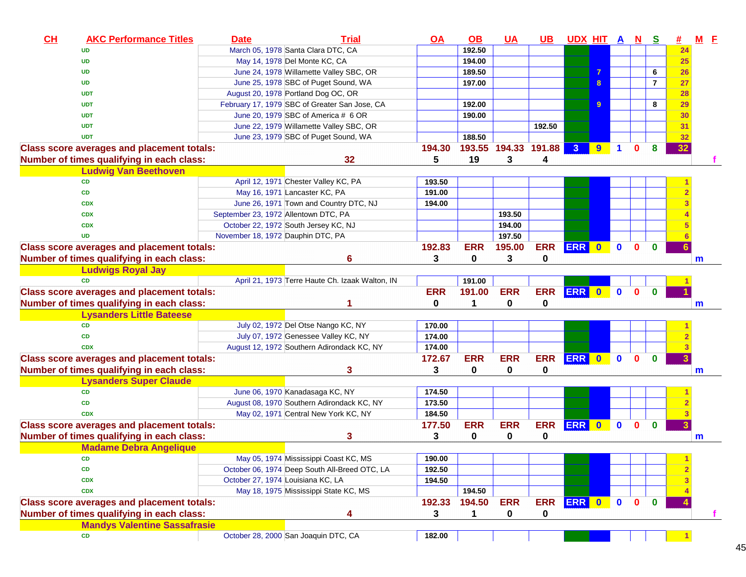| CH | <b>AKC Performance Titles</b>                     | <b>Date</b> | <b>Trial</b>                                    | <u>OA</u>  | $\Omega$   | <u>UA</u>   | <u>UB</u>     | <u>UDX HIT A N</u> |   |                      |              | <u>୍ତ</u>      | <u>#</u> | $M$ E       |
|----|---------------------------------------------------|-------------|-------------------------------------------------|------------|------------|-------------|---------------|--------------------|---|----------------------|--------------|----------------|----------|-------------|
|    | <b>UD</b>                                         |             | March 05, 1978 Santa Clara DTC, CA              |            | 192.50     |             |               |                    |   |                      |              |                | 24       |             |
|    | <b>UD</b>                                         |             | May 14, 1978 Del Monte KC, CA                   |            | 194.00     |             |               |                    |   |                      |              |                | 25       |             |
|    | <b>UD</b>                                         |             | June 24, 1978 Willamette Valley SBC, OR         |            | 189.50     |             |               |                    |   |                      |              | 6              | 26       |             |
|    | <b>UD</b>                                         |             | June 25, 1978 SBC of Puget Sound, WA            |            | 197.00     |             |               |                    | 8 |                      |              | $\overline{7}$ | 27       |             |
|    | <b>UDT</b>                                        |             | August 20, 1978 Portland Dog OC, OR             |            |            |             |               |                    |   |                      |              |                | 28       |             |
|    | <b>UDT</b>                                        |             | February 17, 1979 SBC of Greater San Jose, CA   |            | 192.00     |             |               |                    | 9 |                      |              | 8              | 29       |             |
|    | <b>UDT</b>                                        |             | June 20, 1979 SBC of America # 6 OR             |            | 190.00     |             |               |                    |   |                      |              |                | 30       |             |
|    | <b>UDT</b>                                        |             | June 22, 1979 Willamette Valley SBC, OR         |            |            |             | 192.50        |                    |   |                      |              |                | 31       |             |
|    | <b>UDT</b>                                        |             | June 23, 1979 SBC of Puget Sound, WA            |            | 188.50     |             |               |                    |   |                      |              |                | 32       |             |
|    | <b>Class score averages and placement totals:</b> |             |                                                 | 194.30     | 193.55     |             | 194.33 191.88 | 3 <sup>1</sup>     | 9 | $\blacktriangleleft$ | $\bf{0}$     | 8              | 32       |             |
|    | Number of times qualifying in each class:         |             | 32                                              | 5          | 19         | 3           | 4             |                    |   |                      |              |                |          |             |
|    | <b>Ludwig Van Beethoven</b>                       |             |                                                 |            |            |             |               |                    |   |                      |              |                |          |             |
|    | <b>CD</b>                                         |             | April 12, 1971 Chester Valley KC, PA            | 193.50     |            |             |               |                    |   |                      |              |                |          |             |
|    | <b>CD</b>                                         |             | May 16, 1971 Lancaster KC, PA                   | 191.00     |            |             |               |                    |   |                      |              |                |          |             |
|    | <b>CDX</b>                                        |             | June 26, 1971 Town and Country DTC, NJ          | 194.00     |            |             |               |                    |   |                      |              |                |          |             |
|    | <b>CDX</b>                                        |             | September 23, 1972 Allentown DTC, PA            |            |            | 193.50      |               |                    |   |                      |              |                |          |             |
|    | <b>CDX</b>                                        |             | October 22, 1972 South Jersey KC, NJ            |            |            | 194.00      |               |                    |   |                      |              |                |          |             |
|    | <b>UD</b>                                         |             | November 18, 1972 Dauphin DTC, PA               |            |            | 197.50      |               |                    |   |                      |              |                |          |             |
|    | <b>Class score averages and placement totals:</b> |             |                                                 | 192.83     | <b>ERR</b> | 195.00      | <b>ERR</b>    | ERR 0 0            |   |                      | $\mathbf 0$  | $\mathbf 0$    |          |             |
|    | Number of times qualifying in each class:         |             | 6                                               | 3          | 0          | 3           | 0             |                    |   |                      |              |                |          | $\mathbf m$ |
|    | <b>Ludwigs Royal Jay</b>                          |             |                                                 |            |            |             |               |                    |   |                      |              |                |          |             |
|    | <b>CD</b>                                         |             | April 21, 1973 Terre Haute Ch. Izaak Walton, IN |            | 191.00     |             |               |                    |   |                      |              |                |          |             |
|    | <b>Class score averages and placement totals:</b> |             |                                                 | <b>ERR</b> | 191.00     | <b>ERR</b>  | <b>ERR</b>    | ERR 0 0            |   |                      | $\mathbf{0}$ | $\mathbf{0}$   |          |             |
|    | Number of times qualifying in each class:         |             |                                                 | 0          | 1          | $\mathbf 0$ | 0             |                    |   |                      |              |                |          | m           |
|    | <b>Lysanders Little Bateese</b>                   |             |                                                 |            |            |             |               |                    |   |                      |              |                |          |             |
|    | <b>CD</b>                                         |             | July 02, 1972 Del Otse Nango KC, NY             | 170.00     |            |             |               |                    |   |                      |              |                |          |             |
|    | <b>CD</b>                                         |             | July 07, 1972 Genessee Valley KC, NY            | 174.00     |            |             |               |                    |   |                      |              |                |          |             |
|    | <b>CDX</b>                                        |             | August 12, 1972 Southern Adirondack KC, NY      | 174.00     |            |             |               |                    |   |                      |              |                |          |             |
|    | <b>Class score averages and placement totals:</b> |             |                                                 | 172.67     | <b>ERR</b> | <b>ERR</b>  | <b>ERR</b>    | ERR 0              |   | $\bullet$            | $\mathbf{0}$ | $\bf{0}$       |          |             |
|    | Number of times qualifying in each class:         |             | 3                                               | 3          | 0          | $\bf{0}$    | 0             |                    |   |                      |              |                |          | $\mathbf m$ |
|    | <b>Lysanders Super Claude</b>                     |             |                                                 |            |            |             |               |                    |   |                      |              |                |          |             |
|    | CD                                                |             | June 06, 1970 Kanadasaga KC, NY                 | 174.50     |            |             |               |                    |   |                      |              |                |          |             |
|    | <b>CD</b>                                         |             | August 08, 1970 Southern Adirondack KC, NY      | 173.50     |            |             |               |                    |   |                      |              |                |          |             |
|    | <b>CDX</b>                                        |             | May 02, 1971 Central New York KC, NY            | 184.50     |            |             |               |                    |   |                      |              |                |          |             |
|    | <b>Class score averages and placement totals:</b> |             |                                                 | 177.50     | <b>ERR</b> | <b>ERR</b>  | <b>ERR</b>    | ERR 0              |   | $\mathbf 0$          | $\mathbf{0}$ | $\bullet$      |          |             |
|    | Number of times qualifying in each class:         |             | 3                                               | 3          | 0          | 0           | 0             |                    |   |                      |              |                |          | m           |
|    | <b>Madame Debra Angelique</b>                     |             |                                                 |            |            |             |               |                    |   |                      |              |                |          |             |
|    | CD                                                |             | May 05, 1974 Mississippi Coast KC, MS           | 190.00     |            |             |               |                    |   |                      |              |                |          |             |
|    | CD                                                |             | October 06, 1974 Deep South All-Breed OTC, LA   | 192.50     |            |             |               |                    |   |                      |              |                |          |             |
|    | <b>CDX</b>                                        |             | October 27, 1974 Louisiana KC, LA               | 194.50     |            |             |               |                    |   |                      |              |                |          |             |
|    | <b>CDX</b>                                        |             | May 18, 1975 Mississippi State KC, MS           |            | 194.50     |             |               |                    |   |                      |              |                |          |             |
|    | <b>Class score averages and placement totals:</b> |             |                                                 | 192.33     | 194.50     | <b>ERR</b>  | <b>ERR</b>    | ERR 0              |   | $\mathbf 0$          | $\mathbf{0}$ | $\bf{0}$       |          |             |
|    | Number of times qualifying in each class:         |             | 4                                               | 3          | 1          | 0           | 0             |                    |   |                      |              |                |          |             |
|    | <b>Mandys Valentine Sassafrasie</b>               |             |                                                 |            |            |             |               |                    |   |                      |              |                |          |             |
|    | CD                                                |             | October 28, 2000 San Joaquin DTC, CA            | 182.00     |            |             |               |                    |   |                      |              |                |          |             |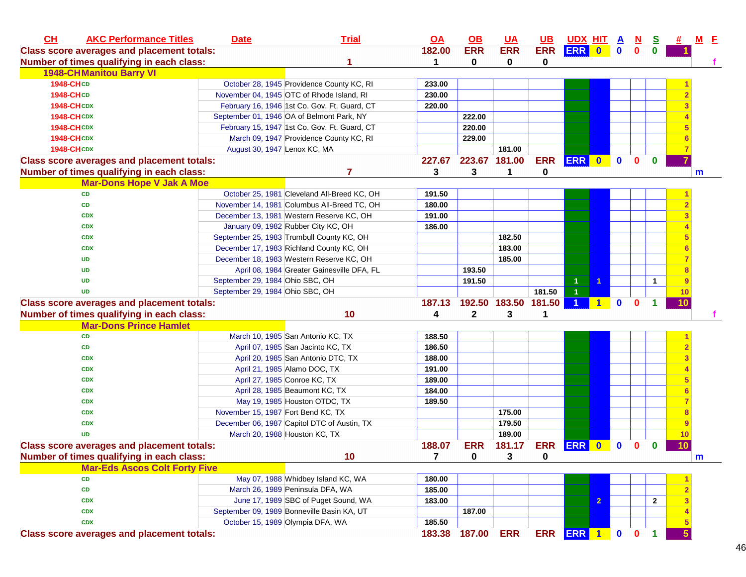| CL                | <b>AKC Performance Titles</b>                     | <b>Date</b>                        | <b>Trial</b>                                 | <u>OA</u> | <u>OB</u>    | <b>UA</b>            | <u>UB</u>  | <u>UDX HIT A</u>     |                |             | $\mathbf{N}$ | <u>s</u>             | 坓  | <u>M E</u>   |
|-------------------|---------------------------------------------------|------------------------------------|----------------------------------------------|-----------|--------------|----------------------|------------|----------------------|----------------|-------------|--------------|----------------------|----|--------------|
|                   | <b>Class score averages and placement totals:</b> |                                    |                                              | 182.00    | <b>ERR</b>   | <b>ERR</b>           | <b>ERR</b> | ERR 0                |                | $\mathbf 0$ | 0            | 0                    |    |              |
|                   | Number of times qualifying in each class:         |                                    |                                              | 1         | 0            | 0                    | 0          |                      |                |             |              |                      |    |              |
|                   | <b>1948-CHManitou Barry VI</b>                    |                                    |                                              |           |              |                      |            |                      |                |             |              |                      |    |              |
| <b>1948-CHCD</b>  |                                                   |                                    | October 28, 1945 Providence County KC, RI    | 233.00    |              |                      |            |                      |                |             |              |                      |    |              |
| <b>1948-CHCD</b>  |                                                   |                                    | November 04, 1945 OTC of Rhode Island, RI    | 230.00    |              |                      |            |                      |                |             |              |                      |    |              |
| <b>1948-CHCDX</b> |                                                   |                                    | February 16, 1946 1st Co. Gov. Ft. Guard, CT | 220.00    |              |                      |            |                      |                |             |              |                      |    |              |
| <b>1948-CHCDX</b> |                                                   |                                    | September 01, 1946 OA of Belmont Park, NY    |           | 222.00       |                      |            |                      |                |             |              |                      |    |              |
| <b>1948-CHCDX</b> |                                                   |                                    | February 15, 1947 1st Co. Gov. Ft. Guard, CT |           | 220.00       |                      |            |                      |                |             |              |                      |    |              |
| <b>1948-CHCDX</b> |                                                   |                                    | March 09, 1947 Providence County KC, RI      |           | 229.00       |                      |            |                      |                |             |              |                      |    |              |
| <b>1948-CHCDX</b> |                                                   | August 30, 1947 Lenox KC, MA       |                                              |           |              | 181.00               |            |                      |                |             |              |                      |    |              |
|                   | <b>Class score averages and placement totals:</b> |                                    |                                              | 227.67    |              | 223.67 181.00        | <b>ERR</b> | ERR 0                |                | $\mathbf 0$ | $\mathbf{0}$ | $\bf{0}$             |    |              |
|                   | Number of times qualifying in each class:         |                                    | 7                                            | 3         | 3            | 1                    | 0          |                      |                |             |              |                      |    | m            |
|                   | <b>Mar-Dons Hope V Jak A Moe</b>                  |                                    |                                              |           |              |                      |            |                      |                |             |              |                      |    |              |
|                   | <b>CD</b>                                         |                                    | October 25, 1981 Cleveland All-Breed KC, OH  | 191.50    |              |                      |            |                      |                |             |              |                      |    |              |
|                   | CD                                                |                                    | November 14, 1981 Columbus All-Breed TC, OH  | 180.00    |              |                      |            |                      |                |             |              |                      |    |              |
|                   | <b>CDX</b>                                        |                                    | December 13, 1981 Western Reserve KC, OH     | 191.00    |              |                      |            |                      |                |             |              |                      |    |              |
|                   | <b>CDX</b>                                        |                                    | January 09, 1982 Rubber City KC, OH          | 186.00    |              |                      |            |                      |                |             |              |                      |    |              |
|                   | <b>CDX</b>                                        |                                    | September 25, 1983 Trumbull County KC, OH    |           |              | 182.50               |            |                      |                |             |              |                      |    |              |
|                   | <b>CDX</b>                                        |                                    | December 17, 1983 Richland County KC, OH     |           |              | 183.00               |            |                      |                |             |              |                      |    |              |
|                   | UD                                                |                                    | December 18, 1983 Western Reserve KC, OH     |           |              | 185.00               |            |                      |                |             |              |                      |    |              |
|                   | <b>UD</b>                                         |                                    | April 08, 1984 Greater Gainesville DFA, FL   |           | 193.50       |                      |            |                      |                |             |              |                      |    |              |
|                   | <b>UD</b>                                         | September 29, 1984 Ohio SBC, OH    |                                              |           | 191.50       |                      |            | 1                    | -1             |             |              | 1                    | 9  |              |
|                   | <b>UD</b>                                         | September 29, 1984 Ohio SBC, OH    |                                              |           |              |                      | 181.50     | $\overline{1}$       |                |             |              |                      | 10 |              |
|                   | <b>Class score averages and placement totals:</b> |                                    |                                              | 187.13    |              | 192.50 183.50 181.50 |            | $\blacktriangleleft$ | 1              | $\mathbf 0$ | $\mathbf{0}$ |                      | 10 |              |
|                   | Number of times qualifying in each class:         |                                    | 10                                           | 4         | $\mathbf{2}$ | 3                    |            |                      |                |             |              |                      |    |              |
|                   | <b>Mar-Dons Prince Hamlet</b>                     |                                    |                                              |           |              |                      |            |                      |                |             |              |                      |    |              |
|                   | CD                                                |                                    | March 10, 1985 San Antonio KC, TX            | 188.50    |              |                      |            |                      |                |             |              |                      |    |              |
|                   | CD                                                |                                    | April 07, 1985 San Jacinto KC, TX            | 186.50    |              |                      |            |                      |                |             |              |                      |    |              |
|                   | <b>CDX</b>                                        |                                    | April 20, 1985 San Antonio DTC, TX           | 188.00    |              |                      |            |                      |                |             |              |                      |    |              |
|                   | <b>CDX</b>                                        |                                    | April 21, 1985 Alamo DOC, TX                 | 191.00    |              |                      |            |                      |                |             |              |                      |    |              |
|                   | <b>CDX</b>                                        |                                    | April 27, 1985 Conroe KC, TX                 | 189.00    |              |                      |            |                      |                |             |              |                      |    |              |
|                   | <b>CDX</b>                                        |                                    | April 28, 1985 Beaumont KC, TX               | 184.00    |              |                      |            |                      |                |             |              |                      |    |              |
|                   | <b>CDX</b>                                        |                                    | May 19, 1985 Houston OTDC, TX                | 189.50    |              |                      |            |                      |                |             |              |                      |    |              |
|                   | <b>CDX</b>                                        | November 15, 1987 Fort Bend KC, TX |                                              |           |              | 175.00               |            |                      |                |             |              |                      |    |              |
|                   | <b>CDX</b>                                        |                                    | December 06, 1987 Capitol DTC of Austin, TX  |           |              | 179.50               |            |                      |                |             |              |                      |    |              |
|                   | <b>UD</b>                                         |                                    | March 20, 1988 Houston KC, TX                |           |              | 189.00               |            |                      |                |             |              |                      | 10 |              |
|                   | <b>Class score averages and placement totals:</b> |                                    |                                              | 188.07    | <b>ERR</b>   | 181.17               | <b>ERR</b> | <b>ERR</b> 0         |                | $\mathbf 0$ | $\bf{0}$     | 0                    | 10 |              |
|                   | Number of times qualifying in each class:         |                                    | 10                                           | 7         | $\mathbf{0}$ | 3                    | 0          |                      |                |             |              |                      |    | $\mathsf{m}$ |
|                   | <b>Mar-Eds Ascos Colt Forty Five</b>              |                                    |                                              |           |              |                      |            |                      |                |             |              |                      |    |              |
|                   | CD                                                |                                    | May 07, 1988 Whidbey Island KC, WA           | 180.00    |              |                      |            |                      |                |             |              |                      |    |              |
|                   | CD                                                |                                    | March 26, 1989 Peninsula DFA, WA             | 185.00    |              |                      |            |                      |                |             |              |                      |    |              |
|                   | <b>CDX</b>                                        |                                    | June 17, 1989 SBC of Puget Sound, WA         | 183.00    |              |                      |            |                      | $\overline{2}$ |             |              | $\mathbf{2}$         |    |              |
|                   | <b>CDX</b>                                        |                                    | September 09, 1989 Bonneville Basin KA, UT   |           | 187.00       |                      |            |                      |                |             |              |                      |    |              |
|                   | <b>CDX</b>                                        |                                    | October 15, 1989 Olympia DFA, WA             | 185.50    |              |                      |            |                      |                |             |              |                      |    |              |
|                   | <b>Class score averages and placement totals:</b> |                                    |                                              | 183.38    | 187.00       | <b>ERR</b>           |            | ERR ERR 1 0 0        |                |             |              | $\blacktriangleleft$ |    |              |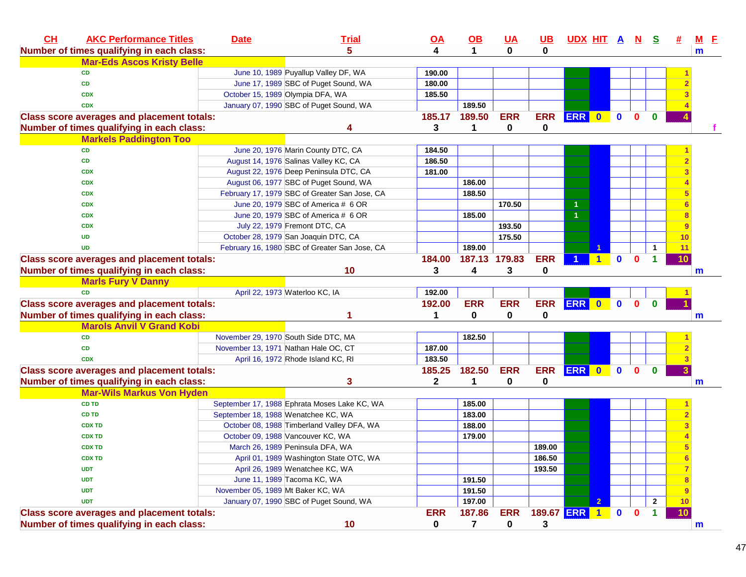| CL<br><b>AKC Performance Titles</b>               | <b>Date</b>                       | <b>Trial</b>                                  | <u>OA</u>    | $\underline{\mathsf{OB}}$ | <b>UA</b>  | $UB$       | <u>UDX HIT A N</u> |              |              | <u>s</u>     |        | $M$ $E$      |
|---------------------------------------------------|-----------------------------------|-----------------------------------------------|--------------|---------------------------|------------|------------|--------------------|--------------|--------------|--------------|--------|--------------|
| Number of times qualifying in each class:         |                                   | 5                                             | 4            | $\mathbf{1}$              | $\bf{0}$   | 0          |                    |              |              |              |        | $\mathbf{m}$ |
| <b>Mar-Eds Ascos Kristy Belle</b>                 |                                   |                                               |              |                           |            |            |                    |              |              |              |        |              |
| <b>CD</b>                                         |                                   | June 10, 1989 Puyallup Valley DF, WA          | 190.00       |                           |            |            |                    |              |              |              |        |              |
| <b>CD</b>                                         |                                   | June 17, 1989 SBC of Puget Sound, WA          | 180.00       |                           |            |            |                    |              |              |              |        |              |
| <b>CDX</b>                                        |                                   | October 15, 1989 Olympia DFA, WA              | 185.50       |                           |            |            |                    |              |              |              |        |              |
| <b>CDX</b>                                        |                                   | January 07, 1990 SBC of Puget Sound, WA       |              | 189.50                    |            |            |                    |              |              |              |        |              |
| <b>Class score averages and placement totals:</b> |                                   |                                               | 185.17       | 189.50                    | <b>ERR</b> | <b>ERR</b> | ERR 0              | $\mathbf 0$  | $\mathbf{0}$ | $\bf{0}$     |        |              |
| Number of times qualifying in each class:         |                                   |                                               | 3            | 1                         | 0          | 0          |                    |              |              |              |        |              |
| <b>Markels Paddington Too</b>                     |                                   |                                               |              |                           |            |            |                    |              |              |              |        |              |
| <b>CD</b>                                         |                                   | June 20, 1976 Marin County DTC, CA            | 184.50       |                           |            |            |                    |              |              |              |        |              |
| <b>CD</b>                                         |                                   | August 14, 1976 Salinas Valley KC, CA         | 186.50       |                           |            |            |                    |              |              |              |        |              |
| <b>CDX</b>                                        |                                   | August 22, 1976 Deep Peninsula DTC, CA        | 181.00       |                           |            |            |                    |              |              |              |        |              |
| <b>CDX</b>                                        |                                   | August 06, 1977 SBC of Puget Sound, WA        |              | 186.00                    |            |            |                    |              |              |              |        |              |
| <b>CDX</b>                                        |                                   | February 17, 1979 SBC of Greater San Jose, CA |              | 188.50                    |            |            |                    |              |              |              |        |              |
| <b>CDX</b>                                        |                                   | June 20, 1979 SBC of America # 6 OR           |              |                           | 170.50     |            |                    |              |              |              |        |              |
| <b>CDX</b>                                        |                                   | June 20, 1979 SBC of America # 6 OR           |              | 185.00                    |            |            |                    |              |              |              | 8      |              |
| <b>CDX</b>                                        |                                   | July 22, 1979 Fremont DTC, CA                 |              |                           | 193.50     |            |                    |              |              |              | 9      |              |
| <b>UD</b>                                         |                                   | October 28, 1979 San Joaquin DTC, CA          |              |                           | 175.50     |            |                    |              |              |              | 10     |              |
| <b>UD</b>                                         |                                   | February 16, 1980 SBC of Greater San Jose, CA |              | 189.00                    |            |            |                    |              |              | $\mathbf{1}$ | 11     |              |
| <b>Class score averages and placement totals:</b> |                                   |                                               | 184.00       | 187.13 179.83             |            | <b>ERR</b> |                    | $\mathbf{0}$ | $\bf{0}$     | 1            | 10     |              |
| Number of times qualifying in each class:         |                                   | 10                                            | 3            | 4                         | 3          | 0          |                    |              |              |              |        | $\mathsf{m}$ |
| <b>Marls Fury V Danny</b>                         |                                   |                                               |              |                           |            |            |                    |              |              |              |        |              |
| <b>CD</b>                                         |                                   | April 22, 1973 Waterloo KC, IA                | 192.00       |                           |            |            |                    |              |              |              |        |              |
| <b>Class score averages and placement totals:</b> |                                   |                                               | 192.00       | <b>ERR</b>                | <b>ERR</b> | <b>ERR</b> | ERR 0              | $\bullet$    | $\mathbf{0}$ | $\mathbf 0$  |        |              |
| Number of times qualifying in each class:         |                                   |                                               | 1            | 0                         | 0          | 0          |                    |              |              |              |        | m            |
| <b>Marols Anvil V Grand Kobi</b>                  |                                   |                                               |              |                           |            |            |                    |              |              |              |        |              |
| <b>CD</b>                                         |                                   | November 29, 1970 South Side DTC, MA          |              | 182.50                    |            |            |                    |              |              |              |        |              |
| <b>CD</b>                                         |                                   | November 13, 1971 Nathan Hale OC, CT          | 187.00       |                           |            |            |                    |              |              |              |        |              |
| <b>CDX</b>                                        |                                   | April 16, 1972 Rhode Island KC, RI            | 183.50       |                           |            |            |                    |              |              |              |        |              |
| <b>Class score averages and placement totals:</b> |                                   |                                               | 185.25       | 182.50                    | <b>ERR</b> | <b>ERR</b> | ERR 0              | $\bullet$    | $\mathbf{0}$ | $\mathbf 0$  |        |              |
| Number of times qualifying in each class:         |                                   | 3                                             | $\mathbf{2}$ | 1                         | 0          | 0          |                    |              |              |              |        | m            |
| <b>Mar-Wils Markus Von Hyden</b>                  |                                   |                                               |              |                           |            |            |                    |              |              |              |        |              |
| <b>CD TD</b>                                      |                                   | September 17, 1988 Ephrata Moses Lake KC, WA  |              | 185.00                    |            |            |                    |              |              |              |        |              |
| <b>CD TD</b>                                      |                                   | September 18, 1988 Wenatchee KC, WA           |              | 183.00                    |            |            |                    |              |              |              |        |              |
| <b>CDX TD</b>                                     |                                   | October 08, 1988 Timberland Valley DFA, WA    |              | 188.00                    |            |            |                    |              |              |              |        |              |
| <b>CDX TD</b>                                     |                                   | October 09, 1988 Vancouver KC, WA             |              | 179.00                    |            |            |                    |              |              |              |        |              |
| <b>CDX TD</b>                                     |                                   | March 26, 1989 Peninsula DFA, WA              |              |                           |            | 189.00     |                    |              |              |              |        |              |
| <b>CDX TD</b>                                     |                                   | April 01, 1989 Washington State OTC, WA       |              |                           |            | 186.50     |                    |              |              |              | $6 \,$ |              |
| <b>UDT</b>                                        |                                   | April 26, 1989 Wenatchee KC, WA               |              |                           |            | 193.50     |                    |              |              |              | 7      |              |
| <b>UDT</b>                                        |                                   | June 11, 1989 Tacoma KC, WA                   |              | 191.50                    |            |            |                    |              |              |              | 8      |              |
| <b>UDT</b>                                        | November 05, 1989 Mt Baker KC, WA |                                               |              | 191.50                    |            |            |                    |              |              |              | 9      |              |
| <b>UDT</b>                                        |                                   | January 07, 1990 SBC of Puget Sound, WA       |              | 197.00                    |            |            | $\overline{2}$     |              |              | $\mathbf{2}$ | 10     |              |
| <b>Class score averages and placement totals:</b> |                                   |                                               | <b>ERR</b>   | 187.86                    | <b>ERR</b> |            | 189.67 ERR 1       | $\mathbf 0$  | $\mathbf 0$  | $\mathbf 1$  | 10     |              |
| Number of times qualifying in each class:         |                                   | 10                                            | 0            | 7                         | 0          | 3          |                    |              |              |              |        | m            |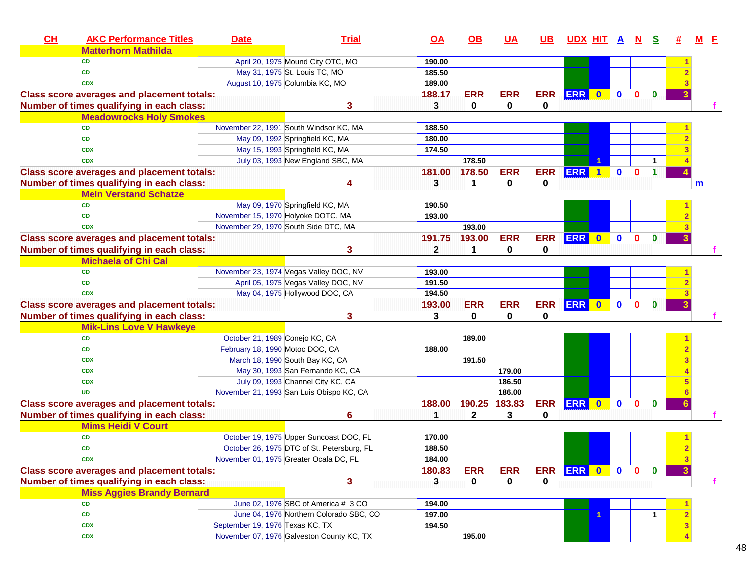| CH | <b>AKC Performance Titles</b>                     | <b>Date</b>                     | <b>Trial</b>                               | $\overline{OA}$ | $\overline{OB}$ | <b>UA</b>   | $\overline{UB}$ | <u>UDX HIT A N</u> |              |              |              | $\mathbf{s}$ |   | $M$ $E$ |    |
|----|---------------------------------------------------|---------------------------------|--------------------------------------------|-----------------|-----------------|-------------|-----------------|--------------------|--------------|--------------|--------------|--------------|---|---------|----|
|    | <b>Matterhorn Mathilda</b>                        |                                 |                                            |                 |                 |             |                 |                    |              |              |              |              |   |         |    |
|    | <b>CD</b>                                         |                                 | April 20, 1975 Mound City OTC, MO          | 190.00          |                 |             |                 |                    |              |              |              |              |   |         |    |
|    | CD                                                |                                 | May 31, 1975 St. Louis TC, MO              | 185.50          |                 |             |                 |                    |              |              |              |              |   |         |    |
|    | <b>CDX</b>                                        |                                 | August 10, 1975 Columbia KC, MO            | 189.00          |                 |             |                 |                    |              |              |              |              |   |         |    |
|    | <b>Class score averages and placement totals:</b> |                                 |                                            | 188.17          | <b>ERR</b>      | <b>ERR</b>  | <b>ERR</b>      | ERR 0              |              | $\mathbf{0}$ | $\mathbf{0}$ | $\mathbf{0}$ |   |         |    |
|    | Number of times qualifying in each class:         |                                 | 3                                          | 3               | 0               | 0           | 0               |                    |              |              |              |              |   |         |    |
|    | <b>Meadowrocks Holy Smokes</b>                    |                                 |                                            |                 |                 |             |                 |                    |              |              |              |              |   |         |    |
|    | <b>CD</b>                                         |                                 | November 22, 1991 South Windsor KC, MA     | 188.50          |                 |             |                 |                    |              |              |              |              |   |         |    |
|    | <b>CD</b>                                         |                                 | May 09, 1992 Springfield KC, MA            | 180.00          |                 |             |                 |                    |              |              |              |              |   |         |    |
|    | <b>CDX</b>                                        |                                 | May 15, 1993 Springfield KC, MA            | 174.50          |                 |             |                 |                    |              |              |              |              |   |         |    |
|    | <b>CDX</b>                                        |                                 | July 03, 1993 New England SBC, MA          |                 | 178.50          |             |                 |                    |              |              |              | -1           |   |         |    |
|    | <b>Class score averages and placement totals:</b> |                                 |                                            | 181.00          | 178.50          | <b>ERR</b>  | <b>ERR</b>      | <b>ERR</b>         |              | $\mathbf{0}$ | $\Omega$     |              |   |         |    |
|    | Number of times qualifying in each class:         |                                 | 4                                          | 3               | 1               | $\mathbf 0$ | 0               |                    |              |              |              |              |   | m       |    |
|    | <b>Mein Verstand Schatze</b>                      |                                 |                                            |                 |                 |             |                 |                    |              |              |              |              |   |         |    |
|    | <b>CD</b>                                         |                                 | May 09, 1970 Springfield KC, MA            | 190.50          |                 |             |                 |                    |              |              |              |              |   |         |    |
|    | <b>CD</b>                                         |                                 | November 15, 1970 Holyoke DOTC, MA         | 193.00          |                 |             |                 |                    |              |              |              |              |   |         |    |
|    | <b>CDX</b>                                        |                                 | November 29, 1970 South Side DTC, MA       |                 | 193.00          |             |                 |                    |              |              |              |              |   |         |    |
|    | <b>Class score averages and placement totals:</b> |                                 |                                            | 191.75          | 193.00          | <b>ERR</b>  | <b>ERR</b>      | ERR 0              |              | $\mathbf{0}$ | $\mathbf{0}$ | $\mathbf{0}$ |   |         |    |
|    | Number of times qualifying in each class:         |                                 | 3                                          | $\mathbf{2}$    | 1               | 0           | 0               |                    |              |              |              |              |   |         |    |
|    | <b>Michaela of Chi Cal</b>                        |                                 |                                            |                 |                 |             |                 |                    |              |              |              |              |   |         |    |
|    | CD                                                |                                 | November 23, 1974 Vegas Valley DOC, NV     | 193.00          |                 |             |                 |                    |              |              |              |              |   |         |    |
|    | CD                                                |                                 | April 05, 1975 Vegas Valley DOC, NV        | 191.50          |                 |             |                 |                    |              |              |              |              |   |         |    |
|    | <b>CDX</b>                                        |                                 | May 04, 1975 Hollywood DOC, CA             | 194.50          |                 |             |                 |                    |              |              |              |              |   |         |    |
|    | <b>Class score averages and placement totals:</b> |                                 |                                            | 193.00          | <b>ERR</b>      | <b>ERR</b>  | <b>ERR</b>      | ERR 0              |              | $\mathbf{0}$ | $\mathbf{0}$ | $\bf{0}$     |   |         |    |
|    | Number of times qualifying in each class:         |                                 | 3                                          | 3               | 0               | 0           | 0               |                    |              |              |              |              |   |         |    |
|    | <b>Mik-Lins Love V Hawkeye</b>                    |                                 |                                            |                 |                 |             |                 |                    |              |              |              |              |   |         |    |
|    | CD                                                | October 21, 1989 Conejo KC, CA  |                                            |                 | 189.00          |             |                 |                    |              |              |              |              |   |         |    |
|    | CD                                                | February 18, 1990 Motoc DOC, CA |                                            | 188.00          |                 |             |                 |                    |              |              |              |              |   |         |    |
|    | <b>CDX</b>                                        |                                 | March 18, 1990 South Bay KC, CA            |                 | 191.50          |             |                 |                    |              |              |              |              |   |         |    |
|    | <b>CDX</b>                                        |                                 | May 30, 1993 San Fernando KC, CA           |                 |                 | 179.00      |                 |                    |              |              |              |              |   |         |    |
|    | <b>CDX</b>                                        |                                 | July 09, 1993 Channel City KC, CA          |                 |                 | 186.50      |                 |                    |              |              |              |              |   |         |    |
|    | <b>UD</b>                                         |                                 | November 21, 1993 San Luis Obispo KC, CA   |                 |                 | 186.00      |                 |                    |              |              |              |              |   |         |    |
|    | <b>Class score averages and placement totals:</b> |                                 |                                            | 188.00          | 190.25          | 183.83      | <b>ERR</b>      | <b>ERR</b>         | $\mathbf{0}$ | $\mathbf{0}$ | <sup>0</sup> | $\bf{0}$     |   |         |    |
|    | Number of times qualifying in each class:         |                                 | 6                                          | 1               | $\mathbf 2$     | 3           | 0               |                    |              |              |              |              |   |         |    |
|    | <b>Mims Heidi V Court</b>                         |                                 |                                            |                 |                 |             |                 |                    |              |              |              |              |   |         |    |
|    | CD                                                |                                 | October 19, 1975 Upper Suncoast DOC, FL    | 170.00          |                 |             |                 |                    |              |              |              |              |   |         |    |
|    | CD                                                |                                 | October 26, 1975 DTC of St. Petersburg, FL | 188.50          |                 |             |                 |                    |              |              |              |              |   |         |    |
|    | <b>CDX</b>                                        |                                 | November 01, 1975 Greater Ocala DC, FL     | 184.00          |                 |             |                 |                    |              |              |              |              | 3 |         |    |
|    | <b>Class score averages and placement totals:</b> |                                 |                                            | 180.83          | <b>ERR</b>      | <b>ERR</b>  | <b>ERR</b>      | ERR 0              |              | $\bullet$    | $\mathbf{0}$ | $\bf{0}$     | 3 |         |    |
|    | Number of times qualifying in each class:         |                                 | 3                                          | 3               | 0               | 0           | 0               |                    |              |              |              |              |   |         | f. |
|    | <b>Miss Aggies Brandy Bernard</b>                 |                                 |                                            |                 |                 |             |                 |                    |              |              |              |              |   |         |    |
|    | <b>CD</b>                                         |                                 | June 02, 1976 SBC of America # 3 CO        | 194.00          |                 |             |                 |                    |              |              |              |              |   |         |    |
|    | CD                                                |                                 | June 04, 1976 Northern Colorado SBC, CO    | 197.00          |                 |             |                 |                    | 1            |              |              | -1           |   |         |    |
|    | <b>CDX</b>                                        | September 19, 1976 Texas KC, TX |                                            | 194.50          |                 |             |                 |                    |              |              |              |              |   |         |    |
|    | <b>CDX</b>                                        |                                 | November 07, 1976 Galveston County KC, TX  |                 | 195.00          |             |                 |                    |              |              |              |              |   |         |    |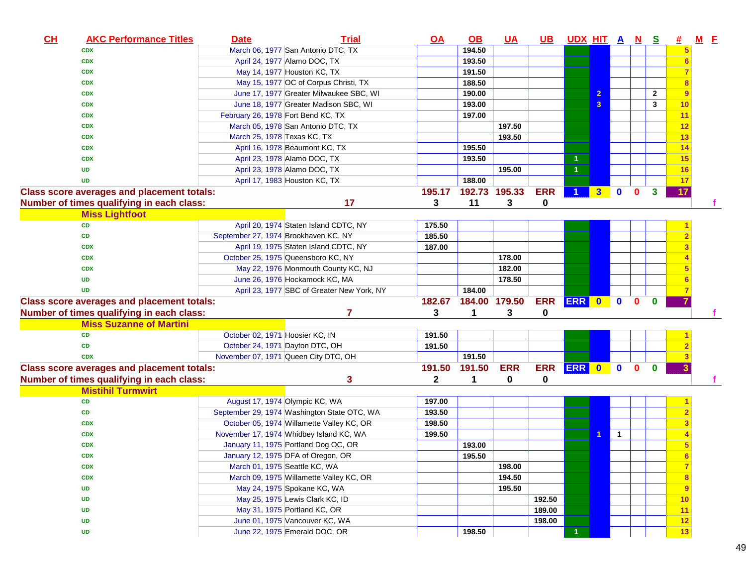| CH | <b>AKC Performance Titles</b>                     | <b>Date</b>                          | <b>Trial</b>                                | $\overline{OA}$ | <u>OB</u>     | <u>UA</u>  | UB.        | <u>UDX HIT A N S</u> |                |                |              |              | <u>#</u>       | <b>M</b> E |  |
|----|---------------------------------------------------|--------------------------------------|---------------------------------------------|-----------------|---------------|------------|------------|----------------------|----------------|----------------|--------------|--------------|----------------|------------|--|
|    | <b>CDX</b>                                        |                                      | March 06, 1977 San Antonio DTC, TX          |                 | 194.50        |            |            |                      |                |                |              |              |                |            |  |
|    | <b>CDX</b>                                        |                                      | April 24, 1977 Alamo DOC, TX                |                 | 193.50        |            |            |                      |                |                |              |              | 6              |            |  |
|    | <b>CDX</b>                                        |                                      | May 14, 1977 Houston KC, TX                 |                 | 191.50        |            |            |                      |                |                |              |              |                |            |  |
|    | <b>CDX</b>                                        |                                      | May 15, 1977 OC of Corpus Christi, TX       |                 | 188.50        |            |            |                      |                |                |              |              |                |            |  |
|    | <b>CDX</b>                                        |                                      | June 17, 1977 Greater Milwaukee SBC, WI     |                 | 190.00        |            |            |                      | $\overline{2}$ |                |              | $\mathbf{2}$ | 9              |            |  |
|    | <b>CDX</b>                                        |                                      | June 18, 1977 Greater Madison SBC, WI       |                 | 193.00        |            |            |                      | $\mathbf{3}$   |                |              | 3            | 10             |            |  |
|    | <b>CDX</b>                                        | February 26, 1978 Fort Bend KC, TX   |                                             |                 | 197.00        |            |            |                      |                |                |              |              | 11             |            |  |
|    | <b>CDX</b>                                        |                                      | March 05, 1978 San Antonio DTC, TX          |                 |               | 197.50     |            |                      |                |                |              |              | 12             |            |  |
|    | <b>CDX</b>                                        | March 25, 1978 Texas KC, TX          |                                             |                 |               | 193.50     |            |                      |                |                |              |              | 13             |            |  |
|    | <b>CDX</b>                                        |                                      | April 16, 1978 Beaumont KC, TX              |                 | 195.50        |            |            |                      |                |                |              |              | 14             |            |  |
|    | <b>CDX</b>                                        |                                      | April 23, 1978 Alamo DOC, TX                |                 | 193.50        |            |            | 1                    |                |                |              |              | 15             |            |  |
|    | <b>UD</b>                                         |                                      | April 23, 1978 Alamo DOC, TX                |                 |               | 195.00     |            | $\overline{1}$       |                |                |              |              | 16             |            |  |
|    | <b>UD</b>                                         |                                      | April 17, 1983 Houston KC, TX               |                 | 188.00        |            |            |                      |                |                |              |              | 17             |            |  |
|    | <b>Class score averages and placement totals:</b> |                                      |                                             | 195.17          | 192.73        | 195.33     | <b>ERR</b> |                      | 3 <sup>1</sup> | $\mathbf{0}$   | $\mathbf 0$  | $\mathbf{3}$ | 17             |            |  |
|    | Number of times qualifying in each class:         |                                      | 17                                          | 3               | 11            | 3          | 0          |                      |                |                |              |              |                |            |  |
|    | <b>Miss Lightfoot</b>                             |                                      |                                             |                 |               |            |            |                      |                |                |              |              |                |            |  |
|    | CD                                                |                                      | April 20, 1974 Staten Island CDTC, NY       | 175.50          |               |            |            |                      |                |                |              |              |                |            |  |
|    | CD                                                | September 27, 1974 Brookhaven KC, NY |                                             | 185.50          |               |            |            |                      |                |                |              |              |                |            |  |
|    | <b>CDX</b>                                        |                                      | April 19, 1975 Staten Island CDTC, NY       | 187.00          |               |            |            |                      |                |                |              |              |                |            |  |
|    | <b>CDX</b>                                        |                                      | October 25, 1975 Queensboro KC, NY          |                 |               | 178.00     |            |                      |                |                |              |              |                |            |  |
|    | <b>CDX</b>                                        |                                      | May 22, 1976 Monmouth County KC, NJ         |                 |               | 182.00     |            |                      |                |                |              |              |                |            |  |
|    | <b>UD</b>                                         |                                      | June 26, 1976 Hockamock KC, MA              |                 |               | 178.50     |            |                      |                |                |              |              |                |            |  |
|    | <b>UD</b>                                         |                                      | April 23, 1977 SBC of Greater New York, NY  |                 | 184.00        |            |            |                      |                |                |              |              |                |            |  |
|    | <b>Class score averages and placement totals:</b> |                                      |                                             | 182.67          | 184.00 179.50 |            | <b>ERR</b> | ERR 0                |                | $\mathbf{0}$   | $\mathbf{0}$ | $\bf{0}$     |                |            |  |
|    | Number of times qualifying in each class:         |                                      | 7                                           | 3               | 1             | 3          | 0          |                      |                |                |              |              |                |            |  |
|    | <b>Miss Suzanne of Martini</b>                    |                                      |                                             |                 |               |            |            |                      |                |                |              |              |                |            |  |
|    | <b>CD</b>                                         | October 02, 1971 Hoosier KC, IN      |                                             | 191.50          |               |            |            |                      |                |                |              |              |                |            |  |
|    | <b>CD</b>                                         | October 24, 1971 Dayton DTC, OH      |                                             | 191.50          |               |            |            |                      |                |                |              |              |                |            |  |
|    | <b>CDX</b>                                        |                                      | November 07, 1971 Queen City DTC, OH        |                 | 191.50        |            |            |                      |                |                |              |              |                |            |  |
|    | <b>Class score averages and placement totals:</b> |                                      |                                             | 191.50          | 191.50        | <b>ERR</b> | <b>ERR</b> | ERR 0                |                | $\mathbf{0}$   | $\mathbf{0}$ | $\bf{0}$     | 3              |            |  |
|    | Number of times qualifying in each class:         |                                      | 3                                           | $\mathbf{2}$    | 1             | 0          | 0          |                      |                |                |              |              |                |            |  |
|    | <b>Mistihil Turmwirt</b>                          |                                      |                                             |                 |               |            |            |                      |                |                |              |              |                |            |  |
|    | <b>CD</b>                                         |                                      | August 17, 1974 Olympic KC, WA              | 197.00          |               |            |            |                      |                |                |              |              |                |            |  |
|    | <b>CD</b>                                         |                                      | September 29, 1974 Washington State OTC, WA | 193.50          |               |            |            |                      |                |                |              |              |                |            |  |
|    | <b>CDX</b>                                        |                                      | October 05, 1974 Willamette Valley KC, OR   | 198.50          |               |            |            |                      |                |                |              |              |                |            |  |
|    | <b>CDX</b>                                        |                                      | November 17, 1974 Whidbey Island KC, WA     | 199.50          |               |            |            |                      |                | $\overline{1}$ |              |              |                |            |  |
|    | <b>CDX</b>                                        |                                      | January 11, 1975 Portland Dog OC, OR        |                 | 193.00        |            |            |                      |                |                |              |              | 5              |            |  |
|    | <b>CDX</b>                                        |                                      | January 12, 1975 DFA of Oregon, OR          |                 | 195.50        |            |            |                      |                |                |              |              | 6              |            |  |
|    | <b>CDX</b>                                        |                                      | March 01, 1975 Seattle KC, WA               |                 |               | 198.00     |            |                      |                |                |              |              | $\overline{7}$ |            |  |
|    | <b>CDX</b>                                        |                                      | March 09, 1975 Willamette Valley KC, OR     |                 |               | 194.50     |            |                      |                |                |              |              | 8              |            |  |
|    | UD                                                |                                      | May 24, 1975 Spokane KC, WA                 |                 |               | 195.50     |            |                      |                |                |              |              | 9              |            |  |
|    | <b>UD</b>                                         |                                      | May 25, 1975 Lewis Clark KC, ID             |                 |               |            | 192.50     |                      |                |                |              |              | 10             |            |  |
|    | <b>UD</b>                                         |                                      | May 31, 1975 Portland KC, OR                |                 |               |            | 189.00     |                      |                |                |              |              | 11             |            |  |
|    | <b>UD</b>                                         |                                      | June 01, 1975 Vancouver KC, WA              |                 |               |            | 198.00     |                      |                |                |              |              | 12             |            |  |
|    | <b>UD</b>                                         |                                      | June 22, 1975 Emerald DOC, OR               |                 | 198.50        |            |            |                      |                |                |              |              | 13             |            |  |
|    |                                                   |                                      |                                             |                 |               |            |            |                      |                |                |              |              |                |            |  |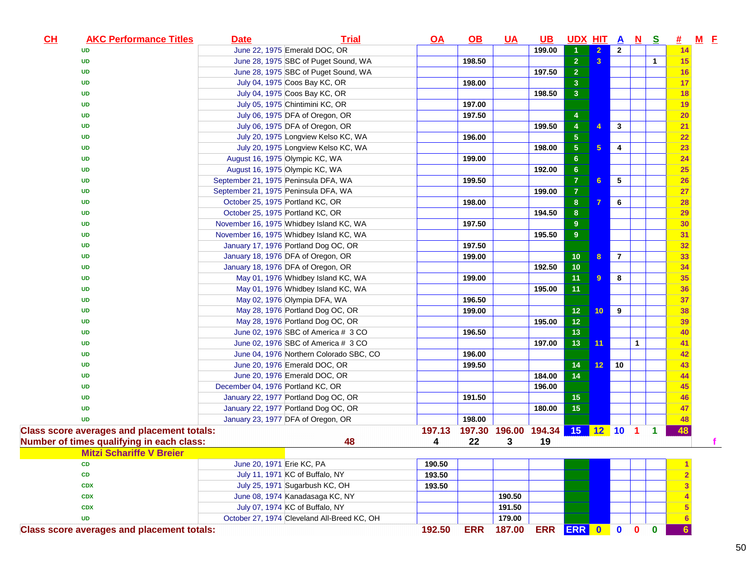| CL | <b>AKC Performance Titles</b>                     | <b>Date</b>                          | <b>Trial</b>                                | $Q$ $A$ | $\underline{\mathsf{OB}}$ | <b>UA</b>                       | <u>UB</u> | UDX HIT A N S   |                         |                |              |              | <u>#</u>        | $M$ $E$ |
|----|---------------------------------------------------|--------------------------------------|---------------------------------------------|---------|---------------------------|---------------------------------|-----------|-----------------|-------------------------|----------------|--------------|--------------|-----------------|---------|
|    | <b>UD</b>                                         |                                      | June 22, 1975 Emerald DOC, OR               |         |                           |                                 | 199.00    |                 | $\overline{2}$          | $\overline{2}$ |              |              | 14              |         |
|    | <b>UD</b>                                         |                                      | June 28, 1975 SBC of Puget Sound, WA        |         | 198.50                    |                                 |           | 2 <sup>1</sup>  | $\overline{\mathbf{3}}$ |                |              | $\mathbf{1}$ | 15              |         |
|    | <b>UD</b>                                         |                                      | June 28, 1975 SBC of Puget Sound, WA        |         |                           |                                 | 197.50    | 2 <sup>1</sup>  |                         |                |              |              | 16              |         |
|    | <b>UD</b>                                         |                                      | July 04, 1975 Coos Bay KC, OR               |         | 198.00                    |                                 |           | 3 <sup>2</sup>  |                         |                |              |              | 17              |         |
|    | <b>UD</b>                                         |                                      | July 04, 1975 Coos Bay KC, OR               |         |                           |                                 | 198.50    | 3 <sup>2</sup>  |                         |                |              |              | <b>18</b>       |         |
|    | <b>UD</b>                                         |                                      | July 05, 1975 Chintimini KC, OR             |         | 197.00                    |                                 |           |                 |                         |                |              |              | 19              |         |
|    | <b>UD</b>                                         |                                      | July 06, 1975 DFA of Oregon, OR             |         | 197.50                    |                                 |           | 4               |                         |                |              |              | 20              |         |
|    | <b>UD</b>                                         |                                      | July 06, 1975 DFA of Oregon, OR             |         |                           |                                 | 199.50    | $\overline{4}$  | $\overline{4}$          | $\mathbf{3}$   |              |              | 21              |         |
|    | <b>UD</b>                                         |                                      | July 20, 1975 Longview Kelso KC, WA         |         | 196.00                    |                                 |           | 5 <sub>5</sub>  |                         |                |              |              | 22              |         |
|    | <b>UD</b>                                         |                                      | July 20, 1975 Longview Kelso KC, WA         |         |                           |                                 | 198.00    | 5 <sub>5</sub>  | $5\phantom{.0}$         | 4              |              |              | 23              |         |
|    | <b>UD</b>                                         |                                      | August 16, 1975 Olympic KC, WA              |         | 199.00                    |                                 |           | 6 <sup>°</sup>  |                         |                |              |              | 24              |         |
|    | <b>UD</b>                                         | August 16, 1975 Olympic KC, WA       |                                             |         |                           |                                 | 192.00    | 6 <sup>°</sup>  |                         |                |              |              | 25              |         |
|    | <b>UD</b>                                         | September 21, 1975 Peninsula DFA, WA |                                             |         | 199.50                    |                                 |           | 7 <sup>1</sup>  | 6                       | $\sqrt{5}$     |              |              | 26              |         |
|    | <b>UD</b>                                         | September 21, 1975 Peninsula DFA, WA |                                             |         |                           |                                 | 199.00    | $\overline{7}$  |                         |                |              |              | 27              |         |
|    | <b>UD</b>                                         | October 25, 1975 Portland KC, OR     |                                             |         | 198.00                    |                                 |           | 8 <sup>°</sup>  | $\overline{7}$          | 6              |              |              | 28              |         |
|    | <b>UD</b>                                         | October 25, 1975 Portland KC, OR     |                                             |         |                           |                                 | 194.50    | 8               |                         |                |              |              | 29              |         |
|    | <b>UD</b>                                         |                                      | November 16, 1975 Whidbey Island KC, WA     |         | 197.50                    |                                 |           | 9 <sup>°</sup>  |                         |                |              |              | 30              |         |
|    | <b>UD</b>                                         |                                      | November 16, 1975 Whidbey Island KC, WA     |         |                           |                                 | 195.50    | 9 <sup>°</sup>  |                         |                |              |              | 31              |         |
|    | <b>UD</b>                                         |                                      | January 17, 1976 Portland Dog OC, OR        |         | 197.50                    |                                 |           |                 |                         |                |              |              | 32              |         |
|    | <b>UD</b>                                         |                                      | January 18, 1976 DFA of Oregon, OR          |         | 199.00                    |                                 |           | 10 <sub>1</sub> | 8                       | $\overline{7}$ |              |              | 33              |         |
|    | <b>UD</b>                                         |                                      | January 18, 1976 DFA of Oregon, OR          |         |                           |                                 | 192.50    | 10              |                         |                |              |              | 34              |         |
|    | <b>UD</b>                                         |                                      | May 01, 1976 Whidbey Island KC, WA          |         | 199.00                    |                                 |           | 11 <sub>1</sub> | $\overline{9}$          | 8              |              |              | 35              |         |
|    | <b>UD</b>                                         |                                      | May 01, 1976 Whidbey Island KC, WA          |         |                           |                                 | 195.00    | 11              |                         |                |              |              | 36              |         |
|    | <b>UD</b>                                         |                                      | May 02, 1976 Olympia DFA, WA                |         | 196.50                    |                                 |           |                 |                         |                |              |              | 37              |         |
|    | <b>UD</b>                                         |                                      | May 28, 1976 Portland Dog OC, OR            |         | 199.00                    |                                 |           | 12 <sub>2</sub> | 10 <sub>1</sub>         | 9              |              |              | 38              |         |
|    | <b>UD</b>                                         |                                      | May 28, 1976 Portland Dog OC, OR            |         |                           |                                 | 195.00    | 12 <sub>2</sub> |                         |                |              |              | 39              |         |
|    | <b>UD</b>                                         |                                      | June 02, 1976 SBC of America # 3 CO         |         | 196.50                    |                                 |           | 13 <sub>1</sub> |                         |                |              |              | 40              |         |
|    | <b>UD</b>                                         |                                      | June 02, 1976 SBC of America # 3 CO         |         |                           |                                 | 197.00    | 13 <sup>°</sup> | 11                      |                | $\mathbf{1}$ |              | 41              |         |
|    | <b>UD</b>                                         |                                      | June 04, 1976 Northern Colorado SBC, CO     |         | 196.00                    |                                 |           |                 |                         |                |              |              | 42              |         |
|    | <b>UD</b>                                         |                                      | June 20, 1976 Emerald DOC, OR               |         | 199.50                    |                                 |           | 14              | 12                      | 10             |              |              | 43              |         |
|    | <b>UD</b>                                         |                                      | June 20, 1976 Emerald DOC, OR               |         |                           |                                 | 184.00    | 14              |                         |                |              |              | 44              |         |
|    | <b>UD</b>                                         | December 04, 1976 Portland KC, OR    |                                             |         |                           |                                 | 196.00    |                 |                         |                |              |              | 45              |         |
|    | <b>UD</b>                                         |                                      | January 22, 1977 Portland Dog OC, OR        |         | 191.50                    |                                 |           | 15              |                         |                |              |              | 46              |         |
|    | <b>UD</b>                                         |                                      | January 22, 1977 Portland Dog OC, OR        |         |                           |                                 | 180.00    | 15 <sub>1</sub> |                         |                |              |              | 47              |         |
|    | <b>UD</b>                                         |                                      | January 23, 1977 DFA of Oregon, OR          |         | 198.00                    |                                 |           |                 |                         |                |              |              | 48              |         |
|    | <b>Class score averages and placement totals:</b> |                                      |                                             | 197.13  |                           | 197.30 196.00 194.34 15 12 10 1 |           |                 |                         |                |              | $\mathbf 1$  | 48              |         |
|    | Number of times qualifying in each class:         |                                      | 48                                          | 4       | 22                        | 3                               | 19        |                 |                         |                |              |              |                 |         |
|    | <b>Mitzi Schariffe V Breier</b>                   |                                      |                                             |         |                           |                                 |           |                 |                         |                |              |              |                 |         |
|    | <b>CD</b>                                         | June 20, 1971 Erie KC, PA            |                                             | 190.50  |                           |                                 |           |                 |                         |                |              |              |                 |         |
|    | CD                                                |                                      | July 11, 1971 KC of Buffalo, NY             | 193.50  |                           |                                 |           |                 |                         |                |              |              |                 |         |
|    | <b>CDX</b>                                        |                                      | July 25, 1971 Sugarbush KC, OH              | 193.50  |                           |                                 |           |                 |                         |                |              |              | 3               |         |
|    | <b>CDX</b>                                        |                                      | June 08, 1974 Kanadasaga KC, NY             |         |                           | 190.50                          |           |                 |                         |                |              |              |                 |         |
|    | <b>CDX</b>                                        |                                      | July 07, 1974 KC of Buffalo, NY             |         |                           | 191.50                          |           |                 |                         |                |              |              | 5               |         |
|    | <b>UD</b>                                         |                                      | October 27, 1974 Cleveland All-Breed KC, OH |         |                           | 179.00                          |           |                 |                         |                |              |              | $6\phantom{1}6$ |         |
|    | <b>Class score averages and placement totals:</b> |                                      |                                             |         |                           |                                 |           |                 |                         |                |              |              |                 |         |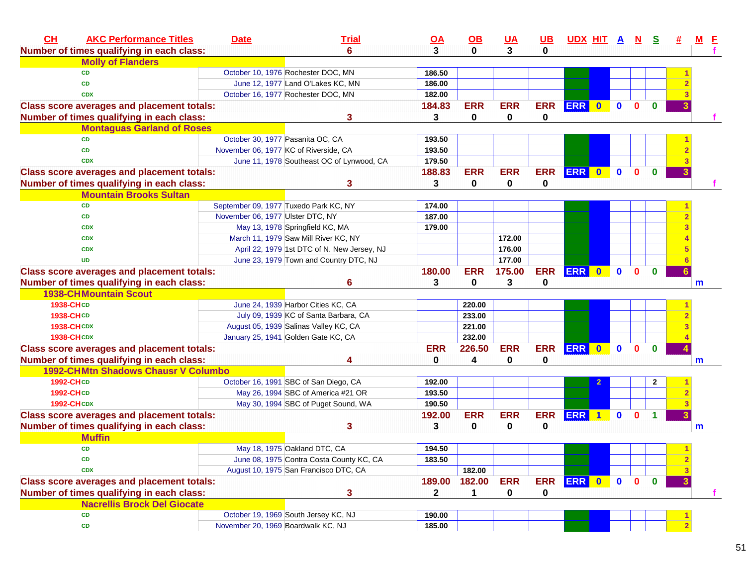| CH<br><b>AKC Performance Titles</b>               | <b>Date</b>                        | <b>Trial</b>                                | <u>OA</u>        | $\underline{\mathsf{OB}}$ | <b>UA</b>    | <u>UB</u>  | UDX HIT A N S    |              |              |              | #              | $M$ $E$ |
|---------------------------------------------------|------------------------------------|---------------------------------------------|------------------|---------------------------|--------------|------------|------------------|--------------|--------------|--------------|----------------|---------|
| Number of times qualifying in each class:         |                                    | 6                                           | 3                | $\bf{0}$                  | 3            | 0          |                  |              |              |              |                |         |
| <b>Molly of Flanders</b>                          |                                    |                                             |                  |                           |              |            |                  |              |              |              |                |         |
| <b>CD</b>                                         |                                    | October 10, 1976 Rochester DOC, MN          | 186.50           |                           |              |            |                  |              |              |              |                |         |
| CD                                                |                                    | June 12, 1977 Land O'Lakes KC, MN           | 186.00           |                           |              |            |                  |              |              |              |                |         |
| <b>CDX</b>                                        |                                    | October 16, 1977 Rochester DOC, MN          | 182.00           |                           |              |            |                  |              |              |              |                |         |
| <b>Class score averages and placement totals:</b> |                                    |                                             | 184.83           | <b>ERR</b>                | <b>ERR</b>   | <b>ERR</b> | ERR 0            | $\mathbf{0}$ | $\mathbf{0}$ | $\bf{0}$     |                |         |
| Number of times qualifying in each class:         |                                    | 3                                           | 3                | 0                         | 0            | 0          |                  |              |              |              |                |         |
| <b>Montaguas Garland of Roses</b>                 |                                    |                                             |                  |                           |              |            |                  |              |              |              |                |         |
| <b>CD</b>                                         |                                    | October 30, 1977 Pasanita OC, CA            | 193.50           |                           |              |            |                  |              |              |              |                |         |
| <b>CD</b>                                         |                                    | November 06, 1977 KC of Riverside, CA       | 193.50           |                           |              |            |                  |              |              |              |                |         |
| <b>CDX</b>                                        |                                    | June 11, 1978 Southeast OC of Lynwood, CA   | 179.50           |                           |              |            |                  |              |              | $\mathbf{0}$ |                |         |
| <b>Class score averages and placement totals:</b> |                                    |                                             | 188.83           | <b>ERR</b>                | <b>ERR</b>   | <b>ERR</b> | ERR 0            | $\mathbf{0}$ | $\mathbf{0}$ |              |                |         |
| Number of times qualifying in each class:         |                                    | 3                                           | 3                | $\bf{0}$                  | $\mathbf{0}$ | 0          |                  |              |              |              |                |         |
| <b>Mountain Brooks Sultan</b>                     |                                    |                                             |                  |                           |              |            |                  |              |              |              |                |         |
| <b>CD</b>                                         |                                    | September 09, 1977 Tuxedo Park KC, NY       | 174.00           |                           |              |            |                  |              |              |              |                |         |
| CD                                                | November 06, 1977 Ulster DTC, NY   |                                             | 187.00           |                           |              |            |                  |              |              |              |                |         |
| <b>CDX</b>                                        |                                    | May 13, 1978 Springfield KC, MA             | 179.00           |                           |              |            |                  |              |              |              |                |         |
| <b>CDX</b>                                        |                                    | March 11, 1979 Saw Mill River KC, NY        |                  |                           | 172.00       |            |                  |              |              |              |                |         |
| <b>CDX</b>                                        |                                    | April 22, 1979 1st DTC of N. New Jersey, NJ |                  |                           | 176.00       |            |                  |              |              |              |                |         |
| <b>UD</b>                                         |                                    | June 23, 1979 Town and Country DTC, NJ      |                  |                           | 177.00       |            |                  |              |              |              |                |         |
| <b>Class score averages and placement totals:</b> |                                    |                                             | 180.00           | <b>ERR</b>                | 175.00       | <b>ERR</b> | ERR 0            | $\mathbf{0}$ | $\mathbf{0}$ | $\bf{0}$     |                |         |
| Number of times qualifying in each class:         |                                    | 6                                           | 3                | 0                         | 3            | 0          |                  |              |              |              |                | m       |
|                                                   |                                    |                                             |                  |                           |              |            |                  |              |              |              |                |         |
| <b>1938-CHMountain Scout</b>                      |                                    |                                             |                  |                           |              |            |                  |              |              |              |                |         |
| <b>1938-CHCD</b>                                  |                                    | June 24, 1939 Harbor Cities KC, CA          |                  | 220.00                    |              |            |                  |              |              |              |                |         |
| <b>1938-CHCD</b>                                  |                                    | July 09, 1939 KC of Santa Barbara, CA       |                  | 233.00                    |              |            |                  |              |              |              |                |         |
| <b>1938-CHCDX</b>                                 |                                    | August 05, 1939 Salinas Valley KC, CA       |                  | 221.00                    |              |            |                  |              |              |              |                |         |
| <b>1938-CHCDX</b>                                 |                                    | January 25, 1941 Golden Gate KC, CA         |                  | 232.00                    |              |            |                  |              |              |              |                |         |
| <b>Class score averages and placement totals:</b> |                                    |                                             | <b>ERR</b>       | 226.50                    | <b>ERR</b>   | <b>ERR</b> | ERR 0 0          |              | $\mathbf{0}$ | $\bf{0}$     |                |         |
| Number of times qualifying in each class:         |                                    | 4                                           | 0                | 4                         | 0            | 0          |                  |              |              |              |                | m       |
| <b>1992-CHMtn Shadows Chausr V Columbo</b>        |                                    |                                             |                  |                           |              |            |                  |              |              |              |                |         |
| 1992-CHCD                                         |                                    | October 16, 1991 SBC of San Diego, CA       | 192.00           |                           |              |            |                  |              |              | $\mathbf{2}$ |                |         |
| 1992-CHCD                                         |                                    | May 26, 1994 SBC of America #21 OR          | 193.50           |                           |              |            |                  |              |              |              |                |         |
| <b>1992-CH CDX</b>                                |                                    | May 30, 1994 SBC of Puget Sound, WA         | 190.50           |                           |              |            |                  |              |              |              |                |         |
| <b>Class score averages and placement totals:</b> |                                    |                                             | 192.00           | <b>ERR</b>                | <b>ERR</b>   | <b>ERR</b> | ERR <sub>1</sub> | $\mathbf{0}$ | $\mathbf{0}$ | 1            |                |         |
| Number of times qualifying in each class:         |                                    | 3                                           | 3                | 0                         | 0            | 0          |                  |              |              |              |                | m       |
| <b>Muffin</b>                                     |                                    |                                             |                  |                           |              |            |                  |              |              |              |                |         |
| CD                                                |                                    | May 18, 1975 Oakland DTC, CA                | 194.50           |                           |              |            |                  |              |              |              |                |         |
| CD                                                |                                    | June 08, 1975 Contra Costa County KC, CA    | 183.50           |                           |              |            |                  |              |              |              | $\overline{2}$ |         |
| <b>CDX</b>                                        |                                    | August 10, 1975 San Francisco DTC, CA       |                  | 182.00                    |              |            |                  |              |              |              |                |         |
| <b>Class score averages and placement totals:</b> |                                    |                                             | 189.00           | 182.00                    | <b>ERR</b>   | <b>ERR</b> | ERR 0            | $\mathbf{0}$ | $\mathbf{0}$ | $\mathbf{0}$ |                |         |
| Number of times qualifying in each class:         |                                    | 3                                           | $\mathbf{2}$     | $\mathbf{1}$              | 0            | 0          |                  |              |              |              |                | f.      |
| <b>Nacrellis Brock Del Giocate</b>                |                                    |                                             |                  |                           |              |            |                  |              |              |              |                |         |
| CD<br>CD                                          | November 20, 1969 Boardwalk KC, NJ | October 19, 1969 South Jersey KC, NJ        | 190.00<br>185.00 |                           |              |            |                  |              |              |              |                |         |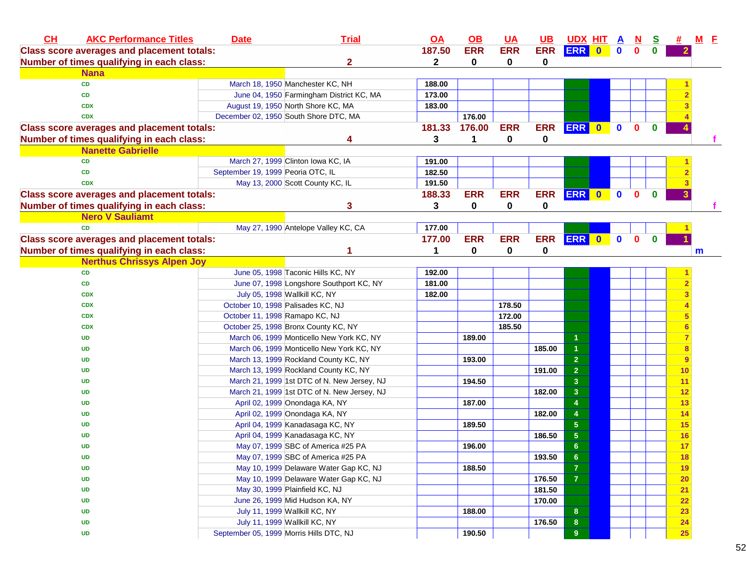| CL | <b>AKC Performance Titles</b>                     | <b>Date</b>                             | <b>Trial</b>                                | <u>OA</u>    | $\Omega$    | <b>UA</b>  | $UB$       | <u>UDX HITAA</u>        |             | $\mathbf{N}$ | <u>s</u>     | <b>#</b>  | <u>M E</u> |
|----|---------------------------------------------------|-----------------------------------------|---------------------------------------------|--------------|-------------|------------|------------|-------------------------|-------------|--------------|--------------|-----------|------------|
|    | <b>Class score averages and placement totals:</b> |                                         |                                             | 187.50       | <b>ERR</b>  | <b>ERR</b> | <b>ERR</b> | <b>ERR</b> 0            | $\mathbf 0$ | $\mathbf 0$  | $\bf{0}$     |           |            |
|    | Number of times qualifying in each class:         |                                         | 2                                           | $\mathbf{2}$ | 0           | 0          | 0          |                         |             |              |              |           |            |
|    | <b>Nana</b>                                       |                                         |                                             |              |             |            |            |                         |             |              |              |           |            |
|    | CD                                                |                                         | March 18, 1950 Manchester KC, NH            | 188.00       |             |            |            |                         |             |              |              |           |            |
|    | CD                                                |                                         | June 04, 1950 Farmingham District KC, MA    | 173.00       |             |            |            |                         |             |              |              |           |            |
|    | <b>CDX</b>                                        |                                         | August 19, 1950 North Shore KC, MA          | 183.00       |             |            |            |                         |             |              |              |           |            |
|    | <b>CDX</b>                                        |                                         | December 02, 1950 South Shore DTC, MA       |              | 176.00      |            |            |                         |             |              |              |           |            |
|    | <b>Class score averages and placement totals:</b> |                                         |                                             | 181.33       | 176.00      | <b>ERR</b> | <b>ERR</b> | ERR 0                   | $\bullet$   | $\mathbf{0}$ | $\mathbf{0}$ |           |            |
|    | Number of times qualifying in each class:         |                                         | Δ                                           | 3            | 1           | 0          | 0          |                         |             |              |              |           |            |
|    | <b>Nanette Gabrielle</b>                          |                                         |                                             |              |             |            |            |                         |             |              |              |           |            |
|    | <b>CD</b>                                         |                                         | March 27, 1999 Clinton Iowa KC, IA          | 191.00       |             |            |            |                         |             |              |              |           |            |
|    | <b>CD</b>                                         | September 19, 1999 Peoria OTC, IL       |                                             | 182.50       |             |            |            |                         |             |              |              |           |            |
|    | <b>CDX</b>                                        |                                         | May 13, 2000 Scott County KC, IL            | 191.50       |             |            |            |                         |             |              |              |           |            |
|    | <b>Class score averages and placement totals:</b> |                                         |                                             | 188.33       | <b>ERR</b>  | <b>ERR</b> | <b>ERR</b> | ERR 0                   | $\mathbf 0$ | $\mathbf{0}$ | $\mathbf{0}$ |           |            |
|    | Number of times qualifying in each class:         |                                         | 3                                           | 3            | $\mathbf 0$ | 0          | 0          |                         |             |              |              |           |            |
|    | <b>Nero V Sauliamt</b>                            |                                         |                                             |              |             |            |            |                         |             |              |              |           |            |
|    | <b>CD</b>                                         |                                         | May 27, 1990 Antelope Valley KC, CA         | 177.00       |             |            |            |                         |             |              |              |           |            |
|    | <b>Class score averages and placement totals:</b> |                                         |                                             | 177.00       | <b>ERR</b>  | <b>ERR</b> | <b>ERR</b> | ERR 0                   | $\mathbf 0$ | $\mathbf{0}$ | $\mathbf{0}$ |           |            |
|    | Number of times qualifying in each class:         |                                         | 1                                           | 1            | 0           | 0          | 0          |                         |             |              |              |           | m          |
|    | <b>Nerthus Chrissys Alpen Joy</b>                 |                                         |                                             |              |             |            |            |                         |             |              |              |           |            |
|    | <b>CD</b>                                         |                                         | June 05, 1998 Taconic Hills KC, NY          | 192.00       |             |            |            |                         |             |              |              |           |            |
|    | CD                                                |                                         | June 07, 1998 Longshore Southport KC, NY    | 181.00       |             |            |            |                         |             |              |              |           |            |
|    | <b>CDX</b>                                        |                                         | July 05, 1998 Wallkill KC, NY               | 182.00       |             |            |            |                         |             |              |              |           |            |
|    | <b>CDX</b>                                        | October 10, 1998 Palisades KC, NJ       |                                             |              |             | 178.50     |            |                         |             |              |              |           |            |
|    | <b>CDX</b>                                        | October 11, 1998 Ramapo KC, NJ          |                                             |              |             | 172.00     |            |                         |             |              |              |           |            |
|    | <b>CDX</b>                                        |                                         | October 25, 1998 Bronx County KC, NY        |              |             | 185.50     |            |                         |             |              |              |           |            |
|    | UD                                                |                                         | March 06, 1999 Monticello New York KC, NY   |              | 189.00      |            |            | 1                       |             |              |              |           |            |
|    | UD                                                |                                         | March 06, 1999 Monticello New York KC, NY   |              |             |            | 185.00     | $\overline{1}$          |             |              |              |           |            |
|    | UD                                                |                                         | March 13, 1999 Rockland County KC, NY       |              | 193.00      |            |            | $\overline{\mathbf{2}}$ |             |              |              | 9         |            |
|    | UD                                                |                                         | March 13, 1999 Rockland County KC, NY       |              |             |            | 191.00     | $\overline{2}$          |             |              |              | 10        |            |
|    | UD                                                |                                         | March 21, 1999 1st DTC of N. New Jersey, NJ |              | 194.50      |            |            | $\mathbf{3}$            |             |              |              | 11        |            |
|    | UD                                                |                                         | March 21, 1999 1st DTC of N. New Jersey, NJ |              |             |            | 182.00     | $\overline{\mathbf{3}}$ |             |              |              | 12        |            |
|    | UD                                                |                                         | April 02, 1999 Onondaga KA, NY              |              | 187.00      |            |            | 4                       |             |              |              | 13        |            |
|    | UD                                                |                                         | April 02, 1999 Onondaga KA, NY              |              |             |            | 182.00     | $\overline{\mathbf{4}}$ |             |              |              | 14        |            |
|    | UD                                                |                                         | April 04, 1999 Kanadasaga KC, NY            |              | 189.50      |            |            | ${\bf 5}$               |             |              |              | <b>15</b> |            |
|    | UD                                                |                                         | April 04, 1999 Kanadasaga KC, NY            |              |             |            | 186.50     | ${\bf 5}$               |             |              |              | 16        |            |
|    | UD                                                |                                         | May 07, 1999 SBC of America #25 PA          |              | 196.00      |            |            | $\bf 6$                 |             |              |              | 17        |            |
|    | UD                                                |                                         | May 07, 1999 SBC of America #25 PA          |              |             |            | 193.50     | 6                       |             |              |              | <b>18</b> |            |
|    | UD                                                |                                         | May 10, 1999 Delaware Water Gap KC, NJ      |              | 188.50      |            |            | $\overline{\mathbf{7}}$ |             |              |              | 19        |            |
|    | UD                                                |                                         | May 10, 1999 Delaware Water Gap KC, NJ      |              |             |            | 176.50     | $\overline{\mathbf{7}}$ |             |              |              | <b>20</b> |            |
|    | UD                                                |                                         | May 30, 1999 Plainfield KC, NJ              |              |             |            | 181.50     |                         |             |              |              | 21        |            |
|    | UD                                                |                                         | June 26, 1999 Mid Hudson KA, NY             |              |             |            | 170.00     |                         |             |              |              | 22        |            |
|    | UD                                                |                                         | July 11, 1999 Wallkill KC, NY               |              | 188.00      |            |            | 8                       |             |              |              | 23        |            |
|    | UD                                                |                                         | July 11, 1999 Wallkill KC, NY               |              |             |            | 176.50     | $\bf{8}$                |             |              |              | 24        |            |
|    | <b>UD</b>                                         | September 05, 1999 Morris Hills DTC, NJ |                                             |              | 190.50      |            |            | 9                       |             |              |              | <b>25</b> |            |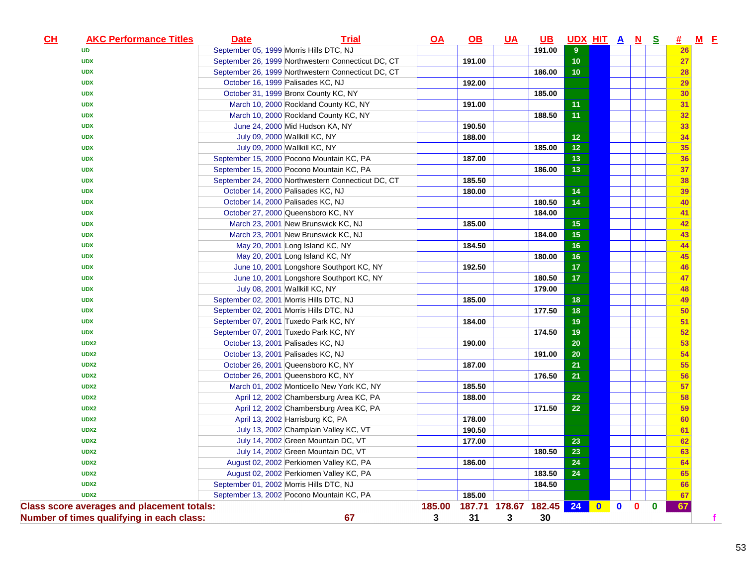| CH<br><b>AKC Performance Titles</b>               | <b>Date</b>                             | <b>Trial</b>                                       | OA     | $\overline{OB}$         | <b>UA</b> | <u>UB</u> | UDX HIT A N S |           |             |              |          | # M E |  |
|---------------------------------------------------|-----------------------------------------|----------------------------------------------------|--------|-------------------------|-----------|-----------|---------------|-----------|-------------|--------------|----------|-------|--|
| <b>UD</b>                                         | September 05, 1999 Morris Hills DTC, NJ |                                                    |        |                         |           | 191.00    | 9             |           |             |              |          | 26    |  |
| <b>UDX</b>                                        |                                         | September 26, 1999 Northwestern Connecticut DC, CT |        | 191.00                  |           |           | 10            |           |             |              |          | 27    |  |
| <b>UDX</b>                                        |                                         | September 26, 1999 Northwestern Connecticut DC, CT |        |                         |           | 186.00    | 10            |           |             |              |          | 28    |  |
| <b>UDX</b>                                        | October 16, 1999 Palisades KC, NJ       |                                                    |        | 192.00                  |           |           |               |           |             |              |          | 29    |  |
| <b>UDX</b>                                        |                                         | October 31, 1999 Bronx County KC, NY               |        |                         |           | 185.00    |               |           |             |              |          | 30    |  |
| <b>UDX</b>                                        |                                         | March 10, 2000 Rockland County KC, NY              |        | 191.00                  |           |           | 11            |           |             |              |          | 31    |  |
| <b>UDX</b>                                        |                                         | March 10, 2000 Rockland County KC, NY              |        |                         |           | 188.50    | 11            |           |             |              |          | 32    |  |
| <b>UDX</b>                                        |                                         | June 24, 2000 Mid Hudson KA, NY                    |        | 190.50                  |           |           |               |           |             |              |          | 33    |  |
| <b>UDX</b>                                        |                                         | July 09, 2000 Wallkill KC, NY                      |        | 188.00                  |           |           | 12            |           |             |              |          | 34    |  |
| <b>UDX</b>                                        |                                         | July 09, 2000 Wallkill KC, NY                      |        |                         |           | 185.00    | 12            |           |             |              |          | 35    |  |
| <b>UDX</b>                                        |                                         | September 15, 2000 Pocono Mountain KC, PA          |        | 187.00                  |           |           | 13            |           |             |              |          | 36    |  |
| <b>UDX</b>                                        |                                         | September 15, 2000 Pocono Mountain KC, PA          |        |                         |           | 186.00    | 13            |           |             |              |          | 37    |  |
| <b>UDX</b>                                        |                                         | September 24, 2000 Northwestern Connecticut DC, CT |        | 185.50                  |           |           |               |           |             |              |          | 38    |  |
| <b>UDX</b>                                        | October 14, 2000 Palisades KC, NJ       |                                                    |        | 180.00                  |           |           | 14            |           |             |              |          | 39    |  |
| <b>UDX</b>                                        | October 14, 2000 Palisades KC, NJ       |                                                    |        |                         |           | 180.50    | 14            |           |             |              |          | 40    |  |
| <b>UDX</b>                                        |                                         | October 27, 2000 Queensboro KC, NY                 |        |                         |           | 184.00    |               |           |             |              |          | 41    |  |
| <b>UDX</b>                                        |                                         | March 23, 2001 New Brunswick KC, NJ                |        | 185.00                  |           |           | 15            |           |             |              |          | 42    |  |
| <b>UDX</b>                                        |                                         | March 23, 2001 New Brunswick KC, NJ                |        |                         |           | 184.00    | 15            |           |             |              |          | 43    |  |
| <b>UDX</b>                                        |                                         | May 20, 2001 Long Island KC, NY                    |        | 184.50                  |           |           | 16            |           |             |              |          | 44    |  |
| <b>UDX</b>                                        |                                         | May 20, 2001 Long Island KC, NY                    |        |                         |           | 180.00    | 16            |           |             |              |          | 45    |  |
| <b>UDX</b>                                        |                                         | June 10, 2001 Longshore Southport KC, NY           |        | 192.50                  |           |           | 17            |           |             |              |          | 46    |  |
| <b>UDX</b>                                        |                                         | June 10, 2001 Longshore Southport KC, NY           |        |                         |           | 180.50    | 17            |           |             |              |          | 47    |  |
| <b>UDX</b>                                        |                                         | July 08, 2001 Wallkill KC, NY                      |        |                         |           | 179.00    |               |           |             |              |          | 48    |  |
| <b>UDX</b>                                        | September 02, 2001 Morris Hills DTC, NJ |                                                    |        | 185.00                  |           |           | 18            |           |             |              |          | 49    |  |
| <b>UDX</b>                                        | September 02, 2001 Morris Hills DTC, NJ |                                                    |        |                         |           | 177.50    | 18            |           |             |              |          | 50    |  |
| <b>UDX</b>                                        | September 07, 2001 Tuxedo Park KC, NY   |                                                    |        | 184.00                  |           |           | 19            |           |             |              |          | 51    |  |
| <b>UDX</b>                                        | September 07, 2001 Tuxedo Park KC, NY   |                                                    |        |                         |           | 174.50    | 19            |           |             |              |          | 52    |  |
| UDX2                                              | October 13, 2001 Palisades KC, NJ       |                                                    |        | 190.00                  |           |           | 20            |           |             |              |          | 53    |  |
| UDX2                                              | October 13, 2001 Palisades KC, NJ       |                                                    |        |                         |           | 191.00    | 20            |           |             |              |          | 54    |  |
| UDX2                                              |                                         | October 26, 2001 Queensboro KC, NY                 |        | 187.00                  |           |           | 21            |           |             |              |          | 55    |  |
| UDX2                                              |                                         | October 26, 2001 Queensboro KC, NY                 |        |                         |           | 176.50    | 21            |           |             |              |          | 56    |  |
| UDX2                                              |                                         | March 01, 2002 Monticello New York KC, NY          |        | 185.50                  |           |           |               |           |             |              |          | 57    |  |
| UDX2                                              |                                         | April 12, 2002 Chambersburg Area KC, PA            |        | 188.00                  |           |           | 22            |           |             |              |          | 58    |  |
| UDX2                                              |                                         | April 12, 2002 Chambersburg Area KC, PA            |        |                         |           | 171.50    | 22            |           |             |              |          | 59    |  |
| UDX2                                              |                                         | April 13, 2002 Harrisburg KC, PA                   |        | 178.00                  |           |           |               |           |             |              |          | 60    |  |
| UDX2                                              |                                         | July 13, 2002 Champlain Valley KC, VT              |        | 190.50                  |           |           |               |           |             |              |          | 61    |  |
| UDX2                                              |                                         | July 14, 2002 Green Mountain DC, VT                |        | 177.00                  |           |           | 23            |           |             |              |          | 62    |  |
| UDX2                                              |                                         | July 14, 2002 Green Mountain DC, VT                |        |                         |           | 180.50    | 23            |           |             |              |          | 63    |  |
| UDX2                                              |                                         | August 02, 2002 Perkiomen Valley KC, PA            |        | 186.00                  |           |           | 24            |           |             |              |          | 64    |  |
| UDX2                                              |                                         | August 02, 2002 Perkiomen Valley KC, PA            |        |                         |           | 183.50    | 24            |           |             |              |          | 65    |  |
| UDX2                                              | September 01, 2002 Morris Hills DTC, NJ |                                                    |        |                         |           | 184.50    |               |           |             |              |          | 66    |  |
| UDX2                                              |                                         | September 13, 2002 Pocono Mountain KC, PA          |        | 185.00                  |           |           |               |           |             |              |          | 67    |  |
| <b>Class score averages and placement totals:</b> |                                         |                                                    | 185.00 | 187.71 178.67 182.45 24 |           |           |               | $\bullet$ | $\mathbf 0$ | $\mathbf{0}$ | $\bf{0}$ | 67    |  |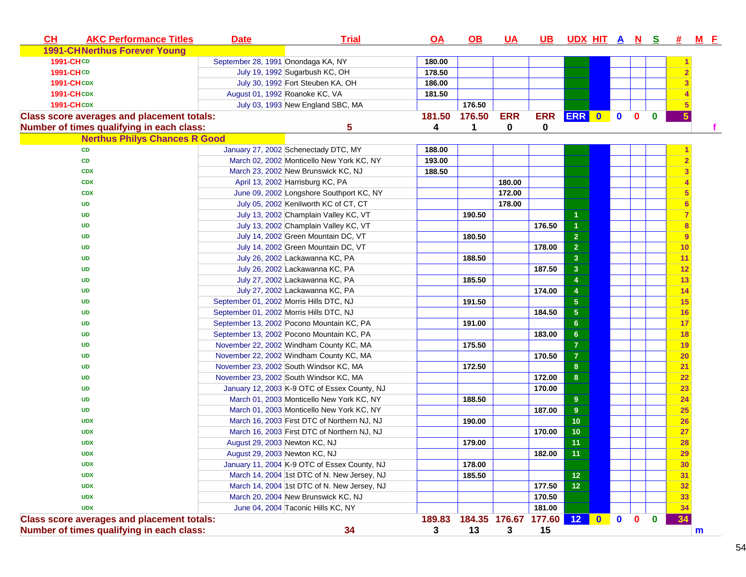| <b>CH</b>         | <b>AKC Performance Titles</b>                     | <b>Date</b>                             | <b>Trial</b>                                 | <u>OA</u> | <u>OB</u>            | <u>UA</u>  | <b>UB</b>  | UDX HIT A N S # M F |           |              |              |          |           |   |
|-------------------|---------------------------------------------------|-----------------------------------------|----------------------------------------------|-----------|----------------------|------------|------------|---------------------|-----------|--------------|--------------|----------|-----------|---|
|                   | <b>1991-CHNerthus Forever Young</b>               |                                         |                                              |           |                      |            |            |                     |           |              |              |          |           |   |
| 1991-CHCD         |                                                   | September 28, 1991 Onondaga KA, NY      |                                              | 180.00    |                      |            |            |                     |           |              |              |          |           |   |
| <b>1991-CHCD</b>  |                                                   |                                         | July 19, 1992 Sugarbush KC, OH               | 178.50    |                      |            |            |                     |           |              |              |          |           |   |
| <b>1991-CHCDX</b> |                                                   |                                         | July 30, 1992 Fort Steuben KA, OH            | 186.00    |                      |            |            |                     |           |              |              |          |           |   |
| <b>1991-CHCDX</b> |                                                   | August 01, 1992 Roanoke KC, VA          |                                              | 181.50    |                      |            |            |                     |           |              |              |          |           |   |
| <b>1991-CHCDX</b> |                                                   |                                         | July 03, 1993 New England SBC, MA            |           | 176.50               |            |            |                     |           |              |              |          |           |   |
|                   | <b>Class score averages and placement totals:</b> |                                         |                                              | 181.50    | 176.50               | <b>ERR</b> | <b>ERR</b> | ERR 0               |           | $\mathbf{0}$ | $\mathbf{0}$ | $\bf{0}$ |           |   |
|                   | Number of times qualifying in each class:         |                                         | 5                                            | 4         | $\blacktriangleleft$ | 0          | 0          |                     |           |              |              |          |           |   |
|                   | <b>Nerthus Philys Chances R Good</b>              |                                         |                                              |           |                      |            |            |                     |           |              |              |          |           |   |
|                   | CD                                                |                                         | January 27, 2002 Schenectady DTC, MY         | 188.00    |                      |            |            |                     |           |              |              |          |           |   |
|                   | CD                                                |                                         | March 02, 2002 Monticello New York KC, NY    | 193.00    |                      |            |            |                     |           |              |              |          |           |   |
|                   | <b>CDX</b>                                        |                                         | March 23, 2002 New Brunswick KC, NJ          | 188.50    |                      |            |            |                     |           |              |              |          |           |   |
|                   | <b>CDX</b>                                        |                                         | April 13, 2002 Harrisburg KC, PA             |           |                      | 180.00     |            |                     |           |              |              |          |           |   |
|                   | <b>CDX</b>                                        |                                         | June 09, 2002 Longshore Southport KC, NY     |           |                      | 172.00     |            |                     |           |              |              |          |           |   |
|                   | <b>UD</b>                                         |                                         | July 05, 2002 Kenilworth KC of CT, CT        |           |                      | 178.00     |            |                     |           |              |              |          |           |   |
|                   | <b>UD</b>                                         |                                         | July 13, 2002 Champlain Valley KC, VT        |           | 190.50               |            |            | $\mathbf{1}$        |           |              |              |          |           |   |
|                   | <b>UD</b>                                         |                                         | July 13, 2002 Champlain Valley KC, VT        |           |                      |            | 176.50     | 1                   |           |              |              |          |           |   |
|                   | <b>UD</b>                                         |                                         | July 14, 2002 Green Mountain DC, VT          |           | 180.50               |            |            | $\overline{2}$      |           |              |              |          |           |   |
|                   | UD                                                |                                         | July 14, 2002 Green Mountain DC, VT          |           |                      |            | 178.00     | $\overline{2}$      |           |              |              |          | 10        |   |
|                   | UD                                                |                                         | July 26, 2002 Lackawanna KC, PA              |           | 188.50               |            |            | $\mathbf{3}$        |           |              |              |          | 11        |   |
|                   | <b>UD</b>                                         |                                         | July 26, 2002 Lackawanna KC, PA              |           |                      |            | 187.50     | $\mathbf{3}$        |           |              |              |          | 12        |   |
|                   | <b>UD</b>                                         |                                         | July 27, 2002 Lackawanna KC, PA              |           | 185.50               |            |            | 4                   |           |              |              |          | 13        |   |
|                   | UD                                                |                                         | July 27, 2002 Lackawanna KC, PA              |           |                      |            | 174.00     | 4                   |           |              |              |          | 14        |   |
|                   | UD                                                | September 01, 2002 Morris Hills DTC, NJ |                                              |           | 191.50               |            |            | $5\phantom{.0}$     |           |              |              |          | 15        |   |
|                   | UD                                                | September 01, 2002 Morris Hills DTC, NJ |                                              |           |                      |            | 184.50     | $\sqrt{5}$          |           |              |              |          | 16        |   |
|                   | UD                                                |                                         | September 13, 2002 Pocono Mountain KC, PA    |           | 191.00               |            |            | $6\phantom{1}6$     |           |              |              |          | 17        |   |
|                   | <b>UD</b>                                         |                                         | September 13, 2002 Pocono Mountain KC, PA    |           |                      |            | 183.00     | $6\phantom{1}6$     |           |              |              |          | 18        |   |
|                   | <b>UD</b>                                         |                                         | November 22, 2002 Windham County KC, MA      |           | 175.50               |            |            | $\overline{7}$      |           |              |              |          | 19        |   |
|                   | <b>UD</b>                                         |                                         | November 22, 2002 Windham County KC, MA      |           |                      |            | 170.50     | $\overline{7}$      |           |              |              |          | <b>20</b> |   |
|                   | <b>UD</b>                                         |                                         | November 23, 2002 South Windsor KC, MA       |           | 172.50               |            |            | 8                   |           |              |              |          | 21        |   |
|                   | <b>UD</b>                                         |                                         | November 23, 2002 South Windsor KC, MA       |           |                      |            | 172.00     | $\bf8$              |           |              |              |          | 22        |   |
|                   | UD                                                |                                         | January 12, 2003 K 9 OTC of Essex County, NJ |           |                      |            | 170.00     |                     |           |              |              |          | 23        |   |
|                   | <b>UD</b>                                         |                                         | March 01, 2003 Monticello New York KC, NY    |           | 188.50               |            |            | 9                   |           |              |              |          | 24        |   |
|                   | <b>UD</b>                                         |                                         | March 01, 2003 Monticello New York KC, NY    |           |                      |            | 187.00     | 9                   |           |              |              |          | 25        |   |
|                   | <b>UDX</b>                                        |                                         | March 16, 2003 First DTC of Northern NJ, NJ  |           | 190.00               |            |            | 10                  |           |              |              |          | 26        |   |
|                   | <b>UDX</b>                                        |                                         | March 16, 2003 First DTC of Northern NJ, NJ  |           |                      |            | 170.00     | 10                  |           |              |              |          | 27        |   |
|                   | <b>UDX</b>                                        | August 29, 2003 Newton KC, NJ           |                                              |           | 179.00               |            |            | 11                  |           |              |              |          | 28        |   |
|                   | <b>UDX</b>                                        | August 29, 2003 Newton KC, NJ           |                                              |           |                      |            | 182.00     | 11                  |           |              |              |          | 29        |   |
|                   | <b>UDX</b>                                        |                                         | January 11, 2004 K-9 OTC of Essex County, NJ |           | 178.00               |            |            |                     |           |              |              |          | 30        |   |
|                   | <b>UDX</b>                                        |                                         | March 14, 2004 1st DTC of N. New Jersey, NJ  |           | 185.50               |            |            | 12                  |           |              |              |          | 31        |   |
|                   | <b>UDX</b>                                        |                                         | March 14, 2004 1st DTC of N. New Jersey, NJ  |           |                      |            | 177.50     | $12$                |           |              |              |          | 32        |   |
|                   | <b>UDX</b>                                        |                                         | March 20, 2004 New Brunswick KC, NJ          |           |                      |            | 170.50     |                     |           |              |              |          | 33        |   |
|                   | <b>UDX</b>                                        |                                         | June 04, 2004 Taconic Hills KC, NY           |           |                      |            | 181.00     |                     |           |              |              |          | 34        |   |
|                   | <b>Class score averages and placement totals:</b> |                                         |                                              | 189.83    | 184.35 176.67        |            | 177.60     | 12                  | $\bullet$ | $\mathbf 0$  | $\mathbf{0}$ | $\bf{0}$ | 34        |   |
|                   | Number of times qualifying in each class:         |                                         | 34                                           | 3         | 13                   | 3          | 15         |                     |           |              |              |          |           | m |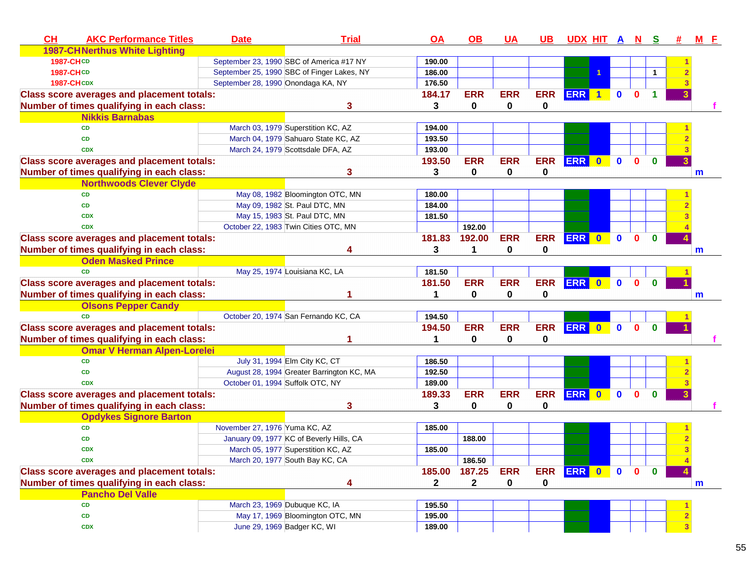| CH                | <b>AKC Performance Titles</b>                     | <b>Date</b>                        | <b>Trial</b>                               | OA           | OB           | <u>UA</u>   | <u>UB</u>  | UDX HIT A N S |           |              |              |                      | # | <u>M E</u> |
|-------------------|---------------------------------------------------|------------------------------------|--------------------------------------------|--------------|--------------|-------------|------------|---------------|-----------|--------------|--------------|----------------------|---|------------|
|                   | <b>1987-CHNerthus White Lighting</b>              |                                    |                                            |              |              |             |            |               |           |              |              |                      |   |            |
| <b>1987-CHCD</b>  |                                                   |                                    | September 23, 1990 SBC of America #17 NY   | 190.00       |              |             |            |               |           |              |              |                      |   |            |
| <b>1987-CHCD</b>  |                                                   |                                    | September 25, 1990 SBC of Finger Lakes, NY | 186.00       |              |             |            |               |           |              |              | $\blacktriangleleft$ |   |            |
| <b>1987-CHCDX</b> |                                                   | September 28, 1990 Onondaga KA, NY |                                            | 176.50       |              |             |            |               |           |              |              |                      |   |            |
|                   | <b>Class score averages and placement totals:</b> |                                    |                                            | 184.17       | <b>ERR</b>   | <b>ERR</b>  | <b>ERR</b> | ERR 1         |           | $\mathbf{0}$ | $\Omega$     |                      |   |            |
|                   | Number of times qualifying in each class:         |                                    | 3                                          | 3            | 0            | 0           | 0          |               |           |              |              |                      |   |            |
|                   | <b>Nikkis Barnabas</b>                            |                                    |                                            |              |              |             |            |               |           |              |              |                      |   |            |
|                   | <b>CD</b>                                         |                                    | March 03, 1979 Superstition KC, AZ         | 194.00       |              |             |            |               |           |              |              |                      |   |            |
|                   | <b>CD</b>                                         |                                    | March 04, 1979 Sahuaro State KC, AZ        | 193.50       |              |             |            |               |           |              |              |                      |   |            |
|                   | <b>CDX</b>                                        |                                    | March 24, 1979 Scottsdale DFA, AZ          | 193.00       |              |             |            |               |           |              |              |                      |   |            |
|                   | <b>Class score averages and placement totals:</b> |                                    |                                            | 193.50       | <b>ERR</b>   | <b>ERR</b>  | <b>ERR</b> | <b>ERR</b>    | $\bullet$ | $\mathbf{0}$ | $\mathbf{0}$ | $\mathbf{0}$         |   |            |
|                   | Number of times qualifying in each class:         |                                    | 3                                          | 3            | 0            | $\mathbf 0$ | 0          |               |           |              |              |                      |   | m          |
|                   | <b>Northwoods Clever Clyde</b>                    |                                    |                                            |              |              |             |            |               |           |              |              |                      |   |            |
|                   | <b>CD</b>                                         |                                    | May 08, 1982 Bloomington OTC, MN           | 180.00       |              |             |            |               |           |              |              |                      |   |            |
|                   | <b>CD</b>                                         |                                    | May 09, 1982 St. Paul DTC, MN              | 184.00       |              |             |            |               |           |              |              |                      |   |            |
|                   | <b>CDX</b>                                        |                                    | May 15, 1983 St. Paul DTC, MN              | 181.50       |              |             |            |               |           |              |              |                      |   |            |
|                   | <b>CDX</b>                                        |                                    | October 22, 1983 Twin Cities OTC, MN       |              | 192.00       |             |            |               |           |              |              |                      |   |            |
|                   | <b>Class score averages and placement totals:</b> |                                    |                                            | 181.83       | 192.00       | <b>ERR</b>  | <b>ERR</b> | <b>ERR</b>    | $\bullet$ | $\mathbf 0$  | $\mathbf{0}$ | $\mathbf{0}$         |   |            |
|                   | Number of times qualifying in each class:         |                                    |                                            | 3            | 1            | 0           | 0          |               |           |              |              |                      |   | m          |
|                   | <b>Oden Masked Prince</b>                         |                                    |                                            |              |              |             |            |               |           |              |              |                      |   |            |
|                   | <b>CD</b>                                         |                                    | May 25, 1974 Louisiana KC, LA              | 181.50       |              |             |            |               |           |              |              |                      |   |            |
|                   | <b>Class score averages and placement totals:</b> |                                    |                                            | 181.50       | <b>ERR</b>   | <b>ERR</b>  | <b>ERR</b> | ERR 0         |           | $\mathbf 0$  | $\mathbf{0}$ | $\mathbf{0}$         |   |            |
|                   | Number of times qualifying in each class:         |                                    |                                            | 1            | 0            | 0           | 0          |               |           |              |              |                      |   | m          |
|                   | <b>Olsons Pepper Candy</b>                        |                                    |                                            |              |              |             |            |               |           |              |              |                      |   |            |
|                   | <b>CD</b>                                         |                                    | October 20, 1974 San Fernando KC, CA       | 194.50       |              |             |            |               |           |              |              |                      |   |            |
|                   | <b>Class score averages and placement totals:</b> |                                    |                                            | 194.50       | <b>ERR</b>   | <b>ERR</b>  | <b>ERR</b> | ERR 0         |           | $\mathbf 0$  | $\mathbf{0}$ | $\mathbf{0}$         |   |            |
|                   | Number of times qualifying in each class:         |                                    |                                            | 1            | 0            | 0           | 0          |               |           |              |              |                      |   |            |
|                   | <b>Omar V Herman Alpen-Lorelei</b>                |                                    |                                            |              |              |             |            |               |           |              |              |                      |   |            |
|                   | <b>CD</b>                                         |                                    | July 31, 1994 Elm City KC, CT              | 186.50       |              |             |            |               |           |              |              |                      |   |            |
|                   | <b>CD</b>                                         |                                    | August 28, 1994 Greater Barrington KC, MA  | 192.50       |              |             |            |               |           |              |              |                      |   |            |
|                   | <b>CDX</b>                                        | October 01, 1994 Suffolk OTC, NY   |                                            | 189.00       |              |             |            |               |           |              |              |                      |   |            |
|                   | <b>Class score averages and placement totals:</b> |                                    |                                            | 189.33       | <b>ERR</b>   | <b>ERR</b>  | <b>ERR</b> | <b>ERR</b>    | $\bullet$ | $\mathbf 0$  | $\mathbf{0}$ | $\bf{0}$             |   |            |
|                   | Number of times qualifying in each class:         |                                    | 3                                          | 3            | 0            | 0           | 0          |               |           |              |              |                      |   |            |
|                   | <b>Opdykes Signore Barton</b>                     |                                    |                                            |              |              |             |            |               |           |              |              |                      |   |            |
|                   | <b>CD</b>                                         | November 27, 1976 Yuma KC, AZ      |                                            | 185.00       |              |             |            |               |           |              |              |                      |   |            |
|                   | CD                                                |                                    | January 09, 1977 KC of Beverly Hills, CA   |              | 188.00       |             |            |               |           |              |              |                      |   |            |
|                   | <b>CDX</b>                                        |                                    | March 05, 1977 Superstition KC, AZ         | 185.00       |              |             |            |               |           |              |              |                      |   |            |
|                   | <b>CDX</b>                                        |                                    | March 20, 1977 South Bay KC, CA            |              | 186.50       |             |            |               |           |              |              |                      |   |            |
|                   | <b>Class score averages and placement totals:</b> |                                    |                                            | 185.00       | 187.25       | <b>ERR</b>  | <b>ERR</b> | ERR 0         |           | $\mathbf{0}$ | $\mathbf{0}$ | $\bf{0}$             |   |            |
|                   | Number of times qualifying in each class:         |                                    | 4                                          | $\mathbf{2}$ | $\mathbf{2}$ | $\mathbf 0$ | 0          |               |           |              |              |                      |   | m          |
|                   | <b>Pancho Del Valle</b>                           |                                    |                                            |              |              |             |            |               |           |              |              |                      |   |            |
|                   | CD                                                |                                    | March 23, 1969 Dubuque KC, IA              | 195.50       |              |             |            |               |           |              |              |                      |   |            |
|                   | CD                                                |                                    | May 17, 1969 Bloomington OTC, MN           | 195.00       |              |             |            |               |           |              |              |                      |   |            |
|                   | <b>CDX</b>                                        |                                    | June 29, 1969 Badger KC, WI                | 189.00       |              |             |            |               |           |              |              |                      |   |            |
|                   |                                                   |                                    |                                            |              |              |             |            |               |           |              |              |                      |   |            |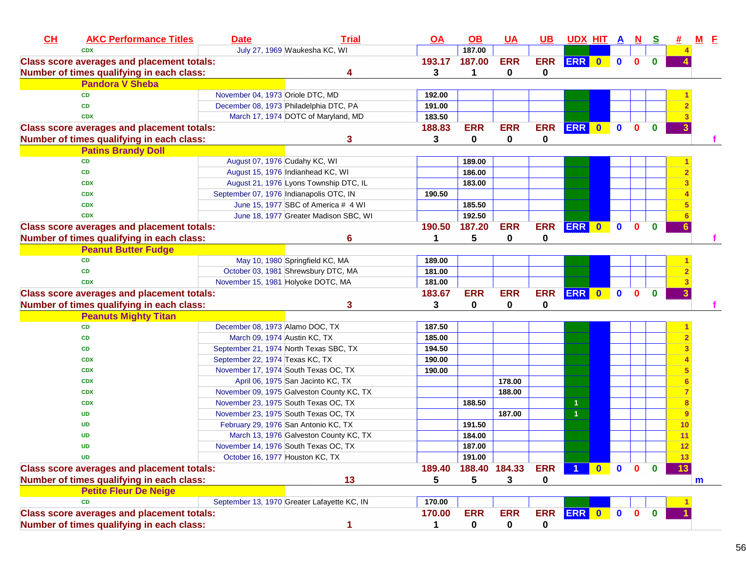| CL | <b>AKC Performance Titles</b>                     | <b>Date</b>                      | <b>Trial</b>                                | $\overline{OA}$ | $\overline{OB}$ | <b>UA</b>     | <u>UB</u>  | UDX HIT A N          |              |              |              | <u>s</u>     |    | $M$ E |
|----|---------------------------------------------------|----------------------------------|---------------------------------------------|-----------------|-----------------|---------------|------------|----------------------|--------------|--------------|--------------|--------------|----|-------|
|    | <b>CDX</b>                                        |                                  | July 27, 1969 Waukesha KC, WI               |                 | 187.00          |               |            |                      |              |              |              |              |    |       |
|    | <b>Class score averages and placement totals:</b> |                                  |                                             | 193.17          | 187.00          | <b>ERR</b>    | <b>ERR</b> | ERR 0                |              | $\mathbf 0$  | $\mathbf{0}$ |              |    |       |
|    | Number of times qualifying in each class:         |                                  |                                             | 3               | 1               | 0             | 0          |                      |              |              |              |              |    |       |
|    | <b>Pandora V Sheba</b>                            |                                  |                                             |                 |                 |               |            |                      |              |              |              |              |    |       |
|    | <b>CD</b>                                         | November 04, 1973 Oriole DTC, MD |                                             | 192.00          |                 |               |            |                      |              |              |              |              |    |       |
|    | <b>CD</b>                                         |                                  | December 08, 1973 Philadelphia DTC, PA      | 191.00          |                 |               |            |                      |              |              |              |              |    |       |
|    | <b>CDX</b>                                        |                                  | March 17, 1974 DOTC of Maryland, MD         | 183.50          |                 |               |            |                      |              |              |              |              |    |       |
|    | <b>Class score averages and placement totals:</b> |                                  |                                             | 188.83          | <b>ERR</b>      | <b>ERR</b>    | <b>ERR</b> | ERR 0                |              | $\mathbf{0}$ | $\mathbf{0}$ | $\mathbf{0}$ |    |       |
|    | Number of times qualifying in each class:         |                                  | 3                                           | 3               | 0               | $\mathbf 0$   | 0          |                      |              |              |              |              |    |       |
|    | <b>Patins Brandy Doll</b>                         |                                  |                                             |                 |                 |               |            |                      |              |              |              |              |    |       |
|    | <b>CD</b>                                         | August 07, 1976 Cudahy KC, WI    |                                             |                 | 189.00          |               |            |                      |              |              |              |              |    |       |
|    | <b>CD</b>                                         |                                  | August 15, 1976 Indianhead KC, WI           |                 | 186.00          |               |            |                      |              |              |              |              |    |       |
|    | <b>CDX</b>                                        |                                  | August 21, 1976 Lyons Township DTC, IL      |                 | 183.00          |               |            |                      |              |              |              |              |    |       |
|    | <b>CDX</b>                                        |                                  | September 07, 1976 Indianapolis OTC, IN     | 190.50          |                 |               |            |                      |              |              |              |              |    |       |
|    | <b>CDX</b>                                        |                                  | June 15, 1977 SBC of America # 4 WI         |                 | 185.50          |               |            |                      |              |              |              |              |    |       |
|    | <b>CDX</b>                                        |                                  | June 18, 1977 Greater Madison SBC, WI       |                 | 192.50          |               |            |                      |              |              |              |              |    |       |
|    | <b>Class score averages and placement totals:</b> |                                  |                                             | 190.50          | 187.20          | <b>ERR</b>    | <b>ERR</b> | <b>ERR</b>           | $\bullet$    | $\mathbf{0}$ | $\mathbf{0}$ | $\bf{0}$     |    |       |
|    | Number of times qualifying in each class:         |                                  | 6                                           | 1               | 5               | 0             | 0          |                      |              |              |              |              |    |       |
|    | <b>Peanut Butter Fudge</b>                        |                                  |                                             |                 |                 |               |            |                      |              |              |              |              |    |       |
|    | <b>CD</b>                                         |                                  | May 10, 1980 Springfield KC, MA             | 189.00          |                 |               |            |                      |              |              |              |              |    |       |
|    | <b>CD</b>                                         |                                  | October 03, 1981 Shrewsbury DTC, MA         | 181.00          |                 |               |            |                      |              |              |              |              |    |       |
|    | <b>CDX</b>                                        |                                  | November 15, 1981 Holyoke DOTC, MA          | 181.00          |                 |               |            |                      |              |              |              |              |    |       |
|    | <b>Class score averages and placement totals:</b> |                                  |                                             | 183.67          | <b>ERR</b>      | <b>ERR</b>    | <b>ERR</b> | ERR 0                |              | $\mathbf 0$  | $\mathbf{0}$ | $\bf{0}$     |    |       |
|    | Number of times qualifying in each class:         |                                  | 3                                           | 3               | 0               | 0             | 0          |                      |              |              |              |              |    |       |
|    | <b>Peanuts Mighty Titan</b>                       |                                  |                                             |                 |                 |               |            |                      |              |              |              |              |    |       |
|    | <b>CD</b>                                         | December 08, 1973 Alamo DOC, TX  |                                             | 187.50          |                 |               |            |                      |              |              |              |              |    |       |
|    | <b>CD</b>                                         | March 09, 1974 Austin KC, TX     |                                             | 185.00          |                 |               |            |                      |              |              |              |              |    |       |
|    | <b>CD</b>                                         |                                  | September 21, 1974 North Texas SBC, TX      | 194.50          |                 |               |            |                      |              |              |              |              |    |       |
|    | <b>CDX</b>                                        | September 22, 1974 Texas KC, TX  |                                             | 190.00          |                 |               |            |                      |              |              |              |              |    |       |
|    | <b>CDX</b>                                        |                                  | November 17, 1974 South Texas OC, TX        | 190.00          |                 |               |            |                      |              |              |              |              |    |       |
|    | <b>CDX</b>                                        |                                  | April 06, 1975 San Jacinto KC, TX           |                 |                 | 178.00        |            |                      |              |              |              |              |    |       |
|    | <b>CDX</b>                                        |                                  | November 09, 1975 Galveston County KC, TX   |                 |                 | 188.00        |            |                      |              |              |              |              |    |       |
|    | <b>CDX</b>                                        |                                  | November 23, 1975 South Texas OC, TX        |                 | 188.50          |               |            | -1                   |              |              |              |              |    |       |
|    | <b>UD</b>                                         |                                  | November 23, 1975 South Texas OC, TX        |                 |                 | 187.00        |            | $\blacktriangleleft$ |              |              |              |              |    |       |
|    | <b>UD</b>                                         |                                  | February 29, 1976 San Antonio KC, TX        |                 | 191.50          |               |            |                      |              |              |              |              | 10 |       |
|    | <b>UD</b>                                         |                                  | March 13, 1976 Galveston County KC, TX      |                 | 184.00          |               |            |                      |              |              |              |              | 11 |       |
|    | <b>UD</b>                                         |                                  | November 14, 1976 South Texas OC, TX        |                 | 187.00          |               |            |                      |              |              |              |              | 12 |       |
|    | <b>UD</b>                                         | October 16, 1977 Houston KC, TX  |                                             |                 | 191.00          |               |            |                      |              |              |              |              | 13 |       |
|    | <b>Class score averages and placement totals:</b> |                                  |                                             | 189.40          |                 | 188.40 184.33 | <b>ERR</b> |                      | $\mathbf{0}$ | $\mathbf 0$  | $\mathbf{0}$ |              | 13 |       |
|    | Number of times qualifying in each class:         |                                  | 13                                          | 5               | 5               | 3             | 0          |                      |              |              |              |              |    | m     |
|    | <b>Petite Fleur De Neige</b>                      |                                  |                                             |                 |                 |               |            |                      |              |              |              |              |    |       |
|    | <b>CD</b>                                         |                                  | September 13, 1970 Greater Lafayette KC, IN | 170.00          |                 |               |            |                      |              |              |              |              |    |       |
|    | <b>Class score averages and placement totals:</b> |                                  |                                             | 170.00          | <b>ERR</b>      | <b>ERR</b>    | <b>ERR</b> | ERR 0                |              | $\mathbf 0$  | $\mathbf 0$  | $\bf{0}$     |    |       |
|    | Number of times qualifying in each class:         |                                  | 1                                           | 1               | 0               | 0             | 0          |                      |              |              |              |              |    |       |
|    |                                                   |                                  |                                             |                 |                 |               |            |                      |              |              |              |              |    |       |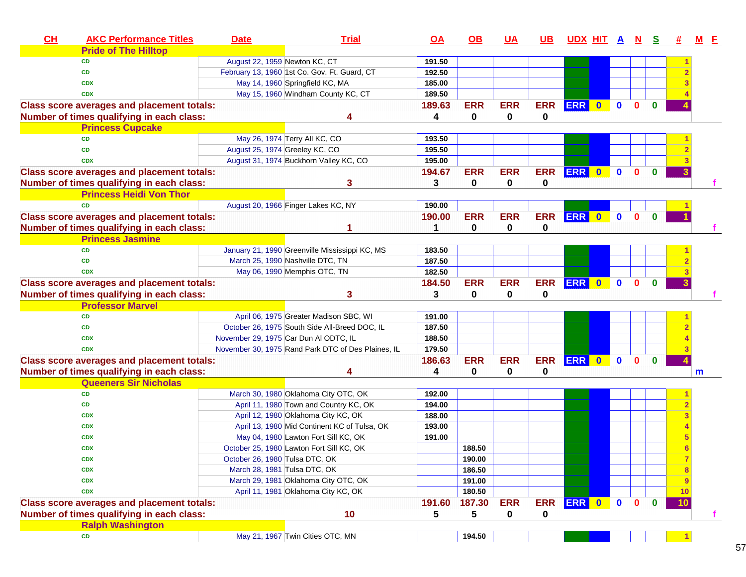| <b>AKC Performance Titles</b><br><u>OA</u><br><u>UDX HIT A N S</u><br>#<br><u>M E</u><br><b>Pride of The Hilltop</b><br>August 22, 1959 Newton KC, CT<br><b>CD</b><br>191.50<br>February 13, 1960 1st Co. Gov. Ft. Guard, CT<br>192.50<br><b>CD</b><br>May 14, 1960 Springfield KC, MA<br>185.00<br><b>CDX</b><br>May 15, 1960 Windham County KC, CT<br>189.50<br><b>CDX</b><br>$\bullet$<br>189.63<br><b>ERR</b><br><b>ERR</b><br><b>ERR</b><br>ERR 0<br>$\mathbf 0$<br>$\mathbf{0}$<br><b>Class score averages and placement totals:</b><br>Number of times qualifying in each class:<br>0<br>0<br>0<br>4<br><b>Princess Cupcake</b><br>May 26, 1974 Terry All KC, CO<br>193.50<br><b>CD</b><br>August 25, 1974 Greeley KC, CO<br>195.50<br><b>CD</b><br>August 31, 1974 Buckhorn Valley KC, CO<br>195.00<br><b>CDX</b><br><b>ERR</b><br><b>ERR</b><br><b>ERR</b><br>ERR 0<br><b>Class score averages and placement totals:</b><br>194.67<br>$\mathbf{0}$<br>$\mathbf{0}$<br>$\bf{0}$<br>$\mathbf 0$<br>$\mathbf 0$<br>Number of times qualifying in each class:<br>3<br>3<br>0<br><b>Princess Heidi Von Thor</b><br>190.00<br><b>CD</b><br>August 20, 1966 Finger Lakes KC, NY<br><b>ERR</b><br><b>ERR</b><br><b>ERR</b><br>ERR 0<br>$\mathbf{0}$<br><b>Class score averages and placement totals:</b><br>190.00<br>$\mathbf{0}$<br>$\bf{0}$<br>$\mathbf 0$<br>Number of times qualifying in each class:<br>0<br>0<br>1<br><b>Princess Jasmine</b><br><b>CD</b><br>January 21, 1990 Greenville Mississippi KC, MS<br>183.50<br>March 25, 1990 Nashville DTC, TN<br>187.50<br><b>CD</b><br>182.50<br>May 06, 1990 Memphis OTC, TN<br><b>CDX</b><br><b>ERR</b><br><b>ERR</b><br><b>ERR</b><br>ERR 0<br><b>Class score averages and placement totals:</b><br>184.50<br>$\mathbf{0}$<br>$\mathbf{0}$<br>$\bf{0}$<br>Number of times qualifying in each class:<br>0<br>3<br>3<br>0<br>0<br><b>Professor Marvel</b><br>April 06, 1975 Greater Madison SBC, WI<br>191.00<br><b>CD</b><br>October 26, 1975 South Side All-Breed DOC, IL<br>187.50<br><b>CD</b><br>November 29, 1975 Car Dun Al ODTC, IL<br>188.50<br><b>CDX</b><br><b>CDX</b><br>November 30, 1975 Rand Park DTC of Des Plaines, IL<br>179.50<br><b>ERR</b><br><b>ERR</b><br>ERR 0 0<br>$\mathbf{0}$<br>$\mathbf 0$<br>186.63<br><b>ERR</b><br><b>Class score averages and placement totals:</b> |
|-------------------------------------------------------------------------------------------------------------------------------------------------------------------------------------------------------------------------------------------------------------------------------------------------------------------------------------------------------------------------------------------------------------------------------------------------------------------------------------------------------------------------------------------------------------------------------------------------------------------------------------------------------------------------------------------------------------------------------------------------------------------------------------------------------------------------------------------------------------------------------------------------------------------------------------------------------------------------------------------------------------------------------------------------------------------------------------------------------------------------------------------------------------------------------------------------------------------------------------------------------------------------------------------------------------------------------------------------------------------------------------------------------------------------------------------------------------------------------------------------------------------------------------------------------------------------------------------------------------------------------------------------------------------------------------------------------------------------------------------------------------------------------------------------------------------------------------------------------------------------------------------------------------------------------------------------------------------------------------------------------------------------------------------------------------------------------------------------------------------------------------------------------------------------------------------------------------------------------------------------------------------------------------------------------------------------------------------------------------|
|                                                                                                                                                                                                                                                                                                                                                                                                                                                                                                                                                                                                                                                                                                                                                                                                                                                                                                                                                                                                                                                                                                                                                                                                                                                                                                                                                                                                                                                                                                                                                                                                                                                                                                                                                                                                                                                                                                                                                                                                                                                                                                                                                                                                                                                                                                                                                             |
|                                                                                                                                                                                                                                                                                                                                                                                                                                                                                                                                                                                                                                                                                                                                                                                                                                                                                                                                                                                                                                                                                                                                                                                                                                                                                                                                                                                                                                                                                                                                                                                                                                                                                                                                                                                                                                                                                                                                                                                                                                                                                                                                                                                                                                                                                                                                                             |
|                                                                                                                                                                                                                                                                                                                                                                                                                                                                                                                                                                                                                                                                                                                                                                                                                                                                                                                                                                                                                                                                                                                                                                                                                                                                                                                                                                                                                                                                                                                                                                                                                                                                                                                                                                                                                                                                                                                                                                                                                                                                                                                                                                                                                                                                                                                                                             |
|                                                                                                                                                                                                                                                                                                                                                                                                                                                                                                                                                                                                                                                                                                                                                                                                                                                                                                                                                                                                                                                                                                                                                                                                                                                                                                                                                                                                                                                                                                                                                                                                                                                                                                                                                                                                                                                                                                                                                                                                                                                                                                                                                                                                                                                                                                                                                             |
|                                                                                                                                                                                                                                                                                                                                                                                                                                                                                                                                                                                                                                                                                                                                                                                                                                                                                                                                                                                                                                                                                                                                                                                                                                                                                                                                                                                                                                                                                                                                                                                                                                                                                                                                                                                                                                                                                                                                                                                                                                                                                                                                                                                                                                                                                                                                                             |
|                                                                                                                                                                                                                                                                                                                                                                                                                                                                                                                                                                                                                                                                                                                                                                                                                                                                                                                                                                                                                                                                                                                                                                                                                                                                                                                                                                                                                                                                                                                                                                                                                                                                                                                                                                                                                                                                                                                                                                                                                                                                                                                                                                                                                                                                                                                                                             |
|                                                                                                                                                                                                                                                                                                                                                                                                                                                                                                                                                                                                                                                                                                                                                                                                                                                                                                                                                                                                                                                                                                                                                                                                                                                                                                                                                                                                                                                                                                                                                                                                                                                                                                                                                                                                                                                                                                                                                                                                                                                                                                                                                                                                                                                                                                                                                             |
|                                                                                                                                                                                                                                                                                                                                                                                                                                                                                                                                                                                                                                                                                                                                                                                                                                                                                                                                                                                                                                                                                                                                                                                                                                                                                                                                                                                                                                                                                                                                                                                                                                                                                                                                                                                                                                                                                                                                                                                                                                                                                                                                                                                                                                                                                                                                                             |
|                                                                                                                                                                                                                                                                                                                                                                                                                                                                                                                                                                                                                                                                                                                                                                                                                                                                                                                                                                                                                                                                                                                                                                                                                                                                                                                                                                                                                                                                                                                                                                                                                                                                                                                                                                                                                                                                                                                                                                                                                                                                                                                                                                                                                                                                                                                                                             |
|                                                                                                                                                                                                                                                                                                                                                                                                                                                                                                                                                                                                                                                                                                                                                                                                                                                                                                                                                                                                                                                                                                                                                                                                                                                                                                                                                                                                                                                                                                                                                                                                                                                                                                                                                                                                                                                                                                                                                                                                                                                                                                                                                                                                                                                                                                                                                             |
|                                                                                                                                                                                                                                                                                                                                                                                                                                                                                                                                                                                                                                                                                                                                                                                                                                                                                                                                                                                                                                                                                                                                                                                                                                                                                                                                                                                                                                                                                                                                                                                                                                                                                                                                                                                                                                                                                                                                                                                                                                                                                                                                                                                                                                                                                                                                                             |
|                                                                                                                                                                                                                                                                                                                                                                                                                                                                                                                                                                                                                                                                                                                                                                                                                                                                                                                                                                                                                                                                                                                                                                                                                                                                                                                                                                                                                                                                                                                                                                                                                                                                                                                                                                                                                                                                                                                                                                                                                                                                                                                                                                                                                                                                                                                                                             |
|                                                                                                                                                                                                                                                                                                                                                                                                                                                                                                                                                                                                                                                                                                                                                                                                                                                                                                                                                                                                                                                                                                                                                                                                                                                                                                                                                                                                                                                                                                                                                                                                                                                                                                                                                                                                                                                                                                                                                                                                                                                                                                                                                                                                                                                                                                                                                             |
|                                                                                                                                                                                                                                                                                                                                                                                                                                                                                                                                                                                                                                                                                                                                                                                                                                                                                                                                                                                                                                                                                                                                                                                                                                                                                                                                                                                                                                                                                                                                                                                                                                                                                                                                                                                                                                                                                                                                                                                                                                                                                                                                                                                                                                                                                                                                                             |
|                                                                                                                                                                                                                                                                                                                                                                                                                                                                                                                                                                                                                                                                                                                                                                                                                                                                                                                                                                                                                                                                                                                                                                                                                                                                                                                                                                                                                                                                                                                                                                                                                                                                                                                                                                                                                                                                                                                                                                                                                                                                                                                                                                                                                                                                                                                                                             |
|                                                                                                                                                                                                                                                                                                                                                                                                                                                                                                                                                                                                                                                                                                                                                                                                                                                                                                                                                                                                                                                                                                                                                                                                                                                                                                                                                                                                                                                                                                                                                                                                                                                                                                                                                                                                                                                                                                                                                                                                                                                                                                                                                                                                                                                                                                                                                             |
|                                                                                                                                                                                                                                                                                                                                                                                                                                                                                                                                                                                                                                                                                                                                                                                                                                                                                                                                                                                                                                                                                                                                                                                                                                                                                                                                                                                                                                                                                                                                                                                                                                                                                                                                                                                                                                                                                                                                                                                                                                                                                                                                                                                                                                                                                                                                                             |
|                                                                                                                                                                                                                                                                                                                                                                                                                                                                                                                                                                                                                                                                                                                                                                                                                                                                                                                                                                                                                                                                                                                                                                                                                                                                                                                                                                                                                                                                                                                                                                                                                                                                                                                                                                                                                                                                                                                                                                                                                                                                                                                                                                                                                                                                                                                                                             |
|                                                                                                                                                                                                                                                                                                                                                                                                                                                                                                                                                                                                                                                                                                                                                                                                                                                                                                                                                                                                                                                                                                                                                                                                                                                                                                                                                                                                                                                                                                                                                                                                                                                                                                                                                                                                                                                                                                                                                                                                                                                                                                                                                                                                                                                                                                                                                             |
|                                                                                                                                                                                                                                                                                                                                                                                                                                                                                                                                                                                                                                                                                                                                                                                                                                                                                                                                                                                                                                                                                                                                                                                                                                                                                                                                                                                                                                                                                                                                                                                                                                                                                                                                                                                                                                                                                                                                                                                                                                                                                                                                                                                                                                                                                                                                                             |
|                                                                                                                                                                                                                                                                                                                                                                                                                                                                                                                                                                                                                                                                                                                                                                                                                                                                                                                                                                                                                                                                                                                                                                                                                                                                                                                                                                                                                                                                                                                                                                                                                                                                                                                                                                                                                                                                                                                                                                                                                                                                                                                                                                                                                                                                                                                                                             |
|                                                                                                                                                                                                                                                                                                                                                                                                                                                                                                                                                                                                                                                                                                                                                                                                                                                                                                                                                                                                                                                                                                                                                                                                                                                                                                                                                                                                                                                                                                                                                                                                                                                                                                                                                                                                                                                                                                                                                                                                                                                                                                                                                                                                                                                                                                                                                             |
|                                                                                                                                                                                                                                                                                                                                                                                                                                                                                                                                                                                                                                                                                                                                                                                                                                                                                                                                                                                                                                                                                                                                                                                                                                                                                                                                                                                                                                                                                                                                                                                                                                                                                                                                                                                                                                                                                                                                                                                                                                                                                                                                                                                                                                                                                                                                                             |
|                                                                                                                                                                                                                                                                                                                                                                                                                                                                                                                                                                                                                                                                                                                                                                                                                                                                                                                                                                                                                                                                                                                                                                                                                                                                                                                                                                                                                                                                                                                                                                                                                                                                                                                                                                                                                                                                                                                                                                                                                                                                                                                                                                                                                                                                                                                                                             |
|                                                                                                                                                                                                                                                                                                                                                                                                                                                                                                                                                                                                                                                                                                                                                                                                                                                                                                                                                                                                                                                                                                                                                                                                                                                                                                                                                                                                                                                                                                                                                                                                                                                                                                                                                                                                                                                                                                                                                                                                                                                                                                                                                                                                                                                                                                                                                             |
|                                                                                                                                                                                                                                                                                                                                                                                                                                                                                                                                                                                                                                                                                                                                                                                                                                                                                                                                                                                                                                                                                                                                                                                                                                                                                                                                                                                                                                                                                                                                                                                                                                                                                                                                                                                                                                                                                                                                                                                                                                                                                                                                                                                                                                                                                                                                                             |
|                                                                                                                                                                                                                                                                                                                                                                                                                                                                                                                                                                                                                                                                                                                                                                                                                                                                                                                                                                                                                                                                                                                                                                                                                                                                                                                                                                                                                                                                                                                                                                                                                                                                                                                                                                                                                                                                                                                                                                                                                                                                                                                                                                                                                                                                                                                                                             |
|                                                                                                                                                                                                                                                                                                                                                                                                                                                                                                                                                                                                                                                                                                                                                                                                                                                                                                                                                                                                                                                                                                                                                                                                                                                                                                                                                                                                                                                                                                                                                                                                                                                                                                                                                                                                                                                                                                                                                                                                                                                                                                                                                                                                                                                                                                                                                             |
|                                                                                                                                                                                                                                                                                                                                                                                                                                                                                                                                                                                                                                                                                                                                                                                                                                                                                                                                                                                                                                                                                                                                                                                                                                                                                                                                                                                                                                                                                                                                                                                                                                                                                                                                                                                                                                                                                                                                                                                                                                                                                                                                                                                                                                                                                                                                                             |
| 0<br>0<br>0<br>Number of times qualifying in each class:<br>4<br>4<br>m                                                                                                                                                                                                                                                                                                                                                                                                                                                                                                                                                                                                                                                                                                                                                                                                                                                                                                                                                                                                                                                                                                                                                                                                                                                                                                                                                                                                                                                                                                                                                                                                                                                                                                                                                                                                                                                                                                                                                                                                                                                                                                                                                                                                                                                                                     |
| <b>Queeners Sir Nicholas</b>                                                                                                                                                                                                                                                                                                                                                                                                                                                                                                                                                                                                                                                                                                                                                                                                                                                                                                                                                                                                                                                                                                                                                                                                                                                                                                                                                                                                                                                                                                                                                                                                                                                                                                                                                                                                                                                                                                                                                                                                                                                                                                                                                                                                                                                                                                                                |
| March 30, 1980 Oklahoma City OTC, OK<br><b>CD</b><br>192.00                                                                                                                                                                                                                                                                                                                                                                                                                                                                                                                                                                                                                                                                                                                                                                                                                                                                                                                                                                                                                                                                                                                                                                                                                                                                                                                                                                                                                                                                                                                                                                                                                                                                                                                                                                                                                                                                                                                                                                                                                                                                                                                                                                                                                                                                                                 |
| April 11, 1980 Town and Country KC, OK<br>194.00<br>CD                                                                                                                                                                                                                                                                                                                                                                                                                                                                                                                                                                                                                                                                                                                                                                                                                                                                                                                                                                                                                                                                                                                                                                                                                                                                                                                                                                                                                                                                                                                                                                                                                                                                                                                                                                                                                                                                                                                                                                                                                                                                                                                                                                                                                                                                                                      |
| April 12, 1980 Oklahoma City KC, OK<br>188.00<br><b>CDX</b>                                                                                                                                                                                                                                                                                                                                                                                                                                                                                                                                                                                                                                                                                                                                                                                                                                                                                                                                                                                                                                                                                                                                                                                                                                                                                                                                                                                                                                                                                                                                                                                                                                                                                                                                                                                                                                                                                                                                                                                                                                                                                                                                                                                                                                                                                                 |
| April 13, 1980 Mid Continent KC of Tulsa, OK<br>193.00<br><b>CDX</b>                                                                                                                                                                                                                                                                                                                                                                                                                                                                                                                                                                                                                                                                                                                                                                                                                                                                                                                                                                                                                                                                                                                                                                                                                                                                                                                                                                                                                                                                                                                                                                                                                                                                                                                                                                                                                                                                                                                                                                                                                                                                                                                                                                                                                                                                                        |
| May 04, 1980 Lawton Fort Sill KC, OK<br>191.00<br><b>CDX</b>                                                                                                                                                                                                                                                                                                                                                                                                                                                                                                                                                                                                                                                                                                                                                                                                                                                                                                                                                                                                                                                                                                                                                                                                                                                                                                                                                                                                                                                                                                                                                                                                                                                                                                                                                                                                                                                                                                                                                                                                                                                                                                                                                                                                                                                                                                |
| October 25, 1980 Lawton Fort Sill KC, OK<br>188.50<br><b>CDX</b>                                                                                                                                                                                                                                                                                                                                                                                                                                                                                                                                                                                                                                                                                                                                                                                                                                                                                                                                                                                                                                                                                                                                                                                                                                                                                                                                                                                                                                                                                                                                                                                                                                                                                                                                                                                                                                                                                                                                                                                                                                                                                                                                                                                                                                                                                            |
| 190.00<br>October 26, 1980 Tulsa DTC, OK<br><b>CDX</b><br>7                                                                                                                                                                                                                                                                                                                                                                                                                                                                                                                                                                                                                                                                                                                                                                                                                                                                                                                                                                                                                                                                                                                                                                                                                                                                                                                                                                                                                                                                                                                                                                                                                                                                                                                                                                                                                                                                                                                                                                                                                                                                                                                                                                                                                                                                                                 |
| 186.50<br>March 28, 1981 Tulsa DTC, OK<br><b>CDX</b>                                                                                                                                                                                                                                                                                                                                                                                                                                                                                                                                                                                                                                                                                                                                                                                                                                                                                                                                                                                                                                                                                                                                                                                                                                                                                                                                                                                                                                                                                                                                                                                                                                                                                                                                                                                                                                                                                                                                                                                                                                                                                                                                                                                                                                                                                                        |
| March 29, 1981 Oklahoma City OTC, OK<br>191.00<br><b>CDX</b><br>9                                                                                                                                                                                                                                                                                                                                                                                                                                                                                                                                                                                                                                                                                                                                                                                                                                                                                                                                                                                                                                                                                                                                                                                                                                                                                                                                                                                                                                                                                                                                                                                                                                                                                                                                                                                                                                                                                                                                                                                                                                                                                                                                                                                                                                                                                           |
| April 11, 1981 Oklahoma City KC, OK<br>180.50<br><b>CDX</b><br>10                                                                                                                                                                                                                                                                                                                                                                                                                                                                                                                                                                                                                                                                                                                                                                                                                                                                                                                                                                                                                                                                                                                                                                                                                                                                                                                                                                                                                                                                                                                                                                                                                                                                                                                                                                                                                                                                                                                                                                                                                                                                                                                                                                                                                                                                                           |
| <b>ERR</b><br><b>ERR</b><br>ERR 0<br>187.30<br>$\bullet$<br>$\mathbf 0$<br>$\mathbf 0$<br><b>Class score averages and placement totals:</b><br>191.60<br>10                                                                                                                                                                                                                                                                                                                                                                                                                                                                                                                                                                                                                                                                                                                                                                                                                                                                                                                                                                                                                                                                                                                                                                                                                                                                                                                                                                                                                                                                                                                                                                                                                                                                                                                                                                                                                                                                                                                                                                                                                                                                                                                                                                                                 |
| Number of times qualifying in each class:<br>10<br>0<br>5<br>0<br>5                                                                                                                                                                                                                                                                                                                                                                                                                                                                                                                                                                                                                                                                                                                                                                                                                                                                                                                                                                                                                                                                                                                                                                                                                                                                                                                                                                                                                                                                                                                                                                                                                                                                                                                                                                                                                                                                                                                                                                                                                                                                                                                                                                                                                                                                                         |
| <b>Ralph Washington</b>                                                                                                                                                                                                                                                                                                                                                                                                                                                                                                                                                                                                                                                                                                                                                                                                                                                                                                                                                                                                                                                                                                                                                                                                                                                                                                                                                                                                                                                                                                                                                                                                                                                                                                                                                                                                                                                                                                                                                                                                                                                                                                                                                                                                                                                                                                                                     |
| May 21, 1967 Twin Cities OTC, MN<br>CD<br>194.50                                                                                                                                                                                                                                                                                                                                                                                                                                                                                                                                                                                                                                                                                                                                                                                                                                                                                                                                                                                                                                                                                                                                                                                                                                                                                                                                                                                                                                                                                                                                                                                                                                                                                                                                                                                                                                                                                                                                                                                                                                                                                                                                                                                                                                                                                                            |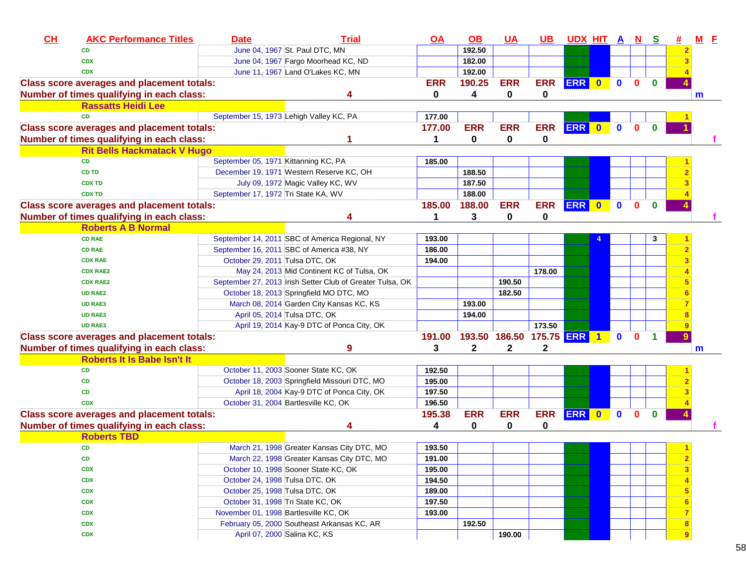| CL | <b>AKC Performance Titles</b>                     | <b>Date</b>                           | <b>Trial</b>                                              | $\overline{OA}$ | <u>OB</u>  | $UA$                       | <u>UB</u>  | UDX HIT A N S |           |              |              |          |   | $M$ $E$ |  |
|----|---------------------------------------------------|---------------------------------------|-----------------------------------------------------------|-----------------|------------|----------------------------|------------|---------------|-----------|--------------|--------------|----------|---|---------|--|
|    | <b>CD</b>                                         |                                       | June 04, 1967 St. Paul DTC, MN                            |                 | 192.50     |                            |            |               |           |              |              |          |   |         |  |
|    | <b>CDX</b>                                        |                                       | June 04, 1967 Fargo Moorhead KC, ND                       |                 | 182.00     |                            |            |               |           |              |              |          |   |         |  |
|    | <b>CDX</b>                                        |                                       | June 11, 1967 Land O'Lakes KC, MN                         |                 | 192.00     |                            |            |               |           |              |              |          |   |         |  |
|    | <b>Class score averages and placement totals:</b> |                                       |                                                           | <b>ERR</b>      | 190.25     | <b>ERR</b>                 | <b>ERR</b> | ERR 0         |           | $\mathbf{0}$ | $\mathbf{0}$ | $\bf{0}$ |   |         |  |
|    | Number of times qualifying in each class:         |                                       | Δ                                                         | 0               | 4          | 0                          | 0          |               |           |              |              |          |   | m       |  |
|    | <b>Rassatts Heidi Lee</b>                         |                                       |                                                           |                 |            |                            |            |               |           |              |              |          |   |         |  |
|    | <b>CD</b>                                         |                                       | September 15, 1973 Lehigh Valley KC, PA                   | 177.00          |            |                            |            |               |           |              |              |          |   |         |  |
|    | <b>Class score averages and placement totals:</b> |                                       |                                                           | 177.00          | <b>ERR</b> | <b>ERR</b>                 | <b>ERR</b> | ERR 0         |           | $\mathbf{0}$ | $\mathbf{0}$ | $\Omega$ |   |         |  |
|    | Number of times qualifying in each class:         |                                       |                                                           |                 | 0          | $\mathbf 0$                | 0          |               |           |              |              |          |   |         |  |
|    | <b>Rit Bells Hackmatack V Hugo</b>                |                                       |                                                           |                 |            |                            |            |               |           |              |              |          |   |         |  |
|    | <b>CD</b>                                         | September 05, 1971 Kittanning KC, PA  |                                                           | 185.00          |            |                            |            |               |           |              |              |          |   |         |  |
|    | <b>CD TD</b>                                      |                                       | December 19, 1971 Western Reserve KC, OH                  |                 | 188.50     |                            |            |               |           |              |              |          |   |         |  |
|    | <b>CDX TD</b>                                     |                                       | July 09, 1972 Magic Valley KC, WV                         |                 | 187.50     |                            |            |               |           |              |              |          |   |         |  |
|    | <b>CDX TD</b>                                     | September 17, 1972 Tri State KA, WV   |                                                           |                 | 188.00     |                            |            |               |           |              |              |          |   |         |  |
|    | <b>Class score averages and placement totals:</b> |                                       |                                                           | 185.00          | 188.00     | <b>ERR</b>                 | <b>ERR</b> | <b>ERR</b>    | $\bullet$ | $\mathbf{0}$ | $\mathbf{0}$ | $\bf{0}$ |   |         |  |
|    | Number of times qualifying in each class:         |                                       | Δ                                                         | 1               | 3          | 0                          | 0          |               |           |              |              |          |   |         |  |
|    | <b>Roberts A B Normal</b>                         |                                       |                                                           |                 |            |                            |            |               |           |              |              |          |   |         |  |
|    | <b>CD RAE</b>                                     |                                       | September 14, 2011 SBC of America Regional, NY            | 193.00          |            |                            |            |               |           |              |              | 3        |   |         |  |
|    | <b>CD RAE</b>                                     |                                       | September 16, 2011 SBC of America #38, NY                 | 186.00          |            |                            |            |               |           |              |              |          |   |         |  |
|    | <b>CDX RAE</b>                                    | October 29, 2011 Tulsa DTC, OK        |                                                           | 194.00          |            |                            |            |               |           |              |              |          |   |         |  |
|    | <b>CDX RAE2</b>                                   |                                       | May 24, 2013 Mid Continent KC of Tulsa, OK                |                 |            |                            | 178.00     |               |           |              |              |          |   |         |  |
|    | <b>CDX RAE2</b>                                   |                                       | September 27, 2013 Irish Setter Club of Greater Tulsa, OK |                 |            | 190.50                     |            |               |           |              |              |          |   |         |  |
|    | <b>UD RAE2</b>                                    |                                       | October 18, 2013 Springfield MO DTC, MO                   |                 |            | 182.50                     |            |               |           |              |              |          |   |         |  |
|    | <b>UD RAE3</b>                                    |                                       | March 08, 2014 Garden City Kansas KC, KS                  |                 | 193.00     |                            |            |               |           |              |              |          |   |         |  |
|    | <b>UD RAE3</b>                                    |                                       | April 05, 2014 Tulsa DTC, OK                              |                 | 194.00     |                            |            |               |           |              |              |          |   |         |  |
|    | <b>UD RAE3</b>                                    |                                       | April 19, 2014 Kay-9 DTC of Ponca City, OK                |                 |            |                            | 173.50     |               |           |              |              |          |   |         |  |
|    | <b>Class score averages and placement totals:</b> |                                       |                                                           | 191.00          |            | 193.50 186.50 175.75 ERR 1 |            |               |           | $\mathbf 0$  | $\mathbf{0}$ |          |   |         |  |
|    | Number of times qualifying in each class:         |                                       | 9                                                         | 3               | 2          | 2                          | 2          |               |           |              |              |          |   | m       |  |
|    | <b>Roberts It Is Babe Isn't It</b>                |                                       |                                                           |                 |            |                            |            |               |           |              |              |          |   |         |  |
|    | CD                                                |                                       | October 11, 2003 Sooner State KC, OK                      | 192.50          |            |                            |            |               |           |              |              |          |   |         |  |
|    | CD                                                |                                       | October 18, 2003 Springfield Missouri DTC, MO             | 195.00          |            |                            |            |               |           |              |              |          |   |         |  |
|    | <b>CD</b>                                         |                                       | April 18, 2004 Kay-9 DTC of Ponca City, OK                | 197.50          |            |                            |            |               |           |              |              |          |   |         |  |
|    | <b>CDX</b>                                        |                                       | October 31, 2004 Bartlesville KC, OK                      | 196.50          |            |                            |            |               |           |              |              |          |   |         |  |
|    | <b>Class score averages and placement totals:</b> |                                       |                                                           | 195.38          | <b>ERR</b> | <b>ERR</b>                 | <b>ERR</b> | <b>ERR</b>    | $\bullet$ | $\mathbf{0}$ | $\mathbf{0}$ | $\bf{0}$ |   |         |  |
|    | Number of times qualifying in each class:         |                                       | 4                                                         | 4               | 0          | 0                          | 0          |               |           |              |              |          |   |         |  |
|    | <b>Roberts TBD</b>                                |                                       |                                                           |                 |            |                            |            |               |           |              |              |          |   |         |  |
|    | CD                                                |                                       | March 21, 1998 Greater Kansas City DTC, MO                | 193.50          |            |                            |            |               |           |              |              |          |   |         |  |
|    | CD                                                |                                       | March 22, 1998 Greater Kansas City DTC, MO                | 191.00          |            |                            |            |               |           |              |              |          |   |         |  |
|    | <b>CDX</b>                                        |                                       | October 10, 1998 Sooner State KC, OK                      | 195.00          |            |                            |            |               |           |              |              |          |   |         |  |
|    | <b>CDX</b>                                        | October 24, 1998 Tulsa DTC, OK        |                                                           | 194.50          |            |                            |            |               |           |              |              |          |   |         |  |
|    | <b>CDX</b>                                        | October 25, 1998 Tulsa DTC, OK        |                                                           | 189.00          |            |                            |            |               |           |              |              |          |   |         |  |
|    | <b>CDX</b>                                        | October 31, 1998 Tri State KC, OK     |                                                           | 197.50          |            |                            |            |               |           |              |              |          | 6 |         |  |
|    | <b>CDX</b>                                        | November 01, 1998 Bartlesville KC, OK |                                                           | 193.00          |            |                            |            |               |           |              |              |          |   |         |  |
|    | <b>CDX</b>                                        |                                       | February 05, 2000 Southeast Arkansas KC, AR               |                 | 192.50     |                            |            |               |           |              |              |          |   |         |  |
|    | <b>CDX</b>                                        |                                       | April 07, 2000 Salina KC, KS                              |                 |            | 190.00                     |            |               |           |              |              |          | 9 |         |  |
|    |                                                   |                                       |                                                           |                 |            |                            |            |               |           |              |              |          |   |         |  |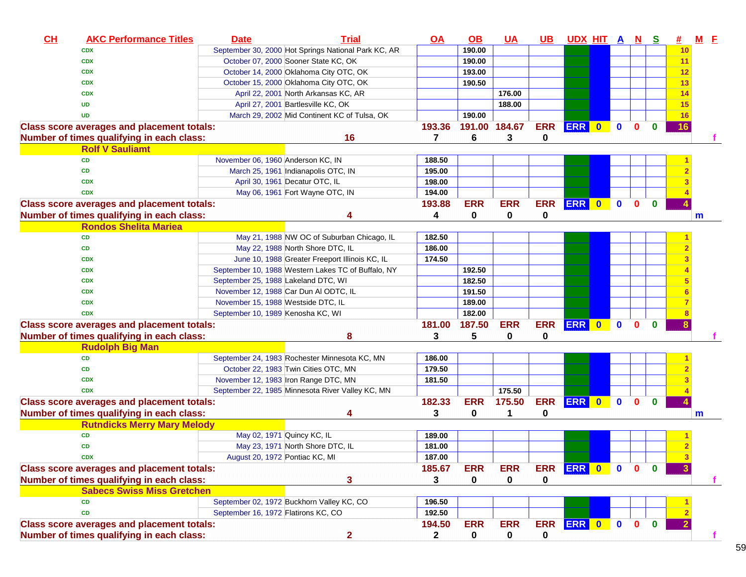| CH | <b>AKC Performance Titles</b>                     | <b>Date</b>                         | <b>Trial</b>                                        | $Q\triangle$   | $\overline{OB}$ | <u>UA</u>     | <u>UB</u>  | <u>UDX HIT A N S</u> |           |              |              |              | 坓  | <u>M F</u> |
|----|---------------------------------------------------|-------------------------------------|-----------------------------------------------------|----------------|-----------------|---------------|------------|----------------------|-----------|--------------|--------------|--------------|----|------------|
|    | <b>CDX</b>                                        |                                     | September 30, 2000 Hot Springs National Park KC, AR |                | 190.00          |               |            |                      |           |              |              |              | 10 |            |
|    | <b>CDX</b>                                        |                                     | October 07, 2000 Sooner State KC, OK                |                | 190.00          |               |            |                      |           |              |              |              | 11 |            |
|    | <b>CDX</b>                                        |                                     | October 14, 2000 Oklahoma City OTC, OK              |                | 193.00          |               |            |                      |           |              |              |              | 12 |            |
|    | <b>CDX</b>                                        |                                     | October 15, 2000 Oklahoma City OTC, OK              |                | 190.50          |               |            |                      |           |              |              |              | 13 |            |
|    | <b>CDX</b>                                        |                                     | April 22, 2001 North Arkansas KC, AR                |                |                 | 176.00        |            |                      |           |              |              |              | 14 |            |
|    | <b>UD</b>                                         |                                     | April 27, 2001 Bartlesville KC, OK                  |                |                 | 188.00        |            |                      |           |              |              |              | 15 |            |
|    | <b>UD</b>                                         |                                     | March 29, 2002 Mid Continent KC of Tulsa, OK        |                | 190.00          |               |            |                      |           |              |              |              | 16 |            |
|    | <b>Class score averages and placement totals:</b> |                                     |                                                     | 193.36         |                 | 191.00 184.67 | <b>ERR</b> | <b>ERR</b>           | $\bullet$ | $\mathbf 0$  | $\Omega$     | $\bf{0}$     | 16 |            |
|    | Number of times qualifying in each class:         |                                     | 16                                                  | $\overline{7}$ | 6               | 3             | 0          |                      |           |              |              |              |    |            |
|    | <b>Rolf V Sauliamt</b>                            |                                     |                                                     |                |                 |               |            |                      |           |              |              |              |    |            |
|    | CD                                                | November 06, 1960 Anderson KC, IN   |                                                     | 188.50         |                 |               |            |                      |           |              |              |              |    |            |
|    | <b>CD</b>                                         |                                     | March 25, 1961 Indianapolis OTC, IN                 | 195.00         |                 |               |            |                      |           |              |              |              |    |            |
|    | <b>CDX</b>                                        |                                     | April 30, 1961 Decatur OTC, IL                      | 198.00         |                 |               |            |                      |           |              |              |              |    |            |
|    | <b>CDX</b>                                        |                                     | May 06, 1961 Fort Wayne OTC, IN                     | 194.00         |                 |               |            |                      |           |              |              |              |    |            |
|    | <b>Class score averages and placement totals:</b> |                                     |                                                     | 193.88         | <b>ERR</b>      | <b>ERR</b>    | <b>ERR</b> | <b>ERR</b>           | $\bullet$ | $\mathbf 0$  | $\bf{0}$     | $\bf{0}$     |    |            |
|    | Number of times qualifying in each class:         |                                     | Δ                                                   | 4              | 0               | $\mathbf 0$   | 0          |                      |           |              |              |              |    | m          |
|    | <b>Rondos Shelita Mariea</b>                      |                                     |                                                     |                |                 |               |            |                      |           |              |              |              |    |            |
|    | <b>CD</b>                                         |                                     | May 21, 1988 NW OC of Suburban Chicago, IL          | 182.50         |                 |               |            |                      |           |              |              |              |    |            |
|    | CD                                                |                                     | May 22, 1988 North Shore DTC, IL                    | 186.00         |                 |               |            |                      |           |              |              |              |    |            |
|    | <b>CDX</b>                                        |                                     | June 10, 1988 Greater Freeport Illinois KC, IL      | 174.50         |                 |               |            |                      |           |              |              |              |    |            |
|    | <b>CDX</b>                                        |                                     | September 10, 1988 Western Lakes TC of Buffalo, NY  |                | 192.50          |               |            |                      |           |              |              |              |    |            |
|    | <b>CDX</b>                                        | September 25, 1988 Lakeland DTC, WI |                                                     |                | 182.50          |               |            |                      |           |              |              |              |    |            |
|    | <b>CDX</b>                                        |                                     | November 12, 1988 Car Dun Al ODTC, IL               |                | 191.50          |               |            |                      |           |              |              |              |    |            |
|    | <b>CDX</b>                                        | November 15, 1988 Westside DTC, IL  |                                                     |                | 189.00          |               |            |                      |           |              |              |              |    |            |
|    | <b>CDX</b>                                        | September 10, 1989 Kenosha KC, WI   |                                                     |                | 182.00          |               |            |                      |           |              |              |              |    |            |
|    | <b>Class score averages and placement totals:</b> |                                     |                                                     | 181.00         | 187.50          | <b>ERR</b>    | <b>ERR</b> | ERR 0                |           | $\mathbf{0}$ | $\Omega$     | $\bf{0}$     |    |            |
|    | Number of times qualifying in each class:         |                                     | 8                                                   | 3              | 5               | 0             | 0          |                      |           |              |              |              |    |            |
|    | <b>Rudolph Big Man</b>                            |                                     |                                                     |                |                 |               |            |                      |           |              |              |              |    |            |
|    | <b>CD</b>                                         |                                     | September 24, 1983 Rochester Minnesota KC, MN       | 186.00         |                 |               |            |                      |           |              |              |              |    |            |
|    | CD                                                |                                     | October 22, 1983 Twin Cities OTC, MN                | 179.50         |                 |               |            |                      |           |              |              |              |    |            |
|    | <b>CDX</b>                                        |                                     | November 12, 1983 Iron Range DTC, MN                | 181.50         |                 |               |            |                      |           |              |              |              |    |            |
|    | <b>CDX</b>                                        |                                     | September 22, 1985 Minnesota River Valley KC, MN    |                |                 | 175.50        |            |                      |           |              |              |              |    |            |
|    | <b>Class score averages and placement totals:</b> |                                     |                                                     | 182.33         | <b>ERR</b>      | 175.50        | <b>ERR</b> | ERR 0                |           | $\mathbf 0$  | $\mathbf{0}$ | $\bf{0}$     |    |            |
|    | Number of times qualifying in each class:         |                                     |                                                     | 3              | 0               | 1             | 0          |                      |           |              |              |              |    | m          |
|    | <b>Rutndicks Merry Mary Melody</b>                |                                     |                                                     |                |                 |               |            |                      |           |              |              |              |    |            |
|    | CD                                                |                                     | May 02, 1971 Quincy KC, IL                          | 189.00         |                 |               |            |                      |           |              |              |              |    |            |
|    | CD                                                |                                     | May 23, 1971 North Shore DTC, IL                    | 181.00         |                 |               |            |                      |           |              |              |              |    |            |
|    | <b>CDX</b>                                        | August 20, 1972 Pontiac KC, MI      |                                                     | 187.00         |                 |               |            |                      |           |              |              |              |    |            |
|    | <b>Class score averages and placement totals:</b> |                                     |                                                     | 185.67         | <b>ERR</b>      | <b>ERR</b>    | <b>ERR</b> | ERR 0 0              |           |              | $\mathbf{0}$ | $\bf{0}$     |    |            |
|    | Number of times qualifying in each class:         |                                     | 3                                                   | 3              | 0               | 0             | 0          |                      |           |              |              |              |    |            |
|    | <b>Sabecs Swiss Miss Gretchen</b>                 |                                     |                                                     |                |                 |               |            |                      |           |              |              |              |    |            |
|    | CD                                                |                                     | September 02, 1972 Buckhorn Valley KC, CO           | 196.50         |                 |               |            |                      |           |              |              |              |    |            |
|    | <b>CD</b>                                         | September 16, 1972 Flatirons KC, CO |                                                     | 192.50         |                 |               |            |                      |           |              |              |              |    |            |
|    | <b>Class score averages and placement totals:</b> |                                     |                                                     | 194.50         | <b>ERR</b>      | <b>ERR</b>    | <b>ERR</b> | ERR 0 0              |           |              | $\mathbf{0}$ | $\mathbf{0}$ |    |            |
|    | Number of times qualifying in each class:         |                                     | $\overline{2}$                                      | $\mathbf{2}$   | 0               | 0             | 0          |                      |           |              |              |              |    |            |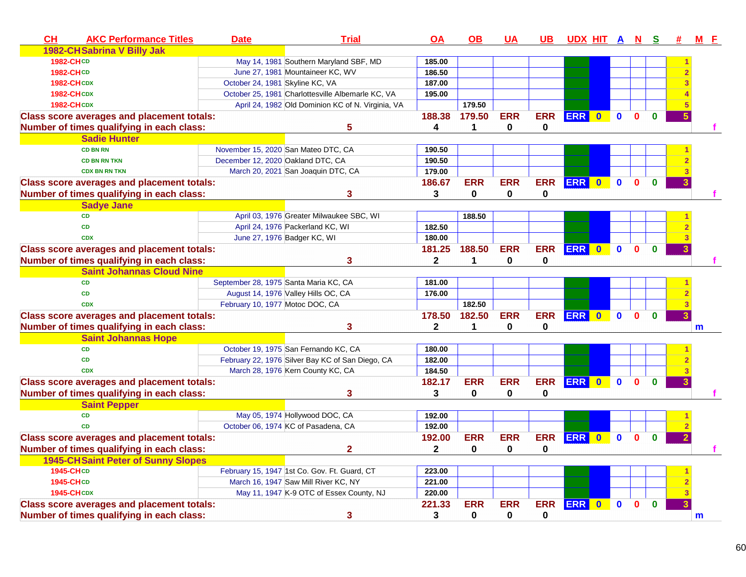| CH               | <b>AKC Performance Titles</b>                     | <b>Date</b>                           | <b>Trial</b>                                      | OA           | <b>OB</b>    | <b>UA</b>    | <b>UB</b>   | UDX HIT A N S |              |              |              |              | # | $M$ $E$      |
|------------------|---------------------------------------------------|---------------------------------------|---------------------------------------------------|--------------|--------------|--------------|-------------|---------------|--------------|--------------|--------------|--------------|---|--------------|
|                  | 1982-CHSabrina V Billy Jak                        |                                       |                                                   |              |              |              |             |               |              |              |              |              |   |              |
| 1982-CHCD        |                                                   |                                       | May 14, 1981 Southern Maryland SBF, MD            | 185.00       |              |              |             |               |              |              |              |              |   |              |
| <b>1982-CHCD</b> |                                                   |                                       | June 27, 1981 Mountaineer KC, WV                  | 186.50       |              |              |             |               |              |              |              |              |   |              |
|                  | <b>1982-CHCDX</b>                                 | October 24, 1981 Skyline KC, VA       |                                                   | 187.00       |              |              |             |               |              |              |              |              |   |              |
|                  | <b>1982-CHCDX</b>                                 |                                       | October 25, 1981 Charlottesville Albemarle KC, VA | 195.00       |              |              |             |               |              |              |              |              |   |              |
|                  | <b>1982-CHCDX</b>                                 |                                       | April 24, 1982 Old Dominion KC of N. Virginia, VA |              | 179.50       |              |             |               |              |              |              |              |   |              |
|                  | <b>Class score averages and placement totals:</b> |                                       |                                                   | 188.38       | 179.50       | <b>ERR</b>   | <b>ERR</b>  | ERR 0         |              | $\mathbf{0}$ | $\mathbf{0}$ | $\mathbf{0}$ |   |              |
|                  | Number of times qualifying in each class:         |                                       | 5                                                 | 4            | 1            | $\mathbf 0$  | $\mathbf 0$ |               |              |              |              |              |   |              |
|                  | <b>Sadie Hunter</b>                               |                                       |                                                   |              |              |              |             |               |              |              |              |              |   |              |
|                  | <b>CD BN RN</b>                                   |                                       | November 15, 2020 San Mateo DTC, CA               | 190.50       |              |              |             |               |              |              |              |              |   |              |
|                  | <b>CD BN RN TKN</b>                               | December 12, 2020 Oakland DTC, CA     |                                                   | 190.50       |              |              |             |               |              |              |              |              |   |              |
|                  | <b>CDX BN RN TKN</b>                              |                                       | March 20, 2021 San Joaquin DTC, CA                | 179.00       |              |              |             |               |              |              |              |              |   |              |
|                  | <b>Class score averages and placement totals:</b> |                                       |                                                   | 186.67       | <b>ERR</b>   | <b>ERR</b>   | <b>ERR</b>  | ERR 0         |              | $\mathbf{0}$ | $\Omega$     | $\mathbf{0}$ |   |              |
|                  | Number of times qualifying in each class:         |                                       | 3                                                 | 3            | $\mathbf 0$  | $\mathbf 0$  | $\bf{0}$    |               |              |              |              |              |   |              |
|                  | <b>Sadye Jane</b>                                 |                                       |                                                   |              |              |              |             |               |              |              |              |              |   |              |
|                  | <b>CD</b>                                         |                                       | April 03, 1976 Greater Milwaukee SBC, WI          |              | 188.50       |              |             |               |              |              |              |              |   |              |
|                  | <b>CD</b>                                         |                                       | April 24, 1976 Packerland KC, WI                  | 182.50       |              |              |             |               |              |              |              |              |   |              |
|                  | <b>CDX</b>                                        |                                       | June 27, 1976 Badger KC, WI                       | 180.00       |              |              |             |               |              |              |              |              |   |              |
|                  | <b>Class score averages and placement totals:</b> |                                       |                                                   | 181.25       | 188.50       | <b>ERR</b>   | <b>ERR</b>  | ERR 0         |              | $\mathbf 0$  | $\Omega$     |              |   |              |
|                  | Number of times qualifying in each class:         |                                       | 3                                                 | $\mathbf{2}$ | $\mathbf{1}$ | $\mathbf{0}$ | $\mathbf 0$ |               |              |              |              |              |   |              |
|                  | <b>Saint Johannas Cloud Nine</b>                  |                                       |                                                   |              |              |              |             |               |              |              |              |              |   |              |
|                  | <b>CD</b>                                         | September 28, 1975 Santa Maria KC, CA |                                                   | 181.00       |              |              |             |               |              |              |              |              |   |              |
|                  | <b>CD</b>                                         |                                       | August 14, 1976 Valley Hills OC, CA               | 176.00       |              |              |             |               |              |              |              |              |   |              |
|                  | <b>CDX</b>                                        | February 10, 1977 Motoc DOC, CA       |                                                   |              | 182.50       |              |             |               |              |              |              |              |   |              |
|                  | <b>Class score averages and placement totals:</b> |                                       |                                                   | 178.50       | 182.50       | <b>ERR</b>   | <b>ERR</b>  | ERR 0         |              | $\bullet$    | $\Omega$     | $\bf{0}$     |   |              |
|                  | Number of times qualifying in each class:         |                                       | 3                                                 | $\mathbf{2}$ | 1            | 0            | 0           |               |              |              |              |              |   | m            |
|                  | <b>Saint Johannas Hope</b>                        |                                       |                                                   |              |              |              |             |               |              |              |              |              |   |              |
|                  | <b>CD</b>                                         |                                       | October 19, 1975 San Fernando KC, CA              | 180.00       |              |              |             |               |              |              |              |              |   |              |
|                  | <b>CD</b>                                         |                                       | February 22, 1976 Silver Bay KC of San Diego, CA  | 182.00       |              |              |             |               |              |              |              |              |   |              |
|                  | <b>CDX</b>                                        |                                       | March 28, 1976 Kern County KC, CA                 | 184.50       |              |              |             |               |              |              |              |              |   |              |
|                  | <b>Class score averages and placement totals:</b> |                                       |                                                   | 182.17       | <b>ERR</b>   | <b>ERR</b>   | <b>ERR</b>  | ERR 0         |              | $\mathbf{0}$ | $\mathbf{0}$ | $\bf{0}$     |   |              |
|                  | Number of times qualifying in each class:         |                                       | 3                                                 | 3            | $\mathbf 0$  | 0            | 0           |               |              |              |              |              |   |              |
|                  | <b>Saint Pepper</b>                               |                                       |                                                   |              |              |              |             |               |              |              |              |              |   |              |
|                  | <b>CD</b>                                         |                                       | May 05, 1974 Hollywood DOC, CA                    | 192.00       |              |              |             |               |              |              |              |              |   |              |
|                  | <b>CD</b>                                         |                                       | October 06, 1974 KC of Pasadena, CA               | 192.00       |              |              |             |               |              |              |              |              |   |              |
|                  | <b>Class score averages and placement totals:</b> |                                       |                                                   | 192.00       | <b>ERR</b>   | <b>ERR</b>   | <b>ERR</b>  | ERR 0         |              | $\mathbf{0}$ | $\Omega$     | $\Omega$     |   |              |
|                  | Number of times qualifying in each class:         |                                       | $\overline{2}$                                    | $\mathbf{2}$ | $\mathbf 0$  | $\mathbf 0$  | $\mathbf 0$ |               |              |              |              |              |   |              |
|                  | <b>1945-CHSaint Peter of Sunny Slopes</b>         |                                       |                                                   |              |              |              |             |               |              |              |              |              |   |              |
| 1945-CHCD        |                                                   |                                       | February 15, 1947 1st Co. Gov. Ft. Guard, CT      | 223.00       |              |              |             |               |              |              |              |              |   |              |
| <b>1945-CHCD</b> |                                                   |                                       | March 16, 1947 Saw Mill River KC, NY              | 221.00       |              |              |             |               |              |              |              |              |   |              |
|                  | <b>1945-CHCDX</b>                                 |                                       | May 11, 1947 K-9 OTC of Essex County, NJ          | 220.00       |              |              |             |               |              |              |              |              |   |              |
|                  | <b>Class score averages and placement totals:</b> |                                       |                                                   | 221.33       | <b>ERR</b>   | <b>ERR</b>   | <b>ERR</b>  | <b>ERR</b>    | $\mathbf{0}$ | $\mathbf{0}$ | O            | $\bf{0}$     |   |              |
|                  | Number of times qualifying in each class:         |                                       | 3                                                 | 3            | 0            | 0            | 0           |               |              |              |              |              |   | $\mathbf{m}$ |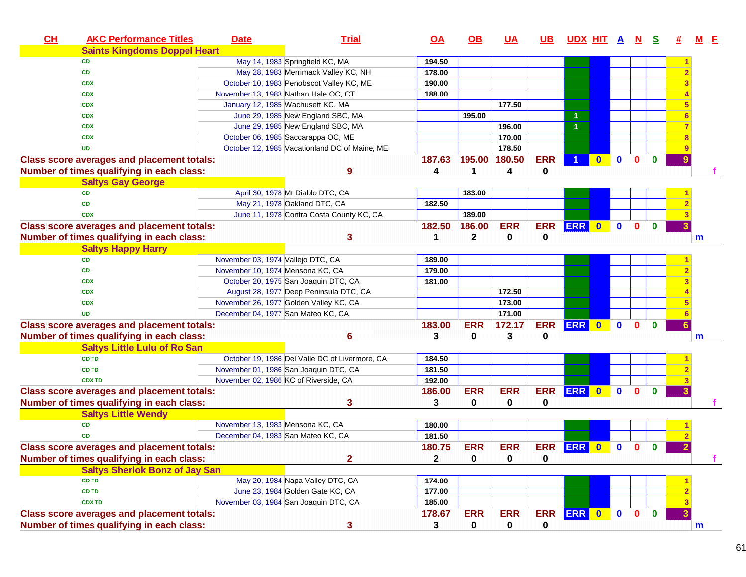| CH | <b>AKC Performance Titles</b>                     | <b>Date</b> | <b>Trial</b>                                   | $\overline{OA}$ | <u>OB</u>   | <u>UA</u>     | <u>UB</u>   | <u>UDX HIT A N S</u> |              |              |              |              | 坓 | <u>MF</u> |
|----|---------------------------------------------------|-------------|------------------------------------------------|-----------------|-------------|---------------|-------------|----------------------|--------------|--------------|--------------|--------------|---|-----------|
|    | <b>Saints Kingdoms Doppel Heart</b>               |             |                                                |                 |             |               |             |                      |              |              |              |              |   |           |
|    | CD                                                |             | May 14, 1983 Springfield KC, MA                | 194.50          |             |               |             |                      |              |              |              |              |   |           |
|    | <b>CD</b>                                         |             | May 28, 1983 Merrimack Valley KC, NH           | 178.00          |             |               |             |                      |              |              |              |              |   |           |
|    | <b>CDX</b>                                        |             | October 10, 1983 Penobscot Valley KC, ME       | 190.00          |             |               |             |                      |              |              |              |              |   |           |
|    | <b>CDX</b>                                        |             | November 13, 1983 Nathan Hale OC, CT           | 188.00          |             |               |             |                      |              |              |              |              |   |           |
|    | <b>CDX</b>                                        |             | January 12, 1985 Wachusett KC, MA              |                 |             | 177.50        |             |                      |              |              |              |              |   |           |
|    | <b>CDX</b>                                        |             | June 29, 1985 New England SBC, MA              |                 | 195.00      |               |             |                      |              |              |              |              |   |           |
|    | <b>CDX</b>                                        |             | June 29, 1985 New England SBC, MA              |                 |             | 196.00        |             | $\overline{1}$       |              |              |              |              |   |           |
|    | <b>CDX</b>                                        |             | October 06, 1985 Saccarappa OC, ME             |                 |             | 170.00        |             |                      |              |              |              |              |   |           |
|    | <b>UD</b>                                         |             | October 12, 1985 Vacationland DC of Maine, ME  |                 |             | 178.50        |             |                      |              |              |              |              |   |           |
|    | <b>Class score averages and placement totals:</b> |             |                                                | 187.63          |             | 195.00 180.50 | <b>ERR</b>  |                      | $\bf{0}$     | $\mathbf{0}$ | $\Omega$     | $\bf{0}$     | 9 |           |
|    | Number of times qualifying in each class:         |             | 9                                              | 4               | 1           | 4             | 0           |                      |              |              |              |              |   |           |
|    | <b>Saltys Gay George</b>                          |             |                                                |                 |             |               |             |                      |              |              |              |              |   |           |
|    | <b>CD</b>                                         |             | April 30, 1978 Mt Diablo DTC, CA               |                 | 183.00      |               |             |                      |              |              |              |              |   |           |
|    | <b>CD</b>                                         |             | May 21, 1978 Oakland DTC, CA                   | 182.50          |             |               |             |                      |              |              |              |              |   |           |
|    | <b>CDX</b>                                        |             | June 11, 1978 Contra Costa County KC, CA       |                 | 189.00      |               |             |                      |              |              |              |              |   |           |
|    | <b>Class score averages and placement totals:</b> |             |                                                | 182.50          | 186.00      | <b>ERR</b>    | <b>ERR</b>  | ERR 0                |              | $\mathbf{0}$ | $\mathbf{0}$ | $\mathbf{0}$ |   |           |
|    | Number of times qualifying in each class:         |             | 3                                              | 1               | 2           | 0             | 0           |                      |              |              |              |              |   | m         |
|    | <b>Saltys Happy Harry</b>                         |             |                                                |                 |             |               |             |                      |              |              |              |              |   |           |
|    | <b>CD</b>                                         |             | November 03, 1974 Vallejo DTC, CA              | 189.00          |             |               |             |                      |              |              |              |              |   |           |
|    | <b>CD</b>                                         |             | November 10, 1974 Mensona KC, CA               | 179.00          |             |               |             |                      |              |              |              |              |   |           |
|    | <b>CDX</b>                                        |             | October 20, 1975 San Joaquin DTC, CA           | 181.00          |             |               |             |                      |              |              |              |              |   |           |
|    | <b>CDX</b>                                        |             | August 28, 1977 Deep Peninsula DTC, CA         |                 |             | 172.50        |             |                      |              |              |              |              |   |           |
|    | <b>CDX</b>                                        |             | November 26, 1977 Golden Valley KC, CA         |                 |             | 173.00        |             |                      |              |              |              |              |   |           |
|    | <b>UD</b>                                         |             | December 04, 1977 San Mateo KC, CA             |                 |             | 171.00        |             |                      |              |              |              |              |   |           |
|    | <b>Class score averages and placement totals:</b> |             |                                                | 183.00          | <b>ERR</b>  | 172.17        | <b>ERR</b>  | ERR 0                |              | $\bullet$    | $\mathbf{0}$ | $\bf{0}$     |   |           |
|    | Number of times qualifying in each class:         |             | 6                                              | 3               | 0           | 3             | 0           |                      |              |              |              |              |   | m         |
|    | <b>Saltys Little Lulu of Ro San</b>               |             |                                                |                 |             |               |             |                      |              |              |              |              |   |           |
|    | <b>CD TD</b>                                      |             | October 19, 1986 Del Valle DC of Livermore, CA | 184.50          |             |               |             |                      |              |              |              |              |   |           |
|    | <b>CD TD</b>                                      |             | November 01, 1986 San Joaquin DTC, CA          | 181.50          |             |               |             |                      |              |              |              |              |   |           |
|    | <b>CDX TD</b>                                     |             | November 02, 1986 KC of Riverside, CA          | 192.00          |             |               |             |                      |              |              |              |              |   |           |
|    | <b>Class score averages and placement totals:</b> |             |                                                | 186.00          | <b>ERR</b>  | <b>ERR</b>    | <b>ERR</b>  | ERR 0                |              | $\mathbf{0}$ | $\mathbf{0}$ | $\bf{0}$     |   |           |
|    | Number of times qualifying in each class:         |             | 3                                              | 3               | $\bf{0}$    | 0             | 0           |                      |              |              |              |              |   |           |
|    | <b>Saltys Little Wendy</b>                        |             |                                                |                 |             |               |             |                      |              |              |              |              |   |           |
|    | <b>CD</b>                                         |             | November 13, 1983 Mensona KC, CA               | 180.00          |             |               |             |                      |              |              |              |              |   |           |
|    | <b>CD</b>                                         |             | December 04, 1983 San Mateo KC, CA             | 181.50          |             |               |             |                      |              |              |              |              |   |           |
|    | <b>Class score averages and placement totals:</b> |             |                                                | 180.75          | <b>ERR</b>  | <b>ERR</b>    | <b>ERR</b>  | <b>ERR</b>           | $\mathbf{0}$ | $\mathbf{0}$ | $\bf{0}$     | $\bf{0}$     | 2 |           |
|    | Number of times qualifying in each class:         |             | $\overline{\mathbf{2}}$                        | $\mathbf{2}$    | $\pmb{0}$   | $\mathbf 0$   | $\mathbf 0$ |                      |              |              |              |              |   |           |
|    | <b>Saltys Sherlok Bonz of Jay San</b>             |             |                                                |                 |             |               |             |                      |              |              |              |              |   |           |
|    | <b>CD TD</b>                                      |             | May 20, 1984 Napa Valley DTC, CA               | 174.00          |             |               |             |                      |              |              |              |              |   |           |
|    | CD TD                                             |             | June 23, 1984 Golden Gate KC, CA               | 177.00          |             |               |             |                      |              |              |              |              |   |           |
|    | <b>CDX TD</b>                                     |             | November 03, 1984 San Joaquin DTC, CA          | 185.00          |             |               |             |                      |              |              |              |              |   |           |
|    | <b>Class score averages and placement totals:</b> |             |                                                | 178.67          | <b>ERR</b>  | <b>ERR</b>    | <b>ERR</b>  | ERR 0                |              | $\bullet$    | $\bullet$    | $\mathbf{0}$ |   |           |
|    | Number of times qualifying in each class:         |             | 3                                              | 3               | $\mathbf 0$ | 0             | 0           |                      |              |              |              |              |   | m         |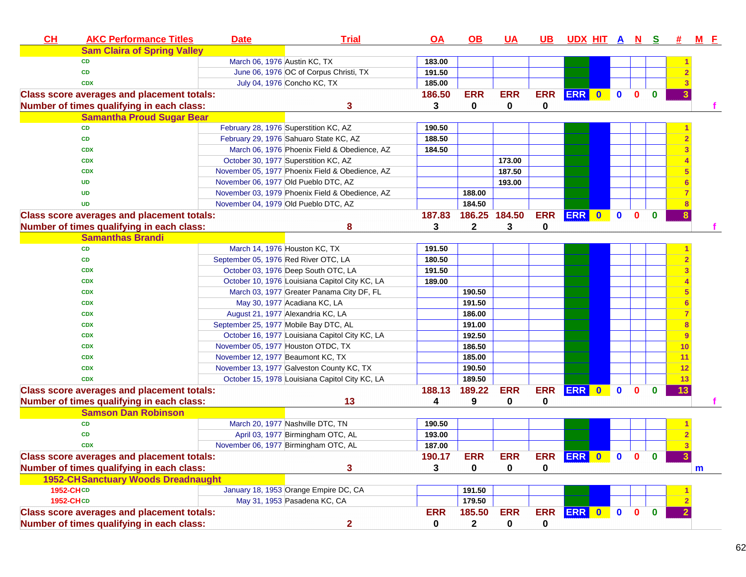| <b>Sam Claira of Spring Valley</b><br>March 06, 1976 Austin KC, TX<br>183.00<br><b>CD</b><br>June 06, 1976 OC of Corpus Christi, TX<br>CD<br>191.50<br>July 04, 1976 Concho KC, TX<br>185.00<br><b>CDX</b><br>186.50<br><b>ERR</b><br><b>ERR</b><br><b>ERR</b><br>ERR 0<br>$\mathbf{0}$<br>$\mathbf{0}$<br><b>Class score averages and placement totals:</b><br>$\mathbf{0}$<br>$\mathbf 0$<br>0<br>0<br>Number of times qualifying in each class:<br>3<br>3<br><b>Samantha Proud Sugar Bear</b><br><b>CD</b><br>February 28, 1976 Superstition KC, AZ<br>190.50<br>CD<br>February 29, 1976 Sahuaro State KC, AZ<br>188.50<br>March 06, 1976 Phoenix Field & Obedience, AZ<br>184.50<br><b>CDX</b><br>October 30, 1977 Superstition KC, AZ<br>173.00<br><b>CDX</b><br>November 05, 1977 Phoenix Field & Obedience, AZ<br>187.50<br><b>CDX</b><br>193.00<br><b>UD</b><br>November 06, 1977 Old Pueblo DTC, AZ<br>November 03, 1979 Phoenix Field & Obedience, AZ<br>188.00<br><b>UD</b><br>184.50<br>November 04, 1979 Old Pueblo DTC, AZ<br><b>UD</b><br>186.25 184.50<br><b>ERR</b><br>ERR 0<br>187.83<br><b>Class score averages and placement totals:</b><br>$\mathbf 0$<br>$\mathbf{0}$<br>$\mathbf{0}$<br>Number of times qualifying in each class:<br>8<br>3<br>2<br>3<br>0<br><b>Samanthas Brandi</b><br>March 14, 1976 Houston KC, TX<br><b>CD</b><br>191.50<br>September 05, 1976 Red River OTC, LA<br><b>CD</b><br>180.50<br>October 03, 1976 Deep South OTC, LA<br>191.50<br><b>CDX</b><br>October 10, 1976 Louisiana Capitol City KC, LA<br>189.00<br><b>CDX</b><br>March 03, 1977 Greater Panama City DF, FL<br>190.50<br><b>CDX</b><br>191.50<br>May 30, 1977 Acadiana KC, LA<br><b>CDX</b><br>August 21, 1977 Alexandria KC, LA<br>186.00<br><b>CDX</b><br>September 25, 1977 Mobile Bay DTC, AL<br><b>CDX</b><br>191.00<br>October 16, 1977 Louisiana Capitol City KC, LA<br>192.50<br>9<br><b>CDX</b><br>November 05, 1977 Houston OTDC, TX<br>186.50<br>10<br><b>CDX</b><br>November 12, 1977 Beaumont KC, TX<br>185.00<br><b>CDX</b><br>11<br>190.50<br>November 13, 1977 Galveston County KC, TX<br><b>CDX</b><br>12<br>October 15, 1978 Louisiana Capitol City KC, LA<br>189.50<br>13<br><b>CDX</b><br><b>ERR</b><br>ERR 0<br>188.13<br>189.22<br><b>ERR</b><br>$\mathbf{0}$<br><b>Class score averages and placement totals:</b><br>$\mathbf{0}$<br>$\bf{0}$<br>13<br>Number of times qualifying in each class:<br>13<br>9<br>0<br>0<br>4<br><b>Samson Dan Robinson</b><br>March 20, 1977 Nashville DTC, TN<br><b>CD</b><br>190.50<br>193.00<br><b>CD</b><br>April 03, 1977 Birmingham OTC, AL<br>November 06, 1977 Birmingham OTC, AL<br>187.00<br><b>CDX</b><br><b>Class score averages and placement totals:</b><br>190.17<br><b>ERR</b><br><b>ERR</b><br>ERR ERR 0 0 0 0<br>3<br>0<br>0<br>0<br>Number of times qualifying in each class:<br>3<br>m<br><b>1952-CH Sanctuary Woods Dreadnaught</b><br>January 18, 1953 Orange Empire DC, CA<br><b>1952-CHCD</b><br>191.50<br>1952-CHCD<br>May 31, 1953 Pasadena KC, CA<br>179.50<br><b>ERR</b><br><b>ERR</b><br>ERR 0 0 0<br><b>Class score averages and placement totals:</b><br><b>ERR</b><br>185.50<br>$\mathbf{0}$<br>Number of times qualifying in each class:<br>$\mathbf{2}$<br>$\mathbf{2}$<br>$\mathbf 0$<br>0<br>0 | CH | <b>AKC Performance Titles</b> | <b>Date</b> | <b>Trial</b> | $\overline{OA}$ | $\overline{OB}$ | <u>UA</u> | <u>UB</u> | <u>UDX HIT A N</u> |  | <u>s</u> | # | <u>M F</u> |
|-------------------------------------------------------------------------------------------------------------------------------------------------------------------------------------------------------------------------------------------------------------------------------------------------------------------------------------------------------------------------------------------------------------------------------------------------------------------------------------------------------------------------------------------------------------------------------------------------------------------------------------------------------------------------------------------------------------------------------------------------------------------------------------------------------------------------------------------------------------------------------------------------------------------------------------------------------------------------------------------------------------------------------------------------------------------------------------------------------------------------------------------------------------------------------------------------------------------------------------------------------------------------------------------------------------------------------------------------------------------------------------------------------------------------------------------------------------------------------------------------------------------------------------------------------------------------------------------------------------------------------------------------------------------------------------------------------------------------------------------------------------------------------------------------------------------------------------------------------------------------------------------------------------------------------------------------------------------------------------------------------------------------------------------------------------------------------------------------------------------------------------------------------------------------------------------------------------------------------------------------------------------------------------------------------------------------------------------------------------------------------------------------------------------------------------------------------------------------------------------------------------------------------------------------------------------------------------------------------------------------------------------------------------------------------------------------------------------------------------------------------------------------------------------------------------------------------------------------------------------------------------------------------------------------------------------------------------------------------------------------------------------------------------------------------------------------------------------------------------------------------------------------------------------------------------------------------------------------------------------------------------------------------------------------------|----|-------------------------------|-------------|--------------|-----------------|-----------------|-----------|-----------|--------------------|--|----------|---|------------|
|                                                                                                                                                                                                                                                                                                                                                                                                                                                                                                                                                                                                                                                                                                                                                                                                                                                                                                                                                                                                                                                                                                                                                                                                                                                                                                                                                                                                                                                                                                                                                                                                                                                                                                                                                                                                                                                                                                                                                                                                                                                                                                                                                                                                                                                                                                                                                                                                                                                                                                                                                                                                                                                                                                                                                                                                                                                                                                                                                                                                                                                                                                                                                                                                                                                                                                       |    |                               |             |              |                 |                 |           |           |                    |  |          |   |            |
|                                                                                                                                                                                                                                                                                                                                                                                                                                                                                                                                                                                                                                                                                                                                                                                                                                                                                                                                                                                                                                                                                                                                                                                                                                                                                                                                                                                                                                                                                                                                                                                                                                                                                                                                                                                                                                                                                                                                                                                                                                                                                                                                                                                                                                                                                                                                                                                                                                                                                                                                                                                                                                                                                                                                                                                                                                                                                                                                                                                                                                                                                                                                                                                                                                                                                                       |    |                               |             |              |                 |                 |           |           |                    |  |          |   |            |
|                                                                                                                                                                                                                                                                                                                                                                                                                                                                                                                                                                                                                                                                                                                                                                                                                                                                                                                                                                                                                                                                                                                                                                                                                                                                                                                                                                                                                                                                                                                                                                                                                                                                                                                                                                                                                                                                                                                                                                                                                                                                                                                                                                                                                                                                                                                                                                                                                                                                                                                                                                                                                                                                                                                                                                                                                                                                                                                                                                                                                                                                                                                                                                                                                                                                                                       |    |                               |             |              |                 |                 |           |           |                    |  |          |   |            |
|                                                                                                                                                                                                                                                                                                                                                                                                                                                                                                                                                                                                                                                                                                                                                                                                                                                                                                                                                                                                                                                                                                                                                                                                                                                                                                                                                                                                                                                                                                                                                                                                                                                                                                                                                                                                                                                                                                                                                                                                                                                                                                                                                                                                                                                                                                                                                                                                                                                                                                                                                                                                                                                                                                                                                                                                                                                                                                                                                                                                                                                                                                                                                                                                                                                                                                       |    |                               |             |              |                 |                 |           |           |                    |  |          |   |            |
|                                                                                                                                                                                                                                                                                                                                                                                                                                                                                                                                                                                                                                                                                                                                                                                                                                                                                                                                                                                                                                                                                                                                                                                                                                                                                                                                                                                                                                                                                                                                                                                                                                                                                                                                                                                                                                                                                                                                                                                                                                                                                                                                                                                                                                                                                                                                                                                                                                                                                                                                                                                                                                                                                                                                                                                                                                                                                                                                                                                                                                                                                                                                                                                                                                                                                                       |    |                               |             |              |                 |                 |           |           |                    |  |          |   |            |
|                                                                                                                                                                                                                                                                                                                                                                                                                                                                                                                                                                                                                                                                                                                                                                                                                                                                                                                                                                                                                                                                                                                                                                                                                                                                                                                                                                                                                                                                                                                                                                                                                                                                                                                                                                                                                                                                                                                                                                                                                                                                                                                                                                                                                                                                                                                                                                                                                                                                                                                                                                                                                                                                                                                                                                                                                                                                                                                                                                                                                                                                                                                                                                                                                                                                                                       |    |                               |             |              |                 |                 |           |           |                    |  |          |   |            |
|                                                                                                                                                                                                                                                                                                                                                                                                                                                                                                                                                                                                                                                                                                                                                                                                                                                                                                                                                                                                                                                                                                                                                                                                                                                                                                                                                                                                                                                                                                                                                                                                                                                                                                                                                                                                                                                                                                                                                                                                                                                                                                                                                                                                                                                                                                                                                                                                                                                                                                                                                                                                                                                                                                                                                                                                                                                                                                                                                                                                                                                                                                                                                                                                                                                                                                       |    |                               |             |              |                 |                 |           |           |                    |  |          |   |            |
|                                                                                                                                                                                                                                                                                                                                                                                                                                                                                                                                                                                                                                                                                                                                                                                                                                                                                                                                                                                                                                                                                                                                                                                                                                                                                                                                                                                                                                                                                                                                                                                                                                                                                                                                                                                                                                                                                                                                                                                                                                                                                                                                                                                                                                                                                                                                                                                                                                                                                                                                                                                                                                                                                                                                                                                                                                                                                                                                                                                                                                                                                                                                                                                                                                                                                                       |    |                               |             |              |                 |                 |           |           |                    |  |          |   |            |
|                                                                                                                                                                                                                                                                                                                                                                                                                                                                                                                                                                                                                                                                                                                                                                                                                                                                                                                                                                                                                                                                                                                                                                                                                                                                                                                                                                                                                                                                                                                                                                                                                                                                                                                                                                                                                                                                                                                                                                                                                                                                                                                                                                                                                                                                                                                                                                                                                                                                                                                                                                                                                                                                                                                                                                                                                                                                                                                                                                                                                                                                                                                                                                                                                                                                                                       |    |                               |             |              |                 |                 |           |           |                    |  |          |   |            |
|                                                                                                                                                                                                                                                                                                                                                                                                                                                                                                                                                                                                                                                                                                                                                                                                                                                                                                                                                                                                                                                                                                                                                                                                                                                                                                                                                                                                                                                                                                                                                                                                                                                                                                                                                                                                                                                                                                                                                                                                                                                                                                                                                                                                                                                                                                                                                                                                                                                                                                                                                                                                                                                                                                                                                                                                                                                                                                                                                                                                                                                                                                                                                                                                                                                                                                       |    |                               |             |              |                 |                 |           |           |                    |  |          |   |            |
|                                                                                                                                                                                                                                                                                                                                                                                                                                                                                                                                                                                                                                                                                                                                                                                                                                                                                                                                                                                                                                                                                                                                                                                                                                                                                                                                                                                                                                                                                                                                                                                                                                                                                                                                                                                                                                                                                                                                                                                                                                                                                                                                                                                                                                                                                                                                                                                                                                                                                                                                                                                                                                                                                                                                                                                                                                                                                                                                                                                                                                                                                                                                                                                                                                                                                                       |    |                               |             |              |                 |                 |           |           |                    |  |          |   |            |
|                                                                                                                                                                                                                                                                                                                                                                                                                                                                                                                                                                                                                                                                                                                                                                                                                                                                                                                                                                                                                                                                                                                                                                                                                                                                                                                                                                                                                                                                                                                                                                                                                                                                                                                                                                                                                                                                                                                                                                                                                                                                                                                                                                                                                                                                                                                                                                                                                                                                                                                                                                                                                                                                                                                                                                                                                                                                                                                                                                                                                                                                                                                                                                                                                                                                                                       |    |                               |             |              |                 |                 |           |           |                    |  |          |   |            |
|                                                                                                                                                                                                                                                                                                                                                                                                                                                                                                                                                                                                                                                                                                                                                                                                                                                                                                                                                                                                                                                                                                                                                                                                                                                                                                                                                                                                                                                                                                                                                                                                                                                                                                                                                                                                                                                                                                                                                                                                                                                                                                                                                                                                                                                                                                                                                                                                                                                                                                                                                                                                                                                                                                                                                                                                                                                                                                                                                                                                                                                                                                                                                                                                                                                                                                       |    |                               |             |              |                 |                 |           |           |                    |  |          |   |            |
|                                                                                                                                                                                                                                                                                                                                                                                                                                                                                                                                                                                                                                                                                                                                                                                                                                                                                                                                                                                                                                                                                                                                                                                                                                                                                                                                                                                                                                                                                                                                                                                                                                                                                                                                                                                                                                                                                                                                                                                                                                                                                                                                                                                                                                                                                                                                                                                                                                                                                                                                                                                                                                                                                                                                                                                                                                                                                                                                                                                                                                                                                                                                                                                                                                                                                                       |    |                               |             |              |                 |                 |           |           |                    |  |          |   |            |
|                                                                                                                                                                                                                                                                                                                                                                                                                                                                                                                                                                                                                                                                                                                                                                                                                                                                                                                                                                                                                                                                                                                                                                                                                                                                                                                                                                                                                                                                                                                                                                                                                                                                                                                                                                                                                                                                                                                                                                                                                                                                                                                                                                                                                                                                                                                                                                                                                                                                                                                                                                                                                                                                                                                                                                                                                                                                                                                                                                                                                                                                                                                                                                                                                                                                                                       |    |                               |             |              |                 |                 |           |           |                    |  |          |   |            |
|                                                                                                                                                                                                                                                                                                                                                                                                                                                                                                                                                                                                                                                                                                                                                                                                                                                                                                                                                                                                                                                                                                                                                                                                                                                                                                                                                                                                                                                                                                                                                                                                                                                                                                                                                                                                                                                                                                                                                                                                                                                                                                                                                                                                                                                                                                                                                                                                                                                                                                                                                                                                                                                                                                                                                                                                                                                                                                                                                                                                                                                                                                                                                                                                                                                                                                       |    |                               |             |              |                 |                 |           |           |                    |  |          |   |            |
|                                                                                                                                                                                                                                                                                                                                                                                                                                                                                                                                                                                                                                                                                                                                                                                                                                                                                                                                                                                                                                                                                                                                                                                                                                                                                                                                                                                                                                                                                                                                                                                                                                                                                                                                                                                                                                                                                                                                                                                                                                                                                                                                                                                                                                                                                                                                                                                                                                                                                                                                                                                                                                                                                                                                                                                                                                                                                                                                                                                                                                                                                                                                                                                                                                                                                                       |    |                               |             |              |                 |                 |           |           |                    |  |          |   |            |
|                                                                                                                                                                                                                                                                                                                                                                                                                                                                                                                                                                                                                                                                                                                                                                                                                                                                                                                                                                                                                                                                                                                                                                                                                                                                                                                                                                                                                                                                                                                                                                                                                                                                                                                                                                                                                                                                                                                                                                                                                                                                                                                                                                                                                                                                                                                                                                                                                                                                                                                                                                                                                                                                                                                                                                                                                                                                                                                                                                                                                                                                                                                                                                                                                                                                                                       |    |                               |             |              |                 |                 |           |           |                    |  |          |   |            |
|                                                                                                                                                                                                                                                                                                                                                                                                                                                                                                                                                                                                                                                                                                                                                                                                                                                                                                                                                                                                                                                                                                                                                                                                                                                                                                                                                                                                                                                                                                                                                                                                                                                                                                                                                                                                                                                                                                                                                                                                                                                                                                                                                                                                                                                                                                                                                                                                                                                                                                                                                                                                                                                                                                                                                                                                                                                                                                                                                                                                                                                                                                                                                                                                                                                                                                       |    |                               |             |              |                 |                 |           |           |                    |  |          |   |            |
|                                                                                                                                                                                                                                                                                                                                                                                                                                                                                                                                                                                                                                                                                                                                                                                                                                                                                                                                                                                                                                                                                                                                                                                                                                                                                                                                                                                                                                                                                                                                                                                                                                                                                                                                                                                                                                                                                                                                                                                                                                                                                                                                                                                                                                                                                                                                                                                                                                                                                                                                                                                                                                                                                                                                                                                                                                                                                                                                                                                                                                                                                                                                                                                                                                                                                                       |    |                               |             |              |                 |                 |           |           |                    |  |          |   |            |
|                                                                                                                                                                                                                                                                                                                                                                                                                                                                                                                                                                                                                                                                                                                                                                                                                                                                                                                                                                                                                                                                                                                                                                                                                                                                                                                                                                                                                                                                                                                                                                                                                                                                                                                                                                                                                                                                                                                                                                                                                                                                                                                                                                                                                                                                                                                                                                                                                                                                                                                                                                                                                                                                                                                                                                                                                                                                                                                                                                                                                                                                                                                                                                                                                                                                                                       |    |                               |             |              |                 |                 |           |           |                    |  |          |   |            |
|                                                                                                                                                                                                                                                                                                                                                                                                                                                                                                                                                                                                                                                                                                                                                                                                                                                                                                                                                                                                                                                                                                                                                                                                                                                                                                                                                                                                                                                                                                                                                                                                                                                                                                                                                                                                                                                                                                                                                                                                                                                                                                                                                                                                                                                                                                                                                                                                                                                                                                                                                                                                                                                                                                                                                                                                                                                                                                                                                                                                                                                                                                                                                                                                                                                                                                       |    |                               |             |              |                 |                 |           |           |                    |  |          |   |            |
|                                                                                                                                                                                                                                                                                                                                                                                                                                                                                                                                                                                                                                                                                                                                                                                                                                                                                                                                                                                                                                                                                                                                                                                                                                                                                                                                                                                                                                                                                                                                                                                                                                                                                                                                                                                                                                                                                                                                                                                                                                                                                                                                                                                                                                                                                                                                                                                                                                                                                                                                                                                                                                                                                                                                                                                                                                                                                                                                                                                                                                                                                                                                                                                                                                                                                                       |    |                               |             |              |                 |                 |           |           |                    |  |          |   |            |
|                                                                                                                                                                                                                                                                                                                                                                                                                                                                                                                                                                                                                                                                                                                                                                                                                                                                                                                                                                                                                                                                                                                                                                                                                                                                                                                                                                                                                                                                                                                                                                                                                                                                                                                                                                                                                                                                                                                                                                                                                                                                                                                                                                                                                                                                                                                                                                                                                                                                                                                                                                                                                                                                                                                                                                                                                                                                                                                                                                                                                                                                                                                                                                                                                                                                                                       |    |                               |             |              |                 |                 |           |           |                    |  |          |   |            |
|                                                                                                                                                                                                                                                                                                                                                                                                                                                                                                                                                                                                                                                                                                                                                                                                                                                                                                                                                                                                                                                                                                                                                                                                                                                                                                                                                                                                                                                                                                                                                                                                                                                                                                                                                                                                                                                                                                                                                                                                                                                                                                                                                                                                                                                                                                                                                                                                                                                                                                                                                                                                                                                                                                                                                                                                                                                                                                                                                                                                                                                                                                                                                                                                                                                                                                       |    |                               |             |              |                 |                 |           |           |                    |  |          |   |            |
|                                                                                                                                                                                                                                                                                                                                                                                                                                                                                                                                                                                                                                                                                                                                                                                                                                                                                                                                                                                                                                                                                                                                                                                                                                                                                                                                                                                                                                                                                                                                                                                                                                                                                                                                                                                                                                                                                                                                                                                                                                                                                                                                                                                                                                                                                                                                                                                                                                                                                                                                                                                                                                                                                                                                                                                                                                                                                                                                                                                                                                                                                                                                                                                                                                                                                                       |    |                               |             |              |                 |                 |           |           |                    |  |          |   |            |
|                                                                                                                                                                                                                                                                                                                                                                                                                                                                                                                                                                                                                                                                                                                                                                                                                                                                                                                                                                                                                                                                                                                                                                                                                                                                                                                                                                                                                                                                                                                                                                                                                                                                                                                                                                                                                                                                                                                                                                                                                                                                                                                                                                                                                                                                                                                                                                                                                                                                                                                                                                                                                                                                                                                                                                                                                                                                                                                                                                                                                                                                                                                                                                                                                                                                                                       |    |                               |             |              |                 |                 |           |           |                    |  |          |   |            |
|                                                                                                                                                                                                                                                                                                                                                                                                                                                                                                                                                                                                                                                                                                                                                                                                                                                                                                                                                                                                                                                                                                                                                                                                                                                                                                                                                                                                                                                                                                                                                                                                                                                                                                                                                                                                                                                                                                                                                                                                                                                                                                                                                                                                                                                                                                                                                                                                                                                                                                                                                                                                                                                                                                                                                                                                                                                                                                                                                                                                                                                                                                                                                                                                                                                                                                       |    |                               |             |              |                 |                 |           |           |                    |  |          |   |            |
|                                                                                                                                                                                                                                                                                                                                                                                                                                                                                                                                                                                                                                                                                                                                                                                                                                                                                                                                                                                                                                                                                                                                                                                                                                                                                                                                                                                                                                                                                                                                                                                                                                                                                                                                                                                                                                                                                                                                                                                                                                                                                                                                                                                                                                                                                                                                                                                                                                                                                                                                                                                                                                                                                                                                                                                                                                                                                                                                                                                                                                                                                                                                                                                                                                                                                                       |    |                               |             |              |                 |                 |           |           |                    |  |          |   |            |
|                                                                                                                                                                                                                                                                                                                                                                                                                                                                                                                                                                                                                                                                                                                                                                                                                                                                                                                                                                                                                                                                                                                                                                                                                                                                                                                                                                                                                                                                                                                                                                                                                                                                                                                                                                                                                                                                                                                                                                                                                                                                                                                                                                                                                                                                                                                                                                                                                                                                                                                                                                                                                                                                                                                                                                                                                                                                                                                                                                                                                                                                                                                                                                                                                                                                                                       |    |                               |             |              |                 |                 |           |           |                    |  |          |   |            |
|                                                                                                                                                                                                                                                                                                                                                                                                                                                                                                                                                                                                                                                                                                                                                                                                                                                                                                                                                                                                                                                                                                                                                                                                                                                                                                                                                                                                                                                                                                                                                                                                                                                                                                                                                                                                                                                                                                                                                                                                                                                                                                                                                                                                                                                                                                                                                                                                                                                                                                                                                                                                                                                                                                                                                                                                                                                                                                                                                                                                                                                                                                                                                                                                                                                                                                       |    |                               |             |              |                 |                 |           |           |                    |  |          |   |            |
|                                                                                                                                                                                                                                                                                                                                                                                                                                                                                                                                                                                                                                                                                                                                                                                                                                                                                                                                                                                                                                                                                                                                                                                                                                                                                                                                                                                                                                                                                                                                                                                                                                                                                                                                                                                                                                                                                                                                                                                                                                                                                                                                                                                                                                                                                                                                                                                                                                                                                                                                                                                                                                                                                                                                                                                                                                                                                                                                                                                                                                                                                                                                                                                                                                                                                                       |    |                               |             |              |                 |                 |           |           |                    |  |          |   |            |
|                                                                                                                                                                                                                                                                                                                                                                                                                                                                                                                                                                                                                                                                                                                                                                                                                                                                                                                                                                                                                                                                                                                                                                                                                                                                                                                                                                                                                                                                                                                                                                                                                                                                                                                                                                                                                                                                                                                                                                                                                                                                                                                                                                                                                                                                                                                                                                                                                                                                                                                                                                                                                                                                                                                                                                                                                                                                                                                                                                                                                                                                                                                                                                                                                                                                                                       |    |                               |             |              |                 |                 |           |           |                    |  |          |   |            |
|                                                                                                                                                                                                                                                                                                                                                                                                                                                                                                                                                                                                                                                                                                                                                                                                                                                                                                                                                                                                                                                                                                                                                                                                                                                                                                                                                                                                                                                                                                                                                                                                                                                                                                                                                                                                                                                                                                                                                                                                                                                                                                                                                                                                                                                                                                                                                                                                                                                                                                                                                                                                                                                                                                                                                                                                                                                                                                                                                                                                                                                                                                                                                                                                                                                                                                       |    |                               |             |              |                 |                 |           |           |                    |  |          |   |            |
|                                                                                                                                                                                                                                                                                                                                                                                                                                                                                                                                                                                                                                                                                                                                                                                                                                                                                                                                                                                                                                                                                                                                                                                                                                                                                                                                                                                                                                                                                                                                                                                                                                                                                                                                                                                                                                                                                                                                                                                                                                                                                                                                                                                                                                                                                                                                                                                                                                                                                                                                                                                                                                                                                                                                                                                                                                                                                                                                                                                                                                                                                                                                                                                                                                                                                                       |    |                               |             |              |                 |                 |           |           |                    |  |          |   |            |
|                                                                                                                                                                                                                                                                                                                                                                                                                                                                                                                                                                                                                                                                                                                                                                                                                                                                                                                                                                                                                                                                                                                                                                                                                                                                                                                                                                                                                                                                                                                                                                                                                                                                                                                                                                                                                                                                                                                                                                                                                                                                                                                                                                                                                                                                                                                                                                                                                                                                                                                                                                                                                                                                                                                                                                                                                                                                                                                                                                                                                                                                                                                                                                                                                                                                                                       |    |                               |             |              |                 |                 |           |           |                    |  |          |   |            |
|                                                                                                                                                                                                                                                                                                                                                                                                                                                                                                                                                                                                                                                                                                                                                                                                                                                                                                                                                                                                                                                                                                                                                                                                                                                                                                                                                                                                                                                                                                                                                                                                                                                                                                                                                                                                                                                                                                                                                                                                                                                                                                                                                                                                                                                                                                                                                                                                                                                                                                                                                                                                                                                                                                                                                                                                                                                                                                                                                                                                                                                                                                                                                                                                                                                                                                       |    |                               |             |              |                 |                 |           |           |                    |  |          |   |            |
|                                                                                                                                                                                                                                                                                                                                                                                                                                                                                                                                                                                                                                                                                                                                                                                                                                                                                                                                                                                                                                                                                                                                                                                                                                                                                                                                                                                                                                                                                                                                                                                                                                                                                                                                                                                                                                                                                                                                                                                                                                                                                                                                                                                                                                                                                                                                                                                                                                                                                                                                                                                                                                                                                                                                                                                                                                                                                                                                                                                                                                                                                                                                                                                                                                                                                                       |    |                               |             |              |                 |                 |           |           |                    |  |          |   |            |
|                                                                                                                                                                                                                                                                                                                                                                                                                                                                                                                                                                                                                                                                                                                                                                                                                                                                                                                                                                                                                                                                                                                                                                                                                                                                                                                                                                                                                                                                                                                                                                                                                                                                                                                                                                                                                                                                                                                                                                                                                                                                                                                                                                                                                                                                                                                                                                                                                                                                                                                                                                                                                                                                                                                                                                                                                                                                                                                                                                                                                                                                                                                                                                                                                                                                                                       |    |                               |             |              |                 |                 |           |           |                    |  |          |   |            |
|                                                                                                                                                                                                                                                                                                                                                                                                                                                                                                                                                                                                                                                                                                                                                                                                                                                                                                                                                                                                                                                                                                                                                                                                                                                                                                                                                                                                                                                                                                                                                                                                                                                                                                                                                                                                                                                                                                                                                                                                                                                                                                                                                                                                                                                                                                                                                                                                                                                                                                                                                                                                                                                                                                                                                                                                                                                                                                                                                                                                                                                                                                                                                                                                                                                                                                       |    |                               |             |              |                 |                 |           |           |                    |  |          |   |            |
|                                                                                                                                                                                                                                                                                                                                                                                                                                                                                                                                                                                                                                                                                                                                                                                                                                                                                                                                                                                                                                                                                                                                                                                                                                                                                                                                                                                                                                                                                                                                                                                                                                                                                                                                                                                                                                                                                                                                                                                                                                                                                                                                                                                                                                                                                                                                                                                                                                                                                                                                                                                                                                                                                                                                                                                                                                                                                                                                                                                                                                                                                                                                                                                                                                                                                                       |    |                               |             |              |                 |                 |           |           |                    |  |          |   |            |
|                                                                                                                                                                                                                                                                                                                                                                                                                                                                                                                                                                                                                                                                                                                                                                                                                                                                                                                                                                                                                                                                                                                                                                                                                                                                                                                                                                                                                                                                                                                                                                                                                                                                                                                                                                                                                                                                                                                                                                                                                                                                                                                                                                                                                                                                                                                                                                                                                                                                                                                                                                                                                                                                                                                                                                                                                                                                                                                                                                                                                                                                                                                                                                                                                                                                                                       |    |                               |             |              |                 |                 |           |           |                    |  |          |   |            |
|                                                                                                                                                                                                                                                                                                                                                                                                                                                                                                                                                                                                                                                                                                                                                                                                                                                                                                                                                                                                                                                                                                                                                                                                                                                                                                                                                                                                                                                                                                                                                                                                                                                                                                                                                                                                                                                                                                                                                                                                                                                                                                                                                                                                                                                                                                                                                                                                                                                                                                                                                                                                                                                                                                                                                                                                                                                                                                                                                                                                                                                                                                                                                                                                                                                                                                       |    |                               |             |              |                 |                 |           |           |                    |  |          |   |            |
|                                                                                                                                                                                                                                                                                                                                                                                                                                                                                                                                                                                                                                                                                                                                                                                                                                                                                                                                                                                                                                                                                                                                                                                                                                                                                                                                                                                                                                                                                                                                                                                                                                                                                                                                                                                                                                                                                                                                                                                                                                                                                                                                                                                                                                                                                                                                                                                                                                                                                                                                                                                                                                                                                                                                                                                                                                                                                                                                                                                                                                                                                                                                                                                                                                                                                                       |    |                               |             |              |                 |                 |           |           |                    |  |          |   |            |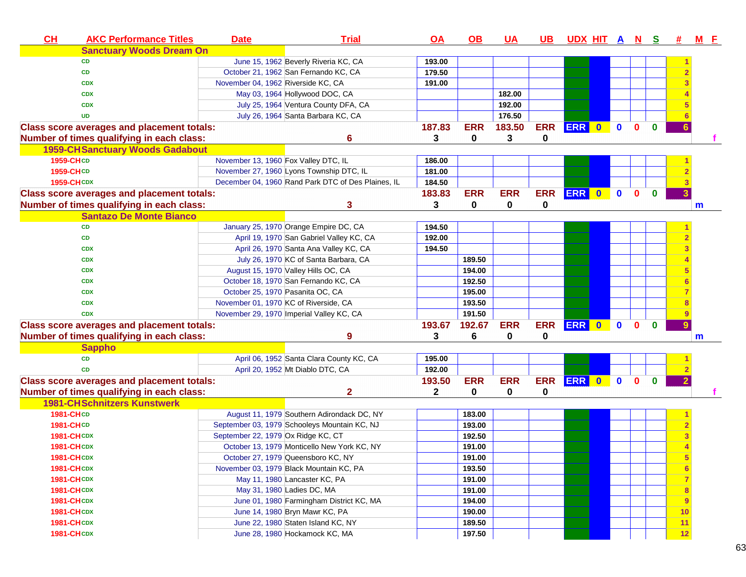| CH<br><b>AKC Performance Titles</b>               | <b>Date</b>                        | <b>Trial</b>                                       | $\overline{OA}$ | <u>OB</u>  | <u>UA</u>  | <u>UB</u>   | <u>UDX HIT A N S</u> |           |              |              |              | 亜  | <u>M E</u>   |
|---------------------------------------------------|------------------------------------|----------------------------------------------------|-----------------|------------|------------|-------------|----------------------|-----------|--------------|--------------|--------------|----|--------------|
| <b>Sanctuary Woods Dream On</b>                   |                                    |                                                    |                 |            |            |             |                      |           |              |              |              |    |              |
| <b>CD</b>                                         |                                    | June 15, 1962 Beverly Riveria KC, CA               | 193.00          |            |            |             |                      |           |              |              |              |    |              |
| <b>CD</b>                                         |                                    | October 21, 1962 San Fernando KC, CA               | 179.50          |            |            |             |                      |           |              |              |              |    |              |
| <b>CDX</b>                                        |                                    | November 04, 1962 Riverside KC, CA                 | 191.00          |            |            |             |                      |           |              |              |              |    |              |
| <b>CDX</b>                                        |                                    | May 03, 1964 Hollywood DOC, CA                     |                 |            | 182.00     |             |                      |           |              |              |              |    |              |
| <b>CDX</b>                                        |                                    | July 25, 1964 Ventura County DFA, CA               |                 |            | 192.00     |             |                      |           |              |              |              |    |              |
| <b>UD</b>                                         |                                    | July 26, 1964 Santa Barbara KC, CA                 |                 |            | 176.50     |             |                      |           |              |              |              |    |              |
| <b>Class score averages and placement totals:</b> |                                    |                                                    | 187.83          | <b>ERR</b> | 183.50     | <b>ERR</b>  | ERR 0                |           | $\mathbf{0}$ | $\mathbf{0}$ | $\mathbf{0}$ |    |              |
| Number of times qualifying in each class:         |                                    | 6                                                  | 3               | $\bf{0}$   | 3          | $\mathbf 0$ |                      |           |              |              |              |    |              |
| <b>1959-CH Sanctuary Woods Gadabout</b>           |                                    |                                                    |                 |            |            |             |                      |           |              |              |              |    |              |
| 1959-CHCD                                         |                                    | November 13, 1960 Fox Valley DTC, IL               | 186.00          |            |            |             |                      |           |              |              |              |    |              |
| 1959-CHCD                                         |                                    | November 27, 1960 Lyons Township DTC, IL           | 181.00          |            |            |             |                      |           |              |              |              |    |              |
| <b>1959-CHCDX</b>                                 |                                    | December 04, 1960 Rand Park DTC of Des Plaines, IL | 184.50          |            |            |             |                      |           |              |              |              |    |              |
| <b>Class score averages and placement totals:</b> |                                    |                                                    | 183.83          | <b>ERR</b> | <b>ERR</b> | <b>ERR</b>  | <b>ERR</b>           | $\bullet$ | $\mathbf{0}$ | $\mathbf{0}$ | $\bf{0}$     |    |              |
| Number of times qualifying in each class:         |                                    | 3                                                  | 3               | 0          | $\bf{0}$   | 0           |                      |           |              |              |              |    | $\mathsf{m}$ |
| <b>Santazo De Monte Bianco</b>                    |                                    |                                                    |                 |            |            |             |                      |           |              |              |              |    |              |
| <b>CD</b>                                         |                                    | January 25, 1970 Orange Empire DC, CA              | 194.50          |            |            |             |                      |           |              |              |              |    |              |
| <b>CD</b>                                         |                                    | April 19, 1970 San Gabriel Valley KC, CA           | 192.00          |            |            |             |                      |           |              |              |              |    |              |
| <b>CDX</b>                                        |                                    | April 26, 1970 Santa Ana Valley KC, CA             | 194.50          |            |            |             |                      |           |              |              |              |    |              |
| <b>CDX</b>                                        |                                    | July 26, 1970 KC of Santa Barbara, CA              |                 | 189.50     |            |             |                      |           |              |              |              |    |              |
| <b>CDX</b>                                        |                                    | August 15, 1970 Valley Hills OC, CA                |                 | 194.00     |            |             |                      |           |              |              |              |    |              |
| <b>CDX</b>                                        |                                    | October 18, 1970 San Fernando KC, CA               |                 | 192.50     |            |             |                      |           |              |              |              |    |              |
| <b>CDX</b>                                        |                                    | October 25, 1970 Pasanita OC, CA                   |                 | 195.00     |            |             |                      |           |              |              |              |    |              |
| <b>CDX</b>                                        |                                    | November 01, 1970 KC of Riverside, CA              |                 | 193.50     |            |             |                      |           |              |              |              |    |              |
| <b>CDX</b>                                        |                                    | November 29, 1970 Imperial Valley KC, CA           |                 | 191.50     |            |             |                      |           |              |              |              |    |              |
| <b>Class score averages and placement totals:</b> |                                    |                                                    | 193.67          | 192.67     | <b>ERR</b> | <b>ERR</b>  | ERR 0                |           | $\bullet$    | $\mathbf{0}$ | $\bf{0}$     |    |              |
| Number of times qualifying in each class:         |                                    | 9                                                  | 3               | 6          | 0          | 0           |                      |           |              |              |              |    | m            |
| <b>Sappho</b>                                     |                                    |                                                    |                 |            |            |             |                      |           |              |              |              |    |              |
| <b>CD</b>                                         |                                    | April 06, 1952 Santa Clara County KC, CA           | 195.00          |            |            |             |                      |           |              |              |              |    |              |
| <b>CD</b>                                         |                                    | April 20, 1952 Mt Diablo DTC, CA                   | 192.00          |            |            |             |                      |           |              |              |              |    |              |
| <b>Class score averages and placement totals:</b> |                                    |                                                    | 193.50          | <b>ERR</b> | <b>ERR</b> | <b>ERR</b>  | ERR 0                |           | $\mathbf{0}$ | $\Omega$     | $\bf{0}$     |    |              |
| Number of times qualifying in each class:         |                                    | $\mathbf{2}$                                       | $\mathbf 2$     | 0          | 0          | 0           |                      |           |              |              |              |    |              |
| <b>1981-CHSchnitzers Kunstwerk</b>                |                                    |                                                    |                 |            |            |             |                      |           |              |              |              |    |              |
| <b>1981-CHCD</b>                                  |                                    | August 11, 1979 Southern Adirondack DC, NY         |                 | 183.00     |            |             |                      |           |              |              |              |    |              |
| <b>1981-CHCD</b>                                  |                                    | September 03, 1979 Schooleys Mountain KC, NJ       |                 | 193.00     |            |             |                      |           |              |              |              |    |              |
| <b>1981-CHCDX</b>                                 | September 22, 1979 Ox Ridge KC, CT |                                                    |                 | 192.50     |            |             |                      |           |              |              |              |    |              |
| <b>1981-CHCDX</b>                                 |                                    | October 13, 1979 Monticello New York KC, NY        |                 | 191.00     |            |             |                      |           |              |              |              |    |              |
| <b>1981-CHCDX</b>                                 |                                    | October 27, 1979 Queensboro KC, NY                 |                 | 191.00     |            |             |                      |           |              |              |              | 5  |              |
| <b>1981-CHCDX</b>                                 |                                    | November 03, 1979 Black Mountain KC, PA            |                 | 193.50     |            |             |                      |           |              |              |              | 6  |              |
| <b>1981-CHCDX</b>                                 |                                    | May 11, 1980 Lancaster KC, PA                      |                 | 191.00     |            |             |                      |           |              |              |              |    |              |
| <b>1981-CHCDX</b>                                 |                                    | May 31, 1980 Ladies DC, MA                         |                 | 191.00     |            |             |                      |           |              |              |              | 8  |              |
| <b>1981-CHCDX</b>                                 |                                    | June 01, 1980 Farmingham District KC, MA           |                 | 194.00     |            |             |                      |           |              |              |              | 9  |              |
| <b>1981-CHCDX</b>                                 |                                    | June 14, 1980 Bryn Mawr KC, PA                     |                 | 190.00     |            |             |                      |           |              |              |              | 10 |              |
| <b>1981-CHCDX</b>                                 |                                    | June 22, 1980 Staten Island KC, NY                 |                 | 189.50     |            |             |                      |           |              |              |              | 11 |              |
| <b>1981-CHCDX</b>                                 |                                    | June 28, 1980 Hockamock KC, MA                     |                 | 197.50     |            |             |                      |           |              |              |              | 12 |              |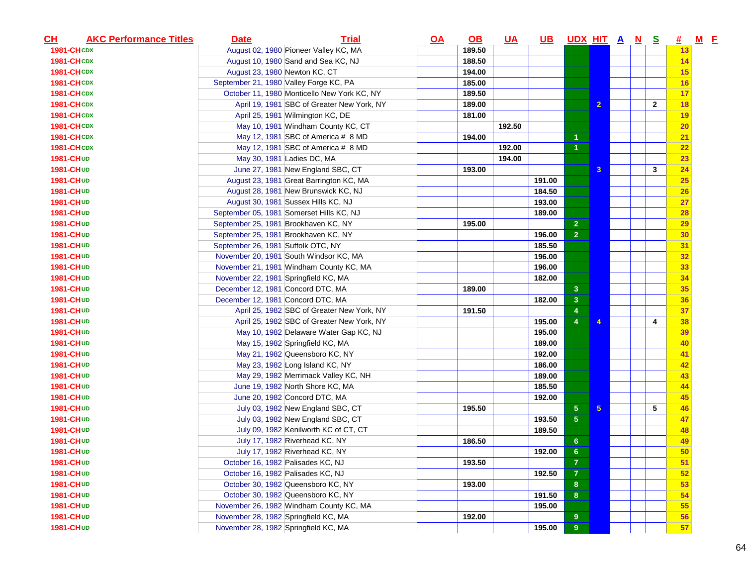| $CH$              | <b>AKC Performance Titles</b> | <b>Date</b>                          | <b>Trial</b>                                | <u>OA</u> | $\Omega$ | <u>UA</u> | <u>UB</u> | UDX HIT A N S           |                 |  |              | <u>#</u>  | $M$ E |  |
|-------------------|-------------------------------|--------------------------------------|---------------------------------------------|-----------|----------|-----------|-----------|-------------------------|-----------------|--|--------------|-----------|-------|--|
| <b>1981-CHCDX</b> |                               |                                      | August 02, 1980 Pioneer Valley KC, MA       |           | 189.50   |           |           |                         |                 |  |              | 13        |       |  |
| <b>1981-CHCDX</b> |                               |                                      | August 10, 1980 Sand and Sea KC, NJ         |           | 188.50   |           |           |                         |                 |  |              | 14        |       |  |
| <b>1981-CHCDX</b> |                               | August 23, 1980 Newton KC, CT        |                                             |           | 194.00   |           |           |                         |                 |  |              | 15        |       |  |
| <b>1981-CHCDX</b> |                               |                                      | September 21, 1980 Valley Forge KC, PA      |           | 185.00   |           |           |                         |                 |  |              | 16        |       |  |
| <b>1981-CHCDX</b> |                               |                                      | October 11, 1980 Monticello New York KC, NY |           | 189.50   |           |           |                         |                 |  |              | 17        |       |  |
| <b>1981-CHCDX</b> |                               |                                      | April 19, 1981 SBC of Greater New York, NY  |           | 189.00   |           |           |                         | $\overline{2}$  |  | $\mathbf{2}$ | 18        |       |  |
| <b>1981-CHCDX</b> |                               |                                      | April 25, 1981 Wilmington KC, DE            |           | 181.00   |           |           |                         |                 |  |              | 19        |       |  |
| <b>1981-CHCDX</b> |                               |                                      | May 10, 1981 Windham County KC, CT          |           |          | 192.50    |           |                         |                 |  |              | <b>20</b> |       |  |
| <b>1981-CHCDX</b> |                               |                                      | May 12, 1981 SBC of America # 8 MD          |           | 194.00   |           |           | 1                       |                 |  |              | 21        |       |  |
| <b>1981-CHCDX</b> |                               |                                      | May 12, 1981 SBC of America # 8 MD          |           |          | 192.00    |           | $\overline{1}$          |                 |  |              | 22        |       |  |
| 1981-CHUD         |                               |                                      | May 30, 1981 Ladies DC, MA                  |           |          | 194.00    |           |                         |                 |  |              | 23        |       |  |
| 1981-CHUD         |                               |                                      | June 27, 1981 New England SBC, CT           |           | 193.00   |           |           |                         | 3               |  | 3            | 24        |       |  |
| 1981-CHUD         |                               |                                      | August 23, 1981 Great Barrington KC, MA     |           |          |           | 191.00    |                         |                 |  |              | 25        |       |  |
| <b>1981-CHUD</b>  |                               |                                      | August 28, 1981 New Brunswick KC, NJ        |           |          |           | 184.50    |                         |                 |  |              | 26        |       |  |
| 1981-CHUD         |                               |                                      | August 30, 1981 Sussex Hills KC, NJ         |           |          |           | 193.00    |                         |                 |  |              | 27        |       |  |
| 1981-CHUD         |                               |                                      | September 05, 1981 Somerset Hills KC, NJ    |           |          |           | 189.00    |                         |                 |  |              | 28        |       |  |
| 1981-CHUD         |                               | September 25, 1981 Brookhaven KC, NY |                                             |           | 195.00   |           |           | $\overline{2}$          |                 |  |              | 29        |       |  |
| 1981-CHUD         |                               | September 25, 1981 Brookhaven KC, NY |                                             |           |          |           | 196.00    | $\overline{2}$          |                 |  |              | 30        |       |  |
| <b>1981-CHUD</b>  |                               | September 26, 1981 Suffolk OTC, NY   |                                             |           |          |           | 185.50    |                         |                 |  |              | 31        |       |  |
| 1981-CHUD         |                               |                                      | November 20, 1981 South Windsor KC, MA      |           |          |           | 196.00    |                         |                 |  |              | 32        |       |  |
| <b>1981-CHUD</b>  |                               |                                      | November 21, 1981 Windham County KC, MA     |           |          |           | 196.00    |                         |                 |  |              | 33        |       |  |
| <b>1981-CHUD</b>  |                               | November 22, 1981 Springfield KC, MA |                                             |           |          |           | 182.00    |                         |                 |  |              | 34        |       |  |
| 1981-CHUD         |                               | December 12, 1981 Concord DTC, MA    |                                             |           | 189.00   |           |           | 3                       |                 |  |              | 35        |       |  |
| 1981-CHUD         |                               | December 12, 1981 Concord DTC, MA    |                                             |           |          |           | 182.00    | $\overline{\mathbf{3}}$ |                 |  |              | 36        |       |  |
| <b>1981-CHUD</b>  |                               |                                      | April 25, 1982 SBC of Greater New York, NY  |           | 191.50   |           |           | $\overline{4}$          |                 |  |              | 37        |       |  |
| 1981-CHUD         |                               |                                      | April 25, 1982 SBC of Greater New York, NY  |           |          |           | 195.00    | $\overline{4}$          | 4               |  | 4            | 38        |       |  |
| 1981-CHUD         |                               |                                      | May 10, 1982 Delaware Water Gap KC, NJ      |           |          |           | 195.00    |                         |                 |  |              | 39        |       |  |
| 1981-CHUD         |                               |                                      | May 15, 1982 Springfield KC, MA             |           |          |           | 189.00    |                         |                 |  |              | 40        |       |  |
| 1981-CHUD         |                               |                                      | May 21, 1982 Queensboro KC, NY              |           |          |           | 192.00    |                         |                 |  |              | 41        |       |  |
| 1981-CHUD         |                               |                                      | May 23, 1982 Long Island KC, NY             |           |          |           | 186.00    |                         |                 |  |              | 42        |       |  |
| 1981-CHUD         |                               |                                      | May 29, 1982 Merrimack Valley KC, NH        |           |          |           | 189.00    |                         |                 |  |              | 43        |       |  |
| 1981-CHUD         |                               |                                      | June 19, 1982 North Shore KC, MA            |           |          |           | 185.50    |                         |                 |  |              | 44        |       |  |
| 1981-CHUD         |                               |                                      | June 20, 1982 Concord DTC, MA               |           |          |           | 192.00    |                         |                 |  |              | 45        |       |  |
| 1981-CHUD         |                               |                                      | July 03, 1982 New England SBC, CT           |           | 195.50   |           |           | $\sqrt{5}$              | $5\phantom{.0}$ |  | 5            | 46        |       |  |
| 1981-CHUD         |                               |                                      | July 03, 1982 New England SBC, CT           |           |          |           | 193.50    | $\sqrt{5}$              |                 |  |              | 47        |       |  |
| <b>1981-CHUD</b>  |                               |                                      | July 09, 1982 Kenilworth KC of CT, CT       |           |          |           | 189.50    |                         |                 |  |              | 48        |       |  |
| <b>1981-CHUD</b>  |                               |                                      | July 17, 1982 Riverhead KC, NY              |           | 186.50   |           |           | $6\phantom{1}6$         |                 |  |              | 49        |       |  |
| 1981-CHUD         |                               |                                      | July 17, 1982 Riverhead KC, NY              |           |          |           | 192.00    | 6 <sup>6</sup>          |                 |  |              | 50        |       |  |
| <b>1981-CHUD</b>  |                               |                                      | October 16, 1982 Palisades KC, NJ           |           | 193.50   |           |           | $\bf 7$                 |                 |  |              | 51        |       |  |
| 1981-CHUD         |                               |                                      | October 16, 1982 Palisades KC, NJ           |           |          |           | 192.50    | $\overline{7}$          |                 |  |              | 52        |       |  |
| 1981-CHUD         |                               |                                      | October 30, 1982 Queensboro KC, NY          |           | 193.00   |           |           | 8                       |                 |  |              | 53        |       |  |
| <b>1981-CHUD</b>  |                               |                                      | October 30, 1982 Queensboro KC, NY          |           |          |           | 191.50    | $\boldsymbol{8}$        |                 |  |              | 54        |       |  |
| <b>1981-CHUD</b>  |                               |                                      | November 26, 1982 Windham County KC, MA     |           |          |           | 195.00    |                         |                 |  |              | 55        |       |  |
| 1981-CHUD         |                               | November 28, 1982 Springfield KC, MA |                                             |           | 192.00   |           |           | 9                       |                 |  |              | 56        |       |  |
| 1981-CHUD         |                               | November 28, 1982 Springfield KC, MA |                                             |           |          |           | 195.00    | $\pmb{9}$               |                 |  |              | 57        |       |  |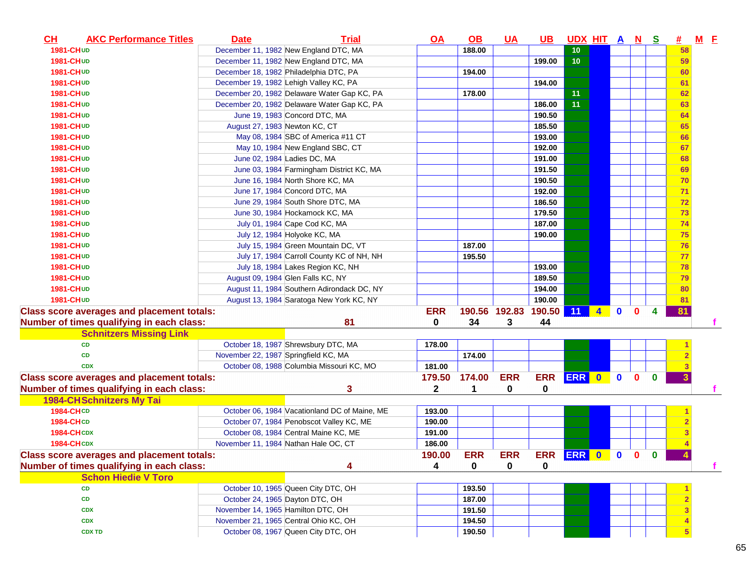| 1981-CHUD<br>December 11, 1982 New England DTC, MA<br>188.00<br>10<br>1981-CHUD<br>December 11, 1982 New England DTC, MA<br>199.00<br>10 <sub>1</sub><br>December 18, 1982 Philadelphia DTC, PA<br>194.00<br><b>1981-CHUD</b><br>December 19, 1982 Lehigh Valley KC, PA<br>194.00<br><b>1981-CHUD</b><br>11<br>December 20, 1982 Delaware Water Gap KC, PA<br>178.00<br>1981-CHUD<br>11<br>December 20, 1982 Delaware Water Gap KC, PA<br>186.00<br><b>1981-CHUD</b><br>June 19, 1983 Concord DTC, MA<br>190.50<br><b>1981-CHUD</b><br>August 27, 1983 Newton KC, CT<br>1981-CHUD<br>185.50<br>193.00<br>May 08, 1984 SBC of America #11 CT<br><b>1981-CHUD</b><br>1981-CHUD<br>May 10, 1984 New England SBC, CT<br>192.00<br>191.00<br><b>1981-CHUD</b><br>June 02, 1984 Ladies DC, MA<br>June 03, 1984 Farmingham District KC, MA<br>191.50<br><b>1981-CHUD</b><br>June 16, 1984 North Shore KC, MA<br><b>1981-CHUD</b><br>190.50<br>June 17, 1984 Concord DTC, MA<br>192.00<br>1981-CHUD<br>June 29, 1984 South Shore DTC, MA<br>186.50<br><b>1981-CHUD</b><br>June 30, 1984 Hockamock KC, MA<br>179.50<br>1981-CHUD<br>July 01, 1984 Cape Cod KC, MA<br>1981-CHUD<br>187.00<br>190.00<br><b>1981-CHUD</b><br>July 12, 1984 Holyoke KC, MA<br>July 15, 1984 Green Mountain DC, VT<br>1981-CHUD<br>187.00<br>July 17, 1984 Carroll County KC of NH, NH<br>195.50<br>1981-CHUD<br>193.00<br><b>1981-CHUD</b><br>July 18, 1984 Lakes Region KC, NH<br>189.50<br>August 09, 1984 Glen Falls KC, NY<br>1981-CHUD<br>194.00<br>1981-CHUD<br>August 11, 1984 Southern Adirondack DC, NY<br>190.00<br>1981-CHUD<br>August 13, 1984 Saratoga New York KC, NY<br>190.56 192.83<br>190.50 11<br><b>ERR</b><br>$\mathbf{0}$<br>$\blacktriangleleft$<br>$\mathbf{0}$<br>4<br>81<br>0<br>34<br>3<br>44<br><b>Schnitzers Missing Link</b><br>October 18, 1987 Shrewsbury DTC, MA<br><b>CD</b><br>178.00<br>174.00<br>November 22, 1987 Springfield KC, MA<br><b>CD</b><br>October 08, 1988 Columbia Missouri KC, MO<br>181.00<br><b>CDX</b><br>ERR 0 0<br>$\mathbf{0}$<br>179.50<br>174.00<br><b>ERR</b><br><b>ERR</b><br>$\mathbf{0}$<br>2<br>0<br>3<br>1<br>0<br><b>1984-CHSchnitzers My Tai</b><br><b>1984-CHCD</b><br>October 06, 1984 Vacationland DC of Maine, ME<br>193.00<br>190.00<br>1984-CHCD<br>October 07, 1984 Penobscot Valley KC, ME<br><b>1984-CHCDX</b><br>October 08, 1984 Central Maine KC, ME<br>191.00<br><b>1984-CHCDX</b><br>November 11, 1984 Nathan Hale OC, CT<br>186.00<br>ERR ERR 0 0 0 0<br><b>ERR</b><br><b>ERR</b><br>190.00<br>0<br>0<br>4<br>4<br>0<br><b>Schon Hiedie V Toro</b><br>October 10, 1965 Queen City DTC, OH<br>193.50<br><b>CD</b><br>October 24, 1965 Dayton DTC, OH<br>187.00<br>CD<br>November 14, 1965 Hamilton DTC, OH<br>191.50<br><b>CDX</b><br>November 21, 1965 Central Ohio KC, OH<br>194.50<br><b>CDX</b><br>October 08, 1967 Queen City DTC, OH<br><b>CDX TD</b><br>190.50 | $M$ $E$<br><u>#</u><br><u>UDX HIT A N S</u> |  | $UB$ | $UA$ | $\Omega$ | <u>OA</u> | <b>Trial</b> | <b>Date</b> | <b>AKC Performance Titles</b> | $CH$ |
|---------------------------------------------------------------------------------------------------------------------------------------------------------------------------------------------------------------------------------------------------------------------------------------------------------------------------------------------------------------------------------------------------------------------------------------------------------------------------------------------------------------------------------------------------------------------------------------------------------------------------------------------------------------------------------------------------------------------------------------------------------------------------------------------------------------------------------------------------------------------------------------------------------------------------------------------------------------------------------------------------------------------------------------------------------------------------------------------------------------------------------------------------------------------------------------------------------------------------------------------------------------------------------------------------------------------------------------------------------------------------------------------------------------------------------------------------------------------------------------------------------------------------------------------------------------------------------------------------------------------------------------------------------------------------------------------------------------------------------------------------------------------------------------------------------------------------------------------------------------------------------------------------------------------------------------------------------------------------------------------------------------------------------------------------------------------------------------------------------------------------------------------------------------------------------------------------------------------------------------------------------------------------------------------------------------------------------------------------------------------------------------------------------------------------------------------------------------------------------------------------------------------------------------------------------------------------------------------------------------------------------------------------------------------------------------------------------------------------------------------------------------------------------------------------------------------------------------------------------------------------------------------------------------------------|---------------------------------------------|--|------|------|----------|-----------|--------------|-------------|-------------------------------|------|
|                                                                                                                                                                                                                                                                                                                                                                                                                                                                                                                                                                                                                                                                                                                                                                                                                                                                                                                                                                                                                                                                                                                                                                                                                                                                                                                                                                                                                                                                                                                                                                                                                                                                                                                                                                                                                                                                                                                                                                                                                                                                                                                                                                                                                                                                                                                                                                                                                                                                                                                                                                                                                                                                                                                                                                                                                                                                                                                           | 58                                          |  |      |      |          |           |              |             |                               |      |
| <b>Class score averages and placement totals:</b><br>Number of times qualifying in each class:<br><b>Class score averages and placement totals:</b><br>Number of times qualifying in each class:<br><b>Class score averages and placement totals:</b><br>Number of times qualifying in each class:                                                                                                                                                                                                                                                                                                                                                                                                                                                                                                                                                                                                                                                                                                                                                                                                                                                                                                                                                                                                                                                                                                                                                                                                                                                                                                                                                                                                                                                                                                                                                                                                                                                                                                                                                                                                                                                                                                                                                                                                                                                                                                                                                                                                                                                                                                                                                                                                                                                                                                                                                                                                                        | 59                                          |  |      |      |          |           |              |             |                               |      |
|                                                                                                                                                                                                                                                                                                                                                                                                                                                                                                                                                                                                                                                                                                                                                                                                                                                                                                                                                                                                                                                                                                                                                                                                                                                                                                                                                                                                                                                                                                                                                                                                                                                                                                                                                                                                                                                                                                                                                                                                                                                                                                                                                                                                                                                                                                                                                                                                                                                                                                                                                                                                                                                                                                                                                                                                                                                                                                                           | 60                                          |  |      |      |          |           |              |             |                               |      |
|                                                                                                                                                                                                                                                                                                                                                                                                                                                                                                                                                                                                                                                                                                                                                                                                                                                                                                                                                                                                                                                                                                                                                                                                                                                                                                                                                                                                                                                                                                                                                                                                                                                                                                                                                                                                                                                                                                                                                                                                                                                                                                                                                                                                                                                                                                                                                                                                                                                                                                                                                                                                                                                                                                                                                                                                                                                                                                                           | 61                                          |  |      |      |          |           |              |             |                               |      |
|                                                                                                                                                                                                                                                                                                                                                                                                                                                                                                                                                                                                                                                                                                                                                                                                                                                                                                                                                                                                                                                                                                                                                                                                                                                                                                                                                                                                                                                                                                                                                                                                                                                                                                                                                                                                                                                                                                                                                                                                                                                                                                                                                                                                                                                                                                                                                                                                                                                                                                                                                                                                                                                                                                                                                                                                                                                                                                                           | 62                                          |  |      |      |          |           |              |             |                               |      |
|                                                                                                                                                                                                                                                                                                                                                                                                                                                                                                                                                                                                                                                                                                                                                                                                                                                                                                                                                                                                                                                                                                                                                                                                                                                                                                                                                                                                                                                                                                                                                                                                                                                                                                                                                                                                                                                                                                                                                                                                                                                                                                                                                                                                                                                                                                                                                                                                                                                                                                                                                                                                                                                                                                                                                                                                                                                                                                                           | 63                                          |  |      |      |          |           |              |             |                               |      |
|                                                                                                                                                                                                                                                                                                                                                                                                                                                                                                                                                                                                                                                                                                                                                                                                                                                                                                                                                                                                                                                                                                                                                                                                                                                                                                                                                                                                                                                                                                                                                                                                                                                                                                                                                                                                                                                                                                                                                                                                                                                                                                                                                                                                                                                                                                                                                                                                                                                                                                                                                                                                                                                                                                                                                                                                                                                                                                                           | 64                                          |  |      |      |          |           |              |             |                               |      |
|                                                                                                                                                                                                                                                                                                                                                                                                                                                                                                                                                                                                                                                                                                                                                                                                                                                                                                                                                                                                                                                                                                                                                                                                                                                                                                                                                                                                                                                                                                                                                                                                                                                                                                                                                                                                                                                                                                                                                                                                                                                                                                                                                                                                                                                                                                                                                                                                                                                                                                                                                                                                                                                                                                                                                                                                                                                                                                                           | 65                                          |  |      |      |          |           |              |             |                               |      |
|                                                                                                                                                                                                                                                                                                                                                                                                                                                                                                                                                                                                                                                                                                                                                                                                                                                                                                                                                                                                                                                                                                                                                                                                                                                                                                                                                                                                                                                                                                                                                                                                                                                                                                                                                                                                                                                                                                                                                                                                                                                                                                                                                                                                                                                                                                                                                                                                                                                                                                                                                                                                                                                                                                                                                                                                                                                                                                                           | 66                                          |  |      |      |          |           |              |             |                               |      |
|                                                                                                                                                                                                                                                                                                                                                                                                                                                                                                                                                                                                                                                                                                                                                                                                                                                                                                                                                                                                                                                                                                                                                                                                                                                                                                                                                                                                                                                                                                                                                                                                                                                                                                                                                                                                                                                                                                                                                                                                                                                                                                                                                                                                                                                                                                                                                                                                                                                                                                                                                                                                                                                                                                                                                                                                                                                                                                                           | 67                                          |  |      |      |          |           |              |             |                               |      |
|                                                                                                                                                                                                                                                                                                                                                                                                                                                                                                                                                                                                                                                                                                                                                                                                                                                                                                                                                                                                                                                                                                                                                                                                                                                                                                                                                                                                                                                                                                                                                                                                                                                                                                                                                                                                                                                                                                                                                                                                                                                                                                                                                                                                                                                                                                                                                                                                                                                                                                                                                                                                                                                                                                                                                                                                                                                                                                                           | 68                                          |  |      |      |          |           |              |             |                               |      |
|                                                                                                                                                                                                                                                                                                                                                                                                                                                                                                                                                                                                                                                                                                                                                                                                                                                                                                                                                                                                                                                                                                                                                                                                                                                                                                                                                                                                                                                                                                                                                                                                                                                                                                                                                                                                                                                                                                                                                                                                                                                                                                                                                                                                                                                                                                                                                                                                                                                                                                                                                                                                                                                                                                                                                                                                                                                                                                                           | 69                                          |  |      |      |          |           |              |             |                               |      |
|                                                                                                                                                                                                                                                                                                                                                                                                                                                                                                                                                                                                                                                                                                                                                                                                                                                                                                                                                                                                                                                                                                                                                                                                                                                                                                                                                                                                                                                                                                                                                                                                                                                                                                                                                                                                                                                                                                                                                                                                                                                                                                                                                                                                                                                                                                                                                                                                                                                                                                                                                                                                                                                                                                                                                                                                                                                                                                                           | 70                                          |  |      |      |          |           |              |             |                               |      |
|                                                                                                                                                                                                                                                                                                                                                                                                                                                                                                                                                                                                                                                                                                                                                                                                                                                                                                                                                                                                                                                                                                                                                                                                                                                                                                                                                                                                                                                                                                                                                                                                                                                                                                                                                                                                                                                                                                                                                                                                                                                                                                                                                                                                                                                                                                                                                                                                                                                                                                                                                                                                                                                                                                                                                                                                                                                                                                                           | 71                                          |  |      |      |          |           |              |             |                               |      |
|                                                                                                                                                                                                                                                                                                                                                                                                                                                                                                                                                                                                                                                                                                                                                                                                                                                                                                                                                                                                                                                                                                                                                                                                                                                                                                                                                                                                                                                                                                                                                                                                                                                                                                                                                                                                                                                                                                                                                                                                                                                                                                                                                                                                                                                                                                                                                                                                                                                                                                                                                                                                                                                                                                                                                                                                                                                                                                                           | 72                                          |  |      |      |          |           |              |             |                               |      |
|                                                                                                                                                                                                                                                                                                                                                                                                                                                                                                                                                                                                                                                                                                                                                                                                                                                                                                                                                                                                                                                                                                                                                                                                                                                                                                                                                                                                                                                                                                                                                                                                                                                                                                                                                                                                                                                                                                                                                                                                                                                                                                                                                                                                                                                                                                                                                                                                                                                                                                                                                                                                                                                                                                                                                                                                                                                                                                                           | 73                                          |  |      |      |          |           |              |             |                               |      |
|                                                                                                                                                                                                                                                                                                                                                                                                                                                                                                                                                                                                                                                                                                                                                                                                                                                                                                                                                                                                                                                                                                                                                                                                                                                                                                                                                                                                                                                                                                                                                                                                                                                                                                                                                                                                                                                                                                                                                                                                                                                                                                                                                                                                                                                                                                                                                                                                                                                                                                                                                                                                                                                                                                                                                                                                                                                                                                                           | 74                                          |  |      |      |          |           |              |             |                               |      |
|                                                                                                                                                                                                                                                                                                                                                                                                                                                                                                                                                                                                                                                                                                                                                                                                                                                                                                                                                                                                                                                                                                                                                                                                                                                                                                                                                                                                                                                                                                                                                                                                                                                                                                                                                                                                                                                                                                                                                                                                                                                                                                                                                                                                                                                                                                                                                                                                                                                                                                                                                                                                                                                                                                                                                                                                                                                                                                                           | 75                                          |  |      |      |          |           |              |             |                               |      |
|                                                                                                                                                                                                                                                                                                                                                                                                                                                                                                                                                                                                                                                                                                                                                                                                                                                                                                                                                                                                                                                                                                                                                                                                                                                                                                                                                                                                                                                                                                                                                                                                                                                                                                                                                                                                                                                                                                                                                                                                                                                                                                                                                                                                                                                                                                                                                                                                                                                                                                                                                                                                                                                                                                                                                                                                                                                                                                                           | 76                                          |  |      |      |          |           |              |             |                               |      |
|                                                                                                                                                                                                                                                                                                                                                                                                                                                                                                                                                                                                                                                                                                                                                                                                                                                                                                                                                                                                                                                                                                                                                                                                                                                                                                                                                                                                                                                                                                                                                                                                                                                                                                                                                                                                                                                                                                                                                                                                                                                                                                                                                                                                                                                                                                                                                                                                                                                                                                                                                                                                                                                                                                                                                                                                                                                                                                                           | 77                                          |  |      |      |          |           |              |             |                               |      |
|                                                                                                                                                                                                                                                                                                                                                                                                                                                                                                                                                                                                                                                                                                                                                                                                                                                                                                                                                                                                                                                                                                                                                                                                                                                                                                                                                                                                                                                                                                                                                                                                                                                                                                                                                                                                                                                                                                                                                                                                                                                                                                                                                                                                                                                                                                                                                                                                                                                                                                                                                                                                                                                                                                                                                                                                                                                                                                                           | 78                                          |  |      |      |          |           |              |             |                               |      |
|                                                                                                                                                                                                                                                                                                                                                                                                                                                                                                                                                                                                                                                                                                                                                                                                                                                                                                                                                                                                                                                                                                                                                                                                                                                                                                                                                                                                                                                                                                                                                                                                                                                                                                                                                                                                                                                                                                                                                                                                                                                                                                                                                                                                                                                                                                                                                                                                                                                                                                                                                                                                                                                                                                                                                                                                                                                                                                                           | 79                                          |  |      |      |          |           |              |             |                               |      |
|                                                                                                                                                                                                                                                                                                                                                                                                                                                                                                                                                                                                                                                                                                                                                                                                                                                                                                                                                                                                                                                                                                                                                                                                                                                                                                                                                                                                                                                                                                                                                                                                                                                                                                                                                                                                                                                                                                                                                                                                                                                                                                                                                                                                                                                                                                                                                                                                                                                                                                                                                                                                                                                                                                                                                                                                                                                                                                                           | 80                                          |  |      |      |          |           |              |             |                               |      |
|                                                                                                                                                                                                                                                                                                                                                                                                                                                                                                                                                                                                                                                                                                                                                                                                                                                                                                                                                                                                                                                                                                                                                                                                                                                                                                                                                                                                                                                                                                                                                                                                                                                                                                                                                                                                                                                                                                                                                                                                                                                                                                                                                                                                                                                                                                                                                                                                                                                                                                                                                                                                                                                                                                                                                                                                                                                                                                                           | 81                                          |  |      |      |          |           |              |             |                               |      |
|                                                                                                                                                                                                                                                                                                                                                                                                                                                                                                                                                                                                                                                                                                                                                                                                                                                                                                                                                                                                                                                                                                                                                                                                                                                                                                                                                                                                                                                                                                                                                                                                                                                                                                                                                                                                                                                                                                                                                                                                                                                                                                                                                                                                                                                                                                                                                                                                                                                                                                                                                                                                                                                                                                                                                                                                                                                                                                                           | 81                                          |  |      |      |          |           |              |             |                               |      |
|                                                                                                                                                                                                                                                                                                                                                                                                                                                                                                                                                                                                                                                                                                                                                                                                                                                                                                                                                                                                                                                                                                                                                                                                                                                                                                                                                                                                                                                                                                                                                                                                                                                                                                                                                                                                                                                                                                                                                                                                                                                                                                                                                                                                                                                                                                                                                                                                                                                                                                                                                                                                                                                                                                                                                                                                                                                                                                                           |                                             |  |      |      |          |           |              |             |                               |      |
|                                                                                                                                                                                                                                                                                                                                                                                                                                                                                                                                                                                                                                                                                                                                                                                                                                                                                                                                                                                                                                                                                                                                                                                                                                                                                                                                                                                                                                                                                                                                                                                                                                                                                                                                                                                                                                                                                                                                                                                                                                                                                                                                                                                                                                                                                                                                                                                                                                                                                                                                                                                                                                                                                                                                                                                                                                                                                                                           |                                             |  |      |      |          |           |              |             |                               |      |
|                                                                                                                                                                                                                                                                                                                                                                                                                                                                                                                                                                                                                                                                                                                                                                                                                                                                                                                                                                                                                                                                                                                                                                                                                                                                                                                                                                                                                                                                                                                                                                                                                                                                                                                                                                                                                                                                                                                                                                                                                                                                                                                                                                                                                                                                                                                                                                                                                                                                                                                                                                                                                                                                                                                                                                                                                                                                                                                           |                                             |  |      |      |          |           |              |             |                               |      |
|                                                                                                                                                                                                                                                                                                                                                                                                                                                                                                                                                                                                                                                                                                                                                                                                                                                                                                                                                                                                                                                                                                                                                                                                                                                                                                                                                                                                                                                                                                                                                                                                                                                                                                                                                                                                                                                                                                                                                                                                                                                                                                                                                                                                                                                                                                                                                                                                                                                                                                                                                                                                                                                                                                                                                                                                                                                                                                                           |                                             |  |      |      |          |           |              |             |                               |      |
|                                                                                                                                                                                                                                                                                                                                                                                                                                                                                                                                                                                                                                                                                                                                                                                                                                                                                                                                                                                                                                                                                                                                                                                                                                                                                                                                                                                                                                                                                                                                                                                                                                                                                                                                                                                                                                                                                                                                                                                                                                                                                                                                                                                                                                                                                                                                                                                                                                                                                                                                                                                                                                                                                                                                                                                                                                                                                                                           |                                             |  |      |      |          |           |              |             |                               |      |
|                                                                                                                                                                                                                                                                                                                                                                                                                                                                                                                                                                                                                                                                                                                                                                                                                                                                                                                                                                                                                                                                                                                                                                                                                                                                                                                                                                                                                                                                                                                                                                                                                                                                                                                                                                                                                                                                                                                                                                                                                                                                                                                                                                                                                                                                                                                                                                                                                                                                                                                                                                                                                                                                                                                                                                                                                                                                                                                           | $\mathbf{3}$                                |  |      |      |          |           |              |             |                               |      |
|                                                                                                                                                                                                                                                                                                                                                                                                                                                                                                                                                                                                                                                                                                                                                                                                                                                                                                                                                                                                                                                                                                                                                                                                                                                                                                                                                                                                                                                                                                                                                                                                                                                                                                                                                                                                                                                                                                                                                                                                                                                                                                                                                                                                                                                                                                                                                                                                                                                                                                                                                                                                                                                                                                                                                                                                                                                                                                                           |                                             |  |      |      |          |           |              |             |                               |      |
|                                                                                                                                                                                                                                                                                                                                                                                                                                                                                                                                                                                                                                                                                                                                                                                                                                                                                                                                                                                                                                                                                                                                                                                                                                                                                                                                                                                                                                                                                                                                                                                                                                                                                                                                                                                                                                                                                                                                                                                                                                                                                                                                                                                                                                                                                                                                                                                                                                                                                                                                                                                                                                                                                                                                                                                                                                                                                                                           |                                             |  |      |      |          |           |              |             |                               |      |
|                                                                                                                                                                                                                                                                                                                                                                                                                                                                                                                                                                                                                                                                                                                                                                                                                                                                                                                                                                                                                                                                                                                                                                                                                                                                                                                                                                                                                                                                                                                                                                                                                                                                                                                                                                                                                                                                                                                                                                                                                                                                                                                                                                                                                                                                                                                                                                                                                                                                                                                                                                                                                                                                                                                                                                                                                                                                                                                           |                                             |  |      |      |          |           |              |             |                               |      |
|                                                                                                                                                                                                                                                                                                                                                                                                                                                                                                                                                                                                                                                                                                                                                                                                                                                                                                                                                                                                                                                                                                                                                                                                                                                                                                                                                                                                                                                                                                                                                                                                                                                                                                                                                                                                                                                                                                                                                                                                                                                                                                                                                                                                                                                                                                                                                                                                                                                                                                                                                                                                                                                                                                                                                                                                                                                                                                                           |                                             |  |      |      |          |           |              |             |                               |      |
|                                                                                                                                                                                                                                                                                                                                                                                                                                                                                                                                                                                                                                                                                                                                                                                                                                                                                                                                                                                                                                                                                                                                                                                                                                                                                                                                                                                                                                                                                                                                                                                                                                                                                                                                                                                                                                                                                                                                                                                                                                                                                                                                                                                                                                                                                                                                                                                                                                                                                                                                                                                                                                                                                                                                                                                                                                                                                                                           |                                             |  |      |      |          |           |              |             |                               |      |
|                                                                                                                                                                                                                                                                                                                                                                                                                                                                                                                                                                                                                                                                                                                                                                                                                                                                                                                                                                                                                                                                                                                                                                                                                                                                                                                                                                                                                                                                                                                                                                                                                                                                                                                                                                                                                                                                                                                                                                                                                                                                                                                                                                                                                                                                                                                                                                                                                                                                                                                                                                                                                                                                                                                                                                                                                                                                                                                           |                                             |  |      |      |          |           |              |             |                               |      |
|                                                                                                                                                                                                                                                                                                                                                                                                                                                                                                                                                                                                                                                                                                                                                                                                                                                                                                                                                                                                                                                                                                                                                                                                                                                                                                                                                                                                                                                                                                                                                                                                                                                                                                                                                                                                                                                                                                                                                                                                                                                                                                                                                                                                                                                                                                                                                                                                                                                                                                                                                                                                                                                                                                                                                                                                                                                                                                                           |                                             |  |      |      |          |           |              |             |                               |      |
|                                                                                                                                                                                                                                                                                                                                                                                                                                                                                                                                                                                                                                                                                                                                                                                                                                                                                                                                                                                                                                                                                                                                                                                                                                                                                                                                                                                                                                                                                                                                                                                                                                                                                                                                                                                                                                                                                                                                                                                                                                                                                                                                                                                                                                                                                                                                                                                                                                                                                                                                                                                                                                                                                                                                                                                                                                                                                                                           |                                             |  |      |      |          |           |              |             |                               |      |
|                                                                                                                                                                                                                                                                                                                                                                                                                                                                                                                                                                                                                                                                                                                                                                                                                                                                                                                                                                                                                                                                                                                                                                                                                                                                                                                                                                                                                                                                                                                                                                                                                                                                                                                                                                                                                                                                                                                                                                                                                                                                                                                                                                                                                                                                                                                                                                                                                                                                                                                                                                                                                                                                                                                                                                                                                                                                                                                           |                                             |  |      |      |          |           |              |             |                               |      |
|                                                                                                                                                                                                                                                                                                                                                                                                                                                                                                                                                                                                                                                                                                                                                                                                                                                                                                                                                                                                                                                                                                                                                                                                                                                                                                                                                                                                                                                                                                                                                                                                                                                                                                                                                                                                                                                                                                                                                                                                                                                                                                                                                                                                                                                                                                                                                                                                                                                                                                                                                                                                                                                                                                                                                                                                                                                                                                                           |                                             |  |      |      |          |           |              |             |                               |      |
|                                                                                                                                                                                                                                                                                                                                                                                                                                                                                                                                                                                                                                                                                                                                                                                                                                                                                                                                                                                                                                                                                                                                                                                                                                                                                                                                                                                                                                                                                                                                                                                                                                                                                                                                                                                                                                                                                                                                                                                                                                                                                                                                                                                                                                                                                                                                                                                                                                                                                                                                                                                                                                                                                                                                                                                                                                                                                                                           |                                             |  |      |      |          |           |              |             |                               |      |
|                                                                                                                                                                                                                                                                                                                                                                                                                                                                                                                                                                                                                                                                                                                                                                                                                                                                                                                                                                                                                                                                                                                                                                                                                                                                                                                                                                                                                                                                                                                                                                                                                                                                                                                                                                                                                                                                                                                                                                                                                                                                                                                                                                                                                                                                                                                                                                                                                                                                                                                                                                                                                                                                                                                                                                                                                                                                                                                           |                                             |  |      |      |          |           |              |             |                               |      |
|                                                                                                                                                                                                                                                                                                                                                                                                                                                                                                                                                                                                                                                                                                                                                                                                                                                                                                                                                                                                                                                                                                                                                                                                                                                                                                                                                                                                                                                                                                                                                                                                                                                                                                                                                                                                                                                                                                                                                                                                                                                                                                                                                                                                                                                                                                                                                                                                                                                                                                                                                                                                                                                                                                                                                                                                                                                                                                                           |                                             |  |      |      |          |           |              |             |                               |      |
|                                                                                                                                                                                                                                                                                                                                                                                                                                                                                                                                                                                                                                                                                                                                                                                                                                                                                                                                                                                                                                                                                                                                                                                                                                                                                                                                                                                                                                                                                                                                                                                                                                                                                                                                                                                                                                                                                                                                                                                                                                                                                                                                                                                                                                                                                                                                                                                                                                                                                                                                                                                                                                                                                                                                                                                                                                                                                                                           |                                             |  |      |      |          |           |              |             |                               |      |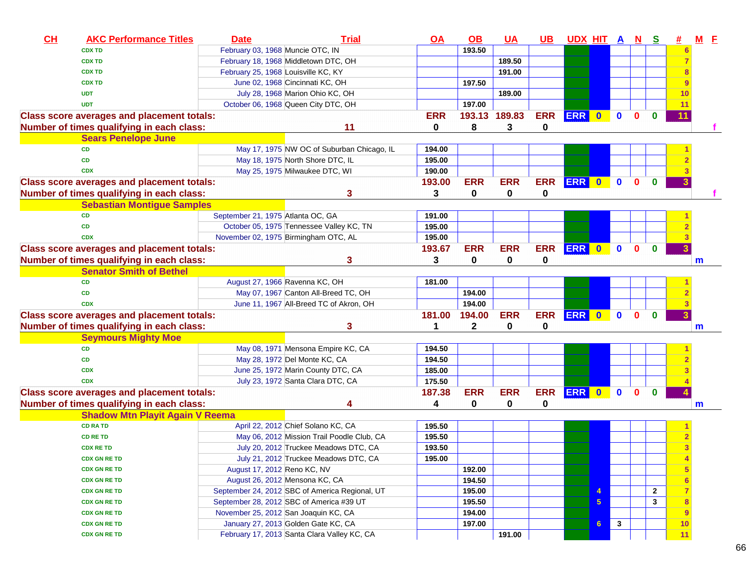| CL | <b>AKC Performance Titles</b>                     | <b>Date</b>                         | <b>Trial</b>                                   | <u>OA</u>  | $\underline{\mathsf{OB}}$ | <b>UA</b>  | $UB$       | <u>UDX HIT A</u> |   |              | $\mathbf{N}$ | <u>s</u>     |                  | $M$ E |  |
|----|---------------------------------------------------|-------------------------------------|------------------------------------------------|------------|---------------------------|------------|------------|------------------|---|--------------|--------------|--------------|------------------|-------|--|
|    | <b>CDX TD</b>                                     | February 03, 1968 Muncie OTC, IN    |                                                |            | 193.50                    |            |            |                  |   |              |              |              | 6                |       |  |
|    | <b>CDX TD</b>                                     |                                     | February 18, 1968 Middletown DTC, OH           |            |                           | 189.50     |            |                  |   |              |              |              |                  |       |  |
|    | <b>CDX TD</b>                                     | February 25, 1968 Louisville KC, KY |                                                |            |                           | 191.00     |            |                  |   |              |              |              |                  |       |  |
|    | <b>CDX TD</b>                                     |                                     | June 02, 1968 Cincinnati KC, OH                |            | 197.50                    |            |            |                  |   |              |              |              |                  |       |  |
|    | <b>UDT</b>                                        |                                     | July 28, 1968 Marion Ohio KC, OH               |            |                           | 189.00     |            |                  |   |              |              |              | 10               |       |  |
|    | <b>UDT</b>                                        |                                     | October 06, 1968 Queen City DTC, OH            |            | 197.00                    |            |            |                  |   |              |              |              | 11               |       |  |
|    | <b>Class score averages and placement totals:</b> |                                     |                                                | <b>ERR</b> | 193.13                    | 189.83     | <b>ERR</b> | ERR 0            |   | $\bf{0}$     | $\bf{0}$     | $\bf{0}$     | 11               |       |  |
|    | Number of times qualifying in each class:         |                                     | 11                                             | 0          | 8                         | 3          | 0          |                  |   |              |              |              |                  |       |  |
|    | <b>Sears Penelope June</b>                        |                                     |                                                |            |                           |            |            |                  |   |              |              |              |                  |       |  |
|    | <b>CD</b>                                         |                                     | May 17, 1975 NW OC of Suburban Chicago, IL     | 194.00     |                           |            |            |                  |   |              |              |              |                  |       |  |
|    | <b>CD</b>                                         |                                     | May 18, 1975 North Shore DTC, IL               | 195.00     |                           |            |            |                  |   |              |              |              |                  |       |  |
|    | <b>CDX</b>                                        |                                     | May 25, 1975 Milwaukee DTC, WI                 | 190.00     |                           |            |            |                  |   |              |              |              |                  |       |  |
|    | <b>Class score averages and placement totals:</b> |                                     |                                                | 193.00     | <b>ERR</b>                | <b>ERR</b> | <b>ERR</b> | <b>ERR</b> 0     |   | $\mathbf{0}$ | $\mathbf{0}$ | $\mathbf{0}$ |                  |       |  |
|    | Number of times qualifying in each class:         |                                     | 3                                              | 3          | 0                         | 0          | 0          |                  |   |              |              |              |                  |       |  |
|    | <b>Sebastian Montigue Samples</b>                 |                                     |                                                |            |                           |            |            |                  |   |              |              |              |                  |       |  |
|    | <b>CD</b>                                         | September 21, 1975 Atlanta OC, GA   |                                                | 191.00     |                           |            |            |                  |   |              |              |              |                  |       |  |
|    | <b>CD</b>                                         |                                     | October 05, 1975 Tennessee Valley KC, TN       | 195.00     |                           |            |            |                  |   |              |              |              |                  |       |  |
|    | <b>CDX</b>                                        |                                     | November 02, 1975 Birmingham OTC, AL           | 195.00     |                           |            |            |                  |   |              |              |              |                  |       |  |
|    | <b>Class score averages and placement totals:</b> |                                     |                                                | 193.67     | <b>ERR</b>                | <b>ERR</b> | <b>ERR</b> | ERR 0            |   | $\bullet$    | $\mathbf 0$  | $\mathbf{0}$ |                  |       |  |
|    | Number of times qualifying in each class:         |                                     | 3                                              | 3          | 0                         | 0          | 0          |                  |   |              |              |              |                  | m     |  |
|    | <b>Senator Smith of Bethel</b>                    |                                     |                                                |            |                           |            |            |                  |   |              |              |              |                  |       |  |
|    | <b>CD</b>                                         |                                     | August 27, 1966 Ravenna KC, OH                 | 181.00     |                           |            |            |                  |   |              |              |              |                  |       |  |
|    | <b>CD</b>                                         |                                     | May 07, 1967 Canton All-Breed TC, OH           |            | 194.00                    |            |            |                  |   |              |              |              |                  |       |  |
|    | <b>CDX</b>                                        |                                     | June 11, 1967 All-Breed TC of Akron, OH        |            | 194.00                    |            |            |                  |   |              |              |              |                  |       |  |
|    | <b>Class score averages and placement totals:</b> |                                     |                                                | 181.00     | 194.00                    | <b>ERR</b> | <b>ERR</b> | ERR 0            |   | $\bullet$    | $\mathbf{0}$ | $\mathbf{0}$ |                  |       |  |
|    | Number of times qualifying in each class:         |                                     | 3                                              | 1          | $\mathbf 2$               | 0          | 0          |                  |   |              |              |              |                  | m     |  |
|    | <b>Seymours Mighty Moe</b>                        |                                     |                                                |            |                           |            |            |                  |   |              |              |              |                  |       |  |
|    | <b>CD</b>                                         |                                     | May 08, 1971 Mensona Empire KC, CA             | 194.50     |                           |            |            |                  |   |              |              |              |                  |       |  |
|    | <b>CD</b>                                         |                                     | May 28, 1972 Del Monte KC, CA                  | 194.50     |                           |            |            |                  |   |              |              |              |                  |       |  |
|    | <b>CDX</b>                                        |                                     | June 25, 1972 Marin County DTC, CA             | 185.00     |                           |            |            |                  |   |              |              |              |                  |       |  |
|    | <b>CDX</b>                                        |                                     | July 23, 1972 Santa Clara DTC, CA              | 175.50     |                           |            |            |                  |   |              |              |              |                  |       |  |
|    | <b>Class score averages and placement totals:</b> |                                     |                                                | 187.38     | <b>ERR</b>                | <b>ERR</b> | <b>ERR</b> | ERR 0            |   | $\mathbf{0}$ | $\mathbf{0}$ | $\mathbf{0}$ |                  |       |  |
|    | Number of times qualifying in each class:         |                                     | 4                                              | 4          | 0                         | 0          | 0          |                  |   |              |              |              |                  | m     |  |
|    | <b>Shadow Mtn Playit Again V Reema</b>            |                                     |                                                |            |                           |            |            |                  |   |              |              |              |                  |       |  |
|    | <b>CD RA TD</b>                                   |                                     | April 22, 2012 Chief Solano KC, CA             | 195.50     |                           |            |            |                  |   |              |              |              |                  |       |  |
|    | <b>CD RE TD</b>                                   |                                     | May 06, 2012 Mission Trail Poodle Club, CA     | 195.50     |                           |            |            |                  |   |              |              |              |                  |       |  |
|    | <b>CDX RE TD</b>                                  |                                     | July 20, 2012 Truckee Meadows DTC, CA          | 193.50     |                           |            |            |                  |   |              |              |              |                  |       |  |
|    | <b>CDX GN RE TD</b>                               |                                     |                                                | 195.00     |                           |            |            |                  |   |              |              |              |                  |       |  |
|    |                                                   | August 17, 2012 Reno KC, NV         | July 21, 2012 Truckee Meadows DTC, CA          |            | 192.00                    |            |            |                  |   |              |              |              | 4<br>5           |       |  |
|    | <b>CDX GN RE TD</b><br><b>CDX GN RE TD</b>        |                                     | August 26, 2012 Mensona KC, CA                 |            |                           |            |            |                  |   |              |              |              |                  |       |  |
|    |                                                   |                                     |                                                |            | 194.50                    |            |            |                  |   |              |              |              | $6\phantom{1}6$  |       |  |
|    | <b>CDX GN RE TD</b>                               |                                     | September 24, 2012 SBC of America Regional, UT |            | 195.00                    |            |            |                  | 4 |              |              | $\mathbf{2}$ | $\overline{7}$   |       |  |
|    | <b>CDX GN RE TD</b>                               |                                     | September 28, 2012 SBC of America #39 UT       |            | 195.50                    |            |            |                  | 5 |              |              | 3            | $\boldsymbol{8}$ |       |  |
|    | <b>CDX GN RE TD</b>                               |                                     | November 25, 2012 San Joaquin KC, CA           |            | 194.00                    |            |            |                  |   |              |              |              | 9                |       |  |
|    | <b>CDX GN RE TD</b>                               |                                     | January 27, 2013 Golden Gate KC, CA            |            | 197.00                    |            |            |                  | 6 | $\mathbf{3}$ |              |              | 10               |       |  |
|    | <b>CDX GN RE TD</b>                               |                                     | February 17, 2013 Santa Clara Valley KC, CA    |            |                           | 191.00     |            |                  |   |              |              |              | 11               |       |  |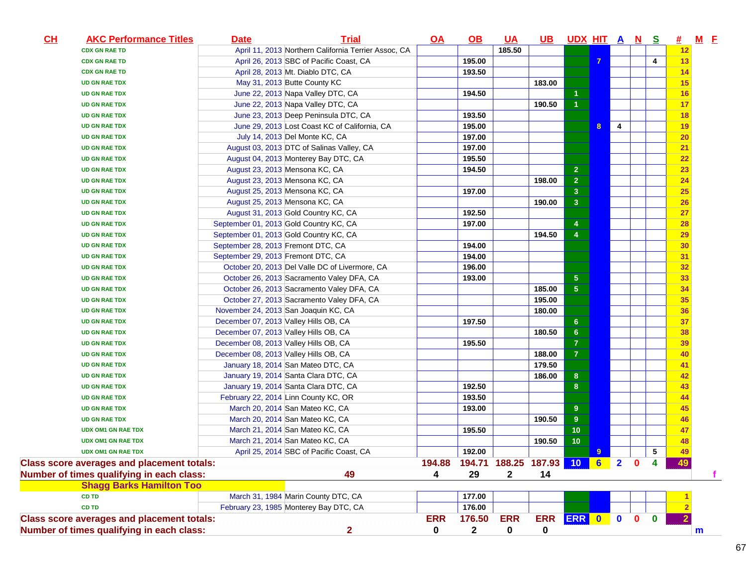| CL | <b>AKC Performance Titles</b>                     | <b>Date</b>                            | <b>Trial</b>                                         | $\overline{OA}$ | $\Omega$     | <u>UA</u>                 | $\overline{\mathsf{UB}}$ | <u>UDX HIT A N</u>      |   |                |              | <u>s</u>     | <u>#</u>  | $M$ E        |
|----|---------------------------------------------------|----------------------------------------|------------------------------------------------------|-----------------|--------------|---------------------------|--------------------------|-------------------------|---|----------------|--------------|--------------|-----------|--------------|
|    | <b>CDX GN RAE TD</b>                              |                                        | April 11, 2013 Northern California Terrier Assoc, CA |                 |              | 185.50                    |                          |                         |   |                |              |              | 12        |              |
|    | <b>CDX GN RAE TD</b>                              |                                        | April 26, 2013 SBC of Pacific Coast, CA              |                 | 195.00       |                           |                          |                         | 7 |                |              | 4            | 13        |              |
|    | <b>CDX GN RAE TD</b>                              |                                        | April 28, 2013 Mt. Diablo DTC, CA                    |                 | 193.50       |                           |                          |                         |   |                |              |              | 14        |              |
|    | <b>UD GN RAE TDX</b>                              |                                        | May 31, 2013 Butte County KC                         |                 |              |                           | 183.00                   |                         |   |                |              |              | 15        |              |
|    | <b>UD GN RAE TDX</b>                              |                                        | June 22, 2013 Napa Valley DTC, CA                    |                 | 194.50       |                           |                          | 1                       |   |                |              |              | 16        |              |
|    | <b>UD GN RAE TDX</b>                              |                                        | June 22, 2013 Napa Valley DTC, CA                    |                 |              |                           | 190.50                   | $\mathbf{1}$            |   |                |              |              | 17        |              |
|    | <b>UD GN RAE TDX</b>                              |                                        | June 23, 2013 Deep Peninsula DTC, CA                 |                 | 193.50       |                           |                          |                         |   |                |              |              | 18        |              |
|    | <b>UD GN RAE TDX</b>                              |                                        | June 29, 2013 Lost Coast KC of California, CA        |                 | 195.00       |                           |                          |                         | 8 | 4              |              |              | 19        |              |
|    | <b>UD GN RAE TDX</b>                              |                                        | July 14, 2013 Del Monte KC, CA                       |                 | 197.00       |                           |                          |                         |   |                |              |              | 20        |              |
|    | <b>UD GN RAE TDX</b>                              |                                        | August 03, 2013 DTC of Salinas Valley, CA            |                 | 197.00       |                           |                          |                         |   |                |              |              | 21        |              |
|    | <b>UD GN RAE TDX</b>                              |                                        | August 04, 2013 Monterey Bay DTC, CA                 |                 | 195.50       |                           |                          |                         |   |                |              |              | 22        |              |
|    | <b>UD GN RAE TDX</b>                              | August 23, 2013 Mensona KC, CA         |                                                      |                 | 194.50       |                           |                          | $\overline{\mathbf{2}}$ |   |                |              |              | 23        |              |
|    | <b>UD GN RAE TDX</b>                              | August 23, 2013 Mensona KC, CA         |                                                      |                 |              |                           | 198.00                   | $\overline{\mathbf{2}}$ |   |                |              |              | 24        |              |
|    | <b>UD GN RAE TDX</b>                              | August 25, 2013 Mensona KC, CA         |                                                      |                 | 197.00       |                           |                          | $\overline{\mathbf{3}}$ |   |                |              |              | 25        |              |
|    | <b>UD GN RAE TDX</b>                              | August 25, 2013 Mensona KC, CA         |                                                      |                 |              |                           | 190.00                   | 3 <sup>2</sup>          |   |                |              |              | 26        |              |
|    | <b>UD GN RAE TDX</b>                              |                                        | August 31, 2013 Gold Country KC, CA                  |                 | 192.50       |                           |                          |                         |   |                |              |              | 27        |              |
|    | <b>UD GN RAE TDX</b>                              | September 01, 2013 Gold Country KC, CA |                                                      |                 | 197.00       |                           |                          | 4                       |   |                |              |              | 28        |              |
|    | <b>UD GN RAE TDX</b>                              | September 01, 2013 Gold Country KC, CA |                                                      |                 |              |                           | 194.50                   | $\overline{4}$          |   |                |              |              | <b>29</b> |              |
|    | <b>UD GN RAE TDX</b>                              | September 28, 2013 Fremont DTC, CA     |                                                      |                 | 194.00       |                           |                          |                         |   |                |              |              | 30        |              |
|    | <b>UD GN RAE TDX</b>                              | September 29, 2013 Fremont DTC, CA     |                                                      |                 | 194.00       |                           |                          |                         |   |                |              |              | 31        |              |
|    | <b>UD GN RAE TDX</b>                              |                                        | October 20, 2013 Del Valle DC of Livermore, CA       |                 | 196.00       |                           |                          |                         |   |                |              |              | 32        |              |
|    | <b>UD GN RAE TDX</b>                              |                                        | October 26, 2013 Sacramento Valey DFA, CA            |                 | 193.00       |                           |                          | $\overline{5}$          |   |                |              |              | 33        |              |
|    | <b>UD GN RAE TDX</b>                              |                                        | October 26, 2013 Sacramento Valey DFA, CA            |                 |              |                           | 185.00                   | $\overline{\mathbf{5}}$ |   |                |              |              | 34        |              |
|    | <b>UD GN RAE TDX</b>                              |                                        | October 27, 2013 Sacramento Valey DFA, CA            |                 |              |                           | 195.00                   |                         |   |                |              |              | 35        |              |
|    | <b>UD GN RAE TDX</b>                              | November 24, 2013 San Joaquin KC, CA   |                                                      |                 |              |                           | 180.00                   |                         |   |                |              |              | 36        |              |
|    | <b>UD GN RAE TDX</b>                              | December 07, 2013 Valley Hills OB, CA  |                                                      |                 | 197.50       |                           |                          | $6\phantom{a}$          |   |                |              |              | 37        |              |
|    | <b>UD GN RAE TDX</b>                              | December 07, 2013 Valley Hills OB, CA  |                                                      |                 |              |                           | 180.50                   | $\bf 6$                 |   |                |              |              | 38        |              |
|    | <b>UD GN RAE TDX</b>                              | December 08, 2013 Valley Hills OB, CA  |                                                      |                 | 195.50       |                           |                          | $\overline{7}$          |   |                |              |              | 39        |              |
|    | <b>UD GN RAE TDX</b>                              | December 08, 2013 Valley Hills OB, CA  |                                                      |                 |              |                           | 188.00                   | $\overline{7}$          |   |                |              |              | 40        |              |
|    | <b>UD GN RAE TDX</b>                              |                                        | January 18, 2014 San Mateo DTC, CA                   |                 |              |                           | 179.50                   |                         |   |                |              |              | 41        |              |
|    | <b>UD GN RAE TDX</b>                              |                                        | January 19, 2014 Santa Clara DTC, CA                 |                 |              |                           | 186.00                   | $\boldsymbol{8}$        |   |                |              |              | 42        |              |
|    | <b>UD GN RAE TDX</b>                              |                                        | January 19, 2014 Santa Clara DTC, CA                 |                 | 192.50       |                           |                          | 8                       |   |                |              |              | 43        |              |
|    | <b>UD GN RAE TDX</b>                              |                                        | February 22, 2014 Linn County KC, OR                 |                 | 193.50       |                           |                          |                         |   |                |              |              | 44        |              |
|    | <b>UD GN RAE TDX</b>                              |                                        | March 20, 2014 San Mateo KC, CA                      |                 | 193.00       |                           |                          | 9 <sup>°</sup>          |   |                |              |              | 45        |              |
|    | <b>UD GN RAE TDX</b>                              |                                        | March 20, 2014 San Mateo KC, CA                      |                 |              |                           | 190.50                   | $\overline{9}$          |   |                |              |              | 46        |              |
|    | <b>UDX OM1 GN RAE TDX</b>                         |                                        | March 21, 2014 San Mateo KC, CA                      |                 | 195.50       |                           |                          | 10                      |   |                |              |              | 47        |              |
|    | <b>UDX OM1 GN RAE TDX</b>                         |                                        | March 21, 2014 San Mateo KC, CA                      |                 |              |                           | 190.50                   | 10                      |   |                |              |              | 48        |              |
|    | <b>UDX OM1 GN RAE TDX</b>                         |                                        | April 25, 2014 SBC of Pacific Coast, CA              |                 | 192.00       |                           |                          |                         | 9 |                |              | 5            | 49        |              |
|    | <b>Class score averages and placement totals:</b> |                                        |                                                      | 194.88          |              | 194.71 188.25 187.93 10 6 |                          |                         |   | $\overline{2}$ | $\mathbf{0}$ | 4            | 49        |              |
|    | Number of times qualifying in each class:         |                                        | 49                                                   | 4               | 29           | $\mathbf{2}$              | 14                       |                         |   |                |              |              |           | f.           |
|    | <b>Shagg Barks Hamilton Too</b>                   |                                        |                                                      |                 |              |                           |                          |                         |   |                |              |              |           |              |
|    | <b>CD TD</b>                                      |                                        | March 31, 1984 Marin County DTC, CA                  |                 | 177.00       |                           |                          |                         |   |                |              |              |           |              |
|    | <b>CD TD</b>                                      |                                        | February 23, 1985 Monterey Bay DTC, CA               |                 | 176.00       |                           |                          |                         |   |                |              |              |           |              |
|    | <b>Class score averages and placement totals:</b> |                                        |                                                      | <b>ERR</b>      | 176.50       | <b>ERR</b>                | <b>ERR</b>               | ERR 0                   |   | $\mathbf 0$    | $\mathbf{0}$ | $\mathbf{0}$ |           |              |
|    | Number of times qualifying in each class:         |                                        | $\overline{2}$                                       | 0               | $\mathbf{2}$ | 0                         | 0                        |                         |   |                |              |              |           | $\mathbf{m}$ |
|    |                                                   |                                        |                                                      |                 |              |                           |                          |                         |   |                |              |              |           |              |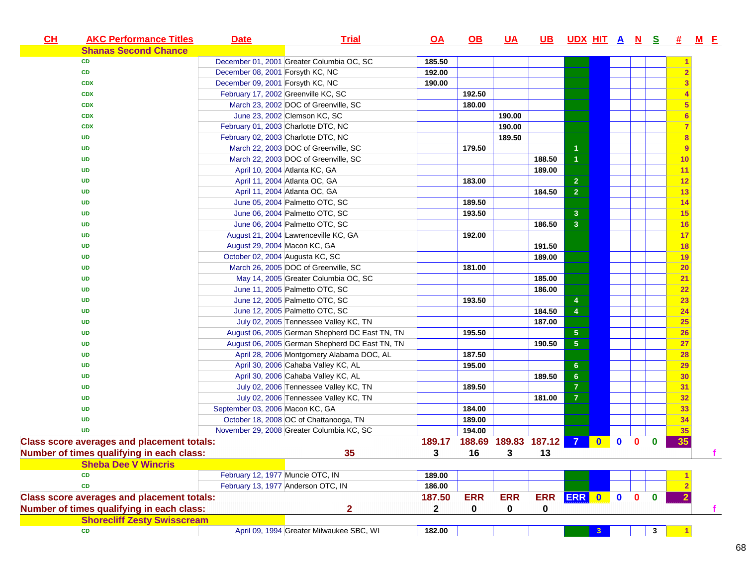| CH<br><b>AKC Performance Titles</b>               | <b>Date</b>                         | <b>Trial</b>                                   | $\overline{OA}$ | <u>OB</u>                   | <u>UA</u>  | <b>UB</b>  | <u>UDXHITANS#</u>       |              |              |          |              |    | <u>M E</u> |
|---------------------------------------------------|-------------------------------------|------------------------------------------------|-----------------|-----------------------------|------------|------------|-------------------------|--------------|--------------|----------|--------------|----|------------|
| <b>Shanas Second Chance</b>                       |                                     |                                                |                 |                             |            |            |                         |              |              |          |              |    |            |
| CD                                                |                                     | December 01, 2001 Greater Columbia OC, SC      | 185.50          |                             |            |            |                         |              |              |          |              |    |            |
| CD                                                | December 08, 2001 Forsyth KC, NC    |                                                | 192.00          |                             |            |            |                         |              |              |          |              |    |            |
| <b>CDX</b>                                        | December 09, 2001 Forsyth KC, NC    |                                                | 190.00          |                             |            |            |                         |              |              |          |              |    |            |
| <b>CDX</b>                                        | February 17, 2002 Greenville KC, SC |                                                |                 | 192.50                      |            |            |                         |              |              |          |              |    |            |
| <b>CDX</b>                                        |                                     | March 23, 2002 DOC of Greenville, SC           |                 | 180.00                      |            |            |                         |              |              |          |              |    |            |
| <b>CDX</b>                                        |                                     | June 23, 2002 Clemson KC, SC                   |                 |                             | 190.00     |            |                         |              |              |          |              |    |            |
| <b>CDX</b>                                        |                                     | February 01, 2003 Charlotte DTC, NC            |                 |                             | 190.00     |            |                         |              |              |          |              |    |            |
| <b>UD</b>                                         |                                     | February 02, 2003 Charlotte DTC, NC            |                 |                             | 189.50     |            |                         |              |              |          |              |    |            |
| <b>UD</b>                                         |                                     | March 22, 2003 DOC of Greenville, SC           |                 | 179.50                      |            |            |                         |              |              |          |              | 9  |            |
| <b>UD</b>                                         |                                     | March 22, 2003 DOC of Greenville, SC           |                 |                             |            | 188.50     | $\overline{1}$          |              |              |          |              | 10 |            |
| <b>UD</b>                                         |                                     | April 10, 2004 Atlanta KC, GA                  |                 |                             |            | 189.00     |                         |              |              |          |              | 11 |            |
| <b>UD</b>                                         |                                     | April 11, 2004 Atlanta OC, GA                  |                 | 183.00                      |            |            | $\mathbf{2}$            |              |              |          |              | 12 |            |
| <b>UD</b>                                         |                                     | April 11, 2004 Atlanta OC, GA                  |                 |                             |            | 184.50     | $\overline{2}$          |              |              |          |              | 13 |            |
| <b>UD</b>                                         |                                     | June 05, 2004 Palmetto OTC, SC                 |                 | 189.50                      |            |            |                         |              |              |          |              | 14 |            |
| <b>UD</b>                                         |                                     | June 06, 2004 Palmetto OTC, SC                 |                 | 193.50                      |            |            | $\overline{\mathbf{3}}$ |              |              |          |              | 15 |            |
| <b>UD</b>                                         |                                     | June 06, 2004 Palmetto OTC, SC                 |                 |                             |            | 186.50     | 3 <sup>2</sup>          |              |              |          |              | 16 |            |
| <b>UD</b>                                         |                                     | August 21, 2004 Lawrenceville KC, GA           |                 | 192.00                      |            |            |                         |              |              |          |              | 17 |            |
| UD                                                | August 29, 2004 Macon KC, GA        |                                                |                 |                             |            | 191.50     |                         |              |              |          |              | 18 |            |
| <b>UD</b>                                         | October 02, 2004 Augusta KC, SC     |                                                |                 |                             |            | 189.00     |                         |              |              |          |              | 19 |            |
| <b>UD</b>                                         |                                     | March 26, 2005 DOC of Greenville, SC           |                 | 181.00                      |            |            |                         |              |              |          |              | 20 |            |
| <b>UD</b>                                         |                                     | May 14, 2005 Greater Columbia OC, SC           |                 |                             |            | 185.00     |                         |              |              |          |              | 21 |            |
| <b>UD</b>                                         |                                     | June 11, 2005 Palmetto OTC, SC                 |                 |                             |            | 186.00     |                         |              |              |          |              | 22 |            |
| <b>UD</b>                                         |                                     | June 12, 2005 Palmetto OTC, SC                 |                 | 193.50                      |            |            | $\overline{4}$          |              |              |          |              | 23 |            |
| <b>UD</b>                                         |                                     | June 12, 2005 Palmetto OTC, SC                 |                 |                             |            | 184.50     | $\overline{4}$          |              |              |          |              | 24 |            |
| <b>UD</b>                                         |                                     | July 02, 2005 Tennessee Valley KC, TN          |                 |                             |            | 187.00     |                         |              |              |          |              | 25 |            |
| <b>UD</b>                                         |                                     | August 06, 2005 German Shepherd DC East TN, TN |                 | 195.50                      |            |            | $\sqrt{5}$              |              |              |          |              | 26 |            |
| <b>UD</b>                                         |                                     | August 06, 2005 German Shepherd DC East TN, TN |                 |                             |            | 190.50     | 5 <sub>5</sub>          |              |              |          |              | 27 |            |
| <b>UD</b>                                         |                                     | April 28, 2006 Montgomery Alabama DOC, AL      |                 | 187.50                      |            |            |                         |              |              |          |              | 28 |            |
| <b>UD</b>                                         |                                     | April 30, 2006 Cahaba Valley KC, AL            |                 | 195.00                      |            |            | $6\phantom{.}6$         |              |              |          |              | 29 |            |
| <b>UD</b>                                         |                                     | April 30, 2006 Cahaba Valley KC, AL            |                 |                             |            | 189.50     | $6\phantom{1}6$         |              |              |          |              | 30 |            |
| UD                                                |                                     | July 02, 2006 Tennessee Valley KC, TN          |                 | 189.50                      |            |            | $\overline{7}$          |              |              |          |              | 31 |            |
| <b>UD</b>                                         |                                     | July 02, 2006 Tennessee Valley KC, TN          |                 |                             |            | 181.00     | $\overline{7}$          |              |              |          |              | 32 |            |
| <b>UD</b>                                         | September 03, 2006 Macon KC, GA     |                                                |                 | 184.00                      |            |            |                         |              |              |          |              | 33 |            |
| <b>UD</b>                                         |                                     | October 18, 2008 OC of Chattanooga, TN         |                 | 189.00                      |            |            |                         |              |              |          |              | 34 |            |
| <b>UD</b>                                         |                                     | November 29, 2008 Greater Columbia KC, SC      |                 | 194.00                      |            |            |                         |              |              |          |              | 35 |            |
| <b>Class score averages and placement totals:</b> |                                     |                                                |                 | 189.17 188.69 189.83 187.12 |            |            | $\overline{7}$          | $\mathbf{0}$ | $\mathbf{0}$ | $\bf{0}$ | $\bf{0}$     | 35 |            |
| Number of times qualifying in each class:         |                                     | 35                                             | 3 <sup>1</sup>  |                             | 16 3 13    |            |                         |              |              |          |              |    |            |
| <b>Sheba Dee V Wincris</b>                        |                                     |                                                |                 |                             |            |            |                         |              |              |          |              |    |            |
| <b>CD</b>                                         | February 12, 1977 Muncie OTC, IN    |                                                | 189.00          |                             |            |            |                         |              |              |          |              |    |            |
| <b>CD</b>                                         |                                     | February 13, 1977 Anderson OTC, IN             | 186.00          |                             |            |            |                         |              |              |          |              |    |            |
| <b>Class score averages and placement totals:</b> |                                     |                                                | 187.50          | <b>ERR</b>                  | <b>ERR</b> | <b>ERR</b> | ERR 0                   |              | $\mathbf{0}$ | 0        | $\mathbf{0}$ |    |            |
| Number of times qualifying in each class:         |                                     | $\overline{\mathbf{2}}$                        | $\mathbf{2}$    | 0                           | 0          | 0          |                         |              |              |          |              |    | f          |
| <b>Shorecliff Zesty Swisscream</b>                |                                     |                                                |                 |                             |            |            |                         |              |              |          |              |    |            |
| CD                                                |                                     | April 09, 1994 Greater Milwaukee SBC, WI       | 182.00          |                             |            |            |                         | 3            |              |          | 3            |    |            |
|                                                   |                                     |                                                |                 |                             |            |            |                         |              |              |          |              |    |            |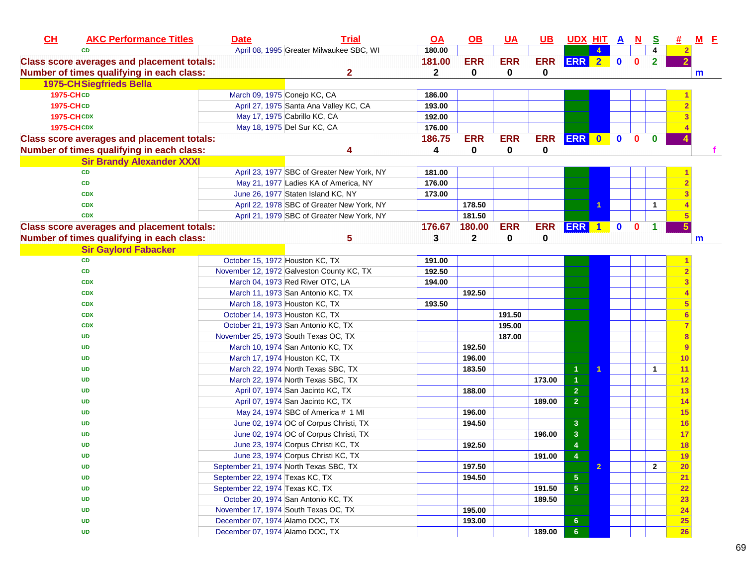| CL               | <b>AKC Performance Titles</b>                     | <b>Date</b> | <b>Trial</b>                               | <u>OA</u>    | $\Omega$     | <u>UA</u>  | <u>UB</u>  | <u>UDX HIT A N</u>      |                      |             |              | <u>s</u>     | 坓.             | $M$ $E$ |
|------------------|---------------------------------------------------|-------------|--------------------------------------------|--------------|--------------|------------|------------|-------------------------|----------------------|-------------|--------------|--------------|----------------|---------|
|                  | <b>CD</b>                                         |             | April 08, 1995 Greater Milwaukee SBC, WI   | 180.00       |              |            |            |                         |                      |             |              |              | $\mathbf{2}$   |         |
|                  | <b>Class score averages and placement totals:</b> |             |                                            | 181.00       | <b>ERR</b>   | <b>ERR</b> | <b>ERR</b> | ERR 2                   |                      | $\bullet$   | $\mathbf{0}$ | $\mathbf{2}$ | $\overline{2}$ |         |
|                  | Number of times qualifying in each class:         |             | $\mathbf{2}$                               | $\mathbf{2}$ | 0            | 0          | 0          |                         |                      |             |              |              |                | m       |
|                  | <b>1975-CHSiegfrieds Bella</b>                    |             |                                            |              |              |            |            |                         |                      |             |              |              |                |         |
| <b>1975-CHCD</b> |                                                   |             | March 09, 1975 Conejo KC, CA               | 186.00       |              |            |            |                         |                      |             |              |              |                |         |
| 1975-CHCD        |                                                   |             | April 27, 1975 Santa Ana Valley KC, CA     | 193.00       |              |            |            |                         |                      |             |              |              |                |         |
|                  | <b>1975-CHCDX</b>                                 |             | May 17, 1975 Cabrillo KC, CA               | 192.00       |              |            |            |                         |                      |             |              |              |                |         |
|                  | <b>1975-CHCDX</b>                                 |             | May 18, 1975 Del Sur KC, CA                | 176.00       |              |            |            |                         |                      |             |              |              |                |         |
|                  | <b>Class score averages and placement totals:</b> |             |                                            | 186.75       | <b>ERR</b>   | <b>ERR</b> | <b>ERR</b> | ERR 0                   |                      | $\mathbf 0$ | $\mathbf{0}$ | $\bf{0}$     |                |         |
|                  | Number of times qualifying in each class:         |             | Δ                                          | 4            | 0            | 0          | 0          |                         |                      |             |              |              |                |         |
|                  | <b>Sir Brandy Alexander XXXI</b>                  |             |                                            |              |              |            |            |                         |                      |             |              |              |                |         |
|                  | <b>CD</b>                                         |             | April 23, 1977 SBC of Greater New York, NY | 181.00       |              |            |            |                         |                      |             |              |              |                |         |
|                  | CD                                                |             | May 21, 1977 Ladies KA of America, NY      | 176.00       |              |            |            |                         |                      |             |              |              |                |         |
|                  | <b>CDX</b>                                        |             | June 26, 1977 Staten Island KC, NY         | 173.00       |              |            |            |                         |                      |             |              |              |                |         |
|                  | <b>CDX</b>                                        |             | April 22, 1978 SBC of Greater New York, NY |              | 178.50       |            |            |                         | 1                    |             |              | 1            |                |         |
|                  | <b>CDX</b>                                        |             | April 21, 1979 SBC of Greater New York, NY |              | 181.50       |            |            |                         |                      |             |              |              |                |         |
|                  | <b>Class score averages and placement totals:</b> |             |                                            | 176.67       | 180.00       | <b>ERR</b> | <b>ERR</b> | <b>ERR</b>              | $\blacktriangleleft$ | $\mathbf 0$ | $\bf{0}$     |              |                |         |
|                  | Number of times qualifying in each class:         |             | 5                                          | 3            | $\mathbf{2}$ | 0          | 0          |                         |                      |             |              |              |                | m       |
|                  | <b>Sir Gaylord Fabacker</b>                       |             |                                            |              |              |            |            |                         |                      |             |              |              |                |         |
|                  | CD                                                |             | October 15, 1972 Houston KC, TX            | 191.00       |              |            |            |                         |                      |             |              |              |                |         |
|                  | CD                                                |             | November 12, 1972 Galveston County KC, TX  | 192.50       |              |            |            |                         |                      |             |              |              |                |         |
|                  | <b>CDX</b>                                        |             | March 04, 1973 Red River OTC, LA           | 194.00       |              |            |            |                         |                      |             |              |              |                |         |
|                  | <b>CDX</b>                                        |             | March 11, 1973 San Antonio KC, TX          |              | 192.50       |            |            |                         |                      |             |              |              |                |         |
|                  | <b>CDX</b>                                        |             | March 18, 1973 Houston KC, TX              | 193.50       |              |            |            |                         |                      |             |              |              |                |         |
|                  | <b>CDX</b>                                        |             | October 14, 1973 Houston KC, TX            |              |              | 191.50     |            |                         |                      |             |              |              |                |         |
|                  | <b>CDX</b>                                        |             | October 21, 1973 San Antonio KC, TX        |              |              | 195.00     |            |                         |                      |             |              |              |                |         |
|                  | UD                                                |             | November 25, 1973 South Texas OC, TX       |              |              | 187.00     |            |                         |                      |             |              |              |                |         |
|                  | UD                                                |             | March 10, 1974 San Antonio KC, TX          |              | 192.50       |            |            |                         |                      |             |              |              |                |         |
|                  | <b>UD</b>                                         |             | March 17, 1974 Houston KC, TX              |              | 196.00       |            |            |                         |                      |             |              |              | 10             |         |
|                  | <b>UD</b>                                         |             | March 22, 1974 North Texas SBC, TX         |              | 183.50       |            |            | $\mathbf{1}$            | $\blacktriangleleft$ |             |              | 1            | 11             |         |
|                  | UD                                                |             | March 22, 1974 North Texas SBC, TX         |              |              |            | 173.00     | 1                       |                      |             |              |              | 12             |         |
|                  | UD                                                |             | April 07, 1974 San Jacinto KC, TX          |              | 188.00       |            |            | $\overline{2}$          |                      |             |              |              | 13             |         |
|                  |                                                   |             | April 07, 1974 San Jacinto KC, TX          |              |              |            | 189.00     | $\overline{2}$          |                      |             |              |              | 14             |         |
|                  | UD<br><b>UD</b>                                   |             | May 24, 1974 SBC of America # 1 MI         |              | 196.00       |            |            |                         |                      |             |              |              | 15             |         |
|                  |                                                   |             |                                            |              |              |            |            |                         |                      |             |              |              | 16             |         |
|                  | UD                                                |             | June 02, 1974 OC of Corpus Christi, TX     |              | 194.50       |            |            | 3                       |                      |             |              |              |                |         |
|                  | <b>UD</b>                                         |             | June 02, 1974 OC of Corpus Christi, TX     |              |              |            | 196.00     | 3                       |                      |             |              |              | 17             |         |
|                  | <b>UD</b>                                         |             | June 23, 1974 Corpus Christi KC, TX        |              | 192.50       |            |            | $\overline{4}$          |                      |             |              |              | 18             |         |
|                  | UD                                                |             | June 23, 1974 Corpus Christi KC, TX        |              |              |            | 191.00     | 4                       |                      |             |              |              | 19             |         |
|                  | UD                                                |             | September 21, 1974 North Texas SBC, TX     |              | 197.50       |            |            |                         | $\overline{2}$       |             |              | $\mathbf{2}$ | 20             |         |
|                  | UD                                                |             | September 22, 1974 Texas KC, TX            |              | 194.50       |            |            | $\sqrt{5}$              |                      |             |              |              | 21             |         |
|                  | UD                                                |             | September 22, 1974 Texas KC, TX            |              |              |            | 191.50     | $\overline{\mathbf{5}}$ |                      |             |              |              | 22             |         |
|                  | UD                                                |             | October 20, 1974 San Antonio KC, TX        |              |              |            | 189.50     |                         |                      |             |              |              | 23             |         |
|                  | UD                                                |             | November 17, 1974 South Texas OC, TX       |              | 195.00       |            |            |                         |                      |             |              |              | 24             |         |
|                  | UD                                                |             | December 07, 1974 Alamo DOC, TX            |              | 193.00       |            |            | $6\phantom{a}$          |                      |             |              |              | 25             |         |
|                  | <b>UD</b>                                         |             | December 07, 1974 Alamo DOC, TX            |              |              |            | 189.00     | $6\phantom{.}6$         |                      |             |              |              | 26             |         |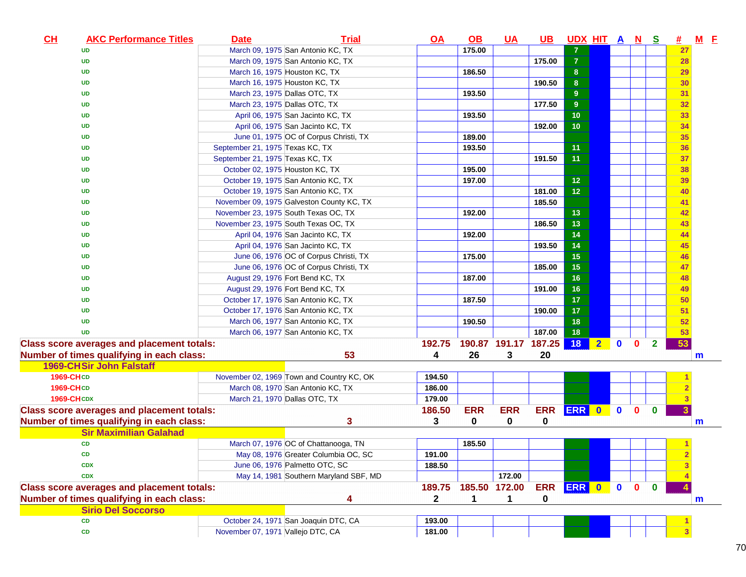| CL | <b>AKC Performance Titles</b>                     | Date                              | <b>Trial</b>                              | <u>OA</u>    | $\Omega$      | <u>UA</u>     | <u>UB</u>  | UDX HIT A N S  |                         |              |              |                | 坓. | <u>M E</u> |
|----|---------------------------------------------------|-----------------------------------|-------------------------------------------|--------------|---------------|---------------|------------|----------------|-------------------------|--------------|--------------|----------------|----|------------|
|    | <b>UD</b>                                         |                                   | March 09, 1975 San Antonio KC, TX         |              | 175.00        |               |            | 7              |                         |              |              |                | 27 |            |
|    | <b>UD</b>                                         |                                   | March 09, 1975 San Antonio KC, TX         |              |               |               | 175.00     | $\overline{7}$ |                         |              |              |                | 28 |            |
|    | UD                                                |                                   | March 16, 1975 Houston KC, TX             |              | 186.50        |               |            | 8              |                         |              |              |                | 29 |            |
|    | <b>UD</b>                                         |                                   | March 16, 1975 Houston KC, TX             |              |               |               | 190.50     | 8              |                         |              |              |                | 30 |            |
|    | <b>UD</b>                                         | March 23, 1975 Dallas OTC, TX     |                                           |              | 193.50        |               |            | 9              |                         |              |              |                | 31 |            |
|    | <b>UD</b>                                         | March 23, 1975 Dallas OTC, TX     |                                           |              |               |               | 177.50     | 9              |                         |              |              |                | 32 |            |
|    | <b>UD</b>                                         |                                   | April 06, 1975 San Jacinto KC, TX         |              | 193.50        |               |            | 10             |                         |              |              |                | 33 |            |
|    | UD                                                |                                   | April 06, 1975 San Jacinto KC, TX         |              |               |               | 192.00     | 10             |                         |              |              |                | 34 |            |
|    | UD                                                |                                   | June 01, 1975 OC of Corpus Christi, TX    |              | 189.00        |               |            |                |                         |              |              |                | 35 |            |
|    | UD                                                | September 21, 1975 Texas KC, TX   |                                           |              | 193.50        |               |            | 11             |                         |              |              |                | 36 |            |
|    | UD                                                | September 21, 1975 Texas KC, TX   |                                           |              |               |               | 191.50     | 11             |                         |              |              |                | 37 |            |
|    | UD                                                | October 02, 1975 Houston KC, TX   |                                           |              | 195.00        |               |            |                |                         |              |              |                | 38 |            |
|    | UD                                                |                                   | October 19, 1975 San Antonio KC, TX       |              | 197.00        |               |            | 12             |                         |              |              |                | 39 |            |
|    | UD                                                |                                   | October 19, 1975 San Antonio KC, TX       |              |               |               | 181.00     | 12             |                         |              |              |                | 40 |            |
|    | UD                                                |                                   | November 09, 1975 Galveston County KC, TX |              |               |               | 185.50     |                |                         |              |              |                | 41 |            |
|    | UD                                                |                                   | November 23, 1975 South Texas OC, TX      |              | 192.00        |               |            | 13             |                         |              |              |                | 42 |            |
|    | UD                                                |                                   | November 23, 1975 South Texas OC, TX      |              |               |               | 186.50     | 13             |                         |              |              |                | 43 |            |
|    | UD                                                |                                   | April 04, 1976 San Jacinto KC, TX         |              | 192.00        |               |            | 14             |                         |              |              |                | 44 |            |
|    | UD                                                |                                   | April 04, 1976 San Jacinto KC, TX         |              |               |               | 193.50     | 14             |                         |              |              |                | 45 |            |
|    | UD                                                |                                   | June 06, 1976 OC of Corpus Christi, TX    |              | 175.00        |               |            | 15             |                         |              |              |                | 46 |            |
|    | UD                                                |                                   | June 06, 1976 OC of Corpus Christi, TX    |              |               |               | 185.00     | 15             |                         |              |              |                | 47 |            |
|    | UD                                                |                                   | August 29, 1976 Fort Bend KC, TX          |              | 187.00        |               |            | 16             |                         |              |              |                | 48 |            |
|    | UD                                                |                                   | August 29, 1976 Fort Bend KC, TX          |              |               |               | 191.00     | 16             |                         |              |              |                | 49 |            |
|    | UD                                                |                                   | October 17, 1976 San Antonio KC, TX       |              | 187.50        |               |            | 17             |                         |              |              |                | 50 |            |
|    | <b>UD</b>                                         |                                   | October 17, 1976 San Antonio KC, TX       |              |               |               | 190.00     | 17             |                         |              |              |                | 51 |            |
|    | <b>UD</b>                                         |                                   | March 06, 1977 San Antonio KC, TX         |              | 190.50        |               |            | 18             |                         |              |              |                | 52 |            |
|    | <b>UD</b>                                         |                                   | March 06, 1977 San Antonio KC, TX         |              |               |               | 187.00     | 18             |                         |              |              |                | 53 |            |
|    | <b>Class score averages and placement totals:</b> |                                   |                                           | 192.75       |               | 190.87 191.17 | 187.25     | <b>18</b>      | $\overline{\mathbf{2}}$ | $\mathbf{0}$ | $\mathbf{0}$ | $\overline{2}$ | 53 |            |
|    | Number of times qualifying in each class:         |                                   | 53                                        | 4            | 26            | 3             | 20         |                |                         |              |              |                |    | m          |
|    | <b>1969-CHSir John Falstaff</b>                   |                                   |                                           |              |               |               |            |                |                         |              |              |                |    |            |
|    | 1969-CHCD                                         |                                   | November 02, 1969 Town and Country KC, OK | 194.50       |               |               |            |                |                         |              |              |                |    |            |
|    | 1969-CHCD                                         |                                   | March 08, 1970 San Antonio KC, TX         | 186.00       |               |               |            |                |                         |              |              |                |    |            |
|    | <b>1969-CHCDX</b>                                 | March 21, 1970 Dallas OTC, TX     |                                           | 179.00       |               |               |            |                |                         |              |              |                |    |            |
|    | <b>Class score averages and placement totals:</b> |                                   |                                           | 186.50       | <b>ERR</b>    | <b>ERR</b>    | <b>ERR</b> | ERR 0          |                         | $\bullet$    | $\mathbf{0}$ | $\bf{0}$       |    |            |
|    | Number of times qualifying in each class:         |                                   | 3                                         | 3            | 0             | $\mathbf 0$   | 0          |                |                         |              |              |                |    | m          |
|    | <b>Sir Maximilian Galahad</b>                     |                                   |                                           |              |               |               |            |                |                         |              |              |                |    |            |
|    | <b>CD</b>                                         |                                   | March 07, 1976 OC of Chattanooga, TN      |              | 185.50        |               |            |                |                         |              |              |                |    |            |
|    | <b>CD</b>                                         |                                   | May 08, 1976 Greater Columbia OC, SC      | 191.00       |               |               |            |                |                         |              |              |                |    |            |
|    | <b>CDX</b>                                        |                                   | June 06, 1976 Palmetto OTC, SC            | 188.50       |               |               |            |                |                         |              |              |                |    |            |
|    | <b>CDX</b>                                        |                                   | May 14, 1981 Southern Maryland SBF, MD    |              |               | 172.00        |            |                |                         |              |              |                |    |            |
|    | <b>Class score averages and placement totals:</b> |                                   |                                           | 189.75       | 185.50 172.00 |               | <b>ERR</b> | ERR 0          |                         | $\mathbf{0}$ | $\mathbf{0}$ | $\mathbf{0}$   |    |            |
|    | Number of times qualifying in each class:         |                                   | 4                                         | $\mathbf{2}$ | 1             | $\mathbf 1$   | 0          |                |                         |              |              |                |    | m          |
|    | <b>Sirio Del Soccorso</b>                         |                                   |                                           |              |               |               |            |                |                         |              |              |                |    |            |
|    | <b>CD</b>                                         |                                   | October 24, 1971 San Joaquin DTC, CA      | 193.00       |               |               |            |                |                         |              |              |                |    |            |
|    | CD                                                | November 07, 1971 Vallejo DTC, CA |                                           | 181.00       |               |               |            |                |                         |              |              |                |    |            |
|    |                                                   |                                   |                                           |              |               |               |            |                |                         |              |              |                |    |            |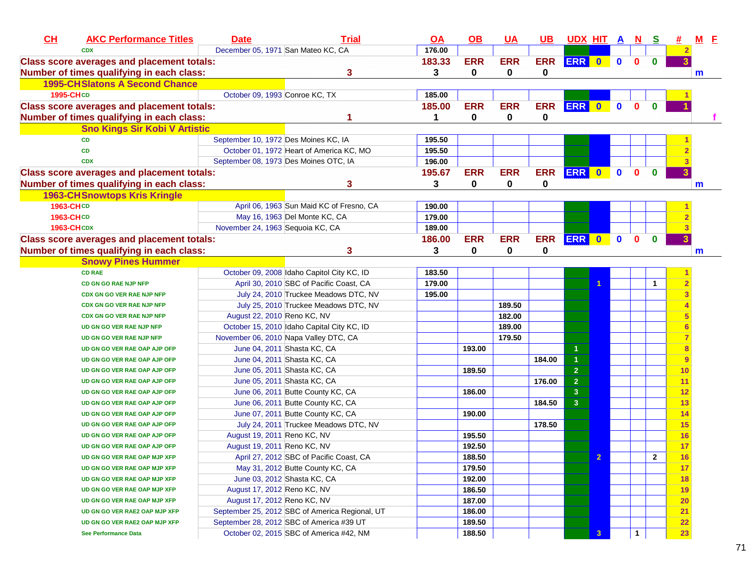| CH                                                | <b>AKC Performance Titles</b>         | <b>Date</b>                          | <b>Trial</b>                                   | <u>OA</u> | <u>OB</u>  | $UA$        | <u>UB</u>   | <u>UDX HIT A N</u>      |              |             |              | <u>୍ର</u>    | <u>#</u>                | $M$ $E$ |
|---------------------------------------------------|---------------------------------------|--------------------------------------|------------------------------------------------|-----------|------------|-------------|-------------|-------------------------|--------------|-------------|--------------|--------------|-------------------------|---------|
| <b>CDX</b>                                        |                                       | December 05, 1971 San Mateo KC, CA   |                                                | 176.00    |            |             |             |                         |              |             |              |              | 2                       |         |
| <b>Class score averages and placement totals:</b> |                                       |                                      |                                                | 183.33    | <b>ERR</b> | <b>ERR</b>  | <b>ERR</b>  | ERR 0                   |              | $\mathbf 0$ | $\mathbf 0$  | $\bf{0}$     | $\overline{\mathbf{3}}$ |         |
| Number of times qualifying in each class:         |                                       |                                      | 3                                              | 3         | 0          | $\mathbf 0$ | 0           |                         |              |             |              |              |                         | m       |
|                                                   | <b>1995-CHSlatons A Second Chance</b> |                                      |                                                |           |            |             |             |                         |              |             |              |              |                         |         |
| 1995-CHCD                                         |                                       | October 09, 1993 Conroe KC, TX       |                                                | 185.00    |            |             |             |                         |              |             |              |              |                         |         |
| <b>Class score averages and placement totals:</b> |                                       |                                      |                                                | 185.00    | <b>ERR</b> | <b>ERR</b>  | <b>ERR</b>  | <b>ERR</b>              | $\bullet$    | $\mathbf 0$ | $\mathbf{0}$ | $\mathbf 0$  |                         |         |
| Number of times qualifying in each class:         |                                       |                                      |                                                | 1         | 0          | 0           | 0           |                         |              |             |              |              |                         |         |
|                                                   | <b>Sno Kings Sir Kobi V Artistic</b>  |                                      |                                                |           |            |             |             |                         |              |             |              |              |                         |         |
| <b>CD</b>                                         |                                       | September 10, 1972 Des Moines KC, IA |                                                | 195.50    |            |             |             |                         |              |             |              |              |                         |         |
| <b>CD</b>                                         |                                       |                                      | October 01, 1972 Heart of America KC, MO       | 195.50    |            |             |             |                         |              |             |              |              |                         |         |
| <b>CDX</b>                                        |                                       |                                      | September 08, 1973 Des Moines OTC, IA          | 196.00    |            |             |             |                         |              |             |              |              |                         |         |
| <b>Class score averages and placement totals:</b> |                                       |                                      |                                                | 195.67    | <b>ERR</b> | <b>ERR</b>  | <b>ERR</b>  | ERR 0                   |              | $\mathbf 0$ | $\mathbf{0}$ | $\mathbf 0$  |                         |         |
| Number of times qualifying in each class:         |                                       |                                      | 3                                              | 3         | $\bf{0}$   | $\bf{0}$    | 0           |                         |              |             |              |              |                         | m       |
|                                                   | <b>1963-CH Snowtops Kris Kringle</b>  |                                      |                                                |           |            |             |             |                         |              |             |              |              |                         |         |
| 1963-CHCD                                         |                                       |                                      | April 06, 1963 Sun Maid KC of Fresno, CA       | 190.00    |            |             |             |                         |              |             |              |              |                         |         |
| 1963-CHCD                                         |                                       |                                      | May 16, 1963 Del Monte KC, CA                  | 179.00    |            |             |             |                         |              |             |              |              |                         |         |
| <b>1963-CHCDX</b>                                 |                                       | November 24, 1963 Sequoia KC, CA     |                                                | 189.00    |            |             |             |                         |              |             |              |              |                         |         |
| <b>Class score averages and placement totals:</b> |                                       |                                      |                                                | 186.00    | <b>ERR</b> | <b>ERR</b>  | <b>ERR</b>  | <b>ERR</b>              | $\bullet$    | $\mathbf 0$ | $\mathbf{0}$ | $\mathbf 0$  | 3                       |         |
| Number of times qualifying in each class:         |                                       |                                      | 3                                              | 3         | 0          | 0           | $\mathbf 0$ |                         |              |             |              |              |                         | m       |
|                                                   | <b>Snowy Pines Hummer</b>             |                                      |                                                |           |            |             |             |                         |              |             |              |              |                         |         |
| <b>CD RAE</b>                                     |                                       |                                      | October 09, 2008 Idaho Capitol City KC, ID     | 183.50    |            |             |             |                         |              |             |              |              |                         |         |
|                                                   | CD GN GO RAE NJP NFP                  |                                      | April 30, 2010 SBC of Pacific Coast, CA        | 179.00    |            |             |             |                         |              |             |              | $\mathbf{1}$ | $\overline{2}$          |         |
|                                                   | <b>CDX GN GO VER RAE NJP NFP</b>      |                                      | July 24, 2010 Truckee Meadows DTC, NV          | 195.00    |            |             |             |                         |              |             |              |              |                         |         |
|                                                   | CDX GN GO VER RAE NJP NFP             |                                      | July 25, 2010 Truckee Meadows DTC, NV          |           |            | 189.50      |             |                         |              |             |              |              |                         |         |
|                                                   | CDX GN GO VER RAE NJP NFP             | August 22, 2010 Reno KC, NV          |                                                |           |            | 182.00      |             |                         |              |             |              |              | 5                       |         |
|                                                   | UD GN GO VER RAE NJP NFP              |                                      | October 15, 2010 Idaho Capital City KC, ID     |           |            | 189.00      |             |                         |              |             |              |              | 6                       |         |
|                                                   | UD GN GO VER RAE NJP NFP              |                                      | November 06, 2010 Napa Valley DTC, CA          |           |            | 179.50      |             |                         |              |             |              |              |                         |         |
|                                                   | UD GN GO VER RAE OAP AJP OFP          |                                      | June 04, 2011 Shasta KC, CA                    |           | 193.00     |             |             | 1                       |              |             |              |              | 8                       |         |
|                                                   | UD GN GO VER RAE OAP AJP OFP          |                                      | June 04, 2011 Shasta KC, CA                    |           |            |             | 184.00      | $\mathbf{1}$            |              |             |              |              | 9                       |         |
|                                                   | UD GN GO VER RAE OAP AJP OFP          |                                      | June 05, 2011 Shasta KC, CA                    |           | 189.50     |             |             | $\overline{2}$          |              |             |              |              | 10                      |         |
|                                                   | UD GN GO VER RAE OAP AJP OFP          |                                      | June 05, 2011 Shasta KC, CA                    |           |            |             | 176.00      | $\overline{\mathbf{2}}$ |              |             |              |              | 11                      |         |
|                                                   | UD GN GO VER RAE OAP AJP OFP          |                                      | June 06, 2011 Butte County KC, CA              |           | 186.00     |             |             | 3                       |              |             |              |              | 12                      |         |
|                                                   | UD GN GO VER RAE OAP AJP OFP          |                                      | June 06, 2011 Butte County KC, CA              |           |            |             | 184.50      | $\mathbf{3}$            |              |             |              |              | 13                      |         |
|                                                   | UD GN GO VER RAE OAP AJP OFP          |                                      | June 07, 2011 Butte County KC, CA              |           | 190.00     |             |             |                         |              |             |              |              | 14                      |         |
|                                                   | UD GN GO VER RAE OAP AJP OFP          |                                      | July 24, 2011 Truckee Meadows DTC, NV          |           |            |             | 178.50      |                         |              |             |              |              | 15                      |         |
|                                                   | UD GN GO VER RAE OAP AJP OFP          | August 19, 2011 Reno KC, NV          |                                                |           | 195.50     |             |             |                         |              |             |              |              | 16                      |         |
|                                                   | UD GN GO VER RAE OAP AJP OFP          | August 19, 2011 Reno KC, NV          |                                                |           | 192.50     |             |             |                         |              |             |              |              | 17 <sub>2</sub>         |         |
|                                                   | UD GN GO VER RAE OAP MJP XFP          |                                      | April 27, 2012 SBC of Pacific Coast, CA        |           | 188.50     |             |             |                         | $\mathbf{2}$ |             |              | 2            | 16 <sup>°</sup>         |         |
|                                                   | UD GN GO VER RAE OAP MJP XFP          |                                      | May 31, 2012 Butte County KC, CA               |           | 179.50     |             |             |                         |              |             |              |              | 17                      |         |
|                                                   | UD GN GO VER RAE OAP MJP XFP          |                                      | June 03, 2012 Shasta KC, CA                    |           | 192.00     |             |             |                         |              |             |              |              | 18                      |         |
|                                                   | UD GN GO VER RAE OAP MJP XFP          | August 17, 2012 Reno KC, NV          |                                                |           | 186.50     |             |             |                         |              |             |              |              | 19                      |         |
|                                                   | UD GN GO VER RAE OAP MJP XFP          | August 17, 2012 Reno KC, NV          |                                                |           | 187.00     |             |             |                         |              |             |              |              | 20 <sub>2</sub>         |         |
|                                                   | UD GN GO VER RAE2 OAP MJP XFP         |                                      | September 25, 2012 SBC of America Regional, UT |           | 186.00     |             |             |                         |              |             |              |              | 21                      |         |
|                                                   | UD GN GO VER RAE2 OAP MJP XFP         |                                      |                                                |           |            |             |             |                         |              |             |              |              |                         |         |
|                                                   |                                       |                                      | September 28, 2012 SBC of America #39 UT       |           | 189.50     |             |             |                         |              |             |              |              | 22                      |         |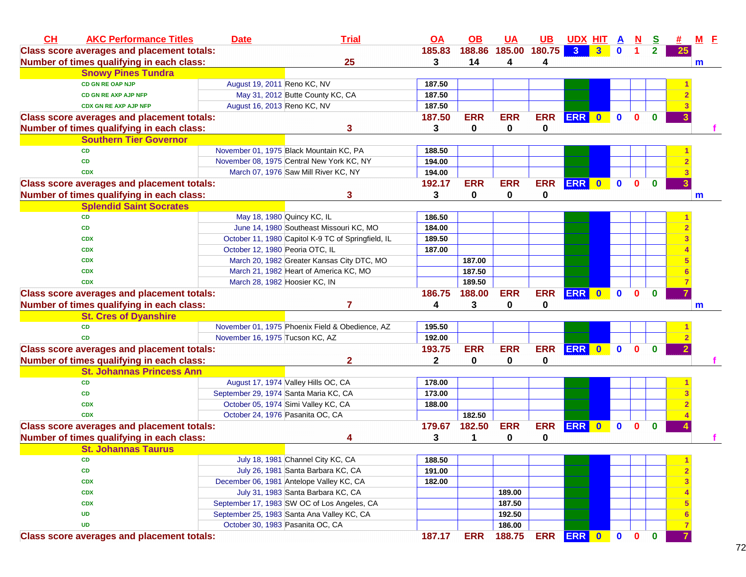| 3 <sup>°</sup><br>185.00 180.75<br><b>Class score averages and placement totals:</b><br>185.83<br>188.86<br>3 <sup>1</sup><br>$\overline{\mathbf{0}}$<br>$\blacktriangleleft$<br>$\mathbf{2}$<br>25<br>25<br>14<br>Number of times qualifying in each class:<br>3<br>4<br>4<br>m<br><b>Snowy Pines Tundra</b><br><b>CD GN RE OAP NJP</b><br>August 19, 2011 Reno KC, NV<br>187.50<br>May 31, 2012 Butte County KC, CA<br>187.50<br><b>CD GN RE AXP AJP NFP</b><br>August 16, 2013 Reno KC, NV<br>187.50<br><b>CDX GN RE AXP AJP NFP</b><br><b>ERR</b><br>ERR<br>187.50<br><b>ERR</b><br><b>ERR</b><br>$\bullet$<br>$\mathbf 0$<br><b>Class score averages and placement totals:</b><br>0<br>$\bf{0}$<br>3<br>0<br>$\bf{0}$<br>0<br>Number of times qualifying in each class:<br>3<br><b>Southern Tier Governor</b><br>November 01, 1975 Black Mountain KC, PA<br>188.50<br><b>CD</b><br>November 08, 1975 Central New York KC, NY<br><b>CD</b><br>194.00<br>March 07, 1976 Saw Mill River KC, NY<br>194.00<br><b>CDX</b><br><b>ERR</b><br>192.17<br><b>ERR</b><br><b>ERR</b><br><b>ERR</b><br>$\mathbf 0$<br>0<br><b>Class score averages and placement totals:</b><br>$\bullet$<br>$\bf{0}$<br>Number of times qualifying in each class:<br>0<br>0<br>3<br>0<br>3<br>m<br><b>Splendid Saint Socrates</b><br>May 18, 1980 Quincy KC, IL<br>186.50<br><b>CD</b><br>June 14, 1980 Southeast Missouri KC, MO<br>184.00<br><b>CD</b><br>October 11, 1980 Capitol K-9 TC of Springfield, IL<br>189.50<br><b>CDX</b><br>October 12, 1980 Peoria OTC, IL<br>187.00<br><b>CDX</b><br>March 20, 1982 Greater Kansas City DTC, MO<br>187.00<br><b>CDX</b><br>187.50<br>March 21, 1982 Heart of America KC, MO<br><b>CDX</b><br>March 28, 1982 Hoosier KC, IN<br>189.50<br><b>CDX</b><br>ERR 0<br><b>ERR</b><br><b>ERR</b><br>$\bullet$<br>186.75<br>188.00<br>$\mathbf 0$<br><b>Class score averages and placement totals:</b><br>$\bf{0}$<br>3<br>Number of times qualifying in each class:<br>7<br>4<br>0<br>0<br>$\mathsf{m}$<br><b>St. Cres of Dyanshire</b> | CL | <b>AKC Performance Titles</b> | <b>Date</b> | <b>Trial</b>                                    | <b>OA</b> | OB | <b>UA</b> | <b>UB</b> | <u>UDX HIT A</u> |  | $\overline{\mathbf{N}}$ | S | 坓 | $M$ $E$ |
|--------------------------------------------------------------------------------------------------------------------------------------------------------------------------------------------------------------------------------------------------------------------------------------------------------------------------------------------------------------------------------------------------------------------------------------------------------------------------------------------------------------------------------------------------------------------------------------------------------------------------------------------------------------------------------------------------------------------------------------------------------------------------------------------------------------------------------------------------------------------------------------------------------------------------------------------------------------------------------------------------------------------------------------------------------------------------------------------------------------------------------------------------------------------------------------------------------------------------------------------------------------------------------------------------------------------------------------------------------------------------------------------------------------------------------------------------------------------------------------------------------------------------------------------------------------------------------------------------------------------------------------------------------------------------------------------------------------------------------------------------------------------------------------------------------------------------------------------------------------------------------------------------------------------------------------------------------------------------------------------------------------------------------------------------------|----|-------------------------------|-------------|-------------------------------------------------|-----------|----|-----------|-----------|------------------|--|-------------------------|---|---|---------|
|                                                                                                                                                                                                                                                                                                                                                                                                                                                                                                                                                                                                                                                                                                                                                                                                                                                                                                                                                                                                                                                                                                                                                                                                                                                                                                                                                                                                                                                                                                                                                                                                                                                                                                                                                                                                                                                                                                                                                                                                                                                        |    |                               |             |                                                 |           |    |           |           |                  |  |                         |   |   |         |
|                                                                                                                                                                                                                                                                                                                                                                                                                                                                                                                                                                                                                                                                                                                                                                                                                                                                                                                                                                                                                                                                                                                                                                                                                                                                                                                                                                                                                                                                                                                                                                                                                                                                                                                                                                                                                                                                                                                                                                                                                                                        |    |                               |             |                                                 |           |    |           |           |                  |  |                         |   |   |         |
|                                                                                                                                                                                                                                                                                                                                                                                                                                                                                                                                                                                                                                                                                                                                                                                                                                                                                                                                                                                                                                                                                                                                                                                                                                                                                                                                                                                                                                                                                                                                                                                                                                                                                                                                                                                                                                                                                                                                                                                                                                                        |    |                               |             |                                                 |           |    |           |           |                  |  |                         |   |   |         |
|                                                                                                                                                                                                                                                                                                                                                                                                                                                                                                                                                                                                                                                                                                                                                                                                                                                                                                                                                                                                                                                                                                                                                                                                                                                                                                                                                                                                                                                                                                                                                                                                                                                                                                                                                                                                                                                                                                                                                                                                                                                        |    |                               |             |                                                 |           |    |           |           |                  |  |                         |   |   |         |
|                                                                                                                                                                                                                                                                                                                                                                                                                                                                                                                                                                                                                                                                                                                                                                                                                                                                                                                                                                                                                                                                                                                                                                                                                                                                                                                                                                                                                                                                                                                                                                                                                                                                                                                                                                                                                                                                                                                                                                                                                                                        |    |                               |             |                                                 |           |    |           |           |                  |  |                         |   |   |         |
|                                                                                                                                                                                                                                                                                                                                                                                                                                                                                                                                                                                                                                                                                                                                                                                                                                                                                                                                                                                                                                                                                                                                                                                                                                                                                                                                                                                                                                                                                                                                                                                                                                                                                                                                                                                                                                                                                                                                                                                                                                                        |    |                               |             |                                                 |           |    |           |           |                  |  |                         |   |   |         |
|                                                                                                                                                                                                                                                                                                                                                                                                                                                                                                                                                                                                                                                                                                                                                                                                                                                                                                                                                                                                                                                                                                                                                                                                                                                                                                                                                                                                                                                                                                                                                                                                                                                                                                                                                                                                                                                                                                                                                                                                                                                        |    |                               |             |                                                 |           |    |           |           |                  |  |                         |   |   |         |
|                                                                                                                                                                                                                                                                                                                                                                                                                                                                                                                                                                                                                                                                                                                                                                                                                                                                                                                                                                                                                                                                                                                                                                                                                                                                                                                                                                                                                                                                                                                                                                                                                                                                                                                                                                                                                                                                                                                                                                                                                                                        |    |                               |             |                                                 |           |    |           |           |                  |  |                         |   |   |         |
|                                                                                                                                                                                                                                                                                                                                                                                                                                                                                                                                                                                                                                                                                                                                                                                                                                                                                                                                                                                                                                                                                                                                                                                                                                                                                                                                                                                                                                                                                                                                                                                                                                                                                                                                                                                                                                                                                                                                                                                                                                                        |    |                               |             |                                                 |           |    |           |           |                  |  |                         |   |   |         |
|                                                                                                                                                                                                                                                                                                                                                                                                                                                                                                                                                                                                                                                                                                                                                                                                                                                                                                                                                                                                                                                                                                                                                                                                                                                                                                                                                                                                                                                                                                                                                                                                                                                                                                                                                                                                                                                                                                                                                                                                                                                        |    |                               |             |                                                 |           |    |           |           |                  |  |                         |   |   |         |
|                                                                                                                                                                                                                                                                                                                                                                                                                                                                                                                                                                                                                                                                                                                                                                                                                                                                                                                                                                                                                                                                                                                                                                                                                                                                                                                                                                                                                                                                                                                                                                                                                                                                                                                                                                                                                                                                                                                                                                                                                                                        |    |                               |             |                                                 |           |    |           |           |                  |  |                         |   |   |         |
|                                                                                                                                                                                                                                                                                                                                                                                                                                                                                                                                                                                                                                                                                                                                                                                                                                                                                                                                                                                                                                                                                                                                                                                                                                                                                                                                                                                                                                                                                                                                                                                                                                                                                                                                                                                                                                                                                                                                                                                                                                                        |    |                               |             |                                                 |           |    |           |           |                  |  |                         |   |   |         |
|                                                                                                                                                                                                                                                                                                                                                                                                                                                                                                                                                                                                                                                                                                                                                                                                                                                                                                                                                                                                                                                                                                                                                                                                                                                                                                                                                                                                                                                                                                                                                                                                                                                                                                                                                                                                                                                                                                                                                                                                                                                        |    |                               |             |                                                 |           |    |           |           |                  |  |                         |   |   |         |
|                                                                                                                                                                                                                                                                                                                                                                                                                                                                                                                                                                                                                                                                                                                                                                                                                                                                                                                                                                                                                                                                                                                                                                                                                                                                                                                                                                                                                                                                                                                                                                                                                                                                                                                                                                                                                                                                                                                                                                                                                                                        |    |                               |             |                                                 |           |    |           |           |                  |  |                         |   |   |         |
|                                                                                                                                                                                                                                                                                                                                                                                                                                                                                                                                                                                                                                                                                                                                                                                                                                                                                                                                                                                                                                                                                                                                                                                                                                                                                                                                                                                                                                                                                                                                                                                                                                                                                                                                                                                                                                                                                                                                                                                                                                                        |    |                               |             |                                                 |           |    |           |           |                  |  |                         |   |   |         |
|                                                                                                                                                                                                                                                                                                                                                                                                                                                                                                                                                                                                                                                                                                                                                                                                                                                                                                                                                                                                                                                                                                                                                                                                                                                                                                                                                                                                                                                                                                                                                                                                                                                                                                                                                                                                                                                                                                                                                                                                                                                        |    |                               |             |                                                 |           |    |           |           |                  |  |                         |   |   |         |
|                                                                                                                                                                                                                                                                                                                                                                                                                                                                                                                                                                                                                                                                                                                                                                                                                                                                                                                                                                                                                                                                                                                                                                                                                                                                                                                                                                                                                                                                                                                                                                                                                                                                                                                                                                                                                                                                                                                                                                                                                                                        |    |                               |             |                                                 |           |    |           |           |                  |  |                         |   |   |         |
|                                                                                                                                                                                                                                                                                                                                                                                                                                                                                                                                                                                                                                                                                                                                                                                                                                                                                                                                                                                                                                                                                                                                                                                                                                                                                                                                                                                                                                                                                                                                                                                                                                                                                                                                                                                                                                                                                                                                                                                                                                                        |    |                               |             |                                                 |           |    |           |           |                  |  |                         |   |   |         |
|                                                                                                                                                                                                                                                                                                                                                                                                                                                                                                                                                                                                                                                                                                                                                                                                                                                                                                                                                                                                                                                                                                                                                                                                                                                                                                                                                                                                                                                                                                                                                                                                                                                                                                                                                                                                                                                                                                                                                                                                                                                        |    |                               |             |                                                 |           |    |           |           |                  |  |                         |   |   |         |
|                                                                                                                                                                                                                                                                                                                                                                                                                                                                                                                                                                                                                                                                                                                                                                                                                                                                                                                                                                                                                                                                                                                                                                                                                                                                                                                                                                                                                                                                                                                                                                                                                                                                                                                                                                                                                                                                                                                                                                                                                                                        |    |                               |             |                                                 |           |    |           |           |                  |  |                         |   |   |         |
|                                                                                                                                                                                                                                                                                                                                                                                                                                                                                                                                                                                                                                                                                                                                                                                                                                                                                                                                                                                                                                                                                                                                                                                                                                                                                                                                                                                                                                                                                                                                                                                                                                                                                                                                                                                                                                                                                                                                                                                                                                                        |    |                               |             |                                                 |           |    |           |           |                  |  |                         |   |   |         |
|                                                                                                                                                                                                                                                                                                                                                                                                                                                                                                                                                                                                                                                                                                                                                                                                                                                                                                                                                                                                                                                                                                                                                                                                                                                                                                                                                                                                                                                                                                                                                                                                                                                                                                                                                                                                                                                                                                                                                                                                                                                        |    |                               |             |                                                 |           |    |           |           |                  |  |                         |   |   |         |
|                                                                                                                                                                                                                                                                                                                                                                                                                                                                                                                                                                                                                                                                                                                                                                                                                                                                                                                                                                                                                                                                                                                                                                                                                                                                                                                                                                                                                                                                                                                                                                                                                                                                                                                                                                                                                                                                                                                                                                                                                                                        |    |                               |             |                                                 |           |    |           |           |                  |  |                         |   |   |         |
|                                                                                                                                                                                                                                                                                                                                                                                                                                                                                                                                                                                                                                                                                                                                                                                                                                                                                                                                                                                                                                                                                                                                                                                                                                                                                                                                                                                                                                                                                                                                                                                                                                                                                                                                                                                                                                                                                                                                                                                                                                                        |    |                               |             |                                                 |           |    |           |           |                  |  |                         |   |   |         |
|                                                                                                                                                                                                                                                                                                                                                                                                                                                                                                                                                                                                                                                                                                                                                                                                                                                                                                                                                                                                                                                                                                                                                                                                                                                                                                                                                                                                                                                                                                                                                                                                                                                                                                                                                                                                                                                                                                                                                                                                                                                        |    |                               |             |                                                 |           |    |           |           |                  |  |                         |   |   |         |
|                                                                                                                                                                                                                                                                                                                                                                                                                                                                                                                                                                                                                                                                                                                                                                                                                                                                                                                                                                                                                                                                                                                                                                                                                                                                                                                                                                                                                                                                                                                                                                                                                                                                                                                                                                                                                                                                                                                                                                                                                                                        |    | <b>CD</b>                     |             | November 01, 1975 Phoenix Field & Obedience, AZ | 195.50    |    |           |           |                  |  |                         |   |   |         |
| November 16, 1975 Tucson KC, AZ<br>192.00<br><b>CD</b>                                                                                                                                                                                                                                                                                                                                                                                                                                                                                                                                                                                                                                                                                                                                                                                                                                                                                                                                                                                                                                                                                                                                                                                                                                                                                                                                                                                                                                                                                                                                                                                                                                                                                                                                                                                                                                                                                                                                                                                                 |    |                               |             |                                                 |           |    |           |           |                  |  |                         |   |   |         |
| ERR 0<br><b>ERR</b><br><b>ERR</b><br><b>ERR</b><br>$\mathbf 0$<br><b>Class score averages and placement totals:</b><br>193.75<br>$\mathbf{0}$<br>$\mathbf{0}$                                                                                                                                                                                                                                                                                                                                                                                                                                                                                                                                                                                                                                                                                                                                                                                                                                                                                                                                                                                                                                                                                                                                                                                                                                                                                                                                                                                                                                                                                                                                                                                                                                                                                                                                                                                                                                                                                          |    |                               |             |                                                 |           |    |           |           |                  |  |                         |   |   |         |
| Number of times qualifying in each class:<br>2<br>0<br>$\bf{0}$<br>$\mathbf{2}$<br>0                                                                                                                                                                                                                                                                                                                                                                                                                                                                                                                                                                                                                                                                                                                                                                                                                                                                                                                                                                                                                                                                                                                                                                                                                                                                                                                                                                                                                                                                                                                                                                                                                                                                                                                                                                                                                                                                                                                                                                   |    |                               |             |                                                 |           |    |           |           |                  |  |                         |   |   |         |
| <b>St. Johannas Princess Ann</b>                                                                                                                                                                                                                                                                                                                                                                                                                                                                                                                                                                                                                                                                                                                                                                                                                                                                                                                                                                                                                                                                                                                                                                                                                                                                                                                                                                                                                                                                                                                                                                                                                                                                                                                                                                                                                                                                                                                                                                                                                       |    |                               |             |                                                 |           |    |           |           |                  |  |                         |   |   |         |
| August 17, 1974 Valley Hills OC, CA<br>178.00<br><b>CD</b>                                                                                                                                                                                                                                                                                                                                                                                                                                                                                                                                                                                                                                                                                                                                                                                                                                                                                                                                                                                                                                                                                                                                                                                                                                                                                                                                                                                                                                                                                                                                                                                                                                                                                                                                                                                                                                                                                                                                                                                             |    |                               |             |                                                 |           |    |           |           |                  |  |                         |   |   |         |
| September 29, 1974 Santa Maria KC, CA<br>173.00<br><b>CD</b>                                                                                                                                                                                                                                                                                                                                                                                                                                                                                                                                                                                                                                                                                                                                                                                                                                                                                                                                                                                                                                                                                                                                                                                                                                                                                                                                                                                                                                                                                                                                                                                                                                                                                                                                                                                                                                                                                                                                                                                           |    |                               |             |                                                 |           |    |           |           |                  |  |                         |   |   |         |
| October 05, 1974 Simi Valley KC, CA<br>188.00<br><b>CDX</b>                                                                                                                                                                                                                                                                                                                                                                                                                                                                                                                                                                                                                                                                                                                                                                                                                                                                                                                                                                                                                                                                                                                                                                                                                                                                                                                                                                                                                                                                                                                                                                                                                                                                                                                                                                                                                                                                                                                                                                                            |    |                               |             |                                                 |           |    |           |           |                  |  |                         |   |   |         |
| 182.50<br>October 24, 1976 Pasanita OC, CA<br><b>CDX</b>                                                                                                                                                                                                                                                                                                                                                                                                                                                                                                                                                                                                                                                                                                                                                                                                                                                                                                                                                                                                                                                                                                                                                                                                                                                                                                                                                                                                                                                                                                                                                                                                                                                                                                                                                                                                                                                                                                                                                                                               |    |                               |             |                                                 |           |    |           |           |                  |  |                         |   |   |         |
| 182.50<br><b>ERR</b><br><b>ERR</b><br>ERR 0<br>179.67<br>$\mathbf 0$<br><b>Class score averages and placement totals:</b><br>$\mathbf{0}$<br>$\bf{0}$                                                                                                                                                                                                                                                                                                                                                                                                                                                                                                                                                                                                                                                                                                                                                                                                                                                                                                                                                                                                                                                                                                                                                                                                                                                                                                                                                                                                                                                                                                                                                                                                                                                                                                                                                                                                                                                                                                  |    |                               |             |                                                 |           |    |           |           |                  |  |                         |   |   |         |
| Number of times qualifying in each class:<br>3<br>0<br>0<br>1                                                                                                                                                                                                                                                                                                                                                                                                                                                                                                                                                                                                                                                                                                                                                                                                                                                                                                                                                                                                                                                                                                                                                                                                                                                                                                                                                                                                                                                                                                                                                                                                                                                                                                                                                                                                                                                                                                                                                                                          |    |                               |             |                                                 |           |    |           |           |                  |  |                         |   |   |         |
| <b>St. Johannas Taurus</b>                                                                                                                                                                                                                                                                                                                                                                                                                                                                                                                                                                                                                                                                                                                                                                                                                                                                                                                                                                                                                                                                                                                                                                                                                                                                                                                                                                                                                                                                                                                                                                                                                                                                                                                                                                                                                                                                                                                                                                                                                             |    |                               |             |                                                 |           |    |           |           |                  |  |                         |   |   |         |
| CD<br>July 18, 1981 Channel City KC, CA<br>188.50<br>1.                                                                                                                                                                                                                                                                                                                                                                                                                                                                                                                                                                                                                                                                                                                                                                                                                                                                                                                                                                                                                                                                                                                                                                                                                                                                                                                                                                                                                                                                                                                                                                                                                                                                                                                                                                                                                                                                                                                                                                                                |    |                               |             |                                                 |           |    |           |           |                  |  |                         |   |   |         |
| July 26, 1981 Santa Barbara KC, CA<br>191.00<br><b>CD</b>                                                                                                                                                                                                                                                                                                                                                                                                                                                                                                                                                                                                                                                                                                                                                                                                                                                                                                                                                                                                                                                                                                                                                                                                                                                                                                                                                                                                                                                                                                                                                                                                                                                                                                                                                                                                                                                                                                                                                                                              |    |                               |             |                                                 |           |    |           |           |                  |  |                         |   |   |         |
| December 06, 1981 Antelope Valley KC, CA<br><b>CDX</b><br>182.00<br>3                                                                                                                                                                                                                                                                                                                                                                                                                                                                                                                                                                                                                                                                                                                                                                                                                                                                                                                                                                                                                                                                                                                                                                                                                                                                                                                                                                                                                                                                                                                                                                                                                                                                                                                                                                                                                                                                                                                                                                                  |    |                               |             |                                                 |           |    |           |           |                  |  |                         |   |   |         |
| July 31, 1983 Santa Barbara KC, CA<br>189.00<br><b>CDX</b>                                                                                                                                                                                                                                                                                                                                                                                                                                                                                                                                                                                                                                                                                                                                                                                                                                                                                                                                                                                                                                                                                                                                                                                                                                                                                                                                                                                                                                                                                                                                                                                                                                                                                                                                                                                                                                                                                                                                                                                             |    |                               |             |                                                 |           |    |           |           |                  |  |                         |   |   |         |
| September 17, 1983 SW OC of Los Angeles, CA<br>187.50<br><b>CDX</b><br>5                                                                                                                                                                                                                                                                                                                                                                                                                                                                                                                                                                                                                                                                                                                                                                                                                                                                                                                                                                                                                                                                                                                                                                                                                                                                                                                                                                                                                                                                                                                                                                                                                                                                                                                                                                                                                                                                                                                                                                               |    |                               |             |                                                 |           |    |           |           |                  |  |                         |   |   |         |
| September 25, 1983 Santa Ana Valley KC, CA<br>192.50<br><b>UD</b><br>6                                                                                                                                                                                                                                                                                                                                                                                                                                                                                                                                                                                                                                                                                                                                                                                                                                                                                                                                                                                                                                                                                                                                                                                                                                                                                                                                                                                                                                                                                                                                                                                                                                                                                                                                                                                                                                                                                                                                                                                 |    |                               |             |                                                 |           |    |           |           |                  |  |                         |   |   |         |
| October 30, 1983 Pasanita OC, CA<br>186.00<br><b>UD</b>                                                                                                                                                                                                                                                                                                                                                                                                                                                                                                                                                                                                                                                                                                                                                                                                                                                                                                                                                                                                                                                                                                                                                                                                                                                                                                                                                                                                                                                                                                                                                                                                                                                                                                                                                                                                                                                                                                                                                                                                |    |                               |             |                                                 |           |    |           |           |                  |  |                         |   |   |         |
| ERR ERR 0 0<br>187.17<br>188.75<br>$\mathbf{0}$<br>$\bf{0}$<br><b>Class score averages and placement totals:</b><br><b>ERR</b>                                                                                                                                                                                                                                                                                                                                                                                                                                                                                                                                                                                                                                                                                                                                                                                                                                                                                                                                                                                                                                                                                                                                                                                                                                                                                                                                                                                                                                                                                                                                                                                                                                                                                                                                                                                                                                                                                                                         |    |                               |             |                                                 |           |    |           |           |                  |  |                         |   |   |         |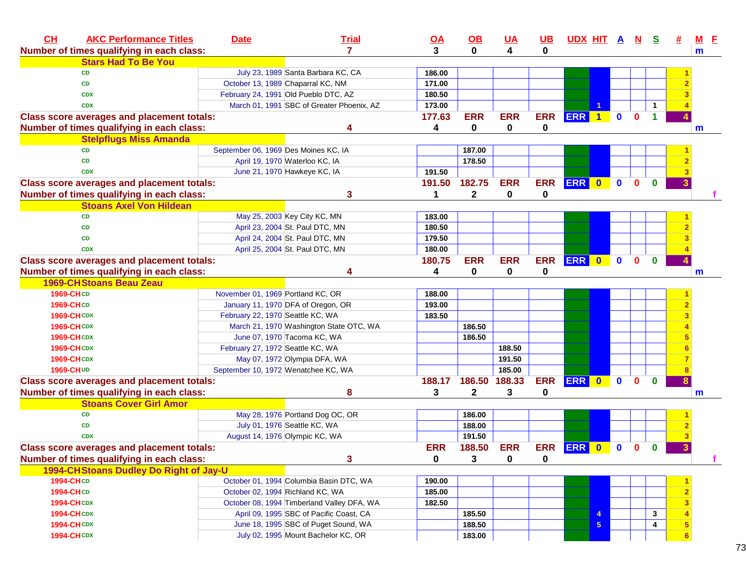| CH               | <b>AKC Performance Titles</b>                     | <b>Date</b>                          | <b>Trial</b>                               | $\overline{OA}$ | $\Omega$      | <b>UA</b>   | <u>UB</u>  | <u>UDX HIT A N</u> |                |              |              | <u>୍ତ</u> |   | <u>M E</u> |
|------------------|---------------------------------------------------|--------------------------------------|--------------------------------------------|-----------------|---------------|-------------|------------|--------------------|----------------|--------------|--------------|-----------|---|------------|
|                  | Number of times qualifying in each class:         |                                      | $\mathbf{7}$                               | 3               | $\bf{0}$      | 4           | 0          |                    |                |              |              |           |   | m          |
|                  | <b>Stars Had To Be You</b>                        |                                      |                                            |                 |               |             |            |                    |                |              |              |           |   |            |
|                  | <b>CD</b>                                         |                                      | July 23, 1989 Santa Barbara KC, CA         | 186.00          |               |             |            |                    |                |              |              |           |   |            |
|                  | <b>CD</b>                                         |                                      | October 13, 1989 Chaparral KC, NM          | 171.00          |               |             |            |                    |                |              |              |           |   |            |
|                  | <b>CDX</b>                                        |                                      | February 24, 1991 Old Pueblo DTC, AZ       | 180.50          |               |             |            |                    |                |              |              |           |   |            |
|                  | <b>CDX</b>                                        |                                      | March 01, 1991 SBC of Greater Phoenix, AZ  | 173.00          |               |             |            |                    |                |              |              |           |   |            |
|                  | <b>Class score averages and placement totals:</b> |                                      |                                            | 177.63          | <b>ERR</b>    | <b>ERR</b>  | <b>ERR</b> | <b>ERR</b>         | $\blacksquare$ | $\mathbf 0$  | $\mathbf{0}$ |           |   |            |
|                  | Number of times qualifying in each class:         |                                      | Δ                                          | 4               | 0             | 0           | 0          |                    |                |              |              |           |   | m          |
|                  | <b>Stelpflugs Miss Amanda</b>                     |                                      |                                            |                 |               |             |            |                    |                |              |              |           |   |            |
|                  | <b>CD</b>                                         | September 06, 1969 Des Moines KC, IA |                                            |                 | 187.00        |             |            |                    |                |              |              |           |   |            |
|                  | <b>CD</b>                                         |                                      | April 19, 1970 Waterloo KC, IA             |                 | 178.50        |             |            |                    |                |              |              |           |   |            |
|                  | <b>CDX</b>                                        |                                      | June 21, 1970 Hawkeye KC, IA               | 191.50          |               |             |            |                    |                |              |              |           |   |            |
|                  | <b>Class score averages and placement totals:</b> |                                      |                                            | 191.50          | 182.75        | <b>ERR</b>  | <b>ERR</b> | <b>ERR</b>         | $\bullet$      | $\mathbf 0$  | $\Omega$     | $\bf{0}$  |   |            |
|                  | Number of times qualifying in each class:         |                                      | 3                                          |                 | $\mathbf{2}$  | $\mathbf 0$ | 0          |                    |                |              |              |           |   |            |
|                  | <b>Stoans Axel Von Hildean</b>                    |                                      |                                            |                 |               |             |            |                    |                |              |              |           |   |            |
|                  | <b>CD</b>                                         |                                      | May 25, 2003 Key City KC, MN               | 183.00          |               |             |            |                    |                |              |              |           |   |            |
|                  | <b>CD</b>                                         |                                      | April 23, 2004 St. Paul DTC, MN            | 180.50          |               |             |            |                    |                |              |              |           |   |            |
|                  | <b>CD</b>                                         |                                      | April 24, 2004 St. Paul DTC, MN            | 179.50          |               |             |            |                    |                |              |              |           |   |            |
|                  | <b>CDX</b>                                        |                                      | April 25, 2004 St. Paul DTC, MN            | 180.00          |               |             |            |                    |                |              |              |           |   |            |
|                  | <b>Class score averages and placement totals:</b> |                                      |                                            | 180.75          | <b>ERR</b>    | <b>ERR</b>  | <b>ERR</b> | ERR 0              |                | $\mathbf 0$  | $\mathbf{0}$ | $\bf{0}$  |   |            |
|                  | Number of times qualifying in each class:         |                                      | Δ                                          | 4               | 0             | 0           | 0          |                    |                |              |              |           |   | m          |
|                  | <b>1969-CH Stoans Beau Zeau</b>                   |                                      |                                            |                 |               |             |            |                    |                |              |              |           |   |            |
| 1969-CHCD        |                                                   | November 01, 1969 Portland KC, OR    |                                            | 188.00          |               |             |            |                    |                |              |              |           |   |            |
| 1969-CHCD        |                                                   |                                      | January 11, 1970 DFA of Oregon, OR         | 193.00          |               |             |            |                    |                |              |              |           |   |            |
|                  | <b>1969-CH CDX</b>                                | February 22, 1970 Seattle KC, WA     |                                            | 183.50          |               |             |            |                    |                |              |              |           |   |            |
|                  | <b>1969-CHCDX</b>                                 |                                      | March 21, 1970 Washington State OTC, WA    |                 | 186.50        |             |            |                    |                |              |              |           |   |            |
|                  | <b>1969-CHCDX</b>                                 |                                      | June 07, 1970 Tacoma KC, WA                |                 | 186.50        |             |            |                    |                |              |              |           |   |            |
|                  | <b>1969-CHCDX</b>                                 | February 27, 1972 Seattle KC, WA     |                                            |                 |               | 188.50      |            |                    |                |              |              |           |   |            |
|                  | <b>1969-CHCDX</b>                                 |                                      | May 07, 1972 Olympia DFA, WA               |                 |               | 191.50      |            |                    |                |              |              |           |   |            |
|                  | 1969-CH UD                                        |                                      | September 10, 1972 Wenatchee KC, WA        |                 |               | 185.00      |            |                    |                |              |              |           |   |            |
|                  | <b>Class score averages and placement totals:</b> |                                      |                                            | 188.17          | 186.50 188.33 |             | <b>ERR</b> | ERR 0              |                | $\mathbf{0}$ | $\mathbf{0}$ | $\bf{0}$  |   |            |
|                  | Number of times qualifying in each class:         |                                      | 8                                          | 3               | 2             | 3           | 0          |                    |                |              |              |           |   | m          |
|                  | <b>Stoans Cover Girl Amor</b>                     |                                      |                                            |                 |               |             |            |                    |                |              |              |           |   |            |
|                  | <b>CD</b>                                         |                                      | May 28, 1976 Portland Dog OC, OR           |                 | 186.00        |             |            |                    |                |              |              |           |   |            |
|                  | <b>CD</b>                                         |                                      | July 01, 1976 Seattle KC, WA               |                 | 188.00        |             |            |                    |                |              |              |           |   |            |
|                  | <b>CDX</b>                                        |                                      | August 14, 1976 Olympic KC, WA             |                 | 191.50        |             |            |                    |                |              |              |           |   |            |
|                  |                                                   |                                      |                                            | <b>ERR</b>      | 188.50        | <b>ERR</b>  | <b>ERR</b> | <b>ERR</b>         | $\bf{0}$       | $\mathbf 0$  | 0            | $\bf{0}$  | 3 |            |
|                  | <b>Class score averages and placement totals:</b> |                                      |                                            |                 |               |             |            |                    |                |              |              |           |   |            |
|                  | Number of times qualifying in each class:         |                                      | 3                                          | $\pmb{0}$       | 3             | $\mathbf 0$ | 0          |                    |                |              |              |           |   |            |
|                  | 1994-CHStoans Dudley Do Right of Jay-U            |                                      |                                            |                 |               |             |            |                    |                |              |              |           |   |            |
|                  | <b>1994-CHCD</b>                                  |                                      | October 01, 1994 Columbia Basin DTC, WA    | 190.00          |               |             |            |                    |                |              |              |           |   |            |
| <b>1994-CHCD</b> |                                                   |                                      | October 02, 1994 Richland KC, WA           | 185.00          |               |             |            |                    |                |              |              |           |   |            |
|                  | <b>1994-CHCDX</b>                                 |                                      | October 08, 1994 Timberland Valley DFA, WA | 182.50          |               |             |            |                    |                |              |              |           |   |            |
|                  | <b>1994-CHCDX</b>                                 |                                      | April 09, 1995 SBC of Pacific Coast, CA    |                 | 185.50        |             |            |                    |                |              |              | 3         |   |            |
|                  | <b>1994-CHCDX</b>                                 |                                      | June 18, 1995 SBC of Puget Sound, WA       |                 | 188.50        |             |            |                    | 5              |              |              | 4         |   |            |
|                  | <b>1994-CHCDX</b>                                 |                                      | July 02, 1995 Mount Bachelor KC, OR        |                 | 183.00        |             |            |                    |                |              |              |           | 6 |            |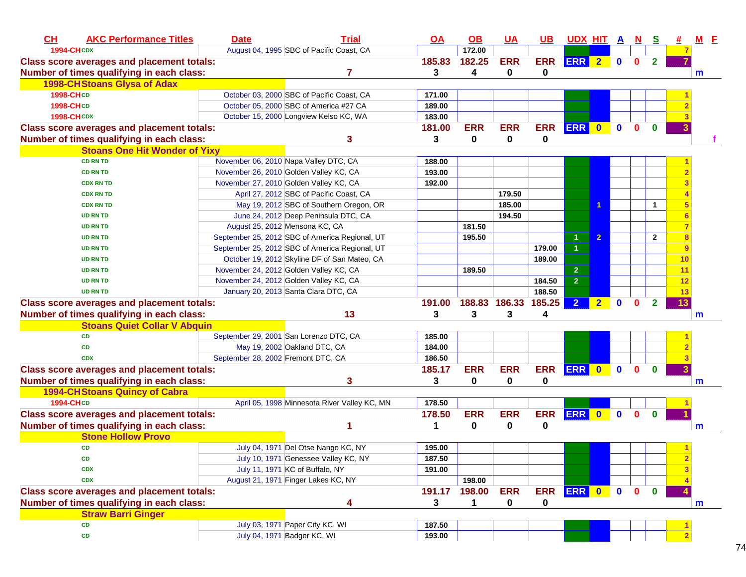| CH<br><b>AKC Performance Titles</b>               | <b>Date</b>                            | <b>Trial</b>                                   | $\overline{OA}$ | $\underline{\mathsf{OB}}$ | <u>UA</u>     | $UB$       | <b>UDX HIT A</b> |                |              | N.           | <u>s</u>       |    | $M$ E |  |
|---------------------------------------------------|----------------------------------------|------------------------------------------------|-----------------|---------------------------|---------------|------------|------------------|----------------|--------------|--------------|----------------|----|-------|--|
| <b>1994-CHCDX</b>                                 |                                        | August 04, 1995 SBC of Pacific Coast, CA       |                 | 172.00                    |               |            |                  |                |              |              |                |    |       |  |
| <b>Class score averages and placement totals:</b> |                                        |                                                | 185.83          | 182.25                    | <b>ERR</b>    | <b>ERR</b> | ERR 2            |                | $\mathbf{0}$ | $\mathbf{0}$ | $\overline{2}$ |    |       |  |
| Number of times qualifying in each class:         |                                        |                                                | 3               | 4                         | 0             | 0          |                  |                |              |              |                |    | m     |  |
| <b>1998-CHStoans Glysa of Adax</b>                |                                        |                                                |                 |                           |               |            |                  |                |              |              |                |    |       |  |
| 1998-CHCD                                         |                                        | October 03, 2000 SBC of Pacific Coast, CA      | 171.00          |                           |               |            |                  |                |              |              |                |    |       |  |
| <b>1998-CHCD</b>                                  |                                        | October 05, 2000 SBC of America #27 CA         | 189.00          |                           |               |            |                  |                |              |              |                |    |       |  |
| <b>1998-CHCDX</b>                                 |                                        | October 15, 2000 Longview Kelso KC, WA         | 183.00          |                           |               |            |                  |                |              |              |                |    |       |  |
| <b>Class score averages and placement totals:</b> |                                        |                                                | 181.00          | <b>ERR</b>                | <b>ERR</b>    | <b>ERR</b> | ERR 0            |                | $\mathbf{0}$ | $\mathbf{0}$ | $\mathbf{0}$   |    |       |  |
| Number of times qualifying in each class:         |                                        | 3                                              | 3               | $\mathbf 0$               | 0             | 0          |                  |                |              |              |                |    |       |  |
| <b>Stoans One Hit Wonder of Yixy</b>              |                                        |                                                |                 |                           |               |            |                  |                |              |              |                |    |       |  |
| <b>CD RN TD</b>                                   | November 06, 2010 Napa Valley DTC, CA  |                                                | 188.00          |                           |               |            |                  |                |              |              |                |    |       |  |
| <b>CD RN TD</b>                                   | November 26, 2010 Golden Valley KC, CA |                                                | 193.00          |                           |               |            |                  |                |              |              |                |    |       |  |
| <b>CDX RN TD</b>                                  | November 27, 2010 Golden Valley KC, CA |                                                | 192.00          |                           |               |            |                  |                |              |              |                |    |       |  |
| <b>CDX RN TD</b>                                  |                                        | April 27, 2012 SBC of Pacific Coast, CA        |                 |                           | 179.50        |            |                  |                |              |              |                |    |       |  |
| <b>CDX RN TD</b>                                  |                                        | May 19, 2012 SBC of Southern Oregon, OR        |                 |                           | 185.00        |            |                  |                |              |              | $\mathbf{1}$   | 5  |       |  |
| <b>UD RN TD</b>                                   |                                        | June 24, 2012 Deep Peninsula DTC, CA           |                 |                           | 194.50        |            |                  |                |              |              |                |    |       |  |
| <b>UD RN TD</b>                                   | August 25, 2012 Mensona KC, CA         |                                                |                 | 181.50                    |               |            |                  |                |              |              |                |    |       |  |
| <b>UD RN TD</b>                                   |                                        | September 25, 2012 SBC of America Regional, UT |                 | 195.50                    |               |            | 1                | $\overline{2}$ |              |              | $\overline{2}$ | 8  |       |  |
| <b>UD RN TD</b>                                   |                                        | September 25, 2012 SBC of America Regional, UT |                 |                           |               | 179.00     | $\overline{1}$   |                |              |              |                | 9  |       |  |
| <b>UD RN TD</b>                                   |                                        | October 19, 2012 Skyline DF of San Mateo, CA   |                 |                           |               | 189.00     |                  |                |              |              |                | 10 |       |  |
| <b>UD RN TD</b>                                   | November 24, 2012 Golden Valley KC, CA |                                                |                 | 189.50                    |               |            | $\overline{2}$   |                |              |              |                | 11 |       |  |
| <b>UD RN TD</b>                                   | November 24, 2012 Golden Valley KC, CA |                                                |                 |                           |               | 184.50     | $\overline{2}$   |                |              |              |                | 12 |       |  |
| <b>UD RN TD</b>                                   | January 20, 2013 Santa Clara DTC, CA   |                                                |                 |                           |               | 188.50     |                  |                |              |              |                | 13 |       |  |
| <b>Class score averages and placement totals:</b> |                                        |                                                | 191.00          |                           | 188.83 186.33 | 185.25     | $\overline{2}$   | 2 <sub>2</sub> | $\mathbf{0}$ | $\mathbf{0}$ | $\overline{2}$ | 13 |       |  |
| Number of times qualifying in each class:         |                                        | 13                                             | 3               | 3                         | 3             | 4          |                  |                |              |              |                |    | m     |  |
| <b>Stoans Quiet Collar V Abquin</b>               |                                        |                                                |                 |                           |               |            |                  |                |              |              |                |    |       |  |
| <b>CD</b>                                         | September 29, 2001 San Lorenzo DTC, CA |                                                | 185.00          |                           |               |            |                  |                |              |              |                |    |       |  |
| <b>CD</b>                                         | May 19, 2002 Oakland DTC, CA           |                                                | 184.00          |                           |               |            |                  |                |              |              |                |    |       |  |
| <b>CDX</b>                                        | September 28, 2002 Fremont DTC, CA     |                                                | 186.50          |                           |               |            |                  |                |              |              |                |    |       |  |
| <b>Class score averages and placement totals:</b> |                                        |                                                | 185.17          | <b>ERR</b>                | <b>ERR</b>    | <b>ERR</b> | ERR 0            |                | $\mathbf{0}$ | 0            | $\bf{0}$       |    |       |  |
| Number of times qualifying in each class:         |                                        | 3                                              | 3               | $\mathbf 0$               | $\mathbf 0$   | 0          |                  |                |              |              |                |    | m     |  |
| <b>1994-CHStoans Quincy of Cabra</b>              |                                        |                                                |                 |                           |               |            |                  |                |              |              |                |    |       |  |
| <b>1994-CHCD</b>                                  |                                        | April 05, 1998 Minnesota River Valley KC, MN   | 178.50          |                           |               |            |                  |                |              |              |                |    |       |  |
| <b>Class score averages and placement totals:</b> |                                        |                                                | 178.50          | <b>ERR</b>                | <b>ERR</b>    | <b>ERR</b> | ERR 0            |                | $\mathbf 0$  | $\mathbf{0}$ | $\mathbf 0$    |    |       |  |
| Number of times qualifying in each class:         |                                        |                                                | 1               | 0                         | $\mathbf 0$   | 0          |                  |                |              |              |                |    | m     |  |
| <b>Stone Hollow Provo</b>                         |                                        |                                                |                 |                           |               |            |                  |                |              |              |                |    |       |  |
| CD                                                |                                        | July 04, 1971 Del Otse Nango KC, NY            | 195.00          |                           |               |            |                  |                |              |              |                |    |       |  |
| CD                                                |                                        | July 10, 1971 Genessee Valley KC, NY           | 187.50          |                           |               |            |                  |                |              |              |                |    |       |  |
| <b>CDX</b>                                        | July 11, 1971 KC of Buffalo, NY        |                                                | 191.00          |                           |               |            |                  |                |              |              |                |    |       |  |
| <b>CDX</b>                                        | August 21, 1971 Finger Lakes KC, NY    |                                                |                 | 198.00                    |               |            |                  |                |              |              |                |    |       |  |
| <b>Class score averages and placement totals:</b> |                                        |                                                | 191.17          | 198.00                    | <b>ERR</b>    | <b>ERR</b> | ERR 0            |                | $\bullet$    | $\mathbf{0}$ | $\mathbf 0$    |    |       |  |
| Number of times qualifying in each class:         |                                        | 4                                              | 3               | 1                         | 0             | 0          |                  |                |              |              |                |    | m     |  |
| <b>Straw Barri Ginger</b>                         |                                        |                                                |                 |                           |               |            |                  |                |              |              |                |    |       |  |
| CD                                                | July 03, 1971 Paper City KC, WI        |                                                | 187.50          |                           |               |            |                  |                |              |              |                |    |       |  |
| CD                                                | July 04, 1971 Badger KC, WI            |                                                | 193.00          |                           |               |            |                  |                |              |              |                |    |       |  |
|                                                   |                                        |                                                |                 |                           |               |            |                  |                |              |              |                |    |       |  |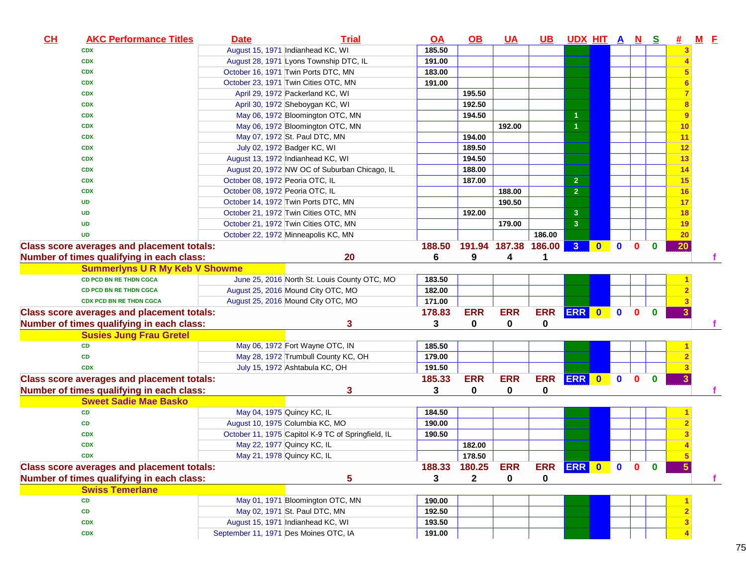| CL | <b>AKC Performance Titles</b>                     | <b>Date</b>                           | <b>Trial</b>                                       | <u>OA</u> | <u>OB</u>    | <u>UA</u>            | <u>UB</u>     | <u>UDX HIT A N</u>   |              |              |              | <u>s</u>     | 坓         | $M$ $E$ |  |
|----|---------------------------------------------------|---------------------------------------|----------------------------------------------------|-----------|--------------|----------------------|---------------|----------------------|--------------|--------------|--------------|--------------|-----------|---------|--|
|    | <b>CDX</b>                                        |                                       | August 15, 1971 Indianhead KC, WI                  | 185.50    |              |                      |               |                      |              |              |              |              |           |         |  |
|    | <b>CDX</b>                                        |                                       | August 28, 1971 Lyons Township DTC, IL             | 191.00    |              |                      |               |                      |              |              |              |              |           |         |  |
|    | <b>CDX</b>                                        |                                       | October 16, 1971 Twin Ports DTC, MN                | 183.00    |              |                      |               |                      |              |              |              |              |           |         |  |
|    | <b>CDX</b>                                        |                                       | October 23, 1971 Twin Cities OTC, MN               | 191.00    |              |                      |               |                      |              |              |              |              |           |         |  |
|    | <b>CDX</b>                                        |                                       | April 29, 1972 Packerland KC, WI                   |           | 195.50       |                      |               |                      |              |              |              |              |           |         |  |
|    | <b>CDX</b>                                        |                                       | April 30, 1972 Sheboygan KC, WI                    |           | 192.50       |                      |               |                      |              |              |              |              | 8         |         |  |
|    | <b>CDX</b>                                        |                                       | May 06, 1972 Bloomington OTC, MN                   |           | 194.50       |                      |               | $\mathbf{1}$         |              |              |              |              | 9         |         |  |
|    | <b>CDX</b>                                        |                                       | May 06, 1972 Bloomington OTC, MN                   |           |              | 192.00               |               | $\blacktriangleleft$ |              |              |              |              | 10        |         |  |
|    | <b>CDX</b>                                        |                                       | May 07, 1972 St. Paul DTC, MN                      |           | 194.00       |                      |               |                      |              |              |              |              | 11        |         |  |
|    | <b>CDX</b>                                        |                                       | July 02, 1972 Badger KC, WI                        |           | 189.50       |                      |               |                      |              |              |              |              | 12        |         |  |
|    | <b>CDX</b>                                        |                                       | August 13, 1972 Indianhead KC, WI                  |           | 194.50       |                      |               |                      |              |              |              |              | 13        |         |  |
|    | <b>CDX</b>                                        |                                       | August 20, 1972 NW OC of Suburban Chicago, IL      |           | 188.00       |                      |               |                      |              |              |              |              | 14        |         |  |
|    | <b>CDX</b>                                        | October 08, 1972 Peoria OTC, IL       |                                                    |           | 187.00       |                      |               | $\overline{2}$       |              |              |              |              | 15        |         |  |
|    | <b>CDX</b>                                        | October 08, 1972 Peoria OTC, IL       |                                                    |           |              | 188.00               |               | $\overline{2}$       |              |              |              |              | 16        |         |  |
|    | <b>UD</b>                                         |                                       | October 14, 1972 Twin Ports DTC, MN                |           |              | 190.50               |               |                      |              |              |              |              | 17        |         |  |
|    | <b>UD</b>                                         |                                       | October 21, 1972 Twin Cities OTC, MN               |           | 192.00       |                      |               | $\mathbf{3}$         |              |              |              |              | 18        |         |  |
|    | <b>UD</b>                                         |                                       | October 21, 1972 Twin Cities OTC, MN               |           |              | 179.00               |               | $\overline{3}$       |              |              |              |              | 19        |         |  |
|    | <b>UD</b>                                         |                                       | October 22, 1972 Minneapolis KC, MN                |           |              |                      | 186.00        |                      |              |              |              |              | <b>20</b> |         |  |
|    | <b>Class score averages and placement totals:</b> |                                       |                                                    | 188.50    |              | 191.94 187.38 186.00 |               | 3 <sup>2</sup>       | $\mathbf{0}$ | $\mathbf{0}$ | $\mathbf{0}$ | $\bf{0}$     | 20        |         |  |
|    | Number of times qualifying in each class:         |                                       | 20                                                 | 6         | 9            | 4                    |               |                      |              |              |              |              |           |         |  |
|    | <b>Summerlyns U R My Keb V Showme</b>             |                                       |                                                    |           |              |                      |               |                      |              |              |              |              |           |         |  |
|    | <b>CD PCD BN RE THDN CGCA</b>                     |                                       | June 25, 2016 North St. Louis County OTC, MO       | 183.50    |              |                      |               |                      |              |              |              |              |           |         |  |
|    | <b>CD PCD BN RE THDN CGCA</b>                     |                                       | August 25, 2016 Mound City OTC, MO                 | 182.00    |              |                      |               |                      |              |              |              |              |           |         |  |
|    | <b>CDX PCD BN RE THDN CGCA</b>                    |                                       | August 25, 2016 Mound City OTC, MO                 | 171.00    |              |                      |               |                      |              |              |              |              |           |         |  |
|    | <b>Class score averages and placement totals:</b> |                                       |                                                    | 178.83    | <b>ERR</b>   | <b>ERR</b>           | <b>ERR</b>    | ERR 0                |              | $\bullet$    | $\mathbf{0}$ | $\mathbf{0}$ | 3         |         |  |
|    | Number of times qualifying in each class:         |                                       | 3                                                  | 3         | 0            | 0                    | $\mathbf 0$   |                      |              |              |              |              |           |         |  |
|    | <b>Susies Jung Frau Gretel</b>                    |                                       |                                                    |           |              |                      |               |                      |              |              |              |              |           |         |  |
|    | <b>CD</b>                                         |                                       | May 06, 1972 Fort Wayne OTC, IN                    | 185.50    |              |                      |               |                      |              |              |              |              |           |         |  |
|    | <b>CD</b>                                         |                                       | May 28, 1972 Trumbull County KC, OH                | 179.00    |              |                      |               |                      |              |              |              |              |           |         |  |
|    | <b>CDX</b>                                        |                                       | July 15, 1972 Ashtabula KC, OH                     | 191.50    |              |                      |               |                      |              |              |              |              |           |         |  |
|    | <b>Class score averages and placement totals:</b> |                                       |                                                    | 185.33    | <b>ERR</b>   | <b>ERR</b>           | ERR ERR 0     |                      |              | $\bullet$    | $\mathbf{0}$ | $\mathbf{0}$ | 3         |         |  |
|    | Number of times qualifying in each class:         |                                       | 3                                                  | 3         | 0            | 0                    | $\mathbf 0$   |                      |              |              |              |              |           |         |  |
|    | <b>Sweet Sadie Mae Basko</b>                      |                                       |                                                    |           |              |                      |               |                      |              |              |              |              |           |         |  |
|    | <b>CD</b>                                         | May 04, 1975 Quincy KC, IL            |                                                    | 184.50    |              |                      |               |                      |              |              |              |              |           |         |  |
|    | <b>CD</b>                                         |                                       | August 10, 1975 Columbia KC, MO                    | 190.00    |              |                      |               |                      |              |              |              |              |           |         |  |
|    | <b>CDX</b>                                        |                                       | October 11, 1975 Capitol K-9 TC of Springfield, IL | 190.50    |              |                      |               |                      |              |              |              |              |           |         |  |
|    | <b>CDX</b>                                        | May 22, 1977 Quincy KC, IL            |                                                    |           | 182.00       |                      |               |                      |              |              |              |              |           |         |  |
|    | <b>CDX</b>                                        | May 21, 1978 Quincy KC, IL            |                                                    |           | 178.50       |                      |               |                      |              |              |              |              |           |         |  |
|    | <b>Class score averages and placement totals:</b> |                                       |                                                    | 188.33    | 180.25       | <b>ERR</b>           | ERR ERR 0 0 0 |                      |              |              |              | $\mathbf{0}$ |           |         |  |
|    | Number of times qualifying in each class:         |                                       | 5                                                  | 3         | $\mathbf{2}$ | 0                    | 0             |                      |              |              |              |              |           |         |  |
|    | <b>Swiss Temerlane</b>                            |                                       |                                                    |           |              |                      |               |                      |              |              |              |              |           |         |  |
|    | <b>CD</b>                                         |                                       | May 01, 1971 Bloomington OTC, MN                   | 190.00    |              |                      |               |                      |              |              |              |              |           |         |  |
|    | CD                                                |                                       | May 02, 1971 St. Paul DTC, MN                      | 192.50    |              |                      |               |                      |              |              |              |              |           |         |  |
|    | <b>CDX</b>                                        |                                       | August 15, 1971 Indianhead KC, WI                  | 193.50    |              |                      |               |                      |              |              |              |              |           |         |  |
|    | <b>CDX</b>                                        | September 11, 1971 Des Moines OTC, IA |                                                    | 191.00    |              |                      |               |                      |              |              |              |              |           |         |  |
|    |                                                   |                                       |                                                    |           |              |                      |               |                      |              |              |              |              |           |         |  |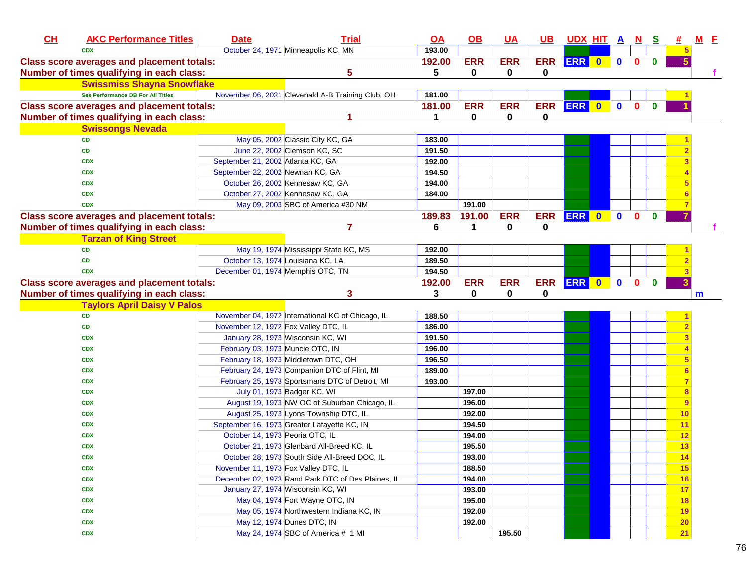| CL | <b>AKC Performance Titles</b>                     | <b>Date</b>                          | <b>Trial</b>                                       | $\overline{OA}$ | <u>OB</u>  | <u>UA</u>  | <u>UB</u>   | <u>UDX HIT A N</u> |           |             |              | <u>୍ର</u>    |                 | -E |
|----|---------------------------------------------------|--------------------------------------|----------------------------------------------------|-----------------|------------|------------|-------------|--------------------|-----------|-------------|--------------|--------------|-----------------|----|
|    | <b>CDX</b>                                        |                                      | October 24, 1971 Minneapolis KC, MN                | 193.00          |            |            |             |                    |           |             |              |              |                 |    |
|    | <b>Class score averages and placement totals:</b> |                                      |                                                    | 192.00          | <b>ERR</b> | <b>ERR</b> | <b>ERR</b>  | ERR 0              |           | $\mathbf 0$ | $\mathbf{0}$ | $\bf{0}$     |                 |    |
|    | Number of times qualifying in each class:         |                                      | 5                                                  | 5               | 0          | 0          | 0           |                    |           |             |              |              |                 |    |
|    | <b>Swissmiss Shayna Snowflake</b>                 |                                      |                                                    |                 |            |            |             |                    |           |             |              |              |                 |    |
|    | See Performance DB For All Titles                 |                                      | November 06, 2021 Clevenald A-B Training Club, OH  | 181.00          |            |            |             |                    |           |             |              |              |                 |    |
|    | <b>Class score averages and placement totals:</b> |                                      |                                                    | 181.00          | <b>ERR</b> | <b>ERR</b> | <b>ERR</b>  | <b>ERR</b>         | $\bullet$ | $\mathbf 0$ | $\mathbf{0}$ | $\mathbf{0}$ |                 |    |
|    | Number of times qualifying in each class:         |                                      |                                                    | 1               | 0          | 0          | 0           |                    |           |             |              |              |                 |    |
|    | <b>Swissongs Nevada</b>                           |                                      |                                                    |                 |            |            |             |                    |           |             |              |              |                 |    |
|    | <b>CD</b>                                         |                                      | May 05, 2002 Classic City KC, GA                   | 183.00          |            |            |             |                    |           |             |              |              |                 |    |
|    | CD                                                |                                      | June 22, 2002 Clemson KC, SC                       | 191.50          |            |            |             |                    |           |             |              |              |                 |    |
|    | <b>CDX</b>                                        | September 21, 2002 Atlanta KC, GA    |                                                    | 192.00          |            |            |             |                    |           |             |              |              |                 |    |
|    | <b>CDX</b>                                        | September 22, 2002 Newnan KC, GA     |                                                    | 194.50          |            |            |             |                    |           |             |              |              |                 |    |
|    | <b>CDX</b>                                        |                                      | October 26, 2002 Kennesaw KC, GA                   | 194.00          |            |            |             |                    |           |             |              |              |                 |    |
|    | <b>CDX</b>                                        |                                      | October 27, 2002 Kennesaw KC, GA                   | 184.00          |            |            |             |                    |           |             |              |              |                 |    |
|    | <b>CDX</b>                                        |                                      | May 09, 2003 SBC of America #30 NM                 |                 | 191.00     |            |             |                    |           |             |              |              |                 |    |
|    | <b>Class score averages and placement totals:</b> |                                      |                                                    | 189.83          | 191.00     | <b>ERR</b> | <b>ERR</b>  | <b>ERR</b>         | $\bullet$ | $\mathbf 0$ | $\bf{0}$     | $\bf{0}$     |                 |    |
|    | Number of times qualifying in each class:         |                                      | 7                                                  | 6               | 1          | 0          | $\mathbf 0$ |                    |           |             |              |              |                 |    |
|    | <b>Tarzan of King Street</b>                      |                                      |                                                    |                 |            |            |             |                    |           |             |              |              |                 |    |
|    | <b>CD</b>                                         |                                      | May 19, 1974 Mississippi State KC, MS              | 192.00          |            |            |             |                    |           |             |              |              |                 |    |
|    | <b>CD</b>                                         |                                      | October 13, 1974 Louisiana KC, LA                  | 189.50          |            |            |             |                    |           |             |              |              |                 |    |
|    | <b>CDX</b>                                        | December 01, 1974 Memphis OTC, TN    |                                                    | 194.50          |            |            |             |                    |           |             |              |              |                 |    |
|    | <b>Class score averages and placement totals:</b> |                                      |                                                    | 192.00          | <b>ERR</b> | <b>ERR</b> | <b>ERR</b>  | ERR 0              |           | $\mathbf 0$ | $\mathbf{0}$ | $\bf{0}$     |                 |    |
|    | Number of times qualifying in each class:         |                                      | 3                                                  | 3               | 0          | 0          | $\mathbf 0$ |                    |           |             |              |              |                 | m  |
|    | <b>Taylors April Daisy V Palos</b>                |                                      |                                                    |                 |            |            |             |                    |           |             |              |              |                 |    |
|    | <b>CD</b>                                         |                                      | November 04, 1972 International KC of Chicago, IL  | 188.50          |            |            |             |                    |           |             |              |              |                 |    |
|    | CD                                                | November 12, 1972 Fox Valley DTC, IL |                                                    | 186.00          |            |            |             |                    |           |             |              |              |                 |    |
|    | <b>CDX</b>                                        |                                      | January 28, 1973 Wisconsin KC, WI                  | 191.50          |            |            |             |                    |           |             |              |              |                 |    |
|    | <b>CDX</b>                                        | February 03, 1973 Muncie OTC, IN     |                                                    | 196.00          |            |            |             |                    |           |             |              |              |                 |    |
|    | <b>CDX</b>                                        |                                      | February 18, 1973 Middletown DTC, OH               | 196.50          |            |            |             |                    |           |             |              |              |                 |    |
|    | <b>CDX</b>                                        |                                      | February 24, 1973 Companion DTC of Flint, MI       | 189.00          |            |            |             |                    |           |             |              |              |                 |    |
|    | <b>CDX</b>                                        |                                      | February 25, 1973 Sportsmans DTC of Detroit, MI    | 193.00          |            |            |             |                    |           |             |              |              |                 |    |
|    | <b>CDX</b>                                        |                                      | July 01, 1973 Badger KC, WI                        |                 | 197.00     |            |             |                    |           |             |              |              | 8               |    |
|    | <b>CDX</b>                                        |                                      | August 19, 1973 NW OC of Suburban Chicago, IL      |                 | 196.00     |            |             |                    |           |             |              |              | 9               |    |
|    | <b>CDX</b>                                        |                                      | August 25, 1973 Lyons Township DTC, IL             |                 | 192.00     |            |             |                    |           |             |              |              | 10 <sub>1</sub> |    |
|    |                                                   |                                      |                                                    |                 | 194.50     |            |             |                    |           |             |              |              |                 |    |
|    | <b>CDX</b>                                        |                                      | September 16, 1973 Greater Lafayette KC, IN        |                 |            |            |             |                    |           |             |              |              | 11              |    |
|    | <b>CDX</b>                                        | October 14, 1973 Peoria OTC, IL      |                                                    |                 | 194.00     |            |             |                    |           |             |              |              | 12<br>13        |    |
|    | <b>CDX</b>                                        |                                      | October 21, 1973 Glenbard All-Breed KC, IL         |                 | 195.50     |            |             |                    |           |             |              |              |                 |    |
|    | <b>CDX</b>                                        |                                      | October 28, 1973 South Side All-Breed DOC, IL      |                 | 193.00     |            |             |                    |           |             |              |              | 14              |    |
|    | <b>CDX</b>                                        | November 11, 1973 Fox Valley DTC, IL |                                                    |                 | 188.50     |            |             |                    |           |             |              |              | 15              |    |
|    | <b>CDX</b>                                        |                                      | December 02, 1973 Rand Park DTC of Des Plaines, IL |                 | 194.00     |            |             |                    |           |             |              |              | 16              |    |
|    | <b>CDX</b>                                        |                                      | January 27, 1974 Wisconsin KC, WI                  |                 | 193.00     |            |             |                    |           |             |              |              | 17              |    |
|    | <b>CDX</b>                                        |                                      | May 04, 1974 Fort Wayne OTC, IN                    |                 | 195.00     |            |             |                    |           |             |              |              | 18              |    |
|    | <b>CDX</b>                                        |                                      | May 05, 1974 Northwestern Indiana KC, IN           |                 | 192.00     |            |             |                    |           |             |              |              | 19              |    |
|    | <b>CDX</b>                                        |                                      | May 12, 1974 Dunes DTC, IN                         |                 | 192.00     |            |             |                    |           |             |              |              | $20\,$          |    |
|    | <b>CDX</b>                                        |                                      | May 24, 1974 SBC of America # 1 MI                 |                 |            | 195.50     |             |                    |           |             |              |              | 21              |    |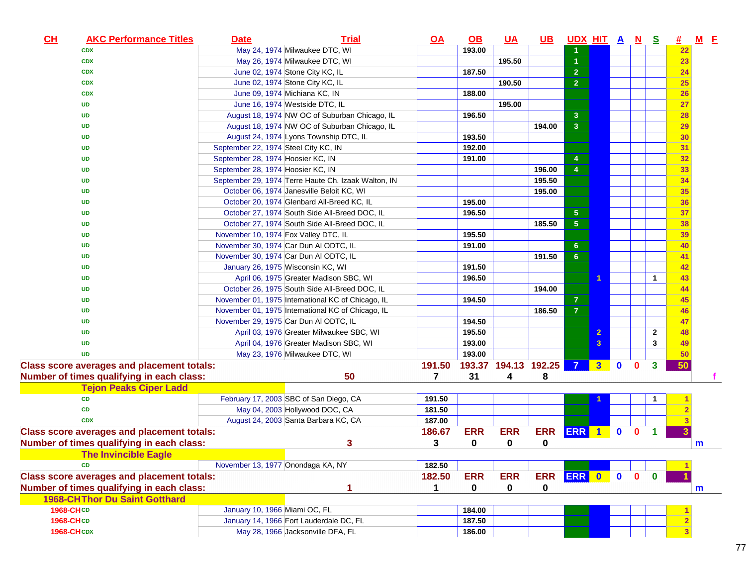| CL<br><b>AKC Performance Titles</b>               | <b>Date</b>                          | <b>Trial</b>                                        | <u>OA</u> | <u>OB</u>            | <u>UA</u>  | $\overline{\mathsf{UB}}$ | UDX HIT A N S  |                      |              |              |              | 坓               | $M$ $E$ |
|---------------------------------------------------|--------------------------------------|-----------------------------------------------------|-----------|----------------------|------------|--------------------------|----------------|----------------------|--------------|--------------|--------------|-----------------|---------|
| <b>CDX</b>                                        |                                      | May 24, 1974 Milwaukee DTC, WI                      |           | 193.00               |            |                          | 1.             |                      |              |              |              | 22              |         |
| <b>CDX</b>                                        |                                      | May 26, 1974 Milwaukee DTC, WI                      |           |                      | 195.50     |                          | $\overline{1}$ |                      |              |              |              | 23              |         |
| <b>CDX</b>                                        |                                      | June 02, 1974 Stone City KC, IL                     |           | 187.50               |            |                          | $\overline{2}$ |                      |              |              |              | 24              |         |
| <b>CDX</b>                                        |                                      | June 02, 1974 Stone City KC, IL                     |           |                      | 190.50     |                          | $\overline{2}$ |                      |              |              |              | 25              |         |
| <b>CDX</b>                                        |                                      | June 09, 1974 Michiana KC, IN                       |           | 188.00               |            |                          |                |                      |              |              |              | 26              |         |
| UD                                                |                                      | June 16, 1974 Westside DTC, IL                      |           |                      | 195.00     |                          |                |                      |              |              |              | 27              |         |
| <b>UD</b>                                         |                                      | August 18, 1974 NW OC of Suburban Chicago, IL       |           | 196.50               |            |                          | 3              |                      |              |              |              | 28              |         |
| UD                                                |                                      | August 18, 1974 NW OC of Suburban Chicago, IL       |           |                      |            | 194.00                   | 3 <sup>2</sup> |                      |              |              |              | 29              |         |
| UD                                                |                                      | August 24, 1974 Lyons Township DTC, IL              |           | 193.50               |            |                          |                |                      |              |              |              | 30              |         |
| <b>UD</b>                                         | September 22, 1974 Steel City KC, IN |                                                     |           | 192.00               |            |                          |                |                      |              |              |              | 31              |         |
| <b>UD</b>                                         | September 28, 1974 Hoosier KC, IN    |                                                     |           | 191.00               |            |                          | 4              |                      |              |              |              | 32              |         |
| <b>UD</b>                                         | September 28, 1974 Hoosier KC, IN    |                                                     |           |                      |            | 196.00                   | $\overline{4}$ |                      |              |              |              | 33              |         |
| <b>UD</b>                                         |                                      | September 29, 1974 Terre Haute Ch. Izaak Walton, IN |           |                      |            | 195.50                   |                |                      |              |              |              | 34              |         |
| <b>UD</b>                                         |                                      | October 06, 1974 Janesville Beloit KC, WI           |           |                      |            | 195.00                   |                |                      |              |              |              | 35              |         |
| UD                                                |                                      | October 20, 1974 Glenbard All-Breed KC, IL          |           | 195.00               |            |                          |                |                      |              |              |              | 36              |         |
| UD                                                |                                      | October 27, 1974 South Side All-Breed DOC, IL       |           | 196.50               |            |                          | $\sqrt{5}$     |                      |              |              |              | 37              |         |
| <b>UD</b>                                         |                                      | October 27, 1974 South Side All-Breed DOC, IL       |           |                      |            | 185.50                   | $\overline{5}$ |                      |              |              |              | 38              |         |
| <b>UD</b>                                         | November 10, 1974 Fox Valley DTC, IL |                                                     |           | 195.50               |            |                          |                |                      |              |              |              | 39              |         |
| <b>UD</b>                                         |                                      | November 30, 1974 Car Dun Al ODTC, IL               |           | 191.00               |            |                          | $6\phantom{a}$ |                      |              |              |              | 40              |         |
| <b>UD</b>                                         |                                      | November 30, 1974 Car Dun Al ODTC, IL               |           |                      |            | 191.50                   | $6\phantom{a}$ |                      |              |              |              | 41              |         |
| UD                                                |                                      | January 26, 1975 Wisconsin KC, WI                   |           | 191.50               |            |                          |                |                      |              |              |              | 42              |         |
| <b>UD</b>                                         |                                      | April 06, 1975 Greater Madison SBC, WI              |           | 196.50               |            |                          |                | $\blacktriangleleft$ |              |              | 1            | 43              |         |
| <b>UD</b>                                         |                                      | October 26, 1975 South Side All-Breed DOC, IL       |           |                      |            | 194.00                   |                |                      |              |              |              | 44              |         |
| <b>UD</b>                                         |                                      | November 01, 1975 International KC of Chicago, IL   |           | 194.50               |            |                          | $\mathbf{7}$   |                      |              |              |              | 45              |         |
| <b>UD</b>                                         |                                      | November 01, 1975 International KC of Chicago, IL   |           |                      |            | 186.50                   | $\overline{7}$ |                      |              |              |              | 46              |         |
| <b>UD</b>                                         |                                      | November 29, 1975 Car Dun Al ODTC, IL               |           | 194.50               |            |                          |                |                      |              |              |              | 47              |         |
| <b>UD</b>                                         |                                      | April 03, 1976 Greater Milwaukee SBC, WI            |           | 195.50               |            |                          |                | $\overline{2}$       |              |              | $\mathbf{2}$ | 48              |         |
| <b>UD</b>                                         |                                      | April 04, 1976 Greater Madison SBC, WI              |           | 193.00               |            |                          |                | 3                    |              |              | 3            | 49              |         |
| <b>UD</b>                                         |                                      | May 23, 1976 Milwaukee DTC, WI                      |           | 193.00               |            |                          |                |                      |              |              |              | $\overline{50}$ |         |
| <b>Class score averages and placement totals:</b> |                                      |                                                     | 191.50    | 193.37 194.13 192.25 |            |                          | $\overline{7}$ | 3 <sup>1</sup>       | $\mathbf{0}$ | $\bf{0}$     | 3            | 50              |         |
| Number of times qualifying in each class:         |                                      | 50                                                  | 7         | 31                   | 4          | 8                        |                |                      |              |              |              |                 |         |
| <b>Tejon Peaks Ciper Ladd</b>                     |                                      |                                                     |           |                      |            |                          |                |                      |              |              |              |                 |         |
| CD                                                |                                      | February 17, 2003 SBC of San Diego, CA              | 191.50    |                      |            |                          |                |                      |              |              |              |                 |         |
| CD                                                |                                      | May 04, 2003 Hollywood DOC, CA                      | 181.50    |                      |            |                          |                |                      |              |              |              |                 |         |
| <b>CDX</b>                                        |                                      | August 24, 2003 Santa Barbara KC, CA                | 187.00    |                      |            |                          |                |                      |              |              |              |                 |         |
| <b>Class score averages and placement totals:</b> |                                      |                                                     | 186.67    | <b>ERR</b>           | <b>ERR</b> | <b>ERR</b>               | ERR 1          |                      | $\bullet$    | $\mathbf{0}$ |              |                 |         |
| Number of times qualifying in each class:         |                                      | 3                                                   | 3         | $\mathbf 0$          | 0          | 0                        |                |                      |              |              |              |                 | m       |
| <b>Example 15 The Invincible Eagle</b>            |                                      |                                                     |           |                      |            |                          |                |                      |              |              |              |                 |         |
| <b>CD</b>                                         | November 13, 1977 Onondaga KA, NY    |                                                     | 182.50    |                      |            |                          |                |                      |              |              |              |                 |         |
| <b>Class score averages and placement totals:</b> |                                      |                                                     | 182.50    | <b>ERR</b>           | <b>ERR</b> | <b>ERR</b>               | ERR 0          |                      | $\bullet$    | $\mathbf{0}$ | $\bf{0}$     |                 |         |
| Number of times qualifying in each class:         |                                      |                                                     | 1         | $\mathbf 0$          | 0          | 0                        |                |                      |              |              |              |                 | m       |
| <b>1968-CHThor Du Saint Gotthard</b>              |                                      |                                                     |           |                      |            |                          |                |                      |              |              |              |                 |         |
| 1968-CHCD                                         | January 10, 1966 Miami OC, FL        |                                                     |           | 184.00               |            |                          |                |                      |              |              |              |                 |         |
| 1968-CHCD                                         |                                      | January 14, 1966 Fort Lauderdale DC, FL             |           | 187.50               |            |                          |                |                      |              |              |              |                 |         |
| <b>1968-CHCDX</b>                                 |                                      | May 28, 1966 Jacksonville DFA, FL                   |           | 186.00               |            |                          |                |                      |              |              |              |                 |         |
|                                                   |                                      |                                                     |           |                      |            |                          |                |                      |              |              |              |                 |         |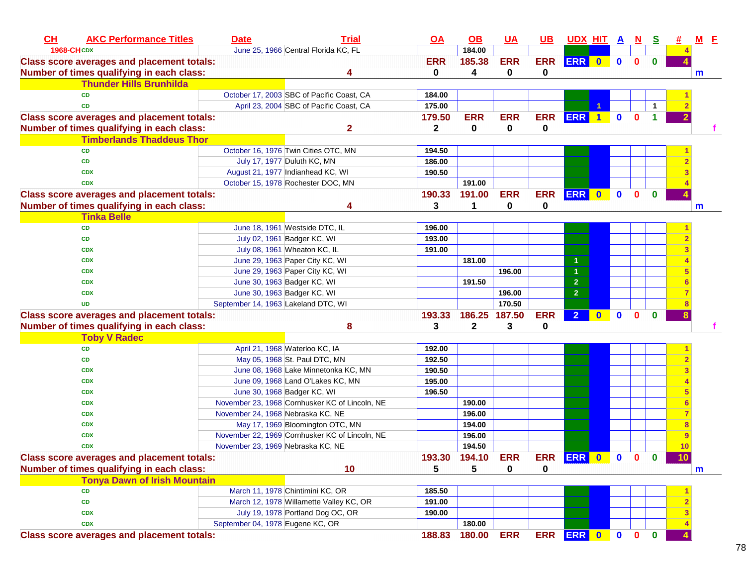| CH<br><b>AKC Performance Titles</b>               | <b>Date</b>                         | <b>Trial</b>                                   | <b>OA</b>    | $\Omega$      | <b>UA</b>     | $UB$        | <u>UDX HIT A N S</u> |              |              |             |             | #                       | $M$ E        |
|---------------------------------------------------|-------------------------------------|------------------------------------------------|--------------|---------------|---------------|-------------|----------------------|--------------|--------------|-------------|-------------|-------------------------|--------------|
| <b>1968-CHCDX</b>                                 |                                     | June 25, 1966 Central Florida KC, FL           |              | 184.00        |               |             |                      |              |              |             |             |                         |              |
| <b>Class score averages and placement totals:</b> |                                     |                                                | <b>ERR</b>   | 185.38        | <b>ERR</b>    | <b>ERR</b>  | ERR 0                |              | $\mathbf{0}$ | $\mathbf 0$ | $\bf{0}$    |                         |              |
| Number of times qualifying in each class:         |                                     | 4                                              | 0            | 4             | 0             | $\bf{0}$    |                      |              |              |             |             |                         | m            |
| <b>Thunder Hills Brunhilda</b>                    |                                     |                                                |              |               |               |             |                      |              |              |             |             |                         |              |
| <b>CD</b>                                         |                                     | October 17, 2003 SBC of Pacific Coast, CA      | 184.00       |               |               |             |                      |              |              |             |             |                         |              |
| <b>CD</b>                                         |                                     | April 23, 2004 SBC of Pacific Coast, CA        | 175.00       |               |               |             |                      |              |              |             |             |                         |              |
| <b>Class score averages and placement totals:</b> |                                     |                                                | 179.50       | <b>ERR</b>    | <b>ERR</b>    | <b>ERR</b>  | <b>ERR</b>           | $\mathbf{1}$ | $\mathbf 0$  | $\bf{0}$    | 1           |                         |              |
| Number of times qualifying in each class:         |                                     | $\overline{\mathbf{2}}$                        | $\mathbf{2}$ | 0             | 0             | $\mathbf 0$ |                      |              |              |             |             |                         |              |
| <b>Timberlands Thaddeus Thor</b>                  |                                     |                                                |              |               |               |             |                      |              |              |             |             |                         |              |
| <b>CD</b>                                         |                                     | October 16, 1976 Twin Cities OTC, MN           | 194.50       |               |               |             |                      |              |              |             |             |                         |              |
| CD                                                |                                     | July 17, 1977 Duluth KC, MN                    | 186.00       |               |               |             |                      |              |              |             |             |                         |              |
| <b>CDX</b>                                        |                                     | August 21, 1977 Indianhead KC, WI              | 190.50       |               |               |             |                      |              |              |             |             |                         |              |
| <b>CDX</b>                                        |                                     | October 15, 1978 Rochester DOC, MN             |              | 191.00        |               |             |                      |              |              |             |             |                         |              |
| <b>Class score averages and placement totals:</b> |                                     |                                                | 190.33       | 191.00        | <b>ERR</b>    | <b>ERR</b>  | ERR 0                |              | $\mathbf 0$  | $\mathbf 0$ | $\bf{0}$    |                         |              |
| Number of times qualifying in each class:         |                                     |                                                | 3            | 1             | 0             | $\mathbf 0$ |                      |              |              |             |             |                         | $\mathbf{m}$ |
| <b>Tinka Belle</b>                                |                                     |                                                |              |               |               |             |                      |              |              |             |             |                         |              |
| CD                                                |                                     | June 18, 1961 Westside DTC, IL                 | 196.00       |               |               |             |                      |              |              |             |             |                         |              |
| CD                                                |                                     | July 02, 1961 Badger KC, WI                    | 193.00       |               |               |             |                      |              |              |             |             |                         |              |
| <b>CDX</b>                                        |                                     | July 08, 1961 Wheaton KC, IL                   | 191.00       |               |               |             |                      |              |              |             |             |                         |              |
| <b>CDX</b>                                        |                                     | June 29, 1963 Paper City KC, WI                |              | 181.00        |               |             |                      |              |              |             |             |                         |              |
| <b>CDX</b>                                        |                                     | June 29, 1963 Paper City KC, WI                |              |               | 196.00        |             |                      |              |              |             |             |                         |              |
| <b>CDX</b>                                        |                                     | June 30, 1963 Badger KC, WI                    |              | 191.50        |               |             | $\overline{2}$       |              |              |             |             |                         |              |
| <b>CDX</b>                                        |                                     | June 30, 1963 Badger KC, WI                    |              |               | 196.00        |             | $\overline{2}$       |              |              |             |             |                         |              |
| <b>UD</b>                                         | September 14, 1963 Lakeland DTC, WI |                                                |              |               | 170.50        |             |                      |              |              |             |             |                         |              |
| <b>Class score averages and placement totals:</b> |                                     |                                                | 193.33       |               | 186.25 187.50 | <b>ERR</b>  | 2 <sup>1</sup>       | $\mathbf{0}$ | $\mathbf 0$  | $\bf{0}$    | O           | 8                       |              |
| Number of times qualifying in each class:         |                                     | 8                                              | 3            | $\mathbf 2$   | 3             | 0           |                      |              |              |             |             |                         |              |
| <b>Toby V Radec</b>                               |                                     |                                                |              |               |               |             |                      |              |              |             |             |                         |              |
| CD                                                |                                     | April 21, 1968 Waterloo KC, IA                 | 192.00       |               |               |             |                      |              |              |             |             |                         |              |
| CD                                                |                                     | May 05, 1968 St. Paul DTC, MN                  | 192.50       |               |               |             |                      |              |              |             |             | $\overline{2}$          |              |
| <b>CDX</b>                                        |                                     | June 08, 1968 Lake Minnetonka KC, MN           | 190.50       |               |               |             |                      |              |              |             |             |                         |              |
| <b>CDX</b>                                        |                                     | June 09, 1968 Land O'Lakes KC, MN              | 195.00       |               |               |             |                      |              |              |             |             |                         |              |
| <b>CDX</b>                                        |                                     | June 30, 1968 Badger KC, WI                    | 196.50       |               |               |             |                      |              |              |             |             |                         |              |
| <b>CDX</b>                                        |                                     | November 23, 1968 Cornhusker KC of Lincoln, NE |              | 190.00        |               |             |                      |              |              |             |             |                         |              |
| <b>CDX</b>                                        |                                     |                                                |              | 196.00        |               |             |                      |              |              |             |             |                         |              |
| <b>CDX</b>                                        | November 24, 1968 Nebraska KC, NE   |                                                |              |               |               |             |                      |              |              |             |             |                         |              |
|                                                   |                                     | May 17, 1969 Bloomington OTC, MN               |              | 194.00        |               |             |                      |              |              |             |             |                         |              |
| <b>CDX</b>                                        | November 23, 1969 Nebraska KC, NE   | November 22, 1969 Cornhusker KC of Lincoln, NE |              | 196.00        |               |             |                      |              |              |             |             |                         |              |
| <b>CDX</b>                                        |                                     |                                                |              | 194.50        |               |             |                      |              |              |             |             | 10                      |              |
| <b>Class score averages and placement totals:</b> |                                     |                                                |              | 193.30 194.10 | <b>ERR</b>    |             | ERR ERR 0 0 0 0      |              |              |             |             | 10                      |              |
| Number of times qualifying in each class:         |                                     | 10                                             | 5            | 5             | 0             | 0           |                      |              |              |             |             |                         | $\mathbf m$  |
| <b>Tonya Dawn of Irish Mountain</b>               |                                     |                                                |              |               |               |             |                      |              |              |             |             |                         |              |
| <b>CD</b>                                         |                                     | March 11, 1978 Chintimini KC, OR               | 185.50       |               |               |             |                      |              |              |             |             |                         |              |
| CD                                                |                                     | March 12, 1978 Willamette Valley KC, OR        | 191.00       |               |               |             |                      |              |              |             |             | $\overline{2}$          |              |
| <b>CDX</b>                                        |                                     | July 19, 1978 Portland Dog OC, OR              | 190.00       |               |               |             |                      |              |              |             |             | $\overline{\mathbf{3}}$ |              |
| <b>CDX</b>                                        | September 04, 1978 Eugene KC, OR    |                                                |              | 180.00        |               |             |                      |              |              |             |             |                         |              |
| <b>Class score averages and placement totals:</b> |                                     |                                                | 188.83       | 180.00        | <b>ERR</b>    |             | ERR ERR 0 0 0        |              |              |             | $\mathbf 0$ |                         |              |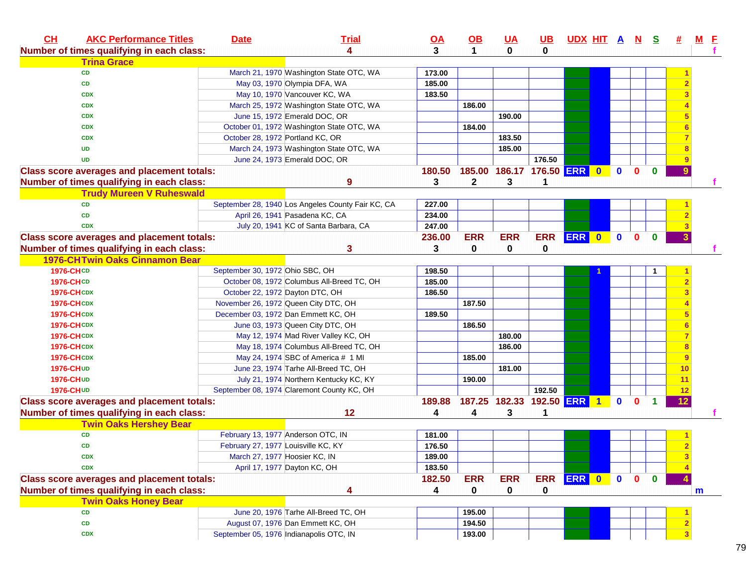| CL<br><b>AKC Performance Titles</b>               | <b>Date</b>                         | <b>Trial</b>                                                                   | <u>OA</u> | $\underline{\mathsf{OB}}$ | <u>UA</u>                  | $UB$        | <u>UDXHITANS</u> |           |              |              | 坓  | M F |  |
|---------------------------------------------------|-------------------------------------|--------------------------------------------------------------------------------|-----------|---------------------------|----------------------------|-------------|------------------|-----------|--------------|--------------|----|-----|--|
| Number of times qualifying in each class:         |                                     | 4                                                                              | 3         | $\mathbf 1$               | $\mathbf{0}$               | $\mathbf 0$ |                  |           |              |              |    |     |  |
| <b>Trina Grace</b>                                |                                     |                                                                                |           |                           |                            |             |                  |           |              |              |    |     |  |
| <b>CD</b>                                         |                                     | March 21, 1970 Washington State OTC, WA                                        | 173.00    |                           |                            |             |                  |           |              |              |    |     |  |
| CD                                                |                                     | May 03, 1970 Olympia DFA, WA                                                   | 185.00    |                           |                            |             |                  |           |              |              |    |     |  |
| <b>CDX</b>                                        |                                     | May 10, 1970 Vancouver KC, WA                                                  | 183.50    |                           |                            |             |                  |           |              |              |    |     |  |
| <b>CDX</b>                                        |                                     | March 25, 1972 Washington State OTC, WA                                        |           | 186.00                    |                            |             |                  |           |              |              |    |     |  |
| <b>CDX</b>                                        |                                     | June 15, 1972 Emerald DOC, OR                                                  |           |                           | 190.00                     |             |                  |           |              |              |    |     |  |
| <b>CDX</b>                                        |                                     | October 01, 1972 Washington State OTC, WA                                      |           | 184.00                    |                            |             |                  |           |              |              |    |     |  |
| <b>CDX</b>                                        | October 28, 1972 Portland KC, OR    |                                                                                |           |                           | 183.50                     |             |                  |           |              |              |    |     |  |
| <b>UD</b>                                         |                                     | March 24, 1973 Washington State OTC, WA                                        |           |                           | 185.00                     |             |                  |           |              |              |    |     |  |
| <b>UD</b>                                         |                                     | June 24, 1973 Emerald DOC, OR                                                  |           |                           |                            | 176.50      |                  |           |              |              |    |     |  |
| <b>Class score averages and placement totals:</b> |                                     |                                                                                | 180.50    |                           | 185.00 186.17 176.50 ERR 0 |             |                  | $\bullet$ | $\mathbf{0}$ | $\mathbf{0}$ |    |     |  |
| Number of times qualifying in each class:         |                                     | 9                                                                              | 3         | $\mathbf{2}$              | 3                          | 1           |                  |           |              |              |    |     |  |
| <b>Trudy Mureen V Ruheswald</b>                   |                                     |                                                                                |           |                           |                            |             |                  |           |              |              |    |     |  |
| <b>CD</b>                                         |                                     | September 28, 1940 Los Angeles County Fair KC, CA                              | 227.00    |                           |                            |             |                  |           |              |              |    |     |  |
| <b>CD</b>                                         |                                     | April 26, 1941 Pasadena KC, CA                                                 | 234.00    |                           |                            |             |                  |           |              |              |    |     |  |
| <b>CDX</b>                                        |                                     | July 20, 1941 KC of Santa Barbara, CA                                          | 247.00    |                           |                            |             |                  |           |              |              |    |     |  |
| <b>Class score averages and placement totals:</b> |                                     |                                                                                | 236.00    | <b>ERR</b>                | <b>ERR</b>                 | <b>ERR</b>  | ERR 0 0          |           | $\mathbf{0}$ | $\mathbf{0}$ |    |     |  |
| Number of times qualifying in each class:         |                                     | 3                                                                              | 3         | $\mathbf{0}$              | 0                          | 0           |                  |           |              |              |    |     |  |
| <b>1976-CHTwin Oaks Cinnamon Bear</b>             |                                     |                                                                                |           |                           |                            |             |                  |           |              |              |    |     |  |
| <b>1976-CHCD</b>                                  | September 30, 1972 Ohio SBC, OH     |                                                                                | 198.50    |                           |                            |             |                  |           |              |              |    |     |  |
| <b>1976-CHCD</b>                                  |                                     | October 08, 1972 Columbus All-Breed TC, OH                                     | 185.00    |                           |                            |             |                  |           |              |              |    |     |  |
| <b>1976-CHCDX</b>                                 | October 22, 1972 Dayton DTC, OH     |                                                                                | 186.50    |                           |                            |             |                  |           |              |              |    |     |  |
| <b>1976-CHCDX</b>                                 |                                     | November 26, 1972 Queen City DTC, OH                                           |           | 187.50                    |                            |             |                  |           |              |              |    |     |  |
| <b>1976-CHCDX</b>                                 |                                     | December 03, 1972 Dan Emmett KC, OH                                            | 189.50    |                           |                            |             |                  |           |              |              |    |     |  |
| <b>1976-CHCDX</b>                                 |                                     | June 03, 1973 Queen City DTC, OH                                               |           | 186.50                    |                            |             |                  |           |              |              |    |     |  |
| <b>1976-CHCDX</b>                                 |                                     |                                                                                |           |                           | 180.00                     |             |                  |           |              |              |    |     |  |
| <b>1976-CHCDX</b>                                 |                                     | May 12, 1974 Mad River Valley KC, OH<br>May 18, 1974 Columbus All-Breed TC, OH |           |                           | 186.00                     |             |                  |           |              |              |    |     |  |
|                                                   |                                     |                                                                                |           | 185.00                    |                            |             |                  |           |              |              | 9  |     |  |
| <b>1976-CHCDX</b>                                 |                                     | May 24, 1974 SBC of America # 1 MI                                             |           |                           |                            |             |                  |           |              |              |    |     |  |
| <b>1976-CHUD</b>                                  |                                     | June 23, 1974 Tarhe All-Breed TC, OH                                           |           |                           | 181.00                     |             |                  |           |              |              | 10 |     |  |
| 1976-CHUD                                         |                                     | July 21, 1974 Northern Kentucky KC, KY                                         |           | 190.00                    |                            |             |                  |           |              |              | 11 |     |  |
| 1976-CHUD                                         |                                     | September 08, 1974 Claremont County KC, OH                                     |           |                           |                            | 192.50      |                  |           |              |              | 12 |     |  |
| <b>Class score averages and placement totals:</b> |                                     |                                                                                | 189.88    |                           | 187.25 182.33 192.50 ERR 1 |             |                  | $\bullet$ | $\mathbf{0}$ | 1            | 12 |     |  |
| Number of times qualifying in each class:         |                                     | 12                                                                             | 4         | 4                         | 3                          | 1           |                  |           |              |              |    |     |  |
| <b>Twin Oaks Hershey Bear</b>                     |                                     |                                                                                |           |                           |                            |             |                  |           |              |              |    |     |  |
| ${\bf CD}$                                        |                                     | February 13, 1977 Anderson OTC, IN                                             | 181.00    |                           |                            |             |                  |           |              |              |    |     |  |
| <b>CD</b>                                         | February 27, 1977 Louisville KC, KY |                                                                                | 176.50    |                           |                            |             |                  |           |              |              |    |     |  |
| <b>CDX</b>                                        | March 27, 1977 Hoosier KC, IN       |                                                                                | 189.00    |                           |                            |             |                  |           |              |              |    |     |  |
| <b>CDX</b>                                        |                                     | April 17, 1977 Dayton KC, OH                                                   | 183.50    |                           |                            |             |                  |           |              |              |    |     |  |
| <b>Class score averages and placement totals:</b> |                                     |                                                                                | 182.50    | <b>ERR</b>                | <b>ERR</b>                 | <b>ERR</b>  | ERR 0            | $\bullet$ | $\mathbf{0}$ | $\mathbf{0}$ |    |     |  |
| Number of times qualifying in each class:         |                                     | 4                                                                              | 4         | 0                         | 0                          | $\mathbf 0$ |                  |           |              |              |    | m   |  |
| <b>Twin Oaks Honey Bear</b>                       |                                     |                                                                                |           |                           |                            |             |                  |           |              |              |    |     |  |
| <b>CD</b>                                         |                                     | June 20, 1976 Tarhe All-Breed TC, OH                                           |           | 195.00                    |                            |             |                  |           |              |              |    |     |  |
| CD                                                |                                     | August 07, 1976 Dan Emmett KC, OH                                              |           | 194.50                    |                            |             |                  |           |              |              |    |     |  |
| <b>CDX</b>                                        |                                     | September 05, 1976 Indianapolis OTC, IN                                        |           | 193.00                    |                            |             |                  |           |              |              |    |     |  |
|                                                   |                                     |                                                                                |           |                           |                            |             |                  |           |              |              |    |     |  |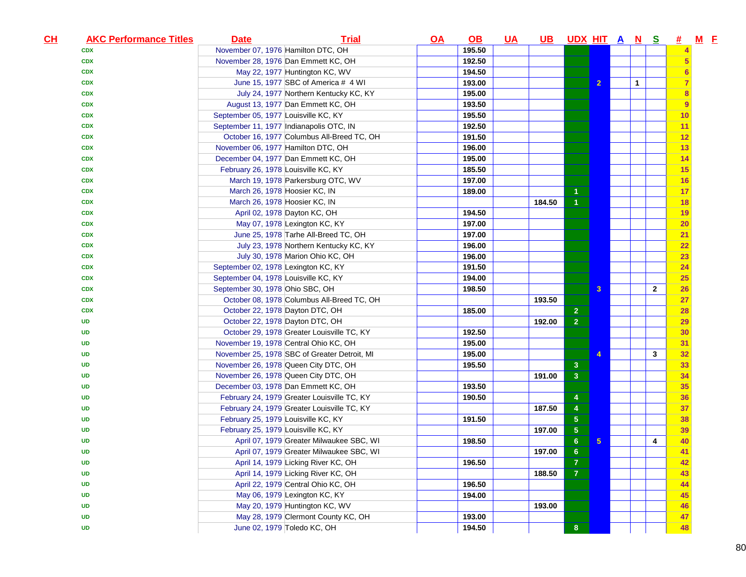| November 07, 1976 Hamilton DTC, OH<br>195.50<br><b>CDX</b><br>192.50<br>November 28, 1976 Dan Emmett KC, OH<br><b>CDX</b><br>5<br>May 22, 1977 Huntington KC, WV<br>194.50<br><b>CDX</b><br>6<br>193.00<br>$\overline{2}$<br>$\mathbf{1}$<br>June 15, 1977 SBC of America # 4 WI<br><b>CDX</b><br>195.00<br>July 24, 1977 Northern Kentucky KC, KY<br><b>CDX</b><br>8<br>August 13, 1977 Dan Emmett KC, OH<br>193.50<br>9<br><b>CDX</b><br>195.50<br>September 05, 1977 Louisville KC, KY<br>10<br><b>CDX</b><br>192.50<br>September 11, 1977 Indianapolis OTC, IN<br>11<br><b>CDX</b><br>October 16, 1977 Columbus All-Breed TC, OH<br>191.50<br>12<br><b>CDX</b><br>November 06, 1977 Hamilton DTC, OH<br>196.00<br>13<br><b>CDX</b><br>195.00<br>December 04, 1977 Dan Emmett KC, OH<br>14<br><b>CDX</b><br>February 26, 1978 Louisville KC, KY<br>185.50<br>15<br><b>CDX</b><br>March 19, 1978 Parkersburg OTC, WV<br>197.00<br>16<br><b>CDX</b><br>March 26, 1978 Hoosier KC, IN<br>189.00<br>17<br><b>CDX</b><br>March 26, 1978 Hoosier KC, IN<br>184.50<br>18<br><b>CDX</b><br>April 02, 1978 Dayton KC, OH<br>194.50<br>19<br><b>CDX</b><br>May 07, 1978 Lexington KC, KY<br>197.00<br>20<br><b>CDX</b><br>June 25, 1978 Tarhe All-Breed TC, OH<br>197.00<br>21<br><b>CDX</b><br>July 23, 1978 Northern Kentucky KC, KY<br>196.00<br>22<br><b>CDX</b><br>July 30, 1978 Marion Ohio KC, OH<br>196.00<br>23<br><b>CDX</b><br>September 02, 1978 Lexington KC, KY<br>191.50<br>24<br><b>CDX</b><br>September 04, 1978 Louisville KC, KY<br>194.00<br>25<br><b>CDX</b><br>198.50<br>$\mathbf{3}$<br>$\overline{2}$<br>September 30, 1978 Ohio SBC, OH<br><b>CDX</b><br>26<br>October 08, 1978 Columbus All-Breed TC, OH<br>193.50<br>27<br><b>CDX</b><br>185.00<br>$\overline{2}$<br>October 22, 1978 Dayton DTC, OH<br>28<br><b>CDX</b><br>$\overline{2}$<br>October 22, 1978 Dayton DTC, OH<br>192.00<br>29<br><b>UD</b><br>October 29, 1978 Greater Louisville TC, KY<br>192.50<br>30<br>UD<br>November 19, 1978 Central Ohio KC, OH<br>195.00<br>31<br>UD<br>195.00<br>$\mathbf{3}$<br>32<br>November 25, 1978 SBC of Greater Detroit, MI<br>4<br>UD<br>195.50<br>November 26, 1978 Queen City DTC, OH<br>3 <sup>2</sup><br>33<br><b>UD</b><br>November 26, 1978 Queen City DTC, OH<br>191.00<br>$\mathbf{3}$<br>34<br><b>UD</b><br>193.50<br>35<br>December 03, 1978 Dan Emmett KC, OH<br><b>UD</b><br>February 24, 1979 Greater Louisville TC, KY<br>190.50<br>36<br><b>UD</b><br>4<br>February 24, 1979 Greater Louisville TC, KY<br>187.50<br>37<br><b>UD</b><br>4<br>February 25, 1979 Louisville KC, KY<br>191.50<br>$\sqrt{5}$<br>38<br><b>UD</b><br>February 25, 1979 Louisville KC, KY<br>$\sqrt{5}$<br>197.00<br>39<br><b>UD</b><br>April 07, 1979 Greater Milwaukee SBC, WI<br>198.50<br>6<br>5<br>40<br><b>UD</b><br>4<br>April 07, 1979 Greater Milwaukee SBC, WI<br>197.00<br>6<br>41<br><b>UD</b><br>April 14, 1979 Licking River KC, OH<br>196.50<br>$\overline{7}$<br>42<br><b>UD</b><br>$\overline{7}$<br>April 14, 1979 Licking River KC, OH<br>188.50<br>43<br><b>UD</b><br>April 22, 1979 Central Ohio KC, OH<br>196.50<br>44<br>UD<br>May 06, 1979 Lexington KC, KY<br>194.00<br><b>UD</b><br>45<br>May 20, 1979 Huntington KC, WV<br>193.00<br><b>UD</b><br>46<br>May 28, 1979 Clermont County KC, OH<br>193.00<br>47<br><b>UD</b><br>June 02, 1979 Toledo KC, OH<br>194.50<br>8 <sup>°</sup><br>48<br><b>UD</b> | $CH$ | <b>AKC Performance Titles</b> | <b>Date</b> | <b>Trial</b> | <u>OA</u> | <u>OB</u> | <u>UA</u> | <b>UB</b> | <u>UDX HIT A N S</u> |  |  | #_ | $M$ $E$ |  |
|-------------------------------------------------------------------------------------------------------------------------------------------------------------------------------------------------------------------------------------------------------------------------------------------------------------------------------------------------------------------------------------------------------------------------------------------------------------------------------------------------------------------------------------------------------------------------------------------------------------------------------------------------------------------------------------------------------------------------------------------------------------------------------------------------------------------------------------------------------------------------------------------------------------------------------------------------------------------------------------------------------------------------------------------------------------------------------------------------------------------------------------------------------------------------------------------------------------------------------------------------------------------------------------------------------------------------------------------------------------------------------------------------------------------------------------------------------------------------------------------------------------------------------------------------------------------------------------------------------------------------------------------------------------------------------------------------------------------------------------------------------------------------------------------------------------------------------------------------------------------------------------------------------------------------------------------------------------------------------------------------------------------------------------------------------------------------------------------------------------------------------------------------------------------------------------------------------------------------------------------------------------------------------------------------------------------------------------------------------------------------------------------------------------------------------------------------------------------------------------------------------------------------------------------------------------------------------------------------------------------------------------------------------------------------------------------------------------------------------------------------------------------------------------------------------------------------------------------------------------------------------------------------------------------------------------------------------------------------------------------------------------------------------------------------------------------------------------------------------------------------------------------------------------------------------------------------------------------------------------------------------------------------------------------------------------------------------------------------------------------------------------------------------------------------------------------------|------|-------------------------------|-------------|--------------|-----------|-----------|-----------|-----------|----------------------|--|--|----|---------|--|
|                                                                                                                                                                                                                                                                                                                                                                                                                                                                                                                                                                                                                                                                                                                                                                                                                                                                                                                                                                                                                                                                                                                                                                                                                                                                                                                                                                                                                                                                                                                                                                                                                                                                                                                                                                                                                                                                                                                                                                                                                                                                                                                                                                                                                                                                                                                                                                                                                                                                                                                                                                                                                                                                                                                                                                                                                                                                                                                                                                                                                                                                                                                                                                                                                                                                                                                                                                                                                                                 |      |                               |             |              |           |           |           |           |                      |  |  |    |         |  |
|                                                                                                                                                                                                                                                                                                                                                                                                                                                                                                                                                                                                                                                                                                                                                                                                                                                                                                                                                                                                                                                                                                                                                                                                                                                                                                                                                                                                                                                                                                                                                                                                                                                                                                                                                                                                                                                                                                                                                                                                                                                                                                                                                                                                                                                                                                                                                                                                                                                                                                                                                                                                                                                                                                                                                                                                                                                                                                                                                                                                                                                                                                                                                                                                                                                                                                                                                                                                                                                 |      |                               |             |              |           |           |           |           |                      |  |  |    |         |  |
|                                                                                                                                                                                                                                                                                                                                                                                                                                                                                                                                                                                                                                                                                                                                                                                                                                                                                                                                                                                                                                                                                                                                                                                                                                                                                                                                                                                                                                                                                                                                                                                                                                                                                                                                                                                                                                                                                                                                                                                                                                                                                                                                                                                                                                                                                                                                                                                                                                                                                                                                                                                                                                                                                                                                                                                                                                                                                                                                                                                                                                                                                                                                                                                                                                                                                                                                                                                                                                                 |      |                               |             |              |           |           |           |           |                      |  |  |    |         |  |
|                                                                                                                                                                                                                                                                                                                                                                                                                                                                                                                                                                                                                                                                                                                                                                                                                                                                                                                                                                                                                                                                                                                                                                                                                                                                                                                                                                                                                                                                                                                                                                                                                                                                                                                                                                                                                                                                                                                                                                                                                                                                                                                                                                                                                                                                                                                                                                                                                                                                                                                                                                                                                                                                                                                                                                                                                                                                                                                                                                                                                                                                                                                                                                                                                                                                                                                                                                                                                                                 |      |                               |             |              |           |           |           |           |                      |  |  |    |         |  |
|                                                                                                                                                                                                                                                                                                                                                                                                                                                                                                                                                                                                                                                                                                                                                                                                                                                                                                                                                                                                                                                                                                                                                                                                                                                                                                                                                                                                                                                                                                                                                                                                                                                                                                                                                                                                                                                                                                                                                                                                                                                                                                                                                                                                                                                                                                                                                                                                                                                                                                                                                                                                                                                                                                                                                                                                                                                                                                                                                                                                                                                                                                                                                                                                                                                                                                                                                                                                                                                 |      |                               |             |              |           |           |           |           |                      |  |  |    |         |  |
|                                                                                                                                                                                                                                                                                                                                                                                                                                                                                                                                                                                                                                                                                                                                                                                                                                                                                                                                                                                                                                                                                                                                                                                                                                                                                                                                                                                                                                                                                                                                                                                                                                                                                                                                                                                                                                                                                                                                                                                                                                                                                                                                                                                                                                                                                                                                                                                                                                                                                                                                                                                                                                                                                                                                                                                                                                                                                                                                                                                                                                                                                                                                                                                                                                                                                                                                                                                                                                                 |      |                               |             |              |           |           |           |           |                      |  |  |    |         |  |
|                                                                                                                                                                                                                                                                                                                                                                                                                                                                                                                                                                                                                                                                                                                                                                                                                                                                                                                                                                                                                                                                                                                                                                                                                                                                                                                                                                                                                                                                                                                                                                                                                                                                                                                                                                                                                                                                                                                                                                                                                                                                                                                                                                                                                                                                                                                                                                                                                                                                                                                                                                                                                                                                                                                                                                                                                                                                                                                                                                                                                                                                                                                                                                                                                                                                                                                                                                                                                                                 |      |                               |             |              |           |           |           |           |                      |  |  |    |         |  |
|                                                                                                                                                                                                                                                                                                                                                                                                                                                                                                                                                                                                                                                                                                                                                                                                                                                                                                                                                                                                                                                                                                                                                                                                                                                                                                                                                                                                                                                                                                                                                                                                                                                                                                                                                                                                                                                                                                                                                                                                                                                                                                                                                                                                                                                                                                                                                                                                                                                                                                                                                                                                                                                                                                                                                                                                                                                                                                                                                                                                                                                                                                                                                                                                                                                                                                                                                                                                                                                 |      |                               |             |              |           |           |           |           |                      |  |  |    |         |  |
|                                                                                                                                                                                                                                                                                                                                                                                                                                                                                                                                                                                                                                                                                                                                                                                                                                                                                                                                                                                                                                                                                                                                                                                                                                                                                                                                                                                                                                                                                                                                                                                                                                                                                                                                                                                                                                                                                                                                                                                                                                                                                                                                                                                                                                                                                                                                                                                                                                                                                                                                                                                                                                                                                                                                                                                                                                                                                                                                                                                                                                                                                                                                                                                                                                                                                                                                                                                                                                                 |      |                               |             |              |           |           |           |           |                      |  |  |    |         |  |
|                                                                                                                                                                                                                                                                                                                                                                                                                                                                                                                                                                                                                                                                                                                                                                                                                                                                                                                                                                                                                                                                                                                                                                                                                                                                                                                                                                                                                                                                                                                                                                                                                                                                                                                                                                                                                                                                                                                                                                                                                                                                                                                                                                                                                                                                                                                                                                                                                                                                                                                                                                                                                                                                                                                                                                                                                                                                                                                                                                                                                                                                                                                                                                                                                                                                                                                                                                                                                                                 |      |                               |             |              |           |           |           |           |                      |  |  |    |         |  |
|                                                                                                                                                                                                                                                                                                                                                                                                                                                                                                                                                                                                                                                                                                                                                                                                                                                                                                                                                                                                                                                                                                                                                                                                                                                                                                                                                                                                                                                                                                                                                                                                                                                                                                                                                                                                                                                                                                                                                                                                                                                                                                                                                                                                                                                                                                                                                                                                                                                                                                                                                                                                                                                                                                                                                                                                                                                                                                                                                                                                                                                                                                                                                                                                                                                                                                                                                                                                                                                 |      |                               |             |              |           |           |           |           |                      |  |  |    |         |  |
|                                                                                                                                                                                                                                                                                                                                                                                                                                                                                                                                                                                                                                                                                                                                                                                                                                                                                                                                                                                                                                                                                                                                                                                                                                                                                                                                                                                                                                                                                                                                                                                                                                                                                                                                                                                                                                                                                                                                                                                                                                                                                                                                                                                                                                                                                                                                                                                                                                                                                                                                                                                                                                                                                                                                                                                                                                                                                                                                                                                                                                                                                                                                                                                                                                                                                                                                                                                                                                                 |      |                               |             |              |           |           |           |           |                      |  |  |    |         |  |
|                                                                                                                                                                                                                                                                                                                                                                                                                                                                                                                                                                                                                                                                                                                                                                                                                                                                                                                                                                                                                                                                                                                                                                                                                                                                                                                                                                                                                                                                                                                                                                                                                                                                                                                                                                                                                                                                                                                                                                                                                                                                                                                                                                                                                                                                                                                                                                                                                                                                                                                                                                                                                                                                                                                                                                                                                                                                                                                                                                                                                                                                                                                                                                                                                                                                                                                                                                                                                                                 |      |                               |             |              |           |           |           |           |                      |  |  |    |         |  |
|                                                                                                                                                                                                                                                                                                                                                                                                                                                                                                                                                                                                                                                                                                                                                                                                                                                                                                                                                                                                                                                                                                                                                                                                                                                                                                                                                                                                                                                                                                                                                                                                                                                                                                                                                                                                                                                                                                                                                                                                                                                                                                                                                                                                                                                                                                                                                                                                                                                                                                                                                                                                                                                                                                                                                                                                                                                                                                                                                                                                                                                                                                                                                                                                                                                                                                                                                                                                                                                 |      |                               |             |              |           |           |           |           |                      |  |  |    |         |  |
|                                                                                                                                                                                                                                                                                                                                                                                                                                                                                                                                                                                                                                                                                                                                                                                                                                                                                                                                                                                                                                                                                                                                                                                                                                                                                                                                                                                                                                                                                                                                                                                                                                                                                                                                                                                                                                                                                                                                                                                                                                                                                                                                                                                                                                                                                                                                                                                                                                                                                                                                                                                                                                                                                                                                                                                                                                                                                                                                                                                                                                                                                                                                                                                                                                                                                                                                                                                                                                                 |      |                               |             |              |           |           |           |           |                      |  |  |    |         |  |
|                                                                                                                                                                                                                                                                                                                                                                                                                                                                                                                                                                                                                                                                                                                                                                                                                                                                                                                                                                                                                                                                                                                                                                                                                                                                                                                                                                                                                                                                                                                                                                                                                                                                                                                                                                                                                                                                                                                                                                                                                                                                                                                                                                                                                                                                                                                                                                                                                                                                                                                                                                                                                                                                                                                                                                                                                                                                                                                                                                                                                                                                                                                                                                                                                                                                                                                                                                                                                                                 |      |                               |             |              |           |           |           |           |                      |  |  |    |         |  |
|                                                                                                                                                                                                                                                                                                                                                                                                                                                                                                                                                                                                                                                                                                                                                                                                                                                                                                                                                                                                                                                                                                                                                                                                                                                                                                                                                                                                                                                                                                                                                                                                                                                                                                                                                                                                                                                                                                                                                                                                                                                                                                                                                                                                                                                                                                                                                                                                                                                                                                                                                                                                                                                                                                                                                                                                                                                                                                                                                                                                                                                                                                                                                                                                                                                                                                                                                                                                                                                 |      |                               |             |              |           |           |           |           |                      |  |  |    |         |  |
|                                                                                                                                                                                                                                                                                                                                                                                                                                                                                                                                                                                                                                                                                                                                                                                                                                                                                                                                                                                                                                                                                                                                                                                                                                                                                                                                                                                                                                                                                                                                                                                                                                                                                                                                                                                                                                                                                                                                                                                                                                                                                                                                                                                                                                                                                                                                                                                                                                                                                                                                                                                                                                                                                                                                                                                                                                                                                                                                                                                                                                                                                                                                                                                                                                                                                                                                                                                                                                                 |      |                               |             |              |           |           |           |           |                      |  |  |    |         |  |
|                                                                                                                                                                                                                                                                                                                                                                                                                                                                                                                                                                                                                                                                                                                                                                                                                                                                                                                                                                                                                                                                                                                                                                                                                                                                                                                                                                                                                                                                                                                                                                                                                                                                                                                                                                                                                                                                                                                                                                                                                                                                                                                                                                                                                                                                                                                                                                                                                                                                                                                                                                                                                                                                                                                                                                                                                                                                                                                                                                                                                                                                                                                                                                                                                                                                                                                                                                                                                                                 |      |                               |             |              |           |           |           |           |                      |  |  |    |         |  |
|                                                                                                                                                                                                                                                                                                                                                                                                                                                                                                                                                                                                                                                                                                                                                                                                                                                                                                                                                                                                                                                                                                                                                                                                                                                                                                                                                                                                                                                                                                                                                                                                                                                                                                                                                                                                                                                                                                                                                                                                                                                                                                                                                                                                                                                                                                                                                                                                                                                                                                                                                                                                                                                                                                                                                                                                                                                                                                                                                                                                                                                                                                                                                                                                                                                                                                                                                                                                                                                 |      |                               |             |              |           |           |           |           |                      |  |  |    |         |  |
|                                                                                                                                                                                                                                                                                                                                                                                                                                                                                                                                                                                                                                                                                                                                                                                                                                                                                                                                                                                                                                                                                                                                                                                                                                                                                                                                                                                                                                                                                                                                                                                                                                                                                                                                                                                                                                                                                                                                                                                                                                                                                                                                                                                                                                                                                                                                                                                                                                                                                                                                                                                                                                                                                                                                                                                                                                                                                                                                                                                                                                                                                                                                                                                                                                                                                                                                                                                                                                                 |      |                               |             |              |           |           |           |           |                      |  |  |    |         |  |
|                                                                                                                                                                                                                                                                                                                                                                                                                                                                                                                                                                                                                                                                                                                                                                                                                                                                                                                                                                                                                                                                                                                                                                                                                                                                                                                                                                                                                                                                                                                                                                                                                                                                                                                                                                                                                                                                                                                                                                                                                                                                                                                                                                                                                                                                                                                                                                                                                                                                                                                                                                                                                                                                                                                                                                                                                                                                                                                                                                                                                                                                                                                                                                                                                                                                                                                                                                                                                                                 |      |                               |             |              |           |           |           |           |                      |  |  |    |         |  |
|                                                                                                                                                                                                                                                                                                                                                                                                                                                                                                                                                                                                                                                                                                                                                                                                                                                                                                                                                                                                                                                                                                                                                                                                                                                                                                                                                                                                                                                                                                                                                                                                                                                                                                                                                                                                                                                                                                                                                                                                                                                                                                                                                                                                                                                                                                                                                                                                                                                                                                                                                                                                                                                                                                                                                                                                                                                                                                                                                                                                                                                                                                                                                                                                                                                                                                                                                                                                                                                 |      |                               |             |              |           |           |           |           |                      |  |  |    |         |  |
|                                                                                                                                                                                                                                                                                                                                                                                                                                                                                                                                                                                                                                                                                                                                                                                                                                                                                                                                                                                                                                                                                                                                                                                                                                                                                                                                                                                                                                                                                                                                                                                                                                                                                                                                                                                                                                                                                                                                                                                                                                                                                                                                                                                                                                                                                                                                                                                                                                                                                                                                                                                                                                                                                                                                                                                                                                                                                                                                                                                                                                                                                                                                                                                                                                                                                                                                                                                                                                                 |      |                               |             |              |           |           |           |           |                      |  |  |    |         |  |
|                                                                                                                                                                                                                                                                                                                                                                                                                                                                                                                                                                                                                                                                                                                                                                                                                                                                                                                                                                                                                                                                                                                                                                                                                                                                                                                                                                                                                                                                                                                                                                                                                                                                                                                                                                                                                                                                                                                                                                                                                                                                                                                                                                                                                                                                                                                                                                                                                                                                                                                                                                                                                                                                                                                                                                                                                                                                                                                                                                                                                                                                                                                                                                                                                                                                                                                                                                                                                                                 |      |                               |             |              |           |           |           |           |                      |  |  |    |         |  |
|                                                                                                                                                                                                                                                                                                                                                                                                                                                                                                                                                                                                                                                                                                                                                                                                                                                                                                                                                                                                                                                                                                                                                                                                                                                                                                                                                                                                                                                                                                                                                                                                                                                                                                                                                                                                                                                                                                                                                                                                                                                                                                                                                                                                                                                                                                                                                                                                                                                                                                                                                                                                                                                                                                                                                                                                                                                                                                                                                                                                                                                                                                                                                                                                                                                                                                                                                                                                                                                 |      |                               |             |              |           |           |           |           |                      |  |  |    |         |  |
|                                                                                                                                                                                                                                                                                                                                                                                                                                                                                                                                                                                                                                                                                                                                                                                                                                                                                                                                                                                                                                                                                                                                                                                                                                                                                                                                                                                                                                                                                                                                                                                                                                                                                                                                                                                                                                                                                                                                                                                                                                                                                                                                                                                                                                                                                                                                                                                                                                                                                                                                                                                                                                                                                                                                                                                                                                                                                                                                                                                                                                                                                                                                                                                                                                                                                                                                                                                                                                                 |      |                               |             |              |           |           |           |           |                      |  |  |    |         |  |
|                                                                                                                                                                                                                                                                                                                                                                                                                                                                                                                                                                                                                                                                                                                                                                                                                                                                                                                                                                                                                                                                                                                                                                                                                                                                                                                                                                                                                                                                                                                                                                                                                                                                                                                                                                                                                                                                                                                                                                                                                                                                                                                                                                                                                                                                                                                                                                                                                                                                                                                                                                                                                                                                                                                                                                                                                                                                                                                                                                                                                                                                                                                                                                                                                                                                                                                                                                                                                                                 |      |                               |             |              |           |           |           |           |                      |  |  |    |         |  |
|                                                                                                                                                                                                                                                                                                                                                                                                                                                                                                                                                                                                                                                                                                                                                                                                                                                                                                                                                                                                                                                                                                                                                                                                                                                                                                                                                                                                                                                                                                                                                                                                                                                                                                                                                                                                                                                                                                                                                                                                                                                                                                                                                                                                                                                                                                                                                                                                                                                                                                                                                                                                                                                                                                                                                                                                                                                                                                                                                                                                                                                                                                                                                                                                                                                                                                                                                                                                                                                 |      |                               |             |              |           |           |           |           |                      |  |  |    |         |  |
|                                                                                                                                                                                                                                                                                                                                                                                                                                                                                                                                                                                                                                                                                                                                                                                                                                                                                                                                                                                                                                                                                                                                                                                                                                                                                                                                                                                                                                                                                                                                                                                                                                                                                                                                                                                                                                                                                                                                                                                                                                                                                                                                                                                                                                                                                                                                                                                                                                                                                                                                                                                                                                                                                                                                                                                                                                                                                                                                                                                                                                                                                                                                                                                                                                                                                                                                                                                                                                                 |      |                               |             |              |           |           |           |           |                      |  |  |    |         |  |
|                                                                                                                                                                                                                                                                                                                                                                                                                                                                                                                                                                                                                                                                                                                                                                                                                                                                                                                                                                                                                                                                                                                                                                                                                                                                                                                                                                                                                                                                                                                                                                                                                                                                                                                                                                                                                                                                                                                                                                                                                                                                                                                                                                                                                                                                                                                                                                                                                                                                                                                                                                                                                                                                                                                                                                                                                                                                                                                                                                                                                                                                                                                                                                                                                                                                                                                                                                                                                                                 |      |                               |             |              |           |           |           |           |                      |  |  |    |         |  |
|                                                                                                                                                                                                                                                                                                                                                                                                                                                                                                                                                                                                                                                                                                                                                                                                                                                                                                                                                                                                                                                                                                                                                                                                                                                                                                                                                                                                                                                                                                                                                                                                                                                                                                                                                                                                                                                                                                                                                                                                                                                                                                                                                                                                                                                                                                                                                                                                                                                                                                                                                                                                                                                                                                                                                                                                                                                                                                                                                                                                                                                                                                                                                                                                                                                                                                                                                                                                                                                 |      |                               |             |              |           |           |           |           |                      |  |  |    |         |  |
|                                                                                                                                                                                                                                                                                                                                                                                                                                                                                                                                                                                                                                                                                                                                                                                                                                                                                                                                                                                                                                                                                                                                                                                                                                                                                                                                                                                                                                                                                                                                                                                                                                                                                                                                                                                                                                                                                                                                                                                                                                                                                                                                                                                                                                                                                                                                                                                                                                                                                                                                                                                                                                                                                                                                                                                                                                                                                                                                                                                                                                                                                                                                                                                                                                                                                                                                                                                                                                                 |      |                               |             |              |           |           |           |           |                      |  |  |    |         |  |
|                                                                                                                                                                                                                                                                                                                                                                                                                                                                                                                                                                                                                                                                                                                                                                                                                                                                                                                                                                                                                                                                                                                                                                                                                                                                                                                                                                                                                                                                                                                                                                                                                                                                                                                                                                                                                                                                                                                                                                                                                                                                                                                                                                                                                                                                                                                                                                                                                                                                                                                                                                                                                                                                                                                                                                                                                                                                                                                                                                                                                                                                                                                                                                                                                                                                                                                                                                                                                                                 |      |                               |             |              |           |           |           |           |                      |  |  |    |         |  |
|                                                                                                                                                                                                                                                                                                                                                                                                                                                                                                                                                                                                                                                                                                                                                                                                                                                                                                                                                                                                                                                                                                                                                                                                                                                                                                                                                                                                                                                                                                                                                                                                                                                                                                                                                                                                                                                                                                                                                                                                                                                                                                                                                                                                                                                                                                                                                                                                                                                                                                                                                                                                                                                                                                                                                                                                                                                                                                                                                                                                                                                                                                                                                                                                                                                                                                                                                                                                                                                 |      |                               |             |              |           |           |           |           |                      |  |  |    |         |  |
|                                                                                                                                                                                                                                                                                                                                                                                                                                                                                                                                                                                                                                                                                                                                                                                                                                                                                                                                                                                                                                                                                                                                                                                                                                                                                                                                                                                                                                                                                                                                                                                                                                                                                                                                                                                                                                                                                                                                                                                                                                                                                                                                                                                                                                                                                                                                                                                                                                                                                                                                                                                                                                                                                                                                                                                                                                                                                                                                                                                                                                                                                                                                                                                                                                                                                                                                                                                                                                                 |      |                               |             |              |           |           |           |           |                      |  |  |    |         |  |
|                                                                                                                                                                                                                                                                                                                                                                                                                                                                                                                                                                                                                                                                                                                                                                                                                                                                                                                                                                                                                                                                                                                                                                                                                                                                                                                                                                                                                                                                                                                                                                                                                                                                                                                                                                                                                                                                                                                                                                                                                                                                                                                                                                                                                                                                                                                                                                                                                                                                                                                                                                                                                                                                                                                                                                                                                                                                                                                                                                                                                                                                                                                                                                                                                                                                                                                                                                                                                                                 |      |                               |             |              |           |           |           |           |                      |  |  |    |         |  |
|                                                                                                                                                                                                                                                                                                                                                                                                                                                                                                                                                                                                                                                                                                                                                                                                                                                                                                                                                                                                                                                                                                                                                                                                                                                                                                                                                                                                                                                                                                                                                                                                                                                                                                                                                                                                                                                                                                                                                                                                                                                                                                                                                                                                                                                                                                                                                                                                                                                                                                                                                                                                                                                                                                                                                                                                                                                                                                                                                                                                                                                                                                                                                                                                                                                                                                                                                                                                                                                 |      |                               |             |              |           |           |           |           |                      |  |  |    |         |  |
|                                                                                                                                                                                                                                                                                                                                                                                                                                                                                                                                                                                                                                                                                                                                                                                                                                                                                                                                                                                                                                                                                                                                                                                                                                                                                                                                                                                                                                                                                                                                                                                                                                                                                                                                                                                                                                                                                                                                                                                                                                                                                                                                                                                                                                                                                                                                                                                                                                                                                                                                                                                                                                                                                                                                                                                                                                                                                                                                                                                                                                                                                                                                                                                                                                                                                                                                                                                                                                                 |      |                               |             |              |           |           |           |           |                      |  |  |    |         |  |
|                                                                                                                                                                                                                                                                                                                                                                                                                                                                                                                                                                                                                                                                                                                                                                                                                                                                                                                                                                                                                                                                                                                                                                                                                                                                                                                                                                                                                                                                                                                                                                                                                                                                                                                                                                                                                                                                                                                                                                                                                                                                                                                                                                                                                                                                                                                                                                                                                                                                                                                                                                                                                                                                                                                                                                                                                                                                                                                                                                                                                                                                                                                                                                                                                                                                                                                                                                                                                                                 |      |                               |             |              |           |           |           |           |                      |  |  |    |         |  |
|                                                                                                                                                                                                                                                                                                                                                                                                                                                                                                                                                                                                                                                                                                                                                                                                                                                                                                                                                                                                                                                                                                                                                                                                                                                                                                                                                                                                                                                                                                                                                                                                                                                                                                                                                                                                                                                                                                                                                                                                                                                                                                                                                                                                                                                                                                                                                                                                                                                                                                                                                                                                                                                                                                                                                                                                                                                                                                                                                                                                                                                                                                                                                                                                                                                                                                                                                                                                                                                 |      |                               |             |              |           |           |           |           |                      |  |  |    |         |  |
|                                                                                                                                                                                                                                                                                                                                                                                                                                                                                                                                                                                                                                                                                                                                                                                                                                                                                                                                                                                                                                                                                                                                                                                                                                                                                                                                                                                                                                                                                                                                                                                                                                                                                                                                                                                                                                                                                                                                                                                                                                                                                                                                                                                                                                                                                                                                                                                                                                                                                                                                                                                                                                                                                                                                                                                                                                                                                                                                                                                                                                                                                                                                                                                                                                                                                                                                                                                                                                                 |      |                               |             |              |           |           |           |           |                      |  |  |    |         |  |
|                                                                                                                                                                                                                                                                                                                                                                                                                                                                                                                                                                                                                                                                                                                                                                                                                                                                                                                                                                                                                                                                                                                                                                                                                                                                                                                                                                                                                                                                                                                                                                                                                                                                                                                                                                                                                                                                                                                                                                                                                                                                                                                                                                                                                                                                                                                                                                                                                                                                                                                                                                                                                                                                                                                                                                                                                                                                                                                                                                                                                                                                                                                                                                                                                                                                                                                                                                                                                                                 |      |                               |             |              |           |           |           |           |                      |  |  |    |         |  |
|                                                                                                                                                                                                                                                                                                                                                                                                                                                                                                                                                                                                                                                                                                                                                                                                                                                                                                                                                                                                                                                                                                                                                                                                                                                                                                                                                                                                                                                                                                                                                                                                                                                                                                                                                                                                                                                                                                                                                                                                                                                                                                                                                                                                                                                                                                                                                                                                                                                                                                                                                                                                                                                                                                                                                                                                                                                                                                                                                                                                                                                                                                                                                                                                                                                                                                                                                                                                                                                 |      |                               |             |              |           |           |           |           |                      |  |  |    |         |  |
|                                                                                                                                                                                                                                                                                                                                                                                                                                                                                                                                                                                                                                                                                                                                                                                                                                                                                                                                                                                                                                                                                                                                                                                                                                                                                                                                                                                                                                                                                                                                                                                                                                                                                                                                                                                                                                                                                                                                                                                                                                                                                                                                                                                                                                                                                                                                                                                                                                                                                                                                                                                                                                                                                                                                                                                                                                                                                                                                                                                                                                                                                                                                                                                                                                                                                                                                                                                                                                                 |      |                               |             |              |           |           |           |           |                      |  |  |    |         |  |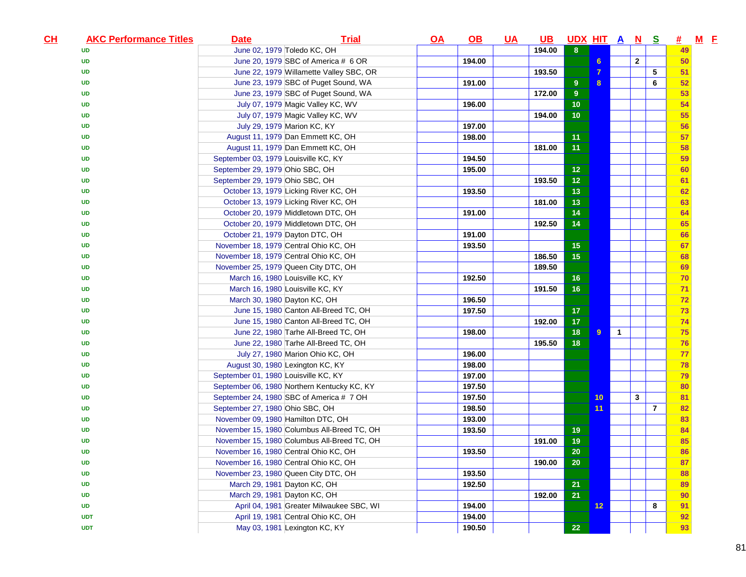| CL | <b>AKC Performance Titles</b> | <b>Date</b>                          | <b>Trial</b>                                | $\overline{OA}$ | $\underline{\mathsf{OB}}$ | <u>UA</u> | $\overline{\mathsf{UB}}$ | UDX HIT A N S  |                |                |              |                | 坓. | $M$ E |
|----|-------------------------------|--------------------------------------|---------------------------------------------|-----------------|---------------------------|-----------|--------------------------|----------------|----------------|----------------|--------------|----------------|----|-------|
|    | UD                            |                                      | June 02, 1979 Toledo KC, OH                 |                 |                           |           | 194.00                   | 8              |                |                |              |                | 49 |       |
|    | <b>UD</b>                     |                                      | June 20, 1979 SBC of America # 6 OR         |                 | 194.00                    |           |                          |                | 6 <sup>5</sup> |                | $\mathbf{2}$ |                | 50 |       |
|    | UD                            |                                      | June 22, 1979 Willamette Valley SBC, OR     |                 |                           |           | 193.50                   |                | $\overline{7}$ |                |              | 5              | 51 |       |
|    | UD                            |                                      | June 23, 1979 SBC of Puget Sound, WA        |                 | 191.00                    |           |                          | 9              | 8              |                |              | 6              | 52 |       |
|    | <b>UD</b>                     |                                      | June 23, 1979 SBC of Puget Sound, WA        |                 |                           |           | 172.00                   | $\overline{9}$ |                |                |              |                | 53 |       |
|    | <b>UD</b>                     |                                      | July 07, 1979 Magic Valley KC, WV           |                 | 196.00                    |           |                          | 10             |                |                |              |                | 54 |       |
|    | <b>UD</b>                     |                                      | July 07, 1979 Magic Valley KC, WV           |                 |                           |           | 194.00                   | 10             |                |                |              |                | 55 |       |
|    | <b>UD</b>                     |                                      | July 29, 1979 Marion KC, KY                 |                 | 197.00                    |           |                          |                |                |                |              |                | 56 |       |
|    | <b>UD</b>                     |                                      | August 11, 1979 Dan Emmett KC, OH           |                 | 198.00                    |           |                          | 11             |                |                |              |                | 57 |       |
|    | <b>UD</b>                     |                                      | August 11, 1979 Dan Emmett KC, OH           |                 |                           |           | 181.00                   | 11             |                |                |              |                | 58 |       |
|    | <b>UD</b>                     | September 03, 1979 Louisville KC, KY |                                             |                 | 194.50                    |           |                          |                |                |                |              |                | 59 |       |
|    | <b>UD</b>                     | September 29, 1979 Ohio SBC, OH      |                                             |                 | 195.00                    |           |                          | 12             |                |                |              |                | 60 |       |
|    | <b>UD</b>                     | September 29, 1979 Ohio SBC, OH      |                                             |                 |                           |           | 193.50                   | $12$           |                |                |              |                | 61 |       |
|    | <b>UD</b>                     |                                      | October 13, 1979 Licking River KC, OH       |                 | 193.50                    |           |                          | 13             |                |                |              |                | 62 |       |
|    | UD                            |                                      | October 13, 1979 Licking River KC, OH       |                 |                           |           | 181.00                   | 13             |                |                |              |                | 63 |       |
|    | <b>UD</b>                     |                                      | October 20, 1979 Middletown DTC, OH         |                 | 191.00                    |           |                          | 14             |                |                |              |                | 64 |       |
|    | <b>UD</b>                     |                                      | October 20, 1979 Middletown DTC, OH         |                 |                           |           | 192.50                   | 14             |                |                |              |                | 65 |       |
|    | <b>UD</b>                     | October 21, 1979 Dayton DTC, OH      |                                             |                 | 191.00                    |           |                          |                |                |                |              |                | 66 |       |
|    | <b>UD</b>                     |                                      | November 18, 1979 Central Ohio KC, OH       |                 | 193.50                    |           |                          | 15             |                |                |              |                | 67 |       |
|    | <b>UD</b>                     |                                      | November 18, 1979 Central Ohio KC, OH       |                 |                           |           | 186.50                   | 15             |                |                |              |                | 68 |       |
|    | <b>UD</b>                     |                                      | November 25, 1979 Queen City DTC, OH        |                 |                           |           | 189.50                   |                |                |                |              |                | 69 |       |
|    | <b>UD</b>                     |                                      | March 16, 1980 Louisville KC, KY            |                 | 192.50                    |           |                          | 16             |                |                |              |                | 70 |       |
|    | <b>UD</b>                     |                                      | March 16, 1980 Louisville KC, KY            |                 |                           |           | 191.50                   | 16             |                |                |              |                | 71 |       |
|    | <b>UD</b>                     |                                      | March 30, 1980 Dayton KC, OH                |                 | 196.50                    |           |                          |                |                |                |              |                | 72 |       |
|    | <b>UD</b>                     |                                      | June 15, 1980 Canton All-Breed TC, OH       |                 | 197.50                    |           |                          | 17             |                |                |              |                | 73 |       |
|    | <b>UD</b>                     |                                      | June 15, 1980 Canton All-Breed TC, OH       |                 |                           |           | 192.00                   | 17             |                |                |              |                | 74 |       |
|    | <b>UD</b>                     |                                      | June 22, 1980 Tarhe All-Breed TC, OH        |                 | 198.00                    |           |                          | 18             | $\overline{9}$ | $\overline{1}$ |              |                | 75 |       |
|    | UD                            |                                      | June 22, 1980 Tarhe All-Breed TC, OH        |                 |                           |           | 195.50                   | 18             |                |                |              |                | 76 |       |
|    | <b>UD</b>                     |                                      | July 27, 1980 Marion Ohio KC, OH            |                 | 196.00                    |           |                          |                |                |                |              |                | 77 |       |
|    | <b>UD</b>                     |                                      | August 30, 1980 Lexington KC, KY            |                 | 198.00                    |           |                          |                |                |                |              |                | 78 |       |
|    | <b>UD</b>                     | September 01, 1980 Louisville KC, KY |                                             |                 | 197.00                    |           |                          |                |                |                |              |                | 79 |       |
|    | <b>UD</b>                     |                                      | September 06, 1980 Northern Kentucky KC, KY |                 | 197.50                    |           |                          |                |                |                |              |                | 80 |       |
|    | <b>UD</b>                     |                                      | September 24, 1980 SBC of America # 7 OH    |                 | 197.50                    |           |                          |                | 10             |                | 3            |                | 81 |       |
|    | <b>UD</b>                     | September 27, 1980 Ohio SBC, OH      |                                             |                 | 198.50                    |           |                          |                | 11             |                |              | $\overline{7}$ | 82 |       |
|    | <b>UD</b>                     | November 09, 1980 Hamilton DTC, OH   |                                             |                 | 193.00                    |           |                          |                |                |                |              |                | 83 |       |
|    | <b>UD</b>                     |                                      | November 15, 1980 Columbus All-Breed TC, OH |                 | 193.50                    |           |                          | 19             |                |                |              |                | 84 |       |
|    | <b>UD</b>                     |                                      | November 15, 1980 Columbus All-Breed TC, OH |                 |                           |           | 191.00                   | 19             |                |                |              |                | 85 |       |
|    | <b>UD</b>                     |                                      | November 16, 1980 Central Ohio KC, OH       |                 | 193.50                    |           |                          | 20             |                |                |              |                | 86 |       |
|    | <b>UD</b>                     |                                      | November 16, 1980 Central Ohio KC, OH       |                 |                           |           | 190.00                   | 20             |                |                |              |                | 87 |       |
|    | <b>UD</b>                     |                                      | November 23, 1980 Queen City DTC, OH        |                 | 193.50                    |           |                          |                |                |                |              |                | 88 |       |
|    | <b>UD</b>                     |                                      | March 29, 1981 Dayton KC, OH                |                 | 192.50                    |           |                          | 21             |                |                |              |                | 89 |       |
|    | <b>UD</b>                     |                                      | March 29, 1981 Dayton KC, OH                |                 |                           |           | 192.00                   | 21             |                |                |              |                | 90 |       |
|    | <b>UD</b>                     |                                      | April 04, 1981 Greater Milwaukee SBC, WI    |                 | 194.00                    |           |                          |                | 12             |                |              | 8              | 91 |       |
|    | <b>UDT</b>                    |                                      | April 19, 1981 Central Ohio KC, OH          |                 | 194.00                    |           |                          |                |                |                |              |                | 92 |       |
|    | <b>UDT</b>                    |                                      | May 03, 1981 Lexington KC, KY               |                 | 190.50                    |           |                          | 22             |                |                |              |                | 93 |       |
|    |                               |                                      |                                             |                 |                           |           |                          |                |                |                |              |                |    |       |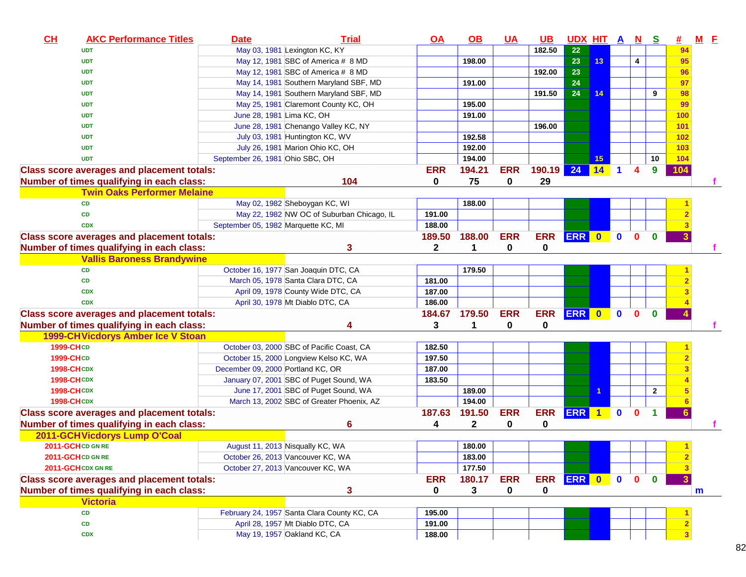| CL                | <b>AKC Performance Titles</b>                     | <b>Date</b>                         | <b>Trial</b>                                                                        | <u>OA</u>        | $\overline{OB}$ | $UA$       | <u>UB</u>  | <u>UDX HIT A N</u> |                    |                      |              | <u>s</u>       | #   | $M$ $E$ |  |
|-------------------|---------------------------------------------------|-------------------------------------|-------------------------------------------------------------------------------------|------------------|-----------------|------------|------------|--------------------|--------------------|----------------------|--------------|----------------|-----|---------|--|
|                   | <b>UDT</b>                                        |                                     | May 03, 1981 Lexington KC, KY                                                       |                  |                 |            | 182.50     | 22                 |                    |                      |              |                | 94  |         |  |
|                   | <b>UDT</b>                                        |                                     | May 12, 1981 SBC of America # 8 MD                                                  |                  | 198.00          |            |            | 23                 | 13                 |                      | 4            |                | 95  |         |  |
|                   | <b>UDT</b>                                        |                                     | May 12, 1981 SBC of America # 8 MD                                                  |                  |                 |            | 192.00     | 23                 |                    |                      |              |                | 96  |         |  |
|                   | <b>UDT</b>                                        |                                     | May 14, 1981 Southern Maryland SBF, MD                                              |                  | 191.00          |            |            | 24                 |                    |                      |              |                | 97  |         |  |
|                   | <b>UDT</b>                                        |                                     | May 14, 1981 Southern Maryland SBF, MD                                              |                  |                 |            | 191.50     | 24                 | 14                 |                      |              | 9              | 98  |         |  |
|                   | <b>UDT</b>                                        |                                     | May 25, 1981 Claremont County KC, OH                                                |                  | 195.00          |            |            |                    |                    |                      |              |                | 99  |         |  |
|                   | <b>UDT</b>                                        | June 28, 1981 Lima KC, OH           |                                                                                     |                  | 191.00          |            |            |                    |                    |                      |              |                | 100 |         |  |
|                   | <b>UDT</b>                                        |                                     | June 28, 1981 Chenango Valley KC, NY                                                |                  |                 |            | 196.00     |                    |                    |                      |              |                | 101 |         |  |
|                   | <b>UDT</b>                                        |                                     | July 03, 1981 Huntington KC, WV                                                     |                  | 192.58          |            |            |                    |                    |                      |              |                | 102 |         |  |
|                   | <b>UDT</b>                                        |                                     | July 26, 1981 Marion Ohio KC, OH                                                    |                  | 192.00          |            |            |                    |                    |                      |              |                | 103 |         |  |
|                   | <b>UDT</b>                                        | September 26, 1981 Ohio SBC, OH     |                                                                                     |                  | 194.00          |            |            |                    | 15                 |                      |              | 10             | 104 |         |  |
|                   | <b>Class score averages and placement totals:</b> |                                     |                                                                                     | <b>ERR</b>       | 194.21          | <b>ERR</b> | 190.19     | 24                 | $\vert$ 14 $\vert$ | $\blacktriangleleft$ | 4            | 9              | 104 |         |  |
|                   | Number of times qualifying in each class:         |                                     | 104                                                                                 | 0                | 75              | 0          | 29         |                    |                    |                      |              |                |     |         |  |
|                   | <b>Twin Oaks Performer Melaine</b>                |                                     |                                                                                     |                  |                 |            |            |                    |                    |                      |              |                |     |         |  |
|                   | <b>CD</b>                                         |                                     | May 02, 1982 Sheboygan KC, WI                                                       |                  | 188.00          |            |            |                    |                    |                      |              |                |     |         |  |
|                   | <b>CD</b>                                         |                                     | May 22, 1982 NW OC of Suburban Chicago, IL                                          | 191.00           |                 |            |            |                    |                    |                      |              |                |     |         |  |
|                   | <b>CDX</b>                                        | September 05, 1982 Marquette KC, MI |                                                                                     | 188.00           |                 |            |            |                    |                    |                      |              |                |     |         |  |
|                   | <b>Class score averages and placement totals:</b> |                                     |                                                                                     | 189.50           | 188.00          | <b>ERR</b> | <b>ERR</b> | ERR 0              |                    | $\mathbf 0$          | $\mathbf 0$  | $\bf{0}$       |     |         |  |
|                   | Number of times qualifying in each class:         |                                     | 3                                                                                   | 2                | 1               | 0          | 0          |                    |                    |                      |              |                |     |         |  |
|                   | <b>Vallis Baroness Brandywine</b>                 |                                     |                                                                                     |                  |                 |            |            |                    |                    |                      |              |                |     |         |  |
|                   | <b>CD</b>                                         |                                     | October 16, 1977 San Joaquin DTC, CA                                                |                  | 179.50          |            |            |                    |                    |                      |              |                |     |         |  |
|                   | <b>CD</b>                                         |                                     | March 05, 1978 Santa Clara DTC, CA                                                  | 181.00           |                 |            |            |                    |                    |                      |              |                |     |         |  |
|                   | <b>CDX</b>                                        |                                     | April 09, 1978 County Wide DTC, CA                                                  | 187.00           |                 |            |            |                    |                    |                      |              |                |     |         |  |
|                   | <b>CDX</b>                                        |                                     | April 30, 1978 Mt Diablo DTC, CA                                                    | 186.00           |                 |            |            |                    |                    |                      |              |                |     |         |  |
|                   | <b>Class score averages and placement totals:</b> |                                     |                                                                                     |                  | 184.67 179.50   | <b>ERR</b> | <b>ERR</b> | ERR 0              |                    | $\bullet$            | $\mathbf{0}$ | $\bf{0}$       |     |         |  |
|                   |                                                   |                                     | 4                                                                                   | 3                | 1               | 0          | 0          |                    |                    |                      |              |                |     |         |  |
|                   | Number of times qualifying in each class:         |                                     |                                                                                     |                  |                 |            |            |                    |                    |                      |              |                |     |         |  |
| 1999-CHCD         | 1999-CH Vicdorys Amber Ice V Stoan                |                                     |                                                                                     |                  |                 |            |            |                    |                    |                      |              |                |     |         |  |
| 1999-CHCD         |                                                   |                                     | October 03, 2000 SBC of Pacific Coast, CA<br>October 15, 2000 Longview Kelso KC, WA | 182.50<br>197.50 |                 |            |            |                    |                    |                      |              |                |     |         |  |
| <b>1998-CHCDX</b> |                                                   |                                     |                                                                                     | 187.00           |                 |            |            |                    |                    |                      |              |                |     |         |  |
| <b>1998-CHCDX</b> |                                                   | December 09, 2000 Portland KC, OR   |                                                                                     |                  |                 |            |            |                    |                    |                      |              |                |     |         |  |
|                   |                                                   |                                     | January 07, 2001 SBC of Puget Sound, WA                                             | 183.50           |                 |            |            |                    |                    |                      |              |                |     |         |  |
| <b>1998-CHCDX</b> |                                                   |                                     | June 17, 2001 SBC of Puget Sound, WA<br>March 13, 2002 SBC of Greater Phoenix, AZ   |                  | 189.00          |            |            |                    |                    |                      |              | $\overline{2}$ |     |         |  |
| <b>1998-CHCDX</b> |                                                   |                                     |                                                                                     |                  | 194.00          |            |            |                    |                    |                      |              |                |     |         |  |
|                   | <b>Class score averages and placement totals:</b> |                                     |                                                                                     | 187.63           | 191.50          | <b>ERR</b> | <b>ERR</b> | ERR 1              |                    | $\mathbf{0}$         | $\mathbf{0}$ | 1              |     |         |  |
|                   | Number of times qualifying in each class:         |                                     | 6                                                                                   | 4                | 2               | 0          | 0          |                    |                    |                      |              |                |     |         |  |
|                   | 2011-GCH Vicdorys Lump O'Coal                     |                                     |                                                                                     |                  |                 |            |            |                    |                    |                      |              |                |     |         |  |
|                   | 2011-GCHCD GN RE                                  |                                     | August 11, 2013 Nisqually KC, WA                                                    |                  | 180.00          |            |            |                    |                    |                      |              |                |     |         |  |
|                   | 2011-GCHCD GN RE                                  |                                     | October 26, 2013 Vancouver KC, WA                                                   |                  | 183.00          |            |            |                    |                    |                      |              |                |     |         |  |
|                   | 2011-GCH CDX GN RE                                |                                     | October 27, 2013 Vancouver KC, WA                                                   |                  | 177.50          |            |            |                    |                    |                      |              |                |     |         |  |
|                   | <b>Class score averages and placement totals:</b> |                                     |                                                                                     | <b>ERR</b>       | 180.17          | <b>ERR</b> | <b>ERR</b> | ERR 0 0            |                    |                      | $\mathbf{0}$ | $\mathbf{0}$   |     |         |  |
|                   | Number of times qualifying in each class:         |                                     | 3                                                                                   | 0                | 3               | 0          | 0          |                    |                    |                      |              |                |     | m       |  |
|                   | <b>Victoria</b>                                   |                                     |                                                                                     |                  |                 |            |            |                    |                    |                      |              |                |     |         |  |
|                   | ${\bf CD}$                                        |                                     | February 24, 1957 Santa Clara County KC, CA                                         | 195.00           |                 |            |            |                    |                    |                      |              |                |     |         |  |
|                   | CD                                                |                                     | April 28, 1957 Mt Diablo DTC, CA                                                    | 191.00           |                 |            |            |                    |                    |                      |              |                |     |         |  |
|                   | <b>CDX</b>                                        |                                     | May 19, 1957 Oakland KC, CA                                                         | 188.00           |                 |            |            |                    |                    |                      |              |                |     |         |  |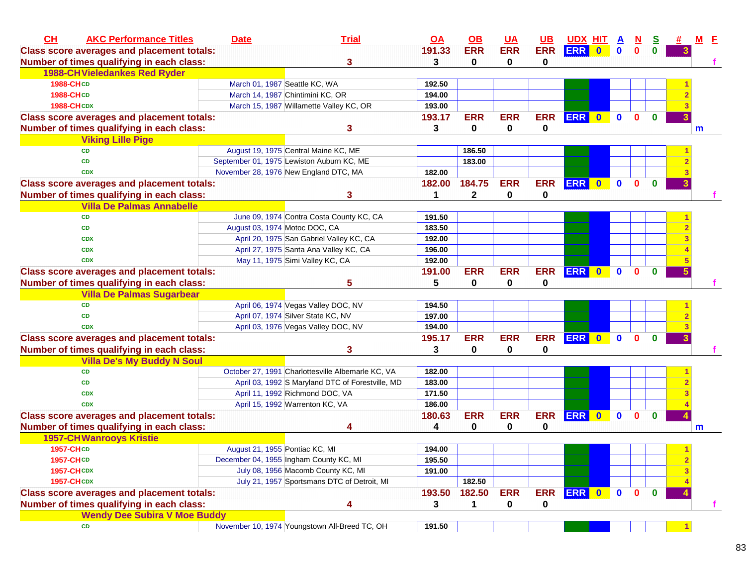| CH                | <b>AKC Performance Titles</b>                     | <b>Date</b>                    | <b>Trial</b>                                      | $\overline{OA}$ | OB           | <b>UA</b>    | UB          | <b>UDX HIT A</b> |           |              | $\underline{\mathbf{N}}$ | $\mathbf{s}$ |                         | $M$ $E$ |  |
|-------------------|---------------------------------------------------|--------------------------------|---------------------------------------------------|-----------------|--------------|--------------|-------------|------------------|-----------|--------------|--------------------------|--------------|-------------------------|---------|--|
|                   | <b>Class score averages and placement totals:</b> |                                |                                                   | 191.33          | <b>ERR</b>   | <b>ERR</b>   | <b>ERR</b>  | <b>ERR</b>       | $\bullet$ | $\mathbf{0}$ | $\mathbf{0}$             | $\mathbf{0}$ |                         |         |  |
|                   | Number of times qualifying in each class:         |                                | 3                                                 | 3               | 0            | $\mathbf 0$  | 0           |                  |           |              |                          |              |                         |         |  |
|                   | <b>1988-CH Vieledankes Red Ryder</b>              |                                |                                                   |                 |              |              |             |                  |           |              |                          |              |                         |         |  |
| <b>1988-CHCD</b>  |                                                   |                                | March 01, 1987 Seattle KC, WA                     | 192.50          |              |              |             |                  |           |              |                          |              |                         |         |  |
| <b>1988-CHCD</b>  |                                                   |                                | March 14, 1987 Chintimini KC, OR                  | 194.00          |              |              |             |                  |           |              |                          |              |                         |         |  |
| <b>1988-CHCDX</b> |                                                   |                                | March 15, 1987 Willamette Valley KC, OR           | 193.00          |              |              |             |                  |           |              |                          |              |                         |         |  |
|                   | <b>Class score averages and placement totals:</b> |                                |                                                   | 193.17          | <b>ERR</b>   | <b>ERR</b>   | <b>ERR</b>  | ERR 0            |           | $\mathbf 0$  | $\mathbf{0}$             | $\mathbf{0}$ | 3                       |         |  |
|                   | Number of times qualifying in each class:         |                                | 3                                                 | 3               | $\mathbf 0$  | $\mathbf{0}$ | 0           |                  |           |              |                          |              |                         | m       |  |
|                   | <b>Viking Lille Pige</b>                          |                                |                                                   |                 |              |              |             |                  |           |              |                          |              |                         |         |  |
|                   | <b>CD</b>                                         |                                | August 19, 1975 Central Maine KC, ME              |                 | 186.50       |              |             |                  |           |              |                          |              |                         |         |  |
|                   | <b>CD</b>                                         |                                | September 01, 1975 Lewiston Auburn KC, ME         |                 | 183.00       |              |             |                  |           |              |                          |              |                         |         |  |
|                   | <b>CDX</b>                                        |                                | November 28, 1976 New England DTC, MA             | 182.00          |              |              |             |                  |           |              |                          |              |                         |         |  |
|                   | <b>Class score averages and placement totals:</b> |                                |                                                   | 182.00          | 184.75       | <b>ERR</b>   | <b>ERR</b>  | ERR 0            |           | $\mathbf 0$  | $\mathbf{0}$             | $\mathbf{0}$ | $\overline{\mathbf{3}}$ |         |  |
|                   | Number of times qualifying in each class:         |                                | 3                                                 | $\mathbf{1}$    | $\mathbf{2}$ | 0            | $\mathbf 0$ |                  |           |              |                          |              |                         |         |  |
|                   | <b>Villa De Palmas Annabelle</b>                  |                                |                                                   |                 |              |              |             |                  |           |              |                          |              |                         |         |  |
|                   | <b>CD</b>                                         |                                | June 09, 1974 Contra Costa County KC, CA          | 191.50          |              |              |             |                  |           |              |                          |              |                         |         |  |
|                   | <b>CD</b>                                         | August 03, 1974 Motoc DOC, CA  |                                                   | 183.50          |              |              |             |                  |           |              |                          |              |                         |         |  |
|                   | <b>CDX</b>                                        |                                | April 20, 1975 San Gabriel Valley KC, CA          | 192.00          |              |              |             |                  |           |              |                          |              |                         |         |  |
|                   | <b>CDX</b>                                        |                                | April 27, 1975 Santa Ana Valley KC, CA            | 196.00          |              |              |             |                  |           |              |                          |              |                         |         |  |
|                   | <b>CDX</b>                                        |                                | May 11, 1975 Simi Valley KC, CA                   | 192.00          |              |              |             |                  |           |              |                          |              |                         |         |  |
|                   | <b>Class score averages and placement totals:</b> |                                |                                                   | 191.00          | <b>ERR</b>   | <b>ERR</b>   |             | ERR ERR 0        |           | $\mathbf 0$  | $\mathbf{0}$             | $\mathbf 0$  | $\overline{5}$          |         |  |
|                   | Number of times qualifying in each class:         |                                | 5                                                 | 5               | 0            | 0            | $\bf{0}$    |                  |           |              |                          |              |                         |         |  |
|                   | <b>Villa De Palmas Sugarbear</b>                  |                                |                                                   |                 |              |              |             |                  |           |              |                          |              |                         |         |  |
|                   | <b>CD</b>                                         |                                | April 06, 1974 Vegas Valley DOC, NV               | 194.50          |              |              |             |                  |           |              |                          |              |                         |         |  |
|                   | <b>CD</b>                                         |                                | April 07, 1974 Silver State KC, NV                | 197.00          |              |              |             |                  |           |              |                          |              |                         |         |  |
|                   | <b>CDX</b>                                        |                                | April 03, 1976 Vegas Valley DOC, NV               | 194.00          |              |              |             |                  |           |              |                          |              |                         |         |  |
|                   | <b>Class score averages and placement totals:</b> |                                |                                                   | 195.17          | <b>ERR</b>   | <b>ERR</b>   | <b>ERR</b>  | ERR 0 0          |           |              | $\mathbf{0}$             | $\mathbf{0}$ | $\overline{3}$          |         |  |
|                   | Number of times qualifying in each class:         |                                | 3                                                 | 3               | 0            | 0            | 0           |                  |           |              |                          |              |                         |         |  |
|                   | <b>Villa De's My Buddy N Soul</b>                 |                                |                                                   |                 |              |              |             |                  |           |              |                          |              |                         |         |  |
|                   | CD                                                |                                | October 27, 1991 Charlottesville Albemarle KC, VA | 182.00          |              |              |             |                  |           |              |                          |              |                         |         |  |
|                   | <b>CD</b>                                         |                                | April 03, 1992 S Maryland DTC of Forestville, MD  | 183.00          |              |              |             |                  |           |              |                          |              |                         |         |  |
|                   | <b>CDX</b>                                        |                                | April 11, 1992 Richmond DOC, VA                   | 171.50          |              |              |             |                  |           |              |                          |              |                         |         |  |
|                   | <b>CDX</b>                                        |                                | April 15, 1992 Warrenton KC, VA                   | 186.00          |              |              |             |                  |           |              |                          |              |                         |         |  |
|                   | <b>Class score averages and placement totals:</b> |                                |                                                   | 180.63          | <b>ERR</b>   | <b>ERR</b>   | <b>ERR</b>  | ERR 0            |           | $\mathbf 0$  | $\mathbf{0}$             | $\bf{0}$     | 4                       |         |  |
|                   | Number of times qualifying in each class:         |                                | 4                                                 | 4               | 0            | 0            | 0           |                  |           |              |                          |              |                         | m       |  |
|                   | <b>1957-CHWanrooys Kristie</b>                    |                                |                                                   |                 |              |              |             |                  |           |              |                          |              |                         |         |  |
| <b>1957-CHCD</b>  |                                                   | August 21, 1955 Pontiac KC, MI |                                                   | 194.00          |              |              |             |                  |           |              |                          |              |                         |         |  |
| 1957-CHCD         |                                                   |                                | December 04, 1955 Ingham County KC, MI            | 195.50          |              |              |             |                  |           |              |                          |              | $\mathbf{2}$            |         |  |
| <b>1957-CHCDX</b> |                                                   |                                | July 08, 1956 Macomb County KC, MI                | 191.00          |              |              |             |                  |           |              |                          |              |                         |         |  |
| <b>1957-CHCDX</b> |                                                   |                                | July 21, 1957 Sportsmans DTC of Detroit, MI       |                 | 182.50       |              |             |                  |           |              |                          |              |                         |         |  |
|                   | <b>Class score averages and placement totals:</b> |                                |                                                   | 193.50          | 182.50       | <b>ERR</b>   |             | ERR ERR 0        |           | $\mathbf{0}$ | $\mathbf{0}$             | $\mathbf 0$  |                         |         |  |
|                   | Number of times qualifying in each class:         |                                | 4                                                 | 3               | 1            | 0            | 0           |                  |           |              |                          |              |                         |         |  |
|                   | <b>Wendy Dee Subira V Moe Buddy</b>               |                                |                                                   |                 |              |              |             |                  |           |              |                          |              |                         |         |  |
|                   | CD                                                |                                | November 10, 1974 Youngstown All-Breed TC, OH     | 191.50          |              |              |             |                  |           |              |                          |              |                         |         |  |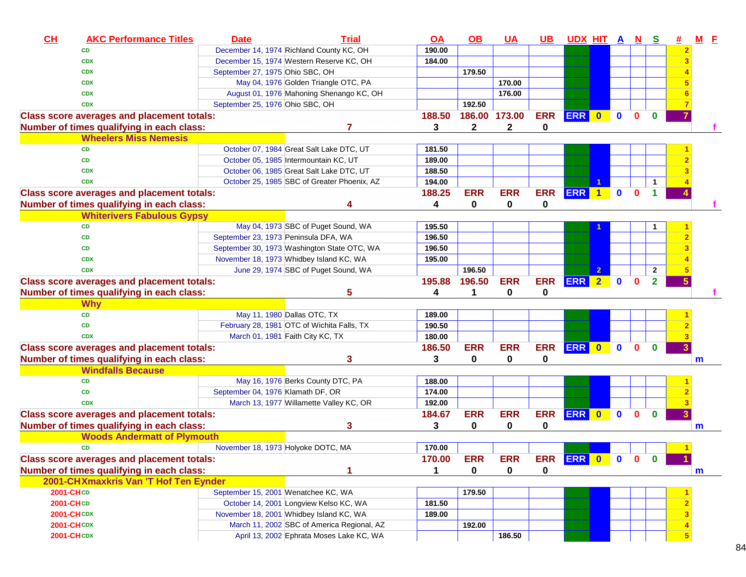| CL                | <b>AKC Performance Titles</b>                     | <b>Date</b>                          | <b>Trial</b>                                | <u>OA</u> | $\underline{\mathsf{OB}}$ | <b>UA</b>    | $UB$       | <u>UDX HIT A N</u> |              |              | <u>s</u>       | #              | $M$ $E$ |  |
|-------------------|---------------------------------------------------|--------------------------------------|---------------------------------------------|-----------|---------------------------|--------------|------------|--------------------|--------------|--------------|----------------|----------------|---------|--|
|                   | <b>CD</b>                                         |                                      | December 14, 1974 Richland County KC, OH    | 190.00    |                           |              |            |                    |              |              |                | $\overline{2}$ |         |  |
|                   | <b>CDX</b>                                        |                                      | December 15, 1974 Western Reserve KC, OH    | 184.00    |                           |              |            |                    |              |              |                |                |         |  |
|                   | <b>CDX</b>                                        | September 27, 1975 Ohio SBC, OH      |                                             |           | 179.50                    |              |            |                    |              |              |                |                |         |  |
|                   | <b>CDX</b>                                        |                                      | May 04, 1976 Golden Triangle OTC, PA        |           |                           | 170.00       |            |                    |              |              |                |                |         |  |
|                   | <b>CDX</b>                                        |                                      | August 01, 1976 Mahoning Shenango KC, OH    |           |                           | 176.00       |            |                    |              |              |                |                |         |  |
|                   | <b>CDX</b>                                        | September 25, 1976 Ohio SBC, OH      |                                             |           | 192.50                    |              |            |                    |              |              |                |                |         |  |
|                   | <b>Class score averages and placement totals:</b> |                                      |                                             | 188.50    | 186.00                    | 173.00       | <b>ERR</b> | ERR 0              | $\mathbf{0}$ | $\mathbf{0}$ | $\mathbf{0}$   |                |         |  |
|                   | Number of times qualifying in each class:         |                                      | 7                                           | 3         | $\mathbf{2}$              | $\mathbf{2}$ | 0          |                    |              |              |                |                |         |  |
|                   | <b>Wheelers Miss Nemesis</b>                      |                                      |                                             |           |                           |              |            |                    |              |              |                |                |         |  |
|                   | <b>CD</b>                                         |                                      | October 07, 1984 Great Salt Lake DTC, UT    | 181.50    |                           |              |            |                    |              |              |                |                |         |  |
|                   | CD                                                |                                      | October 05, 1985 Intermountain KC, UT       | 189.00    |                           |              |            |                    |              |              |                |                |         |  |
|                   | <b>CDX</b>                                        |                                      | October 06, 1985 Great Salt Lake DTC, UT    | 188.50    |                           |              |            |                    |              |              |                |                |         |  |
|                   | <b>CDX</b>                                        |                                      | October 25, 1985 SBC of Greater Phoenix, AZ | 194.00    |                           |              |            |                    |              |              | 1              |                |         |  |
|                   | <b>Class score averages and placement totals:</b> |                                      |                                             | 188.25    | <b>ERR</b>                | <b>ERR</b>   | <b>ERR</b> | ERR 1              | $\mathbf{0}$ | $\mathbf{0}$ | 1.             |                |         |  |
|                   | Number of times qualifying in each class:         |                                      | 4                                           | 4         | 0                         | 0            | 0          |                    |              |              |                |                |         |  |
|                   | <b>Whiterivers Fabulous Gypsy</b>                 |                                      |                                             |           |                           |              |            |                    |              |              |                |                |         |  |
|                   | <b>CD</b>                                         |                                      | May 04, 1973 SBC of Puget Sound, WA         | 195.50    |                           |              |            |                    |              |              |                |                |         |  |
|                   | <b>CD</b>                                         | September 23, 1973 Peninsula DFA, WA |                                             | 196.50    |                           |              |            |                    |              |              |                |                |         |  |
|                   | <b>CD</b>                                         |                                      | September 30, 1973 Washington State OTC, WA | 196.50    |                           |              |            |                    |              |              |                |                |         |  |
|                   | <b>CDX</b>                                        |                                      | November 18, 1973 Whidbey Island KC, WA     | 195.00    |                           |              |            |                    |              |              |                |                |         |  |
|                   | <b>CDX</b>                                        |                                      | June 29, 1974 SBC of Puget Sound, WA        |           | 196.50                    |              |            |                    |              |              | $\overline{2}$ |                |         |  |
|                   | <b>Class score averages and placement totals:</b> |                                      |                                             | 195.88    | 196.50                    | <b>ERR</b>   | <b>ERR</b> | ERR 2              | $\mathbf{0}$ | $\mathbf{0}$ | $\overline{2}$ |                |         |  |
|                   | Number of times qualifying in each class:         |                                      | 5                                           | 4         | 1                         | 0            | 0          |                    |              |              |                |                |         |  |
|                   | <b>Why</b>                                        |                                      |                                             |           |                           |              |            |                    |              |              |                |                |         |  |
|                   | <b>CD</b>                                         |                                      | May 11, 1980 Dallas OTC, TX                 | 189.00    |                           |              |            |                    |              |              |                |                |         |  |
|                   | <b>CD</b>                                         |                                      | February 28, 1981 OTC of Wichita Falls, TX  | 190.50    |                           |              |            |                    |              |              |                |                |         |  |
|                   | <b>CDX</b>                                        |                                      | March 01, 1981 Faith City KC, TX            | 180.00    |                           |              |            |                    |              |              |                |                |         |  |
|                   | <b>Class score averages and placement totals:</b> |                                      |                                             | 186.50    | <b>ERR</b>                | <b>ERR</b>   | <b>ERR</b> | ERR 0              | $\mathbf{0}$ | $\mathbf{0}$ | $\bf{0}$       |                |         |  |
|                   | Number of times qualifying in each class:         |                                      | 3                                           | 3         | 0                         | 0            | 0          |                    |              |              |                |                | m       |  |
|                   | <b>Windfalls Because</b>                          |                                      |                                             |           |                           |              |            |                    |              |              |                |                |         |  |
|                   | <b>CD</b>                                         |                                      | May 16, 1976 Berks County DTC, PA           | 188.00    |                           |              |            |                    |              |              |                |                |         |  |
|                   | <b>CD</b>                                         | September 04, 1976 Klamath DF, OR    |                                             | 174.00    |                           |              |            |                    |              |              |                |                |         |  |
|                   | <b>CDX</b>                                        |                                      | March 13, 1977 Willamette Valley KC, OR     | 192.00    |                           |              |            |                    |              |              |                |                |         |  |
|                   | <b>Class score averages and placement totals:</b> |                                      |                                             | 184.67    | <b>ERR</b>                | <b>ERR</b>   | <b>ERR</b> | ERR 0              | $\mathbf 0$  | $\mathbf{0}$ | $\mathbf{0}$   |                |         |  |
|                   | Number of times qualifying in each class:         |                                      | з                                           | 3         | 0                         | 0            | 0          |                    |              |              |                |                | m       |  |
|                   | <b>Woods Andermatt of Plymouth</b>                |                                      |                                             |           |                           |              |            |                    |              |              |                |                |         |  |
|                   | <b>CD</b>                                         | November 18, 1973 Holyoke DOTC, MA   |                                             | 170.00    |                           |              |            |                    |              |              |                |                |         |  |
|                   | <b>Class score averages and placement totals:</b> |                                      |                                             | 170.00    | <b>ERR</b>                | <b>ERR</b>   |            | ERR ERR 0 0 0 0    |              |              |                |                |         |  |
|                   | Number of times qualifying in each class:         |                                      |                                             | 1         | $\mathbf 0$               | 0            | 0          |                    |              |              |                |                | m       |  |
|                   | 2001-CHXmaxkris Van 'T Hof Ten Eynder             |                                      |                                             |           |                           |              |            |                    |              |              |                |                |         |  |
| 2001-CHCD         |                                                   | September 15, 2001 Wenatchee KC, WA  |                                             |           | 179.50                    |              |            |                    |              |              |                |                |         |  |
| 2001-CHCD         |                                                   |                                      | October 14, 2001 Longview Kelso KC, WA      | 181.50    |                           |              |            |                    |              |              |                |                |         |  |
| <b>2001-CHCDX</b> |                                                   |                                      | November 18, 2001 Whidbey Island KC, WA     | 189.00    |                           |              |            |                    |              |              |                | 3              |         |  |
| <b>2001-CHCDX</b> |                                                   |                                      | March 11, 2002 SBC of America Regional, AZ  |           | 192.00                    |              |            |                    |              |              |                |                |         |  |
| <b>2001-CHCDX</b> |                                                   |                                      | April 13, 2002 Ephrata Moses Lake KC, WA    |           |                           | 186.50       |            |                    |              |              |                | 5              |         |  |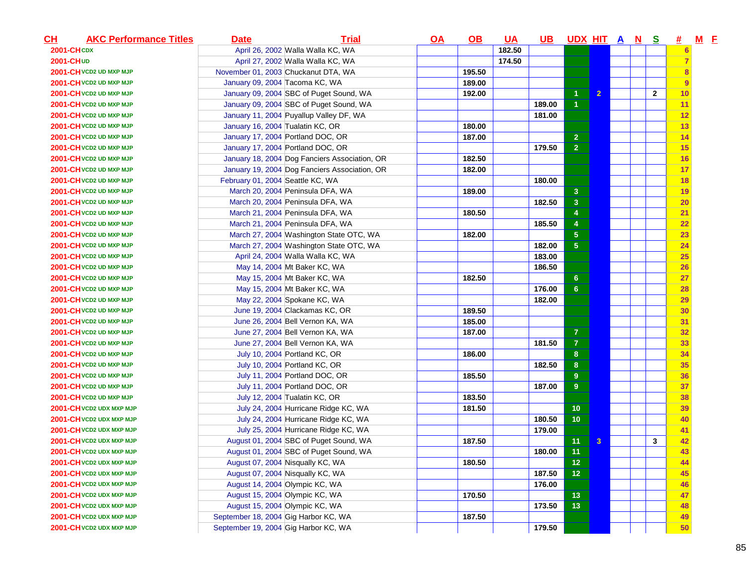| $CH$                    | <b>AKC Performance Titles</b> | <b>Date</b>                          | <b>Trial</b>                                  | <u>OA</u> | $\underline{\mathsf{OB}}$ | <u>UA</u> | <u>UB</u> | UDX HIT A N S   |                |  |                | #              | $M$ E |  |
|-------------------------|-------------------------------|--------------------------------------|-----------------------------------------------|-----------|---------------------------|-----------|-----------|-----------------|----------------|--|----------------|----------------|-------|--|
|                         | <b>2001-CHCDX</b>             |                                      | April 26, 2002 Walla Walla KC, WA             |           |                           | 182.50    |           |                 |                |  |                | $6\phantom{a}$ |       |  |
| 2001-CHUD               |                               |                                      | April 27, 2002 Walla Walla KC, WA             |           |                           | 174.50    |           |                 |                |  |                | $\overline{7}$ |       |  |
| 2001-CH VCD2 UD MXP MJP |                               |                                      | November 01, 2003 Chuckanut DTA, WA           |           | 195.50                    |           |           |                 |                |  |                | 8              |       |  |
| 2001-CH VCD2 UD MXP MJP |                               | January 09, 2004 Tacoma KC, WA       |                                               |           | 189.00                    |           |           |                 |                |  |                | 9              |       |  |
|                         | 2001-CH VCD2 UD MXP MJP       |                                      | January 09, 2004 SBC of Puget Sound, WA       |           | 192.00                    |           |           | $\overline{1}$  | $\overline{2}$ |  | $\overline{2}$ | 10             |       |  |
|                         | 2001-CH VCD2 UD MXP MJP       |                                      | January 09, 2004 SBC of Puget Sound, WA       |           |                           |           | 189.00    | -1              |                |  |                | 11             |       |  |
|                         | 2001-CH VCD2 UD MXP MJP       |                                      | January 11, 2004 Puyallup Valley DF, WA       |           |                           |           | 181.00    |                 |                |  |                | 12             |       |  |
|                         | 2001-CH VCD2 UD MXP MJP       | January 16, 2004 Tualatin KC, OR     |                                               |           | 180.00                    |           |           |                 |                |  |                | 13             |       |  |
|                         | 2001-CH VCD2 UD MXP MJP       |                                      | January 17, 2004 Portland DOC, OR             |           | 187.00                    |           |           | $\overline{2}$  |                |  |                | 14             |       |  |
|                         | 2001-CH VCD2 UD MXP MJP       |                                      | January 17, 2004 Portland DOC, OR             |           |                           |           | 179.50    | 2 <sup>1</sup>  |                |  |                | 15             |       |  |
|                         | 2001-CH VCD2 UD MXP MJP       |                                      | January 18, 2004 Dog Fanciers Association, OR |           | 182.50                    |           |           |                 |                |  |                | 16             |       |  |
|                         | 2001-CH VCD2 UD MXP MJP       |                                      | January 19, 2004 Dog Fanciers Association, OR |           | 182.00                    |           |           |                 |                |  |                | 17             |       |  |
|                         | 2001-CH VCD2 UD MXP MJP       | February 01, 2004 Seattle KC, WA     |                                               |           |                           |           | 180.00    |                 |                |  |                | 18             |       |  |
|                         | 2001-CH VCD2 UD MXP MJP       |                                      | March 20, 2004 Peninsula DFA, WA              |           | 189.00                    |           |           | 3 <sup>2</sup>  |                |  |                | 19             |       |  |
|                         | 2001-CH VCD2 UD MXP MJP       |                                      | March 20, 2004 Peninsula DFA, WA              |           |                           |           | 182.50    | 3 <sup>2</sup>  |                |  |                | 20             |       |  |
|                         | 2001-CH VCD2 UD MXP MJP       |                                      | March 21, 2004 Peninsula DFA, WA              |           | 180.50                    |           |           | $\overline{4}$  |                |  |                | 21             |       |  |
|                         | 2001-CH VCD2 UD MXP MJP       |                                      | March 21, 2004 Peninsula DFA, WA              |           |                           |           | 185.50    | 4               |                |  |                | 22             |       |  |
|                         | 2001-CH VCD2 UD MXP MJP       |                                      | March 27, 2004 Washington State OTC, WA       |           | 182.00                    |           |           | $\sqrt{5}$      |                |  |                | 23             |       |  |
|                         | 2001-CH VCD2 UD MXP MJP       |                                      | March 27, 2004 Washington State OTC, WA       |           |                           |           | 182.00    | 5 <sub>5</sub>  |                |  |                | 24             |       |  |
|                         | 2001-CH VCD2 UD MXP MJP       |                                      | April 24, 2004 Walla Walla KC, WA             |           |                           |           | 183.00    |                 |                |  |                | 25             |       |  |
|                         | 2001-CH VCD2 UD MXP MJP       |                                      | May 14, 2004 Mt Baker KC, WA                  |           |                           |           | 186.50    |                 |                |  |                | 26             |       |  |
|                         | 2001-CH VCD2 UD MXP MJP       |                                      | May 15, 2004 Mt Baker KC, WA                  |           | 182.50                    |           |           | 6 <sup>°</sup>  |                |  |                | 27             |       |  |
|                         | 2001-CH VCD2 UD MXP MJP       |                                      | May 15, 2004 Mt Baker KC, WA                  |           |                           |           | 176.00    | 6 <sup>1</sup>  |                |  |                | 28             |       |  |
|                         | 2001-CH VCD2 UD MXP MJP       |                                      | May 22, 2004 Spokane KC, WA                   |           |                           |           | 182.00    |                 |                |  |                | 29             |       |  |
|                         | 2001-CH VCD2 UD MXP MJP       |                                      | June 19, 2004 Clackamas KC, OR                |           | 189.50                    |           |           |                 |                |  |                | 30             |       |  |
|                         | 2001-CH VCD2 UD MXP MJP       |                                      | June 26, 2004 Bell Vernon KA, WA              |           | 185.00                    |           |           |                 |                |  |                | 31             |       |  |
|                         | 2001-CH VCD2 UD MXP MJP       |                                      | June 27, 2004 Bell Vernon KA, WA              |           | 187.00                    |           |           | $\overline{7}$  |                |  |                | 32             |       |  |
|                         | 2001-CH VCD2 UD MXP MJP       |                                      | June 27, 2004 Bell Vernon KA, WA              |           |                           |           | 181.50    | $\overline{7}$  |                |  |                | 33             |       |  |
|                         | 2001-CH VCD2 UD MXP MJP       |                                      | July 10, 2004 Portland KC, OR                 |           | 186.00                    |           |           | 8 <sup>°</sup>  |                |  |                | 34             |       |  |
|                         | 2001-CH VCD2 UD MXP MJP       |                                      | July 10, 2004 Portland KC, OR                 |           |                           |           | 182.50    | 8 <sup>°</sup>  |                |  |                | 35             |       |  |
|                         | 2001-CH VCD2 UD MXP MJP       |                                      | July 11, 2004 Portland DOC, OR                |           | 185.50                    |           |           | 9               |                |  |                | 36             |       |  |
|                         | 2001-CH VCD2 UD MXP MJP       |                                      | July 11, 2004 Portland DOC, OR                |           |                           |           | 187.00    | 9               |                |  |                | 37             |       |  |
|                         | 2001-CH VCD2 UD MXP MJP       |                                      | July 12, 2004 Tualatin KC, OR                 |           | 183.50                    |           |           |                 |                |  |                | 38             |       |  |
|                         | 2001-CH VCD2 UDX MXP MJP      |                                      | July 24, 2004 Hurricane Ridge KC, WA          |           | 181.50                    |           |           | 10              |                |  |                | 39             |       |  |
|                         | 2001-CH VCD2 UDX MXP MJP      |                                      | July 24, 2004 Hurricane Ridge KC, WA          |           |                           |           | 180.50    | 10 <sub>1</sub> |                |  |                | 40             |       |  |
|                         | 2001-CH VCD2 UDX MXP MJP      |                                      | July 25, 2004 Hurricane Ridge KC, WA          |           |                           |           | 179.00    |                 |                |  |                | 41             |       |  |
|                         | 2001-CH VCD2 UDX MXP MJP      |                                      | August 01, 2004 SBC of Puget Sound, WA        |           | 187.50                    |           |           | 11              | $\mathbf{3}$   |  | $\mathbf{3}$   | 42             |       |  |
|                         | 2001-CH VCD2 UDX MXP MJP      |                                      | August 01, 2004 SBC of Puget Sound, WA        |           |                           |           | 180.00    | 11              |                |  |                | 43             |       |  |
|                         | 2001-CH VCD2 UDX MXP MJP      |                                      | August 07, 2004 Nisqually KC, WA              |           | 180.50                    |           |           | 12              |                |  |                | 44             |       |  |
|                         | 2001-CH VCD2 UDX MXP MJP      |                                      | August 07, 2004 Nisqually KC, WA              |           |                           |           | 187.50    | 12 <sub>1</sub> |                |  |                | 45             |       |  |
|                         | 2001-CH VCD2 UDX MXP MJP      |                                      | August 14, 2004 Olympic KC, WA                |           |                           |           | 176.00    |                 |                |  |                | 46             |       |  |
|                         | 2001-CH VCD2 UDX MXP MJP      |                                      | August 15, 2004 Olympic KC, WA                |           | 170.50                    |           |           | 13              |                |  |                | 47             |       |  |
|                         | 2001-CH VCD2 UDX MXP MJP      |                                      | August 15, 2004 Olympic KC, WA                |           |                           |           | 173.50    | 13              |                |  |                | 48             |       |  |
|                         | 2001-CH VCD2 UDX MXP MJP      | September 18, 2004 Gig Harbor KC, WA |                                               |           | 187.50                    |           |           |                 |                |  |                | 49             |       |  |
|                         | 2001-CH VCD2 UDX MXP MJP      | September 19, 2004 Gig Harbor KC, WA |                                               |           |                           |           | 179.50    |                 |                |  |                | 50             |       |  |
|                         |                               |                                      |                                               |           |                           |           |           |                 |                |  |                |                |       |  |